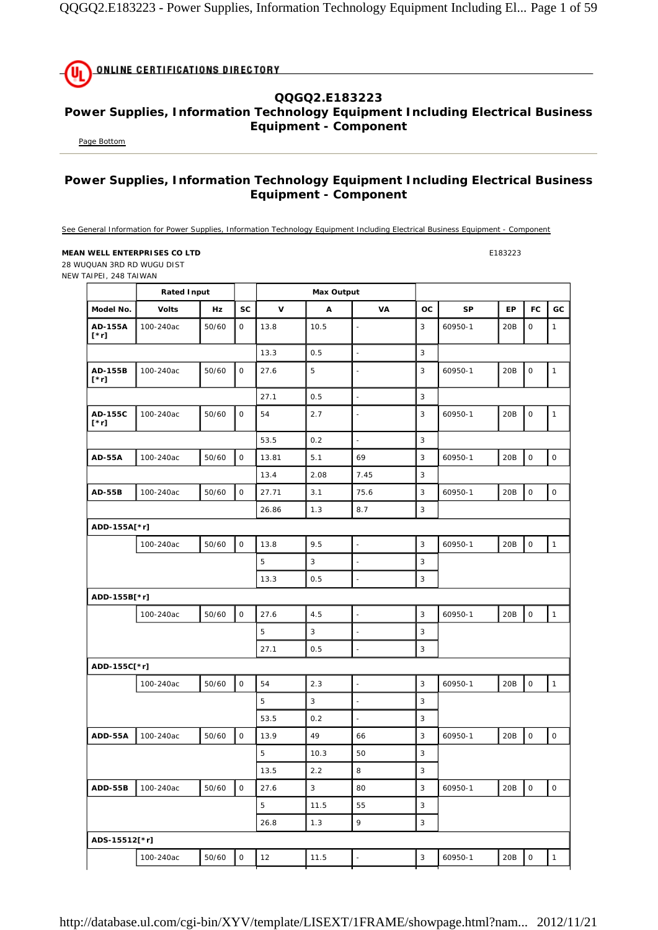**ONLINE CERTIFICATIONS DIRECTORY** (Uı

## **QQGQ2.E183223 Power Supplies, Information Technology Equipment Including Electrical Business Equipment - Component**

Page Bottom

## **Power Supplies, Information Technology Equipment Including Electrical Business Equipment - Component**

See General Information for Power Supplies, Information Technology Equipment Including Electrical Business Equipment - Component

## **MEAN WELL ENTERPRISES CO LTD E183223**

28 WUQUAN 3RD RD WUGU DIST NEW TAIPEI, 248 TAIWAN

|                        | <b>Rated Input</b> |       |                     |       | <b>Max Output</b> |                          | <b>OC</b><br>SP<br>EP<br><b>FC</b> |         |     |             |                     |
|------------------------|--------------------|-------|---------------------|-------|-------------------|--------------------------|------------------------------------|---------|-----|-------------|---------------------|
| Model No.              | <b>Volts</b>       | Hz    | <b>SC</b>           | v     | A                 | VA                       |                                    |         |     |             | GC                  |
| AD-155A<br>$[\cdot r]$ | 100-240ac          | 50/60 | 0                   | 13.8  | 10.5              | $\blacksquare$           | 3                                  | 60950-1 | 20B | 0           | $\mathbf{1}$        |
|                        |                    |       |                     | 13.3  | 0.5               | $\overline{\phantom{a}}$ | 3                                  |         |     |             |                     |
| AD-155B<br>$[\cdot r]$ | 100-240ac          | 50/60 | 0                   | 27.6  | 5                 | $\blacksquare$           | 3                                  | 60950-1 | 20B | $\mathsf O$ | $\mathbf{1}$        |
|                        |                    |       |                     | 27.1  | 0.5               | $\blacksquare$           | 3                                  |         |     |             |                     |
| AD-155C<br>$[\cdot r]$ | 100-240ac          | 50/60 | 0                   | 54    | 2.7               | $\blacksquare$           | 3                                  | 60950-1 | 20B | $\mathsf O$ | $\mathbf{1}$        |
|                        |                    |       |                     | 53.5  | 0.2               | $\bar{\phantom{a}}$      | 3                                  |         |     |             |                     |
| <b>AD-55A</b>          | 100-240ac          | 50/60 | $\mathsf{O}\xspace$ | 13.81 | 5.1               | 69                       | 3                                  | 60950-1 | 20B | $\mathsf O$ | $\mathsf O$         |
|                        |                    |       |                     | 13.4  | 2.08              | 7.45                     | 3                                  |         |     |             |                     |
| <b>AD-55B</b>          | 100-240ac          | 50/60 | $\mathsf O$         | 27.71 | 3.1               | 75.6                     | 3                                  | 60950-1 | 20B | $\mathsf O$ | $\mathsf O$         |
|                        |                    |       |                     | 26.86 | 1.3               | 8.7                      | 3                                  |         |     |             |                     |
| ADD-155A[*r]           |                    |       |                     |       |                   |                          |                                    |         |     |             |                     |
|                        | 100-240ac          | 50/60 | $\mathsf{O}$        | 13.8  | 9.5               | L                        | 3                                  | 60950-1 | 20B | $\mathsf O$ | $\mathbf{1}$        |
|                        |                    |       |                     | 5     | 3                 | $\blacksquare$           | 3                                  |         |     |             |                     |
|                        |                    |       |                     | 13.3  | 0.5               | $\blacksquare$           | 3                                  |         |     |             |                     |
| ADD-155B[*r]           |                    |       |                     |       |                   |                          |                                    |         |     |             |                     |
|                        | 100-240ac          | 50/60 | $\mathsf{O}\xspace$ | 27.6  | 4.5               | $\blacksquare$           | 3                                  | 60950-1 | 20B | $\mathsf O$ | $\mathbf{1}$        |
|                        |                    |       |                     | 5     | 3                 | ÷,                       | 3                                  |         |     |             |                     |
|                        |                    |       |                     | 27.1  | 0.5               | $\blacksquare$           | $\sqrt{3}$                         |         |     |             |                     |
| ADD-155C[*r]           |                    |       |                     |       |                   |                          |                                    |         |     |             |                     |
|                        | 100-240ac          | 50/60 | $\mathsf{O}$        | 54    | 2.3               | $\Box$                   | 3                                  | 60950-1 | 20B | $\mathsf O$ | $\mathbf{1}$        |
|                        |                    |       |                     | 5     | $\sqrt{3}$        | $\blacksquare$           | 3                                  |         |     |             |                     |
|                        |                    |       |                     | 53.5  | 0.2               | $\Box$                   | 3                                  |         |     |             |                     |
| ADD-55A                | 100-240ac          | 50/60 | $\mathsf{O}\xspace$ | 13.9  | 49                | 66                       | 3                                  | 60950-1 | 20B | $\mathsf O$ | $\mathsf{O}\xspace$ |
|                        |                    |       |                     | 5     | 10.3              | 50                       | 3                                  |         |     |             |                     |
|                        |                    |       |                     | 13.5  | 2.2               | 8                        | 3                                  |         |     |             |                     |
| <b>ADD-55B</b>         | 100-240ac          | 50/60 | $\mathsf{O}\xspace$ | 27.6  | $\mathsf 3$       | 80                       | $\mathsf 3$                        | 60950-1 | 20B | $\mathsf O$ | $\mathsf{O}\xspace$ |
|                        |                    |       |                     | 5     | 11.5              | 55                       | $\mathsf 3$                        |         |     |             |                     |
|                        |                    |       |                     | 26.8  | 1.3               | 9                        | $\sqrt{3}$                         |         |     |             |                     |
| ADS-15512[*r]          |                    |       |                     |       |                   |                          |                                    |         |     |             |                     |
|                        | 100-240ac          | 50/60 | $\mathsf{O}\xspace$ | 12    | 11.5              | $\blacksquare$           | $\sqrt{3}$                         | 60950-1 | 20B | $\mathsf O$ | $\mathbf 1$         |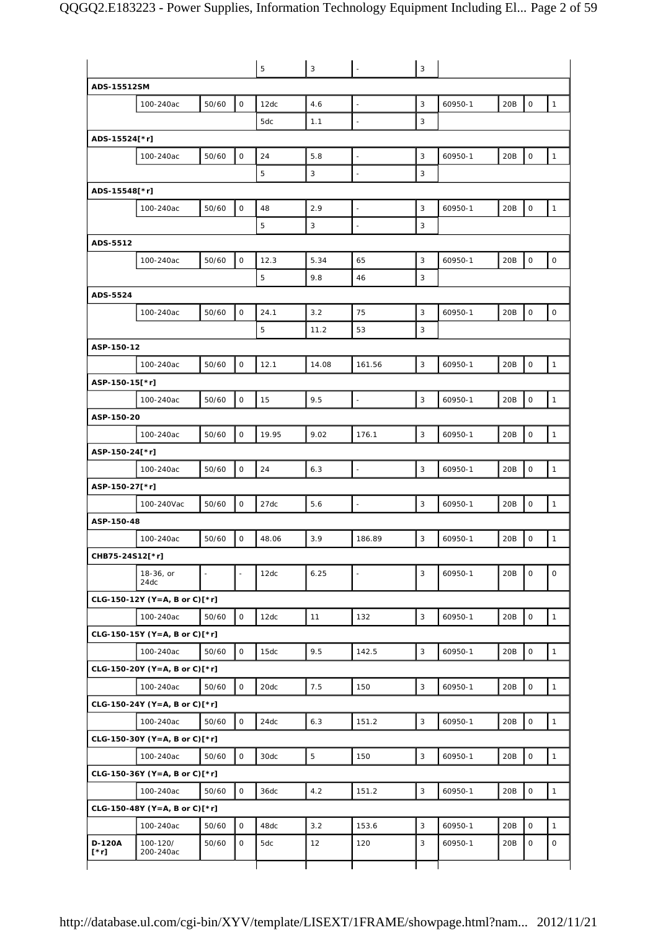|                       |                                            |       |              | 5     | 3     |                          | 3            |         |     |                     |              |
|-----------------------|--------------------------------------------|-------|--------------|-------|-------|--------------------------|--------------|---------|-----|---------------------|--------------|
| ADS-15512SM           |                                            |       |              |       |       |                          |              |         |     |                     |              |
|                       | 100-240ac                                  | 50/60 | $\mathbf 0$  | 12dc  | 4.6   | $\Box$                   | 3            | 60950-1 | 20B | 0                   | $\mathbf{1}$ |
|                       |                                            |       |              | 5dc   | 1.1   | $\mathbb{Z}$             | 3            |         |     |                     |              |
| ADS-15524[*r]         |                                            |       |              |       |       |                          |              |         |     |                     |              |
|                       | 100-240ac                                  | 50/60 | $\circ$      | 24    | 5.8   | $\overline{\phantom{a}}$ | 3            | 60950-1 | 20B | 0                   | $\mathbf{1}$ |
|                       |                                            |       |              | 5     | 3     | $\overline{\phantom{a}}$ | 3            |         |     |                     |              |
| ADS-15548[*r]         |                                            |       |              |       |       |                          |              |         |     |                     |              |
|                       | 100-240ac                                  | 50/60 | $\circ$      | 48    | 2.9   | $\blacksquare$           | 3            | 60950-1 | 20B | $\mathsf{O}$        | $\mathbf{1}$ |
|                       |                                            |       |              | 5     | 3     | ÷,                       | 3            |         |     |                     |              |
| ADS-5512              |                                            |       |              |       |       |                          |              |         |     |                     |              |
|                       | 100-240ac                                  | 50/60 | $\circ$      | 12.3  | 5.34  | 65                       | 3            | 60950-1 | 20B | 0                   | $\mathsf{O}$ |
|                       |                                            |       |              | 5     | 9.8   | 46                       | 3            |         |     |                     |              |
| ADS-5524              |                                            |       |              |       |       |                          |              |         |     |                     |              |
|                       | 100-240ac                                  | 50/60 | $\circ$      | 24.1  | 3.2   | 75                       | 3            | 60950-1 | 20B | $\mathbf 0$         | $\mathbf 0$  |
|                       |                                            |       |              | 5     | 11.2  | 53                       | 3            |         |     |                     |              |
| ASP-150-12            |                                            |       |              |       |       |                          |              |         |     |                     |              |
|                       | 100-240ac                                  | 50/60 | $\mathsf{O}$ | 12.1  | 14.08 | 161.56                   | 3            | 60950-1 | 20B | 0                   | $\mathbf{1}$ |
| ASP-150-15[*r]        |                                            |       |              |       |       |                          |              |         |     |                     |              |
|                       | 100-240ac                                  |       | 0            | 15    | 9.5   | $\sim$                   | 3            | 60950-1 | 20B | 0                   | $\mathbf{1}$ |
|                       |                                            | 50/60 |              |       |       |                          |              |         |     |                     |              |
| ASP-150-20            |                                            |       |              |       |       |                          |              |         |     |                     |              |
|                       | 100-240ac                                  | 50/60 | $\circ$      | 19.95 | 9.02  | 176.1                    | 3            | 60950-1 | 20B | O                   | $\mathbf{1}$ |
| ASP-150-24[*r]        |                                            |       |              |       |       |                          |              |         |     |                     |              |
|                       | 100-240ac                                  | 50/60 | 0            | 24    | 6.3   | $\mathbb{Z}$             | 3            | 60950-1 | 20B | 0                   | $\mathbf{1}$ |
| ASP-150-27[*r]        |                                            |       |              |       |       |                          |              |         |     |                     |              |
|                       | 100-240Vac                                 | 50/60 | $\mathsf O$  | 27dc  | 5.6   | $\overline{\phantom{a}}$ | 3            | 60950-1 | 20B | 0                   | $\mathbf{1}$ |
| ASP-150-48            |                                            |       |              |       |       |                          |              |         |     |                     |              |
|                       | 100-240ac                                  | 50/60 | 0            | 48.06 | 3.9   | 186.89                   | 3            | 60950-1 | 20B | 0                   | 1            |
| CHB75-24S12[*r]       |                                            |       |              |       |       |                          |              |         |     |                     |              |
|                       | 18-36, or<br>24dc                          |       |              | 12dc  | 6.25  | $\overline{\phantom{a}}$ | 3            | 60950-1 | 20B | 0                   | $\mathsf O$  |
|                       | CLG-150-12Y (Y=A, B or C)[*r]              |       |              |       |       |                          |              |         |     |                     |              |
|                       | 100-240ac                                  | 50/60 | $\mathsf{O}$ | 12dc  | 11    | 132                      | 3            | 60950-1 | 20B | $\mathsf O$         | $\mathbf{1}$ |
|                       | $CLG-150-15Y (Y=A, B or C)[*r]$            |       |              |       |       |                          |              |         |     |                     |              |
|                       | 100-240ac                                  | 50/60 | $\mathsf O$  | 15dc  | 9.5   | 142.5                    | 3            | 60950-1 | 20B | $\mathsf O$         | $\mathbf{1}$ |
|                       | CLG-150-20Y (Y=A, B or C)[*r]              |       |              |       |       |                          |              |         |     |                     |              |
|                       | 100-240ac                                  | 50/60 | $\mathsf O$  | 20dc  | 7.5   | 150                      | 3            | 60950-1 | 20B | 0                   | $\mathbf{1}$ |
|                       |                                            |       |              |       |       |                          |              |         |     |                     |              |
|                       | CLG-150-24Y (Y=A, B or C)[*r]<br>100-240ac | 50/60 | 0            | 24dc  | 6.3   | 151.2                    | $\mathbf{3}$ | 60950-1 | 20B | $\mathsf{O}\xspace$ | $\mathbf{1}$ |
|                       |                                            |       |              |       |       |                          |              |         |     |                     |              |
|                       | $CLG-150-30Y (Y=A, B or C)[*r]$            |       |              |       |       |                          |              |         |     |                     |              |
|                       | 100-240ac                                  | 50/60 | $\mathsf O$  | 30dc  | 5     | 150                      | 3            | 60950-1 | 20B | $\mathsf O$         | $\mathbf{1}$ |
|                       | CLG-150-36Y (Y=A, B or C)[*r]              |       |              |       |       |                          |              |         |     |                     |              |
|                       | 100-240ac                                  | 50/60 | 0            | 36dc  | 4.2   | 151.2                    | 3            | 60950-1 | 20B | $\mathsf{O}$        | $\mathbf{1}$ |
|                       | CLG-150-48Y (Y=A, B or C)[*r]              |       |              |       |       |                          |              |         |     |                     |              |
|                       | 100-240ac                                  | 50/60 | 0            | 48dc  | 3.2   | 153.6                    | 3            | 60950-1 | 20B | $\mathsf{O}$        | $\mathbf{1}$ |
| <b>D-120A</b><br>[*r] | 100-120/<br>200-240ac                      | 50/60 | 0            | 5dc   | 12    | 120                      | 3            | 60950-1 | 20B | 0                   | $\mathsf O$  |
|                       |                                            |       |              |       |       |                          |              |         |     |                     |              |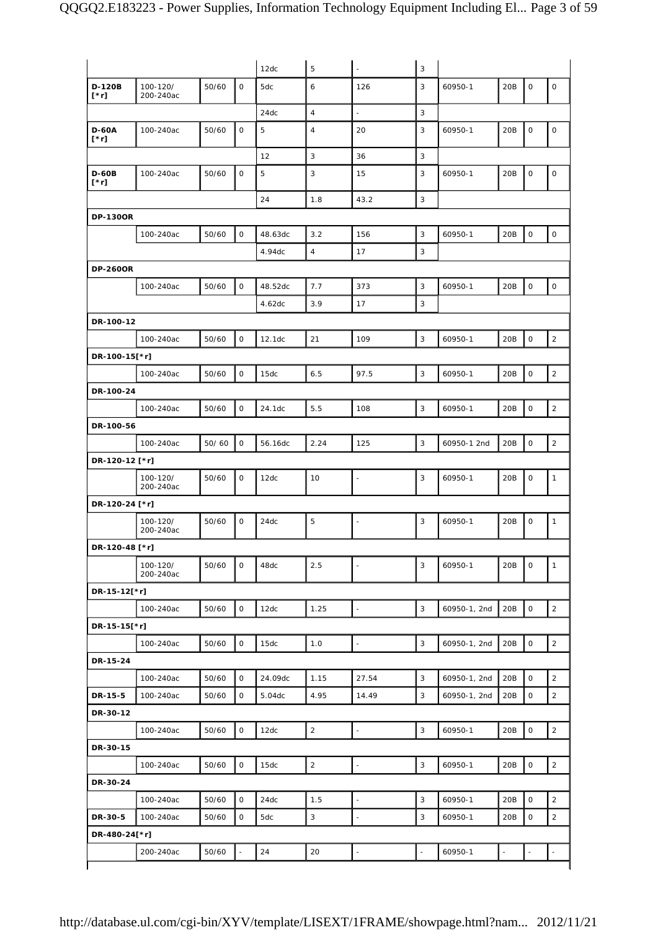|                             |                       |       |              | 12dc    | 5              | $\blacksquare$           | 3 |              |     |             |                     |
|-----------------------------|-----------------------|-------|--------------|---------|----------------|--------------------------|---|--------------|-----|-------------|---------------------|
| D-120B<br>[*r]              | 100-120/<br>200-240ac | 50/60 | $\mathsf O$  | 5dc     | 6              | 126                      | 3 | 60950-1      | 20B | $\mathsf O$ | 0                   |
|                             |                       |       |              | 24dc    | $\overline{4}$ | $\Box$                   | 3 |              |     |             |                     |
| <b>D-60A</b><br>$[\cdot r]$ | 100-240ac             | 50/60 | $\mathbf 0$  | 5       | $\overline{4}$ | 20                       | 3 | 60950-1      | 20B | $\mathsf O$ | $\mathsf O$         |
|                             |                       |       |              | 12      | $\mathbf{3}$   | 36                       | 3 |              |     |             |                     |
| <b>D-60B</b><br>$[\cdot r]$ | 100-240ac             | 50/60 | $\mathsf O$  | 5       | 3              | 15                       | 3 | 60950-1      | 20B | $\mathsf O$ | $\mathsf O$         |
|                             |                       |       |              | 24      | 1.8            | 43.2                     | 3 |              |     |             |                     |
| <b>DP-130OR</b>             |                       |       |              |         |                |                          |   |              |     |             |                     |
|                             | 100-240ac             | 50/60 | $\mathsf{O}$ | 48.63dc | 3.2            | 156                      | 3 | 60950-1      | 20B | $\mathsf O$ | $\mathsf O$         |
|                             |                       |       |              | 4.94dc  | $\overline{4}$ | 17                       | 3 |              |     |             |                     |
| <b>DP-260OR</b>             |                       |       |              |         |                |                          |   |              |     |             |                     |
|                             | 100-240ac             | 50/60 | $\mathsf O$  | 48.52dc | 7.7            | 373                      | 3 | 60950-1      | 20B | $\mathsf O$ | $\mathsf{O}\xspace$ |
|                             |                       |       |              | 4.62dc  | 3.9            | 17                       | 3 |              |     |             |                     |
| DR-100-12                   |                       |       |              |         |                |                          |   |              |     |             |                     |
|                             | 100-240ac             | 50/60 | $\mathsf O$  | 12.1dc  | 21             | 109                      | 3 | 60950-1      | 20B | $\mathsf O$ | $\overline{2}$      |
| DR-100-15[*r]               |                       |       |              |         |                |                          |   |              |     |             |                     |
|                             | 100-240ac             | 50/60 | $\mathsf O$  | 15dc    | 6.5            | 97.5                     | 3 | 60950-1      | 20B | $\mathsf O$ | $\overline{2}$      |
| DR-100-24                   |                       |       |              |         |                |                          |   |              |     |             |                     |
|                             | 100-240ac             | 50/60 | $\mathsf O$  | 24.1dc  | 5.5            | 108                      | 3 | 60950-1      | 20B | $\mathsf O$ | $\overline{a}$      |
| DR-100-56                   |                       |       |              |         |                |                          |   |              |     |             |                     |
|                             | 100-240ac             | 50/60 | $\mathsf O$  | 56.16dc | 2.24           | 125                      | 3 | 60950-1 2nd  | 20B | $\mathsf O$ | $\overline{2}$      |
| DR-120-12 [*r]              |                       |       |              |         |                |                          |   |              |     |             |                     |
|                             |                       |       | $\mathsf O$  |         | 10             |                          | 3 |              |     | $\mathsf O$ |                     |
|                             | 100-120/<br>200-240ac | 50/60 |              | 12dc    |                | $\overline{\phantom{a}}$ |   | 60950-1      | 20B |             | $\mathbf{1}$        |
| DR-120-24 [*r]              |                       |       |              |         |                |                          |   |              |     |             |                     |
|                             | 100-120/<br>200-240ac | 50/60 | $\mathbf 0$  | 24dc    | $\mathbf 5$    | $\blacksquare$           | 3 | 60950-1      | 20B | $\mathsf O$ | $\mathbf{1}$        |
| DR-120-48 [*r]              |                       |       |              |         |                |                          |   |              |     |             |                     |
|                             | 100-120/<br>200-240ac | 50/60 | 0            | 48dc    | 2.5            | $\blacksquare$           | 3 | 60950-1      | 20B | 0           | $\mathbf{1}$        |
| DR-15-12[*r]                |                       |       |              |         |                |                          |   |              |     |             |                     |
|                             | 100-240ac             | 50/60 | $\mathsf O$  | 12dc    | 1.25           | $\omega$                 | 3 | 60950-1, 2nd | 20B | $\mathsf O$ | $\overline{2}$      |
| DR-15-15[*r]                |                       |       |              |         |                |                          |   |              |     |             |                     |
|                             | 100-240ac             | 50/60 | $\mathsf O$  | 15dc    | 1.0            | $\Box$                   | 3 | 60950-1, 2nd | 20B | $\mathsf O$ | $\overline{2}$      |
| DR-15-24                    |                       |       |              |         |                |                          |   |              |     |             |                     |
|                             | 100-240ac             | 50/60 | $\mathbf 0$  | 24.09dc | 1.15           | 27.54                    | 3 | 60950-1, 2nd | 20B | $\mathsf O$ | $\overline{2}$      |
| DR-15-5                     | 100-240ac             | 50/60 | $\mathsf O$  | 5.04dc  | 4.95           | 14.49                    | 3 | 60950-1, 2nd | 20B | $\mathsf O$ | $\overline{2}$      |
| DR-30-12                    |                       |       |              |         |                |                          |   |              |     |             |                     |
|                             | 100-240ac             | 50/60 | $\mathsf O$  | 12dc    | $\sqrt{2}$     | $\Box$                   | 3 | 60950-1      | 20B | $\mathsf O$ | $\overline{2}$      |
| DR-30-15                    |                       |       |              |         |                |                          |   |              |     |             |                     |
|                             | 100-240ac             | 50/60 | $\mathsf O$  | 15dc    | $\overline{2}$ | $\blacksquare$           | 3 | 60950-1      | 20B | $\mathsf O$ | $\overline{2}$      |
| DR-30-24                    |                       |       |              |         |                |                          |   |              |     |             |                     |
|                             | 100-240ac             | 50/60 | $\mathsf O$  | 24dc    | 1.5            | $\overline{\phantom{a}}$ | 3 | 60950-1      | 20B | $\mathsf O$ | $\overline{2}$      |
| DR-30-5                     | 100-240ac             | 50/60 | 0            | 5dc     | $\mathbf{3}$   | $\blacksquare$           | 3 | 60950-1      | 20B | $\mathsf O$ | $\overline{2}$      |
| DR-480-24[*r]               |                       |       |              |         |                |                          |   |              |     |             |                     |
|                             | 200-240ac             | 50/60 |              | 24      | 20             |                          |   | 60950-1      |     |             |                     |
|                             |                       |       |              |         |                |                          |   |              |     |             |                     |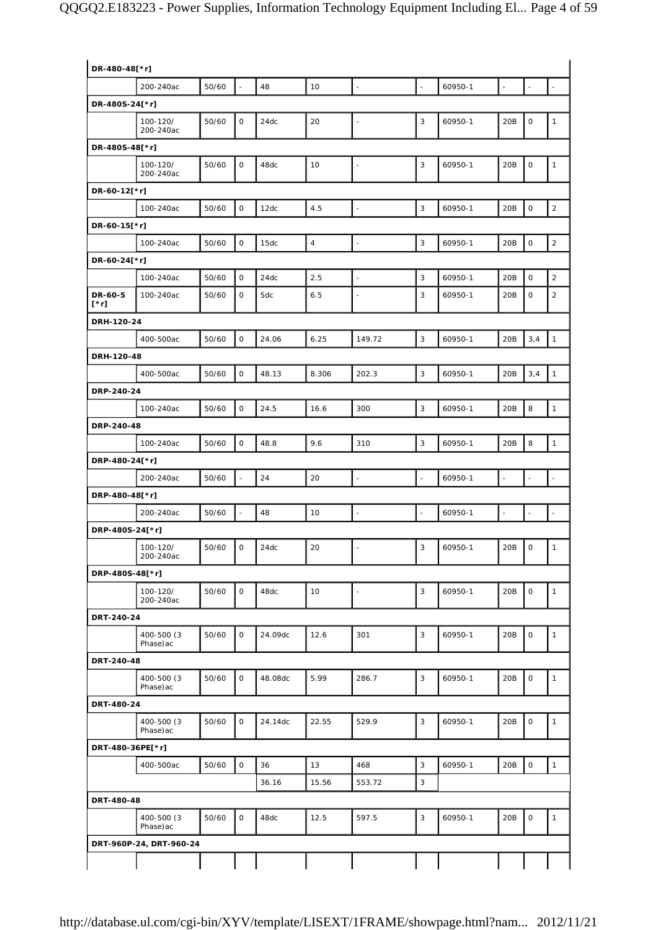| DR-480-48[*r]      |                          |       |                     |         |            |                          |                          |         |                          |                     |                          |
|--------------------|--------------------------|-------|---------------------|---------|------------|--------------------------|--------------------------|---------|--------------------------|---------------------|--------------------------|
|                    | 200-240ac                | 50/60 | $\Box$              | 48      | 10         | $\overline{\phantom{a}}$ | $\blacksquare$           | 60950-1 | $\overline{\phantom{a}}$ | $\blacksquare$      | $\overline{\phantom{a}}$ |
| DR-480S-24[*r]     |                          |       |                     |         |            |                          |                          |         |                          |                     |                          |
|                    | 100-120/<br>200-240ac    | 50/60 | $\mathsf O$         | 24dc    | 20         | $\overline{\phantom{a}}$ | 3                        | 60950-1 | 20B                      | $\mathsf O$         | $\mathbf{1}$             |
| DR-480S-48[*r]     |                          |       |                     |         |            |                          |                          |         |                          |                     |                          |
|                    | 100-120/<br>200-240ac    | 50/60 | $\mathbf 0$         | 48dc    | 10         | $\blacksquare$           | 3                        | 60950-1 | 20B                      | $\mathsf O$         | $\mathbf{1}$             |
| DR-60-12[*r]       |                          |       |                     |         |            |                          |                          |         |                          |                     |                          |
|                    | 100-240ac                | 50/60 | $\mathsf{O}\xspace$ | 12dc    | 4.5        | $\overline{\phantom{a}}$ | 3                        | 60950-1 | 20B                      | $\mathsf{O}\xspace$ | $\overline{2}$           |
| DR-60-15[*r]       |                          |       |                     |         |            |                          |                          |         |                          |                     |                          |
|                    | 100-240ac                | 50/60 | $\mathsf O$         | 15dc    | $\sqrt{4}$ | $\overline{\phantom{a}}$ | 3                        | 60950-1 | 20B                      | $\mathsf{O}\xspace$ | $\sqrt{2}$               |
| DR-60-24[*r]       |                          |       |                     |         |            |                          |                          |         |                          |                     |                          |
|                    | 100-240ac                | 50/60 | $\mathsf O$         | 24dc    | 2.5        | $\overline{\phantom{a}}$ | 3                        | 60950-1 | 20B                      | $\mathbf 0$         | $\overline{2}$           |
| DR-60-5<br>$[^*r]$ | 100-240ac                | 50/60 | $\mathsf O$         | 5dc     | 6.5        | $\overline{\phantom{a}}$ | 3                        | 60950-1 | 20B                      | 0                   | $\overline{2}$           |
| DRH-120-24         |                          |       |                     |         |            |                          |                          |         |                          |                     |                          |
|                    | 400-500ac                | 50/60 | $\mathsf O$         | 24.06   | 6.25       | 149.72                   | $\mathbf{3}$             | 60950-1 | 20B                      | 3,4                 | $\mathbf{1}$             |
| DRH-120-48         |                          |       |                     |         |            |                          |                          |         |                          |                     |                          |
|                    | 400-500ac                | 50/60 | $\mathsf O$         | 48.13   | 8.306      | 202.3                    | 3                        | 60950-1 | 20B                      | 3,4                 | $\mathbf{1}$             |
| DRP-240-24         |                          |       |                     |         |            |                          |                          |         |                          |                     |                          |
|                    | 100-240ac                | 50/60 | 0                   | 24.5    | 16.6       | 300                      | 3                        | 60950-1 | 20B                      | 8                   | $\mathbf{1}$             |
| DRP-240-48         |                          |       |                     |         |            |                          |                          |         |                          |                     |                          |
|                    | 100-240ac                | 50/60 | $\mathsf O$         | 48.8    | 9.6        | 310                      | 3                        | 60950-1 | 20B                      | 8                   | $\mathbf{1}$             |
| DRP-480-24[*r]     |                          |       |                     |         |            |                          |                          |         |                          |                     |                          |
|                    | 200-240ac                | 50/60 | $\blacksquare$      | 24      | 20         | $\blacksquare$           | $\overline{\phantom{a}}$ | 60950-1 | $\overline{\phantom{a}}$ | $\blacksquare$      |                          |
| DRP-480-48[*r]     |                          |       |                     |         |            |                          |                          |         |                          |                     |                          |
|                    | 200-240ac                | 50/60 |                     | 48      | 10         |                          |                          | 60950-1 |                          |                     |                          |
| DRP-480S-24[*r]    |                          |       |                     |         |            |                          |                          |         |                          |                     |                          |
|                    | 100-120/<br>200-240ac    | 50/60 | $\mathsf O$         | 24dc    | 20         | $\overline{\phantom{a}}$ | 3                        | 60950-1 | 20B                      | $\mathsf{O}\xspace$ | $\mathbf{1}$             |
| DRP-480S-48[*r]    |                          |       |                     |         |            |                          |                          |         |                          |                     |                          |
|                    | 100-120/<br>200-240ac    | 50/60 | $\mathsf{O}$        | 48dc    | 10         | $\bar{\omega}$           | 3                        | 60950-1 | 20B                      | $\mathsf{O}\xspace$ | $\mathbf{1}$             |
| DRT-240-24         |                          |       |                     |         |            |                          |                          |         |                          |                     |                          |
|                    | 400-500 (3)<br>Phase) ac | 50/60 | 0                   | 24.09dc | 12.6       | 301                      | 3                        | 60950-1 | 20B                      | $\mathsf O$         | $\mathbf{1}$             |
| DRT-240-48         |                          |       |                     |         |            |                          |                          |         |                          |                     |                          |
|                    | 400-500 (3)<br>Phase) ac | 50/60 | $\mathsf{O}$        | 48.08dc | 5.99       | 286.7                    | 3                        | 60950-1 | 20B                      | $\mathsf{O}\xspace$ | $\mathbf{1}$             |
| DRT-480-24         |                          |       |                     |         |            |                          |                          |         |                          |                     |                          |
|                    | 400-500 (3)<br>Phase) ac | 50/60 | $\mathsf O$         | 24.14dc | 22.55      | 529.9                    | 3                        | 60950-1 | 20B                      | $\mathsf O$         | $\mathbf{1}$             |
| DRT-480-36PE[*r]   |                          |       |                     |         |            |                          |                          |         |                          |                     |                          |
|                    | 400-500ac                | 50/60 | $\mathsf O$         | 36      | 13         | 468                      | 3                        | 60950-1 | 20B                      | $\mathsf O$         | $\mathbf{1}$             |
|                    |                          |       |                     | 36.16   | 15.56      | 553.72                   | $\mathbf{3}$             |         |                          |                     |                          |
| DRT-480-48         |                          |       |                     |         |            |                          |                          |         |                          |                     |                          |
|                    | 400-500 (3<br>Phase) ac  | 50/60 | 0                   | 48dc    | 12.5       | 597.5                    | 3                        | 60950-1 | 20B                      | $\mathsf O$         | $\mathbf{1}$             |
|                    | DRT-960P-24, DRT-960-24  |       |                     |         |            |                          |                          |         |                          |                     |                          |
|                    |                          |       |                     |         |            |                          |                          |         |                          |                     |                          |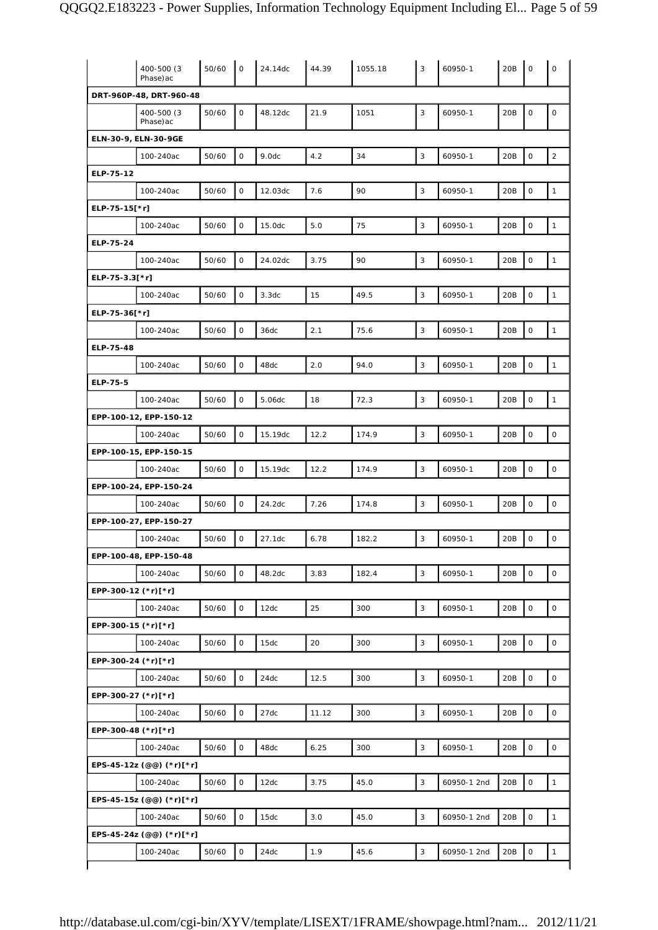|                     | 400-500 (3)<br>Phase) ac              | 50/60 | $\mathbf 0$  | 24.14dc | 44.39 | 1055.18 | 3 | 60950-1     | 20B | $\mathbf 0$         | $\mathbf 0$         |
|---------------------|---------------------------------------|-------|--------------|---------|-------|---------|---|-------------|-----|---------------------|---------------------|
|                     | DRT-960P-48, DRT-960-48               |       |              |         |       |         |   |             |     |                     |                     |
|                     | 400-500 (3)<br>Phase) ac              | 50/60 | 0            | 48.12dc | 21.9  | 1051    | 3 | 60950-1     | 20B | $\mathsf{O}$        | $\mathsf O$         |
|                     | ELN-30-9, ELN-30-9GE                  |       |              |         |       |         |   |             |     |                     |                     |
|                     | 100-240ac                             | 50/60 | O            | 9.0dc   | 4.2   | 34      | 3 | 60950-1     | 20B | $\mathsf{O}\xspace$ | $\sqrt{2}$          |
| ELP-75-12           |                                       |       |              |         |       |         |   |             |     |                     |                     |
|                     | 100-240ac                             | 50/60 | 0            | 12.03dc | 7.6   | 90      | 3 | 60950-1     | 20B | $\mathsf{O}\xspace$ | $\mathbf{1}$        |
| ELP-75-15[*r]       |                                       |       |              |         |       |         |   |             |     |                     |                     |
|                     | 100-240ac                             | 50/60 | 0            | 15.0dc  | 5.0   | 75      | 3 | 60950-1     | 20B | $\mathsf{O}\xspace$ | $\mathbf{1}$        |
| ELP-75-24           |                                       |       |              |         |       |         |   |             |     |                     |                     |
|                     | 100-240ac                             | 50/60 | $\mathsf O$  | 24.02dc | 3.75  | 90      | 3 | 60950-1     | 20B | $\mathsf{O}\xspace$ | $\mathbf{1}$        |
| ELP-75-3.3[*r]      |                                       |       |              |         |       |         |   |             |     |                     |                     |
|                     | 100-240ac                             | 50/60 | 0            | 3.3dc   | 15    | 49.5    | 3 | 60950-1     | 20B | $\mathsf{O}\xspace$ | $\mathbf{1}$        |
| ELP-75-36[*r]       |                                       |       |              |         |       |         |   |             |     |                     |                     |
|                     | 100-240ac                             | 50/60 | 0            | 36dc    | 2.1   | 75.6    | 3 | 60950-1     | 20B | $\mathsf{O}\xspace$ | $\mathbf{1}$        |
| ELP-75-48           |                                       |       |              |         |       |         |   |             |     |                     |                     |
|                     | 100-240ac                             |       | $\mathsf{O}$ | 48dc    | 2.0   | 94.0    | 3 | 60950-1     | 20B | $\mathsf{O}\xspace$ | $\mathbf{1}$        |
|                     |                                       | 50/60 |              |         |       |         |   |             |     |                     |                     |
| ELP-75-5            |                                       |       |              |         |       |         |   |             |     |                     |                     |
|                     | 100-240ac                             | 50/60 | $\mathsf O$  | 5.06dc  | 18    | 72.3    | 3 | 60950-1     | 20B | $\mathsf{O}\xspace$ | $\mathbf{1}$        |
|                     | EPP-100-12, EPP-150-12                |       |              |         |       |         |   |             |     |                     |                     |
|                     | 100-240ac                             | 50/60 | O            | 15.19dc | 12.2  | 174.9   | 3 | 60950-1     | 20B | $\mathsf{O}\xspace$ | 0                   |
|                     | EPP-100-15, EPP-150-15                |       |              |         |       |         |   |             |     |                     |                     |
|                     | 100-240ac                             | 50/60 | 0            | 15.19dc | 12.2  | 174.9   | 3 | 60950-1     | 20B | $\mathsf O$         | $\mathsf{O}\xspace$ |
|                     | EPP-100-24, EPP-150-24                |       |              |         |       |         |   |             |     |                     |                     |
|                     | 100-240ac                             | 50/60 | 0            | 24.2dc  | 7.26  | 174.8   | 3 | 60950-1     | 20B | $\mathsf{O}\xspace$ | 0                   |
|                     | EPP-100-27, EPP-150-27                |       |              |         |       |         |   |             |     |                     |                     |
|                     | 100-240ac                             | 50/60 | 0            | 27.1dc  | 6.78  | 182.2   | 3 | 60950-1     | 20B | $\mathbf 0$         | $\mathsf O$         |
|                     | EPP-100-48, EPP-150-48                |       |              |         |       |         |   |             |     |                     |                     |
|                     | 100-240ac                             | 50/60 | 0            | 48.2dc  | 3.83  | 182.4   | 3 | 60950-1     | 20B | $\mathsf O$         | 0                   |
| EPP-300-12 (*r)[*r] |                                       |       |              |         |       |         |   |             |     |                     |                     |
|                     | 100-240ac                             | 50/60 | 0            | 12dc    | 25    | 300     | 3 | 60950-1     | 20B | $\mathsf O$         | $\mathsf{O}\xspace$ |
| EPP-300-15 (*r)[*r] |                                       |       |              |         |       |         |   |             |     |                     |                     |
|                     | 100-240ac                             | 50/60 | 0            | 15dc    | 20    | 300     | 3 | 60950-1     | 20B | $\mathsf{O}\xspace$ | 0                   |
| EPP-300-24 (*r)[*r] |                                       |       |              |         |       |         |   |             |     |                     |                     |
|                     | 100-240ac                             | 50/60 | 0            | 24dc    | 12.5  | 300     | 3 | 60950-1     | 20B | $\mathsf{O}\xspace$ | $\mathsf{O}\xspace$ |
| EPP-300-27 (*r)[*r] |                                       |       |              |         |       |         |   |             |     |                     |                     |
|                     | 100-240ac                             | 50/60 | 0            | 27dc    | 11.12 | 300     | 3 | 60950-1     | 20B | 0                   | 0                   |
| EPP-300-48 (*r)[*r] |                                       |       |              |         |       |         |   |             |     |                     |                     |
|                     | 100-240ac                             | 50/60 | 0            | 48dc    | 6.25  | 300     | 3 | 60950-1     | 20B | $\mathbf 0$         | 0                   |
|                     | EPS-45-12z (@@) (*r)[*r]              |       |              |         |       |         |   |             |     |                     |                     |
|                     | 100-240ac                             | 50/60 | 0            | 12dc    | 3.75  | 45.0    | 3 | 60950-1 2nd | 20B | $\mathsf O$         | $\mathbf{1}$        |
|                     | EPS-45-15z (@@) (*r)[*r]              |       |              |         |       |         |   |             |     |                     |                     |
|                     | 100-240ac                             | 50/60 | 0            | 15dc    | 3.0   | 45.0    | 3 | 60950-1 2nd | 20B | $\mathsf{O}\xspace$ | $\mathbf{1}$        |
|                     |                                       |       |              |         |       |         |   |             |     |                     |                     |
|                     | EPS-45-24z (@@) (*r)[*r]<br>100-240ac | 50/60 | 0            | 24dc    | 1.9   | 45.6    | 3 | 60950-1 2nd | 20B | $\mathsf O$         | $\mathbf{1}$        |
|                     |                                       |       |              |         |       |         |   |             |     |                     |                     |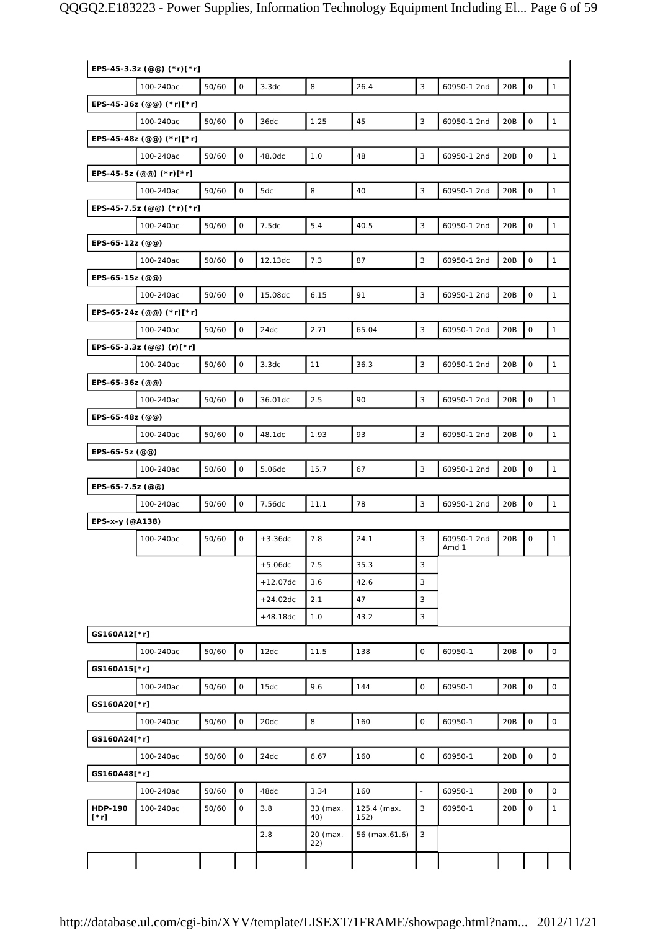## QQGQ2.E183223 - Power Supplies, Information Technology Equipment Including El... Page 6 of 59

|                        | EPS-45-3.3z (@@) (*r)[*r] |       |                     |            |                 |                     |             |                      |     |              |              |
|------------------------|---------------------------|-------|---------------------|------------|-----------------|---------------------|-------------|----------------------|-----|--------------|--------------|
|                        | 100-240ac                 | 50/60 | $\mathsf{O}$        | 3.3dc      | 8               | 26.4                | 3           | 60950-1 2nd          | 20B | $\mathsf O$  | $\mathbf{1}$ |
|                        | EPS-45-36z (@@) (*r)[*r]  |       |                     |            |                 |                     |             |                      |     |              |              |
|                        | 100-240ac                 | 50/60 | $\mathsf O$         | 36dc       | 1.25            | 45                  | 3           | 60950-1 2nd          | 20B | 0            | $\mathbf{1}$ |
|                        | EPS-45-48z (@@) (*r)[*r]  |       |                     |            |                 |                     |             |                      |     |              |              |
|                        | 100-240ac                 | 50/60 | $\mathsf{O}\xspace$ | 48.0dc     | 1.0             | 48                  | 3           | 60950-1 2nd          | 20B | $\mathsf O$  | $\mathbf{1}$ |
|                        | EPS-45-5z (@@) (*r)[*r]   |       |                     |            |                 |                     |             |                      |     |              |              |
|                        | 100-240ac                 | 50/60 | 0                   | 5dc        | 8               | 40                  | 3           | 60950-1 2nd          | 20B | $\mathsf O$  | $\mathbf{1}$ |
|                        | EPS-45-7.5z (@@) (*r)[*r] |       |                     |            |                 |                     |             |                      |     |              |              |
|                        | 100-240ac                 | 50/60 | $\mathsf O$         | 7.5dc      | 5.4             | 40.5                | 3           | 60950-1 2nd          | 20B | $\mathsf O$  | $\mathbf{1}$ |
| EPS-65-12z (@@)        |                           |       |                     |            |                 |                     |             |                      |     |              |              |
|                        | 100-240ac                 | 50/60 | $\mathsf O$         | 12.13dc    | 7.3             | 87                  | 3           | 60950-1 2nd          | 20B | $\mathsf O$  | $\mathbf{1}$ |
| EPS-65-15z (@@)        |                           |       |                     |            |                 |                     |             |                      |     |              |              |
|                        | 100-240ac                 | 50/60 | $\mathsf O$         | 15.08dc    | 6.15            | 91                  | 3           | 60950-1 2nd          | 20B | $\mathsf O$  | $\mathbf{1}$ |
|                        | EPS-65-24z (@@) (*r)[*r]  |       |                     |            |                 |                     |             |                      |     |              |              |
|                        | 100-240ac                 | 50/60 | $\mathsf{O}\xspace$ | 24dc       | 2.71            | 65.04               | 3           | 60950-1 2nd          | 20B | $\mathsf O$  | $\mathbf{1}$ |
|                        | EPS-65-3.3z (@@) (r)[*r]  |       |                     |            |                 |                     |             |                      |     |              |              |
|                        | 100-240ac                 | 50/60 | $\mathsf{O}\xspace$ | 3.3dc      | 11              | 36.3                | 3           | 60950-1 2nd          | 20B | $\mathsf O$  | $\mathbf{1}$ |
| EPS-65-36z (@@)        |                           |       |                     |            |                 |                     |             |                      |     |              |              |
|                        | 100-240ac                 | 50/60 | $\mathsf O$         | 36.01dc    | 2.5             | 90                  | 3           | 60950-1 2nd          | 20B | $\mathsf O$  | $\mathbf{1}$ |
| EPS-65-48z (@@)        |                           |       |                     |            |                 |                     |             |                      |     |              |              |
|                        | 100-240ac                 | 50/60 | $\mathsf O$         | 48.1dc     | 1.93            | 93                  | 3           | 60950-1 2nd          | 20B | $\mathsf O$  | $\mathbf{1}$ |
| EPS-65-5z (@@)         |                           |       |                     |            |                 |                     |             |                      |     |              |              |
|                        | 100-240ac                 | 50/60 | $\mathsf O$         | 5.06dc     | 15.7            | 67                  | 3           | 60950-1 2nd          | 20B | $\mathsf O$  | $\mathbf{1}$ |
| EPS-65-7.5z (@@)       |                           |       |                     |            |                 |                     |             |                      |     |              |              |
|                        | 100-240ac                 | 50/60 | $\mathsf{O}\xspace$ | 7.56dc     | 11.1            | 78                  | 3           | 60950-1 2nd          | 20B | $\mathsf O$  | $\mathbf{1}$ |
| EPS-x-y (@A138)        |                           |       |                     |            |                 |                     |             |                      |     |              |              |
|                        | 100-240ac                 | 50/60 | 0                   | $+3.36dc$  | 7.8             | 24.1                | 3           | 60950-1 2nd<br>Amd 1 | 20B | 0            | 1            |
|                        |                           |       |                     | $+5.06dc$  | 7.5             | 35.3                | 3           |                      |     |              |              |
|                        |                           |       |                     | $+12.07dc$ | 3.6             | 42.6                | 3           |                      |     |              |              |
|                        |                           |       |                     | $+24.02dc$ | 2.1             | 47                  | 3           |                      |     |              |              |
|                        |                           |       |                     | $+48.18dc$ | 1.0             | 43.2                | 3           |                      |     |              |              |
| GS160A12[*r]           |                           |       |                     |            |                 |                     |             |                      |     |              |              |
|                        | 100-240ac                 | 50/60 | $\mathsf O$         | 12dc       | 11.5            | 138                 | $\mathsf O$ | 60950-1              | 20B | $\mathsf{O}$ | $\mathsf{O}$ |
| GS160A15[*r]           |                           |       |                     |            |                 |                     |             |                      |     |              |              |
|                        | 100-240ac                 | 50/60 | 0                   | 15dc       | 9.6             | 144                 | $\mathbf 0$ | 60950-1              | 20B | $\mathsf O$  | $\mathsf{O}$ |
| GS160A20[*r]           |                           |       |                     |            |                 |                     |             |                      |     |              |              |
|                        | 100-240ac                 | 50/60 | 0                   | 20dc       | 8               | 160                 | 0           | 60950-1              | 20B | $\mathsf O$  | $\mathsf{O}$ |
| GS160A24[*r]           |                           |       |                     |            |                 |                     |             |                      |     |              |              |
|                        | 100-240ac                 | 50/60 | $\mathsf O$         | 24dc       | 6.67            | 160                 | $\mathbf 0$ | 60950-1              | 20B | $\mathsf O$  | $\circ$      |
| GS160A48[*r]           |                           |       |                     |            |                 |                     |             |                      |     |              |              |
|                        | 100-240ac                 | 50/60 | $\mathsf O$         | 48dc       | 3.34            | 160                 | $\sim$      | 60950-1              | 20B | $\mathbf 0$  | 0            |
| <b>HDP-190</b><br>[*r] | 100-240ac                 | 50/60 | 0                   | 3.8        | 33 (max.<br>40) | 125.4 (max.<br>152) | 3           | 60950-1              | 20B | 0            | $\mathbf{1}$ |
|                        |                           |       |                     | 2.8        | 20 (max.<br>22) | 56 (max.61.6)       | 3           |                      |     |              |              |
|                        |                           |       |                     |            |                 |                     |             |                      |     |              |              |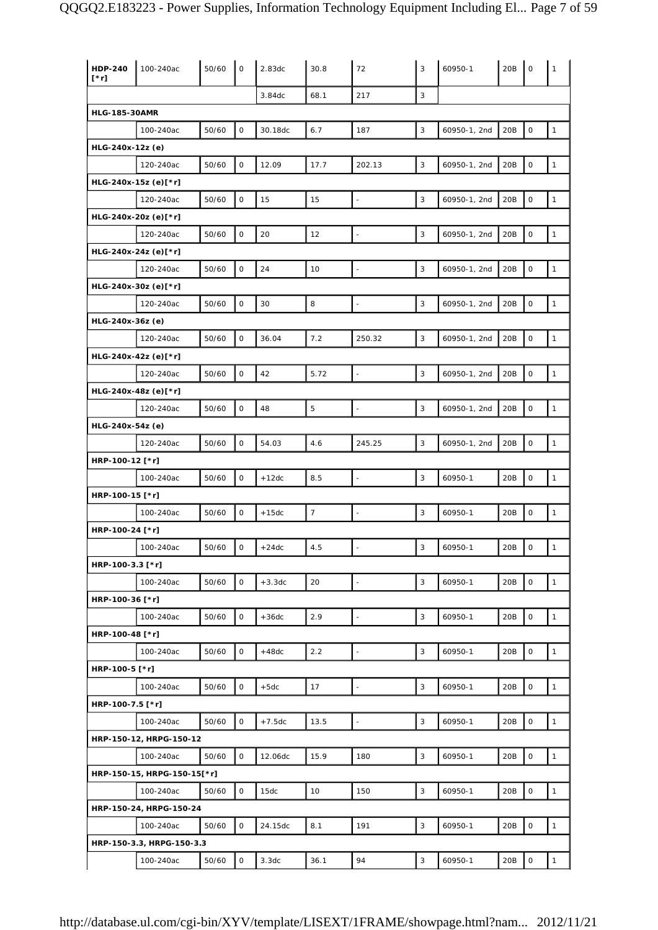| <b>HDP-240</b><br>$[\cdot r]$ | 100-240ac                   | 50/60 | $\mathbf 0$         | 2.83dc   | 30.8           | 72                       | 3                         | 60950-1      | 20B | $\mathbf 0$         | 1            |
|-------------------------------|-----------------------------|-------|---------------------|----------|----------------|--------------------------|---------------------------|--------------|-----|---------------------|--------------|
|                               |                             |       |                     | 3.84dc   | 68.1           | 217                      | 3                         |              |     |                     |              |
| <b>HLG-185-30AMR</b>          |                             |       |                     |          |                |                          |                           |              |     |                     |              |
|                               | 100-240ac                   | 50/60 | $\mathsf O$         | 30.18dc  | 6.7            | 187                      | 3                         | 60950-1, 2nd | 20B | $\mathsf O$         | $\mathbf{1}$ |
| HLG-240x-12z (e)              |                             |       |                     |          |                |                          |                           |              |     |                     |              |
|                               | 120-240ac                   | 50/60 | 0                   | 12.09    | 17.7           | 202.13                   | 3                         | 60950-1, 2nd | 20B | $\mathsf O$         | $\mathbf{1}$ |
|                               | HLG-240x-15z (e)[*r]        |       |                     |          |                |                          |                           |              |     |                     |              |
|                               | 120-240ac                   | 50/60 | $\mathsf O$         | 15       | 15             | $\overline{\phantom{a}}$ | 3                         | 60950-1, 2nd | 20B | $\mathsf O$         | $\mathbf{1}$ |
|                               | HLG-240x-20z (e)[*r]        |       |                     |          |                |                          |                           |              |     |                     |              |
|                               | 120-240ac                   | 50/60 | $\mathsf{O}\xspace$ | 20       | 12             | $\overline{\phantom{a}}$ | 3                         | 60950-1, 2nd | 20B | $\mathsf O$         | $\mathbf{1}$ |
|                               | HLG-240x-24z (e)[*r]        |       |                     |          |                |                          |                           |              |     |                     |              |
|                               | 120-240ac                   | 50/60 | $\mathsf O$         | 24       | 10             | ÷                        | 3                         | 60950-1, 2nd | 20B | $\mathsf O$         | $\mathbf 1$  |
|                               | HLG-240x-30z (e)[*r]        |       |                     |          |                |                          |                           |              |     |                     |              |
|                               | 120-240ac                   | 50/60 | $\mathsf{O}\xspace$ | 30       | 8              | $\Box$                   | 3                         | 60950-1, 2nd | 20B | $\mathsf{O}\xspace$ | $\mathbf{1}$ |
| HLG-240x-36z (e)              |                             |       |                     |          |                |                          |                           |              |     |                     |              |
|                               | 120-240ac                   | 50/60 | 0                   | 36.04    | 7.2            | 250.32                   | 3                         | 60950-1, 2nd | 20B | $\mathsf{O}\xspace$ | $\mathbf{1}$ |
|                               | HLG-240x-42z (e)[*r]        |       |                     |          |                |                          |                           |              |     |                     |              |
|                               | 120-240ac                   | 50/60 | $\mathsf O$         | 42       | 5.72           | $\overline{\phantom{a}}$ | 3                         | 60950-1, 2nd | 20B | $\mathsf O$         | $\mathbf{1}$ |
|                               | HLG-240x-48z (e)[*r]        |       |                     |          |                |                          |                           |              |     |                     |              |
|                               | 120-240ac                   | 50/60 | $\mathsf O$         | 48       | $\overline{5}$ | $\blacksquare$           | 3                         | 60950-1, 2nd | 20B | $\mathsf O$         | $\mathbf{1}$ |
| HLG-240x-54z (e)              |                             |       |                     |          |                |                          |                           |              |     |                     |              |
|                               | 120-240ac                   | 50/60 | 0                   | 54.03    | 4.6            | 245.25                   | $\sqrt{3}$                | 60950-1, 2nd | 20B | $\mathsf O$         | $\mathbf{1}$ |
| HRP-100-12 [*r]               |                             |       |                     |          |                |                          |                           |              |     |                     |              |
|                               | 100-240ac                   | 50/60 | 0                   | $+12dc$  | 8.5            | $\blacksquare$           | 3                         | 60950-1      | 20B | $\mathsf O$         | $\mathbf{1}$ |
| HRP-100-15 [*r]               |                             |       |                     |          |                |                          |                           |              |     |                     |              |
|                               | 100-240ac                   | 50/60 | $\mathsf O$         | $+15dc$  | $\overline{7}$ | $\blacksquare$           | 3                         | 60950-1      | 20B | $\mathsf O$         | $\mathbf{1}$ |
| HRP-100-24 [*r]               |                             |       |                     |          |                |                          |                           |              |     |                     |              |
|                               | 100-240ac                   | 50/60 | 0                   | $+24dc$  | 4.5            |                          | 3                         | 60950-1      | 20B | $\mathsf O$         | $\mathbf{1}$ |
| HRP-100-3.3 [*r]              |                             |       |                     |          |                |                          |                           |              |     |                     |              |
|                               | 100-240ac                   | 50/60 | 0                   | $+3.3dc$ | 20             | $\mathbb{L}$             | $\mathbf{3}$              | 60950-1      | 20B | $\mathsf O$         | $\mathbf{1}$ |
| HRP-100-36 [*r]               |                             |       |                     |          |                |                          |                           |              |     |                     |              |
|                               | 100-240ac                   | 50/60 | $\mathsf{O}$        | $+36dc$  | 2.9            |                          | 3                         | 60950-1      | 20B | $\mathsf O$         | $\mathbf{1}$ |
| HRP-100-48 [*r]               |                             |       |                     |          |                |                          |                           |              |     |                     |              |
|                               | 100-240ac                   | 50/60 | $\mathsf O$         | $+48dc$  | 2.2            | $\Box$                   | 3                         | 60950-1      | 20B | $\mathsf O$         | $\mathbf{1}$ |
| HRP-100-5 [*r]                |                             |       |                     |          |                |                          |                           |              |     |                     |              |
|                               | 100-240ac                   | 50/60 | 0                   | $+5dc$   | 17             | $\overline{\phantom{a}}$ | 3                         | 60950-1      | 20B | $\mathsf O$         | $\mathbf{1}$ |
| HRP-100-7.5 [*r]              |                             |       |                     |          |                |                          |                           |              |     |                     |              |
|                               | 100-240ac                   | 50/60 | 0                   | $+7.5dc$ | 13.5           | $\bar{\phantom{a}}$      | $\mathbf{3}$              | 60950-1      | 20B | $\mathsf{O}\xspace$ | $\mathbf{1}$ |
|                               | HRP-150-12, HRPG-150-12     |       |                     |          |                |                          |                           |              |     |                     |              |
|                               | 100-240ac                   | 50/60 | 0                   | 12.06dc  | 15.9           | 180                      | 3                         | 60950-1      | 20B | $\mathsf{O}\xspace$ | $\mathbf{1}$ |
|                               | HRP-150-15, HRPG-150-15[*r] |       |                     |          |                |                          |                           |              |     |                     |              |
|                               | 100-240ac                   | 50/60 | $\mathsf O$         | 15dc     | 10             | 150                      | 3                         | 60950-1      | 20B | $\mathsf O$         | $\mathbf 1$  |
|                               | HRP-150-24, HRPG-150-24     |       |                     |          |                |                          |                           |              |     |                     |              |
|                               | 100-240ac                   | 50/60 | 0                   | 24.15dc  | 8.1            | 191                      | 3                         | 60950-1      | 20B | $\mathsf O$         | $\mathbf{1}$ |
|                               | HRP-150-3.3, HRPG-150-3.3   |       |                     |          |                |                          |                           |              |     |                     |              |
|                               | 100-240ac                   | 50/60 | 0                   | 3.3dc    | 36.1           | 94                       | $\ensuremath{\mathsf{3}}$ | 60950-1      | 20B | $\mathsf O$         | $\mathbf{1}$ |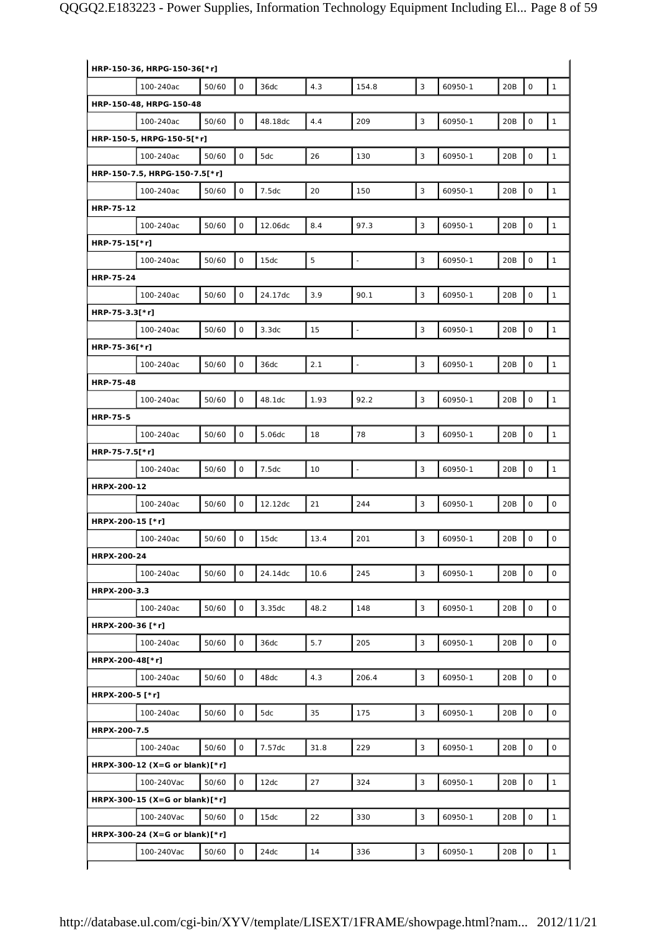| 4.3<br>3<br>50/60<br>$\mathsf{O}$<br>20B<br>$\mathsf O$<br>$\mathbf{1}$<br>100-240ac<br>36dc<br>154.8<br>60950-1<br>HRP-150-48, HRPG-150-48<br>$\mathsf O$<br>4.4<br>$\mathsf{O}\xspace$<br>50/60<br>48.18dc<br>209<br>3<br>20B<br>$\mathbf{1}$<br>100-240ac<br>60950-1<br>HRP-150-5, HRPG-150-5[*r]<br>0<br>26<br>3<br>$\mathsf O$<br>$\mathbf{1}$<br>50/60<br>5dc<br>130<br>20B<br>100-240ac<br>60950-1<br>HRP-150-7.5, HRPG-150-7.5[*r]<br>0<br>20<br>3<br>$\mathsf O$<br>$\mathbf{1}$<br>50/60<br>7.5dc<br>60950-1<br>20B<br>100-240ac<br>150<br>50/60<br>0<br>8.4<br>97.3<br>3<br>20B<br>$\mathsf O$<br>$\mathbf{1}$<br>12.06dc<br>60950-1<br>100-240ac<br>$\mathbf 5$<br>$\mathsf O$<br>3<br>$\mathsf{O}\xspace$<br>50/60<br>20B<br>$\mathbf{1}$<br>15dc<br>$\overline{\phantom{a}}$<br>60950-1<br>100-240ac<br>$\mathsf O$<br>3.9<br>3<br>$\mathsf O$<br>$\mathbf{1}$<br>50/60<br>24.17dc<br>90.1<br>60950-1<br>20B<br>100-240ac<br>$\mathsf O$<br>15<br>3<br>$\mathsf O$<br>$\mathbf{1}$<br>50/60<br>3.3dc<br>60950-1<br>20B<br>100-240ac<br>÷,<br>3<br>50/60<br>0<br>2.1<br>20B<br>$\mathsf O$<br>$\mathbf{1}$<br>36dc<br>$\bar{\omega}$<br>60950-1<br>100-240ac<br>$\mathsf O$<br>92.2<br>$\mathsf{O}\xspace$<br>50/60<br>1.93<br>3<br>20B<br>$\mathbf{1}$<br>100-240ac<br>48.1dc<br>60950-1<br>$\mathsf{O}\xspace$<br>78<br>3<br>$\mathsf O$<br>$\mathbf{1}$<br>50/60<br>18<br>20B<br>100-240ac<br>5.06dc<br>60950-1<br>$\mathsf O$<br>10<br>3<br>$\mathsf O$<br>$\mathbf{1}$<br>50/60<br>7.5dc<br>60950-1<br>20B<br>100-240ac<br>$\Box$<br>0<br>21<br>244<br>3<br>$\mathsf{O}\xspace$<br>$\mathsf O$<br>50/60<br>12.12dc<br>60950-1<br>20B<br>100-240ac<br>HRPX-200-15 [*r]<br>$\mathsf{O}\xspace$<br>$\mathsf{O}\xspace$<br>$\mathsf O$<br>201<br>3<br>50/60<br>15dc<br>13.4<br>20B<br>100-240ac<br>60950-1<br>HRPX-200-24<br>50/60<br>$\mathsf{O}$<br>245<br>3<br>20B<br>$\mathsf O$<br>$\mathsf O$<br>100-240ac<br>24.14dc<br>10.6<br>60950-1<br>HRPX-200-3.3<br>0<br>3<br>$\mathsf O$<br>0<br>50/60<br>3.35dc<br>48.2<br>148<br>60950-1<br>20B<br>100-240ac<br>HRPX-200-36 [*r]<br>$\mathsf{O}\xspace$<br>$\circ$<br>0<br>5.7<br>205<br>3<br>20B<br>100-240ac<br>50/60<br>36dc<br>60950-1<br>HRPX-200-48[*r]<br>$\mathsf{O}\xspace$<br>$\circ$<br>50/60<br>0<br>4.3<br>206.4<br>3<br>48dc<br>60950-1<br>20B<br>100-240ac<br>HRPX-200-5 [*r]<br>0<br>35<br>$\mathsf O$<br>$\mathsf O$<br>50/60<br>5dc<br>175<br>3<br>60950-1<br>20B<br>100-240ac<br>HRPX-200-7.5<br>0<br>3<br>$\mathsf O$<br>0<br>50/60<br>31.8<br>229<br>60950-1<br>20B<br>100-240ac<br>7.57dc<br>HRPX-300-12 (X=G or blank)[*r]<br>0<br>27<br>324<br>3<br>20B<br>$\mathsf O$<br>$\mathbf{1}$<br>100-240Vac<br>50/60<br>12dc<br>60950-1<br>HRPX-300-15 (X=G or blank)[*r]<br>22<br>$\mathsf{O}\xspace$<br>0<br>330<br>3<br>$\mathbf{1}$<br>100-240Vac<br>50/60<br>15dc<br>60950-1<br>20B<br>HRPX-300-24 (X=G or blank) $[*r]$<br>$\mathsf O$<br>14<br>3<br>$\mathsf O$<br>100-240Vac<br>50/60<br>24dc<br>336<br>20B<br>$\mathbf{1}$<br>60950-1 | HRP-150-36, HRPG-150-36[*r] |  |  |  |  |  |  |  |  |  |  |  |  |
|--------------------------------------------------------------------------------------------------------------------------------------------------------------------------------------------------------------------------------------------------------------------------------------------------------------------------------------------------------------------------------------------------------------------------------------------------------------------------------------------------------------------------------------------------------------------------------------------------------------------------------------------------------------------------------------------------------------------------------------------------------------------------------------------------------------------------------------------------------------------------------------------------------------------------------------------------------------------------------------------------------------------------------------------------------------------------------------------------------------------------------------------------------------------------------------------------------------------------------------------------------------------------------------------------------------------------------------------------------------------------------------------------------------------------------------------------------------------------------------------------------------------------------------------------------------------------------------------------------------------------------------------------------------------------------------------------------------------------------------------------------------------------------------------------------------------------------------------------------------------------------------------------------------------------------------------------------------------------------------------------------------------------------------------------------------------------------------------------------------------------------------------------------------------------------------------------------------------------------------------------------------------------------------------------------------------------------------------------------------------------------------------------------------------------------------------------------------------------------------------------------------------------------------------------------------------------------------------------------------------------------------------------------------------------------------------------------------------------------------------------------------------------------------------------------------------------------------------------------------------------------------------------------------------------------------------------------------------------------------------------------------------------------|-----------------------------|--|--|--|--|--|--|--|--|--|--|--|--|
|                                                                                                                                                                                                                                                                                                                                                                                                                                                                                                                                                                                                                                                                                                                                                                                                                                                                                                                                                                                                                                                                                                                                                                                                                                                                                                                                                                                                                                                                                                                                                                                                                                                                                                                                                                                                                                                                                                                                                                                                                                                                                                                                                                                                                                                                                                                                                                                                                                                                                                                                                                                                                                                                                                                                                                                                                                                                                                                                                                                                                                |                             |  |  |  |  |  |  |  |  |  |  |  |  |
|                                                                                                                                                                                                                                                                                                                                                                                                                                                                                                                                                                                                                                                                                                                                                                                                                                                                                                                                                                                                                                                                                                                                                                                                                                                                                                                                                                                                                                                                                                                                                                                                                                                                                                                                                                                                                                                                                                                                                                                                                                                                                                                                                                                                                                                                                                                                                                                                                                                                                                                                                                                                                                                                                                                                                                                                                                                                                                                                                                                                                                |                             |  |  |  |  |  |  |  |  |  |  |  |  |
|                                                                                                                                                                                                                                                                                                                                                                                                                                                                                                                                                                                                                                                                                                                                                                                                                                                                                                                                                                                                                                                                                                                                                                                                                                                                                                                                                                                                                                                                                                                                                                                                                                                                                                                                                                                                                                                                                                                                                                                                                                                                                                                                                                                                                                                                                                                                                                                                                                                                                                                                                                                                                                                                                                                                                                                                                                                                                                                                                                                                                                |                             |  |  |  |  |  |  |  |  |  |  |  |  |
|                                                                                                                                                                                                                                                                                                                                                                                                                                                                                                                                                                                                                                                                                                                                                                                                                                                                                                                                                                                                                                                                                                                                                                                                                                                                                                                                                                                                                                                                                                                                                                                                                                                                                                                                                                                                                                                                                                                                                                                                                                                                                                                                                                                                                                                                                                                                                                                                                                                                                                                                                                                                                                                                                                                                                                                                                                                                                                                                                                                                                                |                             |  |  |  |  |  |  |  |  |  |  |  |  |
|                                                                                                                                                                                                                                                                                                                                                                                                                                                                                                                                                                                                                                                                                                                                                                                                                                                                                                                                                                                                                                                                                                                                                                                                                                                                                                                                                                                                                                                                                                                                                                                                                                                                                                                                                                                                                                                                                                                                                                                                                                                                                                                                                                                                                                                                                                                                                                                                                                                                                                                                                                                                                                                                                                                                                                                                                                                                                                                                                                                                                                |                             |  |  |  |  |  |  |  |  |  |  |  |  |
|                                                                                                                                                                                                                                                                                                                                                                                                                                                                                                                                                                                                                                                                                                                                                                                                                                                                                                                                                                                                                                                                                                                                                                                                                                                                                                                                                                                                                                                                                                                                                                                                                                                                                                                                                                                                                                                                                                                                                                                                                                                                                                                                                                                                                                                                                                                                                                                                                                                                                                                                                                                                                                                                                                                                                                                                                                                                                                                                                                                                                                |                             |  |  |  |  |  |  |  |  |  |  |  |  |
|                                                                                                                                                                                                                                                                                                                                                                                                                                                                                                                                                                                                                                                                                                                                                                                                                                                                                                                                                                                                                                                                                                                                                                                                                                                                                                                                                                                                                                                                                                                                                                                                                                                                                                                                                                                                                                                                                                                                                                                                                                                                                                                                                                                                                                                                                                                                                                                                                                                                                                                                                                                                                                                                                                                                                                                                                                                                                                                                                                                                                                |                             |  |  |  |  |  |  |  |  |  |  |  |  |
|                                                                                                                                                                                                                                                                                                                                                                                                                                                                                                                                                                                                                                                                                                                                                                                                                                                                                                                                                                                                                                                                                                                                                                                                                                                                                                                                                                                                                                                                                                                                                                                                                                                                                                                                                                                                                                                                                                                                                                                                                                                                                                                                                                                                                                                                                                                                                                                                                                                                                                                                                                                                                                                                                                                                                                                                                                                                                                                                                                                                                                | HRP-75-12                   |  |  |  |  |  |  |  |  |  |  |  |  |
|                                                                                                                                                                                                                                                                                                                                                                                                                                                                                                                                                                                                                                                                                                                                                                                                                                                                                                                                                                                                                                                                                                                                                                                                                                                                                                                                                                                                                                                                                                                                                                                                                                                                                                                                                                                                                                                                                                                                                                                                                                                                                                                                                                                                                                                                                                                                                                                                                                                                                                                                                                                                                                                                                                                                                                                                                                                                                                                                                                                                                                |                             |  |  |  |  |  |  |  |  |  |  |  |  |
|                                                                                                                                                                                                                                                                                                                                                                                                                                                                                                                                                                                                                                                                                                                                                                                                                                                                                                                                                                                                                                                                                                                                                                                                                                                                                                                                                                                                                                                                                                                                                                                                                                                                                                                                                                                                                                                                                                                                                                                                                                                                                                                                                                                                                                                                                                                                                                                                                                                                                                                                                                                                                                                                                                                                                                                                                                                                                                                                                                                                                                | HRP-75-15[*r]               |  |  |  |  |  |  |  |  |  |  |  |  |
|                                                                                                                                                                                                                                                                                                                                                                                                                                                                                                                                                                                                                                                                                                                                                                                                                                                                                                                                                                                                                                                                                                                                                                                                                                                                                                                                                                                                                                                                                                                                                                                                                                                                                                                                                                                                                                                                                                                                                                                                                                                                                                                                                                                                                                                                                                                                                                                                                                                                                                                                                                                                                                                                                                                                                                                                                                                                                                                                                                                                                                |                             |  |  |  |  |  |  |  |  |  |  |  |  |
|                                                                                                                                                                                                                                                                                                                                                                                                                                                                                                                                                                                                                                                                                                                                                                                                                                                                                                                                                                                                                                                                                                                                                                                                                                                                                                                                                                                                                                                                                                                                                                                                                                                                                                                                                                                                                                                                                                                                                                                                                                                                                                                                                                                                                                                                                                                                                                                                                                                                                                                                                                                                                                                                                                                                                                                                                                                                                                                                                                                                                                | <b>HRP-75-24</b>            |  |  |  |  |  |  |  |  |  |  |  |  |
|                                                                                                                                                                                                                                                                                                                                                                                                                                                                                                                                                                                                                                                                                                                                                                                                                                                                                                                                                                                                                                                                                                                                                                                                                                                                                                                                                                                                                                                                                                                                                                                                                                                                                                                                                                                                                                                                                                                                                                                                                                                                                                                                                                                                                                                                                                                                                                                                                                                                                                                                                                                                                                                                                                                                                                                                                                                                                                                                                                                                                                |                             |  |  |  |  |  |  |  |  |  |  |  |  |
|                                                                                                                                                                                                                                                                                                                                                                                                                                                                                                                                                                                                                                                                                                                                                                                                                                                                                                                                                                                                                                                                                                                                                                                                                                                                                                                                                                                                                                                                                                                                                                                                                                                                                                                                                                                                                                                                                                                                                                                                                                                                                                                                                                                                                                                                                                                                                                                                                                                                                                                                                                                                                                                                                                                                                                                                                                                                                                                                                                                                                                | HRP-75-3.3[*r]              |  |  |  |  |  |  |  |  |  |  |  |  |
|                                                                                                                                                                                                                                                                                                                                                                                                                                                                                                                                                                                                                                                                                                                                                                                                                                                                                                                                                                                                                                                                                                                                                                                                                                                                                                                                                                                                                                                                                                                                                                                                                                                                                                                                                                                                                                                                                                                                                                                                                                                                                                                                                                                                                                                                                                                                                                                                                                                                                                                                                                                                                                                                                                                                                                                                                                                                                                                                                                                                                                |                             |  |  |  |  |  |  |  |  |  |  |  |  |
|                                                                                                                                                                                                                                                                                                                                                                                                                                                                                                                                                                                                                                                                                                                                                                                                                                                                                                                                                                                                                                                                                                                                                                                                                                                                                                                                                                                                                                                                                                                                                                                                                                                                                                                                                                                                                                                                                                                                                                                                                                                                                                                                                                                                                                                                                                                                                                                                                                                                                                                                                                                                                                                                                                                                                                                                                                                                                                                                                                                                                                | HRP-75-36[*r]               |  |  |  |  |  |  |  |  |  |  |  |  |
|                                                                                                                                                                                                                                                                                                                                                                                                                                                                                                                                                                                                                                                                                                                                                                                                                                                                                                                                                                                                                                                                                                                                                                                                                                                                                                                                                                                                                                                                                                                                                                                                                                                                                                                                                                                                                                                                                                                                                                                                                                                                                                                                                                                                                                                                                                                                                                                                                                                                                                                                                                                                                                                                                                                                                                                                                                                                                                                                                                                                                                |                             |  |  |  |  |  |  |  |  |  |  |  |  |
|                                                                                                                                                                                                                                                                                                                                                                                                                                                                                                                                                                                                                                                                                                                                                                                                                                                                                                                                                                                                                                                                                                                                                                                                                                                                                                                                                                                                                                                                                                                                                                                                                                                                                                                                                                                                                                                                                                                                                                                                                                                                                                                                                                                                                                                                                                                                                                                                                                                                                                                                                                                                                                                                                                                                                                                                                                                                                                                                                                                                                                | <b>HRP-75-48</b>            |  |  |  |  |  |  |  |  |  |  |  |  |
|                                                                                                                                                                                                                                                                                                                                                                                                                                                                                                                                                                                                                                                                                                                                                                                                                                                                                                                                                                                                                                                                                                                                                                                                                                                                                                                                                                                                                                                                                                                                                                                                                                                                                                                                                                                                                                                                                                                                                                                                                                                                                                                                                                                                                                                                                                                                                                                                                                                                                                                                                                                                                                                                                                                                                                                                                                                                                                                                                                                                                                |                             |  |  |  |  |  |  |  |  |  |  |  |  |
|                                                                                                                                                                                                                                                                                                                                                                                                                                                                                                                                                                                                                                                                                                                                                                                                                                                                                                                                                                                                                                                                                                                                                                                                                                                                                                                                                                                                                                                                                                                                                                                                                                                                                                                                                                                                                                                                                                                                                                                                                                                                                                                                                                                                                                                                                                                                                                                                                                                                                                                                                                                                                                                                                                                                                                                                                                                                                                                                                                                                                                | <b>HRP-75-5</b>             |  |  |  |  |  |  |  |  |  |  |  |  |
|                                                                                                                                                                                                                                                                                                                                                                                                                                                                                                                                                                                                                                                                                                                                                                                                                                                                                                                                                                                                                                                                                                                                                                                                                                                                                                                                                                                                                                                                                                                                                                                                                                                                                                                                                                                                                                                                                                                                                                                                                                                                                                                                                                                                                                                                                                                                                                                                                                                                                                                                                                                                                                                                                                                                                                                                                                                                                                                                                                                                                                |                             |  |  |  |  |  |  |  |  |  |  |  |  |
|                                                                                                                                                                                                                                                                                                                                                                                                                                                                                                                                                                                                                                                                                                                                                                                                                                                                                                                                                                                                                                                                                                                                                                                                                                                                                                                                                                                                                                                                                                                                                                                                                                                                                                                                                                                                                                                                                                                                                                                                                                                                                                                                                                                                                                                                                                                                                                                                                                                                                                                                                                                                                                                                                                                                                                                                                                                                                                                                                                                                                                | HRP-75-7.5[*r]              |  |  |  |  |  |  |  |  |  |  |  |  |
|                                                                                                                                                                                                                                                                                                                                                                                                                                                                                                                                                                                                                                                                                                                                                                                                                                                                                                                                                                                                                                                                                                                                                                                                                                                                                                                                                                                                                                                                                                                                                                                                                                                                                                                                                                                                                                                                                                                                                                                                                                                                                                                                                                                                                                                                                                                                                                                                                                                                                                                                                                                                                                                                                                                                                                                                                                                                                                                                                                                                                                |                             |  |  |  |  |  |  |  |  |  |  |  |  |
|                                                                                                                                                                                                                                                                                                                                                                                                                                                                                                                                                                                                                                                                                                                                                                                                                                                                                                                                                                                                                                                                                                                                                                                                                                                                                                                                                                                                                                                                                                                                                                                                                                                                                                                                                                                                                                                                                                                                                                                                                                                                                                                                                                                                                                                                                                                                                                                                                                                                                                                                                                                                                                                                                                                                                                                                                                                                                                                                                                                                                                | HRPX-200-12                 |  |  |  |  |  |  |  |  |  |  |  |  |
|                                                                                                                                                                                                                                                                                                                                                                                                                                                                                                                                                                                                                                                                                                                                                                                                                                                                                                                                                                                                                                                                                                                                                                                                                                                                                                                                                                                                                                                                                                                                                                                                                                                                                                                                                                                                                                                                                                                                                                                                                                                                                                                                                                                                                                                                                                                                                                                                                                                                                                                                                                                                                                                                                                                                                                                                                                                                                                                                                                                                                                |                             |  |  |  |  |  |  |  |  |  |  |  |  |
|                                                                                                                                                                                                                                                                                                                                                                                                                                                                                                                                                                                                                                                                                                                                                                                                                                                                                                                                                                                                                                                                                                                                                                                                                                                                                                                                                                                                                                                                                                                                                                                                                                                                                                                                                                                                                                                                                                                                                                                                                                                                                                                                                                                                                                                                                                                                                                                                                                                                                                                                                                                                                                                                                                                                                                                                                                                                                                                                                                                                                                |                             |  |  |  |  |  |  |  |  |  |  |  |  |
|                                                                                                                                                                                                                                                                                                                                                                                                                                                                                                                                                                                                                                                                                                                                                                                                                                                                                                                                                                                                                                                                                                                                                                                                                                                                                                                                                                                                                                                                                                                                                                                                                                                                                                                                                                                                                                                                                                                                                                                                                                                                                                                                                                                                                                                                                                                                                                                                                                                                                                                                                                                                                                                                                                                                                                                                                                                                                                                                                                                                                                |                             |  |  |  |  |  |  |  |  |  |  |  |  |
|                                                                                                                                                                                                                                                                                                                                                                                                                                                                                                                                                                                                                                                                                                                                                                                                                                                                                                                                                                                                                                                                                                                                                                                                                                                                                                                                                                                                                                                                                                                                                                                                                                                                                                                                                                                                                                                                                                                                                                                                                                                                                                                                                                                                                                                                                                                                                                                                                                                                                                                                                                                                                                                                                                                                                                                                                                                                                                                                                                                                                                |                             |  |  |  |  |  |  |  |  |  |  |  |  |
|                                                                                                                                                                                                                                                                                                                                                                                                                                                                                                                                                                                                                                                                                                                                                                                                                                                                                                                                                                                                                                                                                                                                                                                                                                                                                                                                                                                                                                                                                                                                                                                                                                                                                                                                                                                                                                                                                                                                                                                                                                                                                                                                                                                                                                                                                                                                                                                                                                                                                                                                                                                                                                                                                                                                                                                                                                                                                                                                                                                                                                |                             |  |  |  |  |  |  |  |  |  |  |  |  |
|                                                                                                                                                                                                                                                                                                                                                                                                                                                                                                                                                                                                                                                                                                                                                                                                                                                                                                                                                                                                                                                                                                                                                                                                                                                                                                                                                                                                                                                                                                                                                                                                                                                                                                                                                                                                                                                                                                                                                                                                                                                                                                                                                                                                                                                                                                                                                                                                                                                                                                                                                                                                                                                                                                                                                                                                                                                                                                                                                                                                                                |                             |  |  |  |  |  |  |  |  |  |  |  |  |
|                                                                                                                                                                                                                                                                                                                                                                                                                                                                                                                                                                                                                                                                                                                                                                                                                                                                                                                                                                                                                                                                                                                                                                                                                                                                                                                                                                                                                                                                                                                                                                                                                                                                                                                                                                                                                                                                                                                                                                                                                                                                                                                                                                                                                                                                                                                                                                                                                                                                                                                                                                                                                                                                                                                                                                                                                                                                                                                                                                                                                                |                             |  |  |  |  |  |  |  |  |  |  |  |  |
|                                                                                                                                                                                                                                                                                                                                                                                                                                                                                                                                                                                                                                                                                                                                                                                                                                                                                                                                                                                                                                                                                                                                                                                                                                                                                                                                                                                                                                                                                                                                                                                                                                                                                                                                                                                                                                                                                                                                                                                                                                                                                                                                                                                                                                                                                                                                                                                                                                                                                                                                                                                                                                                                                                                                                                                                                                                                                                                                                                                                                                |                             |  |  |  |  |  |  |  |  |  |  |  |  |
|                                                                                                                                                                                                                                                                                                                                                                                                                                                                                                                                                                                                                                                                                                                                                                                                                                                                                                                                                                                                                                                                                                                                                                                                                                                                                                                                                                                                                                                                                                                                                                                                                                                                                                                                                                                                                                                                                                                                                                                                                                                                                                                                                                                                                                                                                                                                                                                                                                                                                                                                                                                                                                                                                                                                                                                                                                                                                                                                                                                                                                |                             |  |  |  |  |  |  |  |  |  |  |  |  |
|                                                                                                                                                                                                                                                                                                                                                                                                                                                                                                                                                                                                                                                                                                                                                                                                                                                                                                                                                                                                                                                                                                                                                                                                                                                                                                                                                                                                                                                                                                                                                                                                                                                                                                                                                                                                                                                                                                                                                                                                                                                                                                                                                                                                                                                                                                                                                                                                                                                                                                                                                                                                                                                                                                                                                                                                                                                                                                                                                                                                                                |                             |  |  |  |  |  |  |  |  |  |  |  |  |
|                                                                                                                                                                                                                                                                                                                                                                                                                                                                                                                                                                                                                                                                                                                                                                                                                                                                                                                                                                                                                                                                                                                                                                                                                                                                                                                                                                                                                                                                                                                                                                                                                                                                                                                                                                                                                                                                                                                                                                                                                                                                                                                                                                                                                                                                                                                                                                                                                                                                                                                                                                                                                                                                                                                                                                                                                                                                                                                                                                                                                                |                             |  |  |  |  |  |  |  |  |  |  |  |  |
|                                                                                                                                                                                                                                                                                                                                                                                                                                                                                                                                                                                                                                                                                                                                                                                                                                                                                                                                                                                                                                                                                                                                                                                                                                                                                                                                                                                                                                                                                                                                                                                                                                                                                                                                                                                                                                                                                                                                                                                                                                                                                                                                                                                                                                                                                                                                                                                                                                                                                                                                                                                                                                                                                                                                                                                                                                                                                                                                                                                                                                |                             |  |  |  |  |  |  |  |  |  |  |  |  |
|                                                                                                                                                                                                                                                                                                                                                                                                                                                                                                                                                                                                                                                                                                                                                                                                                                                                                                                                                                                                                                                                                                                                                                                                                                                                                                                                                                                                                                                                                                                                                                                                                                                                                                                                                                                                                                                                                                                                                                                                                                                                                                                                                                                                                                                                                                                                                                                                                                                                                                                                                                                                                                                                                                                                                                                                                                                                                                                                                                                                                                |                             |  |  |  |  |  |  |  |  |  |  |  |  |
|                                                                                                                                                                                                                                                                                                                                                                                                                                                                                                                                                                                                                                                                                                                                                                                                                                                                                                                                                                                                                                                                                                                                                                                                                                                                                                                                                                                                                                                                                                                                                                                                                                                                                                                                                                                                                                                                                                                                                                                                                                                                                                                                                                                                                                                                                                                                                                                                                                                                                                                                                                                                                                                                                                                                                                                                                                                                                                                                                                                                                                |                             |  |  |  |  |  |  |  |  |  |  |  |  |
|                                                                                                                                                                                                                                                                                                                                                                                                                                                                                                                                                                                                                                                                                                                                                                                                                                                                                                                                                                                                                                                                                                                                                                                                                                                                                                                                                                                                                                                                                                                                                                                                                                                                                                                                                                                                                                                                                                                                                                                                                                                                                                                                                                                                                                                                                                                                                                                                                                                                                                                                                                                                                                                                                                                                                                                                                                                                                                                                                                                                                                |                             |  |  |  |  |  |  |  |  |  |  |  |  |
|                                                                                                                                                                                                                                                                                                                                                                                                                                                                                                                                                                                                                                                                                                                                                                                                                                                                                                                                                                                                                                                                                                                                                                                                                                                                                                                                                                                                                                                                                                                                                                                                                                                                                                                                                                                                                                                                                                                                                                                                                                                                                                                                                                                                                                                                                                                                                                                                                                                                                                                                                                                                                                                                                                                                                                                                                                                                                                                                                                                                                                |                             |  |  |  |  |  |  |  |  |  |  |  |  |
|                                                                                                                                                                                                                                                                                                                                                                                                                                                                                                                                                                                                                                                                                                                                                                                                                                                                                                                                                                                                                                                                                                                                                                                                                                                                                                                                                                                                                                                                                                                                                                                                                                                                                                                                                                                                                                                                                                                                                                                                                                                                                                                                                                                                                                                                                                                                                                                                                                                                                                                                                                                                                                                                                                                                                                                                                                                                                                                                                                                                                                |                             |  |  |  |  |  |  |  |  |  |  |  |  |
|                                                                                                                                                                                                                                                                                                                                                                                                                                                                                                                                                                                                                                                                                                                                                                                                                                                                                                                                                                                                                                                                                                                                                                                                                                                                                                                                                                                                                                                                                                                                                                                                                                                                                                                                                                                                                                                                                                                                                                                                                                                                                                                                                                                                                                                                                                                                                                                                                                                                                                                                                                                                                                                                                                                                                                                                                                                                                                                                                                                                                                |                             |  |  |  |  |  |  |  |  |  |  |  |  |
|                                                                                                                                                                                                                                                                                                                                                                                                                                                                                                                                                                                                                                                                                                                                                                                                                                                                                                                                                                                                                                                                                                                                                                                                                                                                                                                                                                                                                                                                                                                                                                                                                                                                                                                                                                                                                                                                                                                                                                                                                                                                                                                                                                                                                                                                                                                                                                                                                                                                                                                                                                                                                                                                                                                                                                                                                                                                                                                                                                                                                                |                             |  |  |  |  |  |  |  |  |  |  |  |  |
|                                                                                                                                                                                                                                                                                                                                                                                                                                                                                                                                                                                                                                                                                                                                                                                                                                                                                                                                                                                                                                                                                                                                                                                                                                                                                                                                                                                                                                                                                                                                                                                                                                                                                                                                                                                                                                                                                                                                                                                                                                                                                                                                                                                                                                                                                                                                                                                                                                                                                                                                                                                                                                                                                                                                                                                                                                                                                                                                                                                                                                |                             |  |  |  |  |  |  |  |  |  |  |  |  |
|                                                                                                                                                                                                                                                                                                                                                                                                                                                                                                                                                                                                                                                                                                                                                                                                                                                                                                                                                                                                                                                                                                                                                                                                                                                                                                                                                                                                                                                                                                                                                                                                                                                                                                                                                                                                                                                                                                                                                                                                                                                                                                                                                                                                                                                                                                                                                                                                                                                                                                                                                                                                                                                                                                                                                                                                                                                                                                                                                                                                                                |                             |  |  |  |  |  |  |  |  |  |  |  |  |
|                                                                                                                                                                                                                                                                                                                                                                                                                                                                                                                                                                                                                                                                                                                                                                                                                                                                                                                                                                                                                                                                                                                                                                                                                                                                                                                                                                                                                                                                                                                                                                                                                                                                                                                                                                                                                                                                                                                                                                                                                                                                                                                                                                                                                                                                                                                                                                                                                                                                                                                                                                                                                                                                                                                                                                                                                                                                                                                                                                                                                                |                             |  |  |  |  |  |  |  |  |  |  |  |  |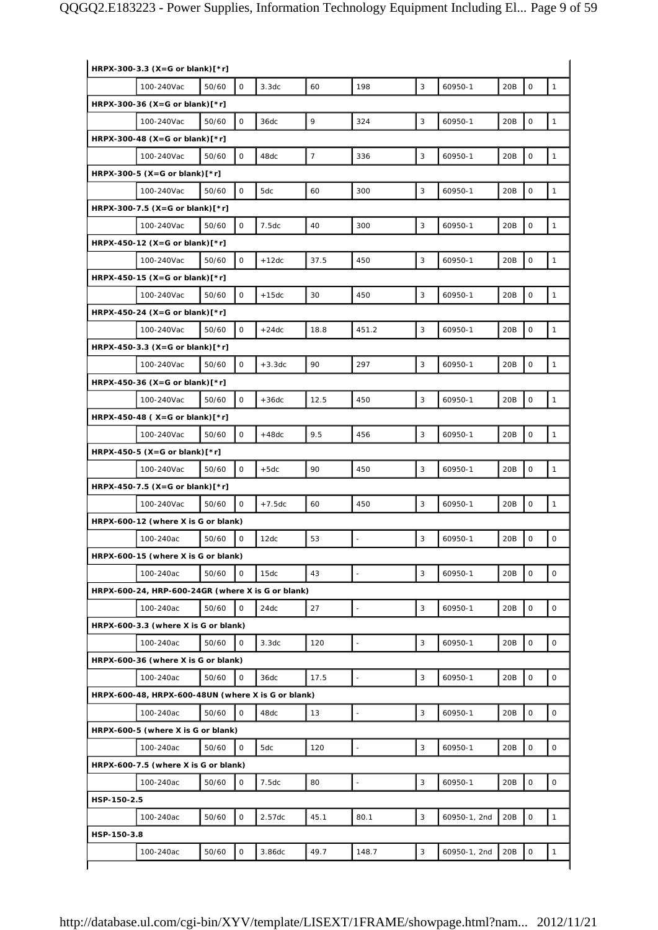| HRPX-300-3.3 (X=G or blank)[*r] |                                                    |       |              |                   |                |                          |            |              |     |                     |                     |
|---------------------------------|----------------------------------------------------|-------|--------------|-------------------|----------------|--------------------------|------------|--------------|-----|---------------------|---------------------|
|                                 | 100-240Vac                                         | 50/60 | $\mathsf{O}$ | 3.3dc             | 60             | 198                      | 3          | 60950-1      | 20B | $\mathsf O$         | $\mathbf{1}$        |
|                                 | HRPX-300-36 (X=G or blank) $[*r]$                  |       |              |                   |                |                          |            |              |     |                     |                     |
|                                 | 100-240Vac                                         | 50/60 | 0            | 36dc              | 9              | 324                      | 3          | 60950-1      | 20B | $\mathsf O$         | $\mathbf{1}$        |
|                                 | HRPX-300-48 (X=G or blank) $\lceil$ *r]            |       |              |                   |                |                          |            |              |     |                     |                     |
|                                 | 100-240Vac                                         | 50/60 | 0            | 48dc              | $\overline{7}$ | 336                      | 3          | 60950-1      | 20B | $\mathsf O$         | $\mathbf{1}$        |
|                                 | HRPX-300-5 (X=G or blank) $[*r]$                   |       |              |                   |                |                          |            |              |     |                     |                     |
|                                 | 100-240Vac                                         | 50/60 | 0            | 5dc               | 60             | 300                      | 3          | 60950-1      | 20B | $\mathsf O$         | $\mathbf{1}$        |
|                                 | HRPX-300-7.5 (X=G or blank)[*r]                    |       |              |                   |                |                          |            |              |     |                     |                     |
|                                 | 100-240Vac                                         | 50/60 | $\mathsf O$  | 7.5dc             | 40             | 300                      | 3          | 60950-1      | 20B | $\mathsf O$         | $\mathbf{1}$        |
|                                 | HRPX-450-12 (X=G or blank) $[*r]$                  |       |              |                   |                |                          |            |              |     |                     |                     |
|                                 | 100-240Vac                                         | 50/60 | 0            | $+12dc$           | 37.5           | 450                      | 3          | 60950-1      | 20B | $\mathsf O$         | $\mathbf{1}$        |
|                                 | HRPX-450-15 (X=G or blank) $\lceil$ *r]            |       |              |                   |                |                          |            |              |     |                     |                     |
|                                 | 100-240Vac                                         | 50/60 | $\mathsf{O}$ | $+15dc$           | 30             | 450                      | 3          | 60950-1      | 20B | $\mathsf O$         | $\mathbf{1}$        |
|                                 | HRPX-450-24 (X=G or blank) $[*r]$                  |       |              |                   |                |                          |            |              |     |                     |                     |
|                                 | 100-240Vac                                         | 50/60 | 0            | $+24dc$           | 18.8           | 451.2                    | 3          | 60950-1      | 20B | $\mathsf O$         | $\mathbf{1}$        |
|                                 | HRPX-450-3.3 (X=G or blank) $[*r]$                 |       |              |                   |                |                          |            |              |     |                     |                     |
|                                 | 100-240Vac                                         | 50/60 | 0            | $+3.3dc$          | 90             | 297                      | 3          | 60950-1      | 20B | $\mathsf O$         | $\mathbf{1}$        |
|                                 | HRPX-450-36 (X=G or blank) $[*r]$                  |       |              |                   |                |                          |            |              |     |                     |                     |
|                                 | 100-240Vac                                         | 50/60 | 0            | $+36dc$           | 12.5           | 450                      | 3          | 60950-1      | 20B | $\mathsf{O}\xspace$ | $\mathbf{1}$        |
|                                 | HRPX-450-48 ( $X = G$ or blank) $[ *r]$            |       |              |                   |                |                          |            |              |     |                     |                     |
|                                 | 100-240Vac                                         | 50/60 | O            | $+48dc$           | 9.5            | 456                      | 3          | 60950-1      | 20B | $\mathsf O$         | $\mathbf{1}$        |
|                                 | HRPX-450-5 (X=G or blank) $[*r]$                   |       |              |                   |                |                          |            |              |     |                     |                     |
|                                 | 100-240Vac                                         | 50/60 | 0            | $+5dc$            | 90             | 450                      | 3          | 60950-1      | 20B | $\mathsf O$         | $\mathbf{1}$        |
|                                 | HRPX-450-7.5 (X=G or blank)[*r]                    |       |              |                   |                |                          |            |              |     |                     |                     |
|                                 | 100-240Vac                                         | 50/60 | 0            | $+7.5dc$          | 60             | 450                      | $\sqrt{3}$ | 60950-1      | 20B | $\mathsf O$         | $\mathbf{1}$        |
|                                 | HRPX-600-12 (where X is G or blank)                |       |              |                   |                |                          |            |              |     |                     |                     |
|                                 | 100-240ac                                          | 50/60 | $\mathsf O$  | 12dc              | 53             |                          | 3          | 60950-1      | 20B | $\mathsf O$         | $\mathsf O$         |
|                                 | HRPX-600-15 (where X is G or blank)                |       |              |                   |                |                          |            |              |     |                     |                     |
|                                 | 100-240ac                                          | 50/60 | $\circ$      | 15dc              | 43             | $\bar{\phantom{a}}$      | 3          | 60950-1      | 20B | $\mathbf 0$         | $\mathbf 0$         |
|                                 | HRPX-600-24, HRP-600-24GR (where X is G or blank)  |       |              |                   |                |                          |            |              |     |                     |                     |
|                                 | 100-240ac                                          | 50/60 | $\mathsf{O}$ | 24dc              | 27             | $\blacksquare$           | 3          | 60950-1      | 20B | $\mathsf O$         | 0                   |
|                                 | HRPX-600-3.3 (where X is G or blank)               |       |              |                   |                |                          |            |              |     |                     |                     |
|                                 | 100-240ac                                          | 50/60 | 0            | 3.3 <sub>dc</sub> | 120            | $\blacksquare$           | 3          | 60950-1      | 20B | $\mathbf 0$         | 0                   |
|                                 | HRPX-600-36 (where X is G or blank)                |       |              |                   |                |                          |            |              |     |                     |                     |
|                                 | 100-240ac                                          | 50/60 | 0            | 36dc              | 17.5           | $\Box$                   | 3          | 60950-1      | 20B | $\mathsf O$         | 0                   |
|                                 | HRPX-600-48, HRPX-600-48UN (where X is G or blank) |       |              |                   |                |                          |            |              |     |                     |                     |
|                                 | 100-240ac                                          | 50/60 | 0            | 48dc              | 13             | $\overline{a}$           | 3          | 60950-1      | 20B | $\mathsf O$         | 0                   |
|                                 | HRPX-600-5 (where X is G or blank)                 |       |              |                   |                |                          |            |              |     |                     |                     |
|                                 | 100-240ac                                          | 50/60 | 0            | 5dc               | 120            | $\overline{\phantom{a}}$ | 3          | 60950-1      | 20B | $\mathsf O$         | 0                   |
|                                 | HRPX-600-7.5 (where X is G or blank)               |       |              |                   |                |                          |            |              |     |                     |                     |
|                                 | 100-240ac                                          | 50/60 | O            | 7.5 <sub>dc</sub> | 80             | $\bar{\phantom{a}}$      | 3          | 60950-1      | 20B | $\mathsf O$         | $\mathsf{O}\xspace$ |
| HSP-150-2.5                     |                                                    |       |              |                   |                |                          |            |              |     |                     |                     |
|                                 | 100-240ac                                          | 50/60 | 0            | 2.57dc            | 45.1           | 80.1                     | 3          |              | 20B | $\mathsf O$         | $\mathbf{1}$        |
| HSP-150-3.8                     |                                                    |       |              |                   |                |                          |            | 60950-1, 2nd |     |                     |                     |
|                                 | 100-240ac                                          | 50/60 | O            | 3.86dc            | 49.7           | 148.7                    | 3          | 60950-1, 2nd | 20B | $\mathsf O$         | $\mathbf{1}$        |
|                                 |                                                    |       |              |                   |                |                          |            |              |     |                     |                     |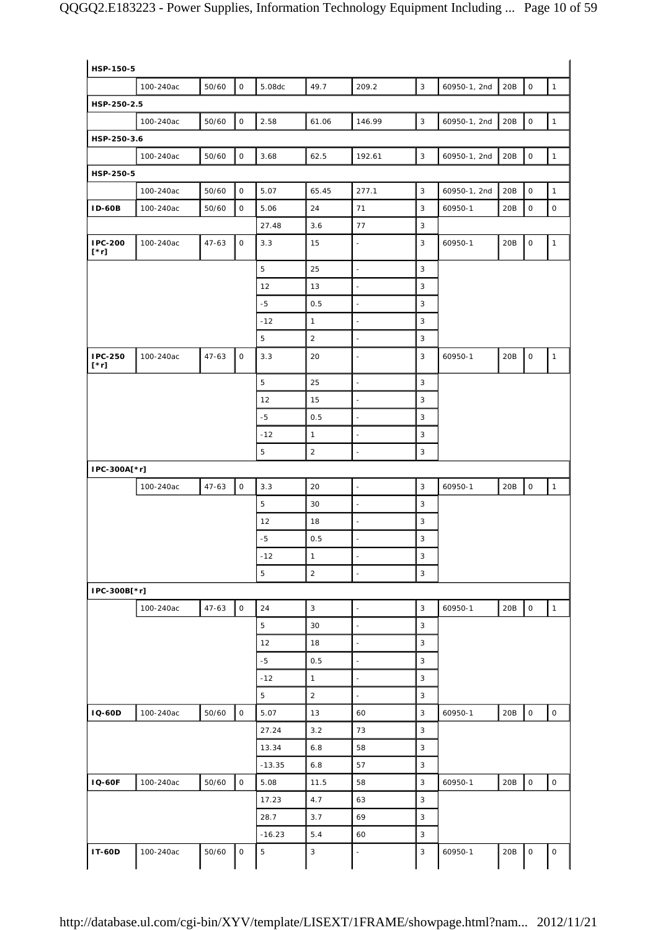| HSP-250-2.5                   | 100-240ac | 50/60     | $\mathsf{O}$        | 5.08dc      | 49.7           | 209.2                    | $\mathbf{3}$   | 60950-1, 2nd | 20B | $\mathsf{O}$        | $\mathbf{1}$        |
|-------------------------------|-----------|-----------|---------------------|-------------|----------------|--------------------------|----------------|--------------|-----|---------------------|---------------------|
|                               |           |           |                     |             |                |                          |                |              |     |                     |                     |
|                               |           |           |                     |             |                |                          |                |              |     |                     |                     |
|                               | 100-240ac | 50/60     | $\mathsf{O}\xspace$ | 2.58        | 61.06          | 146.99                   | 3              | 60950-1, 2nd | 20B | $\mathsf{O}\xspace$ | $\mathbf{1}$        |
| HSP-250-3.6                   |           |           |                     |             |                |                          |                |              |     |                     |                     |
|                               | 100-240ac | 50/60     | $\mathsf O$         | 3.68        | 62.5           | 192.61                   | $\mathbf{3}$   | 60950-1, 2nd | 20B | $\mathsf O$         | $\mathbf{1}$        |
| HSP-250-5                     |           |           |                     |             |                |                          |                |              |     |                     |                     |
|                               | 100-240ac | 50/60     | $\mathsf{O}$        | 5.07        | 65.45          | 277.1                    | $\mathbf{3}$   | 60950-1, 2nd | 20B | $\mathsf O$         | $\mathbf{1}$        |
| <b>ID-60B</b>                 | 100-240ac | 50/60     | 0                   | 5.06        | 24             | 71                       | 3              | 60950-1      | 20B | $\mathsf O$         | $\mathsf{O}\xspace$ |
|                               |           |           |                     | 27.48       | 3.6            | 77                       | 3              |              |     |                     |                     |
| <b>IPC-200</b><br>[*r]        | 100-240ac | $47 - 63$ | $\mathsf{O}\xspace$ | 3.3         | 15             | $\blacksquare$           | 3              | 60950-1      | 20B | $\mathsf O$         | $\mathbf{1}$        |
|                               |           |           |                     | 5           | 25             | $\blacksquare$           | 3              |              |     |                     |                     |
|                               |           |           |                     | 12          | 13             | $\sim$                   | 3              |              |     |                     |                     |
|                               |           |           |                     | $-5$        | 0.5            | $\overline{\phantom{a}}$ | 3              |              |     |                     |                     |
|                               |           |           |                     | $-12$       | $\mathbf{1}$   | $\overline{\phantom{a}}$ | 3              |              |     |                     |                     |
|                               |           |           |                     | 5           | $\overline{a}$ | $\overline{\phantom{a}}$ | 3              |              |     |                     |                     |
| <b>IPC-250</b><br>$[\cdot r]$ | 100-240ac | $47 - 63$ | $\mathsf{O}\xspace$ | 3.3         | 20             | $\overline{\phantom{a}}$ | 3              | 60950-1      | 20B | $\mathsf{O}\xspace$ | $\mathbf{1}$        |
|                               |           |           |                     | 5           | 25             | $\blacksquare$           | 3              |              |     |                     |                     |
|                               |           |           |                     | 12          | 15             | L,                       | 3              |              |     |                     |                     |
|                               |           |           |                     | $-5$        | 0.5            | $\blacksquare$           | 3              |              |     |                     |                     |
|                               |           |           |                     | $-12$       | $\mathbf{1}$   | $\sim$                   | 3              |              |     |                     |                     |
|                               |           |           |                     | 5           | $\overline{2}$ | $\overline{\phantom{a}}$ | $\mathbf{3}$   |              |     |                     |                     |
| IPC-300A[*r]                  |           |           |                     |             |                |                          |                |              |     |                     |                     |
|                               | 100-240ac | $47 - 63$ | $\mathsf{O}\xspace$ | 3.3         | 20             | $\overline{\phantom{a}}$ | 3              | 60950-1      | 20B | $\mathsf{O}\xspace$ | $\mathbf{1}$        |
|                               |           |           |                     | 5           | 30             | $\sim$                   | $\mathbf{3}$   |              |     |                     |                     |
|                               |           |           |                     | 12          | 18             | $\blacksquare$           | 3              |              |     |                     |                     |
|                               |           |           |                     | -5          | 0.5            | ÷,                       | 3              |              |     |                     |                     |
|                               |           |           |                     | $-12$       | $\mathbf{1}$   | $\overline{\phantom{a}}$ | 3              |              |     |                     |                     |
|                               |           |           |                     | 5           | $\sqrt{2}$     |                          | 3              |              |     |                     |                     |
| IPC-300B[*r]                  |           |           |                     |             |                |                          |                |              |     |                     |                     |
|                               | 100-240ac | $47 - 63$ | $\mathsf{O}$        | 24          | 3              | $\sim$                   | $\mathbf{3}$   | 60950-1      | 20B | $\mathsf{O}\xspace$ | $\mathbf{1}$        |
|                               |           |           |                     | 5           | 30             | ÷,                       | 3              |              |     |                     |                     |
|                               |           |           |                     | 12          | 18             | ÷,                       | $\mathbf{3}$   |              |     |                     |                     |
|                               |           |           |                     | $-5$        | 0.5            | $\blacksquare$           | $\overline{3}$ |              |     |                     |                     |
|                               |           |           |                     | $-12$       | $\mathbf{1}$   | ÷,                       | 3              |              |     |                     |                     |
|                               |           |           |                     | 5           | $\overline{2}$ | $\blacksquare$           | 3              |              |     |                     |                     |
| <b>IQ-60D</b>                 | 100-240ac | 50/60     | $\mathsf{O}\xspace$ | 5.07        | 13             | 60                       | $\sqrt{3}$     | 60950-1      | 20B | $\mathsf{O}\xspace$ | $\mathsf{O}\xspace$ |
|                               |           |           |                     | 27.24       | 3.2            | 73                       | 3              |              |     |                     |                     |
|                               |           |           |                     | 13.34       | 6.8            | 58                       | $\sqrt{3}$     |              |     |                     |                     |
|                               |           |           |                     | $-13.35$    | 6.8            | 57                       | 3              |              |     |                     |                     |
| <b>IQ-60F</b>                 | 100-240ac | 50/60     | $\mathsf{O}$        | 5.08        | 11.5           | 58                       | $\sqrt{3}$     | 60950-1      | 20B | $\mathsf{O}\xspace$ | $\mathsf{O}\xspace$ |
|                               |           |           |                     | 17.23       | 4.7            | 63                       | 3              |              |     |                     |                     |
|                               |           |           |                     | 28.7        | 3.7            | 69                       | $\mathbf{3}$   |              |     |                     |                     |
|                               |           |           |                     | $-16.23$    | 5.4            | 60                       | 3              |              |     |                     |                     |
|                               |           |           |                     |             |                |                          |                |              |     |                     |                     |
| <b>IT-60D</b>                 | 100-240ac | 50/60     | $\mathsf O$         | $\mathbf 5$ | $\sqrt{3}$     | $\sim$                   | $\sqrt{3}$     | 60950-1      | 20B | $\mathsf O$         | 0                   |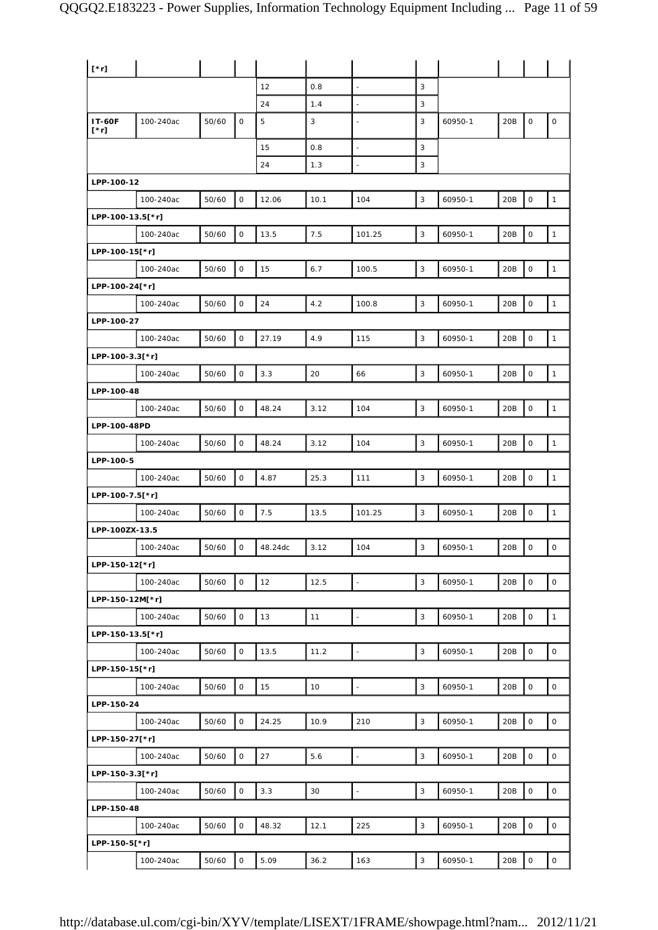| $[\cdot r]$                  |           |       |                     |         |      |                          |   |         |     |                     |                     |
|------------------------------|-----------|-------|---------------------|---------|------|--------------------------|---|---------|-----|---------------------|---------------------|
|                              |           |       |                     | 12      | 0.8  | $\overline{\phantom{a}}$ | 3 |         |     |                     |                     |
|                              |           |       |                     | 24      | 1.4  | $\blacksquare$           | 3 |         |     |                     |                     |
| <b>IT-60F</b><br>$[\cdot r]$ | 100-240ac | 50/60 | 0                   | 5       | 3    | $\sim$                   | 3 | 60950-1 | 20B | 0                   | $\mathsf O$         |
|                              |           |       |                     | 15      | 0.8  | $\sim$                   | 3 |         |     |                     |                     |
|                              |           |       |                     | 24      | 1.3  |                          | 3 |         |     |                     |                     |
| LPP-100-12                   |           |       |                     |         |      |                          |   |         |     |                     |                     |
|                              | 100-240ac | 50/60 | $\mathsf O$         | 12.06   | 10.1 | 104                      | 3 | 60950-1 | 20B | $\mathbf 0$         | $\mathbf{1}$        |
| LPP-100-13.5[*r]             |           |       |                     |         |      |                          |   |         |     |                     |                     |
|                              | 100-240ac | 50/60 | $\mathsf O$         | 13.5    | 7.5  | 101.25                   | 3 | 60950-1 | 20B | $\mathsf{O}\xspace$ | $\mathbf{1}$        |
| LPP-100-15[*r]               |           |       |                     |         |      |                          |   |         |     |                     |                     |
|                              | 100-240ac | 50/60 | $\mathsf O$         | 15      | 6.7  | 100.5                    | 3 | 60950-1 | 20B | $\mathsf O$         | $\mathbf{1}$        |
| LPP-100-24[*r]               |           |       |                     |         |      |                          |   |         |     |                     |                     |
|                              | 100-240ac | 50/60 | $\mathsf O$         | 24      | 4.2  | 100.8                    | 3 | 60950-1 | 20B | $\mathsf O$         | $\mathbf{1}$        |
| LPP-100-27                   |           |       |                     |         |      |                          |   |         |     |                     |                     |
|                              | 100-240ac | 50/60 | $\mathsf O$         | 27.19   | 4.9  | 115                      | 3 | 60950-1 | 20B | $\mathsf O$         | $\mathbf{1}$        |
| LPP-100-3.3[*r]              |           |       |                     |         |      |                          |   |         |     |                     |                     |
|                              | 100-240ac | 50/60 | 0                   | 3.3     | 20   | 66                       | 3 | 60950-1 | 20B | $\mathsf O$         | $\mathbf{1}$        |
| LPP-100-48                   |           |       |                     |         |      |                          |   |         |     |                     |                     |
|                              | 100-240ac | 50/60 | $\mathsf O$         | 48.24   | 3.12 | 104                      | 3 | 60950-1 | 20B | $\mathsf O$         | $\mathbf{1}$        |
| LPP-100-48PD                 |           |       |                     |         |      |                          |   |         |     |                     |                     |
|                              | 100-240ac | 50/60 | $\mathsf O$         | 48.24   | 3.12 | 104                      | 3 | 60950-1 | 20B | $\mathsf O$         | $\mathbf{1}$        |
| LPP-100-5                    |           |       |                     |         |      |                          |   |         |     |                     |                     |
|                              | 100-240ac | 50/60 | $\mathsf O$         | 4.87    | 25.3 | 111                      | 3 | 60950-1 | 20B | $\mathsf O$         | $\mathbf{1}$        |
| LPP-100-7.5[*r]              |           |       |                     |         |      |                          |   |         |     |                     |                     |
|                              | 100-240ac | 50/60 | 0                   | 7.5     | 13.5 | 101.25                   | 3 | 60950-1 | 20B | $\mathsf O$         | $\mathbf{1}$        |
| LPP-100ZX-13.5               |           |       |                     |         |      |                          |   |         |     |                     |                     |
|                              | 100-240ac | 50/60 | $\mathsf O$         | 48.24dc | 3.12 | 104                      | 3 | 60950-1 | 20B | $\mathsf{O}\xspace$ | $\mathsf O$         |
| LPP-150-12[*r]               |           |       |                     |         |      |                          |   |         |     |                     |                     |
|                              | 100-240ac | 50/60 | $\mathsf O$         | 12      | 12.5 | $\overline{\phantom{a}}$ | 3 | 60950-1 | 20B | $\mathsf O$         | $\mathsf{O}\xspace$ |
| LPP-150-12M[*r]              |           |       |                     |         |      |                          |   |         |     |                     |                     |
|                              | 100-240ac | 50/60 | 0                   | 13      | 11   | $\omega$                 | 3 | 60950-1 | 20B | $\mathbf 0$         | $\mathbf{1}$        |
| LPP-150-13.5[*r]             |           |       |                     |         |      |                          |   |         |     |                     |                     |
|                              | 100-240ac | 50/60 | $\mathsf{O}\xspace$ | 13.5    | 11.2 | $\mathbb{Z}$             | 3 | 60950-1 | 20B | $\mathsf O$         | $\mathsf{O}\xspace$ |
| LPP-150-15[*r]               |           |       |                     |         |      |                          |   |         |     |                     |                     |
|                              | 100-240ac | 50/60 | $\mathsf O$         | 15      | 10   | $\mathbb{Z}$             | 3 | 60950-1 | 20B | $\mathsf O$         | $\mathsf O$         |
| LPP-150-24                   |           |       |                     |         |      |                          |   |         |     |                     |                     |
|                              | 100-240ac | 50/60 | $\mathsf O$         | 24.25   | 10.9 | 210                      | 3 | 60950-1 | 20B | $\mathbf 0$         | $\mathsf O$         |
| LPP-150-27[*r]               |           |       |                     |         |      |                          |   |         |     |                     |                     |
|                              | 100-240ac | 50/60 | $\mathsf O$         | 27      | 5.6  | $\bar{\phantom{a}}$      | 3 | 60950-1 | 20B | $\mathsf O$         | $\mathsf{O}\xspace$ |
| LPP-150-3.3[*r]              |           |       |                     |         |      |                          |   |         |     |                     |                     |
|                              | 100-240ac | 50/60 | $\mathsf{O}\xspace$ | 3.3     | 30   | $\mathbb{Z}$             | 3 | 60950-1 | 20B | $\mathsf O$         | $\mathsf{O}\xspace$ |
| LPP-150-48                   |           |       |                     |         |      |                          |   |         |     |                     |                     |
|                              | 100-240ac | 50/60 | $\mathsf O$         | 48.32   | 12.1 | 225                      | 3 | 60950-1 | 20B | $\mathbf 0$         | $\mathsf O$         |
| LPP-150-5[*r]                |           |       |                     |         |      |                          |   |         |     |                     |                     |
|                              | 100-240ac | 50/60 | $\mathsf{O}\xspace$ | 5.09    | 36.2 | 163                      | 3 | 60950-1 | 20B | $\mathsf O$         | $\mathsf O$         |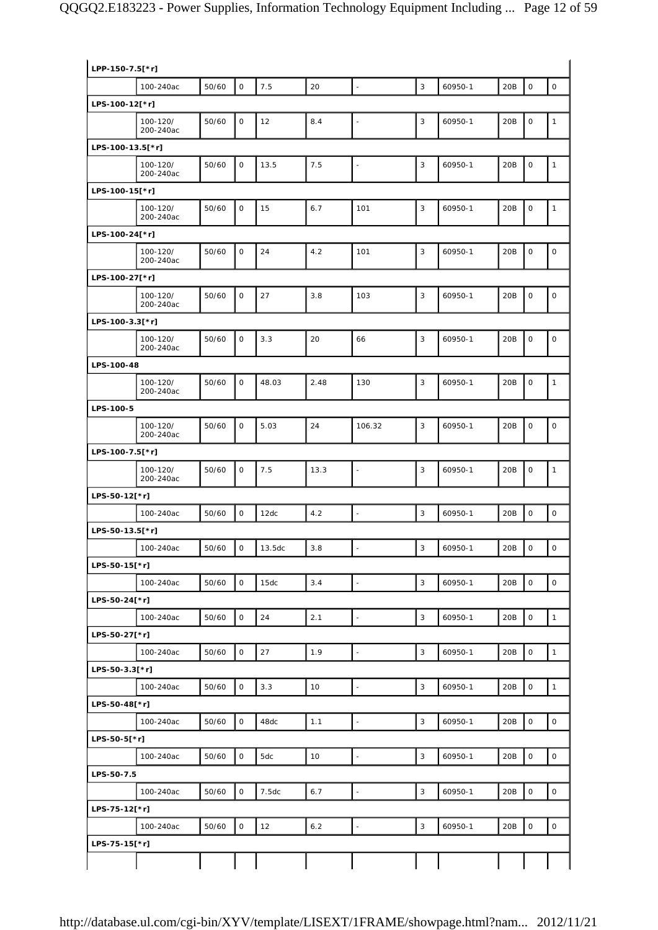| LPP-150-7.5[*r]  |                       |       |                     |        |       |                          |              |         |     |                     |                     |
|------------------|-----------------------|-------|---------------------|--------|-------|--------------------------|--------------|---------|-----|---------------------|---------------------|
|                  | 100-240ac             | 50/60 | $\mathsf O$         | 7.5    | 20    | $\mathbb{Z}$             | 3            | 60950-1 | 20B | $\mathsf{O}\xspace$ | $\circ$             |
| LPS-100-12[*r]   |                       |       |                     |        |       |                          |              |         |     |                     |                     |
|                  | 100-120/<br>200-240ac | 50/60 | $\mathbf 0$         | 12     | 8.4   | $\blacksquare$           | 3            | 60950-1 | 20B | $\mathbf 0$         | $\mathbf{1}$        |
| LPS-100-13.5[*r] |                       |       |                     |        |       |                          |              |         |     |                     |                     |
|                  | 100-120/<br>200-240ac | 50/60 | $\mathbf 0$         | 13.5   | 7.5   | $\Box$                   | $\mathbf{3}$ | 60950-1 | 20B | $\mathbf 0$         | $\mathbf{1}$        |
| LPS-100-15[*r]   |                       |       |                     |        |       |                          |              |         |     |                     |                     |
|                  | 100-120/<br>200-240ac | 50/60 | $\mathsf O$         | 15     | 6.7   | 101                      | $\sqrt{3}$   | 60950-1 | 20B | $\mathsf O$         | $\mathbf{1}$        |
| LPS-100-24[*r]   |                       |       |                     |        |       |                          |              |         |     |                     |                     |
|                  | 100-120/<br>200-240ac | 50/60 | $\mathsf O$         | 24     | 4.2   | 101                      | 3            | 60950-1 | 20B | $\mathbf 0$         | $\mathsf O$         |
| LPS-100-27[*r]   |                       |       |                     |        |       |                          |              |         |     |                     |                     |
|                  | 100-120/<br>200-240ac | 50/60 | $\mathsf O$         | 27     | 3.8   | 103                      | 3            | 60950-1 | 20B | $\mathsf O$         | $\mathsf O$         |
| LPS-100-3.3[*r]  |                       |       |                     |        |       |                          |              |         |     |                     |                     |
|                  | 100-120/<br>200-240ac | 50/60 | $\mathsf{O}\xspace$ | 3.3    | 20    | 66                       | 3            | 60950-1 | 20B | $\mathsf{O}\xspace$ | $\mathsf O$         |
| LPS-100-48       |                       |       |                     |        |       |                          |              |         |     |                     |                     |
|                  | 100-120/<br>200-240ac | 50/60 | $\mathsf O$         | 48.03  | 2.48  | 130                      | $\mathbf{3}$ | 60950-1 | 20B | $\mathbf 0$         | $\mathbf{1}$        |
| LPS-100-5        |                       |       |                     |        |       |                          |              |         |     |                     |                     |
|                  | 100-120/<br>200-240ac | 50/60 | $\mathbf 0$         | 5.03   | 24    | 106.32                   | $\mathbf{3}$ | 60950-1 | 20B | $\mathsf{O}\xspace$ | $\mathsf O$         |
| LPS-100-7.5[*r]  |                       |       |                     |        |       |                          |              |         |     |                     |                     |
|                  | 100-120/<br>200-240ac | 50/60 | $\mathsf O$         | 7.5    | 13.3  | $\overline{\phantom{a}}$ | $\mathbf{3}$ | 60950-1 | 20B | $\mathbf 0$         | $\mathbf{1}$        |
| LPS-50-12[*r]    |                       |       |                     |        |       |                          |              |         |     |                     |                     |
|                  | 100-240ac             | 50/60 | $\mathbf 0$         | 12dc   | 4.2   | $\overline{\phantom{a}}$ | 3            | 60950-1 | 20B | $\mathbf 0$         | $\mathsf{O}\xspace$ |
| LPS-50-13.5[*r]  |                       |       |                     |        |       |                          |              |         |     |                     |                     |
|                  | 100-240ac             | 50/60 | $\mathsf O$         | 13.5dc | 3.8   | $\blacksquare$           | 3            | 60950-1 | 20B | $\mathsf O$         | 0                   |
| LPS-50-15[*r]    |                       |       |                     |        |       |                          |              |         |     |                     |                     |
|                  | 100-240ac             | 50/60 | $\mathsf O$         | 15dc   | 3.4   | $\blacksquare$           | $\mathbf{3}$ | 60950-1 | 20B | $\mathsf O$         | $\mathsf{O}\xspace$ |
| LPS-50-24[*r]    | 100-240ac             | 50/60 | $\mathsf{O}\xspace$ | 24     | 2.1   | $\overline{\phantom{a}}$ | $\mathsf 3$  | 60950-1 | 20B | $\mathsf{O}\xspace$ | $\mathbf 1$         |
| LPS-50-27[*r]    |                       |       |                     |        |       |                          |              |         |     |                     |                     |
|                  | 100-240ac             | 50/60 | $\mathsf O$         | 27     | 1.9   | $\Box$                   | $\mathbf{3}$ | 60950-1 | 20B | $\mathsf{O}\xspace$ | $\mathbf 1$         |
| LPS-50-3.3[*r]   |                       |       |                     |        |       |                          |              |         |     |                     |                     |
|                  | 100-240ac             | 50/60 | $\mathsf O$         | 3.3    | 10    | $\Box$                   | $\mathbf{3}$ | 60950-1 | 20B | $\mathsf{O}\xspace$ | $\mathbf{1}$        |
| LPS-50-48[*r]    |                       |       |                     |        |       |                          |              |         |     |                     |                     |
|                  | 100-240ac             | 50/60 | $\mathsf{O}\xspace$ | 48dc   | 1.1   | $\Box$                   | $\mathbf{3}$ | 60950-1 | 20B | $\mathsf{O}\xspace$ | $\mathsf{O}\xspace$ |
| LPS-50-5[*r]     |                       |       |                     |        |       |                          |              |         |     |                     |                     |
|                  | 100-240ac             | 50/60 | $\mathsf{O}\xspace$ | 5dc    | 10    | $\Box$                   | $\mathbf{3}$ | 60950-1 | 20B | $\mathsf{O}\xspace$ | $\mathsf O$         |
| LPS-50-7.5       |                       |       |                     |        |       |                          |              |         |     |                     |                     |
|                  | 100-240ac             | 50/60 | $\mathsf O$         | 7.5dc  | 6.7   | $\blacksquare$           | 3            | 60950-1 | 20B | $\mathsf{O}\xspace$ | $\mathsf{O}\xspace$ |
| LPS-75-12[*r]    |                       |       |                     |        |       |                          |              |         |     |                     |                     |
|                  | 100-240ac             | 50/60 | $\mathsf{O}\xspace$ | 12     | $6.2$ | L.                       | $\sqrt{3}$   | 60950-1 | 20B | $\mathsf{O}\xspace$ | 0                   |
| LPS-75-15[*r]    |                       |       |                     |        |       |                          |              |         |     |                     |                     |
|                  |                       |       |                     |        |       |                          |              |         |     |                     |                     |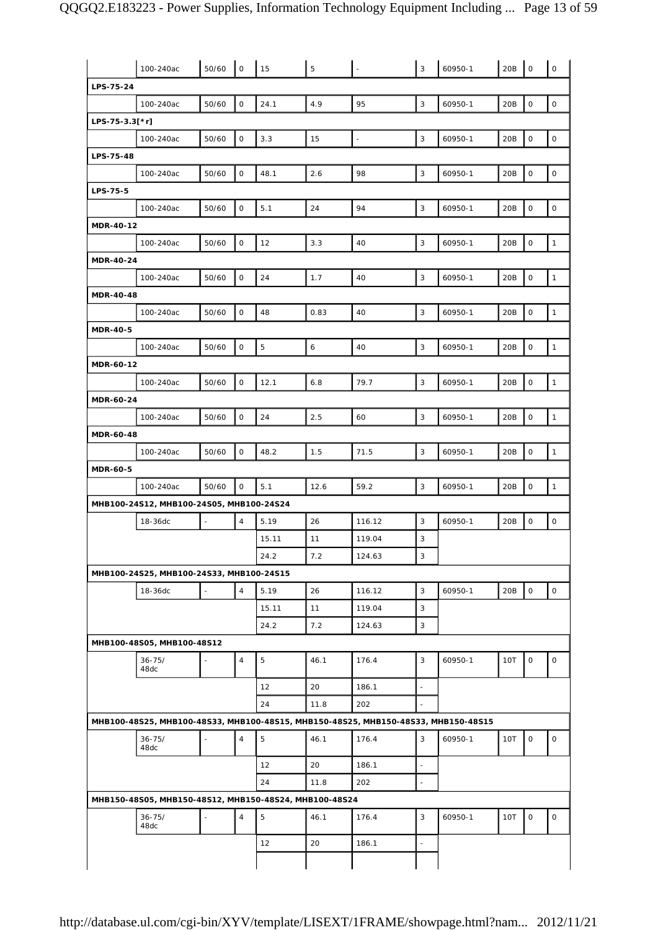|                  | 100-240ac                                              | 50/60  | l o            | 15    | 5    |                                                                                    | 3                        | 60950-1 | 20B | $\mathsf O$  | $\mathbf 0$                                                    |
|------------------|--------------------------------------------------------|--------|----------------|-------|------|------------------------------------------------------------------------------------|--------------------------|---------|-----|--------------|----------------------------------------------------------------|
| LPS-75-24        |                                                        |        |                |       |      |                                                                                    |                          |         |     |              |                                                                |
|                  | 100-240ac                                              | 50/60  | $\mathsf O$    | 24.1  | 4.9  | 95                                                                                 | 3                        | 60950-1 | 20B | 0            | 0                                                              |
| $LPS-75-3.3[*r]$ |                                                        |        |                |       |      |                                                                                    |                          |         |     |              |                                                                |
|                  | 100-240ac                                              | 50/60  | 0              | 3.3   | 15   | $\blacksquare$                                                                     | 3                        | 60950-1 | 20B | 0            | $\mathsf O$                                                    |
| LPS-75-48        |                                                        |        |                |       |      |                                                                                    |                          |         |     |              |                                                                |
|                  | 100-240ac                                              | 50/60  | $\mathsf{O}$   | 48.1  | 2.6  | 98                                                                                 | 3                        | 60950-1 | 20B | 0            | $\mathsf O$                                                    |
|                  |                                                        |        |                |       |      |                                                                                    |                          |         |     |              |                                                                |
| LPS-75-5         |                                                        |        |                |       |      |                                                                                    |                          |         |     |              |                                                                |
|                  | 100-240ac                                              | 50/60  | $\mathsf O$    | 5.1   | 24   | 94                                                                                 | 3                        | 60950-1 | 20B | 0            | $\mathsf O$                                                    |
| MDR-40-12        |                                                        |        |                |       |      |                                                                                    |                          |         |     |              |                                                                |
|                  | 100-240ac                                              | 50/60  | $\mathsf O$    | 12    | 3.3  | 40                                                                                 | 3                        | 60950-1 | 20B | 0            | $\mathbf{1}$                                                   |
| <b>MDR-40-24</b> |                                                        |        |                |       |      |                                                                                    |                          |         |     |              |                                                                |
|                  | 100-240ac                                              | 50/60  | $\mathsf O$    | 24    | 1.7  | 40                                                                                 | 3                        | 60950-1 | 20B | 0            | $\mathbf{1}$                                                   |
| <b>MDR-40-48</b> |                                                        |        |                |       |      |                                                                                    |                          |         |     |              |                                                                |
|                  | 100-240ac                                              | 50/60  | $\mathsf{O}$   | 48    | 0.83 | 40                                                                                 | 3                        | 60950-1 | 20B | 0            | $\mathbf{1}$                                                   |
| <b>MDR-40-5</b>  |                                                        |        |                |       |      |                                                                                    |                          |         |     |              |                                                                |
|                  | 100-240ac                                              | 50/60  | $\mathsf O$    | 5     | 6    | 40                                                                                 | 3                        | 60950-1 | 20B | 0            | $\mathbf{1}$                                                   |
| MDR-60-12        |                                                        |        |                |       |      |                                                                                    |                          |         |     |              |                                                                |
|                  | 100-240ac                                              | 50/60  | $\mathsf O$    | 12.1  | 6.8  | 79.7                                                                               | 3                        | 60950-1 | 20B | 0            | $\mathbf{1}$                                                   |
| <b>MDR-60-24</b> |                                                        |        |                |       |      |                                                                                    |                          |         |     |              |                                                                |
|                  | 100-240ac                                              | 50/60  | $\mathsf O$    | 24    | 2.5  | 60                                                                                 | 3                        | 60950-1 | 20B | 0            | $\mathbf{1}$                                                   |
| <b>MDR-60-48</b> |                                                        |        |                |       |      |                                                                                    |                          |         |     |              |                                                                |
|                  | 100-240ac                                              | 50/60  | $\mathsf{O}$   | 48.2  | 1.5  | 71.5                                                                               | 3                        | 60950-1 | 20B | 0            | $\mathbf{1}$                                                   |
| <b>MDR-60-5</b>  |                                                        |        |                |       |      |                                                                                    |                          |         |     |              |                                                                |
|                  | 100-240ac                                              | 50/60  | $\mathsf O$    | 5.1   | 12.6 | 59.2                                                                               | 3                        | 60950-1 | 20B | 0            | $\mathbf{1}$                                                   |
|                  |                                                        |        |                |       |      |                                                                                    |                          |         |     |              |                                                                |
|                  | MHB100-24S12, MHB100-24S05, MHB100-24S24               |        |                |       |      |                                                                                    |                          |         |     |              |                                                                |
|                  | 18-36dc                                                |        | $\overline{4}$ | 5.19  | 26   | 116.12                                                                             | 3                        | 60950-1 | 20B | 0            |                                                                |
|                  |                                                        |        |                | 15.11 | 11   | 119.04                                                                             | 3                        |         |     |              |                                                                |
|                  |                                                        |        |                |       |      |                                                                                    |                          |         |     |              |                                                                |
|                  |                                                        |        |                | 24.2  | 7.2  | 124.63                                                                             | 3                        |         |     |              |                                                                |
|                  | MHB100-24S25, MHB100-24S33, MHB100-24S15               | $\sim$ |                |       |      |                                                                                    |                          |         |     |              |                                                                |
|                  | 18-36dc                                                |        | $\overline{4}$ | 5.19  | 26   | 116.12                                                                             | 3                        | 60950-1 | 20B | $\mathsf{O}$ |                                                                |
|                  |                                                        |        |                | 15.11 | 11   | 119.04                                                                             | 3                        |         |     |              |                                                                |
|                  |                                                        |        |                | 24.2  | 7.2  | 124.63                                                                             | 3                        |         |     |              |                                                                |
|                  | MHB100-48S05, MHB100-48S12                             |        |                |       |      |                                                                                    |                          |         |     |              |                                                                |
|                  | $36 - 75/$<br>48dc                                     |        | $\overline{4}$ | 5     | 46.1 | 176.4                                                                              | 3                        | 60950-1 | 10T | $\mathsf{O}$ |                                                                |
|                  |                                                        |        |                | 12    | 20   | 186.1                                                                              | $\sim$                   |         |     |              |                                                                |
|                  |                                                        |        |                | 24    | 11.8 | 202                                                                                |                          |         |     |              |                                                                |
|                  |                                                        |        |                |       |      | MHB100-48S25, MHB100-48S33, MHB100-48S15, MHB150-48S25, MHB150-48S33, MHB150-48S15 |                          |         |     |              |                                                                |
|                  | $36 - 75/$<br>48dc                                     |        | $\overline{4}$ | 5     | 46.1 | 176.4                                                                              | 3                        | 60950-1 | 10T | 0            |                                                                |
|                  |                                                        |        |                | 12    | 20   | 186.1                                                                              | $\bar{\phantom{a}}$      |         |     |              |                                                                |
|                  |                                                        |        |                | 24    | 11.8 | 202                                                                                | $\overline{\phantom{a}}$ |         |     |              |                                                                |
|                  | MHB150-48S05, MHB150-48S12, MHB150-48S24, MHB100-48S24 |        |                |       |      |                                                                                    |                          |         |     |              |                                                                |
|                  | $36 - 75/$<br>48dc                                     |        | $\overline{4}$ | 5     | 46.1 | 176.4                                                                              | 3                        | 60950-1 | 10T | 0            |                                                                |
|                  |                                                        |        |                | 12    | 20   | 186.1                                                                              | ÷,                       |         |     |              | 0<br>$\mathsf{O}$<br>$\mathsf O$<br>$\mathsf O$<br>$\mathsf O$ |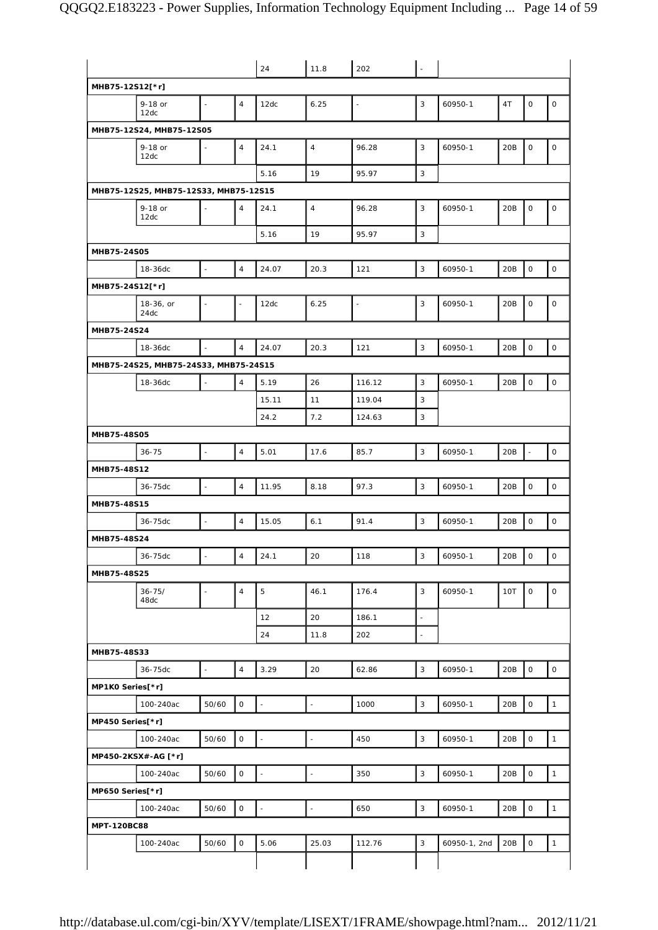|                    |                                       |                          |                     | 24                          | 11.8                     | 202    | $\overline{\phantom{a}}$ |              |     |                          |              |
|--------------------|---------------------------------------|--------------------------|---------------------|-----------------------------|--------------------------|--------|--------------------------|--------------|-----|--------------------------|--------------|
|                    | MHB75-12S12[*r]                       |                          |                     |                             |                          |        |                          |              |     |                          |              |
|                    | 9-18 or<br>12dc                       |                          | $\overline{4}$      | 12dc                        | 6.25                     | ÷,     | 3                        | 60950-1      | 4T  | 0                        | $\mathsf O$  |
|                    | MHB75-12S24, MHB75-12S05              |                          |                     |                             |                          |        |                          |              |     |                          |              |
|                    | 9-18 or<br>12dc                       |                          | $\overline{4}$      | 24.1                        | $\overline{4}$           | 96.28  | 3                        | 60950-1      | 20B | 0                        | $\mathsf O$  |
|                    |                                       |                          |                     | 5.16                        | 19                       | 95.97  | 3                        |              |     |                          |              |
|                    | MHB75-12S25, MHB75-12S33, MHB75-12S15 |                          |                     |                             |                          |        |                          |              |     |                          |              |
|                    | 9-18 or<br>12dc                       |                          | $\overline{4}$      | 24.1                        | $\overline{4}$           | 96.28  | 3                        | 60950-1      | 20B | 0                        | $\mathsf O$  |
|                    |                                       |                          |                     | 5.16                        | 19                       | 95.97  | 3                        |              |     |                          |              |
| MHB75-24S05        |                                       |                          |                     |                             |                          |        |                          |              |     |                          |              |
|                    | 18-36dc                               | $\bar{\phantom{a}}$      | $\overline{4}$      | 24.07                       | 20.3                     | 121    | 3                        | 60950-1      | 20B | 0                        | $\mathsf O$  |
|                    | MHB75-24S12[*r]                       |                          |                     |                             |                          |        |                          |              |     |                          |              |
|                    | 18-36, or<br>24dc                     |                          |                     | 12dc                        | 6.25                     | $\Box$ | 3                        | 60950-1      | 20B | 0                        | $\mathsf O$  |
| MHB75-24S24        |                                       |                          |                     |                             |                          |        |                          |              |     |                          |              |
|                    | 18-36dc                               | $\Box$                   | $\overline{4}$      | 24.07                       | 20.3                     | 121    | 3                        | 60950-1      | 20B | 0                        | $\mathsf O$  |
|                    | MHB75-24S25, MHB75-24S33, MHB75-24S15 |                          |                     |                             |                          |        |                          |              |     |                          |              |
|                    | 18-36dc                               |                          | $\overline{4}$      | 5.19                        | 26                       | 116.12 | 3                        | 60950-1      | 20B | 0                        | $\mathsf O$  |
|                    |                                       |                          |                     | 15.11                       | 11                       | 119.04 | 3                        |              |     |                          |              |
|                    |                                       |                          |                     | 24.2                        | 7.2                      | 124.63 | 3                        |              |     |                          |              |
| MHB75-48S05        |                                       |                          |                     |                             |                          |        |                          |              |     |                          |              |
|                    | $36 - 75$                             | L.                       | $\overline{4}$      | 5.01                        | 17.6                     | 85.7   | 3                        | 60950-1      | 20B | $\overline{\phantom{a}}$ | $\mathsf O$  |
| MHB75-48S12        |                                       |                          |                     |                             |                          |        |                          |              |     |                          |              |
|                    | 36-75dc                               |                          | $\overline{4}$      | 11.95                       | 8.18                     | 97.3   | 3                        | 60950-1      | 20B | 0                        | $\mathsf O$  |
| MHB75-48S15        |                                       |                          |                     |                             |                          |        |                          |              |     |                          |              |
|                    | 36-75dc                               |                          | $\overline{4}$      | 15.05                       | 6.1                      | 91.4   | 3                        | 60950-1      | 20B | 0                        | $\mathsf O$  |
| MHB75-48S24        |                                       |                          |                     |                             |                          |        |                          |              |     |                          |              |
|                    |                                       | $\overline{\phantom{a}}$ | $\overline{4}$      |                             | 20                       |        | 3                        |              |     | $\mathsf O$              | $\mathsf O$  |
|                    | 36-75dc                               |                          |                     | 24.1                        |                          | 118    |                          | 60950-1      | 20B |                          |              |
| MHB75-48S25        |                                       |                          |                     |                             |                          |        |                          |              |     |                          |              |
|                    | $36 - 75/$<br>48dc                    | ÷,                       | $\overline{4}$      | 5                           | 46.1                     | 176.4  | 3                        | 60950-1      | 10T | 0                        | $\mathsf O$  |
|                    |                                       |                          |                     | 12                          | 20                       | 186.1  | $\overline{\phantom{a}}$ |              |     |                          |              |
|                    |                                       |                          |                     | 24                          | 11.8                     | 202    |                          |              |     |                          |              |
| MHB75-48S33        |                                       |                          |                     |                             |                          |        |                          |              |     |                          |              |
|                    | 36-75dc                               | $\Box$                   | $\overline{4}$      | 3.29                        | 20                       | 62.86  | $\mathbf{3}$             | 60950-1      | 20B | 0                        | $\mathsf O$  |
| MP1K0 Series[*r]   |                                       |                          |                     |                             |                          |        |                          |              |     |                          |              |
|                    | 100-240ac                             | 50/60                    | $\mathsf O$         | $\bar{\phantom{a}}$         | $\overline{\phantom{a}}$ | 1000   | 3                        | 60950-1      | 20B | $\circ$                  | $\mathbf{1}$ |
| MP450 Series[*r]   |                                       |                          |                     |                             |                          |        |                          |              |     |                          |              |
|                    | 100-240ac                             | 50/60                    | $\mathsf{O}$        | $\mathcal{L}_{\mathcal{A}}$ | $\omega$                 | 450    | $\mathbf{3}$             | 60950-1      | 20B | 0                        | $\mathbf{1}$ |
|                    | MP450-2KSX#-AG [*r]                   |                          |                     |                             |                          |        |                          |              |     |                          |              |
|                    | 100-240ac                             | 50/60                    | $\mathsf{O}\xspace$ | $\bar{\phantom{a}}$         | $\overline{\phantom{a}}$ | 350    | 3                        | 60950-1      | 20B | $\mathsf{O}\xspace$      | $\mathbf{1}$ |
| MP650 Series[*r]   |                                       |                          |                     |                             |                          |        |                          |              |     |                          |              |
|                    | 100-240ac                             | 50/60                    | $\mathsf O$         | $\mathbb{Z}$                | $\bar{\phantom{a}}$      | 650    | $\mathsf 3$              | 60950-1      | 20B | $\mathsf O$              | $\mathbf{1}$ |
| <b>MPT-120BC88</b> |                                       |                          |                     |                             |                          |        |                          |              |     |                          |              |
|                    | 100-240ac                             | 50/60                    | $\mathsf O$         | 5.06                        | 25.03                    | 112.76 | $\sqrt{3}$               | 60950-1, 2nd | 20B | 0                        | $\mathbf{1}$ |
|                    |                                       |                          |                     |                             |                          |        |                          |              |     |                          |              |
|                    |                                       |                          |                     |                             |                          |        |                          |              |     |                          |              |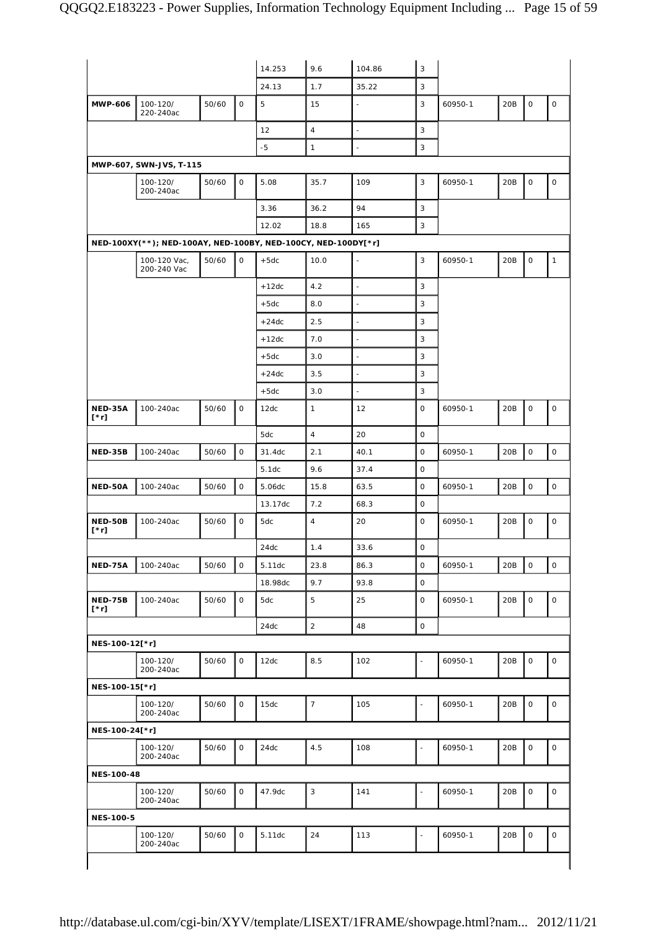|                        |                                                               |       |              | 14.253     | 9.6            | 104.86                   | 3              |         |     |             |                     |
|------------------------|---------------------------------------------------------------|-------|--------------|------------|----------------|--------------------------|----------------|---------|-----|-------------|---------------------|
|                        |                                                               |       |              |            |                |                          | 3              |         |     |             |                     |
| <b>MWP-606</b>         | 100-120/                                                      | 50/60 | $\mathsf O$  | 24.13<br>5 | 1.7<br>15      | 35.22<br>$\blacksquare$  | 3              | 60950-1 | 20B | $\mathsf O$ | $\mathsf{O}\xspace$ |
|                        | 220-240ac                                                     |       |              |            | $\overline{4}$ |                          |                |         |     |             |                     |
|                        |                                                               |       |              | 12         |                | $\blacksquare$           | 3<br>3         |         |     |             |                     |
|                        |                                                               |       |              | $-5$       | $\mathbf{1}$   |                          |                |         |     |             |                     |
|                        | MWP-607, SWN-JVS, T-115                                       |       |              |            |                |                          |                |         |     |             |                     |
|                        | 100-120/<br>200-240ac                                         | 50/60 | $\mathsf{O}$ | 5.08       | 35.7           | 109                      | 3              | 60950-1 | 20B | $\mathsf O$ | $\mathsf{O}$        |
|                        |                                                               |       |              | 3.36       | 36.2           | 94                       | 3              |         |     |             |                     |
|                        |                                                               |       |              | 12.02      | 18.8           | 165                      | 3              |         |     |             |                     |
|                        | NED-100XY(**); NED-100AY, NED-100BY, NED-100CY, NED-100DY[*r] |       |              |            |                |                          |                |         |     |             |                     |
|                        | 100-120 Vac,<br>200-240 Vac                                   | 50/60 | $\mathsf{O}$ | $+5dc$     | 10.0           | $\blacksquare$           | 3              | 60950-1 | 20B | $\mathsf O$ | $\mathbf{1}$        |
|                        |                                                               |       |              | $+12dc$    | 4.2            | ÷,                       | 3              |         |     |             |                     |
|                        |                                                               |       |              | $+5dc$     | 8.0            | $\blacksquare$           | 3              |         |     |             |                     |
|                        |                                                               |       |              | $+24dc$    | 2.5            | $\overline{\phantom{a}}$ | 3              |         |     |             |                     |
|                        |                                                               |       |              | $+12dc$    | 7.0            | $\blacksquare$           | 3              |         |     |             |                     |
|                        |                                                               |       |              | $+5dc$     | 3.0            | $\overline{a}$           | 3              |         |     |             |                     |
|                        |                                                               |       |              | $+24dc$    | 3.5            | $\blacksquare$           | 3              |         |     |             |                     |
|                        |                                                               |       |              | $+5dc$     | 3.0            | $\blacksquare$           | 3              |         |     |             |                     |
| NED-35A<br>[*r]        | 100-240ac                                                     | 50/60 | $\mathsf{O}$ | 12dc       | $\mathbf{1}$   | 12                       | 0              | 60950-1 | 20B | $\mathsf O$ | 0                   |
|                        |                                                               |       |              | 5dc        | $\overline{4}$ | 20                       | $\mathsf O$    |         |     |             |                     |
| NED-35B                | 100-240ac                                                     | 50/60 | $\mathsf O$  | 31.4dc     | 2.1            | 40.1                     | $\mathbf 0$    | 60950-1 | 20B | $\mathsf O$ | $\mathsf{O}$        |
|                        |                                                               |       |              | 5.1dc      | 9.6            | 37.4                     | $\mathbf 0$    |         |     |             |                     |
| NED-50A                | 100-240ac                                                     | 50/60 | $\mathsf O$  | 5.06dc     | 15.8           | 63.5                     | $\mathsf O$    | 60950-1 | 20B | $\mathsf O$ | $\mathsf{O}$        |
|                        |                                                               |       |              | 13.17dc    | 7.2            | 68.3                     | $\mathsf O$    |         |     |             |                     |
| NED-50B<br>[*r]        | 100-240ac                                                     | 50/60 | $\mathsf O$  | 5dc        | $\overline{4}$ | 20                       | 0              | 60950-1 | 20B | $\mathsf O$ | 0                   |
|                        |                                                               |       |              | $24dc$     | 1.4            | 33.6                     | $\mathsf{O}$   |         |     |             |                     |
| NED-75A                | 100-240ac                                                     | 50/60 | $\mathsf O$  | 5.11dc     | 23.8           | 86.3                     | $\mathbf 0$    | 60950-1 | 20B | $\mathsf O$ | $\circ$             |
|                        |                                                               |       |              | 18.98dc    | 9.7            | 93.8                     | $\mathsf O$    |         |     |             |                     |
| <b>NED-75B</b><br>[*r] | 100-240ac                                                     | 50/60 | $\mathsf O$  | 5dc        | 5              | 25                       | $\mathsf O$    | 60950-1 | 20B | $\mathsf O$ | $\mathsf O$         |
|                        |                                                               |       |              | 24dc       | $\sqrt{2}$     | 48                       | $\mathsf O$    |         |     |             |                     |
| NES-100-12[*r]         |                                                               |       |              |            |                |                          |                |         |     |             |                     |
|                        | 100-120/<br>200-240ac                                         | 50/60 | $\mathsf O$  | 12dc       | $8.5\,$        | 102                      |                | 60950-1 | 20B | $\mathsf O$ | $\mathsf{O}$        |
| NES-100-15[*r]         |                                                               |       |              |            |                |                          |                |         |     |             |                     |
|                        | 100-120/<br>200-240ac                                         | 50/60 | $\mathsf O$  | 15dc       | $\overline{7}$ | 105                      |                | 60950-1 | 20B | $\mathsf O$ | $\circ$             |
| NES-100-24[*r]         |                                                               |       |              |            |                |                          |                |         |     |             |                     |
|                        | 100-120/<br>200-240ac                                         | 50/60 | $\mathsf O$  | 24dc       | 4.5            | 108                      | L.             | 60950-1 | 20B | $\mathsf O$ | $\mathsf O$         |
| NES-100-48             |                                                               |       |              |            |                |                          |                |         |     |             |                     |
|                        | 100-120/<br>200-240ac                                         | 50/60 | $\mathsf O$  | 47.9dc     | $\mathsf 3$    | 141                      | $\blacksquare$ | 60950-1 | 20B | $\mathsf O$ | $\mathsf{O}\xspace$ |
| <b>NES-100-5</b>       |                                                               |       |              |            |                |                          |                |         |     |             |                     |
|                        | 100-120/                                                      | 50/60 | $\mathsf{O}$ | 5.11dc     | 24             | 113                      |                | 60950-1 | 20B | $\mathsf O$ | 0                   |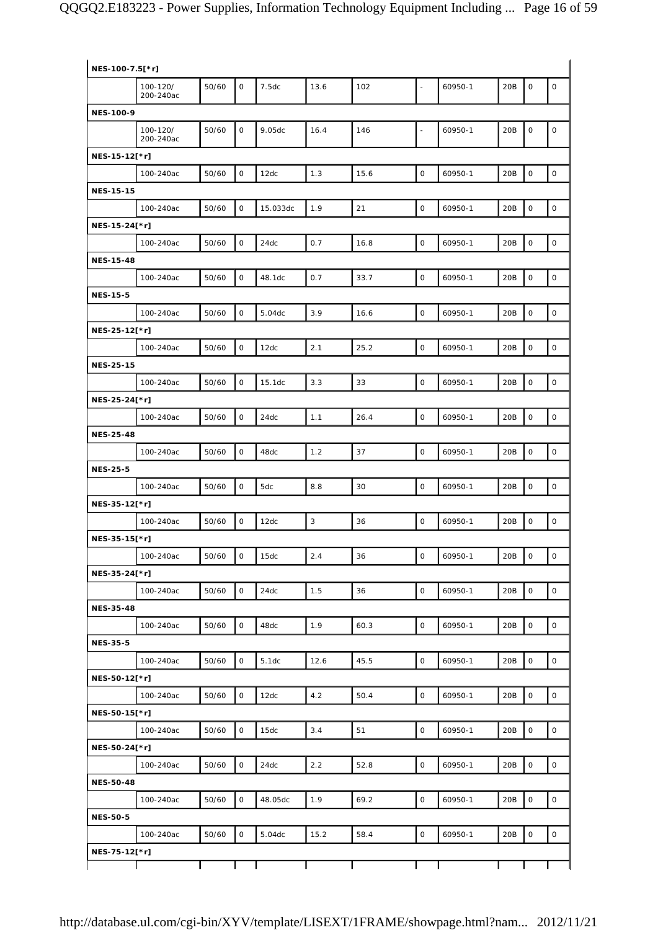| NES-100-7.5[*r]  |                       |       |              |          |                |      |                     |         |     |                     |                     |
|------------------|-----------------------|-------|--------------|----------|----------------|------|---------------------|---------|-----|---------------------|---------------------|
|                  | 100-120/<br>200-240ac | 50/60 | $\mathbf 0$  | 7.5dc    | 13.6           | 102  | ÷,                  | 60950-1 | 20B | $\mathbf 0$         | $\mathsf{O}\xspace$ |
| <b>NES-100-9</b> |                       |       |              |          |                |      |                     |         |     |                     |                     |
|                  | 100-120/<br>200-240ac | 50/60 | 0            | 9.05dc   | 16.4           | 146  | $\blacksquare$      | 60950-1 | 20B | $\mathsf O$         | 0                   |
| NES-15-12[*r]    |                       |       |              |          |                |      |                     |         |     |                     |                     |
|                  | 100-240ac             | 50/60 | $\mathsf O$  | 12dc     | 1.3            | 15.6 | $\mathsf{O}$        | 60950-1 | 20B | $\mathsf{O}\xspace$ | $\mathsf{O}\xspace$ |
| <b>NES-15-15</b> |                       |       |              |          |                |      |                     |         |     |                     |                     |
|                  | 100-240ac             | 50/60 | $\mathsf O$  | 15.033dc | 1.9            | 21   | $\mathbf 0$         | 60950-1 | 20B | $\mathsf O$         | $\mathsf O$         |
| NES-15-24[*r]    |                       |       |              |          |                |      |                     |         |     |                     |                     |
|                  | 100-240ac             | 50/60 | $\mathsf O$  | 24dc     | 0.7            | 16.8 | $\mathsf O$         | 60950-1 | 20B | $\mathsf O$         | $\mathsf O$         |
| <b>NES-15-48</b> |                       |       |              |          |                |      |                     |         |     |                     |                     |
|                  | 100-240ac             | 50/60 | $\mathsf O$  | 48.1dc   | 0.7            | 33.7 | $\mathsf O$         | 60950-1 | 20B | $\mathbf 0$         | $\mathsf O$         |
| <b>NES-15-5</b>  |                       |       |              |          |                |      |                     |         |     |                     |                     |
|                  | 100-240ac             | 50/60 | $\mathsf O$  | 5.04dc   | 3.9            | 16.6 | $\mathsf{O}$        | 60950-1 | 20B | $\mathsf O$         | $\mathsf O$         |
| NES-25-12[*r]    |                       |       |              |          |                |      |                     |         |     |                     |                     |
|                  | 100-240ac             | 50/60 | $\mathsf O$  | 12dc     | 2.1            | 25.2 | $\mathbf 0$         | 60950-1 | 20B | $\mathsf O$         | $\mathsf O$         |
| <b>NES-25-15</b> |                       |       |              |          |                |      |                     |         |     |                     |                     |
|                  | 100-240ac             | 50/60 | $\mathsf O$  | 15.1dc   | 3.3            | 33   | $\mathsf O$         | 60950-1 | 20B | $\mathsf O$         | $\mathsf O$         |
| NES-25-24[*r]    |                       |       |              |          |                |      |                     |         |     |                     |                     |
|                  | 100-240ac             | 50/60 | $\mathsf O$  | 24dc     | 1.1            | 26.4 | $\mathbf 0$         | 60950-1 | 20B | $\mathbf 0$         | $\mathsf O$         |
| <b>NES-25-48</b> |                       |       |              |          |                |      |                     |         |     |                     |                     |
|                  | 100-240ac             | 50/60 | $\mathsf O$  | 48dc     | 1.2            | 37   | $\mathsf{O}$        | 60950-1 | 20B | $\mathsf{O}\xspace$ | $\mathsf{O}\xspace$ |
| <b>NES-25-5</b>  |                       |       |              |          |                |      |                     |         |     |                     |                     |
|                  | 100-240ac             | 50/60 | $\mathbf 0$  | 5dc      | 8.8            | 30   | $\mathbf 0$         | 60950-1 | 20B | $\mathsf O$         | $\mathsf{O}\xspace$ |
| NES-35-12[*r]    |                       |       |              |          |                |      |                     |         |     |                     |                     |
|                  | 100-240ac             | 50/60 | $\mathsf O$  | 12dc     | $\overline{3}$ | 36   | $\mathsf O$         | 60950-1 | 20B | $\mathsf O$         | $\mathsf O$         |
| NES-35-15[*r]    |                       |       |              |          |                |      |                     |         |     |                     |                     |
|                  | 100-240ac             | 50/60 | $\mathbf 0$  | 15dc     | 2.4            | 36   | $\mathsf{O}$        | 60950-1 | 20B | $\mathsf O$         | 0                   |
| NES-35-24[*r]    |                       |       |              |          |                |      |                     |         |     |                     |                     |
|                  | 100-240ac             | 50/60 | $\mathsf O$  | 24dc     | 1.5            | 36   | $\mathsf{O}$        | 60950-1 | 20B | $\mathsf{O}\xspace$ | $\mathsf O$         |
| <b>NES-35-48</b> |                       |       |              |          |                |      |                     |         |     |                     |                     |
|                  | 100-240ac             | 50/60 | $\mathsf O$  | 48dc     | 1.9            | 60.3 | $\mathsf{O}\xspace$ | 60950-1 | 20B | $\mathsf O$         | $\mathsf O$         |
| <b>NES-35-5</b>  |                       |       |              |          |                |      |                     |         |     |                     |                     |
|                  | 100-240ac             | 50/60 | $\mathsf O$  | 5.1dc    | 12.6           | 45.5 | $\mathsf O$         | 60950-1 | 20B | $\mathsf O$         | $\mathsf O$         |
| NES-50-12[*r]    |                       |       |              |          |                |      |                     |         |     |                     |                     |
|                  | 100-240ac             | 50/60 | 0            | 12dc     | 4.2            | 50.4 | $\mathsf O$         | 60950-1 | 20B | $\mathbf 0$         | $\mathsf O$         |
| NES-50-15[*r]    |                       |       |              |          |                |      |                     |         |     |                     |                     |
|                  | 100-240ac             | 50/60 | $\mathsf{O}$ | 15dc     | 3.4            | 51   | $\circ$             | 60950-1 | 20B | $\mathsf O$         | $\mathsf{O}$        |
| NES-50-24[*r]    |                       |       |              |          |                |      |                     |         |     |                     |                     |
|                  | 100-240ac             | 50/60 | $\mathsf O$  | 24dc     | 2.2            | 52.8 | $\mathsf O$         | 60950-1 | 20B | $\mathsf O$         | $\mathsf{O}$        |
| <b>NES-50-48</b> |                       |       |              |          |                |      |                     |         |     |                     |                     |
|                  | 100-240ac             | 50/60 | $\mathsf O$  | 48.05dc  | 1.9            | 69.2 | $\mathsf O$         | 60950-1 | 20B | $\mathbf 0$         | $\mathsf O$         |
| <b>NES-50-5</b>  |                       |       |              |          |                |      |                     |         |     |                     |                     |
|                  | 100-240ac             | 50/60 | $\mathsf{O}$ | 5.04dc   | 15.2           | 58.4 | $\mathsf{O}\xspace$ | 60950-1 | 20B | $\mathsf O$         | $\mathsf{O}$        |
| NES-75-12[*r]    |                       |       |              |          |                |      |                     |         |     |                     |                     |
|                  |                       |       |              |          |                |      |                     |         |     |                     |                     |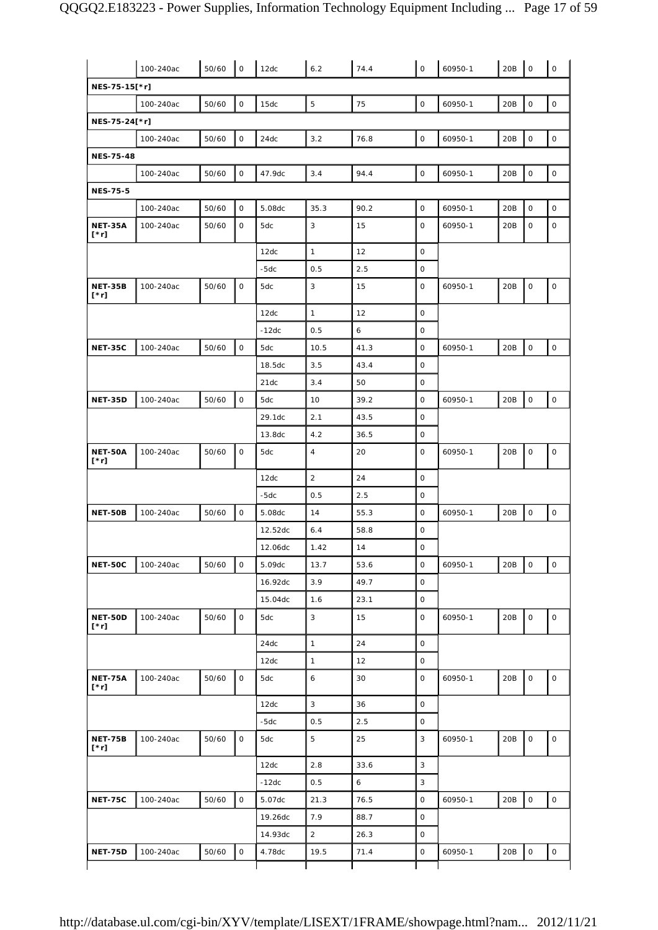|                               | 100-240ac | 50/60 | $\mathsf{O}\xspace$ | 12dc    | 6.2            | 74.4 | $\circ$             | 60950-1 | 20B | $\mathsf O$         | $\mathsf O$         |
|-------------------------------|-----------|-------|---------------------|---------|----------------|------|---------------------|---------|-----|---------------------|---------------------|
| NES-75-15[*r]                 |           |       |                     |         |                |      |                     |         |     |                     |                     |
|                               | 100-240ac | 50/60 | 0                   | 15dc    | 5              | 75   | 0                   | 60950-1 | 20B | $\mathsf O$         | 0                   |
| NES-75-24[*r]                 |           |       |                     |         |                |      |                     |         |     |                     |                     |
|                               | 100-240ac | 50/60 | O                   | 24dc    | 3.2            | 76.8 | $\mathsf O$         | 60950-1 | 20B | $\mathsf O$         | $\mathsf O$         |
| <b>NES-75-48</b>              |           |       |                     |         |                |      |                     |         |     |                     |                     |
|                               | 100-240ac | 50/60 | 0                   | 47.9dc  | 3.4            | 94.4 | $\mathsf O$         | 60950-1 | 20B | $\mathsf{O}\xspace$ | 0                   |
| <b>NES-75-5</b>               |           |       |                     |         |                |      |                     |         |     |                     |                     |
|                               | 100-240ac | 50/60 | 0                   | 5.08dc  | 35.3           | 90.2 | $\mathsf O$         | 60950-1 | 20B | $\mathsf O$         | $\mathsf O$         |
| <b>NET-35A</b><br>$[\cdot r]$ | 100-240ac | 50/60 | O                   | 5dc     | 3              | 15   | $\circ$             | 60950-1 | 20B | $\mathsf O$         | 0                   |
|                               |           |       |                     | 12dc    | $\mathbf{1}$   | 12   | $\mathsf O$         |         |     |                     |                     |
|                               |           |       |                     | $-5dc$  | 0.5            | 2.5  | $\mathsf O$         |         |     |                     |                     |
| <b>NET-35B</b><br>[*r]        | 100-240ac | 50/60 | $\mathsf{O}$        | 5dc     | 3              | 15   | 0                   | 60950-1 | 20B | $\mathsf O$         | $\mathsf O$         |
|                               |           |       |                     | 12dc    | $\mathbf{1}$   | 12   | $\mathsf{O}\xspace$ |         |     |                     |                     |
|                               |           |       |                     | $-12dc$ | 0.5            | 6    | 0                   |         |     |                     |                     |
| <b>NET-35C</b>                | 100-240ac | 50/60 | $\mathsf{O}\xspace$ | 5dc     | 10.5           | 41.3 | 0                   | 60950-1 | 20B | $\mathsf O$         | $\mathsf{O}$        |
|                               |           |       |                     | 18.5dc  | 3.5            | 43.4 | $\mathsf O$         |         |     |                     |                     |
|                               |           |       |                     | 21dc    | 3.4            | 50   | $\mathsf O$         |         |     |                     |                     |
| <b>NET-35D</b>                | 100-240ac | 50/60 | $\mathsf O$         | 5dc     | 10             | 39.2 | 0                   | 60950-1 | 20B | $\mathsf O$         | $\mathsf{O}$        |
|                               |           |       |                     | 29.1dc  | 2.1            | 43.5 | $\mathsf O$         |         |     |                     |                     |
|                               |           |       |                     | 13.8dc  | 4.2            | 36.5 | 0                   |         |     |                     |                     |
| <b>NET-50A</b><br>$[\cdot r]$ | 100-240ac | 50/60 | 0                   | 5dc     | $\overline{4}$ | 20   | 0                   | 60950-1 | 20B | $\mathsf O$         | 0                   |
|                               |           |       |                     | 12dc    | $\overline{a}$ | 24   | 0                   |         |     |                     |                     |
|                               |           |       |                     | -5dc    | 0.5            | 2.5  | $\mathsf O$         |         |     |                     |                     |
| NET-50B                       | 100-240ac | 50/60 | $\mathsf{O}\xspace$ | 5.08dc  | 14             | 55.3 | $\mathsf O$         | 60950-1 | 20B | $\mathsf O$         | $\mathsf O$         |
|                               |           |       |                     | 12.52dc | 6.4            | 58.8 | $\mathsf O$         |         |     |                     |                     |
|                               |           |       |                     | 12.06dc | 1.42           | 14   | $\circ$             |         |     |                     |                     |
| <b>NET-50C</b>                | 100-240ac | 50/60 | $\mathsf{O}\xspace$ | 5.09dc  | 13.7           | 53.6 | $\mathsf O$         | 60950-1 | 20B | $\mathsf O$         | $\mathsf{O}\xspace$ |
|                               |           |       |                     | 16.92dc | 3.9            | 49.7 | $\mathsf O$         |         |     |                     |                     |
|                               |           |       |                     | 15.04dc | 1.6            | 23.1 | $\mathsf O$         |         |     |                     |                     |
| NET-50D<br>$[\cdot r]$        | 100-240ac | 50/60 | $\mathsf O$         | 5dc     | 3              | 15   | 0                   | 60950-1 | 20B | $\mathsf{O}\xspace$ | 0                   |
|                               |           |       |                     | 24dc    | $\mathbf{1}$   | 24   | 0                   |         |     |                     |                     |
|                               |           |       |                     | 12dc    | $\mathbf{1}$   | 12   | $\mathsf O$         |         |     |                     |                     |
| <b>NET-75A</b><br>$[\cdot r]$ | 100-240ac | 50/60 | 0                   | 5dc     | 6              | 30   | 0                   | 60950-1 | 20B | $\mathsf O$         | $\mathsf{O}\xspace$ |
|                               |           |       |                     | 12dc    | 3              | 36   | $\mathsf{O}\xspace$ |         |     |                     |                     |
|                               |           |       |                     | $-5dc$  | 0.5            | 2.5  | 0                   |         |     |                     |                     |
| <b>NET-75B</b><br>$[\cdot r]$ | 100-240ac | 50/60 | $\mathsf{O}\xspace$ | 5dc     | 5              | 25   | 3                   | 60950-1 | 20B | $\mathsf O$         | 0                   |
|                               |           |       |                     | 12dc    | 2.8            | 33.6 | 3                   |         |     |                     |                     |
|                               |           |       |                     | $-12dc$ | 0.5            | 6    | 3                   |         |     |                     |                     |
| <b>NET-75C</b>                | 100-240ac | 50/60 | $\mathsf{O}\xspace$ | 5.07dc  | 21.3           | 76.5 | 0                   | 60950-1 | 20B | $\mathsf{O}\xspace$ | $\mathsf{O}\xspace$ |
|                               |           |       |                     | 19.26dc | 7.9            | 88.7 | $\mathsf O$         |         |     |                     |                     |
|                               |           |       |                     | 14.93dc | $\overline{a}$ | 26.3 | $\mathsf O$         |         |     |                     |                     |
| <b>NET-75D</b>                | 100-240ac | 50/60 | $\mathsf{O}\xspace$ | 4.78dc  | 19.5           | 71.4 | $\mathsf O$         | 60950-1 | 20B | $\mathsf O$         | $\mathsf O$         |
|                               |           |       |                     |         |                |      |                     |         |     |                     |                     |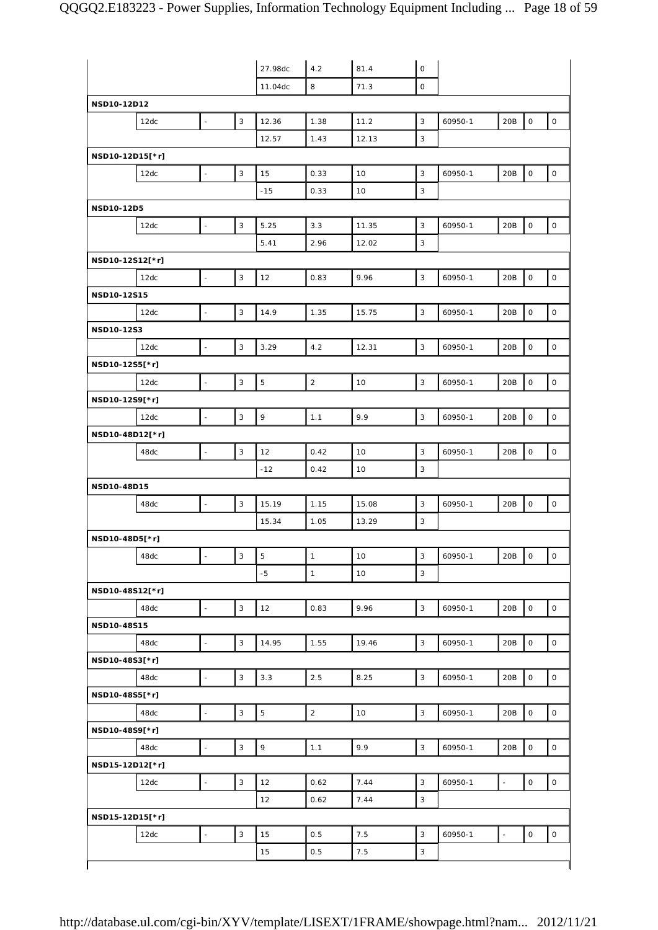| 8<br>71.3<br>$\mathsf O$<br>11.04dc<br>NSD10-12D12<br>3<br>12.36<br>$\mathsf{O}\xspace$<br>1.38<br>11.2<br>3<br>20B<br>12dc<br>60950-1<br>$\overline{\phantom{a}}$<br>3<br>12.57<br>1.43<br>12.13<br>NSD10-12D15[*r]<br>$\mathsf 3$<br>$\mathbf 0$<br>3<br>20B<br>15<br>0.33<br>10<br>12dc<br>$\overline{\phantom{a}}$<br>60950-1<br>3<br>$-15$<br>0.33<br>10<br>NSD10-12D5<br>$\mathbf 0$<br>3<br>5.25<br>3.3<br>3<br>20B<br>11.35<br>60950-1<br>12dc<br>$\overline{a}$<br>2.96<br>3<br>5.41<br>12.02<br>NSD10-12S12[*r]<br>$\mathbf{3}$<br>9.96<br>$\mathbf{3}$<br>$\mathsf{O}\xspace$<br>$\frac{1}{2}$<br>0.83<br>60950-1<br>20B<br>12dc<br>12<br>NSD10-12S15<br>$\mathbf{3}$<br>$\mathbf 0$<br>$\overline{a}$<br>1.35<br>3<br>14.9<br>15.75<br>20B<br>12dc<br>60950-1<br>NSD10-12S3<br>3<br>4.2<br>3.29<br>3<br>60950-1<br>20B<br>0<br>12dc<br>$\overline{\phantom{a}}$<br>12.31<br>NSD10-12S5[*r]<br>$\mathbf 2$<br>$\mathbf{3}$<br>5<br>3<br>$\mathsf{O}\xspace$<br>10<br>20B<br>12dc<br>$\overline{a}$<br>60950-1<br>NSD10-12S9[*r]<br>9<br>$\overline{\phantom{a}}$<br>3<br>1.1<br>9.9<br>$\mathsf{O}\xspace$<br>3<br>60950-1<br>20B<br>12dc<br>NSD10-48D12[*r]<br>$\mathsf{o}$<br>3<br>12<br>0.42<br>10<br>3<br>20B<br>48dc<br>$\overline{\phantom{a}}$<br>60950-1<br>3<br>$-12$<br>0.42<br>10<br>NSD10-48D15<br>$\mathsf{o}$<br>3<br>1.15<br>20B<br>15.19<br>3<br>60950-1<br>48dc<br>$\overline{a}$<br>15.08<br>3<br>15.34<br>1.05<br>13.29<br>NSD10-48D5[*r]<br>$\overline{\phantom{a}}$<br>$\mathbf 5$<br>$\mathsf O$<br>3<br>$\mathbf{1}$<br>10<br>3<br>60950-1<br>20B<br>48dc<br>$-5$<br>$\mathbf{1}$<br>3<br>10<br>NSD10-48S12[*r]<br>3<br>9.96<br>$\mathbf{3}$<br>$\mathsf{O}\xspace$<br>48dc<br>12<br>0.83<br>60950-1<br>20B<br>$\Box$<br>NSD10-48S15<br>$\mathsf{O}\xspace$<br>$\mathbf{3}$<br>14.95<br>1.55<br>$\mathbf{3}$<br>48dc<br>19.46<br>60950-1<br>20B<br>÷,<br>NSD10-48S3[*r]<br>$\mathbf{3}$<br>3.3<br>2.5<br>$\mathbf{3}$<br>$\mathsf{O}\xspace$<br>48dc<br>8.25<br>60950-1<br>20B<br>$\overline{\phantom{a}}$<br>NSD10-48S5[*r]<br>3<br>$\mathbf 5$<br>$\overline{2}$<br>$\mathsf{O}\xspace$<br>10<br>3<br>60950-1<br>20B<br>48dc<br>$\blacksquare$<br>NSD10-48S9[*r]<br>$\mathbf{3}$<br>9<br>1.1<br>9.9<br>$\mathbf{3}$<br>$\mathsf{O}\xspace$<br>48dc<br>60950-1<br>20B<br>$\overline{\phantom{a}}$<br>NSD15-12D12[*r]<br>$\mathbf{3}$<br>$\mathsf{O}\xspace$<br>7.44<br>3<br>$\frac{1}{2}$<br>12<br>0.62<br>60950-1<br>12dc<br>$\overline{a}$ |  |  | 27.98dc | 4.2 | 81.4 | $\mathsf O$ |  |                     |
|---------------------------------------------------------------------------------------------------------------------------------------------------------------------------------------------------------------------------------------------------------------------------------------------------------------------------------------------------------------------------------------------------------------------------------------------------------------------------------------------------------------------------------------------------------------------------------------------------------------------------------------------------------------------------------------------------------------------------------------------------------------------------------------------------------------------------------------------------------------------------------------------------------------------------------------------------------------------------------------------------------------------------------------------------------------------------------------------------------------------------------------------------------------------------------------------------------------------------------------------------------------------------------------------------------------------------------------------------------------------------------------------------------------------------------------------------------------------------------------------------------------------------------------------------------------------------------------------------------------------------------------------------------------------------------------------------------------------------------------------------------------------------------------------------------------------------------------------------------------------------------------------------------------------------------------------------------------------------------------------------------------------------------------------------------------------------------------------------------------------------------------------------------------------------------------------------------------------------------------------------------------------------------------------------------------------------------------------------------------------------------------------------------------------------------------------------------------------------------|--|--|---------|-----|------|-------------|--|---------------------|
|                                                                                                                                                                                                                                                                                                                                                                                                                                                                                                                                                                                                                                                                                                                                                                                                                                                                                                                                                                                                                                                                                                                                                                                                                                                                                                                                                                                                                                                                                                                                                                                                                                                                                                                                                                                                                                                                                                                                                                                                                                                                                                                                                                                                                                                                                                                                                                                                                                                                                 |  |  |         |     |      |             |  |                     |
|                                                                                                                                                                                                                                                                                                                                                                                                                                                                                                                                                                                                                                                                                                                                                                                                                                                                                                                                                                                                                                                                                                                                                                                                                                                                                                                                                                                                                                                                                                                                                                                                                                                                                                                                                                                                                                                                                                                                                                                                                                                                                                                                                                                                                                                                                                                                                                                                                                                                                 |  |  |         |     |      |             |  |                     |
|                                                                                                                                                                                                                                                                                                                                                                                                                                                                                                                                                                                                                                                                                                                                                                                                                                                                                                                                                                                                                                                                                                                                                                                                                                                                                                                                                                                                                                                                                                                                                                                                                                                                                                                                                                                                                                                                                                                                                                                                                                                                                                                                                                                                                                                                                                                                                                                                                                                                                 |  |  |         |     |      |             |  | $\mathsf{O}\xspace$ |
|                                                                                                                                                                                                                                                                                                                                                                                                                                                                                                                                                                                                                                                                                                                                                                                                                                                                                                                                                                                                                                                                                                                                                                                                                                                                                                                                                                                                                                                                                                                                                                                                                                                                                                                                                                                                                                                                                                                                                                                                                                                                                                                                                                                                                                                                                                                                                                                                                                                                                 |  |  |         |     |      |             |  |                     |
|                                                                                                                                                                                                                                                                                                                                                                                                                                                                                                                                                                                                                                                                                                                                                                                                                                                                                                                                                                                                                                                                                                                                                                                                                                                                                                                                                                                                                                                                                                                                                                                                                                                                                                                                                                                                                                                                                                                                                                                                                                                                                                                                                                                                                                                                                                                                                                                                                                                                                 |  |  |         |     |      |             |  |                     |
|                                                                                                                                                                                                                                                                                                                                                                                                                                                                                                                                                                                                                                                                                                                                                                                                                                                                                                                                                                                                                                                                                                                                                                                                                                                                                                                                                                                                                                                                                                                                                                                                                                                                                                                                                                                                                                                                                                                                                                                                                                                                                                                                                                                                                                                                                                                                                                                                                                                                                 |  |  |         |     |      |             |  | $\circ$             |
|                                                                                                                                                                                                                                                                                                                                                                                                                                                                                                                                                                                                                                                                                                                                                                                                                                                                                                                                                                                                                                                                                                                                                                                                                                                                                                                                                                                                                                                                                                                                                                                                                                                                                                                                                                                                                                                                                                                                                                                                                                                                                                                                                                                                                                                                                                                                                                                                                                                                                 |  |  |         |     |      |             |  |                     |
|                                                                                                                                                                                                                                                                                                                                                                                                                                                                                                                                                                                                                                                                                                                                                                                                                                                                                                                                                                                                                                                                                                                                                                                                                                                                                                                                                                                                                                                                                                                                                                                                                                                                                                                                                                                                                                                                                                                                                                                                                                                                                                                                                                                                                                                                                                                                                                                                                                                                                 |  |  |         |     |      |             |  |                     |
|                                                                                                                                                                                                                                                                                                                                                                                                                                                                                                                                                                                                                                                                                                                                                                                                                                                                                                                                                                                                                                                                                                                                                                                                                                                                                                                                                                                                                                                                                                                                                                                                                                                                                                                                                                                                                                                                                                                                                                                                                                                                                                                                                                                                                                                                                                                                                                                                                                                                                 |  |  |         |     |      |             |  | $\circ$             |
|                                                                                                                                                                                                                                                                                                                                                                                                                                                                                                                                                                                                                                                                                                                                                                                                                                                                                                                                                                                                                                                                                                                                                                                                                                                                                                                                                                                                                                                                                                                                                                                                                                                                                                                                                                                                                                                                                                                                                                                                                                                                                                                                                                                                                                                                                                                                                                                                                                                                                 |  |  |         |     |      |             |  |                     |
|                                                                                                                                                                                                                                                                                                                                                                                                                                                                                                                                                                                                                                                                                                                                                                                                                                                                                                                                                                                                                                                                                                                                                                                                                                                                                                                                                                                                                                                                                                                                                                                                                                                                                                                                                                                                                                                                                                                                                                                                                                                                                                                                                                                                                                                                                                                                                                                                                                                                                 |  |  |         |     |      |             |  |                     |
|                                                                                                                                                                                                                                                                                                                                                                                                                                                                                                                                                                                                                                                                                                                                                                                                                                                                                                                                                                                                                                                                                                                                                                                                                                                                                                                                                                                                                                                                                                                                                                                                                                                                                                                                                                                                                                                                                                                                                                                                                                                                                                                                                                                                                                                                                                                                                                                                                                                                                 |  |  |         |     |      |             |  | $\mathsf O$         |
|                                                                                                                                                                                                                                                                                                                                                                                                                                                                                                                                                                                                                                                                                                                                                                                                                                                                                                                                                                                                                                                                                                                                                                                                                                                                                                                                                                                                                                                                                                                                                                                                                                                                                                                                                                                                                                                                                                                                                                                                                                                                                                                                                                                                                                                                                                                                                                                                                                                                                 |  |  |         |     |      |             |  |                     |
|                                                                                                                                                                                                                                                                                                                                                                                                                                                                                                                                                                                                                                                                                                                                                                                                                                                                                                                                                                                                                                                                                                                                                                                                                                                                                                                                                                                                                                                                                                                                                                                                                                                                                                                                                                                                                                                                                                                                                                                                                                                                                                                                                                                                                                                                                                                                                                                                                                                                                 |  |  |         |     |      |             |  |                     |
|                                                                                                                                                                                                                                                                                                                                                                                                                                                                                                                                                                                                                                                                                                                                                                                                                                                                                                                                                                                                                                                                                                                                                                                                                                                                                                                                                                                                                                                                                                                                                                                                                                                                                                                                                                                                                                                                                                                                                                                                                                                                                                                                                                                                                                                                                                                                                                                                                                                                                 |  |  |         |     |      |             |  | $\mathsf{O}$        |
|                                                                                                                                                                                                                                                                                                                                                                                                                                                                                                                                                                                                                                                                                                                                                                                                                                                                                                                                                                                                                                                                                                                                                                                                                                                                                                                                                                                                                                                                                                                                                                                                                                                                                                                                                                                                                                                                                                                                                                                                                                                                                                                                                                                                                                                                                                                                                                                                                                                                                 |  |  |         |     |      |             |  |                     |
|                                                                                                                                                                                                                                                                                                                                                                                                                                                                                                                                                                                                                                                                                                                                                                                                                                                                                                                                                                                                                                                                                                                                                                                                                                                                                                                                                                                                                                                                                                                                                                                                                                                                                                                                                                                                                                                                                                                                                                                                                                                                                                                                                                                                                                                                                                                                                                                                                                                                                 |  |  |         |     |      |             |  | 0                   |
|                                                                                                                                                                                                                                                                                                                                                                                                                                                                                                                                                                                                                                                                                                                                                                                                                                                                                                                                                                                                                                                                                                                                                                                                                                                                                                                                                                                                                                                                                                                                                                                                                                                                                                                                                                                                                                                                                                                                                                                                                                                                                                                                                                                                                                                                                                                                                                                                                                                                                 |  |  |         |     |      |             |  |                     |
|                                                                                                                                                                                                                                                                                                                                                                                                                                                                                                                                                                                                                                                                                                                                                                                                                                                                                                                                                                                                                                                                                                                                                                                                                                                                                                                                                                                                                                                                                                                                                                                                                                                                                                                                                                                                                                                                                                                                                                                                                                                                                                                                                                                                                                                                                                                                                                                                                                                                                 |  |  |         |     |      |             |  | $\mathsf{O}$        |
|                                                                                                                                                                                                                                                                                                                                                                                                                                                                                                                                                                                                                                                                                                                                                                                                                                                                                                                                                                                                                                                                                                                                                                                                                                                                                                                                                                                                                                                                                                                                                                                                                                                                                                                                                                                                                                                                                                                                                                                                                                                                                                                                                                                                                                                                                                                                                                                                                                                                                 |  |  |         |     |      |             |  |                     |
|                                                                                                                                                                                                                                                                                                                                                                                                                                                                                                                                                                                                                                                                                                                                                                                                                                                                                                                                                                                                                                                                                                                                                                                                                                                                                                                                                                                                                                                                                                                                                                                                                                                                                                                                                                                                                                                                                                                                                                                                                                                                                                                                                                                                                                                                                                                                                                                                                                                                                 |  |  |         |     |      |             |  | $\mathsf O$         |
|                                                                                                                                                                                                                                                                                                                                                                                                                                                                                                                                                                                                                                                                                                                                                                                                                                                                                                                                                                                                                                                                                                                                                                                                                                                                                                                                                                                                                                                                                                                                                                                                                                                                                                                                                                                                                                                                                                                                                                                                                                                                                                                                                                                                                                                                                                                                                                                                                                                                                 |  |  |         |     |      |             |  |                     |
|                                                                                                                                                                                                                                                                                                                                                                                                                                                                                                                                                                                                                                                                                                                                                                                                                                                                                                                                                                                                                                                                                                                                                                                                                                                                                                                                                                                                                                                                                                                                                                                                                                                                                                                                                                                                                                                                                                                                                                                                                                                                                                                                                                                                                                                                                                                                                                                                                                                                                 |  |  |         |     |      |             |  | $\circ$             |
|                                                                                                                                                                                                                                                                                                                                                                                                                                                                                                                                                                                                                                                                                                                                                                                                                                                                                                                                                                                                                                                                                                                                                                                                                                                                                                                                                                                                                                                                                                                                                                                                                                                                                                                                                                                                                                                                                                                                                                                                                                                                                                                                                                                                                                                                                                                                                                                                                                                                                 |  |  |         |     |      |             |  |                     |
|                                                                                                                                                                                                                                                                                                                                                                                                                                                                                                                                                                                                                                                                                                                                                                                                                                                                                                                                                                                                                                                                                                                                                                                                                                                                                                                                                                                                                                                                                                                                                                                                                                                                                                                                                                                                                                                                                                                                                                                                                                                                                                                                                                                                                                                                                                                                                                                                                                                                                 |  |  |         |     |      |             |  |                     |
|                                                                                                                                                                                                                                                                                                                                                                                                                                                                                                                                                                                                                                                                                                                                                                                                                                                                                                                                                                                                                                                                                                                                                                                                                                                                                                                                                                                                                                                                                                                                                                                                                                                                                                                                                                                                                                                                                                                                                                                                                                                                                                                                                                                                                                                                                                                                                                                                                                                                                 |  |  |         |     |      |             |  | $\mathsf{O}\xspace$ |
|                                                                                                                                                                                                                                                                                                                                                                                                                                                                                                                                                                                                                                                                                                                                                                                                                                                                                                                                                                                                                                                                                                                                                                                                                                                                                                                                                                                                                                                                                                                                                                                                                                                                                                                                                                                                                                                                                                                                                                                                                                                                                                                                                                                                                                                                                                                                                                                                                                                                                 |  |  |         |     |      |             |  |                     |
|                                                                                                                                                                                                                                                                                                                                                                                                                                                                                                                                                                                                                                                                                                                                                                                                                                                                                                                                                                                                                                                                                                                                                                                                                                                                                                                                                                                                                                                                                                                                                                                                                                                                                                                                                                                                                                                                                                                                                                                                                                                                                                                                                                                                                                                                                                                                                                                                                                                                                 |  |  |         |     |      |             |  |                     |
|                                                                                                                                                                                                                                                                                                                                                                                                                                                                                                                                                                                                                                                                                                                                                                                                                                                                                                                                                                                                                                                                                                                                                                                                                                                                                                                                                                                                                                                                                                                                                                                                                                                                                                                                                                                                                                                                                                                                                                                                                                                                                                                                                                                                                                                                                                                                                                                                                                                                                 |  |  |         |     |      |             |  | $\mathsf O$         |
|                                                                                                                                                                                                                                                                                                                                                                                                                                                                                                                                                                                                                                                                                                                                                                                                                                                                                                                                                                                                                                                                                                                                                                                                                                                                                                                                                                                                                                                                                                                                                                                                                                                                                                                                                                                                                                                                                                                                                                                                                                                                                                                                                                                                                                                                                                                                                                                                                                                                                 |  |  |         |     |      |             |  |                     |
|                                                                                                                                                                                                                                                                                                                                                                                                                                                                                                                                                                                                                                                                                                                                                                                                                                                                                                                                                                                                                                                                                                                                                                                                                                                                                                                                                                                                                                                                                                                                                                                                                                                                                                                                                                                                                                                                                                                                                                                                                                                                                                                                                                                                                                                                                                                                                                                                                                                                                 |  |  |         |     |      |             |  |                     |
|                                                                                                                                                                                                                                                                                                                                                                                                                                                                                                                                                                                                                                                                                                                                                                                                                                                                                                                                                                                                                                                                                                                                                                                                                                                                                                                                                                                                                                                                                                                                                                                                                                                                                                                                                                                                                                                                                                                                                                                                                                                                                                                                                                                                                                                                                                                                                                                                                                                                                 |  |  |         |     |      |             |  | $\circ$             |
|                                                                                                                                                                                                                                                                                                                                                                                                                                                                                                                                                                                                                                                                                                                                                                                                                                                                                                                                                                                                                                                                                                                                                                                                                                                                                                                                                                                                                                                                                                                                                                                                                                                                                                                                                                                                                                                                                                                                                                                                                                                                                                                                                                                                                                                                                                                                                                                                                                                                                 |  |  |         |     |      |             |  |                     |
|                                                                                                                                                                                                                                                                                                                                                                                                                                                                                                                                                                                                                                                                                                                                                                                                                                                                                                                                                                                                                                                                                                                                                                                                                                                                                                                                                                                                                                                                                                                                                                                                                                                                                                                                                                                                                                                                                                                                                                                                                                                                                                                                                                                                                                                                                                                                                                                                                                                                                 |  |  |         |     |      |             |  | $\circ$             |
|                                                                                                                                                                                                                                                                                                                                                                                                                                                                                                                                                                                                                                                                                                                                                                                                                                                                                                                                                                                                                                                                                                                                                                                                                                                                                                                                                                                                                                                                                                                                                                                                                                                                                                                                                                                                                                                                                                                                                                                                                                                                                                                                                                                                                                                                                                                                                                                                                                                                                 |  |  |         |     |      |             |  |                     |
|                                                                                                                                                                                                                                                                                                                                                                                                                                                                                                                                                                                                                                                                                                                                                                                                                                                                                                                                                                                                                                                                                                                                                                                                                                                                                                                                                                                                                                                                                                                                                                                                                                                                                                                                                                                                                                                                                                                                                                                                                                                                                                                                                                                                                                                                                                                                                                                                                                                                                 |  |  |         |     |      |             |  | $\mathsf{O}$        |
|                                                                                                                                                                                                                                                                                                                                                                                                                                                                                                                                                                                                                                                                                                                                                                                                                                                                                                                                                                                                                                                                                                                                                                                                                                                                                                                                                                                                                                                                                                                                                                                                                                                                                                                                                                                                                                                                                                                                                                                                                                                                                                                                                                                                                                                                                                                                                                                                                                                                                 |  |  |         |     |      |             |  |                     |
|                                                                                                                                                                                                                                                                                                                                                                                                                                                                                                                                                                                                                                                                                                                                                                                                                                                                                                                                                                                                                                                                                                                                                                                                                                                                                                                                                                                                                                                                                                                                                                                                                                                                                                                                                                                                                                                                                                                                                                                                                                                                                                                                                                                                                                                                                                                                                                                                                                                                                 |  |  |         |     |      |             |  | $\circ$             |
|                                                                                                                                                                                                                                                                                                                                                                                                                                                                                                                                                                                                                                                                                                                                                                                                                                                                                                                                                                                                                                                                                                                                                                                                                                                                                                                                                                                                                                                                                                                                                                                                                                                                                                                                                                                                                                                                                                                                                                                                                                                                                                                                                                                                                                                                                                                                                                                                                                                                                 |  |  |         |     |      |             |  |                     |
|                                                                                                                                                                                                                                                                                                                                                                                                                                                                                                                                                                                                                                                                                                                                                                                                                                                                                                                                                                                                                                                                                                                                                                                                                                                                                                                                                                                                                                                                                                                                                                                                                                                                                                                                                                                                                                                                                                                                                                                                                                                                                                                                                                                                                                                                                                                                                                                                                                                                                 |  |  |         |     |      |             |  | $\circ$             |
|                                                                                                                                                                                                                                                                                                                                                                                                                                                                                                                                                                                                                                                                                                                                                                                                                                                                                                                                                                                                                                                                                                                                                                                                                                                                                                                                                                                                                                                                                                                                                                                                                                                                                                                                                                                                                                                                                                                                                                                                                                                                                                                                                                                                                                                                                                                                                                                                                                                                                 |  |  |         |     |      |             |  |                     |
|                                                                                                                                                                                                                                                                                                                                                                                                                                                                                                                                                                                                                                                                                                                                                                                                                                                                                                                                                                                                                                                                                                                                                                                                                                                                                                                                                                                                                                                                                                                                                                                                                                                                                                                                                                                                                                                                                                                                                                                                                                                                                                                                                                                                                                                                                                                                                                                                                                                                                 |  |  |         |     |      |             |  |                     |
|                                                                                                                                                                                                                                                                                                                                                                                                                                                                                                                                                                                                                                                                                                                                                                                                                                                                                                                                                                                                                                                                                                                                                                                                                                                                                                                                                                                                                                                                                                                                                                                                                                                                                                                                                                                                                                                                                                                                                                                                                                                                                                                                                                                                                                                                                                                                                                                                                                                                                 |  |  |         |     |      |             |  | $\circ$             |
| 0.62<br>3<br>12<br>7.44                                                                                                                                                                                                                                                                                                                                                                                                                                                                                                                                                                                                                                                                                                                                                                                                                                                                                                                                                                                                                                                                                                                                                                                                                                                                                                                                                                                                                                                                                                                                                                                                                                                                                                                                                                                                                                                                                                                                                                                                                                                                                                                                                                                                                                                                                                                                                                                                                                                         |  |  |         |     |      |             |  |                     |
| NSD15-12D15[*r]                                                                                                                                                                                                                                                                                                                                                                                                                                                                                                                                                                                                                                                                                                                                                                                                                                                                                                                                                                                                                                                                                                                                                                                                                                                                                                                                                                                                                                                                                                                                                                                                                                                                                                                                                                                                                                                                                                                                                                                                                                                                                                                                                                                                                                                                                                                                                                                                                                                                 |  |  |         |     |      |             |  |                     |
| $\mathbf{3}$<br>$\mathsf{O}\xspace$<br>7.5<br>$\Box$<br>$\Box$<br>0.5<br>3<br>60950-1<br>12dc<br>15                                                                                                                                                                                                                                                                                                                                                                                                                                                                                                                                                                                                                                                                                                                                                                                                                                                                                                                                                                                                                                                                                                                                                                                                                                                                                                                                                                                                                                                                                                                                                                                                                                                                                                                                                                                                                                                                                                                                                                                                                                                                                                                                                                                                                                                                                                                                                                             |  |  |         |     |      |             |  | $\mathsf O$         |
| 15<br>0.5<br>7.5<br>3                                                                                                                                                                                                                                                                                                                                                                                                                                                                                                                                                                                                                                                                                                                                                                                                                                                                                                                                                                                                                                                                                                                                                                                                                                                                                                                                                                                                                                                                                                                                                                                                                                                                                                                                                                                                                                                                                                                                                                                                                                                                                                                                                                                                                                                                                                                                                                                                                                                           |  |  |         |     |      |             |  |                     |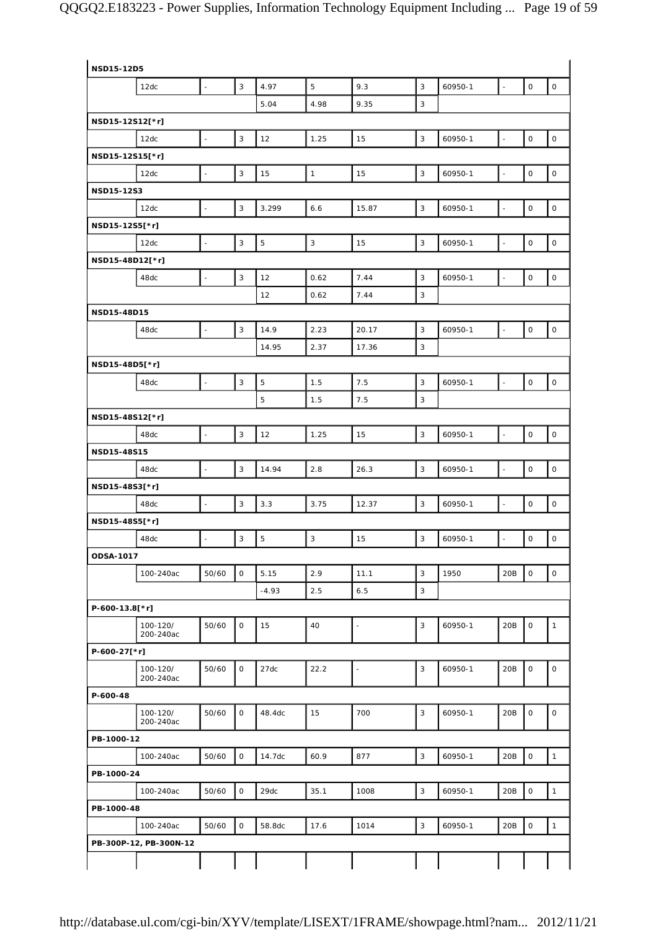| NSD15-12D5       |                        |                          |                           |             |                           |                          |              |         |                          |                     |                     |
|------------------|------------------------|--------------------------|---------------------------|-------------|---------------------------|--------------------------|--------------|---------|--------------------------|---------------------|---------------------|
|                  | 12dc                   | $\overline{\phantom{a}}$ | $\mathbf{3}$              | 4.97        | 5                         | 9.3                      | 3            | 60950-1 | $\blacksquare$           | $\mathsf O$         | $\mathsf O$         |
|                  |                        |                          |                           | 5.04        | 4.98                      | 9.35                     | 3            |         |                          |                     |                     |
| NSD15-12S12[*r]  |                        |                          |                           |             |                           |                          |              |         |                          |                     |                     |
|                  | 12dc                   | $\sim$                   | $\sqrt{3}$                | 12          | 1.25                      | 15                       | $\sqrt{3}$   | 60950-1 | $\overline{\phantom{a}}$ | $\mathsf{O}\xspace$ | $\mathsf{O}$        |
| NSD15-12S15[*r]  |                        |                          |                           |             |                           |                          |              |         |                          |                     |                     |
|                  | 12dc                   | $\overline{\phantom{a}}$ | 3                         | 15          | $\mathbf{1}$              | 15                       | $\mathbf{3}$ | 60950-1 | $\Box$                   | $\mathsf{O}\xspace$ | $\mathsf{O}\xspace$ |
| NSD15-12S3       |                        |                          |                           |             |                           |                          |              |         |                          |                     |                     |
|                  | 12dc                   | $\overline{a}$           | $\mathbf{3}$              | 3.299       | 6.6                       | 15.87                    | $\mathbf{3}$ | 60950-1 | $\overline{\phantom{a}}$ | $\mathsf{O}\xspace$ | $\mathsf O$         |
| NSD15-12S5[*r]   |                        |                          |                           |             |                           |                          |              |         |                          |                     |                     |
|                  | 12dc                   | ÷,                       | $\ensuremath{\mathsf{3}}$ | 5           | $\ensuremath{\mathsf{3}}$ | 15                       | 3            | 60950-1 | $\ddot{\phantom{1}}$     | $\mathsf{O}\xspace$ | $\mathsf O$         |
| NSD15-48D12[*r]  |                        |                          |                           |             |                           |                          |              |         |                          |                     |                     |
|                  | 48dc                   |                          | $\sqrt{3}$                | 12          | 0.62                      | 7.44                     | 3            | 60950-1 | $\overline{\phantom{a}}$ | $\mathsf{O}\xspace$ | $\mathsf O$         |
|                  |                        |                          |                           | 12          | 0.62                      | 7.44                     | 3            |         |                          |                     |                     |
| NSD15-48D15      |                        |                          |                           |             |                           |                          |              |         |                          |                     |                     |
|                  | 48dc                   | $\overline{a}$           | $\overline{3}$            | 14.9        | 2.23                      | 20.17                    | 3            | 60950-1 | $\frac{1}{2}$            | $\mathsf{O}\xspace$ | $\mathsf{O}$        |
|                  |                        |                          |                           | 14.95       | 2.37                      | 17.36                    | 3            |         |                          |                     |                     |
| NSD15-48D5[*r]   |                        |                          |                           |             |                           |                          |              |         |                          |                     |                     |
|                  | 48dc                   |                          | $\sqrt{3}$                | 5           | 1.5                       | 7.5                      | 3            | 60950-1 | $\overline{a}$           | $\mathsf{O}\xspace$ | $\mathsf O$         |
|                  |                        |                          |                           | 5           | 1.5                       | 7.5                      | 3            |         |                          |                     |                     |
| NSD15-48S12[*r]  |                        |                          |                           |             |                           |                          |              |         |                          |                     |                     |
|                  | 48dc                   | $\overline{a}$           | 3                         | 12          | 1.25                      | 15                       | 3            | 60950-1 | $\overline{\phantom{a}}$ | $\mathsf O$         | $\mathsf O$         |
| NSD15-48S15      |                        |                          |                           |             |                           |                          |              |         |                          |                     |                     |
|                  | 48dc                   | $\overline{a}$           | $\mathsf 3$               | 14.94       | 2.8                       | 26.3                     | 3            | 60950-1 | $\overline{\phantom{a}}$ | $\mathsf O$         | $\mathsf{o}$        |
| NSD15-48S3[*r]   |                        |                          |                           |             |                           |                          |              |         |                          |                     |                     |
|                  | 48dc                   | $\blacksquare$           | $\sqrt{3}$                | 3.3         | 3.75                      | 12.37                    | $\mathbf{3}$ | 60950-1 | $\Box$                   | $\mathsf O$         | $\mathsf O$         |
| NSD15-48S5[*r]   |                        |                          |                           |             |                           |                          |              |         |                          |                     |                     |
|                  | 48dc                   |                          | $\overline{3}$            | $\mathbf 5$ | $\mathbf{3}$              | 15                       | 3            | 60950-1 | $\overline{a}$           | $\mathsf O$         | $\mathsf{O}\xspace$ |
| <b>ODSA-1017</b> |                        |                          |                           |             |                           |                          |              |         |                          |                     |                     |
|                  | 100-240ac              | 50/60                    | $\mathsf O$               | 5.15        | 2.9                       | 11.1                     | 3            | 1950    | 20B                      | $\mathsf O$         | $\mathsf O$         |
|                  |                        |                          |                           | $-4.93$     | 2.5                       | 6.5                      | 3            |         |                          |                     |                     |
| P-600-13.8[*r]   |                        |                          |                           |             |                           |                          |              |         |                          |                     |                     |
|                  | 100-120/               | 50/60                    | 0                         | 15          | 40                        | ÷,                       | 3            | 60950-1 | 20B                      | $\mathsf{O}\xspace$ | $\mathbf{1}$        |
|                  | 200-240ac              |                          |                           |             |                           |                          |              |         |                          |                     |                     |
| P-600-27[*r]     |                        |                          |                           |             |                           |                          |              |         |                          |                     |                     |
|                  | 100-120/<br>200-240ac  | 50/60                    | $\mathsf O$               | 27dc        | 22.2                      | $\overline{\phantom{a}}$ | 3            | 60950-1 | 20B                      | $\mathsf O$         | $\mathsf{O}$        |
| P-600-48         |                        |                          |                           |             |                           |                          |              |         |                          |                     |                     |
|                  | 100-120/<br>200-240ac  | 50/60                    | $\mathsf O$               | 48.4dc      | 15                        | 700                      | 3            | 60950-1 | 20B                      | $\mathsf O$         | $\mathsf O$         |
| PB-1000-12       |                        |                          |                           |             |                           |                          |              |         |                          |                     |                     |
|                  | 100-240ac              | 50/60                    | $\mathsf{O}$              | 14.7dc      | 60.9                      | 877                      | $\mathbf{3}$ | 60950-1 | 20B                      | $\mathsf O$         | $\mathbf{1}$        |
|                  |                        |                          |                           |             |                           |                          |              |         |                          |                     |                     |
| PB-1000-24       |                        | 50/60                    | $\mathsf O$               | 29dc        | 35.1                      | 1008                     | 3            |         | 20B                      | $\mathsf{O}\xspace$ | $\mathbf{1}$        |
|                  | 100-240ac              |                          |                           |             |                           |                          |              | 60950-1 |                          |                     |                     |
| PB-1000-48       |                        |                          |                           |             |                           |                          |              |         |                          |                     |                     |
|                  | 100-240ac              | 50/60                    | $\mathsf O$               | 58.8dc      | 17.6                      | 1014                     | 3            | 60950-1 | 20B                      | $\mathsf O$         | $\mathbf{1}$        |
|                  | PB-300P-12, PB-300N-12 |                          |                           |             |                           |                          |              |         |                          |                     |                     |
|                  |                        |                          |                           |             |                           |                          |              |         |                          |                     |                     |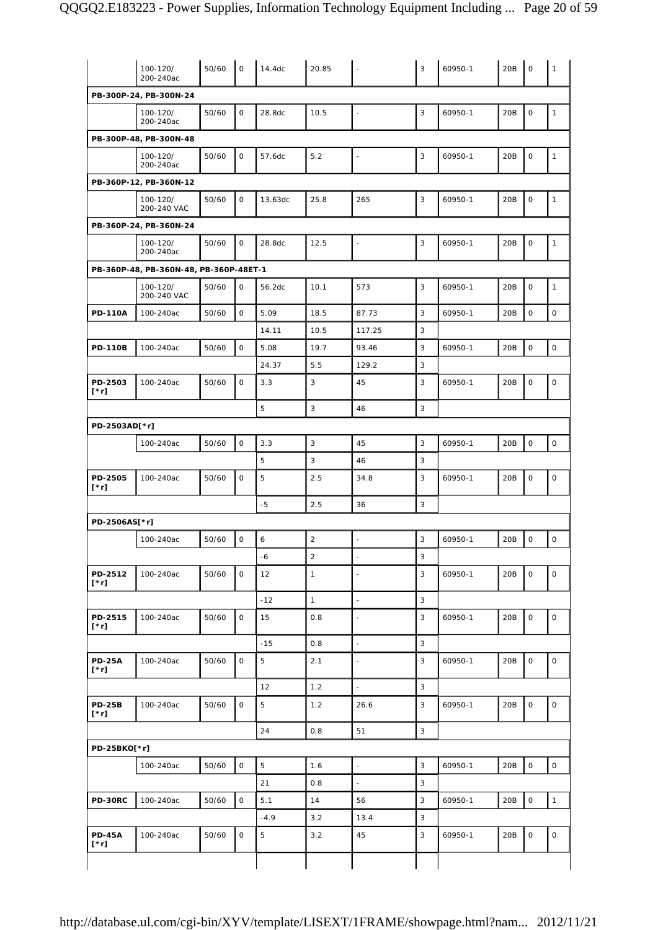|                              | 100-120/<br>200-240ac                  | 50/60 | $\mathbf 0$         | 14.4dc  | 20.85          | $\blacksquare$ | 3              | 60950-1 | 20B | $\mathbf 0$         | $\mathbf{1}$        |
|------------------------------|----------------------------------------|-------|---------------------|---------|----------------|----------------|----------------|---------|-----|---------------------|---------------------|
|                              | PB-300P-24, PB-300N-24                 |       |                     |         |                |                |                |         |     |                     |                     |
|                              | 100-120/<br>200-240ac                  | 50/60 | $\mathsf{O}$        | 28.8dc  | 10.5           | $\blacksquare$ | 3              | 60950-1 | 20B | $\mathsf{O}$        | $\mathbf{1}$        |
|                              | PB-300P-48, PB-300N-48                 |       |                     |         |                |                |                |         |     |                     |                     |
|                              | 100-120/<br>200-240ac                  | 50/60 | $\mathsf{O}$        | 57.6dc  | 5.2            | $\blacksquare$ | 3              | 60950-1 | 20B | $\mathsf{O}$        | $\mathbf{1}$        |
|                              | PB-360P-12, PB-360N-12                 |       |                     |         |                |                |                |         |     |                     |                     |
|                              | 100-120/<br>200-240 VAC                | 50/60 | 0                   | 13.63dc | 25.8           | 265            | 3              | 60950-1 | 20B | $\mathsf O$         | $\mathbf{1}$        |
|                              | PB-360P-24, PB-360N-24                 |       |                     |         |                |                |                |         |     |                     |                     |
|                              | 100-120/<br>200-240ac                  | 50/60 | $\mathsf O$         | 28.8dc  | 12.5           | $\Box$         | 3              | 60950-1 | 20B | $\mathsf{O}$        | $\mathbf{1}$        |
|                              | PB-360P-48, PB-360N-48, PB-360P-48ET-1 |       |                     |         |                |                |                |         |     |                     |                     |
|                              | 100-120/<br>200-240 VAC                | 50/60 | $\mathbf 0$         | 56.2dc  | 10.1           | 573            | 3              | 60950-1 | 20B | $\mathsf O$         | $\mathbf{1}$        |
| <b>PD-110A</b>               | 100-240ac                              | 50/60 | $\mathbf 0$         | 5.09    | 18.5           | 87.73          | 3              | 60950-1 | 20B | $\mathsf{O}\xspace$ | $\mathbf{O}$        |
|                              |                                        |       |                     | 14.11   | 10.5           | 117.25         | 3              |         |     |                     |                     |
| <b>PD-110B</b>               | 100-240ac                              | 50/60 | $\mathsf O$         | 5.08    | 19.7           | 93.46          | 3              | 60950-1 | 20B | $\mathsf O$         | $\mathsf O$         |
|                              |                                        |       |                     | 24.37   | 5.5            | 129.2          | 3              |         |     |                     |                     |
| PD-2503<br>[*r]              | 100-240ac                              | 50/60 | $\mathsf{O}$        | 3.3     | 3              | 45             | 3              | 60950-1 | 20B | $\mathsf O$         | $\mathsf{O}\xspace$ |
|                              |                                        |       |                     | 5       | 3              | 46             | 3              |         |     |                     |                     |
| PD-2503AD[*r]                |                                        |       |                     |         |                |                |                |         |     |                     |                     |
|                              | 100-240ac                              | 50/60 | $\mathsf O$         | 3.3     | 3              | 45             | $\overline{3}$ | 60950-1 | 20B | $\circ$             | $\mathsf O$         |
|                              |                                        |       |                     | 5       | 3              | 46             | 3              |         |     |                     |                     |
| PD-2505<br>[*r]              | 100-240ac                              | 50/60 | $\mathsf O$         | 5       | 2.5            | 34.8           | 3              | 60950-1 | 20B | $\mathsf O$         | $\mathsf O$         |
|                              |                                        |       |                     | $-5$    | 2.5            | 36             | 3              |         |     |                     |                     |
| PD-2506AS[*r]                |                                        |       |                     |         |                |                |                |         |     |                     |                     |
|                              | 100-240ac                              | 50/60 | $\mathsf O$         | 6       | $\overline{c}$ | $\Box$         | 3              | 60950-1 | 20B | $\mathsf O$         | 0                   |
|                              |                                        |       |                     | -6      | $\sqrt{2}$     | $\blacksquare$ | 3              |         |     |                     |                     |
| PD-2512<br>$[\cdot r]$       | 100-240ac                              | 50/60 | 0                   | 12      | $\mathbf{1}$   | $\blacksquare$ | 3              | 60950-1 | 20B | $\mathsf O$         | $\mathsf{O}\xspace$ |
|                              |                                        |       |                     | $-12$   | $\mathbf{1}$   | ÷,             | 3              |         |     |                     |                     |
| PD-2515<br>[*r]              | 100-240ac                              | 50/60 | $\mathsf O$         | 15      | 0.8            | $\blacksquare$ | 3              | 60950-1 | 20B | $\mathsf O$         | 0                   |
|                              |                                        |       |                     | $-15$   | 0.8            | $\Box$         | 3              |         |     |                     |                     |
| <b>PD-25A</b><br>$[\cdot r]$ | 100-240ac                              | 50/60 | $\mathsf O$         | 5       | 2.1            | $\blacksquare$ | 3              | 60950-1 | 20B | $\mathsf O$         | $\mathsf O$         |
|                              |                                        |       |                     | 12      | 1.2            | $\Box$         | 3              |         |     |                     |                     |
| <b>PD-25B</b><br>$[\cdot r]$ | 100-240ac                              | 50/60 | $\mathsf O$         | 5       | 1.2            | 26.6           | 3              | 60950-1 | 20B | 0                   | $\mathsf O$         |
|                              |                                        |       |                     | 24      | 0.8            | 51             | $\mathbf{3}$   |         |     |                     |                     |
| PD-25BKO[*r]                 |                                        |       |                     |         |                |                |                |         |     |                     |                     |
|                              | 100-240ac                              | 50/60 | $\mathsf{O}\xspace$ | 5       | 1.6            | ÷,             | 3              | 60950-1 | 20B | $\mathsf{O}\xspace$ | $\mathsf{O}$        |
|                              |                                        |       |                     | 21      | 0.8            | $\mathbb{Z}$   | 3              |         |     |                     |                     |
| PD-30RC                      | 100-240ac                              | 50/60 | $\mathsf{O}\xspace$ | 5.1     | 14             | 56             | 3              | 60950-1 | 20B | $\mathsf O$         | $\mathbf{1}$        |
|                              |                                        |       |                     | $-4.9$  | 3.2            | 13.4           | 3              |         |     |                     |                     |
| <b>PD-45A</b>                | 100-240ac                              | 50/60 | $\mathsf O$         | 5       | 3.2            | 45             | 3              | 60950-1 | 20B | 0                   | $\mathsf O$         |
| $[\cdot r]$                  |                                        |       |                     |         |                |                |                |         |     |                     |                     |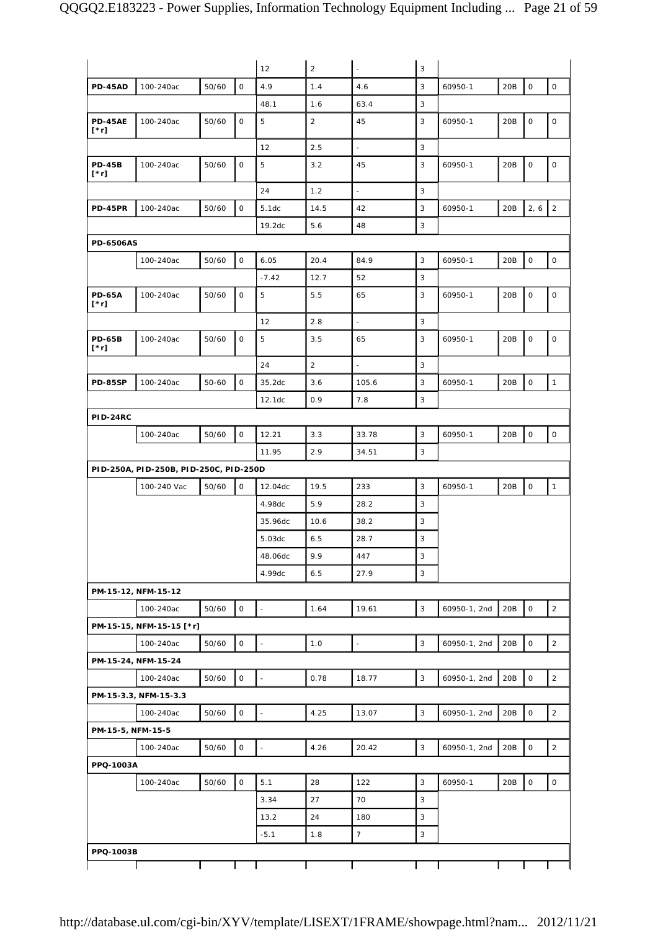|                              |                                        |           |                     | 12                       | $\overline{2}$ | $\Box$                   | 3            |              |     |                     |                     |
|------------------------------|----------------------------------------|-----------|---------------------|--------------------------|----------------|--------------------------|--------------|--------------|-----|---------------------|---------------------|
| <b>PD-45AD</b>               | 100-240ac                              | 50/60     | $\mathbf 0$         | 4.9                      | 1.4            | 4.6                      | 3            | 60950-1      | 20B | $\mathsf O$         | $\mathsf O$         |
|                              |                                        |           |                     | 48.1                     | 1.6            | 63.4                     | 3            |              |     |                     |                     |
| <b>PD-45AE</b>               | 100-240ac                              | 50/60     | $\mathbf 0$         | 5                        | $\overline{2}$ | 45                       | 3            | 60950-1      | 20B | $\mathsf{O}$        | 0                   |
| $[\cdot r]$                  |                                        |           |                     |                          |                |                          |              |              |     |                     |                     |
|                              |                                        |           |                     | 12                       | 2.5            | $\Box$                   | 3            |              |     |                     |                     |
| <b>PD-45B</b><br>$[\cdot r]$ | 100-240ac                              | 50/60     | 0                   | 5                        | 3.2            | 45                       | 3            | 60950-1      | 20B | 0                   | 0                   |
|                              |                                        |           |                     | 24                       | 1.2            | $\overline{\phantom{a}}$ | 3            |              |     |                     |                     |
| <b>PD-45PR</b>               | 100-240ac                              | 50/60     | $\mathsf O$         | 5.1dc                    | 14.5           | 42                       | 3            | 60950-1      | 20B | $2, 6$   2          |                     |
|                              |                                        |           |                     | 19.2dc                   | 5.6            | 48                       | 3            |              |     |                     |                     |
| <b>PD-6506AS</b>             |                                        |           |                     |                          |                |                          |              |              |     |                     |                     |
|                              | 100-240ac                              | 50/60     | 0                   | 6.05                     | 20.4           | 84.9                     | 3            | 60950-1      | 20B | $\mathbf 0$         | $\mathsf O$         |
|                              |                                        |           |                     | $-7.42$                  | 12.7           | 52                       | 3            |              |     |                     |                     |
| <b>PD-65A</b><br>$[\cdot r]$ | 100-240ac                              | 50/60     | 0                   | 5                        | 5.5            | 65                       | 3            | 60950-1      | 20B | 0                   | $\mathsf O$         |
|                              |                                        |           |                     | 12                       | 2.8            | ä,                       | 3            |              |     |                     |                     |
| <b>PD-65B</b><br>$[\cdot r]$ | 100-240ac                              | 50/60     | 0                   | 5                        | 3.5            | 65                       | 3            | 60950-1      | 20B | 0                   | 0                   |
|                              |                                        |           |                     | 24                       | $\overline{2}$ | $\overline{\phantom{a}}$ | 3            |              |     |                     |                     |
| <b>PD-85SP</b>               | 100-240ac                              | $50 - 60$ | $\mathsf{O}\xspace$ | 35.2dc                   | 3.6            | 105.6                    | 3            | 60950-1      | 20B | $\mathsf O$         | $\mathbf{1}$        |
|                              |                                        |           |                     | 12.1dc                   | 0.9            | 7.8                      | 3            |              |     |                     |                     |
| <b>PID-24RC</b>              |                                        |           |                     |                          |                |                          |              |              |     |                     |                     |
|                              | 100-240ac                              | 50/60     | 0                   | 12.21                    | 3.3            | 33.78                    | 3            | 60950-1      | 20B | $\mathsf O$         | $\mathsf{O}$        |
|                              |                                        |           |                     | 11.95                    | 2.9            | 34.51                    | 3            |              |     |                     |                     |
|                              | PID-250A, PID-250B, PID-250C, PID-250D |           |                     |                          |                |                          |              |              |     |                     |                     |
|                              | 100-240 Vac                            | 50/60     | 0                   | 12.04dc                  | 19.5           | 233                      | 3            | 60950-1      | 20B | 0                   | $\mathbf{1}$        |
|                              |                                        |           |                     | 4.98dc                   | 5.9            | 28.2                     | 3            |              |     |                     |                     |
|                              |                                        |           |                     | 35.96dc                  | 10.6           | 38.2                     | 3            |              |     |                     |                     |
|                              |                                        |           |                     | 5.03dc                   | 6.5            | 28.7                     | 3            |              |     |                     |                     |
|                              |                                        |           |                     | 48.06dc                  | 9.9            | 447                      | 3            |              |     |                     |                     |
|                              |                                        |           |                     | 4.99dc                   | 6.5            | 27.9                     | $\mathbf{3}$ |              |     |                     |                     |
|                              | PM-15-12, NFM-15-12                    |           |                     |                          |                |                          |              |              |     |                     |                     |
|                              | 100-240ac                              | 50/60     | $\mathsf{O}$        | $\overline{\phantom{a}}$ | 1.64           | 19.61                    | 3            | 60950-1, 2nd | 20B | $\mathsf{O}$        | $\overline{2}$      |
|                              | PM-15-15, NFM-15-15 [*r]               |           |                     |                          |                |                          |              |              |     |                     |                     |
|                              | 100-240ac                              | 50/60     | $\mathsf{O}\xspace$ | $\blacksquare$           | 1.0            | $\Box$                   | 3            | 60950-1, 2nd | 20B | $\mathsf O$         | $\overline{2}$      |
|                              | PM-15-24, NFM-15-24                    |           |                     |                          |                |                          |              |              |     |                     |                     |
|                              | 100-240ac                              | 50/60     | 0                   | $\overline{\phantom{a}}$ | 0.78           | 18.77                    | 3            | 60950-1, 2nd | 20B | $\mathsf{O}$        | $\overline{2}$      |
|                              | PM-15-3.3, NFM-15-3.3                  |           |                     |                          |                |                          |              |              |     |                     |                     |
|                              | 100-240ac                              | 50/60     | 0                   | $\Box$                   | 4.25           | 13.07                    | 3            | 60950-1, 2nd | 20B | $\mathsf{O}\xspace$ | $\overline{2}$      |
| PM-15-5, NFM-15-5            |                                        |           |                     |                          |                |                          |              |              |     |                     |                     |
|                              | 100-240ac                              | 50/60     | 0                   | $\blacksquare$           | 4.26           | 20.42                    | 3            | 60950-1, 2nd | 20B | $\mathsf O$         | $\overline{2}$      |
| PPQ-1003A                    |                                        |           |                     |                          |                |                          |              |              |     |                     |                     |
|                              | 100-240ac                              | 50/60     | $\mathsf{O}$        | 5.1                      | 28             | 122                      | 3            | 60950-1      | 20B | 0                   | $\mathsf{O}\xspace$ |
|                              |                                        |           |                     | 3.34                     | 27             | 70                       | 3            |              |     |                     |                     |
|                              |                                        |           |                     | 13.2                     | 24             | 180                      | 3            |              |     |                     |                     |
|                              |                                        |           |                     | $-5.1$                   | 1.8            | $\overline{7}$           | 3            |              |     |                     |                     |
| PPQ-1003B                    |                                        |           |                     |                          |                |                          |              |              |     |                     |                     |
|                              |                                        |           |                     |                          |                |                          |              |              |     |                     |                     |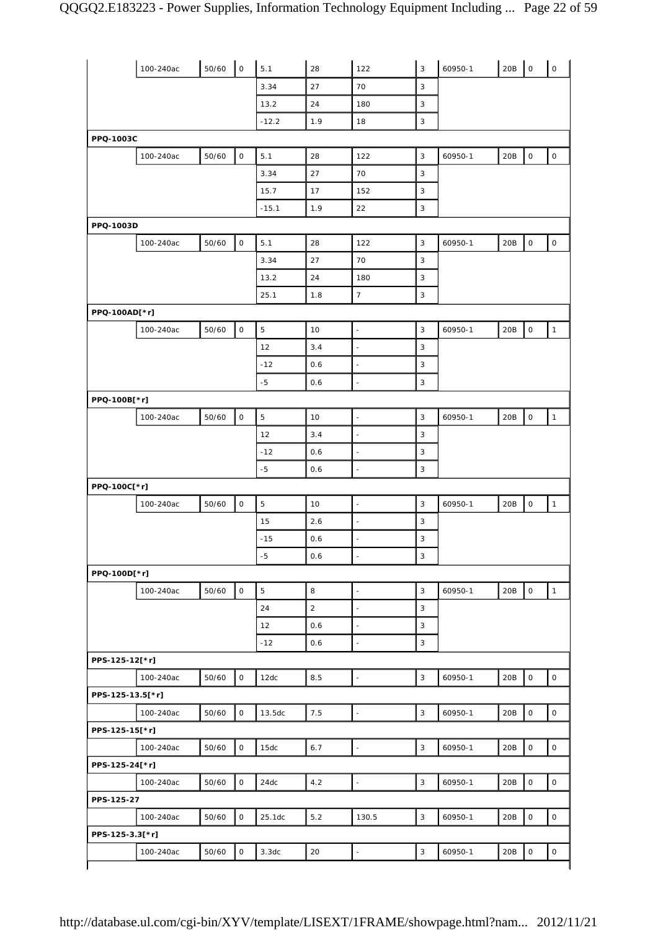|                  | 100-240ac | 50/60 | $\mathsf{O}\xspace$ | 5.1         | 28          | 122                      | 3            | 60950-1 | 20B | $\mathsf{O}$        | $\mathsf{O}$        |
|------------------|-----------|-------|---------------------|-------------|-------------|--------------------------|--------------|---------|-----|---------------------|---------------------|
|                  |           |       |                     | 3.34        | 27          | 70                       | $\mathbf{3}$ |         |     |                     |                     |
|                  |           |       |                     | 13.2        | 24          | 180                      | 3            |         |     |                     |                     |
|                  |           |       |                     | $-12.2$     | 1.9         | 18                       | $\mathbf{3}$ |         |     |                     |                     |
| PPQ-1003C        |           |       |                     |             |             |                          |              |         |     |                     |                     |
|                  | 100-240ac | 50/60 | $\mathsf O$         | 5.1         | 28          | 122                      | 3            | 60950-1 | 20B | $\mathsf{O}\xspace$ | $\mathsf{O}\xspace$ |
|                  |           |       |                     | 3.34        | 27          | 70                       | 3            |         |     |                     |                     |
|                  |           |       |                     | 15.7        | 17          | 152                      | $\mathbf{3}$ |         |     |                     |                     |
|                  |           |       |                     | $-15.1$     | 1.9         | 22                       | 3            |         |     |                     |                     |
| PPQ-1003D        |           |       |                     |             |             |                          |              |         |     |                     |                     |
|                  | 100-240ac | 50/60 | $\mathsf{O}\xspace$ | 5.1         | 28          | 122                      | 3            | 60950-1 | 20B | $\mathsf O$         | $\mathsf{O}\xspace$ |
|                  |           |       |                     | 3.34        | 27          | 70                       | 3            |         |     |                     |                     |
|                  |           |       |                     | 13.2        | 24          | 180                      | 3            |         |     |                     |                     |
|                  |           |       |                     | 25.1        | 1.8         | $\boldsymbol{7}$         | $\mathbf{3}$ |         |     |                     |                     |
| PPQ-100AD[*r]    |           |       |                     |             |             |                          |              |         |     |                     |                     |
|                  | 100-240ac | 50/60 | $\mathsf O$         | $\mathbf 5$ | 10          | $\blacksquare$           | 3            | 60950-1 | 20B | $\mathsf{O}\xspace$ | $\mathbf{1}$        |
|                  |           |       |                     | 12          | 3.4         | $\blacksquare$           | 3            |         |     |                     |                     |
|                  |           |       |                     | $-12$       | 0.6         | $\blacksquare$           | 3            |         |     |                     |                     |
|                  |           |       |                     | $-5$        | 0.6         | $\overline{a}$           | 3            |         |     |                     |                     |
| PPQ-100B[*r]     |           |       |                     |             |             |                          |              |         |     |                     |                     |
|                  | 100-240ac | 50/60 | $\mathsf{O}\xspace$ | $\mathbf 5$ | 10          | $\overline{\phantom{a}}$ | 3            | 60950-1 | 20B | $\mathsf{O}\xspace$ | $\mathbf{1}$        |
|                  |           |       |                     | 12          | 3.4         | ÷,                       | 3            |         |     |                     |                     |
|                  |           |       |                     | $-12$       | 0.6         | $\Box$                   | 3            |         |     |                     |                     |
|                  |           |       |                     | $-5$        | 0.6         | $\overline{\phantom{a}}$ | $\mathbf{3}$ |         |     |                     |                     |
| PPQ-100C[*r]     |           |       |                     |             |             |                          |              |         |     |                     |                     |
|                  | 100-240ac | 50/60 | $\mathsf O$         | $\mathbf 5$ | 10          | $\Box$                   | $\mathbf{3}$ | 60950-1 | 20B | $\mathsf{O}\xspace$ | $\mathbf{1}$        |
|                  |           |       |                     | 15          | 2.6         | $\Box$                   | 3            |         |     |                     |                     |
|                  |           |       |                     | $-15$       | 0.6         | L,                       | $\mathbf{3}$ |         |     |                     |                     |
|                  |           |       |                     | $-5$        | 0.6         | $\blacksquare$           | 3            |         |     |                     |                     |
| PPQ-100D[*r]     |           |       |                     |             |             |                          |              |         |     |                     |                     |
|                  | 100-240ac | 50/60 | $\circ$             | $\mathbf 5$ | 8           | $\overline{\phantom{a}}$ | $\mathbf{3}$ | 60950-1 | 20B | $\mathsf{o}$        | $\mathbf{1}$        |
|                  |           |       |                     | 24          | $\mathbf 2$ | $\bar{\phantom{a}}$      | 3            |         |     |                     |                     |
|                  |           |       |                     | 12          | 0.6         | $\Box$                   | 3            |         |     |                     |                     |
|                  |           |       |                     | $-12$       | 0.6         | $\blacksquare$           | $\mathbf{3}$ |         |     |                     |                     |
| PPS-125-12[*r]   |           |       |                     |             |             |                          |              |         |     |                     |                     |
|                  | 100-240ac | 50/60 | $\circ$             | 12dc        | 8.5         | $\bar{\phantom{a}}$      | $\mathbf{3}$ | 60950-1 | 20B | $\mathsf{O}$        | $\mathsf{O}$        |
| PPS-125-13.5[*r] |           |       |                     |             |             |                          |              |         |     |                     |                     |
|                  | 100-240ac | 50/60 | $\mathsf O$         | 13.5dc      | 7.5         | $\overline{\phantom{a}}$ | $\mathbf{3}$ | 60950-1 | 20B | $\mathsf O$         | $\mathsf{O}\xspace$ |
|                  |           |       |                     |             |             |                          |              |         |     |                     |                     |
| PPS-125-15[*r]   |           |       |                     |             |             |                          |              |         |     |                     |                     |
|                  | 100-240ac | 50/60 | $\mathsf O$         | 15dc        | 6.7         | $\Box$                   | $\mathbf{3}$ | 60950-1 | 20B | $\mathsf O$         | $\circ$             |
| PPS-125-24[*r]   |           |       |                     |             |             |                          |              |         |     |                     |                     |
|                  | 100-240ac | 50/60 | $\mathsf{O}\xspace$ | 24dc        | 4.2         | $\Box$                   | $\sqrt{3}$   | 60950-1 | 20B | $\mathsf O$         | $\mathsf{O}\xspace$ |
| PPS-125-27       |           |       |                     |             |             |                          |              |         |     |                     |                     |
|                  | 100-240ac | 50/60 | $\mathsf{O}$        | 25.1dc      | $5.2$       | 130.5                    | 3            | 60950-1 | 20B | $\mathsf{O}\xspace$ | $\mathsf{O}\xspace$ |
| PPS-125-3.3[*r]  |           |       |                     |             |             |                          |              |         |     |                     |                     |
|                  | 100-240ac | 50/60 | $\mathsf{O}\xspace$ | 3.3dc       | 20          | $\overline{\phantom{a}}$ | $\mathbf{3}$ | 60950-1 | 20B | $\mathsf{O}\xspace$ | 0                   |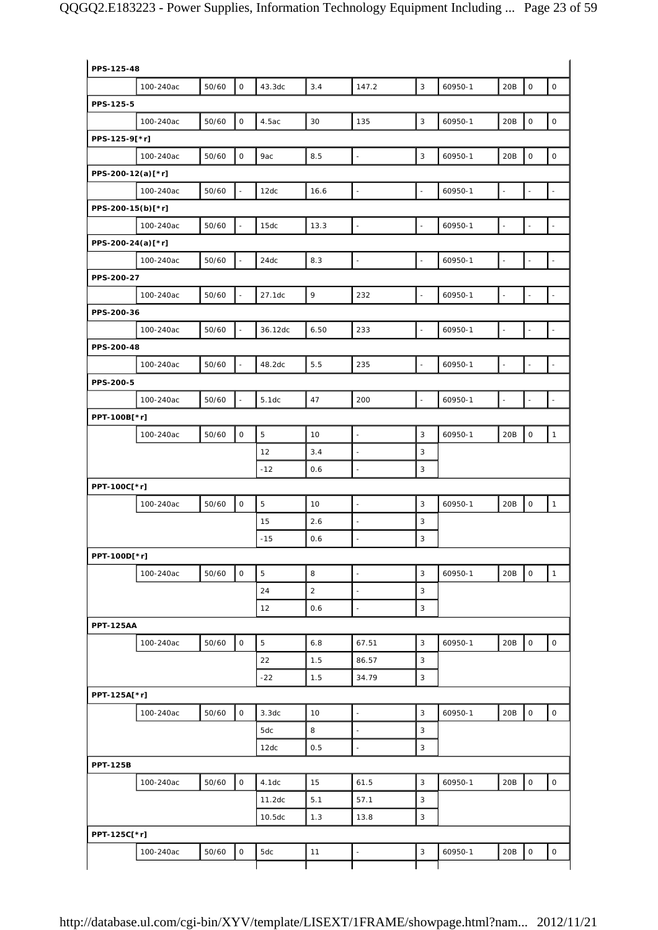| PPS-125-48        |           |       |                     |                    |                |                     |                           |         |                |                     |                          |
|-------------------|-----------|-------|---------------------|--------------------|----------------|---------------------|---------------------------|---------|----------------|---------------------|--------------------------|
|                   | 100-240ac | 50/60 | 0                   | 43.3dc             | 3.4            | 147.2               | 3                         | 60950-1 | 20B            | 0                   | $\mathsf O$              |
| PPS-125-5         |           |       |                     |                    |                |                     |                           |         |                |                     |                          |
|                   | 100-240ac | 50/60 | $\mathsf O$         | 4.5ac              | 30             | 135                 | $\mathbf{3}$              | 60950-1 | 20B            | $\mathsf O$         | $\mathsf O$              |
| PPS-125-9[*r]     |           |       |                     |                    |                |                     |                           |         |                |                     |                          |
|                   | 100-240ac | 50/60 | $\mathsf O$         | 9ac                | 8.5            | $\Box$              | 3                         | 60950-1 | 20B            | $\mathsf O$         | $\mathsf{O}\xspace$      |
| PPS-200-12(a)[*r] |           |       |                     |                    |                |                     |                           |         |                |                     |                          |
|                   | 100-240ac | 50/60 | $\sim$              | 12dc               | 16.6           | $\omega$            | $\omega$                  | 60950-1 | $\blacksquare$ | $\blacksquare$      | $\sim$                   |
| PPS-200-15(b)[*r] |           |       |                     |                    |                |                     |                           |         |                |                     |                          |
|                   | 100-240ac | 50/60 |                     | 15dc               | 13.3           | $\blacksquare$      | $\blacksquare$            | 60950-1 | $\frac{1}{2}$  | $\omega$            | $\overline{\phantom{a}}$ |
| PPS-200-24(a)[*r] |           |       |                     |                    |                |                     |                           |         |                |                     |                          |
|                   | 100-240ac | 50/60 | $\omega$            | 24dc               | 8.3            | $\omega$            | $\omega$                  | 60950-1 | $\omega$       | $\omega$            | $\omega$                 |
| PPS-200-27        |           |       |                     |                    |                |                     |                           |         |                |                     |                          |
|                   | 100-240ac | 50/60 | $\mathcal{L}$       | 27.1dc             | 9              | 232                 | $\bar{\omega}$            | 60950-1 | $\blacksquare$ | $\blacksquare$      | $\bar{\phantom{a}}$      |
| PPS-200-36        |           |       |                     |                    |                |                     |                           |         |                |                     |                          |
|                   | 100-240ac | 50/60 |                     | 36.12dc            | 6.50           | 233                 | $\omega$                  | 60950-1 | $\blacksquare$ | $\overline{a}$      | $\overline{a}$           |
| PPS-200-48        |           |       |                     |                    |                |                     |                           |         |                |                     |                          |
|                   | 100-240ac | 50/60 | $\omega$            | 48.2dc             | 5.5            | 235                 | $\overline{\phantom{a}}$  | 60950-1 | $\blacksquare$ | $\omega$            | $\overline{\phantom{a}}$ |
| PPS-200-5         |           |       |                     |                    |                |                     |                           |         |                |                     |                          |
|                   |           |       |                     |                    |                |                     |                           |         |                |                     |                          |
|                   | 100-240ac | 50/60 | $\omega$            | 5.1dc              | 47             | 200                 | $\overline{\phantom{a}}$  | 60950-1 | $\Box$         | $\blacksquare$      | $\omega$                 |
| PPT-100B[*r]      |           |       |                     |                    |                |                     |                           |         |                |                     |                          |
|                   | 100-240ac | 50/60 | $\mathsf O$         | $\mathbf 5$        | 10             | $\bar{\phantom{a}}$ | 3                         | 60950-1 | 20B            | $\mathsf O$         | $\mathbf{1}$             |
|                   |           |       |                     | 12                 | 3.4            | $\blacksquare$      | 3                         |         |                |                     |                          |
|                   |           |       |                     | $-12$              | 0.6            | $\sim$              | 3                         |         |                |                     |                          |
| PPT-100C[*r]      |           |       |                     |                    |                |                     |                           |         |                |                     |                          |
|                   | 100-240ac | 50/60 | $\mathsf O$         | 5                  | 10             | $\blacksquare$      | 3                         | 60950-1 | 20B            | 0                   | $\mathbf{1}$             |
|                   |           |       |                     | 15                 | 2.6            | $\blacksquare$      | 3                         |         |                |                     |                          |
|                   |           |       |                     | $-15$              | 0.6            | $\Box$              | 3                         |         |                |                     |                          |
| PPT-100D[*r]      |           |       |                     |                    |                |                     |                           |         |                |                     |                          |
|                   | 100-240ac | 50/60 | $\circ$             | $\mathbf 5$        | 8              | $\omega$            | $\mathbf{3}$              | 60950-1 | 20B            | $\mathsf O$         | $\mathbf{1}$             |
|                   |           |       |                     | 24                 | $\overline{c}$ | $\Box$              | $\mathbf{3}$              |         |                |                     |                          |
|                   |           |       |                     | 12                 | 0.6            | $\omega$            | $\mathbf{3}$              |         |                |                     |                          |
| <b>PPT-125AA</b>  |           |       |                     |                    |                |                     |                           |         |                |                     |                          |
|                   | 100-240ac | 50/60 | $\mathsf O$         | 5                  | 6.8            | 67.51               | 3                         | 60950-1 | 20B            | $\mathsf{O}\xspace$ | $\mathsf O$              |
|                   |           |       |                     | 22                 | 1.5            | 86.57               | 3                         |         |                |                     |                          |
|                   |           |       |                     | $-22$              | 1.5            | 34.79               | $\sqrt{3}$                |         |                |                     |                          |
| PPT-125A[*r]      |           |       |                     |                    |                |                     |                           |         |                |                     |                          |
|                   | 100-240ac | 50/60 | $\mathsf O$         | 3.3dc              | 10             | $\Box$              | 3                         | 60950-1 | 20B            | $\mathsf{O}\xspace$ | $\mathsf{O}\xspace$      |
|                   |           |       |                     | 5dc                | 8              | $\omega$            | 3                         |         |                |                     |                          |
|                   |           |       |                     | 12dc               | 0.5            | $\omega$            | $\mathbf{3}$              |         |                |                     |                          |
| <b>PPT-125B</b>   |           |       |                     |                    |                |                     |                           |         |                |                     |                          |
|                   | 100-240ac | 50/60 | $\mathsf{O}$        | 4.1dc              | 15             | 61.5                | 3                         | 60950-1 | 20B            | $\mathsf{O}\xspace$ | $\mathsf{O}\xspace$      |
|                   |           |       |                     | 11.2dc             | 5.1            | 57.1                | 3                         |         |                |                     |                          |
|                   |           |       |                     | 10.5 <sub>dc</sub> | 1.3            | 13.8                | $\ensuremath{\mathsf{3}}$ |         |                |                     |                          |
| PPT-125C[*r]      |           |       |                     |                    |                |                     |                           |         |                |                     |                          |
|                   |           |       | $\mathsf{O}\xspace$ |                    |                |                     | $\mathbf{3}$              |         | 20B            | $\mathsf{O}\xspace$ | $\mathsf O$              |
|                   | 100-240ac | 50/60 |                     | 5dc                | 11             | $\Box$              |                           | 60950-1 |                |                     |                          |
|                   |           |       |                     |                    |                |                     |                           |         |                |                     |                          |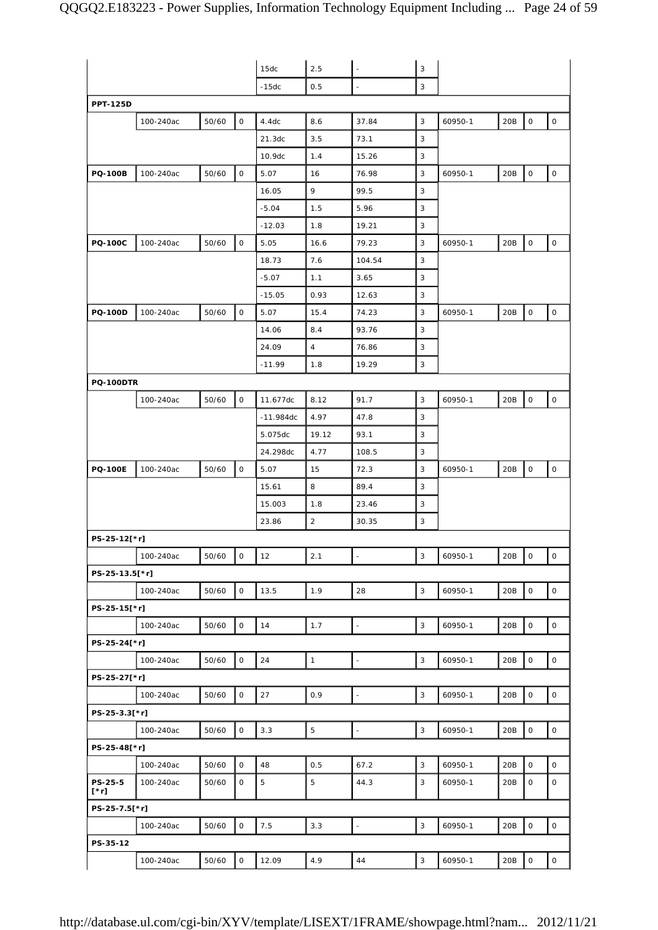|                        |           |       |                          | 15dc        | 2.5            | $\overline{\phantom{a}}$ | 3            |         |     |                          |              |
|------------------------|-----------|-------|--------------------------|-------------|----------------|--------------------------|--------------|---------|-----|--------------------------|--------------|
|                        |           |       |                          | -15dc       | 0.5            |                          | 3            |         |     |                          |              |
| <b>PPT-125D</b>        |           |       |                          |             |                |                          |              |         |     |                          |              |
|                        | 100-240ac | 50/60 | 0                        | 4.4dc       | 8.6            | 37.84                    | 3            | 60950-1 | 20B | $\mathsf O$              | 0            |
|                        |           |       |                          | 21.3dc      | 3.5            | 73.1                     | 3            |         |     |                          |              |
|                        |           |       |                          | 10.9dc      | 1.4            | 15.26                    | 3            |         |     |                          |              |
| <b>PQ-100B</b>         | 100-240ac | 50/60 | 0                        | 5.07        | 16             | 76.98                    | 3            | 60950-1 | 20B | $\mathsf{O}\xspace$      | 0            |
|                        |           |       |                          | 16.05       | 9              | 99.5                     | 3            |         |     |                          |              |
|                        |           |       |                          | $-5.04$     | 1.5            | 5.96                     | 3            |         |     |                          |              |
|                        |           |       |                          | $-12.03$    | 1.8            | 19.21                    | 3            |         |     |                          |              |
| <b>PQ-100C</b>         | 100-240ac | 50/60 | 0                        | 5.05        | 16.6           | 79.23                    | 3            | 60950-1 | 20B | $\mathsf{O}$             | 0            |
|                        |           |       |                          | 18.73       | 7.6            | 104.54                   | 3            |         |     |                          |              |
|                        |           |       |                          | $-5.07$     | 1.1            | 3.65                     | 3            |         |     |                          |              |
|                        |           |       |                          | $-15.05$    | 0.93           | 12.63                    | 3            |         |     |                          |              |
| <b>PQ-100D</b>         | 100-240ac | 50/60 | 0                        | 5.07        | 15.4           | 74.23                    | 3            | 60950-1 | 20B | $\mathsf O$              | $\mathsf O$  |
|                        |           |       |                          | 14.06       | 8.4            | 93.76                    | 3            |         |     |                          |              |
|                        |           |       |                          | 24.09       | $\overline{4}$ | 76.86                    | 3            |         |     |                          |              |
|                        |           |       |                          | $-11.99$    | 1.8            | 19.29                    | 3            |         |     |                          |              |
| <b>PQ-100DTR</b>       |           |       |                          |             |                |                          |              |         |     |                          |              |
|                        | 100-240ac | 50/60 | 0                        | 11.677dc    | 8.12           | 91.7                     | 3            | 60950-1 | 20B | $\mathsf O$              | 0            |
|                        |           |       |                          | $-11.984dc$ | 4.97           | 47.8                     | 3            |         |     |                          |              |
|                        |           |       |                          | 5.075dc     | 19.12          | 93.1                     | 3            |         |     |                          |              |
|                        |           |       |                          | 24.298dc    | 4.77           | 108.5                    | 3            |         |     |                          |              |
| <b>PQ-100E</b>         | 100-240ac | 50/60 | 0                        | 5.07        | 15             | 72.3                     | 3            | 60950-1 | 20B | $\mathsf O$              | 0            |
|                        |           |       |                          | 15.61       | 8              | 89.4                     | 3            |         |     |                          |              |
|                        |           |       |                          | 15.003      | 1.8            | 23.46                    | 3            |         |     |                          |              |
|                        |           |       |                          | 23.86       | $\overline{a}$ | 30.35                    | 3            |         |     |                          |              |
| PS-25-12[*r]           |           |       |                          |             |                |                          |              |         |     |                          |              |
|                        | 100-240ac | 50/60 | $\overline{\phantom{a}}$ | 12          | 2.1            | $\blacksquare$           | $\sqrt{3}$   | 60950-1 | 20B | $\overline{\phantom{a}}$ | $\mathsf{O}$ |
| PS-25-13.5[*r]         |           |       |                          |             |                |                          |              |         |     |                          |              |
|                        | 100-240ac | 50/60 | $\mathsf O$              | 13.5        | 1.9            | 28                       | 3            | 60950-1 | 20B | $\mathsf O$              | $\mathsf O$  |
| PS-25-15[*r]           |           |       |                          |             |                |                          |              |         |     |                          |              |
|                        | 100-240ac | 50/60 | 0                        | 14          | 1.7            | $\Box$                   | $\mathbf{3}$ | 60950-1 | 20B | $\mathsf O$              | 0            |
| PS-25-24[*r]           |           |       |                          |             |                |                          |              |         |     |                          |              |
|                        | 100-240ac | 50/60 | $\mathsf{O}\xspace$      | 24          | $\mathbf{1}$   | $\omega$                 | 3            | 60950-1 | 20B | $\mathsf O$              | $\mathsf{O}$ |
| PS-25-27[*r]           |           |       |                          |             |                |                          |              |         |     |                          |              |
|                        | 100-240ac | 50/60 | $\mathsf{O}\xspace$      | 27          | 0.9            | $\Box$                   | $\sqrt{3}$   | 60950-1 | 20B | $\mathsf{O}\xspace$      | $\mathsf O$  |
| PS-25-3.3[*r]          |           |       |                          |             |                |                          |              |         |     |                          |              |
|                        | 100-240ac | 50/60 | $\mathsf O$              | 3.3         | $\mathbf 5$    | $\overline{\phantom{a}}$ | 3            | 60950-1 | 20B | $\mathsf O$              | $\mathsf O$  |
| PS-25-48[*r]           |           |       |                          |             |                |                          |              |         |     |                          |              |
|                        | 100-240ac | 50/60 | 0                        | 48          | 0.5            | 67.2                     | 3            | 60950-1 | 20B | $\mathsf O$              | 0            |
| PS-25-5<br>$[\cdot r]$ | 100-240ac | 50/60 | 0                        | 5           | 5              | 44.3                     | 3            | 60950-1 | 20B | $\mathsf O$              | 0            |
| PS-25-7.5[*r]          |           |       |                          |             |                |                          |              |         |     |                          |              |
|                        | 100-240ac | 50/60 | $\mathsf{O}\xspace$      | 7.5         | 3.3            | $\blacksquare$           | 3            | 60950-1 | 20B | $\mathsf O$              | $\mathsf{O}$ |
| PS-35-12               |           |       |                          |             |                |                          |              |         |     |                          |              |
|                        | 100-240ac | 50/60 | $\circ$                  | 12.09       | 4.9            | 44                       | 3            | 60950-1 | 20B | $\mathsf O$              | $\mathsf O$  |
|                        |           |       |                          |             |                |                          |              |         |     |                          |              |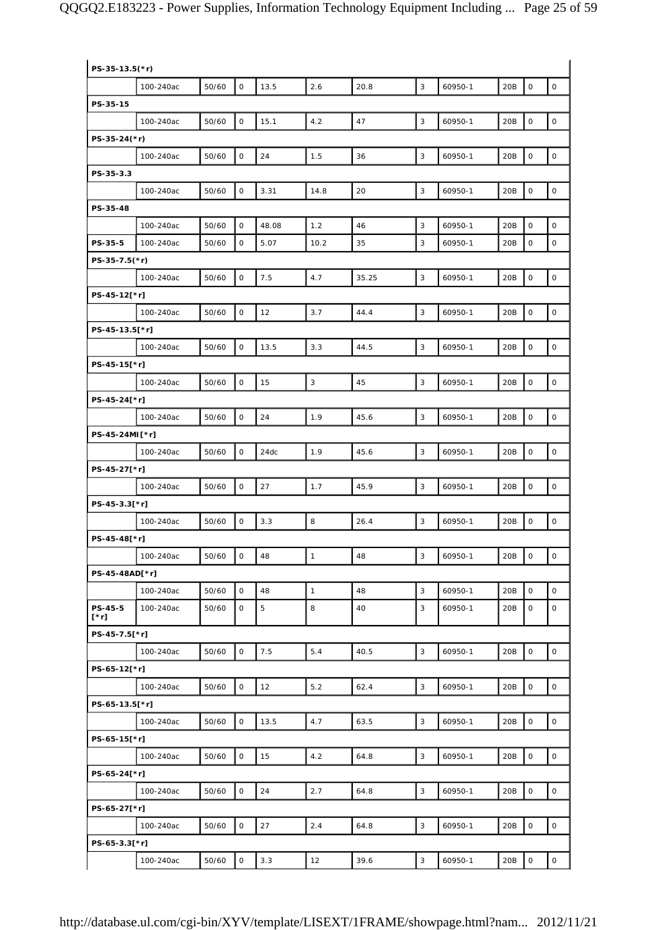| PS-35-13.5(*r) |           |       |                     |       |              |       |              |         |     |                     |                     |
|----------------|-----------|-------|---------------------|-------|--------------|-------|--------------|---------|-----|---------------------|---------------------|
|                | 100-240ac | 50/60 | $\mathsf{O}$        | 13.5  | 2.6          | 20.8  | 3            | 60950-1 | 20B | $\mathbf 0$         | $\mathsf O$         |
| PS-35-15       |           |       |                     |       |              |       |              |         |     |                     |                     |
|                | 100-240ac | 50/60 | $\mathsf{O}\xspace$ | 15.1  | 4.2          | 47    | 3            | 60950-1 | 20B | $\mathsf{O}\xspace$ | $\mathsf{O}\xspace$ |
| PS-35-24(*r)   |           |       |                     |       |              |       |              |         |     |                     |                     |
|                | 100-240ac | 50/60 | $\mathsf O$         | 24    | 1.5          | 36    | 3            | 60950-1 | 20B | $\mathbf 0$         | 0                   |
| PS-35-3.3      |           |       |                     |       |              |       |              |         |     |                     |                     |
|                | 100-240ac | 50/60 | $\mathbf 0$         | 3.31  | 14.8         | 20    | 3            | 60950-1 | 20B | $\mathbf 0$         | $\mathsf O$         |
| PS-35-48       |           |       |                     |       |              |       |              |         |     |                     |                     |
|                | 100-240ac | 50/60 | $\mathsf{O}\xspace$ | 48.08 | 1.2          | 46    | 3            | 60950-1 | 20B | $\mathbf 0$         | 0                   |
| PS-35-5        | 100-240ac | 50/60 | $\mathsf O$         | 5.07  | 10.2         | 35    | 3            | 60950-1 | 20B | $\mathsf O$         | 0                   |
| PS-35-7.5(*r)  |           |       |                     |       |              |       |              |         |     |                     |                     |
|                | 100-240ac | 50/60 | 0                   | 7.5   | 4.7          | 35.25 | 3            | 60950-1 | 20B | $\mathbf 0$         | $\mathsf{O}\xspace$ |
| PS-45-12[*r]   |           |       |                     |       |              |       |              |         |     |                     |                     |
|                | 100-240ac | 50/60 | $\mathsf{O}$        | 12    | 3.7          | 44.4  | 3            | 60950-1 | 20B | $\mathsf{O}\xspace$ | $\mathsf O$         |
| PS-45-13.5[*r] |           |       |                     |       |              |       |              |         |     |                     |                     |
|                | 100-240ac | 50/60 | $\mathsf O$         | 13.5  | 3.3          | 44.5  | 3            | 60950-1 | 20B | $\mathbf 0$         | $\mathsf{O}\xspace$ |
| PS-45-15[*r]   |           |       |                     |       |              |       |              |         |     |                     |                     |
|                | 100-240ac | 50/60 | $\mathsf O$         | 15    | $\mathbf{3}$ | 45    | 3            | 60950-1 | 20B | $\mathsf O$         | 0                   |
| PS-45-24[*r]   |           |       |                     |       |              |       |              |         |     |                     |                     |
|                | 100-240ac | 50/60 | $\mathsf O$         | 24    | 1.9          | 45.6  | 3            | 60950-1 | 20B | $\mathbf 0$         | $\mathsf{O}\xspace$ |
| PS-45-24MI[*r] |           |       |                     |       |              |       |              |         |     |                     |                     |
|                | 100-240ac | 50/60 | $\mathsf O$         | 24dc  | 1.9          | 45.6  | $\mathbf{3}$ | 60950-1 | 20B | $\mathsf{O}\xspace$ | $\mathsf{O}\xspace$ |
| PS-45-27[*r]   |           |       |                     |       |              |       |              |         |     |                     |                     |
|                | 100-240ac | 50/60 | $\mathsf{O}\xspace$ | 27    | 1.7          | 45.9  | 3            | 60950-1 | 20B | $\mathbf 0$         | $\mathsf{O}\xspace$ |
| PS-45-3.3[*r]  |           |       |                     |       |              |       |              |         |     |                     |                     |
|                | 100-240ac | 50/60 | $\mathsf O$         | 3.3   | 8            | 26.4  | 3            | 60950-1 | 20B | $\mathsf O$         | $\mathsf O$         |
| PS-45-48[*r]   |           |       |                     |       |              |       |              |         |     |                     |                     |
|                | 100-240ac | 50/60 | 0                   | 48    | $\mathbf{1}$ | 48    | 3            | 60950-1 | 20B | 0                   | 0                   |
| PS-45-48AD[*r] |           |       |                     |       |              |       |              |         |     |                     |                     |
|                | 100-240ac | 50/60 | $\mathsf{O}\xspace$ | 48    | $\mathbf{1}$ | 48    | $\mathsf 3$  | 60950-1 | 20B | $\mathsf{O}\xspace$ | $\mathsf{O}\xspace$ |
| <b>PS-45-5</b> | 100-240ac | 50/60 | 0                   | 5     | 8            | 40    | 3            | 60950-1 | 20B | $\mathbf 0$         | 0                   |
| [*r]           |           |       |                     |       |              |       |              |         |     |                     |                     |
| PS-45-7.5[*r]  |           |       | $\mathsf{O}$        | 7.5   | 5.4          | 40.5  | 3            |         | 20B | $\mathsf O$         | $\circ$             |
| PS-65-12[*r]   | 100-240ac | 50/60 |                     |       |              |       |              | 60950-1 |     |                     |                     |
|                | 100-240ac | 50/60 | $\mathsf O$         | 12    | 5.2          | 62.4  | $\mathbf{3}$ | 60950-1 | 20B | $\mathbf 0$         | 0                   |
| PS-65-13.5[*r] |           |       |                     |       |              |       |              |         |     |                     |                     |
|                | 100-240ac | 50/60 | 0                   | 13.5  | 4.7          | 63.5  | 3            | 60950-1 | 20B | $\mathsf O$         | $\mathsf O$         |
| PS-65-15[*r]   |           |       |                     |       |              |       |              |         |     |                     |                     |
|                | 100-240ac | 50/60 | $\mathsf{O}\xspace$ | 15    | 4.2          | 64.8  | $\mathbf{3}$ | 60950-1 | 20B | $\mathsf O$         | $\mathsf O$         |
| PS-65-24[*r]   |           |       |                     |       |              |       |              |         |     |                     |                     |
|                |           | 50/60 | $\mathsf{O}$        | 24    | 2.7          | 64.8  | 3            |         | 20B | $\mathsf{O}\xspace$ | $\mathsf{O}\xspace$ |
| PS-65-27[*r]   | 100-240ac |       |                     |       |              |       |              | 60950-1 |     |                     |                     |
|                | 100-240ac | 50/60 | $\mathsf O$         | 27    | 2.4          | 64.8  | $\mathbf{3}$ | 60950-1 | 20B | $\mathbf 0$         | 0                   |
|                |           |       |                     |       |              |       |              |         |     |                     |                     |
| PS-65-3.3[*r]  |           |       |                     |       |              |       |              |         |     |                     |                     |
|                | 100-240ac | 50/60 | $\mathsf{O}$        | 3.3   | 12           | 39.6  | 3            | 60950-1 | 20B | $\mathsf O$         | 0                   |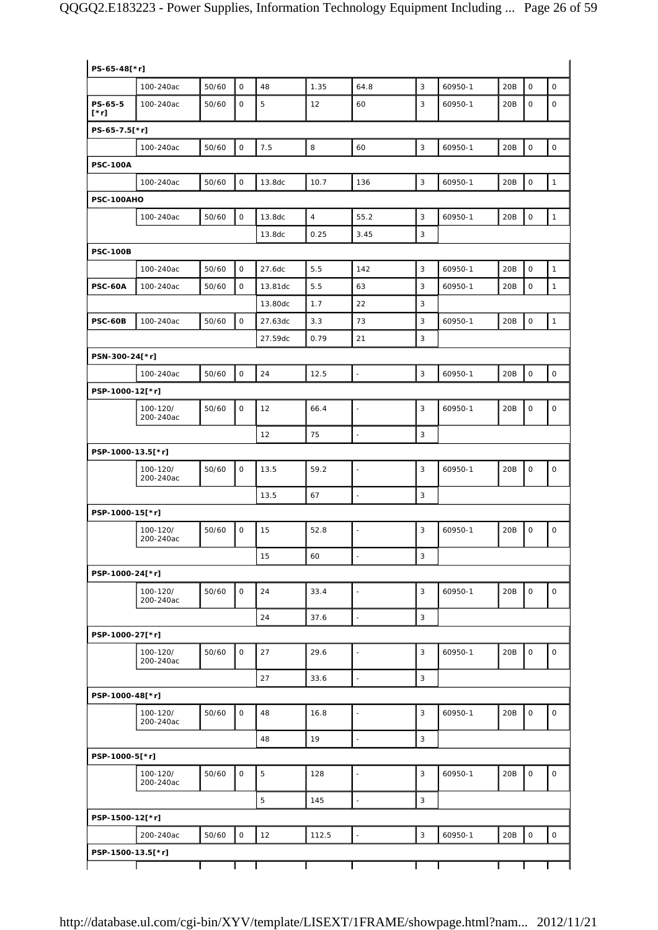| PS-65-48[*r]       |                       |       |                     |         |                |                          |              |         |     |             |              |
|--------------------|-----------------------|-------|---------------------|---------|----------------|--------------------------|--------------|---------|-----|-------------|--------------|
|                    | 100-240ac             | 50/60 | $\mathsf{O}$        | 48      | 1.35           | 64.8                     | 3            | 60950-1 | 20B | $\mathbf 0$ | $\mathsf O$  |
| PS-65-5<br>$[^*r]$ | 100-240ac             | 50/60 | $\mathbf 0$         | 5       | 12             | 60                       | 3            | 60950-1 | 20B | $\mathsf O$ | 0            |
| PS-65-7.5[*r]      |                       |       |                     |         |                |                          |              |         |     |             |              |
|                    | 100-240ac             | 50/60 | $\mathsf O$         | $7.5\,$ | 8              | 60                       | 3            | 60950-1 | 20B | $\mathbf 0$ | $\mathsf O$  |
| <b>PSC-100A</b>    |                       |       |                     |         |                |                          |              |         |     |             |              |
|                    | 100-240ac             | 50/60 | $\mathsf O$         | 13.8dc  | 10.7           | 136                      | 3            | 60950-1 | 20B | $\mathbf 0$ | $\mathbf{1}$ |
| PSC-100AHO         |                       |       |                     |         |                |                          |              |         |     |             |              |
|                    | 100-240ac             | 50/60 | $\mathsf{O}\xspace$ | 13.8dc  | $\overline{4}$ | 55.2                     | 3            | 60950-1 | 20B | $\mathbf 0$ | $\mathbf{1}$ |
|                    |                       |       |                     | 13.8dc  | 0.25           | 3.45                     | $\mathbf{3}$ |         |     |             |              |
| <b>PSC-100B</b>    |                       |       |                     |         |                |                          |              |         |     |             |              |
|                    | 100-240ac             | 50/60 | $\mathsf O$         | 27.6dc  | 5.5            | 142                      | 3            | 60950-1 | 20B | $\mathsf O$ | $\mathbf{1}$ |
| <b>PSC-60A</b>     | 100-240ac             | 50/60 | $\mathbf 0$         | 13.81dc | 5.5            | 63                       | 3            | 60950-1 | 20B | $\mathsf O$ | $\mathbf{1}$ |
|                    |                       |       |                     | 13.80dc | 1.7            | 22                       | 3            |         |     |             |              |
| <b>PSC-60B</b>     | 100-240ac             | 50/60 | $\mathsf O$         | 27.63dc | 3.3            | 73                       | 3            | 60950-1 | 20B | $\mathsf O$ | $\mathbf{1}$ |
|                    |                       |       |                     | 27.59dc | 0.79           | 21                       | 3            |         |     |             |              |
| PSN-300-24[*r]     |                       |       |                     |         |                |                          |              |         |     |             |              |
|                    | 100-240ac             | 50/60 | $\mathsf{O}\xspace$ | 24      | 12.5           | $\bar{\phantom{a}}$      | 3            | 60950-1 | 20B | $\mathsf O$ | $\mathsf O$  |
| PSP-1000-12[*r]    |                       |       |                     |         |                |                          |              |         |     |             |              |
|                    | 100-120/<br>200-240ac | 50/60 | 0                   | 12      | 66.4           | $\blacksquare$           | 3            | 60950-1 | 20B | $\mathsf O$ | $\mathsf O$  |
|                    |                       |       |                     | 12      | 75             |                          | 3            |         |     |             |              |
| PSP-1000-13.5[*r]  |                       |       |                     |         |                |                          |              |         |     |             |              |
|                    | 100-120/<br>200-240ac | 50/60 | $\mathsf O$         | 13.5    | 59.2           | $\blacksquare$           | $\mathbf{3}$ | 60950-1 | 20B | $\mathsf O$ | 0            |
|                    |                       |       |                     | 13.5    | 67             | ä,                       | 3            |         |     |             |              |
| PSP-1000-15[*r]    |                       |       |                     |         |                |                          |              |         |     |             |              |
|                    | 100-120/<br>200-240ac | 50/60 | $\mathsf O$         | 15      | 52.8           |                          | 3            | 60950-1 | 20B | $\mathsf O$ | 0            |
|                    |                       |       |                     | 15      | 60             | $\overline{\phantom{a}}$ | 3            |         |     |             |              |
| PSP-1000-24[*r]    |                       |       |                     |         |                |                          |              |         |     |             |              |
|                    | 100-120/<br>200-240ac | 50/60 | $\mathsf{O}$        | 24      | 33.4           | $\blacksquare$           | 3            | 60950-1 | 20B | $\circ$     | 0            |
|                    |                       |       |                     | 24      | 37.6           | $\bar{\phantom{a}}$      | 3            |         |     |             |              |
| PSP-1000-27[*r]    |                       |       |                     |         |                |                          |              |         |     |             |              |
|                    | 100-120/<br>200-240ac | 50/60 | $\mathsf O$         | 27      | 29.6           | $\overline{\phantom{a}}$ | 3            | 60950-1 | 20B | $\mathsf O$ | $\mathsf{O}$ |
|                    |                       |       |                     | 27      | 33.6           | L.                       | 3            |         |     |             |              |
| PSP-1000-48[*r]    |                       |       |                     |         |                |                          |              |         |     |             |              |
|                    | 100-120/<br>200-240ac | 50/60 | $\mathsf{O}$        | 48      | 16.8           | $\overline{\phantom{a}}$ | 3            | 60950-1 | 20B | $\mathbf 0$ | $\mathsf O$  |
|                    |                       |       |                     | 48      | 19             | $\overline{\phantom{a}}$ | 3            |         |     |             |              |
| PSP-1000-5[*r]     |                       |       |                     |         |                |                          |              |         |     |             |              |
|                    | 100-120/<br>200-240ac | 50/60 | $\mathsf O$         | 5       | 128            | $\Box$                   | 3            | 60950-1 | 20B | $\mathbf 0$ | $\mathsf O$  |
|                    |                       |       |                     | 5       | 145            | $\blacksquare$           | 3            |         |     |             |              |
| PSP-1500-12[*r]    |                       |       |                     |         |                |                          |              |         |     |             |              |
|                    | 200-240ac             | 50/60 | $\mathsf{O}\xspace$ | 12      | 112.5          | $\overline{\phantom{a}}$ | 3            | 60950-1 | 20B | $\mathsf O$ | $\mathsf{O}$ |
| PSP-1500-13.5[*r]  |                       |       |                     |         |                |                          |              |         |     |             |              |
|                    |                       |       |                     |         |                |                          |              |         |     |             |              |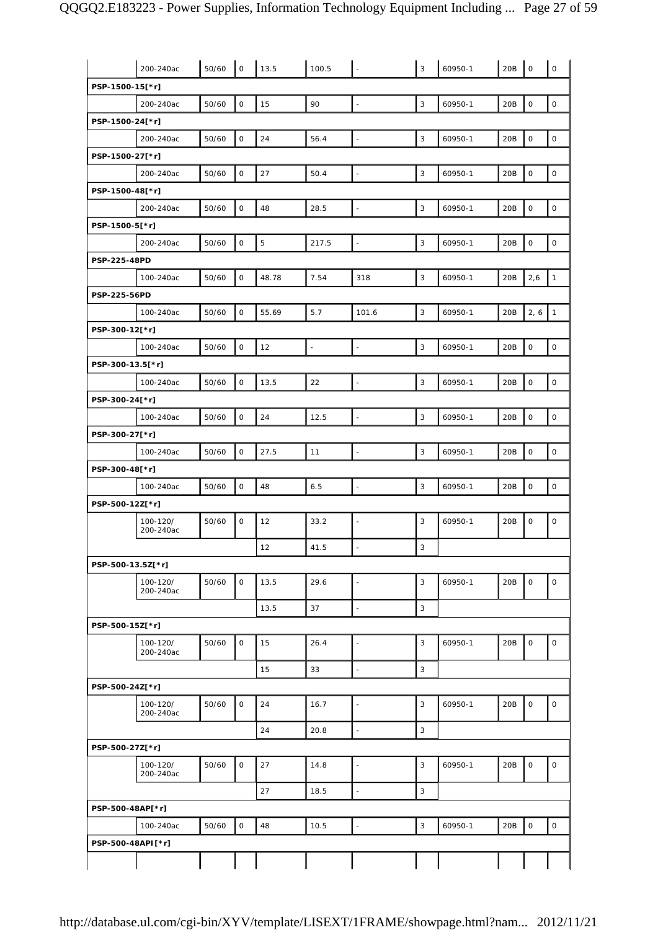|                   | 200-240ac             | 50/60 | $\mathsf O$         | 13.5       | 100.5                    |                          | $\mathbf{3}$ | 60950-1 | 20B             | $\mathbf 0$         | $\mathsf{O}$        |
|-------------------|-----------------------|-------|---------------------|------------|--------------------------|--------------------------|--------------|---------|-----------------|---------------------|---------------------|
| PSP-1500-15[*r]   |                       |       |                     |            |                          |                          |              |         |                 |                     |                     |
|                   | 200-240ac             | 50/60 | $\mathsf{O}\xspace$ | 15         | 90                       | $\Box$                   | $\sqrt{3}$   | 60950-1 | 20B             | $\mathsf O$         | $\mathsf{O}\xspace$ |
| PSP-1500-24[*r]   |                       |       |                     |            |                          |                          |              |         |                 |                     |                     |
|                   | 200-240ac             | 50/60 | $\mathsf O$         | 24         | 56.4                     | ÷,                       | $\mathbf{3}$ | 60950-1 | 20B             | $\mathsf{O}\xspace$ | $\mathsf{O}\xspace$ |
| PSP-1500-27[*r]   |                       |       |                     |            |                          |                          |              |         |                 |                     |                     |
|                   | 200-240ac             | 50/60 | $\mathsf{O}\xspace$ | 27         | 50.4                     | $\Box$                   | 3            | 60950-1 | 20B             | $\mathsf{O}\xspace$ | $\mathsf{O}\xspace$ |
| PSP-1500-48[*r]   |                       |       |                     |            |                          |                          |              |         |                 |                     |                     |
|                   | 200-240ac             | 50/60 | $\mathsf O$         | 48         | 28.5                     | $\bar{\phantom{a}}$      | $\sqrt{3}$   | 60950-1 | 20 <sub>B</sub> | $\mathbf 0$         | $\mathsf{O}\xspace$ |
| PSP-1500-5[*r]    |                       |       |                     |            |                          |                          |              |         |                 |                     |                     |
|                   | 200-240ac             | 50/60 | $\mathsf{O}\xspace$ | $\sqrt{5}$ | 217.5                    | $\Box$                   | $\sqrt{3}$   | 60950-1 | 20B             | $\mathbf 0$         | $\mathsf O$         |
| PSP-225-48PD      |                       |       |                     |            |                          |                          |              |         |                 |                     |                     |
|                   | 100-240ac             | 50/60 | $\mathsf{O}\xspace$ | 48.78      | 7.54                     | 318                      | $\mathbf{3}$ | 60950-1 | 20B             | 2,6                 | $\mathbf{1}$        |
| PSP-225-56PD      |                       |       |                     |            |                          |                          |              |         |                 |                     |                     |
|                   | 100-240ac             | 50/60 | $\mathsf O$         | 55.69      | 5.7                      | 101.6                    | 3            | 60950-1 | 20B             | 2, 6                | $\mathbf{1}$        |
| PSP-300-12[*r]    |                       |       |                     |            |                          |                          |              |         |                 |                     |                     |
|                   | 100-240ac             | 50/60 | $\mathsf O$         | 12         | $\overline{\phantom{a}}$ | $\Box$                   | $\sqrt{3}$   | 60950-1 | 20B             | $\mathsf O$         | $\mathsf O$         |
| PSP-300-13.5[*r]  |                       |       |                     |            |                          |                          |              |         |                 |                     |                     |
|                   | 100-240ac             | 50/60 | $\mathsf{O}\xspace$ | 13.5       | 22                       | $\Box$                   | 3            | 60950-1 | 20B             | $\mathsf O$         | $\mathsf{O}\xspace$ |
| PSP-300-24[*r]    |                       |       |                     |            |                          |                          |              |         |                 |                     |                     |
|                   | 100-240ac             | 50/60 | $\mathsf O$         | 24         | 12.5                     | $\bar{\phantom{a}}$      | $\mathbf{3}$ | 60950-1 | 20B             | $\mathsf{O}\xspace$ | $\mathsf O$         |
| PSP-300-27[*r]    |                       |       |                     |            |                          |                          |              |         |                 |                     |                     |
|                   | 100-240ac             | 50/60 | $\mathsf O$         | 27.5       | 11                       | $\overline{\phantom{a}}$ | 3            | 60950-1 | 20B             | $\mathsf O$         | $\mathsf{O}\xspace$ |
| PSP-300-48[*r]    |                       |       |                     |            |                          |                          |              |         |                 |                     |                     |
|                   | 100-240ac             | 50/60 | $\mathsf{O}\xspace$ | 48         | 6.5                      | L,                       | 3            | 60950-1 | 20 <sub>B</sub> | $\mathsf O$         | $\mathsf{O}\xspace$ |
| PSP-500-12Z[*r]   |                       |       |                     |            |                          |                          |              |         |                 |                     |                     |
|                   | 100-120/<br>200-240ac | 50/60 | $\mathbf 0$         | 12         | 33.2                     | ÷,                       | $\mathbf{3}$ | 60950-1 | 20B             | $\mathsf O$         | $\mathsf{O}\xspace$ |
|                   |                       |       |                     | 12         | 41.5                     | $\blacksquare$           | 3            |         |                 |                     |                     |
| PSP-500-13.5Z[*r] |                       |       |                     |            |                          |                          |              |         |                 |                     |                     |
|                   | 100-120/<br>200-240ac | 50/60 | $\mathsf O$         | 13.5       | 29.6                     | $\blacksquare$           | 3            | 60950-1 | 20B             | $\mathsf O$         | $\mathsf O$         |
|                   |                       |       |                     | 13.5       | 37                       | $\Box$                   | 3            |         |                 |                     |                     |
| PSP-500-15Z[*r]   |                       |       |                     |            |                          |                          |              |         |                 |                     |                     |
|                   | 100-120/<br>200-240ac | 50/60 | $\mathsf{O}$        | 15         | 26.4                     | $\blacksquare$           | 3            | 60950-1 | 20B             | $\mathsf O$         | $\mathsf{O}$        |
|                   |                       |       |                     | 15         | 33                       | $\overline{\phantom{a}}$ | $\mathbf{3}$ |         |                 |                     |                     |
| PSP-500-24Z[*r]   |                       |       |                     |            |                          |                          |              |         |                 |                     |                     |
|                   | 100-120/<br>200-240ac | 50/60 | 0                   | 24         | 16.7                     | $\sim$                   | 3            | 60950-1 | 20B             | $\mathsf O$         | $\mathsf O$         |
|                   |                       |       |                     | 24         | 20.8                     | $\Box$                   | 3            |         |                 |                     |                     |
| PSP-500-27Z[*r]   |                       |       |                     |            |                          |                          |              |         |                 |                     |                     |
|                   | 100-120/<br>200-240ac | 50/60 | $\mathsf{O}$        | 27         | 14.8                     | $\blacksquare$           | 3            | 60950-1 | 20B             | $\mathsf O$         | $\mathsf{O}\xspace$ |
|                   |                       |       |                     | 27         | 18.5                     | $\blacksquare$           | $\mathbf{3}$ |         |                 |                     |                     |
| PSP-500-48AP[*r]  |                       |       |                     |            |                          |                          |              |         |                 |                     |                     |
|                   | 100-240ac             | 50/60 | $\mathsf O$         | 48         | 10.5                     | $\Box$                   | 3            | 60950-1 | 20B             | $\mathsf O$         | $\mathsf{O}$        |
| PSP-500-48API[*r] |                       |       |                     |            |                          |                          |              |         |                 |                     |                     |
|                   |                       |       |                     |            |                          |                          |              |         |                 |                     |                     |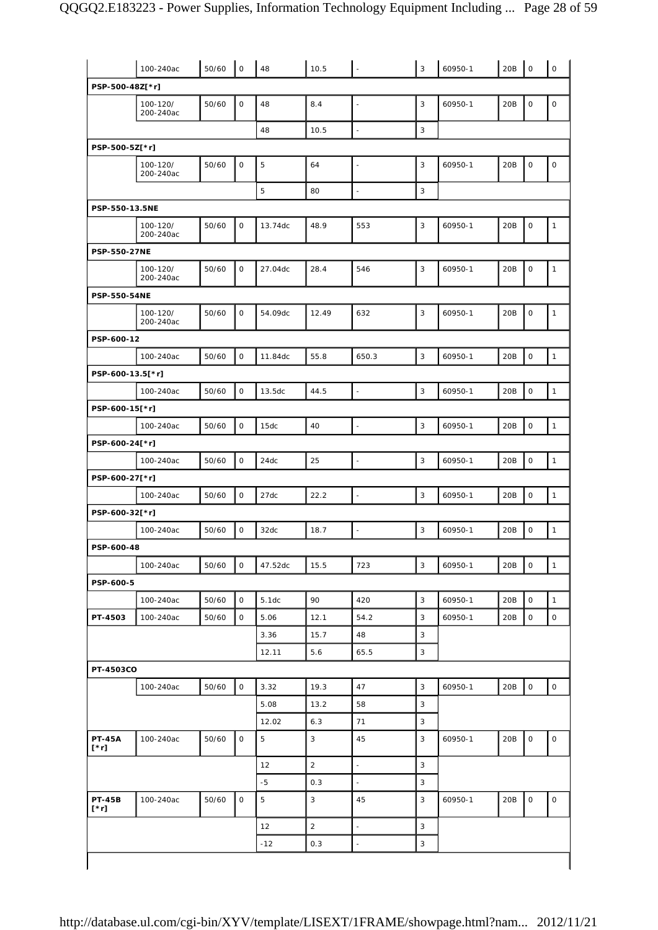|                              | 100-240ac             | 50/60 | $\mathsf{O}\xspace$ | 48             | 10.5           | $\sim$                   | $\overline{3}$ | 60950-1 | 20B | $\mathsf{O}\xspace$ | $\mathsf{O}\xspace$ |
|------------------------------|-----------------------|-------|---------------------|----------------|----------------|--------------------------|----------------|---------|-----|---------------------|---------------------|
| PSP-500-48Z[*r]              |                       |       |                     |                |                |                          |                |         |     |                     |                     |
|                              | 100-120/<br>200-240ac | 50/60 | $\mathsf O$         | 48             | 8.4            | $\blacksquare$           | 3              | 60950-1 | 20B | 0                   | $\mathsf O$         |
|                              |                       |       |                     | 48             | 10.5           | ÷,                       | 3              |         |     |                     |                     |
| PSP-500-5Z[*r]               |                       |       |                     |                |                |                          |                |         |     |                     |                     |
|                              | 100-120/<br>200-240ac | 50/60 | $\mathsf O$         | $\overline{5}$ | 64             | $\Box$                   | 3              | 60950-1 | 20B | $\mathsf O$         | $\mathsf O$         |
|                              |                       |       |                     | 5              | 80             | $\blacksquare$           | 3              |         |     |                     |                     |
| PSP-550-13.5NE               |                       |       |                     |                |                |                          |                |         |     |                     |                     |
|                              | 100-120/<br>200-240ac | 50/60 | 0                   | 13.74dc        | 48.9           | 553                      | 3              | 60950-1 | 20B | 0                   | $\mathbf{1}$        |
| PSP-550-27NE                 |                       |       |                     |                |                |                          |                |         |     |                     |                     |
|                              | 100-120/<br>200-240ac | 50/60 | $\mathsf{O}$        | 27.04dc        | 28.4           | 546                      | 3              | 60950-1 | 20B | $\mathsf{O}$        | $\mathbf{1}$        |
| PSP-550-54NE                 |                       |       |                     |                |                |                          |                |         |     |                     |                     |
|                              | 100-120/<br>200-240ac | 50/60 | $\mathsf O$         | 54.09dc        | 12.49          | 632                      | 3              | 60950-1 | 20B | 0                   | $\mathbf{1}$        |
| PSP-600-12                   |                       |       |                     |                |                |                          |                |         |     |                     |                     |
|                              | 100-240ac             | 50/60 | $\mathsf O$         | 11.84dc        | 55.8           | 650.3                    | 3              | 60950-1 | 20B | $\mathsf O$         | $\mathbf{1}$        |
| PSP-600-13.5[*r]             |                       |       |                     |                |                |                          |                |         |     |                     |                     |
|                              | 100-240ac             | 50/60 | $\mathsf{O}$        | 13.5dc         | 44.5           | $\mathbb{Z}$             | 3              | 60950-1 | 20B | $\mathsf O$         | $\mathbf{1}$        |
| PSP-600-15[*r]               |                       |       |                     |                |                |                          |                |         |     |                     |                     |
|                              | 100-240ac             | 50/60 | $\mathsf{O}$        | 15dc           | 40             | $\overline{\phantom{a}}$ | 3              | 60950-1 | 20B | $\mathsf O$         | $\mathbf{1}$        |
| PSP-600-24[*r]               |                       |       |                     |                |                |                          |                |         |     |                     |                     |
|                              | 100-240ac             | 50/60 | $\mathsf O$         | 24dc           | 25             |                          | 3              | 60950-1 | 20B | $\mathsf{O}$        | $\mathbf{1}$        |
| PSP-600-27[*r]               |                       |       |                     |                |                |                          |                |         |     |                     |                     |
|                              | 100-240ac             | 50/60 | $\mathsf O$         | 27dc           | 22.2           | $\Box$                   | 3              | 60950-1 | 20B | $\mathsf O$         | $\mathbf{1}$        |
| PSP-600-32[*r]               |                       |       |                     |                |                |                          |                |         |     |                     |                     |
|                              | 100-240ac             | 50/60 | $\mathsf{O}$        | 32dc           | 18.7           | $\overline{\phantom{a}}$ | 3              | 60950-1 | 20B | $\mathsf O$         | $\mathbf{1}$        |
| PSP-600-48                   |                       |       |                     |                |                |                          |                |         |     |                     |                     |
|                              | 100-240ac             | 50/60 | 0                   | 47.52dc        | 15.5           | 723                      | $\mathbf{3}$   | 60950-1 | 20B | 0                   | $\mathbf{1}$        |
| PSP-600-5                    |                       |       |                     |                |                |                          |                |         |     |                     |                     |
|                              | 100-240ac             | 50/60 | $\mathsf O$         | 5.1dc          | 90             | 420                      | 3              | 60950-1 | 20B | $\mathsf{O}$        | $\mathbf{1}$        |
| PT-4503                      | 100-240ac             | 50/60 | 0                   | 5.06           | 12.1           | 54.2                     | 3              | 60950-1 | 20B | 0                   | $\mathsf O$         |
|                              |                       |       |                     | 3.36           | 15.7           | 48                       | 3              |         |     |                     |                     |
|                              |                       |       |                     | 12.11          | 5.6            | 65.5                     | 3              |         |     |                     |                     |
| PT-4503CO                    |                       |       |                     |                |                |                          |                |         |     |                     |                     |
|                              | 100-240ac             | 50/60 | $\mathsf{O}$        | 3.32           | 19.3           | 47                       | 3              | 60950-1 | 20B | $\mathsf{O}$        | $\mathsf{O}\xspace$ |
|                              |                       |       |                     | 5.08           | 13.2           | 58                       | 3              |         |     |                     |                     |
|                              |                       |       |                     | 12.02          | 6.3            | 71                       | 3              |         |     |                     |                     |
| <b>PT-45A</b><br>$[\cdot r]$ | 100-240ac             | 50/60 | 0                   | $\overline{5}$ | 3              | 45                       | 3              | 60950-1 | 20B | 0                   | 0                   |
|                              |                       |       |                     | 12             | $\overline{2}$ | $\overline{\phantom{a}}$ | 3              |         |     |                     |                     |
|                              |                       |       |                     | $-5$           | 0.3            | ÷,                       | 3              |         |     |                     |                     |
| <b>PT-45B</b><br>$[\cdot r]$ | 100-240ac             | 50/60 | 0                   | 5              | 3              | 45                       | 3              | 60950-1 | 20B | 0                   | $\mathsf O$         |
|                              |                       |       |                     | 12             | $\sqrt{2}$     | $\overline{\phantom{a}}$ | 3              |         |     |                     |                     |
|                              |                       |       |                     | $-12$          | 0.3            | $\overline{\phantom{a}}$ | $\mathbf{3}$   |         |     |                     |                     |
|                              |                       |       |                     |                |                |                          |                |         |     |                     |                     |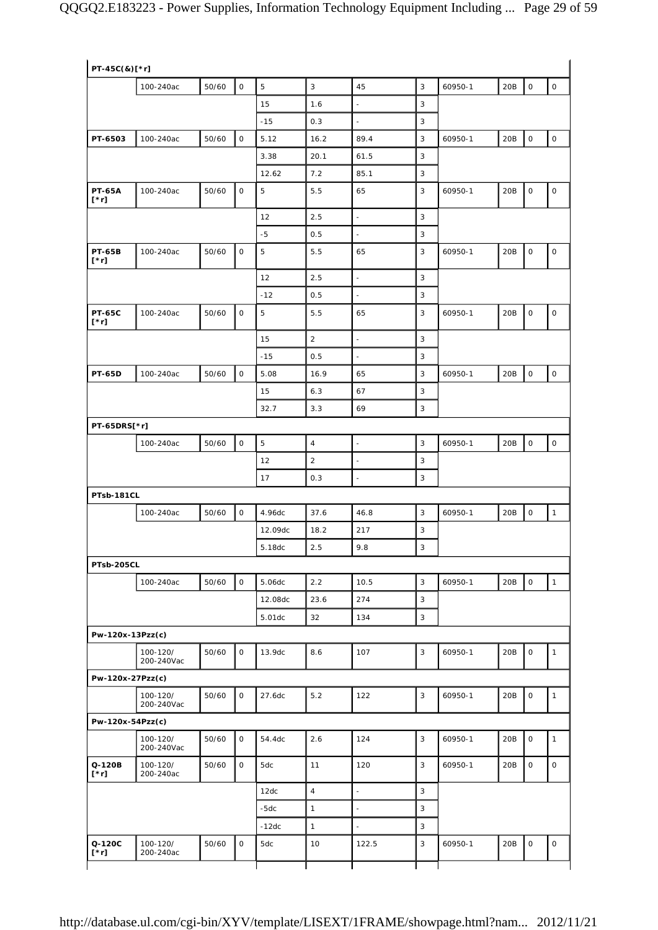| PT-45C(&)[*r]                |                        |       |              |                |                |                          |   |         |     |                     |              |
|------------------------------|------------------------|-------|--------------|----------------|----------------|--------------------------|---|---------|-----|---------------------|--------------|
|                              | 100-240ac              | 50/60 | $\mathsf O$  | $\mathbf 5$    | $\sqrt{3}$     | 45                       | 3 | 60950-1 | 20B | $\mathsf O$         | $\mathsf O$  |
|                              |                        |       |              | 15             | 1.6            | $\bar{\phantom{a}}$      | 3 |         |     |                     |              |
|                              |                        |       |              | $-15$          | 0.3            |                          | 3 |         |     |                     |              |
| PT-6503                      | 100-240ac              | 50/60 | $\mathsf O$  | 5.12           | 16.2           | 89.4                     | 3 | 60950-1 | 20B | $\mathsf O$         | $\mathsf O$  |
|                              |                        |       |              | 3.38           | 20.1           | 61.5                     | 3 |         |     |                     |              |
|                              |                        |       |              | 12.62          | 7.2            | 85.1                     | 3 |         |     |                     |              |
| <b>PT-65A</b><br>$[\cdot r]$ | 100-240ac              | 50/60 | $\mathsf O$  | $\overline{5}$ | 5.5            | 65                       | 3 | 60950-1 | 20B | $\mathsf O$         | $\mathsf O$  |
|                              |                        |       |              | 12             | 2.5            | $\overline{\phantom{a}}$ | 3 |         |     |                     |              |
|                              |                        |       |              | $-5$           | 0.5            | ÷,                       | 3 |         |     |                     |              |
| <b>PT-65B</b><br>$[\cdot r]$ | 100-240ac              | 50/60 | $\mathsf O$  | 5              | 5.5            | 65                       | 3 | 60950-1 | 20B | $\mathsf O$         | $\mathsf O$  |
|                              |                        |       |              | 12             | 2.5            | $\overline{\phantom{a}}$ | 3 |         |     |                     |              |
|                              |                        |       |              | $-12$          | 0.5            | $\bar{\phantom{a}}$      | 3 |         |     |                     |              |
| <b>PT-65C</b><br>[*r]        | 100-240ac              | 50/60 | $\mathsf O$  | 5              | 5.5            | 65                       | 3 | 60950-1 | 20B | $\mathsf O$         | $\mathsf O$  |
|                              |                        |       |              | 15             | $\overline{2}$ | $\Box$                   | 3 |         |     |                     |              |
|                              |                        |       |              | $-15$          | 0.5            | $\overline{\phantom{a}}$ | 3 |         |     |                     |              |
| <b>PT-65D</b>                | 100-240ac              | 50/60 | $\mathsf O$  | 5.08           | 16.9           | 65                       | 3 | 60950-1 | 20B | $\mathsf O$         | $\mathsf{O}$ |
|                              |                        |       |              | 15             | 6.3            | 67                       | 3 |         |     |                     |              |
|                              |                        |       |              | 32.7           | 3.3            | 69                       | 3 |         |     |                     |              |
| PT-65DRS[*r]                 |                        |       |              |                |                |                          |   |         |     |                     |              |
|                              | 100-240ac              | 50/60 | $\mathsf O$  | $\mathbf 5$    | $\sqrt{4}$     | $\Box$                   | 3 | 60950-1 | 20B | $\mathsf O$         | $\mathsf O$  |
|                              |                        |       |              | 12             | $\overline{c}$ | ÷,                       | 3 |         |     |                     |              |
|                              |                        |       |              | 17             | 0.3            | $\blacksquare$           | 3 |         |     |                     |              |
| PTsb-181CL                   |                        |       |              |                |                |                          |   |         |     |                     |              |
|                              | 100-240ac              | 50/60 | $\mathsf O$  | 4.96dc         | 37.6           | 46.8                     | 3 | 60950-1 | 20B | $\mathbf 0$         | $\mathbf{1}$ |
|                              |                        |       |              | 12.09dc        | 18.2           | 217                      | 3 |         |     |                     |              |
|                              |                        |       |              | 5.18dc         | 2.5            | 9.8                      | 3 |         |     |                     |              |
| PTsb-205CL                   |                        |       |              |                |                |                          |   |         |     |                     |              |
|                              | 100-240ac              | 50/60 | $\mathsf O$  | 5.06dc         | 2.2            | 10.5                     | 3 | 60950-1 | 20B | $\mathsf{O}\xspace$ | $\mathbf{1}$ |
|                              |                        |       |              | 12.08dc        | 23.6           | 274                      | 3 |         |     |                     |              |
|                              |                        |       |              | 5.01dc         | 32             | 134                      | 3 |         |     |                     |              |
| Pw-120x-13Pzz(c)             |                        |       |              |                |                |                          |   |         |     |                     |              |
|                              | 100-120/<br>200-240Vac | 50/60 | $\mathsf O$  | 13.9dc         | 8.6            | 107                      | 3 | 60950-1 | 20B | $\mathsf O$         | $\mathbf{1}$ |
| Pw-120x-27Pzz(c)             |                        |       |              |                |                |                          |   |         |     |                     |              |
|                              | 100-120/<br>200-240Vac | 50/60 | $\mathsf O$  | 27.6dc         | 5.2            | 122                      | 3 | 60950-1 | 20B | $\mathsf O$         | $\mathbf{1}$ |
| Pw-120x-54Pzz(c)             |                        |       |              |                |                |                          |   |         |     |                     |              |
|                              | 100-120/<br>200-240Vac | 50/60 | $\mathsf{O}$ | 54.4dc         | 2.6            | 124                      | 3 | 60950-1 | 20B | $\mathbf 0$         | $\mathbf{1}$ |
| Q-120B<br>$[\cdot r]$        | 100-120/<br>200-240ac  | 50/60 | 0            | 5dc            | 11             | 120                      | 3 | 60950-1 | 20B | $\mathsf O$         | 0            |
|                              |                        |       |              | 12dc           | $\overline{4}$ | $\bar{\phantom{a}}$      | 3 |         |     |                     |              |
|                              |                        |       |              | $-5dc$         | $\mathbf{1}$   | $\bar{\phantom{a}}$      | 3 |         |     |                     |              |
|                              |                        |       |              | $-12dc$        | $\mathbf{1}$   | $\bar{\phantom{a}}$      | 3 |         |     |                     |              |
| Q-120C<br>$[\cdot r]$        | 100-120/<br>200-240ac  | 50/60 | $\mathsf O$  | 5dc            | 10             | 122.5                    | 3 | 60950-1 | 20B | $\mathsf O$         | $\mathsf O$  |
|                              |                        |       |              |                |                |                          |   |         |     |                     |              |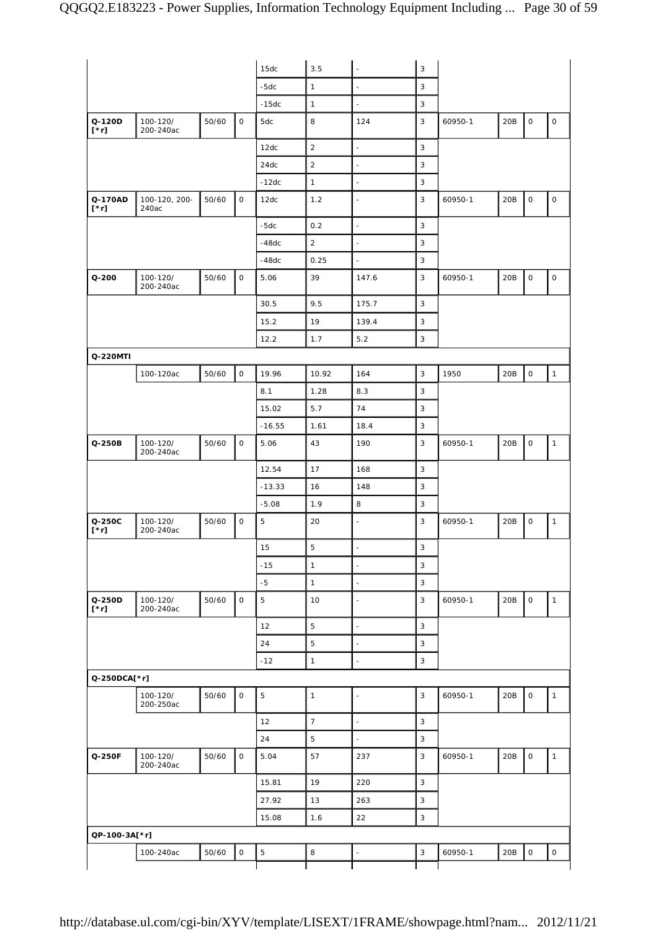|                        |                        |       |                     | 15dc           | 3.5              | $\omega$                 | $\mathsf 3$ |         |     |                     |                     |
|------------------------|------------------------|-------|---------------------|----------------|------------------|--------------------------|-------------|---------|-----|---------------------|---------------------|
|                        |                        |       |                     | $-5dc$         | $\mathbf{1}$     | $\overline{\phantom{a}}$ | 3           |         |     |                     |                     |
|                        |                        |       |                     | $-15dc$        | $\mathbf{1}$     | $\omega$                 | 3           |         |     |                     |                     |
| Q-120D<br>$[\cdot r]$  | 100-120/<br>200-240ac  | 50/60 | $\mathsf O$         | 5dc            | 8                | 124                      | 3           | 60950-1 | 20B | $\mathsf O$         | 0                   |
|                        |                        |       |                     | 12dc           | $\sqrt{2}$       | $\bar{\phantom{a}}$      | 3           |         |     |                     |                     |
|                        |                        |       |                     | 24dc           | $\sqrt{2}$       | $\omega$                 | 3           |         |     |                     |                     |
|                        |                        |       |                     | $-12dc$        | $\mathbf{1}$     | $\blacksquare$           | 3           |         |     |                     |                     |
| Q-170AD<br>$[\cdot r]$ | 100-120, 200-<br>240ac | 50/60 | $\mathsf{O}\xspace$ | 12dc           | 1.2              | ÷,                       | 3           | 60950-1 | 20B | $\mathsf O$         | $\mathsf{O}\xspace$ |
|                        |                        |       |                     | $-5dc$         | 0.2              | ÷,                       | 3           |         |     |                     |                     |
|                        |                        |       |                     | $-48dc$        | $\overline{2}$   | $\omega$                 | 3           |         |     |                     |                     |
|                        |                        |       |                     | $-48dc$        | 0.25             | $\bar{\phantom{a}}$      | 3           |         |     |                     |                     |
| $Q - 200$              | 100-120/<br>200-240ac  | 50/60 | 0                   | 5.06           | 39               | 147.6                    | 3           | 60950-1 | 20B | $\mathsf{O}\xspace$ | 0                   |
|                        |                        |       |                     | 30.5           | 9.5              | 175.7                    | 3           |         |     |                     |                     |
|                        |                        |       |                     | 15.2           | 19               | 139.4                    | 3           |         |     |                     |                     |
|                        |                        |       |                     | 12.2           | 1.7              | 5.2                      | 3           |         |     |                     |                     |
| Q-220MTI               |                        |       |                     |                |                  |                          |             |         |     |                     |                     |
|                        | 100-120ac              | 50/60 | $\mathsf O$         | 19.96          | 10.92            | 164                      | 3           | 1950    | 20B | $\mathsf O$         | $\mathbf{1}$        |
|                        |                        |       |                     | 8.1            | 1.28             | 8.3                      | 3           |         |     |                     |                     |
|                        |                        |       |                     | 15.02          | 5.7              | 74                       | 3           |         |     |                     |                     |
|                        |                        |       |                     | $-16.55$       | 1.61             | 18.4                     | 3           |         |     |                     |                     |
| Q-250B                 | 100-120/<br>200-240ac  | 50/60 | $\mathsf O$         | 5.06           | 43               | 190                      | 3           | 60950-1 | 20B | $\mathsf{O}\xspace$ | $\mathbf{1}$        |
|                        |                        |       |                     | 12.54          | 17               | 168                      | 3           |         |     |                     |                     |
|                        |                        |       |                     | $-13.33$       | 16               | 148                      | 3           |         |     |                     |                     |
|                        |                        |       |                     | $-5.08$        | 1.9              | 8                        | 3           |         |     |                     |                     |
| Q-250C<br>$[\cdot r]$  | 100-120/<br>200-240ac  | 50/60 | $\mathsf O$         | $\mathbf 5$    | 20               | $\bar{\phantom{a}}$      | 3           | 60950-1 | 20B | $\mathsf O$         | $\mathbf{1}$        |
|                        |                        |       |                     | 15             | $5\phantom{.}$   | ÷.                       | 3           |         |     |                     |                     |
|                        |                        |       |                     | $-15$          | $\mathbf{1}$     | $\blacksquare$           | 3           |         |     |                     |                     |
|                        |                        |       |                     | $-5$           | $\mathbf{1}$     | $\omega$                 | 3           |         |     |                     |                     |
| Q-250D<br>$[\cdot r]$  | 100-120/<br>200-240ac  | 50/60 | $\mathsf{O}$        | $\mathbf 5$    | 10               | L,                       | 3           | 60950-1 | 20B | $\mathsf O$         | $\mathbf{1}$        |
|                        |                        |       |                     | 12             | $\overline{5}$   | $\bar{\phantom{a}}$      | 3           |         |     |                     |                     |
|                        |                        |       |                     | 24             | $\mathbf 5$      | L.                       | 3           |         |     |                     |                     |
|                        |                        |       |                     | $-12$          | $\mathbf{1}$     | $\overline{\phantom{a}}$ | $\mathsf 3$ |         |     |                     |                     |
| Q-250DCA[*r]           |                        |       |                     |                |                  |                          |             |         |     |                     |                     |
|                        | 100-120/<br>200-250ac  | 50/60 | $\mathsf O$         | $\overline{5}$ | $\mathbf{1}$     | $\overline{\phantom{a}}$ | 3           | 60950-1 | 20B | $\mathsf O$         | $\mathbf{1}$        |
|                        |                        |       |                     | 12             | $\boldsymbol{7}$ | $\omega$                 | 3           |         |     |                     |                     |
|                        |                        |       |                     | 24             | $\mathbf 5$      | $\bar{\phantom{a}}$      | 3           |         |     |                     |                     |
| Q-250F                 | 100-120/<br>200-240ac  | 50/60 | $\mathsf{O}$        | 5.04           | 57               | 237                      | 3           | 60950-1 | 20B | $\mathsf O$         | $\mathbf{1}$        |
|                        |                        |       |                     | 15.81          | 19               | 220                      | 3           |         |     |                     |                     |
|                        |                        |       |                     | 27.92          | 13               | 263                      | 3           |         |     |                     |                     |
|                        |                        |       |                     | 15.08          | 1.6              | 22                       | 3           |         |     |                     |                     |
| QP-100-3A[*r]          |                        |       |                     |                |                  |                          |             |         |     |                     |                     |
|                        | 100-240ac              | 50/60 | $\mathsf O$         | $\mathbf 5$    | 8                | ÷,                       | $\sqrt{3}$  | 60950-1 | 20B | $\mathsf{O}$        | $\mathsf O$         |
|                        |                        |       |                     |                |                  |                          |             |         |     |                     |                     |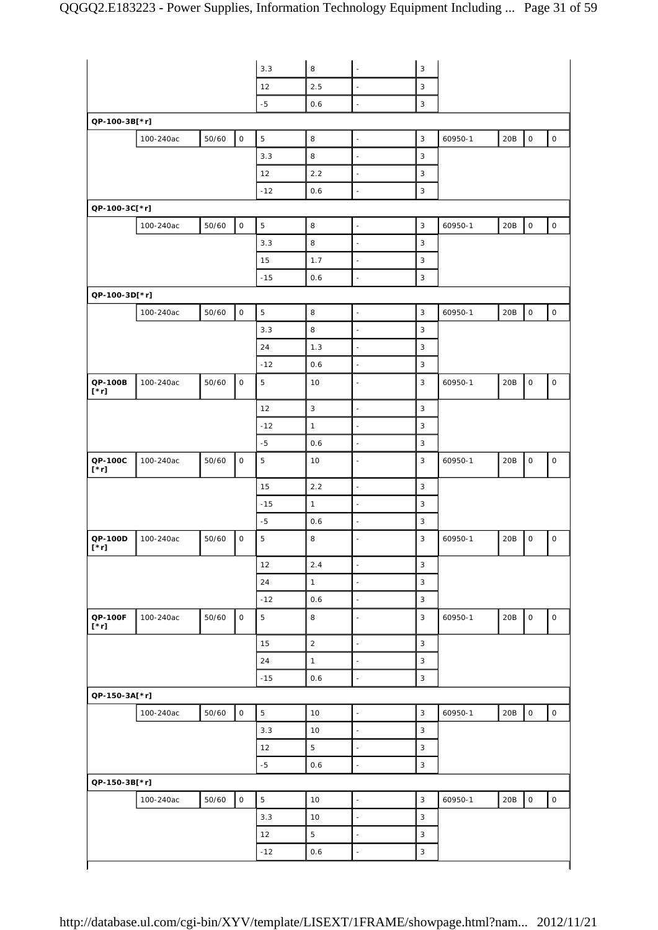|                        |           |       |                     | 3.3            | $\,8\,$        | $\overline{\phantom{a}}$ | 3              |         |     |                     |                     |
|------------------------|-----------|-------|---------------------|----------------|----------------|--------------------------|----------------|---------|-----|---------------------|---------------------|
|                        |           |       |                     | 12             | 2.5            | $\sim$                   | 3              |         |     |                     |                     |
|                        |           |       |                     | $-5$           | 0.6            | $\Box$                   | $\mathbf{3}$   |         |     |                     |                     |
| QP-100-3B[*r]          |           |       |                     |                |                |                          |                |         |     |                     |                     |
|                        | 100-240ac | 50/60 | $\circ$             | 5              | 8              | $\overline{\phantom{a}}$ | $\overline{3}$ | 60950-1 | 20B | $\mathsf{O}\xspace$ | $\mathsf{O}\xspace$ |
|                        |           |       |                     | 3.3            | 8              | $\blacksquare$           | 3              |         |     |                     |                     |
|                        |           |       |                     | 12             | 2.2            | $\blacksquare$           | $\sqrt{3}$     |         |     |                     |                     |
|                        |           |       |                     | $-12$          | 0.6            | $\bar{\phantom{a}}$      | 3              |         |     |                     |                     |
| QP-100-3C[*r]          |           |       |                     |                |                |                          |                |         |     |                     |                     |
|                        | 100-240ac | 50/60 | $\mathsf{O}\xspace$ | $\mathbf 5$    | $\,$ 8         | $\blacksquare$           | 3              | 60950-1 | 20B | $\mathsf{O}\xspace$ | $\mathsf{O}\xspace$ |
|                        |           |       |                     | 3.3            | 8              | $\Box$                   | 3              |         |     |                     |                     |
|                        |           |       |                     | 15             | 1.7            | $\blacksquare$           | $\sqrt{3}$     |         |     |                     |                     |
|                        |           |       |                     | $-15$          | 0.6            | $\overline{\phantom{a}}$ | 3              |         |     |                     |                     |
| QP-100-3D[*r]          |           |       |                     |                |                |                          |                |         |     |                     |                     |
|                        | 100-240ac | 50/60 | $\mathsf{O}\xspace$ | $\mathbf 5$    | 8              | $\overline{\phantom{a}}$ | 3              | 60950-1 | 20B | $\mathsf O$         | $\mathsf{O}$        |
|                        |           |       |                     | 3.3            | 8              | ÷,                       | $\sqrt{3}$     |         |     |                     |                     |
|                        |           |       |                     | 24             | 1.3            | $\bar{\phantom{a}}$      | 3              |         |     |                     |                     |
|                        |           |       |                     | $-12$          | 0.6            | $\blacksquare$           | 3              |         |     |                     |                     |
| QP-100B                | 100-240ac | 50/60 | $\mathsf O$         | 5              | 10             | $\overline{\phantom{a}}$ | 3              | 60950-1 | 20B | $\mathsf O$         | $\mathsf{O}\xspace$ |
| $[\cdot r]$            |           |       |                     |                |                |                          |                |         |     |                     |                     |
|                        |           |       |                     | 12             | $\mathbf{3}$   | $\bar{\phantom{a}}$      | $\mathbf{3}$   |         |     |                     |                     |
|                        |           |       |                     | $-12$          | $\mathbf{1}$   | $\blacksquare$           | $\sqrt{3}$     |         |     |                     |                     |
|                        |           |       |                     | $-5$           | 0.6            | $\blacksquare$           | $\sqrt{3}$     |         |     |                     |                     |
| QP-100C<br>$[\cdot r]$ | 100-240ac | 50/60 | $\mathsf{O}\xspace$ | $\mathbf 5$    | 10             | $\blacksquare$           | 3              | 60950-1 | 20B | $\mathsf{O}\xspace$ | $\mathsf{O}\xspace$ |
|                        |           |       |                     | 15             | 2.2            | $\bar{\phantom{a}}$      | 3              |         |     |                     |                     |
|                        |           |       |                     | $-15$          | $\mathbf{1}$   | $\overline{\phantom{a}}$ | 3              |         |     |                     |                     |
|                        |           |       |                     | $-5$           | 0.6            | $\bar{\phantom{a}}$      | $\mathbf{3}$   |         |     |                     |                     |
| QP-100D<br>$[\cdot r]$ | 100-240ac | 50/60 | $\mathsf O$         | $\sqrt{5}$     | 8              | $\blacksquare$           | 3              | 60950-1 | 20B | $\mathsf O$         | $\mathsf O$         |
|                        |           |       |                     | 12             | 2.4            | $\overline{\phantom{a}}$ | 3              |         |     |                     |                     |
|                        |           |       |                     | 24             | $\mathbf{1}$   | $\blacksquare$           | $\mathsf 3$    |         |     |                     |                     |
|                        |           |       |                     | $-12$          | 0.6            | $\blacksquare$           | $\sqrt{3}$     |         |     |                     |                     |
| QP-100F<br>$[\cdot r]$ | 100-240ac | 50/60 | $\mathsf O$         | $\mathbf 5$    | 8              | $\overline{\phantom{a}}$ | $\overline{3}$ | 60950-1 | 20B | $\mathsf O$         | $\mathsf O$         |
|                        |           |       |                     | 15             | $\mathbf 2$    | $\overline{\phantom{a}}$ | $\sqrt{3}$     |         |     |                     |                     |
|                        |           |       |                     | 24             | $\mathbf{1}$   | $\Box$                   | 3              |         |     |                     |                     |
|                        |           |       |                     | $-15$          | 0.6            | $\Box$                   | $\mathbf{3}$   |         |     |                     |                     |
| QP-150-3A[*r]          |           |       |                     |                |                |                          |                |         |     |                     |                     |
|                        | 100-240ac | 50/60 | $\mathsf{O}\xspace$ | $\overline{5}$ | 10             | $\bar{\phantom{a}}$      | $\sqrt{3}$     | 60950-1 | 20B | $\mathsf{O}\xspace$ | $\mathsf{O}\xspace$ |
|                        |           |       |                     | 3.3            | 10             | $\Box$                   | $\overline{3}$ |         |     |                     |                     |
|                        |           |       |                     | 12             | $\overline{5}$ | $\blacksquare$           | $\mathbf{3}$   |         |     |                     |                     |
|                        |           |       |                     | $-5$           | 0.6            | $\Box$                   | $\overline{3}$ |         |     |                     |                     |
| QP-150-3B[*r]          |           |       |                     |                |                |                          |                |         |     |                     |                     |
|                        | 100-240ac | 50/60 | $\mathsf{O}\xspace$ | $\,$ 5 $\,$    | 10             | $\overline{\phantom{a}}$ | $\mathbf{3}$   | 60950-1 | 20B | $\mathsf{O}\xspace$ | $\mathsf{O}\xspace$ |
|                        |           |       |                     | 3.3            | 10             | $\blacksquare$           | $\mathsf 3$    |         |     |                     |                     |
|                        |           |       |                     |                | $\sqrt{5}$     |                          | 3              |         |     |                     |                     |
|                        |           |       |                     | 12             |                | $\blacksquare$           |                |         |     |                     |                     |
|                        |           |       |                     | $-12$          | 0.6            | $\blacksquare$           | $\mathbf{3}$   |         |     |                     |                     |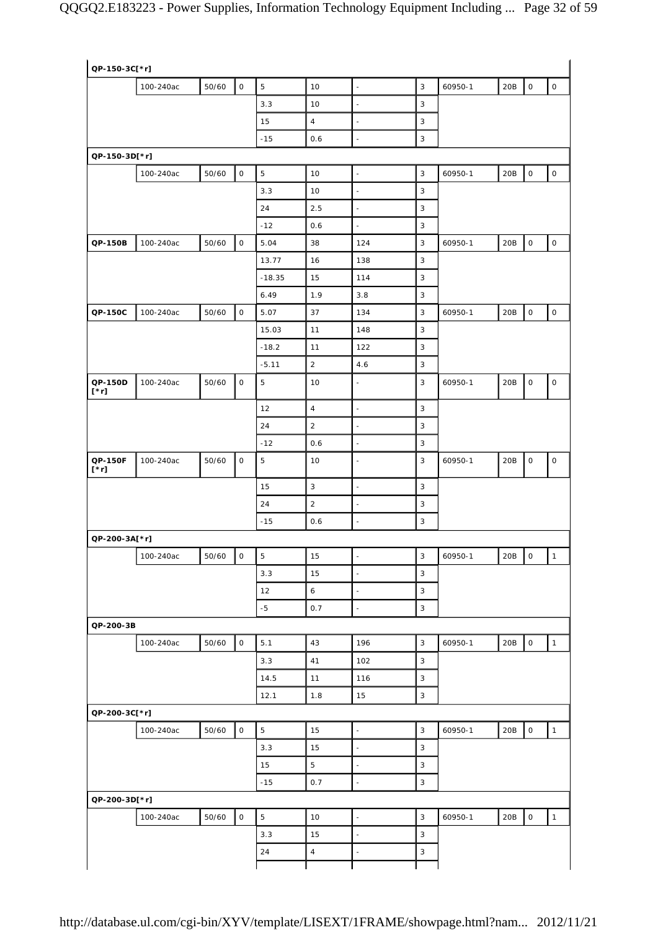| QP-150-3C[*r]          |           |       |                          |                |                  |                          |                  |         |     |                          |                     |
|------------------------|-----------|-------|--------------------------|----------------|------------------|--------------------------|------------------|---------|-----|--------------------------|---------------------|
|                        | 100-240ac | 50/60 | $\mathsf{O}\xspace$      | $\overline{5}$ | 10               | $\mathbb{Z}^2$           | $\mathbf{3}$     | 60950-1 | 20B | 0                        | $\mathsf O$         |
|                        |           |       |                          | 3.3            | 10               | $\Box$                   | 3                |         |     |                          |                     |
|                        |           |       |                          | 15             | $\overline{4}$   | $\Box$                   | 3                |         |     |                          |                     |
|                        |           |       |                          | $-15$          | 0.6              | $\Box$                   | 3                |         |     |                          |                     |
| QP-150-3D[*r]          |           |       |                          |                |                  |                          |                  |         |     |                          |                     |
|                        | 100-240ac | 50/60 | $\mathsf O$              | $\sqrt{5}$     | 10               | $\frac{1}{2}$            | $\mathbf{3}$     | 60950-1 | 20B | $\mathsf{O}\xspace$      | $\mathsf{O}\xspace$ |
|                        |           |       |                          | 3.3            | 10               | $\Box$                   | 3                |         |     |                          |                     |
|                        |           |       |                          | 24             | 2.5              | $\Box$                   | 3                |         |     |                          |                     |
|                        |           |       |                          | $-12$          | 0.6              | ÷.                       | 3                |         |     |                          |                     |
| QP-150B                | 100-240ac | 50/60 | $\mathsf{O}\xspace$      | 5.04           | 38               | 124                      | 3                | 60950-1 | 20B | $\mathsf{O}$             | $\mathsf O$         |
|                        |           |       |                          | 13.77          | 16               | 138                      | 3                |         |     |                          |                     |
|                        |           |       |                          | $-18.35$       | 15               | 114                      | 3                |         |     |                          |                     |
|                        |           |       |                          | 6.49           | 1.9              | 3.8                      | 3                |         |     |                          |                     |
| QP-150C                | 100-240ac | 50/60 | $\mathsf{O}\xspace$      | 5.07           | 37               | 134                      | 3                | 60950-1 | 20B | $\mathsf{O}\xspace$      | $\mathsf{O}\xspace$ |
|                        |           |       |                          | 15.03          | 11               | 148                      | 3                |         |     |                          |                     |
|                        |           |       |                          | $-18.2$        | 11               | 122                      | 3                |         |     |                          |                     |
|                        |           |       |                          | $-5.11$        | $\overline{2}$   | 4.6                      | 3                |         |     |                          |                     |
| QP-150D<br>$[\cdot r]$ | 100-240ac | 50/60 | $\mathsf{O}$             | $\mathbf 5$    | 10               | $\blacksquare$           | 3                | 60950-1 | 20B | 0                        | $\mathsf O$         |
|                        |           |       |                          | 12             | $\sqrt{4}$       | $\bar{\phantom{a}}$      | 3                |         |     |                          |                     |
|                        |           |       |                          | 24             | $\sqrt{2}$       | $\bar{\phantom{a}}$      | 3                |         |     |                          |                     |
|                        |           |       |                          | $-12$          | 0.6              | L,                       | 3                |         |     |                          |                     |
| QP-150F<br>$[\cdot r]$ | 100-240ac | 50/60 | $\mathsf O$              | $\mathbf 5$    | 10               | $\blacksquare$           | 3                | 60950-1 | 20B | 0                        | $\mathsf O$         |
|                        |           |       |                          | 15             | 3                | $\Box$                   | 3                |         |     |                          |                     |
|                        |           |       |                          | 24             | $\sqrt{2}$       | $\blacksquare$           | 3                |         |     |                          |                     |
|                        |           |       |                          | $-15$          | 0.6              | $\blacksquare$           | 3                |         |     |                          |                     |
| QP-200-3A[*r]          |           |       |                          |                |                  |                          |                  |         |     |                          |                     |
|                        | 100-240ac | 50/60 | $\overline{\phantom{a}}$ | 5              | 15               | $\blacksquare$           | 3                | 60950-1 | 20B | $\overline{\phantom{a}}$ | $\mathbf{1}$        |
|                        |           |       |                          | 3.3            | 15               | $\overline{\phantom{a}}$ | $\overline{3}$   |         |     |                          |                     |
|                        |           |       |                          | 12             | $\boldsymbol{6}$ | $\Box$                   | $\sqrt{3}$       |         |     |                          |                     |
|                        |           |       |                          | $-5$           | 0.7              | $\Box$                   | $\mathbf{3}$     |         |     |                          |                     |
| QP-200-3B              |           |       |                          |                |                  |                          |                  |         |     |                          |                     |
|                        | 100-240ac | 50/60 | $\mathsf{O}\xspace$      | 5.1            | 43               | 196                      | $\sqrt{3}$       | 60950-1 | 20B | $\mathsf{O}\xspace$      | $\mathbf{1}$        |
|                        |           |       |                          | 3.3            | 41               | 102                      | 3                |         |     |                          |                     |
|                        |           |       |                          | 14.5           | 11               | 116                      | 3                |         |     |                          |                     |
|                        |           |       |                          | 12.1           | 1.8              | 15                       | 3                |         |     |                          |                     |
| QP-200-3C[*r]          |           |       |                          |                |                  |                          |                  |         |     |                          |                     |
|                        | 100-240ac | 50/60 | $\mathsf O$              | $\mathbf 5$    | 15               | $\bar{\phantom{a}}$      | $\mathbf{3}$     | 60950-1 | 20B | $\mathsf{O}\xspace$      | $\mathbf{1}$        |
|                        |           |       |                          | 3.3            | 15               | ÷,                       | 3                |         |     |                          |                     |
|                        |           |       |                          | 15             | 5                | $\Box$                   | 3                |         |     |                          |                     |
|                        |           |       |                          | $-15$          | 0.7              | ÷,                       | 3                |         |     |                          |                     |
|                        |           |       |                          |                |                  |                          |                  |         |     |                          |                     |
|                        |           |       |                          |                |                  | $\bar{\phantom{a}}$      |                  |         |     |                          |                     |
|                        | 100-240ac | 50/60 | $\mathsf{O}\xspace$      | $\mathbf 5$    | 10               |                          | $\overline{3}$   | 60950-1 | 20B | $\mathsf{O}\xspace$      | $\mathbf{1}$        |
| QP-200-3D[*r]          |           |       |                          | 3.3<br>24      | 15<br>$\sqrt{4}$ | $\Box$<br>$\blacksquare$ | 3<br>$\mathsf 3$ |         |     |                          |                     |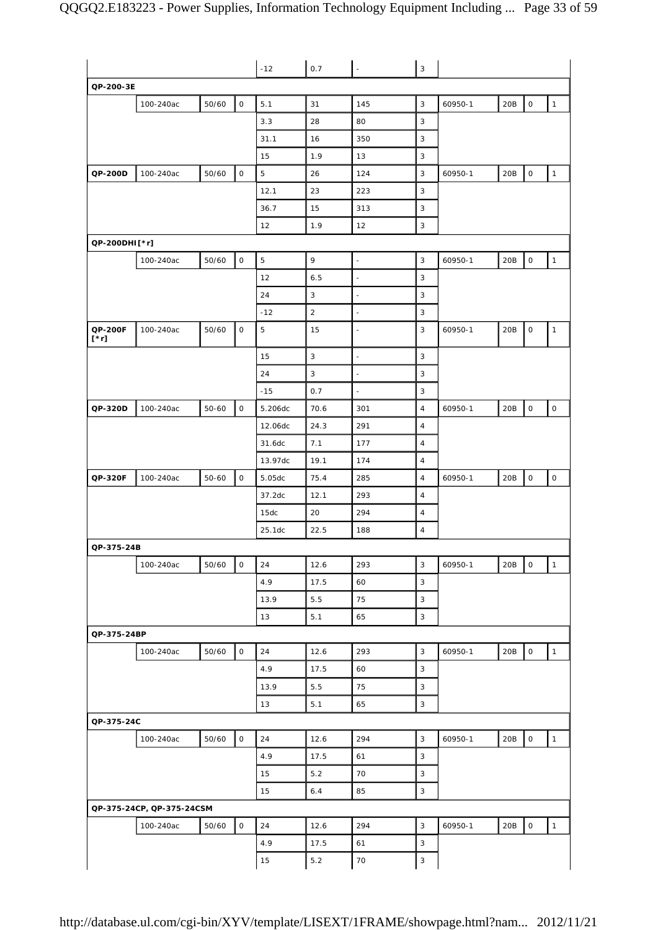|                        |                           |           |                     | $-12$     | 0.7            | $\bar{\phantom{a}}$ | $\sqrt{3}$      |         |     |                     |                     |
|------------------------|---------------------------|-----------|---------------------|-----------|----------------|---------------------|-----------------|---------|-----|---------------------|---------------------|
| QP-200-3E              |                           |           |                     |           |                |                     |                 |         |     |                     |                     |
|                        | 100-240ac                 | 50/60     | $\mathsf{O}\xspace$ | 5.1       | 31             | 145                 | 3               | 60950-1 | 20B | 0                   | $\mathbf{1}$        |
|                        |                           |           |                     | 3.3       | 28             | 80                  | 3               |         |     |                     |                     |
|                        |                           |           |                     | 31.1      | 16             | 350                 | 3               |         |     |                     |                     |
|                        |                           |           |                     | 15        | 1.9            | 13                  | 3               |         |     |                     |                     |
| QP-200D                | 100-240ac                 | 50/60     | $\mathsf O$         | 5         | 26             | 124                 | 3               | 60950-1 | 20B | $\mathsf O$         | $\mathbf{1}$        |
|                        |                           |           |                     | 12.1      | 23             | 223                 | 3               |         |     |                     |                     |
|                        |                           |           |                     | 36.7      | 15             | 313                 | 3               |         |     |                     |                     |
|                        |                           |           |                     | 12        | 1.9            | 12                  | 3               |         |     |                     |                     |
| QP-200DHI[*r]          |                           |           |                     |           |                |                     |                 |         |     |                     |                     |
|                        | 100-240ac                 | 50/60     | $\mathsf O$         | 5         | 9              | $\blacksquare$      | 3               | 60950-1 | 20B | $\mathsf O$         | $\mathbf{1}$        |
|                        |                           |           |                     | 12        | 6.5            | $\Box$              | 3               |         |     |                     |                     |
|                        |                           |           |                     | 24        | 3              | $\blacksquare$      | 3               |         |     |                     |                     |
|                        |                           |           |                     | $-12$     | $\overline{c}$ | $\blacksquare$      | 3               |         |     |                     |                     |
| QP-200F<br>$[\cdot r]$ | 100-240ac                 | 50/60     | $\mathsf O$         | 5         | 15             | $\blacksquare$      | 3               | 60950-1 | 20B | $\mathsf O$         | $\mathbf{1}$        |
|                        |                           |           |                     | 15        | 3              | $\blacksquare$      | 3               |         |     |                     |                     |
|                        |                           |           |                     | 24        | $\sqrt{3}$     | $\omega$            | $\sqrt{3}$      |         |     |                     |                     |
|                        |                           |           |                     | $-15$     | 0.7            | $\Box$              | 3               |         |     |                     |                     |
| QP-320D                | 100-240ac                 | $50 - 60$ | $\mathsf O$         | 5.206dc   | 70.6           | 301                 | $\overline{4}$  | 60950-1 | 20B | $\mathsf O$         | $\mathsf{O}\xspace$ |
|                        |                           |           |                     | 12.06dc   | 24.3           | 291                 | $\overline{4}$  |         |     |                     |                     |
|                        |                           |           |                     | 31.6dc    | 7.1            | 177                 | $\overline{4}$  |         |     |                     |                     |
|                        |                           |           |                     | 13.97dc   | 19.1           | 174                 | $\overline{4}$  |         |     |                     |                     |
| QP-320F                | 100-240ac                 | $50 - 60$ | $\mathsf O$         | 5.05dc    | 75.4           | 285                 | 4               | 60950-1 | 20B | $\mathsf O$         | $\mathsf O$         |
|                        |                           |           |                     | 37.2dc    | 12.1           | 293                 | $\overline{4}$  |         |     |                     |                     |
|                        |                           |           |                     | 15dc      | 20             | 294                 | $\overline{4}$  |         |     |                     |                     |
|                        |                           |           |                     | 25.1dc    | 22.5           | 188                 | $\overline{4}$  |         |     |                     |                     |
| QP-375-24B             |                           |           |                     |           |                |                     |                 |         |     |                     |                     |
|                        | 100-240ac                 | 50/60     | $\mathsf{O}\xspace$ | 24        | 12.6           | 293                 | $\mathbf{3}$    | 60950-1 | 20B | $\mathsf{O}\xspace$ | $\mathbf{1}$        |
|                        |                           |           |                     | 4.9       | 17.5           | 60                  | $\mathbf{3}$    |         |     |                     |                     |
|                        |                           |           |                     | 13.9      | 5.5            | 75                  | $\mathsf 3$     |         |     |                     |                     |
|                        |                           |           |                     | 13        | 5.1            | 65                  | $\mathbf{3}$    |         |     |                     |                     |
| QP-375-24BP            |                           |           |                     |           |                |                     |                 |         |     |                     |                     |
|                        | 100-240ac                 | 50/60     | $\mathsf{O}\xspace$ | 24        | 12.6           | 293                 | $\mathsf 3$     | 60950-1 | 20B | $\mathsf{O}\xspace$ | $\mathbf{1}$        |
|                        |                           |           |                     | 4.9       | 17.5           | 60                  | $\mathbf{3}$    |         |     |                     |                     |
|                        |                           |           |                     | 13.9      | 5.5            | 75                  | $\mathbf{3}$    |         |     |                     |                     |
|                        |                           |           |                     | 13        | 5.1            | 65                  | $\mathbf{3}$    |         |     |                     |                     |
| QP-375-24C             |                           |           |                     |           |                |                     |                 |         |     |                     |                     |
|                        | 100-240ac                 | 50/60     | $\circ$             | 24        | 12.6           | 294                 | $\mathbf{3}$    | 60950-1 | 20B | $\mathsf{O}\xspace$ | $\mathbf{1}$        |
|                        |                           |           |                     | 4.9       | 17.5           | 61                  | $\mathbf{3}$    |         |     |                     |                     |
|                        |                           |           |                     | 15        | $5.2$          | 70                  | $\mathbf{3}$    |         |     |                     |                     |
|                        |                           |           |                     | 15        | 6.4            | 85                  | $\mathbf{3}$    |         |     |                     |                     |
|                        | QP-375-24CP, QP-375-24CSM |           |                     |           |                |                     |                 |         |     |                     |                     |
|                        |                           |           |                     |           |                |                     |                 |         |     |                     |                     |
|                        |                           |           |                     |           |                |                     |                 |         |     |                     |                     |
|                        | 100-240ac                 | 50/60     | $\mathsf{O}\xspace$ | 24<br>4.9 | 12.6<br>17.5   | 294<br>61           | $\sqrt{3}$<br>3 | 60950-1 | 20B | $\mathsf{O}\xspace$ | $\mathbf{1}$        |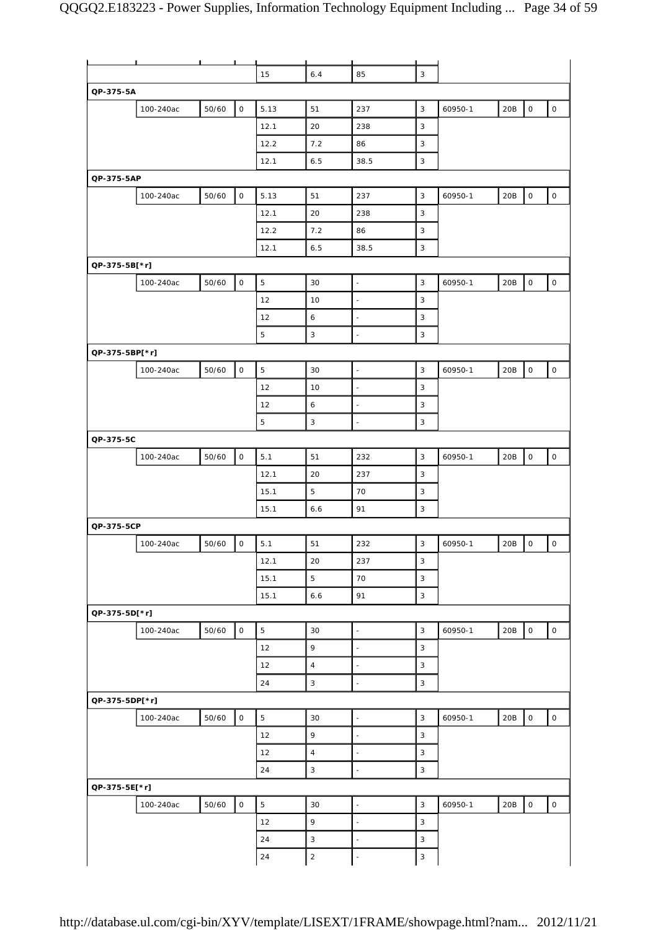|                |           |       | ட                   |             |                |                          |              |         |     |                     |                     |
|----------------|-----------|-------|---------------------|-------------|----------------|--------------------------|--------------|---------|-----|---------------------|---------------------|
|                |           |       |                     | 15          | 6.4            | 85                       | 3            |         |     |                     |                     |
| QP-375-5A      |           |       |                     |             |                |                          |              |         |     |                     |                     |
|                | 100-240ac | 50/60 | $\mathsf O$         | 5.13        | 51             | 237                      | 3            | 60950-1 | 20B | $\mathsf O$         | $\mathsf{O}$        |
|                |           |       |                     | 12.1        | 20             | 238                      | 3            |         |     |                     |                     |
|                |           |       |                     | 12.2        | 7.2            | 86                       | 3            |         |     |                     |                     |
|                |           |       |                     | 12.1        | 6.5            | 38.5                     | $\mathsf 3$  |         |     |                     |                     |
| QP-375-5AP     |           |       |                     |             |                |                          |              |         |     |                     |                     |
|                | 100-240ac | 50/60 | $\mathsf O$         | 5.13        | 51             | 237                      | $\mathbf{3}$ | 60950-1 | 20B | $\mathsf{O}\xspace$ | $\mathsf O$         |
|                |           |       |                     | 12.1        | 20             | 238                      | 3            |         |     |                     |                     |
|                |           |       |                     | 12.2        | 7.2            | 86                       | $\mathsf 3$  |         |     |                     |                     |
|                |           |       |                     | 12.1        | 6.5            | 38.5                     | 3            |         |     |                     |                     |
| QP-375-5B[*r]  |           |       |                     |             |                |                          |              |         |     |                     |                     |
|                | 100-240ac | 50/60 | $\mathsf{O}\xspace$ | 5           | 30             | $\blacksquare$           | 3            | 60950-1 | 20B | 0                   | $\mathsf{O}\xspace$ |
|                |           |       |                     | 12          | 10             | ÷,                       | $\mathbf{3}$ |         |     |                     |                     |
|                |           |       |                     | 12          | 6              | $\blacksquare$           | 3            |         |     |                     |                     |
|                |           |       |                     | $\mathbf 5$ | $\mathbf{3}$   | L.                       | $\sqrt{3}$   |         |     |                     |                     |
| QP-375-5BP[*r] |           |       |                     |             |                |                          |              |         |     |                     |                     |
|                | 100-240ac | 50/60 | $\mathsf O$         | $\mathbf 5$ | 30             | $\Box$                   | $\mathbf{3}$ | 60950-1 | 20B | $\mathsf{O}\xspace$ | $\mathsf O$         |
|                |           |       |                     | 12          | 10             | $\bar{\phantom{a}}$      | 3            |         |     |                     |                     |
|                |           |       |                     | 12          | 6              | $\sim$                   | 3            |         |     |                     |                     |
|                |           |       |                     | $\mathbf 5$ | $\mathsf 3$    | $\bar{\phantom{a}}$      | $\mathbf{3}$ |         |     |                     |                     |
| QP-375-5C      |           |       |                     |             |                |                          |              |         |     |                     |                     |
|                | 100-240ac | 50/60 | $\mathsf{O}\xspace$ | 5.1         | 51             | 232                      | $\mathbf{3}$ | 60950-1 | 20B | $\mathsf O$         | $\mathsf O$         |
|                |           |       |                     | 12.1        | 20             | 237                      | 3            |         |     |                     |                     |
|                |           |       |                     | 15.1        | 5              | 70                       | 3            |         |     |                     |                     |
|                |           |       |                     | 15.1        | 6.6            | 91                       | $\mathbf{3}$ |         |     |                     |                     |
| QP-375-5CP     |           |       |                     |             |                |                          |              |         |     |                     |                     |
|                | 100-240ac | 50/60 | $\mathsf O$         | 5.1         | 51             | 232                      | $\sqrt{3}$   | 60950-1 | 20B | $\mathsf{O}\xspace$ | $\mathsf O$         |
|                |           |       |                     | 12.1        | 20             | 237                      | 3            |         |     |                     |                     |
|                |           |       |                     | 15.1        | $\overline{5}$ | 70                       | 3            |         |     |                     |                     |
|                |           |       |                     | 15.1        | 6.6            | 91                       | $\mathbf{3}$ |         |     |                     |                     |
| QP-375-5D[*r]  |           |       |                     |             |                |                          |              |         |     |                     |                     |
|                | 100-240ac | 50/60 | $\mathsf{O}\xspace$ | 5           | 30             | $\Box$                   | $\mathbf{3}$ | 60950-1 | 20B | $\mathsf{O}\xspace$ | $\mathsf{O}\xspace$ |
|                |           |       |                     | 12          | 9              | $\bar{\phantom{a}}$      | $\mathbf{3}$ |         |     |                     |                     |
|                |           |       |                     | 12          | $\overline{4}$ | $\blacksquare$           | 3            |         |     |                     |                     |
|                |           |       |                     | 24          | $\mathbf{3}$   | ÷,                       | $\mathbf{3}$ |         |     |                     |                     |
| QP-375-5DP[*r] |           |       |                     |             |                |                          |              |         |     |                     |                     |
|                |           | 50/60 | $\mathsf O$         | $\mathbf 5$ | 30             | $\overline{\phantom{a}}$ | $\mathbf{3}$ | 60950-1 | 20B | $\mathsf O$         | $\mathsf{O}\xspace$ |
|                | 100-240ac |       |                     |             | 9              | $\overline{\phantom{a}}$ |              |         |     |                     |                     |
|                |           |       |                     | 12          |                |                          | 3            |         |     |                     |                     |
|                |           |       |                     | 12          | $\overline{4}$ | ÷,                       | $\mathbf{3}$ |         |     |                     |                     |
|                |           |       |                     | 24          | 3              | $\Box$                   | 3            |         |     |                     |                     |
| QP-375-5E[*r]  |           |       |                     |             |                |                          |              |         |     |                     |                     |
|                | 100-240ac | 50/60 | $\mathsf{O}\xspace$ | $\mathbf 5$ | 30             | $\blacksquare$           | $\mathbf{3}$ | 60950-1 | 20B | $\mathsf{O}$        | $\mathsf{O}\xspace$ |
|                |           |       |                     | 12          | 9              | $\overline{\phantom{a}}$ | $\mathbf{3}$ |         |     |                     |                     |
|                |           |       |                     | 24          | $\mathbf{3}$   | $\bar{\phantom{a}}$      | $\mathbf{3}$ |         |     |                     |                     |
|                |           |       |                     | 24          | $\sqrt{2}$     | $\overline{\phantom{a}}$ | $\sqrt{3}$   |         |     |                     |                     |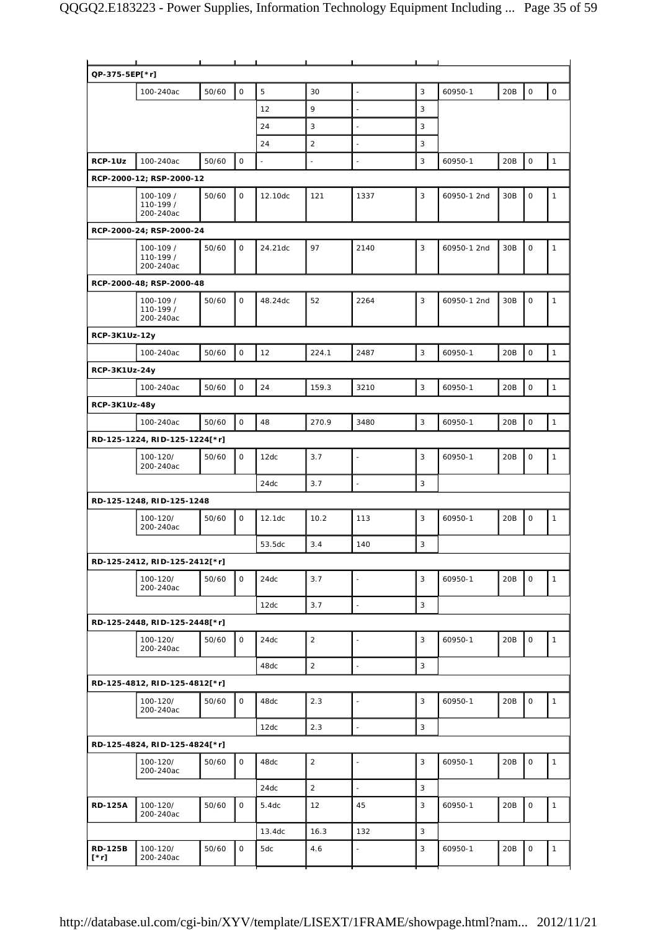| QP-375-5EP[*r]                |                                     |       |                     |         |                |                          |              |             |     |                     |              |
|-------------------------------|-------------------------------------|-------|---------------------|---------|----------------|--------------------------|--------------|-------------|-----|---------------------|--------------|
|                               | 100-240ac                           | 50/60 | 0                   | 5       | 30             | ä,                       | 3            | 60950-1     | 20B | 0                   | $\mathsf O$  |
|                               |                                     |       |                     | 12      | 9              | $\blacksquare$           | 3            |             |     |                     |              |
|                               |                                     |       |                     | 24      | 3              | $\blacksquare$           | 3            |             |     |                     |              |
|                               |                                     |       |                     | 24      | $\overline{2}$ | $\blacksquare$           | 3            |             |     |                     |              |
|                               |                                     |       | $\mathbf 0$         | ÷,      |                |                          | 3            |             | 20B | $\mathsf{O}\xspace$ | $\mathbf{1}$ |
| RCP-1Uz                       | 100-240ac                           | 50/60 |                     |         |                | ä,                       |              | 60950-1     |     |                     |              |
|                               | RCP-2000-12; RSP-2000-12            |       |                     |         |                |                          |              |             |     |                     |              |
|                               | 100-109 /<br>110-199 /<br>200-240ac | 50/60 | $\mathbf 0$         | 12.10dc | 121            | 1337                     | 3            | 60950-1 2nd | 30B | $\mathbf 0$         | $\mathbf{1}$ |
|                               | RCP-2000-24; RSP-2000-24            |       |                     |         |                |                          |              |             |     |                     |              |
|                               | 100-109 /<br>110-199 /<br>200-240ac | 50/60 | $\mathsf O$         | 24.21dc | 97             | 2140                     | 3            | 60950-1 2nd | 30B | $\mathsf O$         | $\mathbf{1}$ |
|                               | RCP-2000-48; RSP-2000-48            |       |                     |         |                |                          |              |             |     |                     |              |
|                               | 100-109 /<br>110-199 /<br>200-240ac | 50/60 | $\mathsf{O}\xspace$ | 48.24dc | 52             | 2264                     | 3            | 60950-1 2nd | 30B | 0                   | 1            |
| RCP-3K1Uz-12y                 |                                     |       |                     |         |                |                          |              |             |     |                     |              |
|                               | 100-240ac                           | 50/60 | $\mathsf{O}$        | 12      | 224.1          | 2487                     | 3            | 60950-1     | 20B | $\mathsf{O}$        | $\mathbf{1}$ |
| RCP-3K1Uz-24y                 |                                     |       |                     |         |                |                          |              |             |     |                     |              |
|                               |                                     |       |                     |         |                |                          |              |             |     | $\mathsf{O}$        |              |
|                               | 100-240ac                           | 50/60 | $\mathbf 0$         | 24      | 159.3          | 3210                     | 3            | 60950-1     | 20B |                     | $\mathbf{1}$ |
| RCP-3K1Uz-48y                 |                                     |       |                     |         |                |                          |              |             |     |                     |              |
|                               | 100-240ac                           | 50/60 | $\mathsf{O}\xspace$ | 48      | 270.9          | 3480                     | 3            | 60950-1     | 20B | 0                   | $\mathbf{1}$ |
|                               | RD-125-1224, RID-125-1224[*r]       |       |                     |         |                |                          |              |             |     |                     |              |
|                               | 100-120/<br>200-240ac               | 50/60 | $\mathsf O$         | 12dc    | 3.7            | $\blacksquare$           | 3            | 60950-1     | 20B | $\mathsf{O}\xspace$ | $\mathbf{1}$ |
|                               |                                     |       |                     | 24dc    | 3.7            | $\bar{\phantom{a}}$      | 3            |             |     |                     |              |
|                               | RD-125-1248, RID-125-1248           |       |                     |         |                |                          |              |             |     |                     |              |
|                               | 100-120/<br>200-240ac               | 50/60 | 0                   | 12.1dc  | 10.2           | 113                      | 3            | 60950-1     | 20B | 0                   | $\mathbf{1}$ |
|                               |                                     |       |                     | 53.5dc  | 3.4            | 140                      | 3            |             |     |                     |              |
|                               | RD-125-2412, RID-125-2412[*r]       |       |                     |         |                |                          |              |             |     |                     |              |
|                               | 100-120/<br>200-240ac               | 50/60 | $\mathsf{O}$        | 24dc    | 3.7            | L.                       | 3            | 60950-1     | 20B | 0                   | $\mathbf{1}$ |
|                               |                                     |       |                     | 12dc    | 3.7            | $\overline{\phantom{a}}$ | 3            |             |     |                     |              |
|                               | RD-125-2448, RID-125-2448[*r]       |       |                     |         |                |                          |              |             |     |                     |              |
|                               | 100-120/<br>200-240ac               | 50/60 | $\mathsf O$         | 24dc    | $\sqrt{2}$     | $\blacksquare$           | 3            | 60950-1     | 20B | $\mathsf{O}$        | $\mathbf{1}$ |
|                               |                                     |       |                     | 48dc    | $\sqrt{2}$     | $\omega$                 | $\mathbf{3}$ |             |     |                     |              |
|                               | RD-125-4812, RID-125-4812[*r]       |       |                     |         |                |                          |              |             |     |                     |              |
|                               | 100-120/<br>200-240ac               | 50/60 | 0                   | 48dc    | 2.3            | $\blacksquare$           | 3            | 60950-1     | 20B | $\mathsf{O}$        | $\mathbf{1}$ |
|                               |                                     |       |                     | 12dc    | 2.3            | $\bar{\phantom{a}}$      | $\mathbf{3}$ |             |     |                     |              |
|                               | RD-125-4824, RID-125-4824[*r]       |       |                     |         |                |                          |              |             |     |                     |              |
|                               | 100-120/<br>200-240ac               | 50/60 | $\mathsf O$         | 48dc    | $\sqrt{2}$     | $\blacksquare$           | 3            | 60950-1     | 20B | $\mathsf O$         | $\mathbf{1}$ |
|                               |                                     |       |                     | 24dc    | $\sqrt{2}$     | $\Box$                   | 3            |             |     |                     |              |
| <b>RD-125A</b>                | 100-120/<br>200-240ac               | 50/60 | $\mathbf 0$         | 5.4dc   | 12             | 45                       | 3            | 60950-1     | 20B | $\mathsf O$         | $\mathbf{1}$ |
|                               |                                     |       |                     | 13.4dc  | 16.3           | 132                      | 3            |             |     |                     |              |
| <b>RD-125B</b><br>$[\cdot r]$ | 100-120/<br>200-240ac               | 50/60 | 0                   | 5dc     | 4.6            | ä,                       | 3            | 60950-1     | 20B | 0                   | $\mathbf{1}$ |
|                               |                                     |       |                     |         |                |                          |              |             |     |                     |              |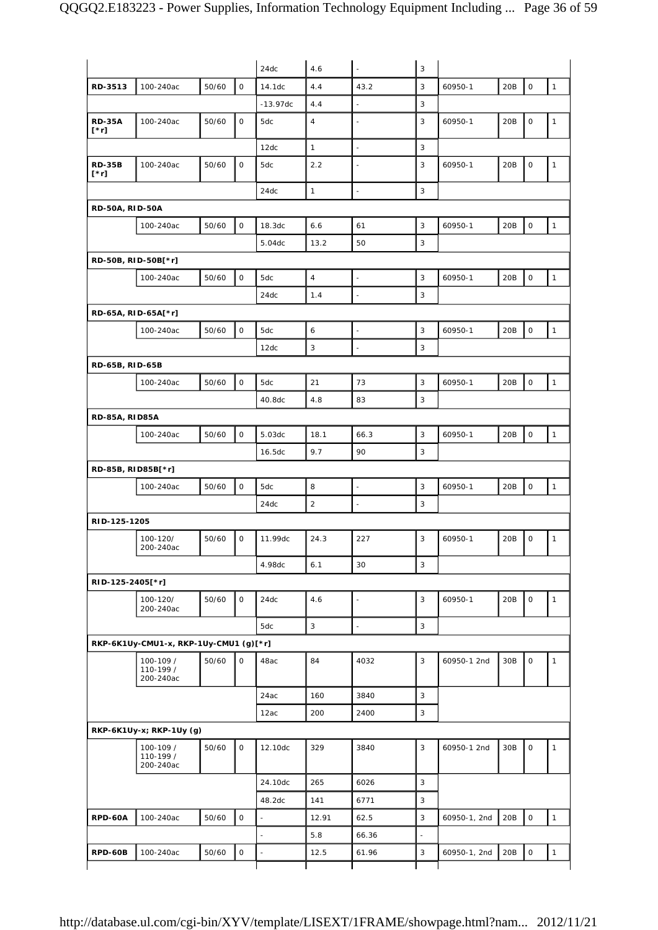|                              |                                        |       |                     | 24dc                     | 4.6                       | $\bar{\phantom{a}}$      | $\sqrt{3}$ |              |     |                     |                                                                                              |
|------------------------------|----------------------------------------|-------|---------------------|--------------------------|---------------------------|--------------------------|------------|--------------|-----|---------------------|----------------------------------------------------------------------------------------------|
| RD-3513                      | 100-240ac                              | 50/60 | $\mathbf 0$         | 14.1dc                   | 4.4                       | 43.2                     | 3          | 60950-1      | 20B | $\mathsf O$         | $\mathbf{1}$                                                                                 |
|                              |                                        |       |                     | $-13.97dc$               | 4.4                       | $\blacksquare$           | 3          |              |     |                     |                                                                                              |
| <b>RD-35A</b><br>$[\cdot r]$ | 100-240ac                              | 50/60 | $\mathbf 0$         | 5dc                      | $\sqrt{4}$                | ÷,                       | 3          | 60950-1      | 20B | $\mathsf O$         | $\mathbf{1}$                                                                                 |
|                              |                                        |       |                     | 12dc                     | $\mathbf{1}$              | $\Box$                   | 3          |              |     |                     |                                                                                              |
| <b>RD-35B</b><br>$[\cdot r]$ | 100-240ac                              | 50/60 | 0                   | 5dc                      | 2.2                       | $\overline{\phantom{a}}$ | 3          | 60950-1      | 20B | 0                   | $\mathbf{1}$                                                                                 |
|                              |                                        |       |                     | 24dc                     | $\mathbf{1}$              | $\Box$                   | 3          |              |     |                     |                                                                                              |
| <b>RD-50A, RID-50A</b>       |                                        |       |                     |                          |                           |                          |            |              |     |                     |                                                                                              |
|                              | 100-240ac                              | 50/60 | $\mathsf O$         | 18.3dc                   | $6.6$                     | 61                       | 3          | 60950-1      | 20B | $\mathsf{O}\xspace$ | $\mathbf{1}$                                                                                 |
|                              |                                        |       |                     | 5.04dc                   | 13.2                      | 50                       | 3          |              |     |                     |                                                                                              |
|                              | RD-50B, RID-50B[*r]                    |       |                     |                          |                           |                          |            |              |     |                     |                                                                                              |
|                              | 100-240ac                              | 50/60 | 0                   | 5dc                      | $\overline{4}$            | $\Box$                   | 3          | 60950-1      | 20B | $\mathsf{O}$        | $\mathbf{1}$                                                                                 |
|                              |                                        |       |                     | 24dc                     | 1.4                       | Ξ                        | 3          |              |     |                     |                                                                                              |
|                              | RD-65A, RID-65A[*r]                    |       |                     |                          |                           |                          |            |              |     |                     |                                                                                              |
|                              | 100-240ac                              | 50/60 | 0                   | 5dc                      | 6                         | $\omega$                 | 3          | 60950-1      | 20B | $\mathsf{O}\xspace$ | $\mathbf{1}$                                                                                 |
|                              |                                        |       |                     | 12dc                     | $\ensuremath{\mathsf{3}}$ | ÷,                       | 3          |              |     |                     |                                                                                              |
| <b>RD-65B, RID-65B</b>       |                                        |       |                     |                          |                           |                          |            |              |     |                     |                                                                                              |
|                              | 100-240ac                              | 50/60 | $\mathsf O$         | 5dc                      | 21                        | 73                       | 3          | 60950-1      | 20B | $\mathsf O$         | $\mathbf{1}$                                                                                 |
|                              |                                        |       |                     | 40.8dc                   | 4.8                       | 83                       | 3          |              |     |                     |                                                                                              |
| <b>RD-85A, RID85A</b>        |                                        |       |                     |                          |                           |                          |            |              |     |                     |                                                                                              |
|                              | 100-240ac                              | 50/60 | $\mathsf O$         | 5.03dc                   | 18.1                      | 66.3                     | 3          | 60950-1      | 20B | 0                   | $\mathbf{1}$                                                                                 |
|                              |                                        |       |                     | 16.5dc                   | 9.7                       | 90                       | 3          |              |     |                     |                                                                                              |
|                              |                                        |       |                     |                          |                           |                          |            |              |     |                     |                                                                                              |
|                              |                                        |       |                     |                          |                           |                          |            |              |     |                     |                                                                                              |
| RD-85B, RID85B[*r]           |                                        |       |                     |                          |                           |                          |            |              |     |                     |                                                                                              |
|                              | 100-240ac                              | 50/60 | $\mathsf{O}\xspace$ | 5dc                      | 8                         | $\Box$                   | 3          | 60950-1      | 20B | $\mathsf{O}\xspace$ |                                                                                              |
|                              |                                        |       |                     | 24dc                     | $\mathbf 2$               | $\bar{\phantom{a}}$      | 3          |              |     |                     |                                                                                              |
| RID-125-1205                 | 100-120/<br>200-240ac                  | 50/60 | $\mathsf O$         | 11.99dc                  | 24.3                      | 227                      | 3          | 60950-1      | 20B | $\mathsf O$         |                                                                                              |
|                              |                                        |       |                     | 4.98dc                   | 6.1                       | 30                       | 3          |              |     |                     |                                                                                              |
|                              |                                        |       |                     |                          |                           |                          |            |              |     |                     |                                                                                              |
| RID-125-2405[*r]             | 100-120/<br>200-240ac                  | 50/60 | $\mathsf{O}$        | 24dc                     | 4.6                       | $\overline{\phantom{a}}$ | 3          | 60950-1      | 20B | $\mathsf{O}$        |                                                                                              |
|                              |                                        |       |                     | 5dc                      | 3                         | L                        | 3          |              |     |                     |                                                                                              |
|                              | RKP-6K1Uy-CMU1-x, RKP-1Uy-CMU1 (g)[*r] |       |                     |                          |                           |                          |            |              |     |                     |                                                                                              |
|                              | 100-109 /<br>110-199 /<br>200-240ac    | 50/60 | $\mathbf 0$         | 48ac                     | 84                        | 4032                     | 3          | 60950-1 2nd  | 30B | $\mathbf 0$         |                                                                                              |
|                              |                                        |       |                     | 24ac                     | 160                       | 3840                     | 3          |              |     |                     |                                                                                              |
|                              |                                        |       |                     | 12ac                     | 200                       | 2400                     | 3          |              |     |                     |                                                                                              |
|                              | RKP-6K1Uy-x; RKP-1Uy (g)               |       |                     |                          |                           |                          |            |              |     |                     |                                                                                              |
|                              | 100-109 /<br>110-199 /<br>200-240ac    | 50/60 | 0                   | 12.10dc                  | 329                       | 3840                     | 3          | 60950-1 2nd  | 30B | 0                   |                                                                                              |
|                              |                                        |       |                     | 24.10dc                  | 265                       | 6026                     | 3          |              |     |                     |                                                                                              |
|                              |                                        |       |                     | 48.2dc                   | 141                       | 6771                     | 3          |              |     |                     |                                                                                              |
| RPD-60A                      | 100-240ac                              | 50/60 | $\mathsf{O}\xspace$ | $\bar{\phantom{a}}$      | 12.91                     | 62.5                     | 3          | 60950-1, 2nd | 20B | $\mathsf O$         |                                                                                              |
|                              |                                        |       |                     | $\overline{\phantom{a}}$ | 5.8                       | 66.36                    | ä,         |              |     |                     | $\mathbf{1}$<br>$\mathbf{1}$<br>$\mathbf{1}$<br>$\mathbf{1}$<br>$\mathbf{1}$<br>$\mathbf{1}$ |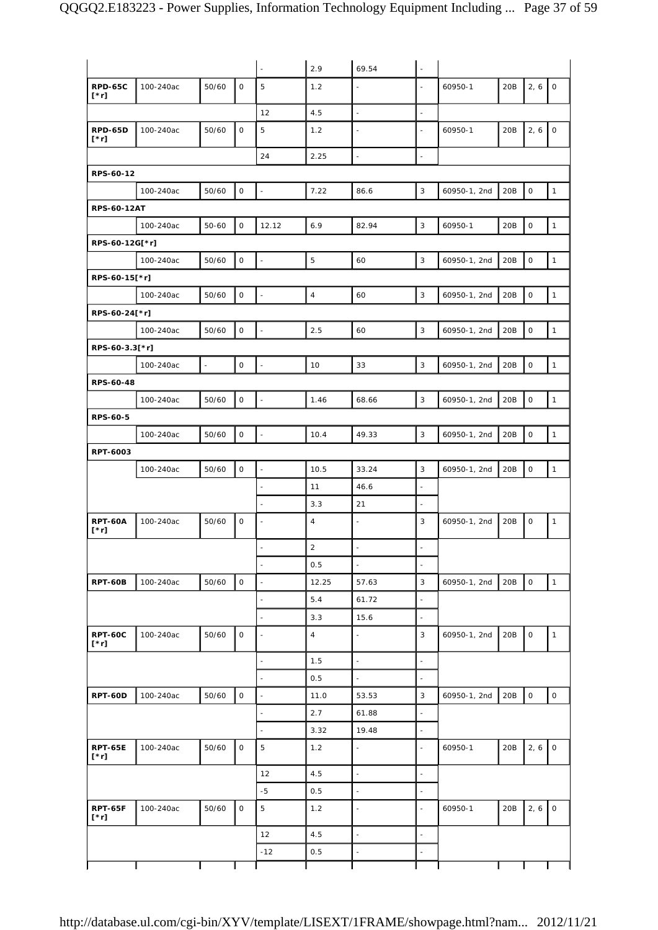|                               |           |                          |              | $\overline{\phantom{a}}$     | 2.9            | 69.54                    | $\blacksquare$           |              |     |                     |                     |
|-------------------------------|-----------|--------------------------|--------------|------------------------------|----------------|--------------------------|--------------------------|--------------|-----|---------------------|---------------------|
|                               |           |                          | $\mathsf O$  | 5                            |                |                          |                          |              |     | 2, 6                |                     |
| <b>RPD-65C</b><br>$[\cdot r]$ | 100-240ac | 50/60                    |              |                              | 1.2            | $\overline{\phantom{a}}$ | $\overline{\phantom{a}}$ | 60950-1      | 20B |                     | $\mathsf O$         |
|                               |           |                          |              | 12                           | 4.5            | $\bar{\mathcal{L}}$      | $\bar{\phantom{a}}$      |              |     |                     |                     |
| <b>RPD-65D</b><br>$[\cdot r]$ | 100-240ac | 50/60                    | $\mathsf{O}$ | 5                            | 1.2            | L,                       | ÷,                       | 60950-1      | 20B | 2, 6                | $\mathsf O$         |
|                               |           |                          |              | 24                           | 2.25           | $\overline{\phantom{a}}$ | $\overline{\phantom{a}}$ |              |     |                     |                     |
| RPS-60-12                     |           |                          |              |                              |                |                          |                          |              |     |                     |                     |
|                               | 100-240ac | 50/60                    | $\mathsf O$  | $\bar{\mathcal{A}}$          | 7.22           | 86.6                     | $\mathbf{3}$             | 60950-1, 2nd | 20B | $\mathsf{O}\xspace$ | $\mathbf{1}$        |
| <b>RPS-60-12AT</b>            |           |                          |              |                              |                |                          |                          |              |     |                     |                     |
|                               | 100-240ac | $50 - 60$                | $\mathsf O$  | 12.12                        | 6.9            | 82.94                    | 3                        | 60950-1      | 20B | $\mathsf O$         | $\mathbf{1}$        |
| RPS-60-12G[*r]                |           |                          |              |                              |                |                          |                          |              |     |                     |                     |
|                               | 100-240ac | 50/60                    | $\mathsf{O}$ | $\overline{\phantom{a}}$     | 5              | 60                       | 3                        | 60950-1, 2nd | 20B | $\mathbf 0$         | $\mathbf{1}$        |
| RPS-60-15[*r]                 |           |                          |              |                              |                |                          |                          |              |     |                     |                     |
|                               | 100-240ac | 50/60                    | 0            | $\overline{\phantom{a}}$     | $\overline{4}$ | 60                       | 3                        | 60950-1, 2nd | 20B | $\mathsf O$         | $\mathbf{1}$        |
| RPS-60-24[*r]                 |           |                          |              |                              |                |                          |                          |              |     |                     |                     |
|                               | 100-240ac | 50/60                    | 0            | $\Box$                       | 2.5            | 60                       | $\mathbf{3}$             | 60950-1, 2nd | 20B | $\mathsf{O}\xspace$ | $\mathbf{1}$        |
| RPS-60-3.3[*r]                |           |                          |              |                              |                |                          |                          |              |     |                     |                     |
|                               | 100-240ac | $\overline{\phantom{a}}$ | $\mathsf{O}$ | $\overline{\phantom{a}}$     | 10             | 33                       | 3                        | 60950-1, 2nd | 20B | $\mathsf{O}\xspace$ | $\mathbf{1}$        |
| RPS-60-48                     |           |                          |              |                              |                |                          |                          |              |     |                     |                     |
|                               | 100-240ac | 50/60                    | 0            | $\overline{\phantom{a}}$     | 1.46           | 68.66                    | 3                        | 60950-1, 2nd | 20B | $\mathsf O$         | $\mathbf{1}$        |
| RPS-60-5                      |           |                          |              |                              |                |                          |                          |              |     |                     |                     |
|                               | 100-240ac | 50/60                    | 0            | Ĭ.                           | 10.4           | 49.33                    | 3                        | 60950-1, 2nd | 20B | $\mathsf O$         | $\mathbf{1}$        |
| RPT-6003                      |           |                          |              |                              |                |                          |                          |              |     |                     |                     |
|                               | 100-240ac | 50/60                    | $\mathsf O$  | $\bar{\gamma}$               | 10.5           | 33.24                    | $\mathbf{3}$             | 60950-1, 2nd | 20B | $\mathsf O$         | $\mathbf{1}$        |
|                               |           |                          |              | $\blacksquare$               | 11             | 46.6                     | $\overline{\phantom{a}}$ |              |     |                     |                     |
|                               |           |                          |              |                              | 3.3            | 21                       | $\blacksquare$           |              |     |                     |                     |
| <b>RPT-60A</b><br>$[\cdot r]$ | 100-240ac | 50/60                    | 0            | ÷,                           | $\overline{4}$ | $\blacksquare$           | 3                        | 60950-1, 2nd | 20B | 0                   | $\mathbf{1}$        |
|                               |           |                          |              | $\overline{\phantom{a}}$     | $\overline{2}$ | $\bar{\phantom{a}}$      | $\sim$                   |              |     |                     |                     |
|                               |           |                          |              |                              | 0.5            | $\blacksquare$           | $\overline{\phantom{a}}$ |              |     |                     |                     |
| <b>RPT-60B</b>                | 100-240ac | 50/60                    | $\mathsf O$  | $\overline{\phantom{a}}$     | 12.25          | 57.63                    | 3                        | 60950-1, 2nd | 20B | $\mathsf{O}\xspace$ | $\mathbf{1}$        |
|                               |           |                          |              | $\overline{a}$               | 5.4            | 61.72                    | $\overline{\phantom{a}}$ |              |     |                     |                     |
|                               |           |                          |              | L,                           | 3.3            | 15.6                     | $\overline{\phantom{a}}$ |              |     |                     |                     |
| <b>RPT-60C</b><br>[*r]        | 100-240ac | 50/60                    | 0            | $\overline{\phantom{a}}$     | $\overline{4}$ | $\blacksquare$           | 3                        | 60950-1, 2nd | 20B | $\mathsf O$         | $\mathbf{1}$        |
|                               |           |                          |              | $\qquad \qquad \blacksquare$ | 1.5            | $\overline{\phantom{a}}$ | $\overline{\phantom{a}}$ |              |     |                     |                     |
|                               |           |                          |              | $\overline{a}$               | 0.5            | $\blacksquare$           | $\overline{\phantom{a}}$ |              |     |                     |                     |
| <b>RPT-60D</b>                | 100-240ac | 50/60                    | $\mathsf O$  | $\overline{\phantom{a}}$     | 11.0           | 53.53                    | $\mathbf{3}$             | 60950-1, 2nd | 20B | $\mathsf{O}\xspace$ | $\mathsf{O}\xspace$ |
|                               |           |                          |              | $\blacksquare$               | 2.7            | 61.88                    | $\blacksquare$           |              |     |                     |                     |
|                               |           |                          |              |                              | 3.32           | 19.48                    | $\blacksquare$           |              |     |                     |                     |
| <b>RPT-65E</b><br>$[\cdot r]$ | 100-240ac | 50/60                    | $\mathsf O$  | $\overline{5}$               | 1.2            | ä,                       | $\Box$                   | 60950-1      | 20B | 2, 6                | $\mathsf O$         |
|                               |           |                          |              | 12                           | 4.5            | $\bar{\phantom{a}}$      | $\overline{\phantom{a}}$ |              |     |                     |                     |
|                               |           |                          |              | $-5$                         | 0.5            | $\blacksquare$           | $\overline{\phantom{a}}$ |              |     |                     |                     |
| <b>RPT-65F</b><br>$[\cdot r]$ | 100-240ac | 50/60                    | $\mathsf O$  | 5                            | 1.2            | $\blacksquare$           | $\blacksquare$           | 60950-1      | 20B | 2, 6                | $\mathsf O$         |
|                               |           |                          |              | 12                           | 4.5            | $\bar{\phantom{a}}$      | $\overline{\phantom{a}}$ |              |     |                     |                     |
|                               |           |                          |              | $-12$                        | 0.5            | $\blacksquare$           | $\blacksquare$           |              |     |                     |                     |
|                               |           |                          |              |                              |                |                          |                          |              |     |                     |                     |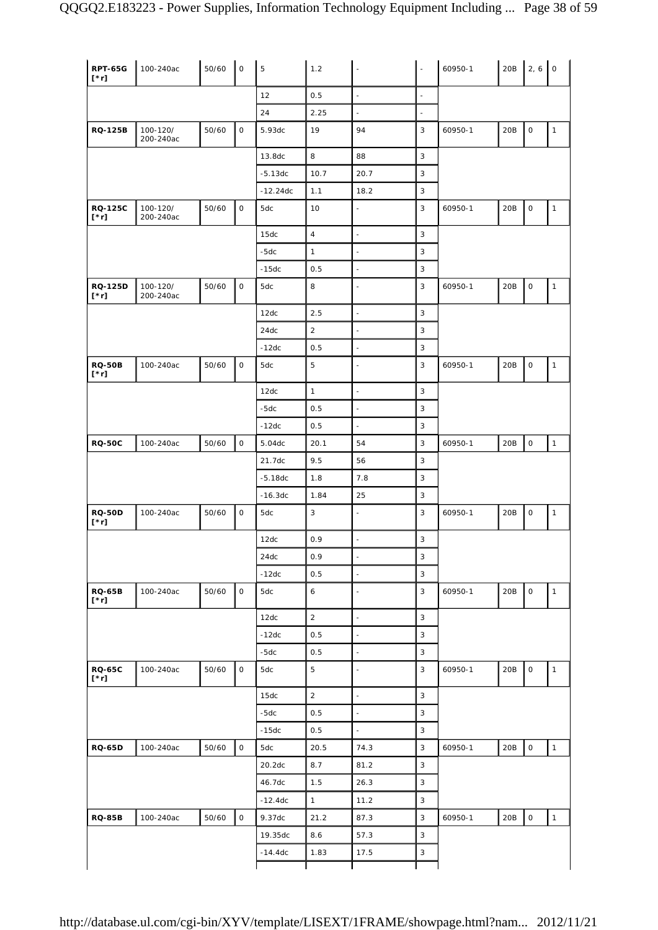| <b>RPT-65G</b><br>$[\cdot r]$ | 100-240ac             | 50/60 | $\mathsf{O}$        | 5          | 1.2              | L,                       | $\omega$                 | 60950-1 | 20B | $2, 6$ 0            |              |
|-------------------------------|-----------------------|-------|---------------------|------------|------------------|--------------------------|--------------------------|---------|-----|---------------------|--------------|
|                               |                       |       |                     | 12         | 0.5              | $\frac{1}{2}$            | $\bar{\phantom{a}}$      |         |     |                     |              |
|                               |                       |       |                     | 24         | 2.25             | $\Box$                   | $\overline{\phantom{a}}$ |         |     |                     |              |
| <b>RQ-125B</b>                | 100-120/<br>200-240ac | 50/60 | $\mathsf{O}\xspace$ | 5.93dc     | 19               | 94                       | 3                        | 60950-1 | 20B | $\mathsf O$         | $\mathbf{1}$ |
|                               |                       |       |                     | 13.8dc     | 8                | 88                       | 3                        |         |     |                     |              |
|                               |                       |       |                     | $-5.13dc$  | 10.7             | 20.7                     | $\mathbf{3}$             |         |     |                     |              |
|                               |                       |       |                     | $-12.24dc$ | 1.1              | 18.2                     | $\mathbf{3}$             |         |     |                     |              |
| <b>RQ-125C</b><br>$[\cdot r]$ | 100-120/<br>200-240ac | 50/60 | $\mathsf{O}\xspace$ | 5dc        | 10               | $\blacksquare$           | 3                        | 60950-1 | 20B | 0                   | $\mathbf{1}$ |
|                               |                       |       |                     | 15dc       | $\sqrt{4}$       | $\overline{\phantom{a}}$ | $\mathbf{3}$             |         |     |                     |              |
|                               |                       |       |                     | $-5dc$     | $\mathbf{1}$     | $\blacksquare$           | 3                        |         |     |                     |              |
|                               |                       |       |                     | $-15dc$    | 0.5              | $\bar{\omega}$           | 3                        |         |     |                     |              |
| <b>RQ-125D</b><br>$[\cdot r]$ | 100-120/<br>200-240ac | 50/60 | $\mathsf O$         | 5dc        | 8                | $\blacksquare$           | 3                        | 60950-1 | 20B | 0                   | $\mathbf{1}$ |
|                               |                       |       |                     | 12dc       | 2.5              | $\Box$                   | $\mathbf{3}$             |         |     |                     |              |
|                               |                       |       |                     | 24dc       | $\overline{2}$   | $\overline{\phantom{a}}$ | 3                        |         |     |                     |              |
|                               |                       |       |                     | $-12dc$    | 0.5              | $\bar{\phantom{a}}$      | $\mathbf{3}$             |         |     |                     |              |
| <b>RQ-50B</b><br>$[\cdot r]$  | 100-240ac             | 50/60 | $\mathsf{O}\xspace$ | 5dc        | 5                | $\bar{\phantom{a}}$      | 3                        | 60950-1 | 20B | $\mathsf O$         | $\mathbf{1}$ |
|                               |                       |       |                     | 12dc       | $\mathbf{1}$     | $\Box$                   | 3                        |         |     |                     |              |
|                               |                       |       |                     | $-5dc$     | 0.5              | $\Box$                   | $\mathbf{3}$             |         |     |                     |              |
|                               |                       |       |                     | $-12dc$    | 0.5              | $\mathbb{Z}$             | 3                        |         |     |                     |              |
| <b>RQ-50C</b>                 | 100-240ac             | 50/60 | $\mathsf{O}\xspace$ | 5.04dc     | 20.1             | 54                       | 3                        | 60950-1 | 20B | $\mathsf O$         | $\mathbf{1}$ |
|                               |                       |       |                     | 21.7dc     | 9.5              | 56                       | 3                        |         |     |                     |              |
|                               |                       |       |                     | $-5.18dc$  | 1.8              | 7.8                      | 3                        |         |     |                     |              |
|                               |                       |       |                     | $-16.3dc$  | 1.84             | 25                       | 3                        |         |     |                     |              |
| <b>RQ-50D</b><br>$[\cdot r]$  | 100-240ac             | 50/60 | $\mathsf O$         | 5dc        | 3                | $\blacksquare$           | 3                        | 60950-1 | 20B | 0                   | $\mathbf{1}$ |
|                               |                       |       |                     | 12dc       | 0.9              | $\overline{\phantom{a}}$ | $\mathbf{3}$             |         |     |                     |              |
|                               |                       |       |                     | 24dc       | 0.9              | $\overline{\phantom{a}}$ | 3                        |         |     |                     |              |
|                               |                       |       |                     | $-12dc$    | 0.5              | $\bar{\omega}$           | $\mathbf{3}$             |         |     |                     |              |
| <b>RQ-65B</b><br>$[\cdot r]$  | 100-240ac             | 50/60 | $\mathsf O$         | 5dc        | $\boldsymbol{6}$ | ÷,                       | $\mathbf{3}$             | 60950-1 | 20B | $\mathsf O$         | $\mathbf{1}$ |
|                               |                       |       |                     | 12dc       | $\overline{c}$   | $\Box$                   | $\mathbf{3}$             |         |     |                     |              |
|                               |                       |       |                     | $-12dc$    | 0.5              | $\bar{\phantom{a}}$      | $\sqrt{3}$               |         |     |                     |              |
|                               |                       |       |                     | $-5dc$     | 0.5              | $\bar{\omega}$           | $\mathbf{3}$             |         |     |                     |              |
| <b>RQ-65C</b><br>$[\cdot r]$  | 100-240ac             | 50/60 | $\mathsf{O}\xspace$ | 5dc        | $\overline{5}$   | $\blacksquare$           | 3                        | 60950-1 | 20B | $\mathsf O$         | $\mathbf 1$  |
|                               |                       |       |                     | 15dc       | $\overline{2}$   | ÷,                       | $\mathbf{3}$             |         |     |                     |              |
|                               |                       |       |                     | $-5dc$     | 0.5              | $\omega$                 | $\mathbf{3}$             |         |     |                     |              |
|                               |                       |       |                     | $-15dc$    | 0.5              | $\omega$                 | $\mathbf{3}$             |         |     |                     |              |
| <b>RQ-65D</b>                 | 100-240ac             | 50/60 | $\mathsf O$         | 5dc        | 20.5             | 74.3                     | $\mathbf{3}$             | 60950-1 | 20B | $\mathsf{O}\xspace$ | $\mathbf{1}$ |
|                               |                       |       |                     | 20.2dc     | 8.7              | 81.2                     | $\mathbf{3}$             |         |     |                     |              |
|                               |                       |       |                     |            | 1.5              | 26.3                     | $\mathbf{3}$             |         |     |                     |              |
|                               |                       |       |                     | 46.7dc     |                  |                          |                          |         |     |                     |              |
|                               |                       |       |                     | $-12.4dc$  | $\mathbf{1}$     | 11.2                     | $\mathbf{3}$             |         |     |                     |              |
|                               | 100-240ac             | 50/60 | $\mathsf O$         | 9.37dc     | 21.2             | 87.3                     | $\mathbf{3}$             | 60950-1 | 20B | $\mathsf{O}\xspace$ |              |
| <b>RQ-85B</b>                 |                       |       |                     | 19.35dc    | 8.6              | 57.3                     | 3                        |         |     |                     | $\mathbf{1}$ |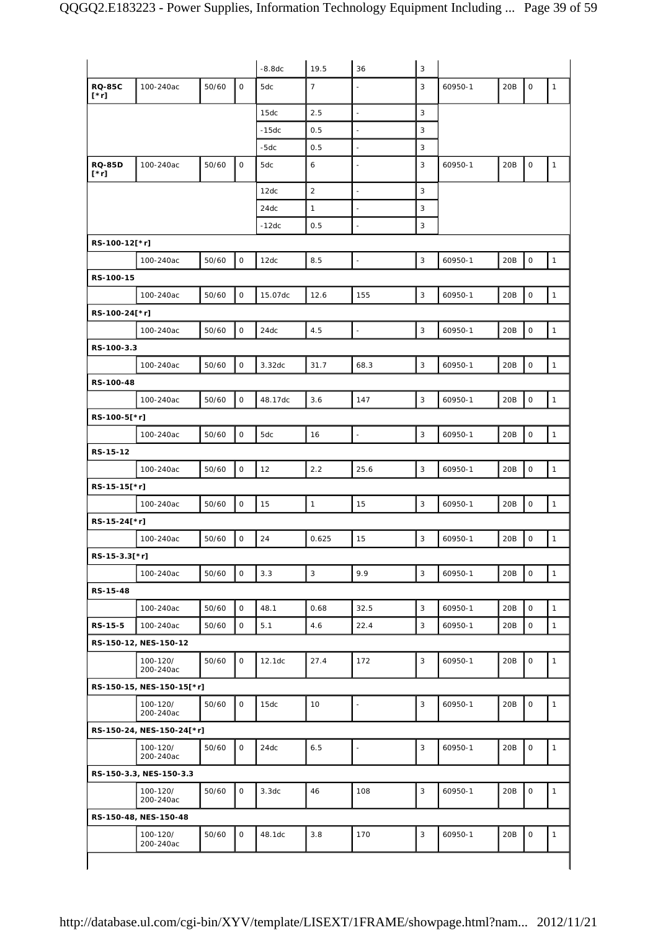|                              |                           |       |             | $-8.8dc$ | 19.5           | 36                       | $\sqrt{3}$   |         |     |             |              |
|------------------------------|---------------------------|-------|-------------|----------|----------------|--------------------------|--------------|---------|-----|-------------|--------------|
| <b>RQ-85C</b><br>$[\cdot r]$ | 100-240ac                 | 50/60 | $\mathsf O$ | 5dc      | $\overline{7}$ | $\blacksquare$           | 3            | 60950-1 | 20B | $\mathsf O$ | $\mathbf{1}$ |
|                              |                           |       |             | 15dc     | 2.5            | $\Box$                   | 3            |         |     |             |              |
|                              |                           |       |             | $-15dc$  | 0.5            | $\overline{a}$           | 3            |         |     |             |              |
|                              |                           |       |             | $-5dc$   | 0.5            | $\blacksquare$           | 3            |         |     |             |              |
| <b>RQ-85D</b><br>[*r]        | 100-240ac                 | 50/60 | $\mathsf O$ | 5dc      | 6              | $\overline{\phantom{a}}$ | 3            | 60950-1 | 20B | $\mathsf O$ | $\mathbf{1}$ |
|                              |                           |       |             | 12dc     | $\overline{2}$ | $\Box$                   | 3            |         |     |             |              |
|                              |                           |       |             | 24dc     | $\mathbf{1}$   | $\sim$                   | 3            |         |     |             |              |
|                              |                           |       |             | $-12dc$  | 0.5            | $\Box$                   | 3            |         |     |             |              |
| RS-100-12[*r]                |                           |       |             |          |                |                          |              |         |     |             |              |
|                              | 100-240ac                 | 50/60 | $\mathsf O$ | 12dc     | 8.5            | $\overline{\phantom{a}}$ | 3            | 60950-1 | 20B | $\mathsf O$ | $\mathbf{1}$ |
| RS-100-15                    |                           |       |             |          |                |                          |              |         |     |             |              |
|                              | 100-240ac                 | 50/60 | $\mathsf O$ | 15.07dc  | 12.6           | 155                      | 3            | 60950-1 | 20B | $\mathsf O$ | $\mathbf{1}$ |
| RS-100-24[*r]                |                           |       |             |          |                |                          |              |         |     |             |              |
|                              | 100-240ac                 | 50/60 | $\mathsf O$ | 24dc     | 4.5            | $\Box$                   | 3            | 60950-1 | 20B | $\mathsf O$ | $\mathbf{1}$ |
| RS-100-3.3                   |                           |       |             |          |                |                          |              |         |     |             |              |
|                              | 100-240ac                 | 50/60 | $\mathsf O$ | 3.32dc   | 31.7           | 68.3                     | $\mathbf{3}$ | 60950-1 | 20B | $\mathsf O$ | $\mathbf{1}$ |
| RS-100-48                    |                           |       |             |          |                |                          |              |         |     |             |              |
|                              | 100-240ac                 | 50/60 | $\mathsf O$ | 48.17dc  | 3.6            | 147                      | 3            | 60950-1 | 20B | $\mathsf O$ | $\mathbf{1}$ |
| RS-100-5[*r]                 |                           |       |             |          |                |                          |              |         |     |             |              |
|                              | 100-240ac                 | 50/60 | $\mathsf O$ | 5dc      | 16             | $\overline{\phantom{a}}$ | 3            | 60950-1 | 20B | $\mathsf O$ | $\mathbf{1}$ |
| RS-15-12                     |                           |       |             |          |                |                          |              |         |     |             |              |
|                              | 100-240ac                 | 50/60 | $\mathsf O$ | 12       | 2.2            | 25.6                     | 3            | 60950-1 | 20B | $\mathsf O$ | $\mathbf{1}$ |
|                              |                           |       |             |          |                |                          |              |         |     |             |              |
| RS-15-15[*r]                 |                           |       |             |          |                |                          |              |         |     |             |              |
|                              | 100-240ac                 | 50/60 | $\mathsf O$ | 15       | $\mathbf{1}$   | 15                       | 3            | 60950-1 | 20B | $\mathsf O$ | $\mathbf{1}$ |
| RS-15-24[*r]                 |                           |       |             |          |                |                          |              |         |     |             |              |
|                              | 100-240ac                 | 50/60 | $\mathsf O$ | 24       | 0.625          | 15                       | 3            | 60950-1 | 20B | $\mathsf O$ | $\mathbf{1}$ |
| RS-15-3.3[*r]                |                           |       |             |          |                |                          |              |         |     |             |              |
|                              | 100-240ac                 | 50/60 | $\mathsf O$ | 3.3      | $\mathbf{3}$   | 9.9                      | 3            | 60950-1 | 20B | $\mathsf O$ | $\mathbf{1}$ |
| RS-15-48                     |                           |       |             |          |                |                          |              |         |     |             |              |
|                              | 100-240ac                 | 50/60 | $\mathbf 0$ | 48.1     | 0.68           | 32.5                     | 3            | 60950-1 | 20B | $\mathbf 0$ | $\mathbf{1}$ |
| RS-15-5                      | 100-240ac                 | 50/60 | 0           | 5.1      | 4.6            | 22.4                     | 3            | 60950-1 | 20B | $\mathsf O$ | $\mathbf{1}$ |
|                              | RS-150-12, NES-150-12     |       |             |          |                |                          |              |         |     |             |              |
|                              | 100-120/<br>200-240ac     | 50/60 | $\mathbf 0$ | 12.1dc   | 27.4           | 172                      | 3            | 60950-1 | 20B | $\mathbf 0$ | $\mathbf{1}$ |
|                              | RS-150-15, NES-150-15[*r] |       |             |          |                |                          |              |         |     |             |              |
|                              | 100-120/<br>200-240ac     | 50/60 | $\mathsf O$ | 15dc     | 10             | $\blacksquare$           | 3            | 60950-1 | 20B | $\mathsf O$ | $\mathbf{1}$ |
|                              | RS-150-24, NES-150-24[*r] |       |             |          |                |                          |              |         |     |             |              |
|                              | 100-120/<br>200-240ac     | 50/60 | $\mathsf O$ | 24dc     | 6.5            | $\blacksquare$           | 3            | 60950-1 | 20B | $\mathsf O$ | $\mathbf{1}$ |
|                              | RS-150-3.3, NES-150-3.3   |       |             |          |                |                          |              |         |     |             |              |
|                              | 100-120/<br>200-240ac     | 50/60 | 0           | 3.3dc    | 46             | 108                      | 3            | 60950-1 | 20B | $\mathsf O$ | $\mathbf{1}$ |
|                              | RS-150-48, NES-150-48     |       |             |          |                |                          |              |         |     |             |              |
|                              | 100-120/<br>200-240ac     | 50/60 | 0           | 48.1dc   | 3.8            | 170                      | $\mathbf{3}$ | 60950-1 | 20B | $\mathsf O$ | $\mathbf{1}$ |
|                              |                           |       |             |          |                |                          |              |         |     |             |              |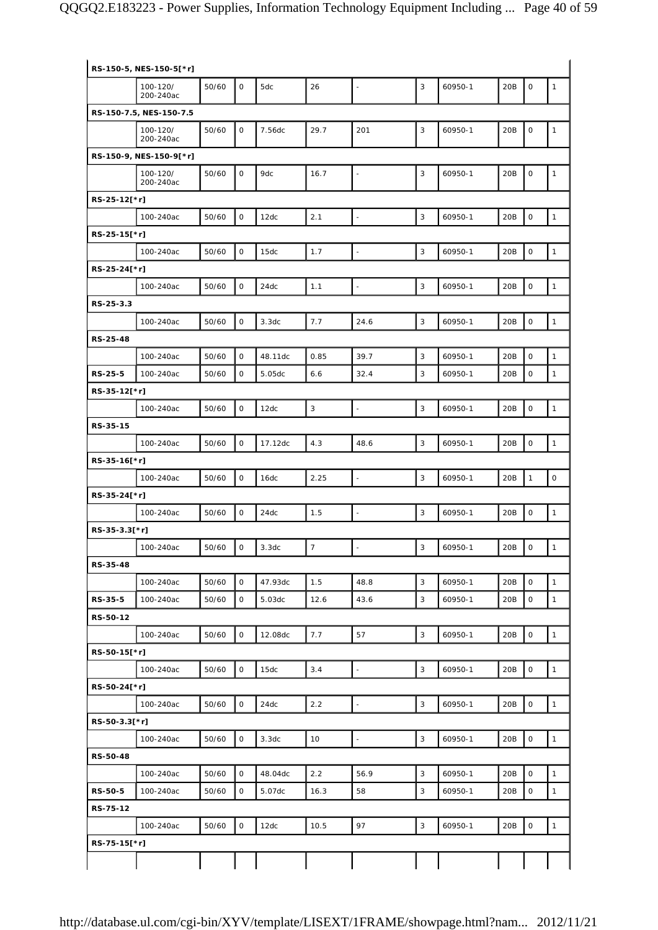|                | RS-150-5, NES-150-5[*r] |       |                     |                   |                |                          |              |         |     |                     |                     |
|----------------|-------------------------|-------|---------------------|-------------------|----------------|--------------------------|--------------|---------|-----|---------------------|---------------------|
|                | 100-120/<br>200-240ac   | 50/60 | $\mathbf 0$         | 5dc               | 26             | $\Box$                   | 3            | 60950-1 | 20B | $\mathbf 0$         | $\mathbf{1}$        |
|                | RS-150-7.5, NES-150-7.5 |       |                     |                   |                |                          |              |         |     |                     |                     |
|                | 100-120/<br>200-240ac   | 50/60 | $\mathsf O$         | 7.56dc            | 29.7           | 201                      | $\sqrt{3}$   | 60950-1 | 20B | $\mathbf 0$         | $\mathbf{1}$        |
|                | RS-150-9, NES-150-9[*r] |       |                     |                   |                |                          |              |         |     |                     |                     |
|                | 100-120/<br>200-240ac   | 50/60 | 0                   | 9dc               | 16.7           | $\blacksquare$           | 3            | 60950-1 | 20B | $\mathsf O$         | $\mathbf{1}$        |
| RS-25-12[*r]   |                         |       |                     |                   |                |                          |              |         |     |                     |                     |
|                | 100-240ac               | 50/60 | $\mathsf O$         | 12dc              | 2.1            | $\overline{\phantom{a}}$ | 3            | 60950-1 | 20B | $\mathsf O$         | $\mathbf{1}$        |
| RS-25-15[*r]   |                         |       |                     |                   |                |                          |              |         |     |                     |                     |
|                | 100-240ac               | 50/60 | $\mathsf O$         | 15dc              | 1.7            | $\mathbb{Z}$             | 3            | 60950-1 | 20B | $\mathsf O$         | $\mathbf{1}$        |
| RS-25-24[*r]   |                         |       |                     |                   |                |                          |              |         |     |                     |                     |
|                | 100-240ac               | 50/60 | 0                   | 24dc              | 1.1            | $\overline{\phantom{a}}$ | 3            | 60950-1 | 20B | $\mathsf{O}\xspace$ | $\mathbf{1}$        |
| RS-25-3.3      |                         |       |                     |                   |                |                          |              |         |     |                     |                     |
|                | 100-240ac               | 50/60 | $\mathsf O$         | 3.3 <sub>dc</sub> | 7.7            | 24.6                     | 3            | 60950-1 | 20B | $\mathsf O$         | $\mathbf{1}$        |
| RS-25-48       |                         |       |                     |                   |                |                          |              |         |     |                     |                     |
|                | 100-240ac               | 50/60 | $\mathsf O$         | 48.11dc           | 0.85           | 39.7                     | $\mathbf{3}$ | 60950-1 | 20B | $\mathbf 0$         | $\mathbf{1}$        |
| <b>RS-25-5</b> | 100-240ac               | 50/60 | 0                   | 5.05dc            | 6.6            | 32.4                     | 3            | 60950-1 | 20B | $\mathsf O$         | $\mathbf{1}$        |
| RS-35-12[*r]   |                         |       |                     |                   |                |                          |              |         |     |                     |                     |
|                | 100-240ac               | 50/60 | $\mathbf 0$         | 12dc              | $\mathbf{3}$   | $\overline{\phantom{a}}$ | $\mathbf{3}$ | 60950-1 | 20B | $\mathbf 0$         | $\mathbf{1}$        |
| RS-35-15       |                         |       |                     |                   |                |                          |              |         |     |                     |                     |
|                | 100-240ac               | 50/60 | 0                   | 17.12dc           | 4.3            | 48.6                     | 3            | 60950-1 | 20B | $\mathsf O$         | $\mathbf{1}$        |
| RS-35-16[*r]   |                         |       |                     |                   |                |                          |              |         |     |                     |                     |
|                | 100-240ac               | 50/60 | $\mathsf O$         | 16dc              | 2.25           | $\bar{\phantom{a}}$      | $\sqrt{3}$   | 60950-1 | 20B | $\mathbf{1}$        | $\mathsf{O}\xspace$ |
| RS-35-24[*r]   |                         |       |                     |                   |                |                          |              |         |     |                     |                     |
|                | 100-240ac               | 50/60 | 0                   | 24dc              | 1.5            | $\overline{\phantom{a}}$ | 3            | 60950-1 | 20B | $\mathbf 0$         | $\mathbf{1}$        |
| RS-35-3.3[*r]  |                         |       |                     |                   |                |                          |              |         |     |                     |                     |
|                | 100-240ac               | 50/60 | 0                   | 3.3dc             | $\overline{7}$ | $\blacksquare$           | $\sqrt{3}$   | 60950-1 | 20B | $\mathbf 0$         | $\mathbf{1}$        |
| RS-35-48       |                         |       |                     |                   |                |                          |              |         |     |                     |                     |
|                | 100-240ac               | 50/60 | O                   | 47.93dc           | 1.5            | 48.8                     | 3            | 60950-1 | 20B | $\mathbf 0$         | $\mathbf{1}$        |
| RS-35-5        | 100-240ac               | 50/60 | $\mathsf O$         | 5.03dc            | 12.6           | 43.6                     | 3            | 60950-1 | 20B | $\mathsf O$         | $\mathbf{1}$        |
| RS-50-12       |                         |       |                     |                   |                |                          |              |         |     |                     |                     |
|                | 100-240ac               | 50/60 | $\mathsf{O}\xspace$ | 12.08dc           | 7.7            | 57                       | 3            | 60950-1 | 20B | $\mathsf{O}\xspace$ | $\mathbf{1}$        |
| RS-50-15[*r]   |                         |       |                     |                   |                |                          |              |         |     |                     |                     |
|                | 100-240ac               | 50/60 | $\mathsf O$         | 15dc              | 3.4            | $\Box$                   | 3            | 60950-1 | 20B | $\mathsf O$         | $\mathbf{1}$        |
| RS-50-24[*r]   |                         |       |                     |                   |                |                          |              |         |     |                     |                     |
|                | 100-240ac               | 50/60 | $\mathsf{O}\xspace$ | 24dc              | 2.2            | $\mathbb{Z}$             | 3            | 60950-1 | 20B | $\mathbf 0$         | $\mathbf{1}$        |
| RS-50-3.3[*r]  |                         |       |                     |                   |                |                          |              |         |     |                     |                     |
|                | 100-240ac               | 50/60 | $\mathsf O$         | 3.3dc             | 10             | $\Box$                   | 3            | 60950-1 | 20B | $\mathsf O$         | $\mathbf{1}$        |
| RS-50-48       |                         |       |                     |                   |                |                          |              |         |     |                     |                     |
|                | 100-240ac               | 50/60 | $\mathsf O$         | 48.04dc           | 2.2            | 56.9                     | 3            | 60950-1 | 20B | $\mathsf{O}\xspace$ | $\mathbf{1}$        |
| <b>RS-50-5</b> | 100-240ac               | 50/60 | 0                   | 5.07dc            | 16.3           | 58                       | 3            | 60950-1 | 20B | $\mathsf O$         | $\mathbf{1}$        |
| RS-75-12       |                         |       |                     |                   |                |                          |              |         |     |                     |                     |
|                | 100-240ac               | 50/60 | $\mathbf 0$         | 12dc              | 10.5           | 97                       | 3            | 60950-1 | 20B | $\mathbf 0$         | $\mathbf{1}$        |
| RS-75-15[*r]   |                         |       |                     |                   |                |                          |              |         |     |                     |                     |
|                |                         |       |                     |                   |                |                          |              |         |     |                     |                     |
|                |                         |       |                     |                   |                |                          |              |         |     |                     |                     |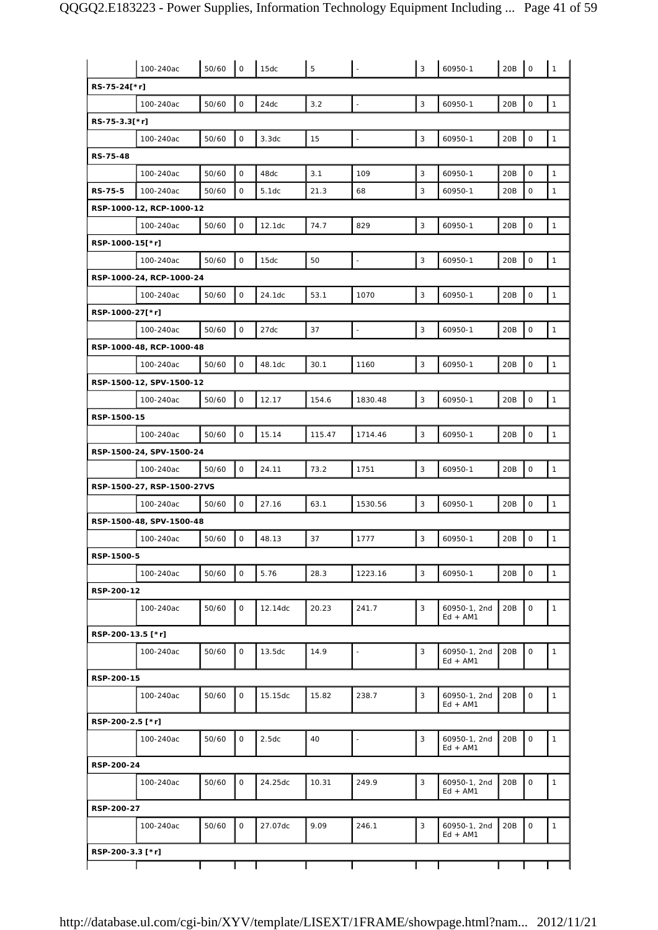|                   | 100-240ac                  | 50/60 | $\mathsf O$         | 15dc               | 5      |                          | 3            | 60950-1                    | 20B | $\mathbf 0$         | $\mathbf{1}$ |
|-------------------|----------------------------|-------|---------------------|--------------------|--------|--------------------------|--------------|----------------------------|-----|---------------------|--------------|
| RS-75-24[*r]      |                            |       |                     |                    |        |                          |              |                            |     |                     |              |
|                   | 100-240ac                  | 50/60 | $\mathsf{O}\xspace$ | 24dc               | 3.2    | $\Box$                   | 3            | 60950-1                    | 20B | $\mathbf 0$         | $\mathbf{1}$ |
| RS-75-3.3[*r]     |                            |       |                     |                    |        |                          |              |                            |     |                     |              |
|                   | 100-240ac                  | 50/60 | $\mathsf O$         | 3.3dc              | 15     | $\blacksquare$           | $\mathbf{3}$ | 60950-1                    | 20B | $\mathsf{O}\xspace$ | $\mathbf{1}$ |
| <b>RS-75-48</b>   |                            |       |                     |                    |        |                          |              |                            |     |                     |              |
|                   | 100-240ac                  | 50/60 | $\mathsf O$         | 48dc               | 3.1    | 109                      | 3            | 60950-1                    | 20B | $\mathbf 0$         | $\mathbf{1}$ |
| RS-75-5           | 100-240ac                  | 50/60 | 0                   | 5.1dc              | 21.3   | 68                       | 3            | 60950-1                    | 20B | $\mathsf O$         | $\mathbf{1}$ |
|                   | RSP-1000-12, RCP-1000-12   |       |                     |                    |        |                          |              |                            |     |                     |              |
|                   | 100-240ac                  | 50/60 | $\mathsf O$         | 12.1dc             | 74.7   | 829                      | 3            | 60950-1                    | 20B | $\mathsf{O}\xspace$ | $\mathbf{1}$ |
| RSP-1000-15[*r]   |                            |       |                     |                    |        |                          |              |                            |     |                     |              |
|                   | 100-240ac                  | 50/60 | $\mathsf O$         | 15dc               | 50     | $\bar{\phantom{a}}$      | $\mathbf{3}$ | 60950-1                    | 20B | $\mathbf 0$         | $\mathbf{1}$ |
|                   | RSP-1000-24, RCP-1000-24   |       |                     |                    |        |                          |              |                            |     |                     |              |
|                   | 100-240ac                  | 50/60 | $\mathsf O$         | 24.1dc             | 53.1   | 1070                     | 3            | 60950-1                    | 20B | $\mathsf O$         | $\mathbf{1}$ |
| RSP-1000-27[*r]   |                            |       |                     |                    |        |                          |              |                            |     |                     |              |
|                   | 100-240ac                  | 50/60 | $\mathsf O$         | 27dc               | 37     | $\bar{\phantom{a}}$      | 3            | 60950-1                    | 20B | $\mathbf 0$         | $\mathbf{1}$ |
|                   | RSP-1000-48, RCP-1000-48   |       |                     |                    |        |                          |              |                            |     |                     |              |
|                   | 100-240ac                  | 50/60 | $\mathsf{O}\xspace$ | 48.1dc             | 30.1   | 1160                     | 3            | 60950-1                    | 20B | $\mathsf{O}\xspace$ | $\mathbf{1}$ |
|                   | RSP-1500-12, SPV-1500-12   |       |                     |                    |        |                          |              |                            |     |                     |              |
|                   | 100-240ac                  | 50/60 | $\mathsf O$         | 12.17              | 154.6  | 1830.48                  | 3            | 60950-1                    | 20B | $\mathsf O$         | $\mathbf{1}$ |
| RSP-1500-15       |                            |       |                     |                    |        |                          |              |                            |     |                     |              |
|                   | 100-240ac                  | 50/60 | $\mathsf O$         | 15.14              | 115.47 | 1714.46                  | 3            | 60950-1                    | 20B | $\mathbf 0$         | $\mathbf{1}$ |
|                   | RSP-1500-24, SPV-1500-24   |       |                     |                    |        |                          |              |                            |     |                     |              |
|                   | 100-240ac                  | 50/60 | $\mathsf O$         | 24.11              | 73.2   | 1751                     | 3            | 60950-1                    | 20B | $\mathbf 0$         | $\mathbf{1}$ |
|                   |                            |       |                     |                    |        |                          |              |                            |     |                     |              |
|                   | RSP-1500-27, RSP-1500-27VS |       |                     |                    |        |                          |              |                            |     |                     |              |
|                   | 100-240ac                  | 50/60 | $\mathsf{O}\xspace$ | 27.16              | 63.1   | 1530.56                  | $\mathbf{3}$ | 60950-1                    | 20B | $\mathsf{O}\xspace$ | $\mathbf{1}$ |
|                   | RSP-1500-48, SPV-1500-48   |       |                     |                    |        |                          |              |                            |     |                     |              |
|                   | 100-240ac                  | 50/60 | $\mathsf O$         | 48.13              | 37     | 1777                     | 3            | 60950-1                    | 20B | $\mathsf O$         | $\mathbf{1}$ |
| RSP-1500-5        |                            |       |                     |                    |        |                          |              |                            |     |                     |              |
|                   | 100-240ac                  | 50/60 | $\mathsf{O}$        | 5.76               | 28.3   | 1223.16                  | 3            | 60950-1                    | 20B | $\mathbf 0$         | $\mathbf{1}$ |
| RSP-200-12        |                            |       |                     |                    |        |                          |              |                            |     |                     |              |
|                   | 100-240ac                  | 50/60 | 0                   | 12.14dc            | 20.23  | 241.7                    | 3            | 60950-1, 2nd<br>$Ed + AM1$ | 20B | $\mathbf 0$         | $\mathbf{1}$ |
| RSP-200-13.5 [*r] |                            |       |                     |                    |        |                          |              |                            |     |                     |              |
|                   | 100-240ac                  | 50/60 | 0                   | 13.5 <sub>dc</sub> | 14.9   | $\blacksquare$           | 3            | 60950-1, 2nd<br>$Ed + AM1$ | 20B | $\mathsf O$         | $\mathbf{1}$ |
| RSP-200-15        |                            |       |                     |                    |        |                          |              |                            |     |                     |              |
|                   | 100-240ac                  | 50/60 | $\mathsf{O}$        | 15.15dc            | 15.82  | 238.7                    | 3            | 60950-1, 2nd<br>$Ed + AM1$ | 20B | $\mathbf 0$         | $\mathbf{1}$ |
| RSP-200-2.5 [*r]  |                            |       |                     |                    |        |                          |              |                            |     |                     |              |
|                   | 100-240ac                  | 50/60 | 0                   | 2.5dc              | 40     | $\overline{\phantom{a}}$ | 3            | 60950-1, 2nd<br>$Ed + AM1$ | 20B | 0                   | $\mathbf{1}$ |
| RSP-200-24        |                            |       |                     |                    |        |                          |              |                            |     |                     |              |
|                   | 100-240ac                  | 50/60 | 0                   | 24.25dc            | 10.31  | 249.9                    | 3            | 60950-1, 2nd<br>Ed + AM1   | 20B | $\mathsf O$         | $\mathbf{1}$ |
| RSP-200-27        |                            |       |                     |                    |        |                          |              |                            |     |                     |              |
|                   | 100-240ac                  | 50/60 | $\mathsf{O}$        | 27.07dc            | 9.09   | 246.1                    | 3            | 60950-1, 2nd<br>$Ed + AM1$ | 20B | $\mathbf 0$         | $\mathbf{1}$ |
| RSP-200-3.3 [*r]  |                            |       |                     |                    |        |                          |              |                            |     |                     |              |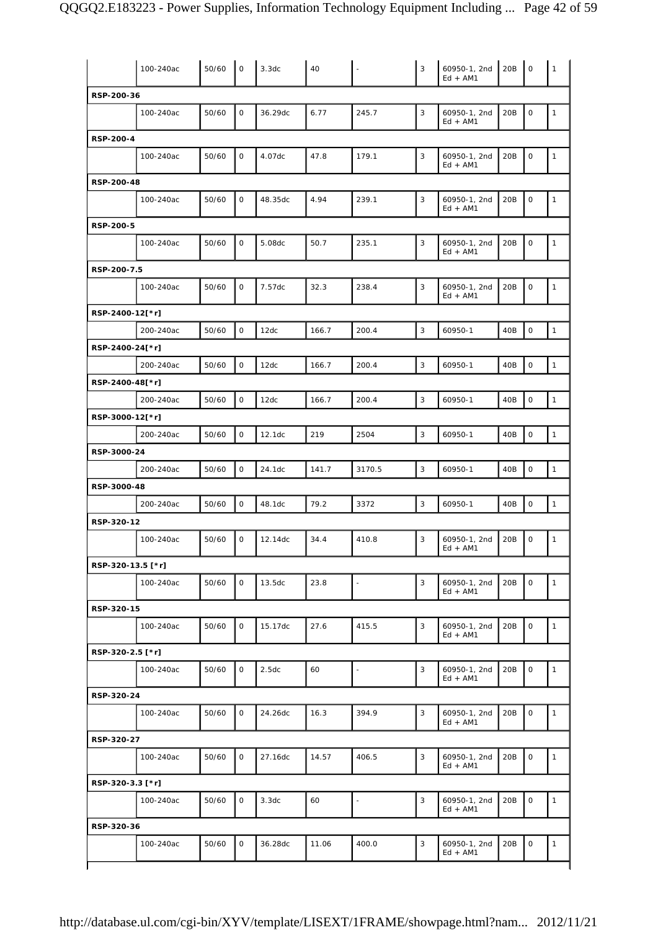|                   | 100-240ac | 50/60 | $\mathbf 0$  | 3.3dc   | 40    | $\overline{\phantom{a}}$ | 3            | 60950-1, 2nd<br>$Ed + AM1$ | 20B | $\mathsf O$         | 1            |
|-------------------|-----------|-------|--------------|---------|-------|--------------------------|--------------|----------------------------|-----|---------------------|--------------|
| RSP-200-36        |           |       |              |         |       |                          |              |                            |     |                     |              |
|                   | 100-240ac | 50/60 | $\mathsf O$  | 36.29dc | 6.77  | 245.7                    | 3            | 60950-1, 2nd<br>$Ed + AM1$ | 20B | $\mathsf O$         | 1            |
| RSP-200-4         |           |       |              |         |       |                          |              |                            |     |                     |              |
|                   | 100-240ac | 50/60 | $\mathbf 0$  | 4.07dc  | 47.8  | 179.1                    | 3            | 60950-1, 2nd<br>$Ed + AM1$ | 20B | $\mathsf O$         | $\mathbf{1}$ |
| RSP-200-48        |           |       |              |         |       |                          |              |                            |     |                     |              |
|                   | 100-240ac | 50/60 | 0            | 48.35dc | 4.94  | 239.1                    | 3            | 60950-1, 2nd<br>$Ed + AM1$ | 20B | 0                   | $\mathbf{1}$ |
| RSP-200-5         |           |       |              |         |       |                          |              |                            |     |                     |              |
|                   | 100-240ac | 50/60 | $\mathsf O$  | 5.08dc  | 50.7  | 235.1                    | 3            | 60950-1, 2nd<br>$Ed + AM1$ | 20B | $\mathsf O$         | $\mathbf{1}$ |
| RSP-200-7.5       |           |       |              |         |       |                          |              |                            |     |                     |              |
|                   | 100-240ac | 50/60 | $\mathsf O$  | 7.57dc  | 32.3  | 238.4                    | 3            | 60950-1, 2nd<br>$Ed + AM1$ | 20B | $\mathsf O$         | $\mathbf{1}$ |
| RSP-2400-12[*r]   |           |       |              |         |       |                          |              |                            |     |                     |              |
|                   | 200-240ac | 50/60 | $\mathsf O$  | 12dc    | 166.7 | 200.4                    | $\mathbf{3}$ | 60950-1                    | 40B | $\mathsf O$         | $\mathbf{1}$ |
| RSP-2400-24[*r]   |           |       |              |         |       |                          |              |                            |     |                     |              |
|                   | 200-240ac | 50/60 | $\mathsf O$  | 12dc    | 166.7 | 200.4                    | 3            | 60950-1                    | 40B | $\mathsf O$         | $\mathbf{1}$ |
| RSP-2400-48[*r]   |           |       |              |         |       |                          |              |                            |     |                     |              |
|                   | 200-240ac | 50/60 | $\mathsf O$  | 12dc    | 166.7 | 200.4                    | 3            | 60950-1                    | 40B | $\mathsf O$         | $\mathbf{1}$ |
|                   |           |       |              |         |       |                          |              |                            |     |                     |              |
| RSP-3000-12[*r]   |           |       |              |         |       |                          |              |                            |     |                     |              |
|                   | 200-240ac | 50/60 | $\mathsf O$  | 12.1dc  | 219   | 2504                     | 3            | 60950-1                    | 40B | $\mathsf{O}\xspace$ | $\mathbf{1}$ |
| RSP-3000-24       |           |       |              |         |       |                          |              |                            |     |                     |              |
|                   | 200-240ac | 50/60 | $\mathsf O$  | 24.1dc  | 141.7 | 3170.5                   | 3            | 60950-1                    | 40B | $\mathsf O$         | $\mathbf{1}$ |
| RSP-3000-48       |           |       |              |         |       |                          |              |                            |     |                     |              |
|                   | 200-240ac | 50/60 | $\mathsf O$  | 48.1dc  | 79.2  | 3372                     | 3            | 60950-1                    | 40B | $\mathsf O$         | $\mathbf{1}$ |
| RSP-320-12        |           |       |              |         |       |                          |              |                            |     |                     |              |
|                   | 100-240ac | 50/60 | 0            | 12.14dc | 34.4  | 410.8                    | 3            | 60950-1, 2nd<br>$Ed + AM1$ | 20B | 0                   | $\mathbf{1}$ |
| RSP-320-13.5 [*r] |           |       |              |         |       |                          |              |                            |     |                     |              |
|                   | 100-240ac | 50/60 | 0            | 13.5dc  | 23.8  | $\bar{\phantom{a}}$      | 3            | 60950-1, 2nd<br>$Ed + AM1$ | 20B | $\mathsf O$         | $\mathbf{1}$ |
| RSP-320-15        |           |       |              |         |       |                          |              |                            |     |                     |              |
|                   | 100-240ac | 50/60 | $\mathsf O$  | 15.17dc | 27.6  | 415.5                    | 3            | 60950-1, 2nd<br>$Ed + AM1$ | 20B | $\mathsf O$         | $\mathbf{1}$ |
| RSP-320-2.5 [*r]  |           |       |              |         |       |                          |              |                            |     |                     |              |
|                   | 100-240ac | 50/60 | $\mathsf O$  | 2.5dc   | 60    | $\blacksquare$           | 3            | 60950-1, 2nd<br>$Ed + AM1$ | 20B | $\mathsf O$         | $\mathbf{1}$ |
| RSP-320-24        |           |       |              |         |       |                          |              |                            |     |                     |              |
|                   | 100-240ac | 50/60 | $\mathsf{O}$ | 24.26dc | 16.3  | 394.9                    | 3            | 60950-1, 2nd<br>$Ed + AM1$ | 20B | $\mathsf O$         | $\mathbf{1}$ |
| RSP-320-27        |           |       |              |         |       |                          |              |                            |     |                     |              |
|                   | 100-240ac | 50/60 | $\mathsf{O}$ | 27.16dc | 14.57 | 406.5                    | 3            | 60950-1, 2nd<br>$Ed + AM1$ | 20B | $\mathsf O$         | $\mathbf{1}$ |
| RSP-320-3.3 [*r]  |           |       |              |         |       |                          |              |                            |     |                     |              |
|                   | 100-240ac | 50/60 | $\mathsf{O}$ | 3.3dc   | 60    | $\blacksquare$           | 3            | 60950-1, 2nd<br>$Ed + AM1$ | 20B | $\mathsf O$         | $\mathbf{1}$ |
| RSP-320-36        |           |       |              |         |       |                          |              |                            |     |                     |              |
|                   | 100-240ac | 50/60 | 0            | 36.28dc | 11.06 | 400.0                    | 3            | 60950-1, 2nd<br>$Ed + AM1$ | 20B | $\mathsf O$         | $\mathbf{1}$ |
|                   |           |       |              |         |       |                          |              |                            |     |                     |              |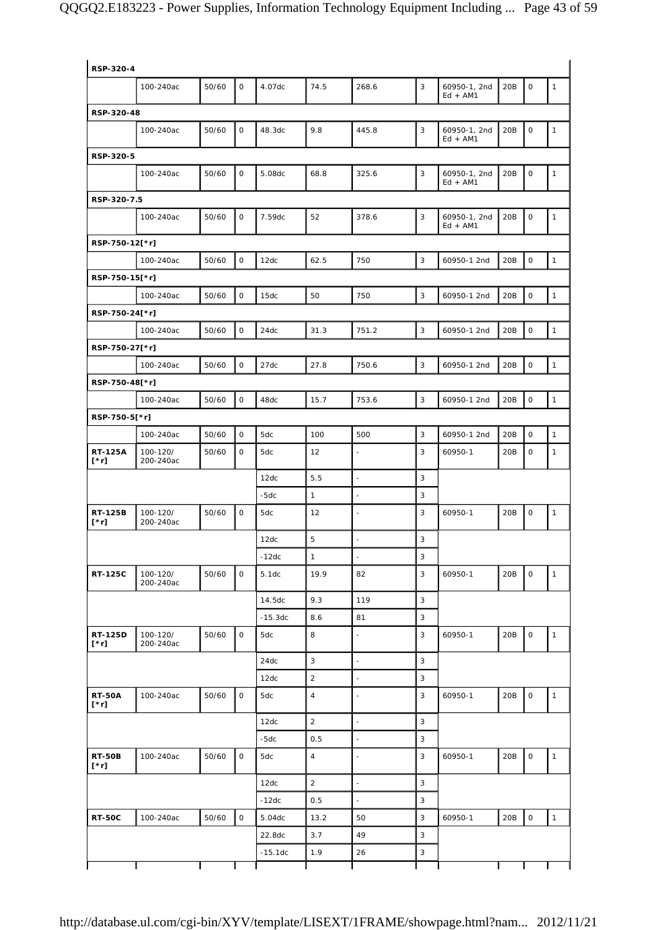| RSP-320-4                     |                       |       |                     |           |                |                          |   |                            |     |                     |              |
|-------------------------------|-----------------------|-------|---------------------|-----------|----------------|--------------------------|---|----------------------------|-----|---------------------|--------------|
|                               | 100-240ac             | 50/60 | $\mathsf{O}$        | 4.07dc    | 74.5           | 268.6                    | 3 | 60950-1, 2nd<br>$Ed + AM1$ | 20B | $\mathsf{O}$        | $\mathbf{1}$ |
| RSP-320-48                    |                       |       |                     |           |                |                          |   |                            |     |                     |              |
|                               | 100-240ac             | 50/60 | $\mathsf{O}$        | 48.3dc    | 9.8            | 445.8                    | 3 | 60950-1, 2nd<br>$Ed + AM1$ | 20B | 0                   | $\mathbf{1}$ |
| RSP-320-5                     |                       |       |                     |           |                |                          |   |                            |     |                     |              |
|                               | 100-240ac             | 50/60 | 0                   | 5.08dc    | 68.8           | 325.6                    | 3 | 60950-1, 2nd<br>$Ed + AM1$ | 20B | $\mathsf O$         | $\mathbf{1}$ |
| RSP-320-7.5                   |                       |       |                     |           |                |                          |   |                            |     |                     |              |
|                               | 100-240ac             | 50/60 | $\mathbf 0$         | 7.59dc    | 52             | 378.6                    | 3 | 60950-1, 2nd<br>$Ed + AM1$ | 20B | $\mathsf{O}$        | $\mathbf{1}$ |
| RSP-750-12[*r]                |                       |       |                     |           |                |                          |   |                            |     |                     |              |
|                               | 100-240ac             | 50/60 | $\mathsf{O}$        | 12dc      | 62.5           | 750                      | 3 | 60950-1 2nd                | 20B | $\mathsf{O}$        | $\mathbf{1}$ |
| RSP-750-15[*r]                |                       |       |                     |           |                |                          |   |                            |     |                     |              |
|                               | 100-240ac             | 50/60 | $\mathsf{O}$        | 15dc      | 50             | 750                      | 3 | 60950-1 2nd                | 20B | $\mathsf O$         | $\mathbf{1}$ |
| RSP-750-24[*r]                |                       |       |                     |           |                |                          |   |                            |     |                     |              |
|                               | 100-240ac             | 50/60 | $\circ$             | 24dc      | 31.3           | 751.2                    | 3 | 60950-1 2nd                | 20B | $\mathsf{O}$        | $\mathbf{1}$ |
| RSP-750-27[*r]                |                       |       |                     |           |                |                          |   |                            |     |                     |              |
|                               | 100-240ac             | 50/60 | $\mathsf{O}$        | 27dc      | 27.8           | 750.6                    | 3 | 60950-1 2nd                | 20B | $\mathsf O$         | $\mathbf{1}$ |
| RSP-750-48[*r]                |                       |       |                     |           |                |                          |   |                            |     |                     |              |
|                               | 100-240ac             | 50/60 | $\mathsf{O}$        | 48dc      | 15.7           | 753.6                    | 3 | 60950-1 2nd                | 20B | $\mathsf O$         | $\mathbf{1}$ |
| RSP-750-5[*r]                 |                       |       |                     |           |                |                          |   |                            |     |                     |              |
|                               | 100-240ac             | 50/60 | $\mathsf{O}$        | 5dc       | 100            | 500                      | 3 | 60950-1 2nd                | 20B | $\mathsf{O}$        | $\mathbf{1}$ |
| <b>RT-125A</b><br>$[\cdot r]$ | 100-120/<br>200-240ac | 50/60 | $\mathsf{O}$        | 5dc       | 12             | $\Box$                   | 3 | 60950-1                    | 20B | 0                   | $\mathbf{1}$ |
|                               |                       |       |                     | 12dc      | 5.5            | $\mathbb{Z}$             | 3 |                            |     |                     |              |
|                               |                       |       |                     | -5dc      | $\mathbf{1}$   | $\blacksquare$           | 3 |                            |     |                     |              |
| RT-125B<br>$[\cdot r]$        | 100-120/<br>200-240ac | 50/60 | $\mathsf O$         | 5dc       | 12             |                          | 3 | 60950-1                    | 20B | $\mathsf O$         | $\mathbf{1}$ |
|                               |                       |       |                     | 12dc      | 5              | $\blacksquare$           | 3 |                            |     |                     |              |
|                               |                       |       |                     | $-12dc$   | $\mathbf{1}$   | $\blacksquare$           | 3 |                            |     |                     |              |
| <b>RT-125C</b>                | 100-120/<br>200-240ac | 50/60 | 0                   | 5.1dc     | 19.9           | 82                       | 3 | 60950-1                    | 20B | 0                   | $\mathbf{1}$ |
|                               |                       |       |                     | 14.5dc    | 9.3            | 119                      | 3 |                            |     |                     |              |
|                               |                       |       |                     | $-15.3dc$ | 8.6            | 81                       | 3 |                            |     |                     |              |
| RT-125D<br>$[\cdot r]$        | 100-120/<br>200-240ac | 50/60 | 0                   | 5dc       | 8              | L,                       | 3 | 60950-1                    | 20B | $\mathsf O$         | $\mathbf{1}$ |
|                               |                       |       |                     | 24dc      | $\mathbf{3}$   | $\blacksquare$           | 3 |                            |     |                     |              |
|                               |                       |       |                     | 12dc      | $\overline{2}$ | $\blacksquare$           | 3 |                            |     |                     |              |
| <b>RT-50A</b><br>$[\cdot r]$  | 100-240ac             | 50/60 | $\mathsf O$         | 5dc       | $\overline{4}$ | $\overline{\phantom{a}}$ | 3 | 60950-1                    | 20B | 0                   | $\mathbf{1}$ |
|                               |                       |       |                     | 12dc      | $\overline{2}$ | $\bar{\phantom{a}}$      | 3 |                            |     |                     |              |
|                               |                       |       |                     | $-5dc$    | 0.5            | $\Box$                   | 3 |                            |     |                     |              |
| <b>RT-50B</b><br>$[\cdot r]$  | 100-240ac             | 50/60 | $\mathsf O$         | 5dc       | $\overline{4}$ | $\overline{\phantom{a}}$ | 3 | 60950-1                    | 20B | $\mathsf O$         | $\mathbf{1}$ |
|                               |                       |       |                     | 12dc      | $\overline{2}$ | $\Box$                   | 3 |                            |     |                     |              |
|                               |                       |       |                     | $-12dc$   | 0.5            | $\blacksquare$           | 3 |                            |     |                     |              |
| <b>RT-50C</b>                 | 100-240ac             | 50/60 | $\mathsf{O}\xspace$ | 5.04dc    | 13.2           | 50                       | 3 | 60950-1                    | 20B | $\mathsf{O}\xspace$ | $\mathbf{1}$ |
|                               |                       |       |                     | 22.8dc    | 3.7            | 49                       | 3 |                            |     |                     |              |
|                               |                       |       |                     | $-15.1dc$ | 1.9            | 26                       | 3 |                            |     |                     |              |
|                               |                       |       |                     |           |                |                          |   |                            |     |                     |              |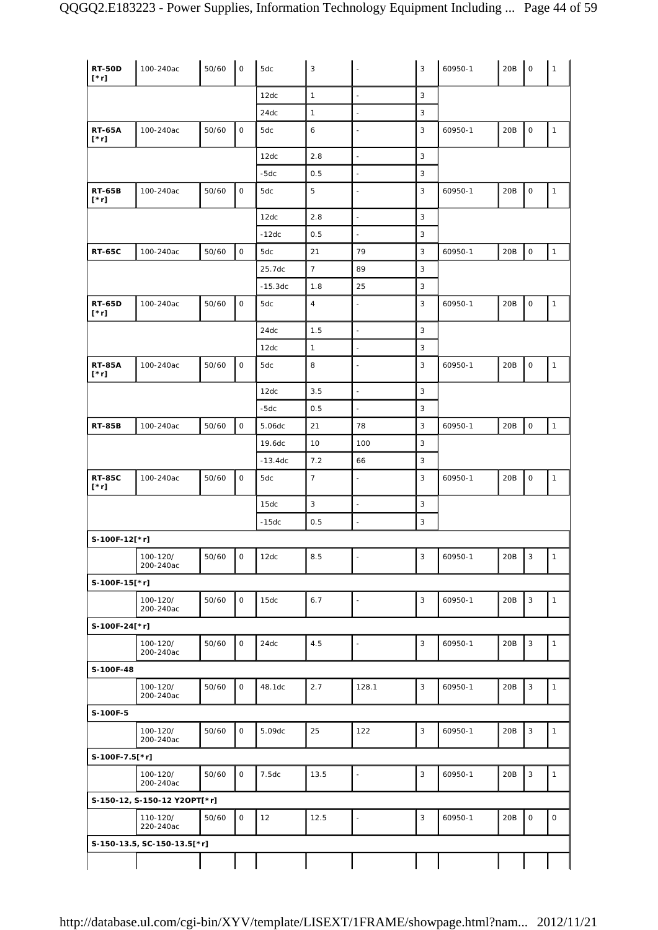| <b>RT-50D</b><br>$[\cdot r]$ | 100-240ac                    | 50/60 | 0                   | 5dc       | 3                |                          | 3            | 60950-1 | 20B | $\mathbf 0$         | $\mathbf{1}$ |
|------------------------------|------------------------------|-------|---------------------|-----------|------------------|--------------------------|--------------|---------|-----|---------------------|--------------|
|                              |                              |       |                     | 12dc      | $\mathbf{1}$     | $\overline{\phantom{a}}$ | 3            |         |     |                     |              |
|                              |                              |       |                     | 24dc      | $\mathbf{1}$     | $\overline{\phantom{a}}$ | 3            |         |     |                     |              |
| <b>RT-65A</b><br>$[\cdot r]$ | 100-240ac                    | 50/60 | 0                   | 5dc       | 6                | $\sim$                   | 3            | 60950-1 | 20B | 0                   | $\mathbf{1}$ |
|                              |                              |       |                     | 12dc      | 2.8              | $\Box$                   | 3            |         |     |                     |              |
|                              |                              |       |                     | $-5dc$    | 0.5              | $\bar{\phantom{a}}$      | 3            |         |     |                     |              |
| <b>RT-65B</b><br>$[\cdot r]$ | 100-240ac                    | 50/60 | 0                   | 5dc       | 5                | $\overline{\phantom{a}}$ | 3            | 60950-1 | 20B | 0                   | $\mathbf{1}$ |
|                              |                              |       |                     | 12dc      | 2.8              | $\overline{\phantom{a}}$ | 3            |         |     |                     |              |
|                              |                              |       |                     | $-12dc$   | 0.5              | $\overline{\phantom{a}}$ | 3            |         |     |                     |              |
| <b>RT-65C</b>                | 100-240ac                    | 50/60 | 0                   | 5dc       | 21               | 79                       | 3            | 60950-1 | 20B | $\mathsf O$         | $\mathbf{1}$ |
|                              |                              |       |                     | 25.7dc    | $\boldsymbol{7}$ | 89                       | 3            |         |     |                     |              |
|                              |                              |       |                     | $-15.3dc$ | 1.8              | 25                       | 3            |         |     |                     |              |
| <b>RT-65D</b><br>$[\cdot r]$ | 100-240ac                    | 50/60 | 0                   | 5dc       | $\overline{4}$   | $\bar{\phantom{a}}$      | 3            | 60950-1 | 20B | $\mathsf O$         | $\mathbf{1}$ |
|                              |                              |       |                     | 24dc      | 1.5              | $\overline{\phantom{a}}$ | 3            |         |     |                     |              |
|                              |                              |       |                     | 12dc      | $\mathbf{1}$     | $\overline{\phantom{a}}$ | 3            |         |     |                     |              |
| <b>RT-85A</b><br>$[\cdot r]$ | 100-240ac                    | 50/60 | 0                   | 5dc       | 8                | $\overline{\phantom{a}}$ | 3            | 60950-1 | 20B | 0                   | $\mathbf{1}$ |
|                              |                              |       |                     | 12dc      | 3.5              | ä,                       | 3            |         |     |                     |              |
|                              |                              |       |                     | $-5dc$    | 0.5              | $\blacksquare$           | 3            |         |     |                     |              |
| <b>RT-85B</b>                | 100-240ac                    | 50/60 | $\mathsf{O}\xspace$ | 5.06dc    | 21               | 78                       | 3            | 60950-1 | 20B | $\mathsf{O}\xspace$ | $\mathbf{1}$ |
|                              |                              |       |                     | 19.6dc    | 10               | 100                      | 3            |         |     |                     |              |
|                              |                              |       |                     | $-13.4dc$ | 7.2              | 66                       | 3            |         |     |                     |              |
| <b>RT-85C</b><br>$[\cdot r]$ | 100-240ac                    | 50/60 | 0                   | 5dc       | $\overline{7}$   | $\blacksquare$           | 3            | 60950-1 | 20B | 0                   | $\mathbf{1}$ |
|                              |                              |       |                     | 15dc      | $\mathbf{3}$     | $\Box$                   | 3            |         |     |                     |              |
|                              |                              |       |                     | $-15dc$   | 0.5              | $\sim$                   | 3            |         |     |                     |              |
| S-100F-12[*r]                |                              |       |                     |           |                  |                          |              |         |     |                     |              |
|                              | 100-120/<br>200-240ac        | 50/60 | 0                   | 12dc      | 8.5              | $\mathbb{Z}$             | 3            | 60950-1 | 20B | 3                   | $\mathbf{1}$ |
| S-100F-15[*r]                |                              |       |                     |           |                  |                          |              |         |     |                     |              |
|                              | 100-120/<br>200-240ac        | 50/60 | $\mathsf{O}\xspace$ | 15dc      | 6.7              | $\overline{\phantom{a}}$ | $\mathbf{3}$ | 60950-1 | 20B | 3                   | $\mathbf{1}$ |
| S-100F-24[*r]                |                              |       |                     |           |                  |                          |              |         |     |                     |              |
|                              | 100-120/<br>200-240ac        | 50/60 | $\mathsf{O}$        | 24dc      | 4.5              | $\overline{\phantom{a}}$ | $\mathbf{3}$ | 60950-1 | 20B | $\mathbf{3}$        | $\mathbf{1}$ |
| S-100F-48                    |                              |       |                     |           |                  |                          |              |         |     |                     |              |
|                              | 100-120/<br>200-240ac        | 50/60 | 0                   | 48.1dc    | 2.7              | 128.1                    | 3            | 60950-1 | 20B | $\mathbf{3}$        | $\mathbf{1}$ |
| S-100F-5                     |                              |       |                     |           |                  |                          |              |         |     |                     |              |
|                              | 100-120/<br>200-240ac        | 50/60 | $\mathsf{O}$        | 5.09dc    | 25               | 122                      | 3            | 60950-1 | 20B | $\mathbf{3}$        | $\mathbf{1}$ |
| S-100F-7.5[*r]               |                              |       |                     |           |                  |                          |              |         |     |                     |              |
|                              | 100-120/<br>200-240ac        | 50/60 | $\mathsf{O}$        | 7.5dc     | 13.5             | $\blacksquare$           | 3            | 60950-1 | 20B | $\sqrt{3}$          | $\mathbf{1}$ |
|                              | S-150-12, S-150-12 Y2OPT[*r] |       |                     |           |                  |                          |              |         |     |                     |              |
|                              | 110-120/<br>220-240ac        | 50/60 | $\mathsf{O}$        | 12        | 12.5             | $\overline{\phantom{a}}$ | 3            | 60950-1 | 20B | $\mathsf{O}\xspace$ | $\mathsf O$  |
|                              | S-150-13.5, SC-150-13.5[*r]  |       |                     |           |                  |                          |              |         |     |                     |              |
|                              |                              |       |                     |           |                  |                          |              |         |     |                     |              |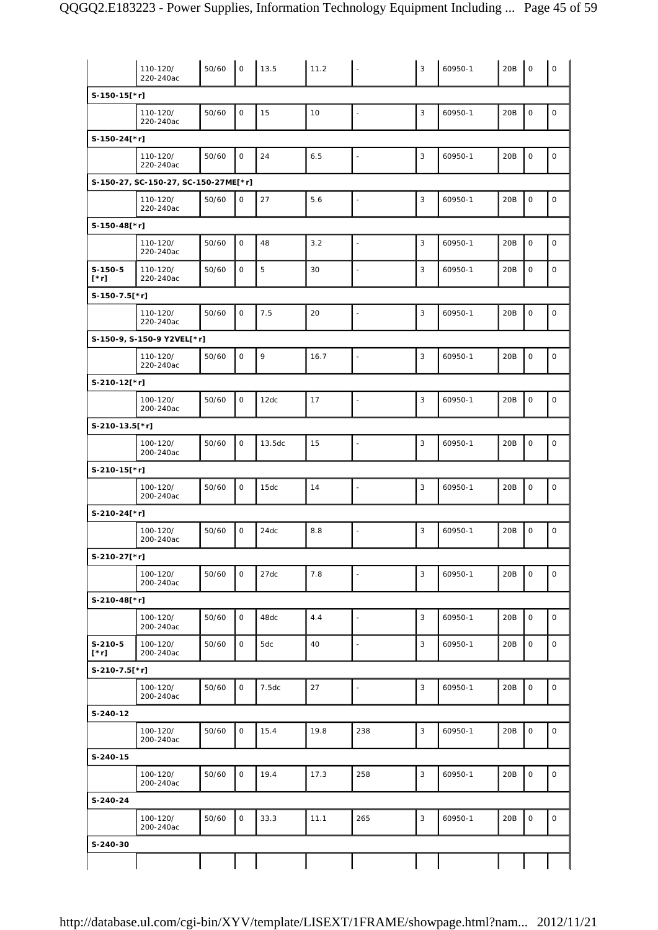|                          | 110-120/<br>220-240ac                | 50/60 | $\mathbf 0$         | 13.5   | 11.2 | $\overline{\phantom{a}}$ | 3 | 60950-1 | 20B | $\mathbf 0$ | $\mathsf O$  |
|--------------------------|--------------------------------------|-------|---------------------|--------|------|--------------------------|---|---------|-----|-------------|--------------|
| S-150-15[*r]             |                                      |       |                     |        |      |                          |   |         |     |             |              |
|                          | 110-120/<br>220-240ac                | 50/60 | $\mathsf O$         | 15     | 10   | $\bar{\phantom{a}}$      | 3 | 60950-1 | 20B | $\mathsf O$ | $\mathsf{O}$ |
| S-150-24[*r]             |                                      |       |                     |        |      |                          |   |         |     |             |              |
|                          | 110-120/<br>220-240ac                | 50/60 | $\mathbf 0$         | 24     | 6.5  |                          | 3 | 60950-1 | 20B | $\mathbf 0$ | $\mathsf O$  |
|                          | S-150-27, SC-150-27, SC-150-27ME[*r] |       |                     |        |      |                          |   |         |     |             |              |
|                          | 110-120/<br>220-240ac                | 50/60 | 0                   | 27     | 5.6  |                          | 3 | 60950-1 | 20B | $\mathsf O$ | $\mathsf O$  |
| S-150-48[*r]             |                                      |       |                     |        |      |                          |   |         |     |             |              |
|                          | 110-120/<br>220-240ac                | 50/60 | $\mathbf 0$         | 48     | 3.2  | $\overline{\phantom{a}}$ | 3 | 60950-1 | 20B | $\mathsf O$ | $\mathsf O$  |
| $S-150-5$<br>$[\cdot r]$ | 110-120/<br>220-240ac                | 50/60 | $\mathbf 0$         | 5      | 30   | $\blacksquare$           | 3 | 60950-1 | 20B | $\mathbf 0$ | $\mathbf 0$  |
| $S-150-7.5$ [*r]         |                                      |       |                     |        |      |                          |   |         |     |             |              |
|                          | 110-120/<br>220-240ac                | 50/60 | $\mathsf O$         | 7.5    | 20   | $\blacksquare$           | 3 | 60950-1 | 20B | $\mathsf O$ | $\mathsf O$  |
|                          | S-150-9, S-150-9 Y2VEL[*r]           |       |                     |        |      |                          |   |         |     |             |              |
|                          | 110-120/<br>220-240ac                | 50/60 | $\mathsf{O}\xspace$ | 9      | 16.7 | $\blacksquare$           | 3 | 60950-1 | 20B | $\mathsf O$ | $\mathsf O$  |
| S-210-12[*r]             |                                      |       |                     |        |      |                          |   |         |     |             |              |
|                          | 100-120/<br>200-240ac                | 50/60 | $\mathbf 0$         | 12dc   | 17   | ÷,                       | 3 | 60950-1 | 20B | $\mathbf 0$ | $\mathsf O$  |
| S-210-13.5[*r]           |                                      |       |                     |        |      |                          |   |         |     |             |              |
|                          | 100-120/<br>200-240ac                | 50/60 | 0                   | 13.5dc | 15   | $\overline{\phantom{a}}$ | 3 | 60950-1 | 20B | $\mathsf O$ | 0            |
| $S-210-15$ [*r]          |                                      |       |                     |        |      |                          |   |         |     |             |              |
|                          | 100-120/<br>200-240ac                | 50/60 | $\mathsf O$         | 15dc   | 14   | $\bar{\phantom{a}}$      | 3 | 60950-1 | 20B | $\mathbf 0$ | $\mathsf O$  |
| S-210-24[*r]             |                                      |       |                     |        |      |                          |   |         |     |             |              |
|                          | 100-120/<br>200-240ac                | 50/60 | $\mathsf O$         | 24dc   | 8.8  |                          | 3 | 60950-1 | 20B | $\mathsf O$ | $\mathsf O$  |
| S-210-27[*r]             |                                      |       |                     |        |      |                          |   |         |     |             |              |
|                          | 100-120/<br>200-240ac                | 50/60 | $\mathsf O$         | 27dc   | 7.8  | $\blacksquare$           | 3 | 60950-1 | 20B | $\mathsf O$ | $\mathsf{O}$ |
| S-210-48[*r]             |                                      |       |                     |        |      |                          |   |         |     |             |              |
|                          | 100-120/<br>200-240ac                | 50/60 | 0                   | 48dc   | 4.4  | $\blacksquare$           | 3 | 60950-1 | 20B | $\mathsf O$ | 0            |
| $S-210-5$<br>$[\cdot r]$ | 100-120/<br>200-240ac                | 50/60 | 0                   | 5dc    | 40   | $\blacksquare$           | 3 | 60950-1 | 20B | $\mathsf O$ | 0            |
| S-210-7.5[*r]            |                                      |       |                     |        |      |                          |   |         |     |             |              |
|                          | 100-120/<br>200-240ac                | 50/60 | 0                   | 7.5dc  | 27   | $\omega$                 | 3 | 60950-1 | 20B | $\mathsf O$ | 0            |
| S-240-12                 |                                      |       |                     |        |      |                          |   |         |     |             |              |
|                          | 100-120/<br>200-240ac                | 50/60 | 0                   | 15.4   | 19.8 | 238                      | 3 | 60950-1 | 20B | $\mathsf O$ | $\mathsf O$  |
| S-240-15                 |                                      |       |                     |        |      |                          |   |         |     |             |              |
|                          | 100-120/<br>200-240ac                | 50/60 | 0                   | 19.4   | 17.3 | 258                      | 3 | 60950-1 | 20B | $\mathsf O$ | $\mathsf{O}$ |
| S-240-24                 |                                      |       |                     |        |      |                          |   |         |     |             |              |
|                          | 100-120/<br>200-240ac                | 50/60 | 0                   | 33.3   | 11.1 | 265                      | 3 | 60950-1 | 20B | $\mathsf O$ | 0            |
| S-240-30                 |                                      |       |                     |        |      |                          |   |         |     |             |              |
|                          |                                      |       |                     |        |      |                          |   |         |     |             |              |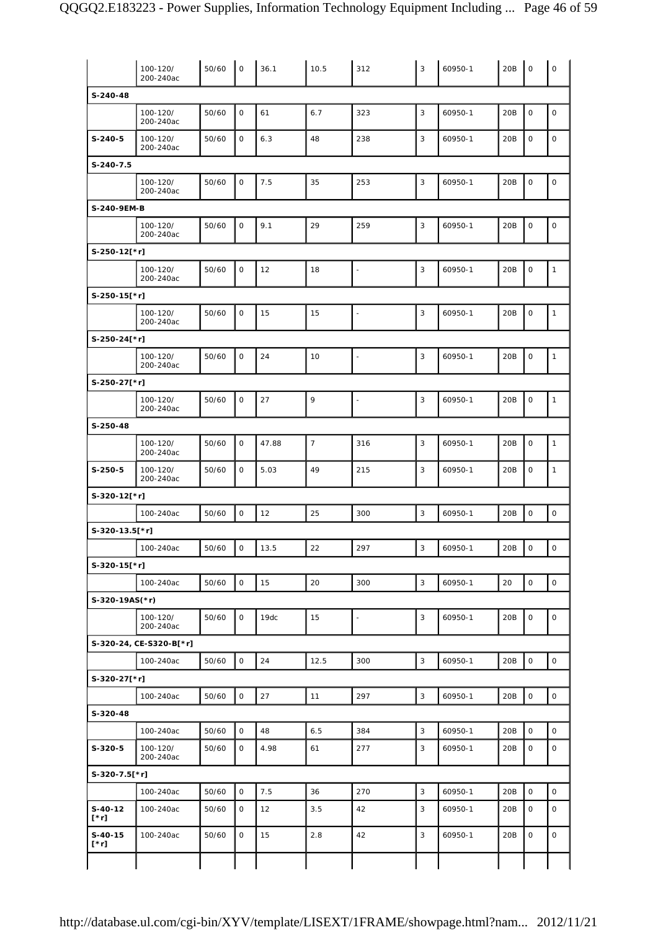|                          | 100-120/<br>200-240ac   | 50/60 | $\mathsf O$         | 36.1  | 10.5           | 312            | 3            | 60950-1 | 20B | $\mathsf O$         | $\mathsf O$         |
|--------------------------|-------------------------|-------|---------------------|-------|----------------|----------------|--------------|---------|-----|---------------------|---------------------|
| $S-240-48$               |                         |       |                     |       |                |                |              |         |     |                     |                     |
|                          | 100-120/<br>200-240ac   | 50/60 | $\mathsf O$         | 61    | 6.7            | 323            | 3            | 60950-1 | 20B | $\mathsf O$         | $\mathsf O$         |
| $S-240-5$                | 100-120/<br>200-240ac   | 50/60 | 0                   | 6.3   | 48             | 238            | 3            | 60950-1 | 20B | $\mathsf O$         | 0                   |
| $S-240-7.5$              |                         |       |                     |       |                |                |              |         |     |                     |                     |
|                          | 100-120/<br>200-240ac   | 50/60 | $\mathsf O$         | 7.5   | 35             | 253            | 3            | 60950-1 | 20B | $\mathsf O$         | $\mathsf O$         |
| S-240-9EM-B              |                         |       |                     |       |                |                |              |         |     |                     |                     |
|                          | 100-120/<br>200-240ac   | 50/60 | $\mathsf O$         | 9.1   | 29             | 259            | $\sqrt{3}$   | 60950-1 | 20B | $\mathsf O$         | 0                   |
| $S-250-12[*r]$           |                         |       |                     |       |                |                |              |         |     |                     |                     |
|                          | 100-120/<br>200-240ac   | 50/60 | $\mathsf O$         | 12    | 18             | $\blacksquare$ | 3            | 60950-1 | 20B | $\mathsf{O}$        | $\mathbf{1}$        |
| S-250-15[*r]             |                         |       |                     |       |                |                |              |         |     |                     |                     |
|                          | 100-120/<br>200-240ac   | 50/60 | $\mathsf O$         | 15    | 15             | L,             | 3            | 60950-1 | 20B | $\mathsf O$         | $\mathbf{1}$        |
| $S-250-24$ [*r]          |                         |       |                     |       |                |                |              |         |     |                     |                     |
|                          | 100-120/<br>200-240ac   | 50/60 | $\mathsf{O}$        | 24    | 10             |                | 3            | 60950-1 | 20B | $\mathsf O$         | $\mathbf{1}$        |
| S-250-27[*r]             |                         |       |                     |       |                |                |              |         |     |                     |                     |
|                          | 100-120/<br>200-240ac   | 50/60 | $\mathsf O$         | 27    | 9              |                | 3            | 60950-1 | 20B | $\mathsf O$         | $\mathbf{1}$        |
| S-250-48                 |                         |       |                     |       |                |                |              |         |     |                     |                     |
|                          | 100-120/<br>200-240ac   | 50/60 | $\mathsf O$         | 47.88 | $\overline{7}$ | 316            | 3            | 60950-1 | 20B | $\mathsf O$         | $\mathbf{1}$        |
| $S-250-5$                | 100-120/<br>200-240ac   | 50/60 | $\mathsf{O}$        | 5.03  | 49             | 215            | 3            | 60950-1 | 20B | $\mathsf O$         | $\mathbf{1}$        |
| S-320-12[*r]             |                         |       |                     |       |                |                |              |         |     |                     |                     |
|                          | 100-240ac               | 50/60 | $\mathsf{O}\xspace$ | 12    | 25             | 300            | 3            | 60950-1 | 20B | $\mathsf O$         | $\mathsf O$         |
| S-320-13.5[*r]           |                         |       |                     |       |                |                |              |         |     |                     |                     |
|                          | 100-240ac               | 50/60 | $\mathsf O$         | 13.5  | 22             | 297            | $\sqrt{3}$   | 60950-1 | 20B | $\mathsf O$         | 0                   |
| S-320-15[*r]             |                         |       |                     |       |                |                |              |         |     |                     |                     |
|                          | 100-240ac               | 50/60 | 0                   | 15    | 20             | 300            | $\sqrt{3}$   | 60950-1 | 20  | $\mathsf O$         | $\mathsf O$         |
| $S-320-19AS(*r)$         |                         |       |                     |       |                |                |              |         |     |                     |                     |
|                          | 100-120/<br>200-240ac   | 50/60 | $\mathsf O$         | 19dc  | 15             | $\blacksquare$ | $\mathsf 3$  | 60950-1 | 20B | $\mathsf{O}\xspace$ | 0                   |
|                          | S-320-24, CE-S320-B[*r] |       |                     |       |                |                |              |         |     |                     |                     |
|                          | 100-240ac               | 50/60 | $\mathsf O$         | 24    | 12.5           | 300            | 3            | 60950-1 | 20B | $\mathsf O$         | $\mathsf{O}\xspace$ |
| S-320-27[*r]             |                         |       |                     |       |                |                |              |         |     |                     |                     |
|                          | 100-240ac               | 50/60 | $\mathsf{O}\xspace$ | 27    | 11             | 297            | $\mathbf{3}$ | 60950-1 | 20B | $\mathsf O$         | $\mathsf{O}\xspace$ |
| S-320-48                 |                         |       |                     |       |                |                |              |         |     |                     |                     |
|                          | 100-240ac               | 50/60 | $\mathsf{O}\xspace$ | 48    | 6.5            | 384            | 3            | 60950-1 | 20B | $\mathsf{O}\xspace$ | $\mathsf{O}\xspace$ |
| $S-320-5$                | 100-120/<br>200-240ac   | 50/60 | O                   | 4.98  | 61             | 277            | 3            | 60950-1 | 20B | 0                   | 0                   |
| $S-320-7.5$ [*r]         |                         |       |                     |       |                |                |              |         |     |                     |                     |
|                          | 100-240ac               | 50/60 | $\mathsf O$         | 7.5   | 36             | 270            | 3            | 60950-1 | 20B | $\mathsf O$         | $\mathsf{O}\xspace$ |
| $S-40-12$<br>[*r]        | 100-240ac               | 50/60 | 0                   | 12    | 3.5            | 42             | 3            | 60950-1 | 20B | $\mathsf O$         | 0                   |
| $S-40-15$<br>$[\cdot r]$ | 100-240ac               | 50/60 | 0                   | 15    | 2.8            | 42             | $\sqrt{3}$   | 60950-1 | 20B | $\mathsf O$         | 0                   |
|                          |                         |       |                     |       |                |                |              |         |     |                     |                     |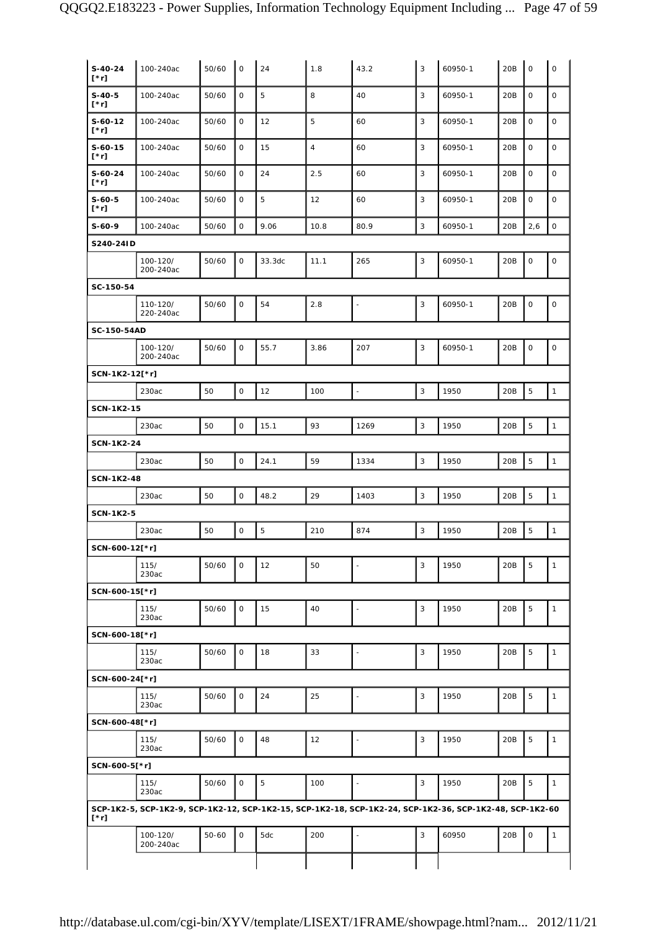| $S-40-24$<br>$[\cdot r]$ | 100-240ac                                                                                                | 50/60 | $\mathsf{O}$ | 24          | 1.8            | 43.2                     | 3 | 60950-1 | 20B | $\mathsf O$         | $\mathsf O$  |
|--------------------------|----------------------------------------------------------------------------------------------------------|-------|--------------|-------------|----------------|--------------------------|---|---------|-----|---------------------|--------------|
| $S-40-5$<br>[*r]         | 100-240ac                                                                                                | 50/60 | $\mathbf 0$  | 5           | 8              | 40                       | 3 | 60950-1 | 20B | $\mathsf O$         | $\mathbf 0$  |
| S-60-12<br>[*r]          | 100-240ac                                                                                                | 50/60 | $\mathbf 0$  | 12          | 5              | 60                       | 3 | 60950-1 | 20B | $\mathsf O$         | $\mathbf 0$  |
| $S-60-15$<br>[*r]        | 100-240ac                                                                                                | 50/60 | 0            | 15          | $\overline{4}$ | 60                       | 3 | 60950-1 | 20B | $\mathsf O$         | $\mathbf 0$  |
| S-60-24<br>[*r]          | 100-240ac                                                                                                | 50/60 | 0            | 24          | 2.5            | 60                       | 3 | 60950-1 | 20B | $\mathsf O$         | $\mathbf 0$  |
| S-60-5<br>[*r]           | 100-240ac                                                                                                | 50/60 | $\mathsf O$  | 5           | 12             | 60                       | 3 | 60950-1 | 20B | $\mathsf O$         | $\mathbf 0$  |
| S-60-9                   | 100-240ac                                                                                                | 50/60 | $\mathsf O$  | 9.06        | 10.8           | 80.9                     | 3 | 60950-1 | 20B | 2,6                 | $\mathsf O$  |
| S240-24ID                |                                                                                                          |       |              |             |                |                          |   |         |     |                     |              |
|                          | 100-120/<br>200-240ac                                                                                    | 50/60 | $\mathsf O$  | 33.3dc      | 11.1           | 265                      | 3 | 60950-1 | 20B | $\mathbf 0$         | $\mathsf O$  |
| SC-150-54                |                                                                                                          |       |              |             |                |                          |   |         |     |                     |              |
|                          | 110-120/<br>220-240ac                                                                                    | 50/60 | 0            | 54          | $2.8$          | $\sim$                   | 3 | 60950-1 | 20B | $\mathsf{O}\xspace$ | $\mathsf O$  |
| SC-150-54AD              |                                                                                                          |       |              |             |                |                          |   |         |     |                     |              |
|                          | 100-120/<br>200-240ac                                                                                    | 50/60 | $\mathsf O$  | 55.7        | 3.86           | 207                      | 3 | 60950-1 | 20B | $\mathsf O$         | $\mathsf O$  |
| SCN-1K2-12[*r]           |                                                                                                          |       |              |             |                |                          |   |         |     |                     |              |
|                          | 230ac                                                                                                    | 50    | $\mathsf O$  | 12          | 100            | $\overline{\phantom{a}}$ | 3 | 1950    | 20B | 5                   | $\mathbf{1}$ |
| <b>SCN-1K2-15</b>        |                                                                                                          |       |              |             |                |                          |   |         |     |                     |              |
|                          | 230ac                                                                                                    | 50    | $\mathsf O$  | 15.1        | 93             | 1269                     | 3 | 1950    | 20B | 5                   | $\mathbf{1}$ |
| SCN-1K2-24               |                                                                                                          |       |              |             |                |                          |   |         |     |                     |              |
|                          | 230ac                                                                                                    | 50    | $\mathsf O$  | 24.1        | 59             | 1334                     | 3 | 1950    | 20B | 5                   | $\mathbf{1}$ |
| <b>SCN-1K2-48</b>        |                                                                                                          |       |              |             |                |                          |   |         |     |                     |              |
|                          | 230ac                                                                                                    | 50    | $\mathsf O$  | 48.2        | 29             | 1403                     | 3 | 1950    | 20B | $\mathbf 5$         | $\mathbf{1}$ |
| <b>SCN-1K2-5</b>         |                                                                                                          |       |              |             |                |                          |   |         |     |                     |              |
|                          | 230ac                                                                                                    | 50    | $\mathsf O$  | $\mathbf 5$ | 210            | 874                      | 3 | 1950    | 20B | 5                   | $\mathbf{1}$ |
| SCN-600-12[*r]           |                                                                                                          |       |              |             |                |                          |   |         |     |                     |              |
|                          | 115/<br>230ac                                                                                            | 50/60 | 0            | 12          | 50             |                          | 3 | 1950    | 20B | 5                   | $\mathbf{1}$ |
| SCN-600-15[*r]           |                                                                                                          |       |              |             |                |                          |   |         |     |                     |              |
|                          | 115/<br>230ac                                                                                            | 50/60 | $\mathsf O$  | 15          | 40             | $\overline{\phantom{a}}$ | 3 | 1950    | 20B | 5                   | $\mathbf{1}$ |
| SCN-600-18[*r]           |                                                                                                          |       |              |             |                |                          |   |         |     |                     |              |
|                          | 115/<br>230ac                                                                                            | 50/60 | $\mathsf O$  | 18          | 33             | L,                       | 3 | 1950    | 20B | 5                   | $\mathbf{1}$ |
| SCN-600-24[*r]           |                                                                                                          |       |              |             |                |                          |   |         |     |                     |              |
|                          | 115/<br>230ac                                                                                            | 50/60 | $\mathsf O$  | 24          | 25             | ÷,                       | 3 | 1950    | 20B | 5                   | $\mathbf{1}$ |
| SCN-600-48[*r]           |                                                                                                          |       |              |             |                |                          |   |         |     |                     |              |
|                          | 115/<br>230ac                                                                                            | 50/60 | $\mathsf{O}$ | 48          | 12             | ÷,                       | 3 | 1950    | 20B | 5                   | $\mathbf{1}$ |
| SCN-600-5[*r]            |                                                                                                          |       |              |             |                |                          |   |         |     |                     |              |
|                          | 115/<br>230ac                                                                                            | 50/60 | $\mathsf{O}$ | $\sqrt{5}$  | 100            | ÷,                       | 3 | 1950    | 20B | $\sqrt{5}$          | $\mathbf{1}$ |
| $[\cdot r]$              | SCP-1K2-5, SCP-1K2-9, SCP-1K2-12, SCP-1K2-15, SCP-1K2-18, SCP-1K2-24, SCP-1K2-36, SCP-1K2-48, SCP-1K2-60 |       |              |             |                |                          |   |         |     |                     |              |
|                          | 100-120/<br>200-240ac                                                                                    | 50-60 | $\mathsf O$  | 5dc         | 200            |                          | 3 | 60950   | 20B | $\mathbf 0$         | $\mathbf{1}$ |
|                          |                                                                                                          |       |              |             |                |                          |   |         |     |                     |              |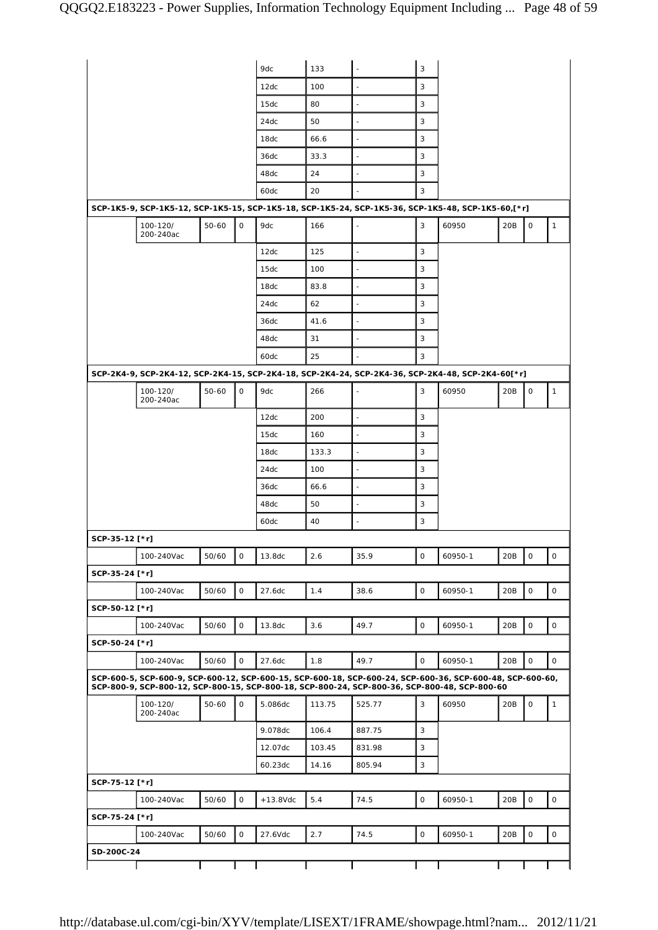|                |                       |       |              | 9dc         | 133    | $\sim$                                                                                                                                                                                                     | 3            |         |     |             |              |
|----------------|-----------------------|-------|--------------|-------------|--------|------------------------------------------------------------------------------------------------------------------------------------------------------------------------------------------------------------|--------------|---------|-----|-------------|--------------|
|                |                       |       |              | 12dc        | 100    |                                                                                                                                                                                                            | 3            |         |     |             |              |
|                |                       |       |              | 15dc        | 80     | $\blacksquare$                                                                                                                                                                                             | 3            |         |     |             |              |
|                |                       |       |              | 24dc        | 50     | $\overline{\phantom{a}}$                                                                                                                                                                                   | 3            |         |     |             |              |
|                |                       |       |              | 18dc        | 66.6   | $\sim$                                                                                                                                                                                                     | 3            |         |     |             |              |
|                |                       |       |              | 36dc        | 33.3   |                                                                                                                                                                                                            | 3            |         |     |             |              |
|                |                       |       |              | 48dc        | 24     |                                                                                                                                                                                                            | 3            |         |     |             |              |
|                |                       |       |              | 60dc        | 20     |                                                                                                                                                                                                            | 3            |         |     |             |              |
|                |                       |       |              |             |        | SCP-1K5-9, SCP-1K5-12, SCP-1K5-15, SCP-1K5-18, SCP-1K5-24, SCP-1K5-36, SCP-1K5-48, SCP-1K5-60,[*r]                                                                                                         |              |         |     |             |              |
|                |                       | 50-60 | $\mathsf{O}$ | 9dc         |        |                                                                                                                                                                                                            | 3            |         |     |             |              |
|                | 100-120/<br>200-240ac |       |              |             | 166    |                                                                                                                                                                                                            |              | 60950   | 20B | 0           | $\mathbf{1}$ |
|                |                       |       |              | 12dc        | 125    | $\sim$                                                                                                                                                                                                     | 3            |         |     |             |              |
|                |                       |       |              | 15dc        | 100    |                                                                                                                                                                                                            | 3            |         |     |             |              |
|                |                       |       |              | 18dc        | 83.8   |                                                                                                                                                                                                            | 3            |         |     |             |              |
|                |                       |       |              | 24dc        | 62     | $\sim$                                                                                                                                                                                                     | 3            |         |     |             |              |
|                |                       |       |              | 36dc        | 41.6   |                                                                                                                                                                                                            | 3            |         |     |             |              |
|                |                       |       |              | 48dc        | 31     |                                                                                                                                                                                                            | 3            |         |     |             |              |
|                |                       |       |              | 60dc        | 25     |                                                                                                                                                                                                            | 3            |         |     |             |              |
|                |                       |       |              |             |        | SCP-2K4-9, SCP-2K4-12, SCP-2K4-15, SCP-2K4-18, SCP-2K4-24, SCP-2K4-36, SCP-2K4-48, SCP-2K4-60[*r]                                                                                                          |              |         |     |             |              |
|                | 100-120/<br>200-240ac | 50-60 | 0            | 9dc         | 266    |                                                                                                                                                                                                            | 3            | 60950   | 20B | 0           | $\mathbf{1}$ |
|                |                       |       |              | 12dc        | 200    | $\overline{\phantom{a}}$                                                                                                                                                                                   | 3            |         |     |             |              |
|                |                       |       |              | 15dc        | 160    |                                                                                                                                                                                                            | 3            |         |     |             |              |
|                |                       |       |              | 18dc        | 133.3  |                                                                                                                                                                                                            | 3            |         |     |             |              |
|                |                       |       |              | 24dc        | 100    | $\overline{\phantom{a}}$                                                                                                                                                                                   | 3            |         |     |             |              |
|                |                       |       |              | 36dc        | 66.6   | ٠                                                                                                                                                                                                          | 3            |         |     |             |              |
|                |                       |       |              | 48dc        | 50     |                                                                                                                                                                                                            | 3            |         |     |             |              |
|                |                       |       |              | 60dc        | 40     |                                                                                                                                                                                                            | 3            |         |     |             |              |
| SCP-35-12 [*r] |                       |       |              |             |        |                                                                                                                                                                                                            |              |         |     |             |              |
|                | 100-240Vac            | 50/60 | $\mathsf O$  | 13.8dc      | 2.6    | 35.9                                                                                                                                                                                                       | 0            | 60950-1 | 20B | 0           | 0            |
| SCP-35-24 [*r] |                       |       |              |             |        |                                                                                                                                                                                                            |              |         |     |             |              |
|                | 100-240Vac            |       | $\mathsf O$  |             |        |                                                                                                                                                                                                            | $\mathsf O$  |         |     |             |              |
|                |                       | 50/60 |              | 27.6dc      | 1.4    | 38.6                                                                                                                                                                                                       |              | 60950-1 | 20B | 0           | $\mathsf O$  |
| SCP-50-12 [*r] |                       |       |              |             |        |                                                                                                                                                                                                            |              |         |     |             |              |
|                | 100-240Vac            | 50/60 | $\mathsf O$  | 13.8dc      | 3.6    | 49.7                                                                                                                                                                                                       | $\mathsf O$  | 60950-1 | 20B | 0           | 0            |
| SCP-50-24 [*r] |                       |       |              |             |        |                                                                                                                                                                                                            |              |         |     |             |              |
|                | 100-240Vac            | 50/60 | $\mathsf O$  | 27.6dc      | 1.8    | 49.7                                                                                                                                                                                                       | $\mathsf O$  | 60950-1 | 20B | 0           | 0            |
|                |                       |       |              |             |        | SCP-600-5, SCP-600-9, SCP-600-12, SCP-600-15, SCP-600-18, SCP-600-24, SCP-600-36, SCP-600-48, SCP-600-60,<br>SCP-800-9, SCP-800-12, SCP-800-15, SCP-800-18, SCP-800-24, SCP-800-36, SCP-800-48, SCP-800-60 |              |         |     |             |              |
|                | 100-120/<br>200-240ac | 50-60 | $\mathsf O$  | 5.086dc     | 113.75 | 525.77                                                                                                                                                                                                     | 3            | 60950   | 20B | 0           | $\mathbf{1}$ |
|                |                       |       |              | 9.078dc     | 106.4  | 887.75                                                                                                                                                                                                     | 3            |         |     |             |              |
|                |                       |       |              | 12.07dc     | 103.45 | 831.98                                                                                                                                                                                                     | 3            |         |     |             |              |
|                |                       |       |              | 60.23dc     | 14.16  | 805.94                                                                                                                                                                                                     | $\mathbf{3}$ |         |     |             |              |
| SCP-75-12 [*r] |                       |       |              |             |        |                                                                                                                                                                                                            |              |         |     |             |              |
|                | 100-240Vac            | 50/60 | $\mathsf O$  | $+13.8$ Vdc | 5.4    | 74.5                                                                                                                                                                                                       | $\mathsf O$  | 60950-1 | 20B | $\mathsf O$ | $\mathsf O$  |
| SCP-75-24 [*r] |                       |       |              |             |        |                                                                                                                                                                                                            |              |         |     |             |              |
|                | 100-240Vac            | 50/60 | $\mathsf{O}$ | 27.6Vdc     | 2.7    | 74.5                                                                                                                                                                                                       | $\mathsf O$  | 60950-1 | 20B | $\mathsf O$ | $\circ$      |
| SD-200C-24     |                       |       |              |             |        |                                                                                                                                                                                                            |              |         |     |             |              |
|                |                       |       |              |             |        |                                                                                                                                                                                                            |              |         |     |             |              |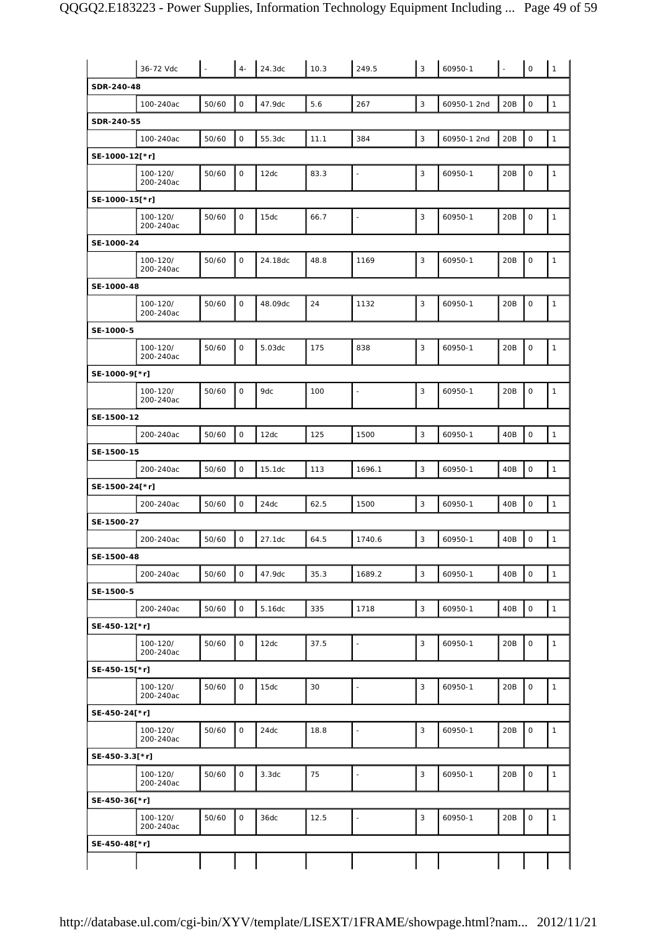|                | 36-72 Vdc             | $\sim$ | $4-$                | 24.3dc  | 10.3 | 249.5                    | 3              | 60950-1     |     | $\mathsf O$         | $\mathbf{1}$ |
|----------------|-----------------------|--------|---------------------|---------|------|--------------------------|----------------|-------------|-----|---------------------|--------------|
| SDR-240-48     |                       |        |                     |         |      |                          |                |             |     |                     |              |
|                | 100-240ac             | 50/60  | $\mathsf O$         | 47.9dc  | 5.6  | 267                      | $\sqrt{3}$     | 60950-1 2nd | 20B | $\mathsf O$         | $\mathbf{1}$ |
| SDR-240-55     |                       |        |                     |         |      |                          |                |             |     |                     |              |
|                | 100-240ac             | 50/60  | $\mathsf O$         | 55.3dc  | 11.1 | 384                      | $\sqrt{3}$     | 60950-1 2nd | 20B | $\mathsf{O}\xspace$ | $\mathbf{1}$ |
| SE-1000-12[*r] |                       |        |                     |         |      |                          |                |             |     |                     |              |
|                | 100-120/<br>200-240ac | 50/60  | $\mathsf O$         | 12dc    | 83.3 | ÷,                       | 3              | 60950-1     | 20B | $\mathsf O$         | $\mathbf{1}$ |
| SE-1000-15[*r] |                       |        |                     |         |      |                          |                |             |     |                     |              |
|                | 100-120/<br>200-240ac | 50/60  | $\mathsf O$         | 15dc    | 66.7 | $\blacksquare$           | 3              | 60950-1     | 20B | $\mathsf O$         | $\mathbf{1}$ |
| SE-1000-24     |                       |        |                     |         |      |                          |                |             |     |                     |              |
|                | 100-120/<br>200-240ac | 50/60  | $\mathsf O$         | 24.18dc | 48.8 | 1169                     | 3              | 60950-1     | 20B | $\mathsf O$         | $\mathbf{1}$ |
| SE-1000-48     |                       |        |                     |         |      |                          |                |             |     |                     |              |
|                | 100-120/<br>200-240ac | 50/60  | $\mathsf O$         | 48.09dc | 24   | 1132                     | 3              | 60950-1     | 20B | $\mathsf O$         | $\mathbf{1}$ |
| SE-1000-5      |                       |        |                     |         |      |                          |                |             |     |                     |              |
|                | 100-120/<br>200-240ac | 50/60  | $\mathsf O$         | 5.03dc  | 175  | 838                      | 3              | 60950-1     | 20B | $\mathsf O$         | $\mathbf{1}$ |
| SE-1000-9[*r]  |                       |        |                     |         |      |                          |                |             |     |                     |              |
|                | 100-120/<br>200-240ac | 50/60  | $\mathsf O$         | 9dc     | 100  | $\blacksquare$           | $\overline{3}$ | 60950-1     | 20B | $\mathsf O$         | $\mathbf{1}$ |
| SE-1500-12     |                       |        |                     |         |      |                          |                |             |     |                     |              |
|                | 200-240ac             | 50/60  | $\mathsf O$         | 12dc    | 125  | 1500                     | 3              | 60950-1     | 40B | $\mathsf O$         | $\mathbf{1}$ |
| SE-1500-15     |                       |        |                     |         |      |                          |                |             |     |                     |              |
|                | 200-240ac             | 50/60  | $\mathsf O$         | 15.1dc  | 113  | 1696.1                   | $\overline{3}$ | 60950-1     | 40B | $\mathsf O$         | $\mathbf{1}$ |
| SE-1500-24[*r] |                       |        |                     |         |      |                          |                |             |     |                     |              |
|                | 200-240ac             | 50/60  | $\mathsf{O}\xspace$ | 24dc    | 62.5 | 1500                     | $\overline{3}$ | 60950-1     | 40B | $\mathsf{O}\xspace$ | $\mathbf{1}$ |
| SE-1500-27     |                       |        |                     |         |      |                          |                |             |     |                     |              |
|                | 200-240ac             | 50/60  | $\mathbf 0$         | 27.1dc  | 64.5 | 1740.6                   | 3              | 60950-1     | 40B | $\mathsf O$         | $\mathbf{1}$ |
| SE-1500-48     |                       |        |                     |         |      |                          |                |             |     |                     |              |
|                | 200-240ac             | 50/60  | $\mathsf{O}$        | 47.9dc  | 35.3 | 1689.2                   | 3              | 60950-1     | 40B | $\mathsf{O}$        | $\mathbf{1}$ |
| SE-1500-5      |                       |        |                     |         |      |                          |                |             |     |                     |              |
|                | 200-240ac             | 50/60  | $\mathbf 0$         | 5.16dc  | 335  | 1718                     | 3              | 60950-1     | 40B | $\mathsf O$         | $\mathbf{1}$ |
| SE-450-12[*r]  |                       |        |                     |         |      |                          |                |             |     |                     |              |
|                | 100-120/<br>200-240ac | 50/60  | 0                   | 12dc    | 37.5 | ÷,                       | 3              | 60950-1     | 20B | $\mathsf O$         | $\mathbf{1}$ |
| SE-450-15[*r]  |                       |        |                     |         |      |                          |                |             |     |                     |              |
|                | 100-120/<br>200-240ac | 50/60  | $\mathsf O$         | 15dc    | 30   | $\blacksquare$           | 3              | 60950-1     | 20B | $\mathsf O$         | $\mathbf{1}$ |
| SE-450-24[*r]  |                       |        |                     |         |      |                          |                |             |     |                     |              |
|                | 100-120/<br>200-240ac | 50/60  | 0                   | 24dc    | 18.8 | $\blacksquare$           | 3              | 60950-1     | 20B | $\mathsf O$         | $\mathbf{1}$ |
| SE-450-3.3[*r] |                       |        |                     |         |      |                          |                |             |     |                     |              |
|                | 100-120/<br>200-240ac | 50/60  | $\mathsf O$         | 3.3dc   | 75   | $\blacksquare$           | 3              | 60950-1     | 20B | $\mathsf O$         | $\mathbf{1}$ |
| SE-450-36[*r]  |                       |        |                     |         |      |                          |                |             |     |                     |              |
|                | 100-120/<br>200-240ac | 50/60  | 0                   | 36dc    | 12.5 | $\overline{\phantom{a}}$ | 3              | 60950-1     | 20B | $\mathsf O$         | $\mathbf{1}$ |
| SE-450-48[*r]  |                       |        |                     |         |      |                          |                |             |     |                     |              |
|                |                       |        |                     |         |      |                          |                |             |     |                     |              |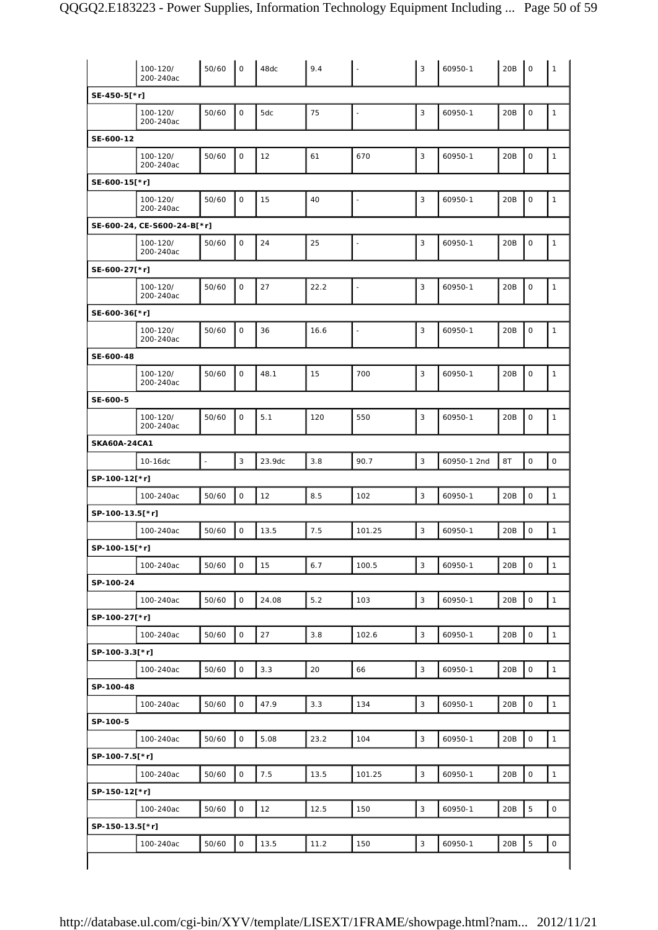|                     | 100-120/<br>200-240ac       | 50/60          | $\mathsf{O}$        | 48dc   | 9.4  | $\overline{\phantom{a}}$ | 3            | 60950-1     | 20B | $\mathsf O$         | 1                   |
|---------------------|-----------------------------|----------------|---------------------|--------|------|--------------------------|--------------|-------------|-----|---------------------|---------------------|
| SE-450-5[*r]        |                             |                |                     |        |      |                          |              |             |     |                     |                     |
|                     | 100-120/<br>200-240ac       | 50/60          | $\mathsf O$         | 5dc    | 75   | $\blacksquare$           | 3            | 60950-1     | 20B | $\mathsf O$         | $\mathbf{1}$        |
| SE-600-12           |                             |                |                     |        |      |                          |              |             |     |                     |                     |
|                     | 100-120/<br>200-240ac       | 50/60          | $\mathsf O$         | 12     | 61   | 670                      | 3            | 60950-1     | 20B | $\mathsf O$         | $\mathbf{1}$        |
| SE-600-15[*r]       |                             |                |                     |        |      |                          |              |             |     |                     |                     |
|                     | 100-120/<br>200-240ac       | 50/60          | $\mathsf O$         | 15     | 40   | $\blacksquare$           | 3            | 60950-1     | 20B | $\mathsf O$         | $\mathbf{1}$        |
|                     | SE-600-24, CE-S600-24-B[*r] |                |                     |        |      |                          |              |             |     |                     |                     |
|                     | 100-120/<br>200-240ac       | 50/60          | $\mathbf 0$         | 24     | 25   | $\overline{\phantom{a}}$ | 3            | 60950-1     | 20B | $\circ$             | $\mathbf{1}$        |
| SE-600-27[*r]       |                             |                |                     |        |      |                          |              |             |     |                     |                     |
|                     | 100-120/<br>200-240ac       | 50/60          | $\mathsf O$         | 27     | 22.2 | $\blacksquare$           | 3            | 60950-1     | 20B | $\mathsf O$         | $\mathbf{1}$        |
| SE-600-36[*r]       |                             |                |                     |        |      |                          |              |             |     |                     |                     |
|                     | 100-120/<br>200-240ac       | 50/60          | $\mathsf O$         | 36     | 16.6 | $\blacksquare$           | 3            | 60950-1     | 20B | $\mathsf O$         | $\mathbf{1}$        |
| SE-600-48           |                             |                |                     |        |      |                          |              |             |     |                     |                     |
|                     | 100-120/<br>200-240ac       | 50/60          | $\mathbf 0$         | 48.1   | 15   | 700                      | 3            | 60950-1     | 20B | $\mathsf O$         | $\mathbf{1}$        |
| SE-600-5            |                             |                |                     |        |      |                          |              |             |     |                     |                     |
|                     | 100-120/<br>200-240ac       | 50/60          | $\mathsf O$         | 5.1    | 120  | 550                      | 3            | 60950-1     | 20B | $\mathsf O$         | $\mathbf{1}$        |
| <b>SKA60A-24CA1</b> |                             |                |                     |        |      |                          |              |             |     |                     |                     |
|                     | 10-16dc                     | $\overline{a}$ | $\mathbf{3}$        | 23.9dc | 3.8  | 90.7                     | 3            | 60950-1 2nd | 8T  | $\mathsf O$         | $\mathsf O$         |
| SP-100-12[*r]       |                             |                |                     |        |      |                          |              |             |     |                     |                     |
|                     | 100-240ac                   | 50/60          | $\mathsf O$         | 12     | 8.5  | 102                      | 3            | 60950-1     | 20B | $\mathsf O$         | $\mathbf{1}$        |
| SP-100-13.5[*r]     |                             |                |                     |        |      |                          |              |             |     |                     |                     |
|                     | 100-240ac                   | 50/60          | $\mathsf O$         | 13.5   | 7.5  | 101.25                   | $\mathbf{3}$ | 60950-1     | 20B | $\mathsf O$         | $\mathbf{1}$        |
| SP-100-15[*r]       |                             |                |                     |        |      |                          |              |             |     |                     |                     |
|                     | 100-240ac                   |                | $\mathsf O$         | 15     | 6.7  |                          | 3            | 60950-1     | 20B | $\mathsf O$         | $\mathbf{1}$        |
|                     |                             | 50/60          |                     |        |      | 100.5                    |              |             |     |                     |                     |
| SP-100-24           |                             |                |                     |        |      |                          |              |             |     |                     |                     |
|                     | 100-240ac                   | 50/60          | $\mathsf O$         | 24.08  | 5.2  | 103                      | 3            | 60950-1     | 20B | $\mathsf O$         | $\mathbf{1}$        |
| SP-100-27[*r]       |                             |                |                     |        |      |                          |              |             |     |                     |                     |
|                     | 100-240ac                   | 50/60          | $\mathsf O$         | 27     | 3.8  | 102.6                    | 3            | 60950-1     | 20B | $\mathsf O$         | $\mathbf{1}$        |
| SP-100-3.3[*r]      |                             |                |                     |        |      |                          |              |             |     |                     |                     |
|                     | 100-240ac                   | 50/60          | $\mathsf O$         | 3.3    | 20   | 66                       | $\mathbf{3}$ | 60950-1     | 20B | $\mathsf{O}\xspace$ | $\mathbf{1}$        |
| SP-100-48           |                             |                |                     |        |      |                          |              |             |     |                     |                     |
|                     | 100-240ac                   | 50/60          | $\mathsf O$         | 47.9   | 3.3  | 134                      | 3            | 60950-1     | 20B | $\circ$             | $\mathbf{1}$        |
| SP-100-5            |                             |                |                     |        |      |                          |              |             |     |                     |                     |
|                     | 100-240ac                   | 50/60          | $\mathsf O$         | 5.08   | 23.2 | 104                      | $\mathbf{3}$ | 60950-1     | 20B | $\mathsf O$         | $\mathbf{1}$        |
| SP-100-7.5[*r]      |                             |                |                     |        |      |                          |              |             |     |                     |                     |
|                     | 100-240ac                   | 50/60          | $\mathsf O$         | 7.5    | 13.5 | 101.25                   | 3            | 60950-1     | 20B | $\circ$             | $\mathbf{1}$        |
| SP-150-12[*r]       |                             |                |                     |        |      |                          |              |             |     |                     |                     |
|                     | 100-240ac                   | 50/60          | $\mathsf{O}\xspace$ | 12     | 12.5 | 150                      | 3            | 60950-1     | 20B | $\mathbf 5$         | $\circ$             |
| SP-150-13.5[*r]     |                             |                |                     |        |      |                          |              |             |     |                     |                     |
|                     | 100-240ac                   | 50/60          | $\mathsf O$         | 13.5   | 11.2 | 150                      | 3            | 60950-1     | 20B | $\overline{5}$      | $\mathsf{O}\xspace$ |
|                     |                             |                |                     |        |      |                          |              |             |     |                     |                     |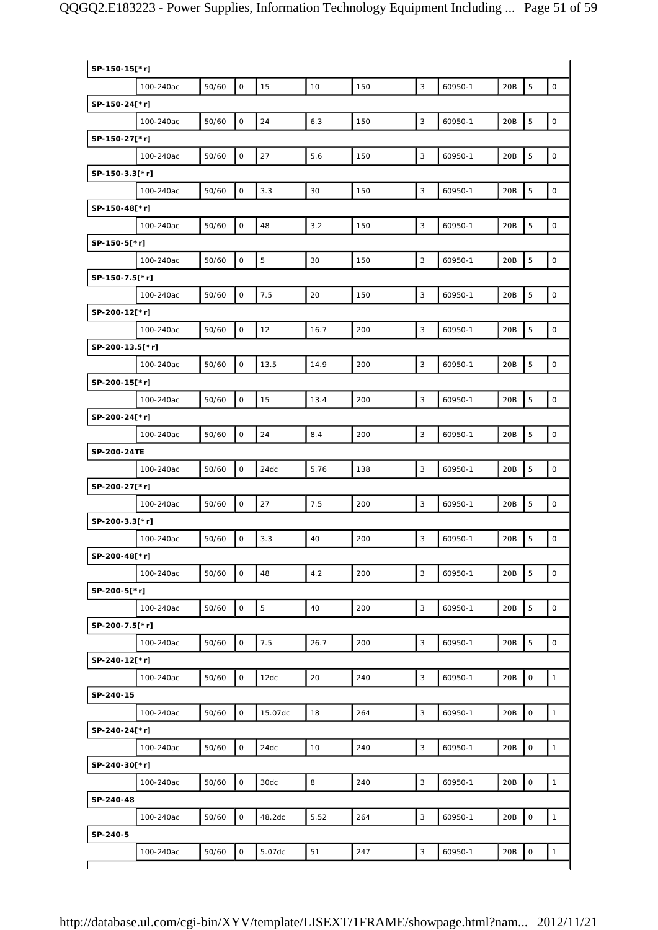| SP-150-15[*r]   |           |       |                     |         |      |     |   |         |     |                |                     |
|-----------------|-----------|-------|---------------------|---------|------|-----|---|---------|-----|----------------|---------------------|
|                 | 100-240ac | 50/60 | $\mathsf O$         | 15      | 10   | 150 | 3 | 60950-1 | 20B | 5              | $\mathsf O$         |
| SP-150-24[*r]   |           |       |                     |         |      |     |   |         |     |                |                     |
|                 | 100-240ac | 50/60 | $\mathsf{O}\xspace$ | 24      | 6.3  | 150 | 3 | 60950-1 | 20B | 5              | $\mathsf{O}\xspace$ |
| SP-150-27[*r]   |           |       |                     |         |      |     |   |         |     |                |                     |
|                 | 100-240ac | 50/60 | $\mathsf O$         | 27      | 5.6  | 150 | 3 | 60950-1 | 20B | 5              | $\mathsf O$         |
| SP-150-3.3[*r]  |           |       |                     |         |      |     |   |         |     |                |                     |
|                 | 100-240ac | 50/60 | $\mathsf O$         | 3.3     | 30   | 150 | 3 | 60950-1 | 20B | 5              | $\mathsf O$         |
| SP-150-48[*r]   |           |       |                     |         |      |     |   |         |     |                |                     |
|                 | 100-240ac | 50/60 | $\mathsf O$         | 48      | 3.2  | 150 | 3 | 60950-1 | 20B | 5              | $\mathsf O$         |
| SP-150-5[*r]    |           |       |                     |         |      |     |   |         |     |                |                     |
|                 | 100-240ac | 50/60 | $\mathsf O$         | 5       | 30   | 150 | 3 | 60950-1 | 20B | $\overline{5}$ | $\mathsf{O}\xspace$ |
| SP-150-7.5[*r]  |           |       |                     |         |      |     |   |         |     |                |                     |
|                 | 100-240ac | 50/60 | $\mathsf O$         | 7.5     | 20   | 150 | 3 | 60950-1 | 20B | 5              | $\mathsf O$         |
| SP-200-12[*r]   |           |       |                     |         |      |     |   |         |     |                |                     |
|                 | 100-240ac | 50/60 | $\mathsf O$         | 12      | 16.7 | 200 | 3 | 60950-1 | 20B | 5              | $\mathsf O$         |
| SP-200-13.5[*r] |           |       |                     |         |      |     |   |         |     |                |                     |
|                 | 100-240ac | 50/60 | $\mathsf{O}\xspace$ | 13.5    | 14.9 | 200 | 3 | 60950-1 | 20B | $\mathbf 5$    | $\mathsf{O}\xspace$ |
| SP-200-15[*r]   |           |       |                     |         |      |     |   |         |     |                |                     |
|                 | 100-240ac | 50/60 | $\mathsf{O}\xspace$ | 15      | 13.4 | 200 | 3 | 60950-1 | 20B | 5              | $\mathsf{O}\xspace$ |
| SP-200-24[*r]   |           |       |                     |         |      |     |   |         |     |                |                     |
|                 | 100-240ac | 50/60 | $\mathsf{O}\xspace$ | 24      | 8.4  | 200 | 3 | 60950-1 | 20B | 5              | $\mathsf O$         |
| SP-200-24TE     |           |       |                     |         |      |     |   |         |     |                |                     |
|                 | 100-240ac | 50/60 | $\mathsf O$         | 24dc    | 5.76 | 138 | 3 | 60950-1 | 20B | 5              | $\mathsf{O}\xspace$ |
| SP-200-27[*r]   |           |       |                     |         |      |     |   |         |     |                |                     |
|                 | 100-240ac | 50/60 | $\mathsf O$         | 27      | 7.5  | 200 | 3 | 60950-1 | 20B | $\mathbf 5$    | $\mathsf O$         |
| SP-200-3.3[*r]  |           |       |                     |         |      |     |   |         |     |                |                     |
|                 | 100-240ac | 50/60 | $\mathsf{O}$        | 3.3     | 40   | 200 | 3 | 60950-1 | 20B | 5              | $\mathsf O$         |
|                 |           |       |                     |         |      |     |   |         |     |                |                     |
| SP-200-48[*r]   | 100-240ac | 50/60 | $\mathsf{O}$        | 48      | 4.2  | 200 | 3 | 60950-1 | 20B | 5              | $\mathbf 0$         |
|                 |           |       |                     |         |      |     |   |         |     |                |                     |
| SP-200-5[*r]    |           |       |                     |         |      |     |   | 60950-1 |     |                |                     |
|                 | 100-240ac | 50/60 | $\mathsf O$         | 5       | 40   | 200 | 3 |         | 20B | 5              | $\mathsf{O}\xspace$ |
| SP-200-7.5[*r]  |           |       |                     |         |      |     |   |         |     |                |                     |
|                 | 100-240ac | 50/60 | 0                   | 7.5     | 26.7 | 200 | 3 | 60950-1 | 20B | $\mathbf 5$    | $\mathsf{O}\xspace$ |
| SP-240-12[*r]   |           |       |                     |         |      |     |   |         |     |                |                     |
|                 | 100-240ac | 50/60 | 0                   | 12dc    | 20   | 240 | 3 | 60950-1 | 20B | $\mathsf O$    | $\mathbf{1}$        |
| SP-240-15       |           |       |                     |         |      |     |   |         |     |                |                     |
|                 | 100-240ac | 50/60 | $\mathsf O$         | 15.07dc | 18   | 264 | 3 | 60950-1 | 20B | $\mathsf O$    | $\mathbf{1}$        |
| SP-240-24[*r]   |           |       |                     |         |      |     |   |         |     |                |                     |
|                 | 100-240ac | 50/60 | $\mathsf O$         | 24dc    | 10   | 240 | 3 | 60950-1 | 20B | $\mathsf O$    | $\mathbf{1}$        |
| SP-240-30[*r]   |           |       |                     |         |      |     |   |         |     |                |                     |
|                 | 100-240ac | 50/60 | $\mathsf{O}$        | 30dc    | 8    | 240 | 3 | 60950-1 | 20B | $\mathsf O$    | $\mathbf{1}$        |
| SP-240-48       |           |       |                     |         |      |     |   |         |     |                |                     |
|                 | 100-240ac | 50/60 | $\mathsf{O}$        | 48.2dc  | 5.52 | 264 | 3 | 60950-1 | 20B | $\mathsf O$    | $\mathbf{1}$        |
| SP-240-5        |           |       |                     |         |      |     |   |         |     |                |                     |
|                 | 100-240ac | 50/60 | 0                   | 5.07dc  | 51   | 247 | 3 | 60950-1 | 20B | $\mathsf O$    | $\mathbf{1}$        |
|                 |           |       |                     |         |      |     |   |         |     |                |                     |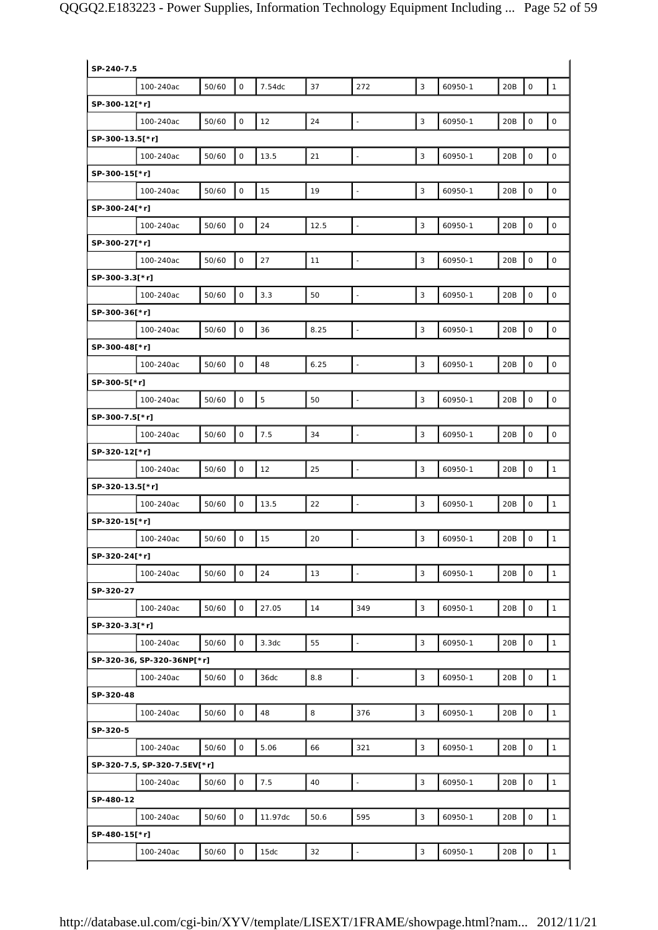| $\mathsf{O}$<br>37<br>3<br>50/60<br>7.54dc<br>272<br>60950-1<br>20B<br>$\mathsf O$<br>$\mathbf{1}$<br>100-240ac<br>$\mathsf O$<br>24<br>3<br>$\mathsf{O}\xspace$<br>$\mathsf{O}\xspace$<br>50/60<br>12<br>60950-1<br>20B<br>100-240ac<br>$\overline{\phantom{a}}$<br>$\mathsf O$<br>21<br>3<br>$\mathsf{O}\xspace$<br>50/60<br>13.5<br>20B<br>$\mathsf O$<br>100-240ac<br>60950-1<br>$\Box$<br>$\mathsf{O}\xspace$<br>50/60<br>$\mathsf O$<br>19<br>3<br>60950-1<br>20B<br>$\mathsf O$<br>100-240ac<br>15<br>$\Box$<br>$\mathsf{O}\xspace$<br>3<br>$\mathbf 0$<br>50/60<br>24<br>12.5<br>60950-1<br>20B<br>$\mathsf O$<br>100-240ac<br>$\bar{\phantom{a}}$<br>$\mathsf O$<br>3<br>$\mathsf O$<br>$\mathsf{O}\xspace$<br>50/60<br>27<br>11<br>60950-1<br>20B<br>100-240ac<br>$\bar{\phantom{a}}$<br>$\mathsf{O}\xspace$<br>3.3<br>$\mathsf{O}\xspace$<br>50/60<br>50<br>3<br>60950-1<br>20B<br>$\mathsf O$<br>100-240ac<br>$\Box$<br>$\mathsf{O}\xspace$<br>$\mathsf{O}\xspace$<br>$\mathsf O$<br>50/60<br>8.25<br>3<br>60950-1<br>20B<br>100-240ac<br>36<br>Ξ<br>$\mathsf O$<br>3<br>$\mathsf O$<br>50/60<br>48<br>6.25<br>60950-1<br>20B<br>$\mathsf{O}\xspace$<br>100-240ac<br>$\Box$<br>$\mathsf O$<br>5<br>50<br>3<br>$\mathsf O$<br>$\mathsf{O}\xspace$<br>50/60<br>60950-1<br>20B<br>100-240ac<br>$\bar{\phantom{a}}$<br>$\mathbf 0$<br>$\mathsf{O}\xspace$<br>7.5<br>34<br>3<br>$\mathsf O$<br>50/60<br>20B<br>100-240ac<br>60950-1<br>$\overline{a}$<br>$\mathsf O$<br>25<br>3<br>$\mathsf O$<br>50/60<br>12<br>60950-1<br>20B<br>$\mathbf{1}$<br>100-240ac<br>$\overline{\phantom{a}}$<br>$\mathsf O$<br>$\mathbf 0$<br>50/60<br>22<br>3<br>60950-1<br>20B<br>$\mathbf{1}$<br>100-240ac<br>13.5<br>$\overline{\phantom{a}}$<br>SP-320-15[*r]<br>20<br>3<br>$\mathsf{O}\xspace$<br>50/60<br>0<br>20B<br>$\mathbf{1}$<br>100-240ac<br>15<br>60950-1<br>$\overline{a}$<br>SP-320-24[*r]<br>$\mathsf{O}$<br>24<br>13<br>50/60<br>3<br>60950-1<br>20B<br>$\mathsf O$<br>$\mathbf{1}$<br>100-240ac<br>$\omega$<br>SP-320-27<br>50/60<br>$\mathsf O$<br>14<br>$\mathsf O$<br>27.05<br>349<br>3<br>60950-1<br>20B<br>$\mathbf{1}$<br>100-240ac<br>SP-320-3.3[*r]<br>$\mathsf O$<br>$\mathsf O$<br>50/60<br>3.3 <sub>dc</sub><br>55<br>3<br>60950-1<br>20B<br>$\mathbf{1}$<br>100-240ac<br>$\Box$<br>SP-320-36, SP-320-36NP[*r]<br>$\mathsf O$<br>50/60<br>0<br>36dc<br>8.8<br>$\mathbb{Z}$<br>3<br>60950-1<br>20B<br>$\mathbf{1}$<br>100-240ac<br>SP-320-48<br>$\mathsf O$<br>$\mathsf O$<br>50/60<br>48<br>8<br>376<br>3<br>60950-1<br>20B<br>$\mathbf{1}$<br>100-240ac<br>SP-320-5<br>$\mathsf O$<br>50/60<br>0<br>5.06<br>66<br>321<br>3<br>60950-1<br>20B<br>$\mathbf{1}$<br>100-240ac<br>SP-320-7.5, SP-320-7.5EV[*r]<br>$\mathsf{O}$<br>$\mathsf O$<br>50/60<br>7.5<br>40<br>3<br>60950-1<br>20B<br>$\mathbf{1}$<br>100-240ac<br>$\overline{\phantom{a}}$<br>SP-480-12<br>$\mathsf{O}$<br>$\mathsf O$<br>50/60<br>11.97dc<br>50.6<br>595<br>3<br>60950-1<br>20B<br>$\mathbf{1}$<br>100-240ac<br>SP-480-15[*r]<br>$\mathsf O$<br>32<br>$\mathsf O$<br>50/60<br>3<br>60950-1<br>20B<br>100-240ac<br>15dc<br>$\bar{\phantom{a}}$<br>$\mathbf{1}$ | SP-240-7.5      |  |  |  |  |  |
|------------------------------------------------------------------------------------------------------------------------------------------------------------------------------------------------------------------------------------------------------------------------------------------------------------------------------------------------------------------------------------------------------------------------------------------------------------------------------------------------------------------------------------------------------------------------------------------------------------------------------------------------------------------------------------------------------------------------------------------------------------------------------------------------------------------------------------------------------------------------------------------------------------------------------------------------------------------------------------------------------------------------------------------------------------------------------------------------------------------------------------------------------------------------------------------------------------------------------------------------------------------------------------------------------------------------------------------------------------------------------------------------------------------------------------------------------------------------------------------------------------------------------------------------------------------------------------------------------------------------------------------------------------------------------------------------------------------------------------------------------------------------------------------------------------------------------------------------------------------------------------------------------------------------------------------------------------------------------------------------------------------------------------------------------------------------------------------------------------------------------------------------------------------------------------------------------------------------------------------------------------------------------------------------------------------------------------------------------------------------------------------------------------------------------------------------------------------------------------------------------------------------------------------------------------------------------------------------------------------------------------------------------------------------------------------------------------------------------------------------------------------------------------------------------------------------------------------------------------------------------------------------------------------------------------------------------------------------------------------------------------------------------------------------------------------------------------------------------------------------------------------------------|-----------------|--|--|--|--|--|
|                                                                                                                                                                                                                                                                                                                                                                                                                                                                                                                                                                                                                                                                                                                                                                                                                                                                                                                                                                                                                                                                                                                                                                                                                                                                                                                                                                                                                                                                                                                                                                                                                                                                                                                                                                                                                                                                                                                                                                                                                                                                                                                                                                                                                                                                                                                                                                                                                                                                                                                                                                                                                                                                                                                                                                                                                                                                                                                                                                                                                                                                                                                                                      |                 |  |  |  |  |  |
|                                                                                                                                                                                                                                                                                                                                                                                                                                                                                                                                                                                                                                                                                                                                                                                                                                                                                                                                                                                                                                                                                                                                                                                                                                                                                                                                                                                                                                                                                                                                                                                                                                                                                                                                                                                                                                                                                                                                                                                                                                                                                                                                                                                                                                                                                                                                                                                                                                                                                                                                                                                                                                                                                                                                                                                                                                                                                                                                                                                                                                                                                                                                                      | SP-300-12[*r]   |  |  |  |  |  |
|                                                                                                                                                                                                                                                                                                                                                                                                                                                                                                                                                                                                                                                                                                                                                                                                                                                                                                                                                                                                                                                                                                                                                                                                                                                                                                                                                                                                                                                                                                                                                                                                                                                                                                                                                                                                                                                                                                                                                                                                                                                                                                                                                                                                                                                                                                                                                                                                                                                                                                                                                                                                                                                                                                                                                                                                                                                                                                                                                                                                                                                                                                                                                      |                 |  |  |  |  |  |
|                                                                                                                                                                                                                                                                                                                                                                                                                                                                                                                                                                                                                                                                                                                                                                                                                                                                                                                                                                                                                                                                                                                                                                                                                                                                                                                                                                                                                                                                                                                                                                                                                                                                                                                                                                                                                                                                                                                                                                                                                                                                                                                                                                                                                                                                                                                                                                                                                                                                                                                                                                                                                                                                                                                                                                                                                                                                                                                                                                                                                                                                                                                                                      | SP-300-13.5[*r] |  |  |  |  |  |
|                                                                                                                                                                                                                                                                                                                                                                                                                                                                                                                                                                                                                                                                                                                                                                                                                                                                                                                                                                                                                                                                                                                                                                                                                                                                                                                                                                                                                                                                                                                                                                                                                                                                                                                                                                                                                                                                                                                                                                                                                                                                                                                                                                                                                                                                                                                                                                                                                                                                                                                                                                                                                                                                                                                                                                                                                                                                                                                                                                                                                                                                                                                                                      |                 |  |  |  |  |  |
|                                                                                                                                                                                                                                                                                                                                                                                                                                                                                                                                                                                                                                                                                                                                                                                                                                                                                                                                                                                                                                                                                                                                                                                                                                                                                                                                                                                                                                                                                                                                                                                                                                                                                                                                                                                                                                                                                                                                                                                                                                                                                                                                                                                                                                                                                                                                                                                                                                                                                                                                                                                                                                                                                                                                                                                                                                                                                                                                                                                                                                                                                                                                                      | SP-300-15[*r]   |  |  |  |  |  |
|                                                                                                                                                                                                                                                                                                                                                                                                                                                                                                                                                                                                                                                                                                                                                                                                                                                                                                                                                                                                                                                                                                                                                                                                                                                                                                                                                                                                                                                                                                                                                                                                                                                                                                                                                                                                                                                                                                                                                                                                                                                                                                                                                                                                                                                                                                                                                                                                                                                                                                                                                                                                                                                                                                                                                                                                                                                                                                                                                                                                                                                                                                                                                      |                 |  |  |  |  |  |
|                                                                                                                                                                                                                                                                                                                                                                                                                                                                                                                                                                                                                                                                                                                                                                                                                                                                                                                                                                                                                                                                                                                                                                                                                                                                                                                                                                                                                                                                                                                                                                                                                                                                                                                                                                                                                                                                                                                                                                                                                                                                                                                                                                                                                                                                                                                                                                                                                                                                                                                                                                                                                                                                                                                                                                                                                                                                                                                                                                                                                                                                                                                                                      | SP-300-24[*r]   |  |  |  |  |  |
|                                                                                                                                                                                                                                                                                                                                                                                                                                                                                                                                                                                                                                                                                                                                                                                                                                                                                                                                                                                                                                                                                                                                                                                                                                                                                                                                                                                                                                                                                                                                                                                                                                                                                                                                                                                                                                                                                                                                                                                                                                                                                                                                                                                                                                                                                                                                                                                                                                                                                                                                                                                                                                                                                                                                                                                                                                                                                                                                                                                                                                                                                                                                                      |                 |  |  |  |  |  |
|                                                                                                                                                                                                                                                                                                                                                                                                                                                                                                                                                                                                                                                                                                                                                                                                                                                                                                                                                                                                                                                                                                                                                                                                                                                                                                                                                                                                                                                                                                                                                                                                                                                                                                                                                                                                                                                                                                                                                                                                                                                                                                                                                                                                                                                                                                                                                                                                                                                                                                                                                                                                                                                                                                                                                                                                                                                                                                                                                                                                                                                                                                                                                      | SP-300-27[*r]   |  |  |  |  |  |
|                                                                                                                                                                                                                                                                                                                                                                                                                                                                                                                                                                                                                                                                                                                                                                                                                                                                                                                                                                                                                                                                                                                                                                                                                                                                                                                                                                                                                                                                                                                                                                                                                                                                                                                                                                                                                                                                                                                                                                                                                                                                                                                                                                                                                                                                                                                                                                                                                                                                                                                                                                                                                                                                                                                                                                                                                                                                                                                                                                                                                                                                                                                                                      |                 |  |  |  |  |  |
|                                                                                                                                                                                                                                                                                                                                                                                                                                                                                                                                                                                                                                                                                                                                                                                                                                                                                                                                                                                                                                                                                                                                                                                                                                                                                                                                                                                                                                                                                                                                                                                                                                                                                                                                                                                                                                                                                                                                                                                                                                                                                                                                                                                                                                                                                                                                                                                                                                                                                                                                                                                                                                                                                                                                                                                                                                                                                                                                                                                                                                                                                                                                                      | SP-300-3.3[*r]  |  |  |  |  |  |
|                                                                                                                                                                                                                                                                                                                                                                                                                                                                                                                                                                                                                                                                                                                                                                                                                                                                                                                                                                                                                                                                                                                                                                                                                                                                                                                                                                                                                                                                                                                                                                                                                                                                                                                                                                                                                                                                                                                                                                                                                                                                                                                                                                                                                                                                                                                                                                                                                                                                                                                                                                                                                                                                                                                                                                                                                                                                                                                                                                                                                                                                                                                                                      |                 |  |  |  |  |  |
|                                                                                                                                                                                                                                                                                                                                                                                                                                                                                                                                                                                                                                                                                                                                                                                                                                                                                                                                                                                                                                                                                                                                                                                                                                                                                                                                                                                                                                                                                                                                                                                                                                                                                                                                                                                                                                                                                                                                                                                                                                                                                                                                                                                                                                                                                                                                                                                                                                                                                                                                                                                                                                                                                                                                                                                                                                                                                                                                                                                                                                                                                                                                                      | SP-300-36[*r]   |  |  |  |  |  |
|                                                                                                                                                                                                                                                                                                                                                                                                                                                                                                                                                                                                                                                                                                                                                                                                                                                                                                                                                                                                                                                                                                                                                                                                                                                                                                                                                                                                                                                                                                                                                                                                                                                                                                                                                                                                                                                                                                                                                                                                                                                                                                                                                                                                                                                                                                                                                                                                                                                                                                                                                                                                                                                                                                                                                                                                                                                                                                                                                                                                                                                                                                                                                      |                 |  |  |  |  |  |
|                                                                                                                                                                                                                                                                                                                                                                                                                                                                                                                                                                                                                                                                                                                                                                                                                                                                                                                                                                                                                                                                                                                                                                                                                                                                                                                                                                                                                                                                                                                                                                                                                                                                                                                                                                                                                                                                                                                                                                                                                                                                                                                                                                                                                                                                                                                                                                                                                                                                                                                                                                                                                                                                                                                                                                                                                                                                                                                                                                                                                                                                                                                                                      | SP-300-48[*r]   |  |  |  |  |  |
|                                                                                                                                                                                                                                                                                                                                                                                                                                                                                                                                                                                                                                                                                                                                                                                                                                                                                                                                                                                                                                                                                                                                                                                                                                                                                                                                                                                                                                                                                                                                                                                                                                                                                                                                                                                                                                                                                                                                                                                                                                                                                                                                                                                                                                                                                                                                                                                                                                                                                                                                                                                                                                                                                                                                                                                                                                                                                                                                                                                                                                                                                                                                                      |                 |  |  |  |  |  |
|                                                                                                                                                                                                                                                                                                                                                                                                                                                                                                                                                                                                                                                                                                                                                                                                                                                                                                                                                                                                                                                                                                                                                                                                                                                                                                                                                                                                                                                                                                                                                                                                                                                                                                                                                                                                                                                                                                                                                                                                                                                                                                                                                                                                                                                                                                                                                                                                                                                                                                                                                                                                                                                                                                                                                                                                                                                                                                                                                                                                                                                                                                                                                      | SP-300-5[*r]    |  |  |  |  |  |
|                                                                                                                                                                                                                                                                                                                                                                                                                                                                                                                                                                                                                                                                                                                                                                                                                                                                                                                                                                                                                                                                                                                                                                                                                                                                                                                                                                                                                                                                                                                                                                                                                                                                                                                                                                                                                                                                                                                                                                                                                                                                                                                                                                                                                                                                                                                                                                                                                                                                                                                                                                                                                                                                                                                                                                                                                                                                                                                                                                                                                                                                                                                                                      |                 |  |  |  |  |  |
|                                                                                                                                                                                                                                                                                                                                                                                                                                                                                                                                                                                                                                                                                                                                                                                                                                                                                                                                                                                                                                                                                                                                                                                                                                                                                                                                                                                                                                                                                                                                                                                                                                                                                                                                                                                                                                                                                                                                                                                                                                                                                                                                                                                                                                                                                                                                                                                                                                                                                                                                                                                                                                                                                                                                                                                                                                                                                                                                                                                                                                                                                                                                                      | SP-300-7.5[*r]  |  |  |  |  |  |
|                                                                                                                                                                                                                                                                                                                                                                                                                                                                                                                                                                                                                                                                                                                                                                                                                                                                                                                                                                                                                                                                                                                                                                                                                                                                                                                                                                                                                                                                                                                                                                                                                                                                                                                                                                                                                                                                                                                                                                                                                                                                                                                                                                                                                                                                                                                                                                                                                                                                                                                                                                                                                                                                                                                                                                                                                                                                                                                                                                                                                                                                                                                                                      |                 |  |  |  |  |  |
|                                                                                                                                                                                                                                                                                                                                                                                                                                                                                                                                                                                                                                                                                                                                                                                                                                                                                                                                                                                                                                                                                                                                                                                                                                                                                                                                                                                                                                                                                                                                                                                                                                                                                                                                                                                                                                                                                                                                                                                                                                                                                                                                                                                                                                                                                                                                                                                                                                                                                                                                                                                                                                                                                                                                                                                                                                                                                                                                                                                                                                                                                                                                                      | SP-320-12[*r]   |  |  |  |  |  |
|                                                                                                                                                                                                                                                                                                                                                                                                                                                                                                                                                                                                                                                                                                                                                                                                                                                                                                                                                                                                                                                                                                                                                                                                                                                                                                                                                                                                                                                                                                                                                                                                                                                                                                                                                                                                                                                                                                                                                                                                                                                                                                                                                                                                                                                                                                                                                                                                                                                                                                                                                                                                                                                                                                                                                                                                                                                                                                                                                                                                                                                                                                                                                      |                 |  |  |  |  |  |
|                                                                                                                                                                                                                                                                                                                                                                                                                                                                                                                                                                                                                                                                                                                                                                                                                                                                                                                                                                                                                                                                                                                                                                                                                                                                                                                                                                                                                                                                                                                                                                                                                                                                                                                                                                                                                                                                                                                                                                                                                                                                                                                                                                                                                                                                                                                                                                                                                                                                                                                                                                                                                                                                                                                                                                                                                                                                                                                                                                                                                                                                                                                                                      | SP-320-13.5[*r] |  |  |  |  |  |
|                                                                                                                                                                                                                                                                                                                                                                                                                                                                                                                                                                                                                                                                                                                                                                                                                                                                                                                                                                                                                                                                                                                                                                                                                                                                                                                                                                                                                                                                                                                                                                                                                                                                                                                                                                                                                                                                                                                                                                                                                                                                                                                                                                                                                                                                                                                                                                                                                                                                                                                                                                                                                                                                                                                                                                                                                                                                                                                                                                                                                                                                                                                                                      |                 |  |  |  |  |  |
|                                                                                                                                                                                                                                                                                                                                                                                                                                                                                                                                                                                                                                                                                                                                                                                                                                                                                                                                                                                                                                                                                                                                                                                                                                                                                                                                                                                                                                                                                                                                                                                                                                                                                                                                                                                                                                                                                                                                                                                                                                                                                                                                                                                                                                                                                                                                                                                                                                                                                                                                                                                                                                                                                                                                                                                                                                                                                                                                                                                                                                                                                                                                                      |                 |  |  |  |  |  |
|                                                                                                                                                                                                                                                                                                                                                                                                                                                                                                                                                                                                                                                                                                                                                                                                                                                                                                                                                                                                                                                                                                                                                                                                                                                                                                                                                                                                                                                                                                                                                                                                                                                                                                                                                                                                                                                                                                                                                                                                                                                                                                                                                                                                                                                                                                                                                                                                                                                                                                                                                                                                                                                                                                                                                                                                                                                                                                                                                                                                                                                                                                                                                      |                 |  |  |  |  |  |
|                                                                                                                                                                                                                                                                                                                                                                                                                                                                                                                                                                                                                                                                                                                                                                                                                                                                                                                                                                                                                                                                                                                                                                                                                                                                                                                                                                                                                                                                                                                                                                                                                                                                                                                                                                                                                                                                                                                                                                                                                                                                                                                                                                                                                                                                                                                                                                                                                                                                                                                                                                                                                                                                                                                                                                                                                                                                                                                                                                                                                                                                                                                                                      |                 |  |  |  |  |  |
|                                                                                                                                                                                                                                                                                                                                                                                                                                                                                                                                                                                                                                                                                                                                                                                                                                                                                                                                                                                                                                                                                                                                                                                                                                                                                                                                                                                                                                                                                                                                                                                                                                                                                                                                                                                                                                                                                                                                                                                                                                                                                                                                                                                                                                                                                                                                                                                                                                                                                                                                                                                                                                                                                                                                                                                                                                                                                                                                                                                                                                                                                                                                                      |                 |  |  |  |  |  |
|                                                                                                                                                                                                                                                                                                                                                                                                                                                                                                                                                                                                                                                                                                                                                                                                                                                                                                                                                                                                                                                                                                                                                                                                                                                                                                                                                                                                                                                                                                                                                                                                                                                                                                                                                                                                                                                                                                                                                                                                                                                                                                                                                                                                                                                                                                                                                                                                                                                                                                                                                                                                                                                                                                                                                                                                                                                                                                                                                                                                                                                                                                                                                      |                 |  |  |  |  |  |
|                                                                                                                                                                                                                                                                                                                                                                                                                                                                                                                                                                                                                                                                                                                                                                                                                                                                                                                                                                                                                                                                                                                                                                                                                                                                                                                                                                                                                                                                                                                                                                                                                                                                                                                                                                                                                                                                                                                                                                                                                                                                                                                                                                                                                                                                                                                                                                                                                                                                                                                                                                                                                                                                                                                                                                                                                                                                                                                                                                                                                                                                                                                                                      |                 |  |  |  |  |  |
|                                                                                                                                                                                                                                                                                                                                                                                                                                                                                                                                                                                                                                                                                                                                                                                                                                                                                                                                                                                                                                                                                                                                                                                                                                                                                                                                                                                                                                                                                                                                                                                                                                                                                                                                                                                                                                                                                                                                                                                                                                                                                                                                                                                                                                                                                                                                                                                                                                                                                                                                                                                                                                                                                                                                                                                                                                                                                                                                                                                                                                                                                                                                                      |                 |  |  |  |  |  |
|                                                                                                                                                                                                                                                                                                                                                                                                                                                                                                                                                                                                                                                                                                                                                                                                                                                                                                                                                                                                                                                                                                                                                                                                                                                                                                                                                                                                                                                                                                                                                                                                                                                                                                                                                                                                                                                                                                                                                                                                                                                                                                                                                                                                                                                                                                                                                                                                                                                                                                                                                                                                                                                                                                                                                                                                                                                                                                                                                                                                                                                                                                                                                      |                 |  |  |  |  |  |
|                                                                                                                                                                                                                                                                                                                                                                                                                                                                                                                                                                                                                                                                                                                                                                                                                                                                                                                                                                                                                                                                                                                                                                                                                                                                                                                                                                                                                                                                                                                                                                                                                                                                                                                                                                                                                                                                                                                                                                                                                                                                                                                                                                                                                                                                                                                                                                                                                                                                                                                                                                                                                                                                                                                                                                                                                                                                                                                                                                                                                                                                                                                                                      |                 |  |  |  |  |  |
|                                                                                                                                                                                                                                                                                                                                                                                                                                                                                                                                                                                                                                                                                                                                                                                                                                                                                                                                                                                                                                                                                                                                                                                                                                                                                                                                                                                                                                                                                                                                                                                                                                                                                                                                                                                                                                                                                                                                                                                                                                                                                                                                                                                                                                                                                                                                                                                                                                                                                                                                                                                                                                                                                                                                                                                                                                                                                                                                                                                                                                                                                                                                                      |                 |  |  |  |  |  |
|                                                                                                                                                                                                                                                                                                                                                                                                                                                                                                                                                                                                                                                                                                                                                                                                                                                                                                                                                                                                                                                                                                                                                                                                                                                                                                                                                                                                                                                                                                                                                                                                                                                                                                                                                                                                                                                                                                                                                                                                                                                                                                                                                                                                                                                                                                                                                                                                                                                                                                                                                                                                                                                                                                                                                                                                                                                                                                                                                                                                                                                                                                                                                      |                 |  |  |  |  |  |
|                                                                                                                                                                                                                                                                                                                                                                                                                                                                                                                                                                                                                                                                                                                                                                                                                                                                                                                                                                                                                                                                                                                                                                                                                                                                                                                                                                                                                                                                                                                                                                                                                                                                                                                                                                                                                                                                                                                                                                                                                                                                                                                                                                                                                                                                                                                                                                                                                                                                                                                                                                                                                                                                                                                                                                                                                                                                                                                                                                                                                                                                                                                                                      |                 |  |  |  |  |  |
|                                                                                                                                                                                                                                                                                                                                                                                                                                                                                                                                                                                                                                                                                                                                                                                                                                                                                                                                                                                                                                                                                                                                                                                                                                                                                                                                                                                                                                                                                                                                                                                                                                                                                                                                                                                                                                                                                                                                                                                                                                                                                                                                                                                                                                                                                                                                                                                                                                                                                                                                                                                                                                                                                                                                                                                                                                                                                                                                                                                                                                                                                                                                                      |                 |  |  |  |  |  |
|                                                                                                                                                                                                                                                                                                                                                                                                                                                                                                                                                                                                                                                                                                                                                                                                                                                                                                                                                                                                                                                                                                                                                                                                                                                                                                                                                                                                                                                                                                                                                                                                                                                                                                                                                                                                                                                                                                                                                                                                                                                                                                                                                                                                                                                                                                                                                                                                                                                                                                                                                                                                                                                                                                                                                                                                                                                                                                                                                                                                                                                                                                                                                      |                 |  |  |  |  |  |
|                                                                                                                                                                                                                                                                                                                                                                                                                                                                                                                                                                                                                                                                                                                                                                                                                                                                                                                                                                                                                                                                                                                                                                                                                                                                                                                                                                                                                                                                                                                                                                                                                                                                                                                                                                                                                                                                                                                                                                                                                                                                                                                                                                                                                                                                                                                                                                                                                                                                                                                                                                                                                                                                                                                                                                                                                                                                                                                                                                                                                                                                                                                                                      |                 |  |  |  |  |  |
|                                                                                                                                                                                                                                                                                                                                                                                                                                                                                                                                                                                                                                                                                                                                                                                                                                                                                                                                                                                                                                                                                                                                                                                                                                                                                                                                                                                                                                                                                                                                                                                                                                                                                                                                                                                                                                                                                                                                                                                                                                                                                                                                                                                                                                                                                                                                                                                                                                                                                                                                                                                                                                                                                                                                                                                                                                                                                                                                                                                                                                                                                                                                                      |                 |  |  |  |  |  |
|                                                                                                                                                                                                                                                                                                                                                                                                                                                                                                                                                                                                                                                                                                                                                                                                                                                                                                                                                                                                                                                                                                                                                                                                                                                                                                                                                                                                                                                                                                                                                                                                                                                                                                                                                                                                                                                                                                                                                                                                                                                                                                                                                                                                                                                                                                                                                                                                                                                                                                                                                                                                                                                                                                                                                                                                                                                                                                                                                                                                                                                                                                                                                      |                 |  |  |  |  |  |
|                                                                                                                                                                                                                                                                                                                                                                                                                                                                                                                                                                                                                                                                                                                                                                                                                                                                                                                                                                                                                                                                                                                                                                                                                                                                                                                                                                                                                                                                                                                                                                                                                                                                                                                                                                                                                                                                                                                                                                                                                                                                                                                                                                                                                                                                                                                                                                                                                                                                                                                                                                                                                                                                                                                                                                                                                                                                                                                                                                                                                                                                                                                                                      |                 |  |  |  |  |  |
|                                                                                                                                                                                                                                                                                                                                                                                                                                                                                                                                                                                                                                                                                                                                                                                                                                                                                                                                                                                                                                                                                                                                                                                                                                                                                                                                                                                                                                                                                                                                                                                                                                                                                                                                                                                                                                                                                                                                                                                                                                                                                                                                                                                                                                                                                                                                                                                                                                                                                                                                                                                                                                                                                                                                                                                                                                                                                                                                                                                                                                                                                                                                                      |                 |  |  |  |  |  |
|                                                                                                                                                                                                                                                                                                                                                                                                                                                                                                                                                                                                                                                                                                                                                                                                                                                                                                                                                                                                                                                                                                                                                                                                                                                                                                                                                                                                                                                                                                                                                                                                                                                                                                                                                                                                                                                                                                                                                                                                                                                                                                                                                                                                                                                                                                                                                                                                                                                                                                                                                                                                                                                                                                                                                                                                                                                                                                                                                                                                                                                                                                                                                      |                 |  |  |  |  |  |
|                                                                                                                                                                                                                                                                                                                                                                                                                                                                                                                                                                                                                                                                                                                                                                                                                                                                                                                                                                                                                                                                                                                                                                                                                                                                                                                                                                                                                                                                                                                                                                                                                                                                                                                                                                                                                                                                                                                                                                                                                                                                                                                                                                                                                                                                                                                                                                                                                                                                                                                                                                                                                                                                                                                                                                                                                                                                                                                                                                                                                                                                                                                                                      |                 |  |  |  |  |  |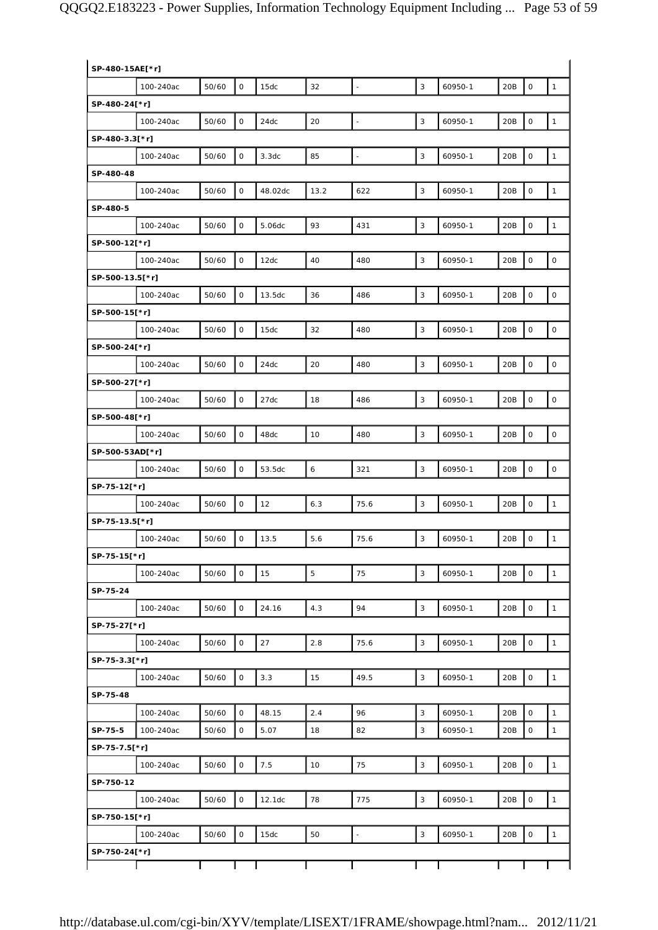| SP-480-15AE[*r] |           |       |                     |         |      |                |              |         |     |                     |              |
|-----------------|-----------|-------|---------------------|---------|------|----------------|--------------|---------|-----|---------------------|--------------|
|                 | 100-240ac | 50/60 | $\mathsf{O}\xspace$ | 15dc    | 32   | $\omega$       | 3            | 60950-1 | 20B | $\mathsf O$         | $\mathbf{1}$ |
| SP-480-24[*r]   |           |       |                     |         |      |                |              |         |     |                     |              |
|                 | 100-240ac | 50/60 | $\mathsf{O}\xspace$ | 24dc    | 20   | $\overline{a}$ | 3            | 60950-1 | 20B | $\mathsf{O}\xspace$ | $\mathbf{1}$ |
| SP-480-3.3[*r]  |           |       |                     |         |      |                |              |         |     |                     |              |
|                 | 100-240ac | 50/60 | $\mathbf 0$         | 3.3dc   | 85   | $\Box$         | 3            | 60950-1 | 20B | $\mathsf O$         | $\mathbf{1}$ |
| SP-480-48       |           |       |                     |         |      |                |              |         |     |                     |              |
|                 | 100-240ac | 50/60 | $\mathsf O$         | 48.02dc | 13.2 | 622            | $\mathbf{3}$ | 60950-1 | 20B | $\mathsf O$         | $\mathbf{1}$ |
| SP-480-5        |           |       |                     |         |      |                |              |         |     |                     |              |
|                 | 100-240ac | 50/60 | $\mathsf{O}\xspace$ | 5.06dc  | 93   | 431            | 3            | 60950-1 | 20B | $\mathsf O$         | $\mathbf{1}$ |
| SP-500-12[*r]   |           |       |                     |         |      |                |              |         |     |                     |              |
|                 | 100-240ac | 50/60 | $\mathsf O$         | 12dc    | 40   | 480            | 3            | 60950-1 | 20B | $\mathsf{O}\xspace$ | $\mathsf O$  |
| SP-500-13.5[*r] |           |       |                     |         |      |                |              |         |     |                     |              |
|                 | 100-240ac | 50/60 | $\mathsf O$         | 13.5dc  | 36   | 486            | 3            | 60950-1 | 20B | $\mathsf O$         | $\mathsf O$  |
| SP-500-15[*r]   |           |       |                     |         |      |                |              |         |     |                     |              |
|                 | 100-240ac | 50/60 | $\mathbf 0$         | 15dc    | 32   | 480            | $\mathbf{3}$ | 60950-1 | 20B | $\mathbf 0$         | $\mathsf O$  |
| SP-500-24[*r]   |           |       |                     |         |      |                |              |         |     |                     |              |
|                 | 100-240ac | 50/60 | $\mathsf O$         | 24dc    | 20   | 480            | 3            | 60950-1 | 20B | $\mathsf O$         | $\mathsf O$  |
| SP-500-27[*r]   |           |       |                     |         |      |                |              |         |     |                     |              |
|                 | 100-240ac | 50/60 | $\mathsf{O}\xspace$ | 27dc    | 18   | 486            | 3            | 60950-1 | 20B | $\mathsf{O}\xspace$ | $\mathsf O$  |
| SP-500-48[*r]   |           |       |                     |         |      |                |              |         |     |                     |              |
|                 | 100-240ac | 50/60 | $\mathbf 0$         | 48dc    | 10   | 480            | $\mathbf{3}$ | 60950-1 | 20B | $\mathsf O$         | $\mathsf O$  |
| SP-500-53AD[*r] |           |       |                     |         |      |                |              |         |     |                     |              |
|                 | 100-240ac | 50/60 | $\mathsf O$         | 53.5dc  | 6    | 321            | 3            | 60950-1 | 20B | $\mathbf 0$         | $\mathsf O$  |
| SP-75-12[*r]    |           |       |                     |         |      |                |              |         |     |                     |              |
|                 | 100-240ac | 50/60 | $\mathsf{O}\xspace$ | 12      | 6.3  | 75.6           | $\sqrt{3}$   | 60950-1 | 20B | $\mathsf{O}\xspace$ | $\mathbf{1}$ |
| SP-75-13.5[*r]  |           |       |                     |         |      |                |              |         |     |                     |              |
|                 | 100-240ac | 50/60 | $\mathsf O$         | 13.5    | 5.6  | 75.6           | 3            | 60950-1 | 20B | $\mathbf 0$         | $\mathbf{1}$ |
| SP-75-15[*r]    |           |       |                     |         |      |                |              |         |     |                     |              |
|                 | 100-240ac | 50/60 | $\mathsf{O}$        | 15      | 5    | 75             | 3            | 60950-1 | 20B | $\mathbf 0$         | $\mathbf{1}$ |
| SP-75-24        |           |       |                     |         |      |                |              |         |     |                     |              |
|                 |           | 50/60 | $\mathsf O$         | 24.16   | 4.3  | 94             | 3            | 60950-1 | 20B | $\mathbf 0$         | $\mathbf{1}$ |
| SP-75-27[*r]    | 100-240ac |       |                     |         |      |                |              |         |     |                     |              |
|                 |           |       |                     |         |      |                |              |         |     |                     |              |
|                 | 100-240ac | 50/60 | $\mathsf{O}\xspace$ | 27      | 2.8  | 75.6           | $\mathbf{3}$ | 60950-1 | 20B | $\mathsf O$         | $\mathbf{1}$ |
| SP-75-3.3[*r]   |           |       |                     |         |      |                |              |         |     |                     |              |
|                 | 100-240ac | 50/60 | $\mathsf O$         | 3.3     | 15   | 49.5           | 3            | 60950-1 | 20B | $\mathsf{O}\xspace$ | $\mathbf{1}$ |
| SP-75-48        |           |       |                     |         |      |                |              |         |     |                     |              |
|                 | 100-240ac | 50/60 | $\mathsf O$         | 48.15   | 2.4  | 96             | 3            | 60950-1 | 20B | $\mathbf 0$         | $\mathbf{1}$ |
| SP-75-5         | 100-240ac | 50/60 | 0                   | 5.07    | 18   | 82             | 3            | 60950-1 | 20B | $\mathsf{O}\xspace$ | $\mathbf{1}$ |
| SP-75-7.5[*r]   |           |       |                     |         |      |                |              |         |     |                     |              |
|                 | 100-240ac | 50/60 | $\mathsf O$         | 7.5     | 10   | 75             | 3            | 60950-1 | 20B | $\mathsf O$         | $\mathbf{1}$ |
| SP-750-12       |           |       |                     |         |      |                |              |         |     |                     |              |
|                 | 100-240ac | 50/60 | 0                   | 12.1dc  | 78   | 775            | $\mathbf{3}$ | 60950-1 | 20B | $\mathsf O$         | $\mathbf{1}$ |
| SP-750-15[*r]   |           |       |                     |         |      |                |              |         |     |                     |              |
|                 | 100-240ac | 50/60 | $\mathsf{O}$        | 15dc    | 50   | $\blacksquare$ | $\mathbf{3}$ | 60950-1 | 20B | $\mathsf O$         | $\mathbf{1}$ |
| SP-750-24[*r]   |           |       |                     |         |      |                |              |         |     |                     |              |
|                 |           |       |                     |         |      |                |              |         |     |                     |              |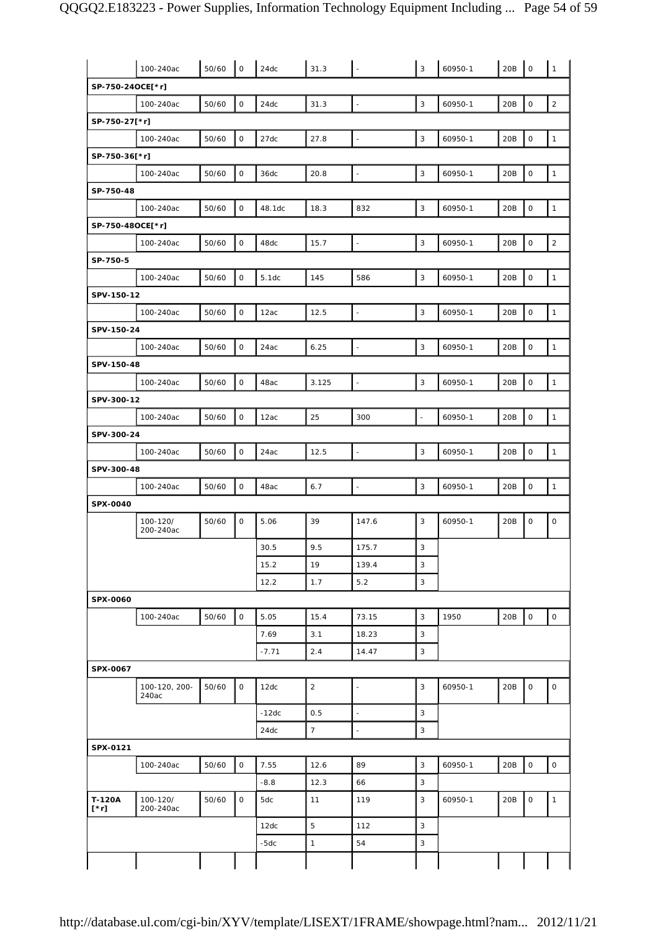|                       | 100-240ac              | 50/60 | $\overline{\phantom{a}}$ | 24dc    | 31.3           |                          | $\mathbf{3}$             | 60950-1 | 20B | $\mathsf{O}$        | $\mathbf{1}$   |
|-----------------------|------------------------|-------|--------------------------|---------|----------------|--------------------------|--------------------------|---------|-----|---------------------|----------------|
| SP-750-24OCE[*r]      |                        |       |                          |         |                |                          |                          |         |     |                     |                |
|                       | 100-240ac              | 50/60 | $\mathsf O$              | 24dc    | 31.3           | $\overline{\phantom{a}}$ | 3                        | 60950-1 | 20B | $\mathsf O$         | $\overline{2}$ |
| SP-750-27[*r]         |                        |       |                          |         |                |                          |                          |         |     |                     |                |
|                       | 100-240ac              | 50/60 | $\mathsf O$              | 27dc    | 27.8           | $\bar{\phantom{a}}$      | 3                        | 60950-1 | 20B | $\mathsf O$         | $\mathbf{1}$   |
| SP-750-36[*r]         |                        |       |                          |         |                |                          |                          |         |     |                     |                |
|                       | 100-240ac              | 50/60 | $\mathsf O$              | 36dc    | 20.8           | $\bar{\phantom{a}}$      | $\sqrt{3}$               | 60950-1 | 20B | $\mathsf{O}\xspace$ | $\mathbf{1}$   |
| SP-750-48             |                        |       |                          |         |                |                          |                          |         |     |                     |                |
|                       | 100-240ac              | 50/60 | $\mathsf O$              | 48.1dc  | 18.3           | 832                      | 3                        | 60950-1 | 20B | $\mathsf O$         | $\mathbf{1}$   |
| SP-750-48OCE[*r]      |                        |       |                          |         |                |                          |                          |         |     |                     |                |
|                       | 100-240ac              | 50/60 | $\mathsf O$              | 48dc    | 15.7           | $\blacksquare$           | 3                        | 60950-1 | 20B | $\mathsf O$         | $\overline{2}$ |
| SP-750-5              |                        |       |                          |         |                |                          |                          |         |     |                     |                |
|                       | 100-240ac              | 50/60 | 0                        | 5.1dc   | 145            | 586                      | 3                        | 60950-1 | 20B | $\mathsf O$         | $\mathbf{1}$   |
| SPV-150-12            |                        |       |                          |         |                |                          |                          |         |     |                     |                |
|                       | 100-240ac              | 50/60 | $\mathsf O$              | 12ac    | 12.5           | $\bar{\phantom{a}}$      | $\mathsf 3$              | 60950-1 | 20B | $\mathsf{O}$        | $\mathbf{1}$   |
| SPV-150-24            |                        |       |                          |         |                |                          |                          |         |     |                     |                |
|                       | 100-240ac              | 50/60 | $\mathsf O$              | 24ac    | 6.25           | $\overline{a}$           | 3                        | 60950-1 | 20B | $\mathsf{O}\xspace$ | $\mathbf{1}$   |
| SPV-150-48            |                        |       |                          |         |                |                          |                          |         |     |                     |                |
|                       | 100-240ac              | 50/60 | $\mathsf O$              | 48ac    | 3.125          | ÷.                       | 3                        | 60950-1 | 20B | $\mathsf O$         | $\mathbf{1}$   |
| SPV-300-12            |                        |       |                          |         |                |                          |                          |         |     |                     |                |
|                       | 100-240ac              | 50/60 | $\mathsf{O}$             | 12ac    | 25             | 300                      | $\overline{\phantom{a}}$ | 60950-1 | 20B | $\mathsf{O}\xspace$ | $\mathbf{1}$   |
| SPV-300-24            |                        |       |                          |         |                |                          |                          |         |     |                     |                |
|                       | 100-240ac              | 50/60 | $\mathsf O$              | 24ac    | 12.5           | $\Box$                   | $\mathsf 3$              | 60950-1 | 20B | $\mathsf{O}\xspace$ | $\mathbf{1}$   |
| SPV-300-48            |                        |       |                          |         |                |                          |                          |         |     |                     |                |
|                       | 100-240ac              | 50/60 | $\mathsf O$              | 48ac    | 6.7            | $\overline{a}$           | 3                        | 60950-1 | 20B | $\mathsf O$         | $\mathbf{1}$   |
| <b>SPX-0040</b>       |                        |       |                          |         |                |                          |                          |         |     |                     |                |
|                       | 100-120/<br>200-240ac  | 50/60 | $\mathsf O$              | 5.06    | 39             | 147.6                    | 3                        | 60950-1 | 20B | $\mathsf O$         | 0              |
|                       |                        |       |                          | 30.5    | 9.5            | 175.7                    | $\sqrt{3}$               |         |     |                     |                |
|                       |                        |       |                          | 15.2    | 19             | 139.4                    | 3                        |         |     |                     |                |
|                       |                        |       |                          | 12.2    | 1.7            | 5.2                      | $\mathbf{3}$             |         |     |                     |                |
| SPX-0060              |                        |       |                          |         |                |                          |                          |         |     |                     |                |
|                       | 100-240ac              | 50/60 | $\mathsf{O}$             | 5.05    | 15.4           | 73.15                    | $\sqrt{3}$               | 1950    | 20B | $\mathsf O$         | $\mathsf{O}$   |
|                       |                        |       |                          | 7.69    | 3.1            | 18.23                    | 3                        |         |     |                     |                |
|                       |                        |       |                          | $-7.71$ | 2.4            | 14.47                    | 3                        |         |     |                     |                |
| SPX-0067              |                        |       |                          |         |                |                          |                          |         |     |                     |                |
|                       | 100-120, 200-<br>240ac | 50/60 | $\mathsf{O}$             | 12dc    | $\overline{2}$ |                          | 3                        | 60950-1 | 20B | $\mathbf 0$         | $\mathsf{O}$   |
|                       |                        |       |                          | $-12dc$ | 0.5            | $\sim$                   | $\mathbf{3}$             |         |     |                     |                |
|                       |                        |       |                          | 24dc    | 7 <sup>7</sup> | $\overline{\phantom{a}}$ | $\mathbf{3}$             |         |     |                     |                |
| SPX-0121              |                        |       |                          |         |                |                          |                          |         |     |                     |                |
|                       | 100-240ac              | 50/60 | $\mathsf{O}\xspace$      | 7.55    | 12.6           | 89                       | 3                        | 60950-1 | 20B | $\mathsf{O}\xspace$ | $\mathsf{O}$   |
|                       |                        |       |                          | $-8.8$  | 12.3           | 66                       | $\sqrt{3}$               |         |     |                     |                |
| T-120A<br>$[\cdot r]$ | 100-120/<br>200-240ac  | 50/60 | $\mathsf{O}$             | 5dc     | 11             | 119                      | 3                        | 60950-1 | 20B | $\mathsf{O}$        | $\mathbf{1}$   |
|                       |                        |       |                          | 12dc    | 5              | 112                      | 3                        |         |     |                     |                |
|                       |                        |       |                          | $-5dc$  | $\mathbf{1}$   | 54                       | 3                        |         |     |                     |                |
|                       |                        |       |                          |         |                |                          |                          |         |     |                     |                |
|                       |                        |       |                          |         |                |                          |                          |         |     |                     |                |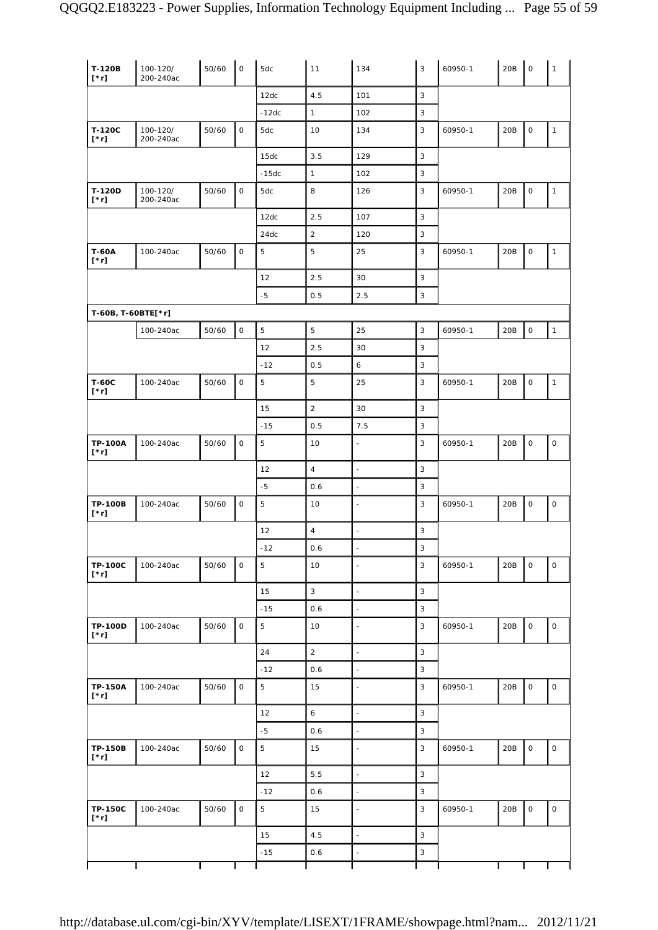| T-120B<br>$[\cdot r]$         | 100-120/<br>200-240ac | 50/60 | $\circ$             | 5dc         | 11               | 134                      | 3            | 60950-1 | 20B | $\mathsf{O}\xspace$ | $\mathbf{1}$        |
|-------------------------------|-----------------------|-------|---------------------|-------------|------------------|--------------------------|--------------|---------|-----|---------------------|---------------------|
|                               |                       |       |                     | 12dc        | 4.5              | 101                      | 3            |         |     |                     |                     |
|                               |                       |       |                     | $-12dc$     | $\mathbf{1}$     | 102                      | 3            |         |     |                     |                     |
| T-120C<br>$[\cdot r]$         | 100-120/<br>200-240ac | 50/60 | $\mathsf O$         | 5dc         | 10               | 134                      | 3            | 60950-1 | 20B | $\mathsf{O}\xspace$ | $\mathbf{1}$        |
|                               |                       |       |                     | 15dc        | 3.5              | 129                      | 3            |         |     |                     |                     |
|                               |                       |       |                     | $-15dc$     | $\mathbf{1}$     | 102                      | 3            |         |     |                     |                     |
| T-120D<br>$[\cdot r]$         | 100-120/<br>200-240ac | 50/60 | $\mathsf{O}\xspace$ | 5dc         | 8                | 126                      | 3            | 60950-1 | 20B | $\mathsf O$         | $\mathbf{1}$        |
|                               |                       |       |                     | 12dc        | 2.5              | 107                      | 3            |         |     |                     |                     |
|                               |                       |       |                     | 24dc        | $\overline{2}$   | 120                      | 3            |         |     |                     |                     |
| <b>T-60A</b><br>$[\cdot r]$   | 100-240ac             | 50/60 | $\mathsf{O}$        | 5           | 5                | 25                       | 3            | 60950-1 | 20B | $\mathsf O$         | $\mathbf{1}$        |
|                               |                       |       |                     | 12          | 2.5              | 30                       | 3            |         |     |                     |                     |
|                               |                       |       |                     | $-5$        | 0.5              | 2.5                      | $\mathbf{3}$ |         |     |                     |                     |
| T-60B, T-60BTE[*r]            |                       |       |                     |             |                  |                          |              |         |     |                     |                     |
|                               | 100-240ac             | 50/60 | $\mathsf{O}\xspace$ | $\mathbf 5$ | $\mathbf 5$      | 25                       | 3            | 60950-1 | 20B | $\mathsf O$         | $\mathbf{1}$        |
|                               |                       |       |                     | 12          | 2.5              | 30                       | 3            |         |     |                     |                     |
|                               |                       |       |                     | $-12$       | 0.5              | 6                        | $\mathbf{3}$ |         |     |                     |                     |
| <b>T-60C</b><br>$[\cdot r]$   | 100-240ac             | 50/60 | 0                   | $\mathbf 5$ | $\overline{5}$   | 25                       | 3            | 60950-1 | 20B | 0                   | $\mathbf{1}$        |
|                               |                       |       |                     | 15          | $\overline{2}$   | 30                       | 3            |         |     |                     |                     |
|                               |                       |       |                     | $-15$       | 0.5              | 7.5                      | 3            |         |     |                     |                     |
| <b>TP-100A</b><br>$[\cdot r]$ | 100-240ac             | 50/60 | $\mathsf{O}$        | $\mathbf 5$ | 10               | $\blacksquare$           | 3            | 60950-1 | 20B | 0                   | $\mathsf O$         |
|                               |                       |       |                     | 12          | $\overline{4}$   | $\bar{\phantom{a}}$      | $\mathbf{3}$ |         |     |                     |                     |
|                               |                       |       |                     | $-5$        | 0.6              | $\Box$                   | 3            |         |     |                     |                     |
| <b>TP-100B</b><br>$[\cdot r]$ | 100-240ac             | 50/60 | $\mathsf{O}\xspace$ | 5           | 10               | $\bar{\phantom{a}}$      | 3            | 60950-1 | 20B | $\mathsf O$         | $\mathsf{O}\xspace$ |
|                               |                       |       |                     | 12          | $\overline{4}$   | $\bar{\phantom{a}}$      | $\mathbf{3}$ |         |     |                     |                     |
|                               |                       |       |                     | $-12$       | 0.6              | ÷,                       | 3            |         |     |                     |                     |
| <b>TP-100C</b><br>$[\cdot r]$ | 100-240ac             | 50/60 | $\mathsf{O}$        | $\sqrt{5}$  | 10               | ÷,                       | 3            | 60950-1 | 20B | $\mathsf O$         | 0                   |
|                               |                       |       |                     | 15          | $\overline{3}$   | $\frac{1}{2}$            | 3            |         |     |                     |                     |
|                               |                       |       |                     | $-15$       | 0.6              | $\Box$                   | $\mathbf{3}$ |         |     |                     |                     |
| <b>TP-100D</b><br>$[\cdot r]$ | 100-240ac             | 50/60 | $\mathsf{O}\xspace$ | 5           | 10               | $\blacksquare$           | 3            | 60950-1 | 20B | $\mathsf{O}$        | $\mathsf{O}\xspace$ |
|                               |                       |       |                     | 24          | $\mathbf 2$      | $\Box$                   | 3            |         |     |                     |                     |
|                               |                       |       |                     | $-12$       | 0.6              | $\blacksquare$           | $\sqrt{3}$   |         |     |                     |                     |
| <b>TP-150A</b><br>$[\cdot r]$ | 100-240ac             | 50/60 | $\mathsf{O}$        | $\sqrt{5}$  | 15               | $\blacksquare$           | 3            | 60950-1 | 20B | 0                   | $\mathsf O$         |
|                               |                       |       |                     | 12          | $\boldsymbol{6}$ | $\overline{\phantom{a}}$ | 3            |         |     |                     |                     |
|                               |                       |       |                     | $-5$        | 0.6              | $\overline{\phantom{a}}$ | 3            |         |     |                     |                     |
| <b>TP-150B</b><br>$[\cdot r]$ | 100-240ac             | 50/60 | $\mathsf{O}$        | $\mathbf 5$ | 15               | $\Box$                   | 3            | 60950-1 | 20B | $\mathsf O$         | 0                   |
|                               |                       |       |                     | 12          | 5.5              | $\blacksquare$           | 3            |         |     |                     |                     |
|                               |                       |       |                     | $-12$       | 0.6              | $\frac{1}{2}$            | 3            |         |     |                     |                     |
| <b>TP-150C</b><br>$[\cdot r]$ | 100-240ac             | 50/60 | $\mathsf O$         | 5           | 15               | $\blacksquare$           | $\mathbf{3}$ | 60950-1 | 20B | $\mathsf{O}\xspace$ | $\mathsf{O}$        |
|                               |                       |       |                     | 15          | 4.5              | $\bar{\phantom{a}}$      | 3            |         |     |                     |                     |
|                               |                       |       |                     | $-15$       | 0.6              | $\blacksquare$           | 3            |         |     |                     |                     |
|                               |                       |       |                     |             |                  |                          |              |         |     |                     |                     |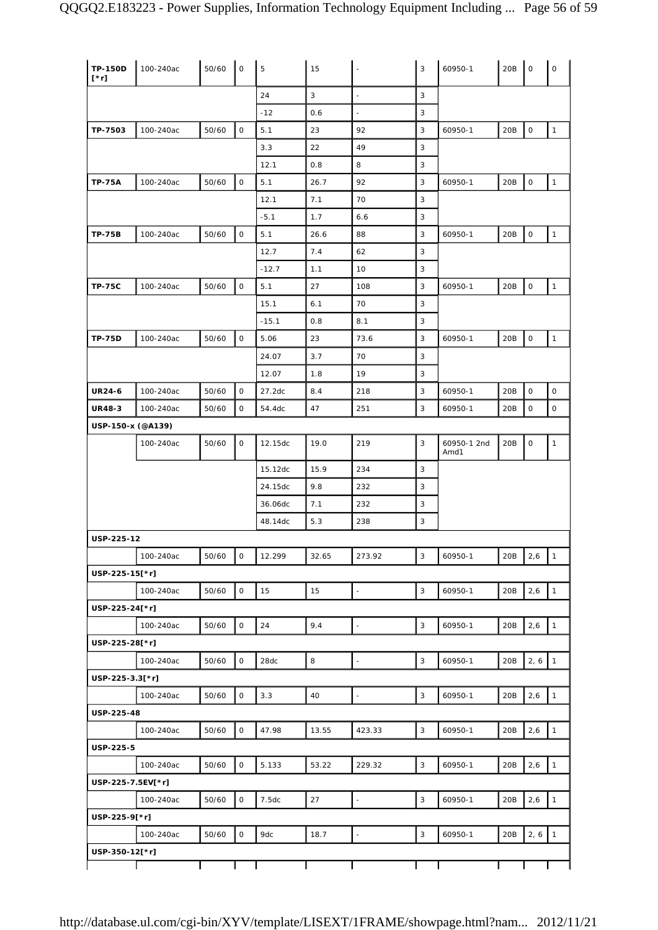| <b>TP-150D</b><br>$[^*r]$ | 100-240ac | 50/60 | $\mathsf O$         | 5       | 15           |                          | 3            | 60950-1             | 20B | $\circ$             | $\mathsf O$  |
|---------------------------|-----------|-------|---------------------|---------|--------------|--------------------------|--------------|---------------------|-----|---------------------|--------------|
|                           |           |       |                     | 24      | $\mathbf{3}$ | $\sim$                   | 3            |                     |     |                     |              |
|                           |           |       |                     | $-12$   | 0.6          | $\blacksquare$           | 3            |                     |     |                     |              |
| TP-7503                   | 100-240ac | 50/60 | $\mathsf O$         | 5.1     | 23           | 92                       | 3            | 60950-1             | 20B | $\mathsf{O}\xspace$ | $\mathbf 1$  |
|                           |           |       |                     | 3.3     | 22           | 49                       | 3            |                     |     |                     |              |
|                           |           |       |                     | 12.1    | 0.8          | 8                        | 3            |                     |     |                     |              |
| <b>TP-75A</b>             | 100-240ac | 50/60 | $\mathsf O$         | 5.1     | 26.7         | 92                       | 3            | 60950-1             | 20B | 0                   | $\mathbf{1}$ |
|                           |           |       |                     | 12.1    | 7.1          | 70                       | 3            |                     |     |                     |              |
|                           |           |       |                     | $-5.1$  | 1.7          | 6.6                      | 3            |                     |     |                     |              |
| <b>TP-75B</b>             | 100-240ac | 50/60 | $\mathsf O$         | 5.1     | 26.6         | 88                       | 3            | 60950-1             | 20B | $\mathsf{O}\xspace$ | $\mathbf{1}$ |
|                           |           |       |                     | 12.7    | 7.4          | 62                       | 3            |                     |     |                     |              |
|                           |           |       |                     | $-12.7$ | 1.1          | 10                       | 3            |                     |     |                     |              |
| <b>TP-75C</b>             | 100-240ac | 50/60 | $\mathsf{O}\xspace$ | 5.1     | 27           | 108                      | 3            | 60950-1             | 20B | $\mathsf{O}\xspace$ | $\mathbf{1}$ |
|                           |           |       |                     | 15.1    | 6.1          | 70                       | 3            |                     |     |                     |              |
|                           |           |       |                     | $-15.1$ | 0.8          | 8.1                      | 3            |                     |     |                     |              |
| <b>TP-75D</b>             | 100-240ac | 50/60 | $\mathsf O$         | 5.06    | 23           | 73.6                     | 3            | 60950-1             | 20B | $\mathsf O$         | $\mathbf{1}$ |
|                           |           |       |                     | 24.07   | 3.7          | 70                       | 3            |                     |     |                     |              |
|                           |           |       |                     | 12.07   | 1.8          | 19                       | 3            |                     |     |                     |              |
| <b>UR24-6</b>             | 100-240ac | 50/60 | $\mathsf O$         | 27.2dc  | 8.4          | 218                      | 3            | 60950-1             | 20B | 0                   | $\mathsf O$  |
| <b>UR48-3</b>             | 100-240ac | 50/60 | 0                   | 54.4dc  | 47           | 251                      | 3            | 60950-1             | 20B | 0                   | $\mathsf O$  |
| USP-150-x (@A139)         |           |       |                     |         |              |                          |              |                     |     |                     |              |
|                           | 100-240ac | 50/60 | $\mathsf{O}$        | 12.15dc | 19.0         | 219                      | 3            | 60950-1 2nd<br>Amd1 | 20B | 0                   | $\mathbf{1}$ |
|                           |           |       |                     | 15.12dc | 15.9         | 234                      | 3            |                     |     |                     |              |
|                           |           |       |                     | 24.15dc | 9.8          | 232                      | 3            |                     |     |                     |              |
|                           |           |       |                     | 36.06dc | 7.1          | 232                      | 3            |                     |     |                     |              |
|                           |           |       |                     | 48.14dc | 5.3          | 238                      | 3            |                     |     |                     |              |
| USP-225-12                |           |       |                     |         |              |                          |              |                     |     |                     |              |
|                           | 100-240ac | 50/60 | 0                   | 12.299  | 32.65        | 273.92                   | 3            | 60950-1             | 20B | 2,6                 | $\vert$ 1    |
| USP-225-15[*r]            |           |       |                     |         |              |                          |              |                     |     |                     |              |
|                           | 100-240ac | 50/60 | $\mathsf{O}\xspace$ | 15      | 15           | $\overline{\phantom{a}}$ | $\sqrt{3}$   | 60950-1             | 20B | 2,6                 | $\mathbf{1}$ |
| USP-225-24[*r]            |           |       |                     |         |              |                          |              |                     |     |                     |              |
|                           | 100-240ac | 50/60 | $\mathsf O$         | 24      | 9.4          | $\bar{\phantom{a}}$      | 3            | 60950-1             | 20B | 2,6                 | $\mathbf{1}$ |
| USP-225-28[*r]            |           |       |                     |         |              |                          |              |                     |     |                     |              |
|                           | 100-240ac | 50/60 | $\mathsf O$         | 28dc    | 8            | $\overline{\phantom{a}}$ | $\mathbf{3}$ | 60950-1             | 20B | 2, 6                | $\mathbf{1}$ |
| USP-225-3.3[*r]           |           |       |                     |         |              |                          |              |                     |     |                     |              |
|                           | 100-240ac | 50/60 | $\mathsf O$         | 3.3     | 40           | $\blacksquare$           | 3            | 60950-1             | 20B | 2,6                 | $\mathbf{1}$ |
| USP-225-48                |           |       |                     |         |              |                          |              |                     |     |                     |              |
|                           | 100-240ac | 50/60 | $\mathsf O$         | 47.98   | 13.55        | 423.33                   | $\sqrt{3}$   | 60950-1             | 20B | 2,6                 | $\mathbf{1}$ |
| USP-225-5                 |           |       |                     |         |              |                          |              |                     |     |                     |              |
|                           | 100-240ac | 50/60 | $\mathsf O$         | 5.133   | 53.22        | 229.32                   | 3            | 60950-1             | 20B | 2,6                 | $\mathbf{1}$ |
| USP-225-7.5EV[*r]         |           |       |                     |         |              |                          |              |                     |     |                     |              |
|                           | 100-240ac | 50/60 | 0                   | 7.5dc   | 27           |                          | $\mathbf{3}$ | 60950-1             | 20B | 2,6                 | $\mathbf 1$  |
| USP-225-9[*r]             |           |       |                     |         |              |                          |              |                     |     |                     |              |
|                           | 100-240ac | 50/60 | $\mathsf O$         | 9dc     | 18.7         | $\overline{\phantom{a}}$ | 3            | 60950-1             | 20B | 2, 6                | $\vert$ 1    |
| USP-350-12[*r]            |           |       |                     |         |              |                          |              |                     |     |                     |              |
|                           |           |       |                     |         |              |                          |              |                     |     |                     |              |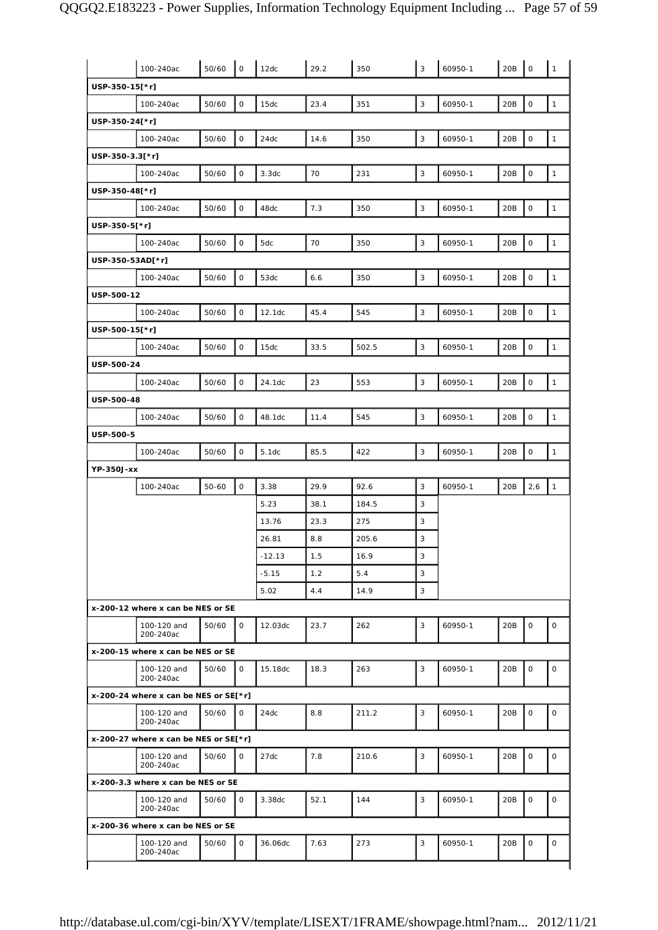|                                       | 100-240ac                             | 50/60 | $\mathsf O$  | 12dc     | 29.2 | 350   | 3            | 60950-1 | 20B | $\mathsf O$ | $\mathbf{1}$ |
|---------------------------------------|---------------------------------------|-------|--------------|----------|------|-------|--------------|---------|-----|-------------|--------------|
| USP-350-15[*r]                        |                                       |       |              |          |      |       |              |         |     |             |              |
|                                       | 100-240ac                             | 50/60 | $\mathsf O$  | 15dc     | 23.4 | 351   | 3            | 60950-1 | 20B | $\mathsf O$ | $\mathbf{1}$ |
| USP-350-24[*r]                        |                                       |       |              |          |      |       |              |         |     |             |              |
|                                       | 100-240ac                             | 50/60 | $\mathsf O$  | 24dc     | 14.6 | 350   | 3            | 60950-1 | 20B | $\mathsf O$ | $\mathbf{1}$ |
| USP-350-3.3[*r]                       |                                       |       |              |          |      |       |              |         |     |             |              |
|                                       | 100-240ac                             | 50/60 | $\mathsf O$  | 3.3dc    | 70   | 231   | $\mathbf{3}$ | 60950-1 | 20B | $\mathsf O$ | $\mathbf{1}$ |
| USP-350-48[*r]                        |                                       |       |              |          |      |       |              |         |     |             |              |
|                                       | 100-240ac                             | 50/60 | $\mathsf O$  | 48dc     | 7.3  | 350   | 3            | 60950-1 | 20B | $\mathsf O$ | $\mathbf{1}$ |
| USP-350-5[*r]                         |                                       |       |              |          |      |       |              |         |     |             |              |
|                                       | 100-240ac                             | 50/60 | $\mathsf O$  | 5dc      | 70   | 350   | 3            | 60950-1 | 20B | $\mathsf O$ | $\mathbf{1}$ |
| USP-350-53AD[*r]                      |                                       |       |              |          |      |       |              |         |     |             |              |
|                                       | 100-240ac                             | 50/60 | $\mathsf O$  | 53dc     | 6.6  | 350   | 3            | 60950-1 | 20B | $\mathsf O$ | $\mathbf{1}$ |
| USP-500-12                            |                                       |       |              |          |      |       |              |         |     |             |              |
|                                       | 100-240ac                             | 50/60 | $\mathsf{O}$ | 12.1dc   | 45.4 | 545   | $\mathbf{3}$ | 60950-1 | 20B | $\mathsf O$ | $\mathbf{1}$ |
| USP-500-15[*r]                        |                                       |       |              |          |      |       |              |         |     |             |              |
|                                       | 100-240ac                             | 50/60 | $\mathsf O$  | 15dc     | 33.5 | 502.5 | 3            | 60950-1 | 20B | $\mathsf O$ | $\mathbf{1}$ |
| USP-500-24                            |                                       |       |              |          |      |       |              |         |     |             |              |
|                                       | 100-240ac                             | 50/60 | $\mathsf O$  | 24.1dc   | 23   | 553   | 3            | 60950-1 | 20B | $\mathsf O$ | $\mathbf{1}$ |
| USP-500-48                            |                                       |       |              |          |      |       |              |         |     |             |              |
|                                       | 100-240ac                             | 50/60 | $\mathsf O$  | 48.1dc   | 11.4 | 545   | 3            | 60950-1 | 20B | $\mathsf O$ | $\mathbf{1}$ |
| <b>USP-500-5</b>                      |                                       |       |              |          |      |       |              |         |     |             |              |
|                                       | 100-240ac                             | 50/60 | $\mathsf O$  | 5.1dc    | 85.5 | 422   | $\mathbf{3}$ | 60950-1 | 20B | $\mathsf O$ | $\mathbf{1}$ |
| YP-350J-xx                            |                                       |       |              |          |      |       |              |         |     |             |              |
|                                       | 100-240ac                             | 50-60 | $\mathsf O$  | 3.38     | 29.9 | 92.6  | 3            | 60950-1 | 20B | 2,6         | $\mathbf{1}$ |
|                                       |                                       |       |              | 5.23     | 38.1 | 184.5 | 3            |         |     |             |              |
|                                       |                                       |       |              | 13.76    | 23.3 | 275   | 3            |         |     |             |              |
|                                       |                                       |       |              | 26.81    | 8.8  | 205.6 | 3            |         |     |             |              |
|                                       |                                       |       |              | $-12.13$ | 1.5  | 16.9  | 3            |         |     |             |              |
|                                       |                                       |       |              | $-5.15$  | 1.2  | 5.4   | 3            |         |     |             |              |
|                                       |                                       |       |              | 5.02     | 4.4  | 14.9  | 3            |         |     |             |              |
| x-200-12 where x can be NES or SE     |                                       |       |              |          |      |       |              |         |     |             |              |
|                                       | 100-120 and<br>200-240ac              | 50/60 | $\mathsf{O}$ | 12.03dc  | 23.7 | 262   | 3            | 60950-1 | 20B | $\mathsf O$ | 0            |
| x-200-15 where x can be NES or SE     |                                       |       |              |          |      |       |              |         |     |             |              |
|                                       | 100-120 and<br>200-240ac              | 50/60 | $\mathsf{O}$ | 15.18dc  | 18.3 | 263   | 3            | 60950-1 | 20B | $\mathbf 0$ | $\mathsf{O}$ |
| x-200-24 where x can be NES or SE[*r] |                                       |       |              |          |      |       |              |         |     |             |              |
|                                       | 100-120 and<br>200-240ac              | 50/60 | $\mathsf{O}$ | 24dc     | 8.8  | 211.2 | 3            | 60950-1 | 20B | $\mathbf 0$ | 0            |
|                                       | x-200-27 where x can be NES or SE[*r] |       |              |          |      |       |              |         |     |             |              |
|                                       | 100-120 and<br>200-240ac              | 50/60 | $\mathbf 0$  | 27dc     | 7.8  | 210.6 | 3            | 60950-1 | 20B | $\mathbf 0$ | $\mathsf{O}$ |
|                                       | x-200-3.3 where x can be NES or SE    |       |              |          |      |       |              |         |     |             |              |
|                                       |                                       |       |              |          | 52.1 | 144   | 3            | 60950-1 | 20B | $\mathbf 0$ | 0            |
|                                       | 100-120 and<br>200-240ac              | 50/60 | $\mathsf{O}$ | 3.38dc   |      |       |              |         |     |             |              |
| x-200-36 where x can be NES or SE     |                                       |       |              |          |      |       |              |         |     |             |              |
|                                       | 100-120 and<br>200-240ac              | 50/60 | $\mathsf{O}$ | 36.06dc  | 7.63 | 273   | 3            | 60950-1 | 20B | $\mathbf 0$ | 0            |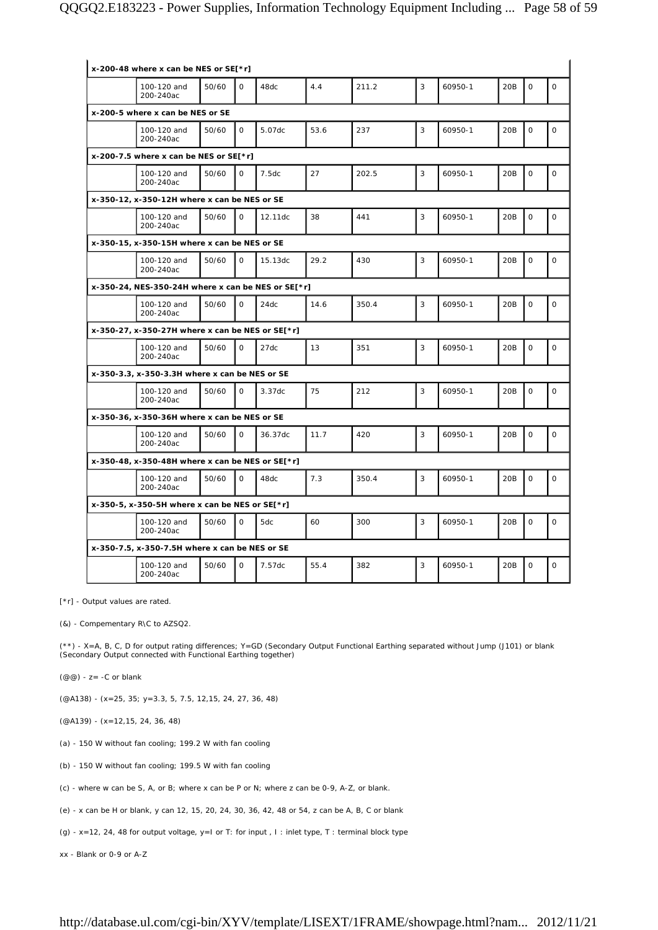| x-200-48 where x can be NES or SE[*r]                  |       |              |         |      |       |   |         |     |             |              |
|--------------------------------------------------------|-------|--------------|---------|------|-------|---|---------|-----|-------------|--------------|
| 100-120 and<br>200-240ac                               | 50/60 | $\Omega$     | 48dc    | 4.4  | 211.2 | 3 | 60950-1 | 20B | $\mathbf 0$ | $\mathsf{O}$ |
| x-200-5 where x can be NES or SE                       |       |              |         |      |       |   |         |     |             |              |
| 100-120 and<br>200-240ac                               | 50/60 | $\Omega$     | 5.07dc  | 53.6 | 237   | 3 | 60950-1 | 20B | $\mathbf 0$ | $\mathbf 0$  |
| x-200-7.5 where x can be NES or $SE[*r]$               |       |              |         |      |       |   |         |     |             |              |
| 100-120 and<br>200-240ac                               | 50/60 | $\Omega$     | 7.5dc   | 27   | 202.5 | 3 | 60950-1 | 20B | $\Omega$    | $\mathsf{O}$ |
| x-350-12, x-350-12H where x can be NES or SE           |       |              |         |      |       |   |         |     |             |              |
| 100-120 and<br>200-240ac                               | 50/60 | $\mathbf 0$  | 12.11dc | 38   | 441   | 3 | 60950-1 | 20B | $\mathbf 0$ | $\mathsf{O}$ |
| x-350-15, x-350-15H where x can be NES or SE           |       |              |         |      |       |   |         |     |             |              |
| 100-120 and<br>200-240ac                               | 50/60 | $\Omega$     | 15.13dc | 29.2 | 430   | 3 | 60950-1 | 20B | $\mathbf 0$ | $\mathsf{O}$ |
| x-350-24, NES-350-24H where x can be NES or SE[ $*$ r] |       |              |         |      |       |   |         |     |             |              |
| 100-120 and<br>200-240ac                               | 50/60 | $\mathsf{O}$ | 24dc    | 14.6 | 350.4 | 3 | 60950-1 | 20B | $\mathbf 0$ | $\mathsf{O}$ |
| x-350-27, x-350-27H where x can be NES or SE[*r]       |       |              |         |      |       |   |         |     |             |              |
| 100-120 and<br>200-240ac                               | 50/60 | $\Omega$     | 27dc    | 13   | 351   | 3 | 60950-1 | 20B | $\Omega$    | $\Omega$     |
| x-350-3.3, x-350-3.3H where x can be NES or SE         |       |              |         |      |       |   |         |     |             |              |
| 100-120 and<br>200-240ac                               | 50/60 | $\mathsf{O}$ | 3.37dc  | 75   | 212   | 3 | 60950-1 | 20B | $\mathbf 0$ | $\mathsf{O}$ |
| x-350-36, x-350-36H where x can be NES or SE           |       |              |         |      |       |   |         |     |             |              |
| 100-120 and<br>200-240ac                               | 50/60 | $\mathbf 0$  | 36.37dc | 11.7 | 420   | 3 | 60950-1 | 20B | $\mathbf 0$ | $\mathsf{O}$ |
| x-350-48, x-350-48H where x can be NES or SE[*r]       |       |              |         |      |       |   |         |     |             |              |
| 100-120 and<br>200-240ac                               | 50/60 | $\mathbf 0$  | 48dc    | 7.3  | 350.4 | 3 | 60950-1 | 20B | $\mathsf O$ | $\mathsf O$  |
| x-350-5, x-350-5H where x can be NES or $SE[*r]$       |       |              |         |      |       |   |         |     |             |              |
| 100-120 and<br>200-240ac                               | 50/60 | $\mathbf 0$  | 5dc     | 60   | 300   | 3 | 60950-1 | 20B | $\mathbf 0$ | $\mathbf 0$  |
| x-350-7.5, x-350-7.5H where x can be NES or SE         |       |              |         |      |       |   |         |     |             |              |
| 100-120 and<br>200-240ac                               | 50/60 | $\Omega$     | 7.57dc  | 55.4 | 382   | 3 | 60950-1 | 20B | $\mathbf 0$ | $\mathsf O$  |

[\*r] - Output values are rated.

(&) - Compementary R\C to AZSQ2.

(\*\*) - X=A, B, C, D for output rating differences; Y=GD (Secondary Output Functional Earthing separated without Jump (J101) or blank (Secondary Output connected with Functional Earthing together)

 $(\mathcal{QQ})$  - z= -C or blank

(@A138) - (x=25, 35; y=3.3, 5, 7.5, 12,15, 24, 27, 36, 48)

(@A139) - (x=12,15, 24, 36, 48)

(a) - 150 W without fan cooling; 199.2 W with fan cooling

(b) - 150 W without fan cooling; 199.5 W with fan cooling

- (c) where w can be S, A, or B; where x can be P or N; where z can be 0-9, A-Z, or blank.
- (e) x can be H or blank, y can 12, 15, 20, 24, 30, 36, 42, 48 or 54, z can be A, B, C or blank

(g) - x=12, 24, 48 for output voltage, y=I or T: for input , I : inlet type, T : terminal block type

xx - Blank or 0-9 or A-Z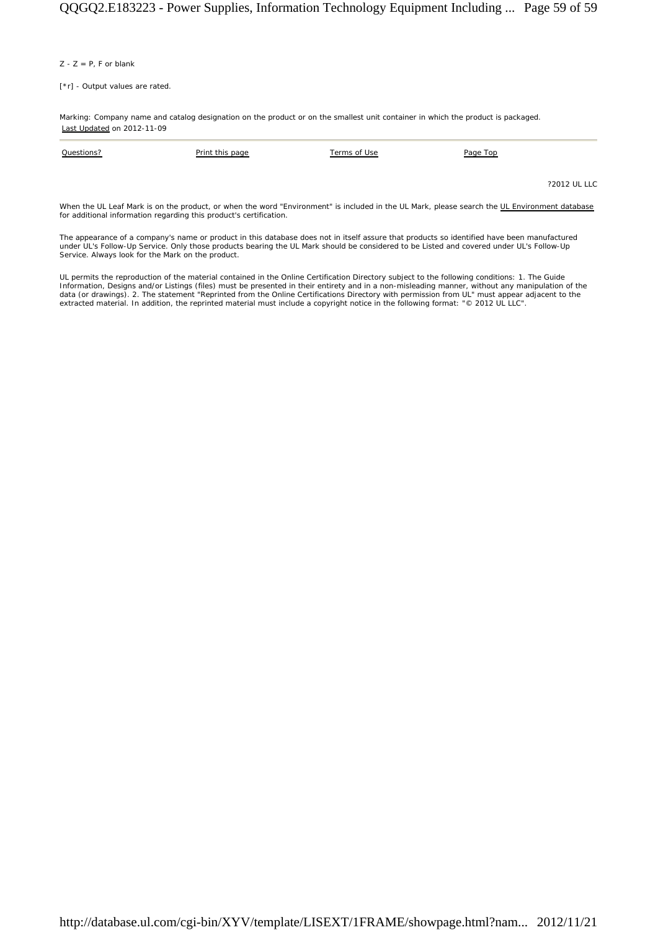$Z - Z = P$ , F or blank

[\*r] - Output values are rated.

Marking: Company name and catalog designation on the product or on the smallest unit container in which the product is packaged. Last Updated on 2012-11-09

| Questions? | Print this page | Terms of Use | Page Top |              |
|------------|-----------------|--------------|----------|--------------|
|            |                 |              |          |              |
|            |                 |              |          | ?2012 UL LLC |

When the UL Leaf Mark is on the product, or when the word "Environment" is included in the UL Mark, please search the UL Environment database for additional information regarding this product's certification.

The appearance of a company's name or product in this database does not in itself assure that products so identified have been manufactured under UL's Follow-Up Service. Only those products bearing the UL Mark should be considered to be Listed and covered under UL's Follow-Up Service. Always look for the Mark on the product.

UL permits the reproduction of the material contained in the Online Certification Directory subject to the following conditions: 1. The Guide Information, Designs and/or Listings (files) must be presented in their entirety and in a non-misleading manner, without any manipulation of the<br>data (or drawings). 2. The statement "Reprinted from the Online Certification extracted material. In addition, the reprinted material must include a copyright notice in the following format: "© 2012 UL LLC".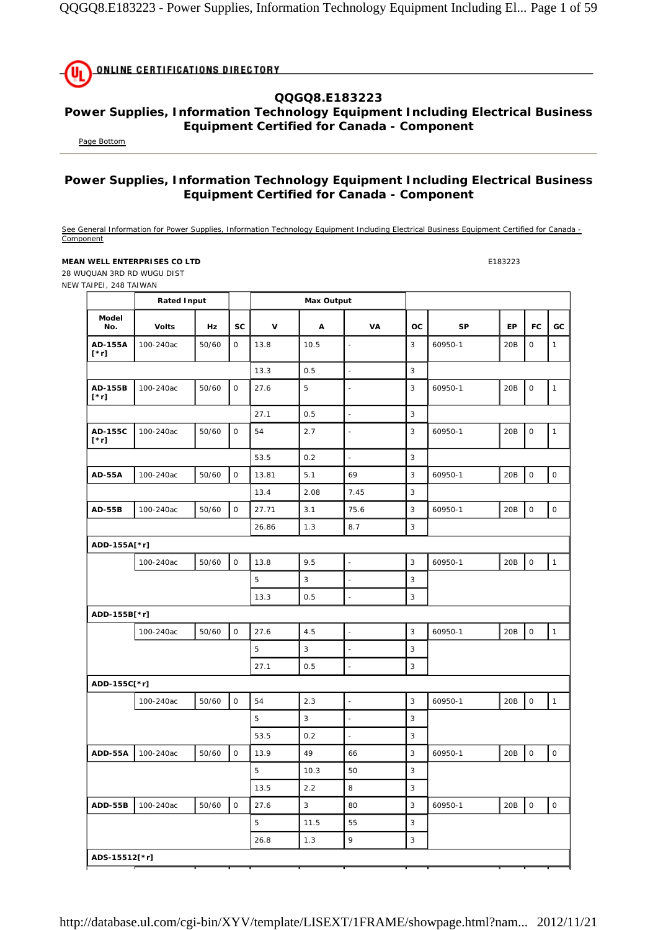

## **QQGQ8.E183223**

## **Power Supplies, Information Technology Equipment Including Electrical Business Equipment Certified for Canada - Component**

Page Bottom

## **Power Supplies, Information Technology Equipment Including Electrical Business Equipment Certified for Canada - Component**

See General Information for Power Supplies, Information Technology Equipment Including Electrical Business Equipment Certified for Canada -Component

## **MEAN WELL ENTERPRISES CO LTD E183223**

28 WUQUAN 3RD RD WUGU DIST NEW TAIPEI, 248 TAIWAN

|                                                      | <b>Rated Input</b> |       |                     |             | <b>Max Output</b> |                          |                |           |     |                     |                     |
|------------------------------------------------------|--------------------|-------|---------------------|-------------|-------------------|--------------------------|----------------|-----------|-----|---------------------|---------------------|
| Model<br>No.                                         | <b>Volts</b>       | Hz    | <b>SC</b>           | $\mathbf v$ | A                 | VA                       | <b>OC</b>      | <b>SP</b> | EP  | <b>FC</b>           | GC                  |
| AD-155A<br>$\mathbf{[}^{\star}\mathbf{r} \mathbf{]}$ | 100-240ac          | 50/60 | 0                   | 13.8        | 10.5              | $\overline{a}$           | 3              | 60950-1   | 20B | $\mathsf O$         | $\mathbf{1}$        |
|                                                      |                    |       |                     | 13.3        | 0.5               | $\overline{a}$           | 3              |           |     |                     |                     |
| AD-155B<br>$[\cdot r]$                               | 100-240ac          | 50/60 | $\mathsf{O}\xspace$ | 27.6        | 5                 |                          | $\overline{3}$ | 60950-1   | 20B | $\mathbf 0$         | $\mathbf{1}$        |
|                                                      |                    |       |                     | 27.1        | 0.5               | $\overline{a}$           | 3              |           |     |                     |                     |
| AD-155C<br>$[\cdot r]$                               | 100-240ac          | 50/60 | 0                   | 54          | 2.7               | $\overline{a}$           | 3              | 60950-1   | 20B | $\mathsf{O}\xspace$ | $\mathbf{1}$        |
|                                                      |                    |       |                     | 53.5        | 0.2               | L.                       | 3              |           |     |                     |                     |
| <b>AD-55A</b>                                        | 100-240ac          | 50/60 | $\mathsf O$         | 13.81       | 5.1               | 69                       | 3              | 60950-1   | 20B | $\mathsf O$         | $\mathsf{O}$        |
|                                                      |                    |       |                     | 13.4        | 2.08              | 7.45                     | 3              |           |     |                     |                     |
| <b>AD-55B</b>                                        | 100-240ac          | 50/60 | $\mathsf O$         | 27.71       | 3.1               | 75.6                     | 3              | 60950-1   | 20B | $\mathsf{O}\xspace$ | $\mathsf{O}\xspace$ |
|                                                      |                    |       |                     | 26.86       | 1.3               | 8.7                      | 3              |           |     |                     |                     |
| ADD-155A[*r]                                         |                    |       |                     |             |                   |                          |                |           |     |                     |                     |
|                                                      | 100-240ac          | 50/60 | $\mathsf{O}\xspace$ | 13.8        | 9.5               |                          | 3              | 60950-1   | 20B | $\mathsf{O}\xspace$ | $\mathbf{1}$        |
|                                                      |                    |       |                     | 5           | 3                 | $\overline{\phantom{a}}$ | 3              |           |     |                     |                     |
|                                                      |                    |       |                     | 13.3        | 0.5               |                          | 3              |           |     |                     |                     |
| ADD-155B[*r]                                         |                    |       |                     |             |                   |                          |                |           |     |                     |                     |
|                                                      | 100-240ac          | 50/60 | $\mathsf{O}$        | 27.6        | 4.5               |                          | 3              | 60950-1   | 20B | $\mathsf{O}$        | $\mathbf{1}$        |
|                                                      |                    |       |                     | 5           | 3                 | $\overline{a}$           | 3              |           |     |                     |                     |
|                                                      |                    |       |                     | 27.1        | 0.5               |                          | 3              |           |     |                     |                     |
| ADD-155C[*r]                                         |                    |       |                     |             |                   |                          |                |           |     |                     |                     |
|                                                      | 100-240ac          | 50/60 | $\mathsf O$         | 54          | 2.3               |                          | 3              | 60950-1   | 20B | $\mathsf O$         | $\mathbf{1}$        |
|                                                      |                    |       |                     | 5           | 3                 | $\frac{1}{2}$            | 3              |           |     |                     |                     |
|                                                      |                    |       |                     | 53.5        | 0.2               | $\overline{\phantom{a}}$ | 3              |           |     |                     |                     |
| ADD-55A                                              | 100-240ac          | 50/60 | $\mathsf O$         | 13.9        | 49                | 66                       | 3              | 60950-1   | 20B | $\mathsf O$         | $\mathsf O$         |
|                                                      |                    |       |                     | 5           | 10.3              | 50                       | 3              |           |     |                     |                     |
|                                                      |                    |       |                     | 13.5        | 2.2               | 8                        | 3              |           |     |                     |                     |
| ADD-55B                                              | 100-240ac          | 50/60 | 0                   | 27.6        | $\sqrt{3}$        | 80                       | 3              | 60950-1   | 20B | $\mathsf{O}\xspace$ | $\circ$             |
|                                                      |                    |       |                     | 5           | 11.5              | 55                       | 3              |           |     |                     |                     |
|                                                      |                    |       |                     | 26.8        | 1.3               | 9                        | 3              |           |     |                     |                     |
| ADS-15512[*r]                                        |                    |       |                     |             |                   |                          |                |           |     |                     |                     |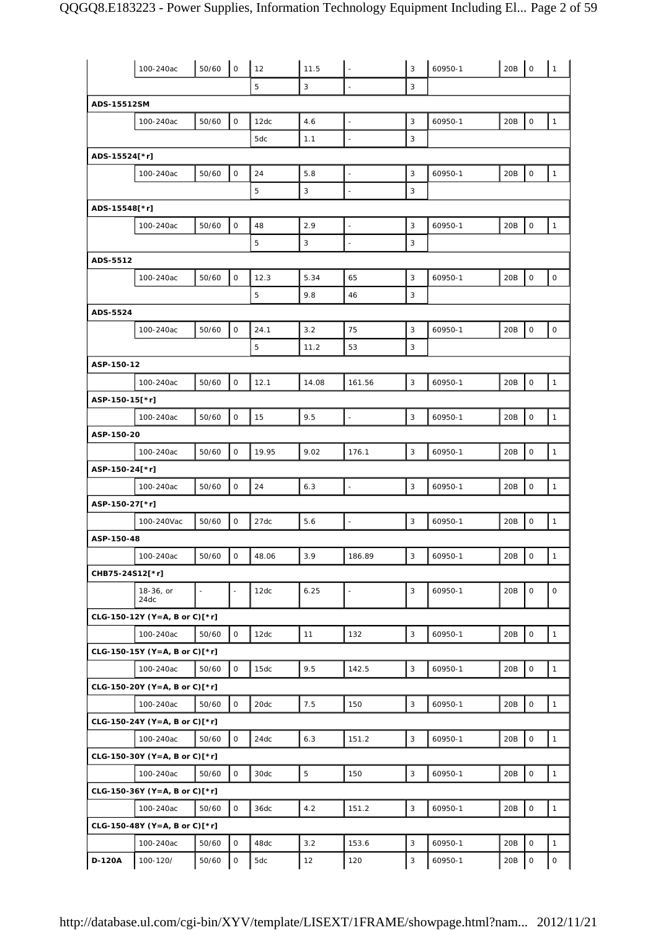|                 | 100-240ac                       | 50/60 | $\mathsf O$  | 12    | 11.5  |                          | 3                         | 60950-1 | 20B | $\mathsf{O}\xspace$ | $\mathbf{1}$        |
|-----------------|---------------------------------|-------|--------------|-------|-------|--------------------------|---------------------------|---------|-----|---------------------|---------------------|
|                 |                                 |       |              | 5     | 3     |                          | 3                         |         |     |                     |                     |
| ADS-15512SM     |                                 |       |              |       |       |                          |                           |         |     |                     |                     |
|                 | 100-240ac                       | 50/60 | $\mathsf{O}$ | 12dc  | 4.6   | $\blacksquare$           | $\mathbf{3}$              | 60950-1 | 20B | 0                   | $\mathbf{1}$        |
|                 |                                 |       |              | 5dc   | 1.1   | $\Box$                   | 3                         |         |     |                     |                     |
|                 |                                 |       |              |       |       |                          |                           |         |     |                     |                     |
| ADS-15524[*r]   |                                 |       |              |       |       |                          |                           |         |     |                     |                     |
|                 | 100-240ac                       | 50/60 | $\mathsf O$  | 24    | 5.8   | $\overline{\phantom{a}}$ | 3                         | 60950-1 | 20B | $\mathsf O$         | $\mathbf{1}$        |
|                 |                                 |       |              | 5     | 3     | $\blacksquare$           | 3                         |         |     |                     |                     |
| ADS-15548[*r]   |                                 |       |              |       |       |                          |                           |         |     |                     |                     |
|                 | 100-240ac                       | 50/60 | $\mathsf O$  | 48    | 2.9   |                          | 3                         | 60950-1 | 20B | $\mathsf{O}$        | $\mathbf{1}$        |
|                 |                                 |       |              | 5     | 3     | $\blacksquare$           | 3                         |         |     |                     |                     |
| ADS-5512        |                                 |       |              |       |       |                          |                           |         |     |                     |                     |
|                 | 100-240ac                       | 50/60 | $\mathsf{O}$ | 12.3  | 5.34  | 65                       | 3                         | 60950-1 | 20B | 0                   | 0                   |
|                 |                                 |       |              | 5     | 9.8   | 46                       | 3                         |         |     |                     |                     |
| ADS-5524        |                                 |       |              |       |       |                          |                           |         |     |                     |                     |
|                 | 100-240ac                       | 50/60 | $\mathsf O$  | 24.1  | 3.2   | 75                       | $\mathbf{3}$              | 60950-1 | 20B | $\mathsf O$         | 0                   |
|                 |                                 |       |              | 5     | 11.2  | 53                       | 3                         |         |     |                     |                     |
| ASP-150-12      |                                 |       |              |       |       |                          |                           |         |     |                     |                     |
|                 | 100-240ac                       | 50/60 | $\mathsf O$  | 12.1  | 14.08 | 161.56                   | 3                         | 60950-1 | 20B | 0                   | $\mathbf{1}$        |
|                 |                                 |       |              |       |       |                          |                           |         |     |                     |                     |
| ASP-150-15[*r]  |                                 |       |              |       |       | $\overline{\phantom{a}}$ |                           |         |     |                     |                     |
|                 | 100-240ac                       | 50/60 | $\mathsf{O}$ | 15    | 9.5   |                          | 3                         | 60950-1 | 20B | 0                   | $\mathbf{1}$        |
| ASP-150-20      |                                 |       |              |       |       |                          |                           |         |     |                     |                     |
|                 | 100-240ac                       | 50/60 | $\mathsf{O}$ | 19.95 | 9.02  | 176.1                    | 3                         | 60950-1 | 20B | $\mathsf{O}\xspace$ | $\mathbf{1}$        |
| ASP-150-24[*r]  |                                 |       |              |       |       |                          |                           |         |     |                     |                     |
|                 | 100-240ac                       | 50/60 | 0            | 24    | 6.3   | ÷.                       | 3                         | 60950-1 | 20B | 0                   | $\mathbf{1}$        |
| ASP-150-27[*r]  |                                 |       |              |       |       |                          |                           |         |     |                     |                     |
|                 | 100-240Vac                      | 50/60 | $\mathsf O$  | 27dc  | 5.6   | $\overline{\phantom{a}}$ | 3                         | 60950-1 | 20B | $\mathsf O$         | $\mathbf{1}$        |
| ASP-150-48      |                                 |       |              |       |       |                          |                           |         |     |                     |                     |
|                 | 100-240ac                       | 50/60 | O            | 48.06 | 3.9   | 186.89                   | $\ensuremath{\mathsf{3}}$ | 60950-1 | 20B | $\circ$             | $\mathbf{1}$        |
| CHB75-24S12[*r] |                                 |       |              |       |       |                          |                           |         |     |                     |                     |
|                 | 18-36, or                       |       |              | 12dc  | 6.25  |                          | 3                         | 60950-1 | 20B | $\mathsf O$         | $\mathsf O$         |
|                 | 24dc                            |       |              |       |       |                          |                           |         |     |                     |                     |
|                 | CLG-150-12Y (Y=A, B or C)[*r]   |       |              |       |       |                          |                           |         |     |                     |                     |
|                 | 100-240ac                       | 50/60 | $\mathsf O$  | 12dc  | 11    | 132                      | 3                         | 60950-1 | 20B | $\mathsf O$         | $\mathbf{1}$        |
|                 | CLG-150-15Y (Y=A, B or C)[*r]   |       |              |       |       |                          |                           |         |     |                     |                     |
|                 | 100-240ac                       | 50/60 | $\mathsf O$  | 15dc  | 9.5   | 142.5                    | $\sqrt{3}$                | 60950-1 | 20B | $\mathsf{O}$        | $\mathbf{1}$        |
|                 | CLG-150-20Y (Y=A, B or C)[*r]   |       |              |       |       |                          |                           |         |     |                     |                     |
|                 | 100-240ac                       | 50/60 | $\mathsf{O}$ | 20dc  | 7.5   | 150                      | 3                         | 60950-1 | 20B | $\mathsf{O}\xspace$ | $\mathbf{1}$        |
|                 | $CLG-150-24Y (Y=A, B or C)[*r]$ |       |              |       |       |                          |                           |         |     |                     |                     |
|                 | 100-240ac                       | 50/60 | $\mathsf O$  | 24dc  | 6.3   | 151.2                    | $\mathsf 3$               | 60950-1 | 20B | $\mathsf O$         | $\mathbf{1}$        |
|                 | CLG-150-30Y (Y=A, B or C)[*r]   |       |              |       |       |                          |                           |         |     |                     |                     |
|                 | 100-240ac                       | 50/60 | $\mathsf O$  | 30dc  | 5     | 150                      | $\mathsf 3$               | 60950-1 | 20B | $\mathsf{O}\xspace$ | $\mathbf{1}$        |
|                 | $CLG-150-36Y (Y=A, B or C)[*r]$ |       |              |       |       |                          |                           |         |     |                     |                     |
|                 | 100-240ac                       | 50/60 | $\mathsf{O}$ | 36dc  | 4.2   | 151.2                    | $\overline{3}$            | 60950-1 | 20B | $\mathsf{O}\xspace$ | $\mathbf{1}$        |
|                 |                                 |       |              |       |       |                          |                           |         |     |                     |                     |
|                 | CLG-150-48Y (Y=A, B or C)[*r]   |       |              |       |       |                          |                           |         |     |                     |                     |
|                 | 100-240ac                       | 50/60 | $\mathsf{O}$ | 48dc  | 3.2   | 153.6                    | 3                         | 60950-1 | 20B | $\mathsf O$         | $\mathbf{1}$        |
| D-120A          | 100-120/                        | 50/60 | $\mathsf O$  | 5dc   | 12    | 120                      | 3                         | 60950-1 | 20B | $\mathsf{O}\xspace$ | $\mathsf{O}\xspace$ |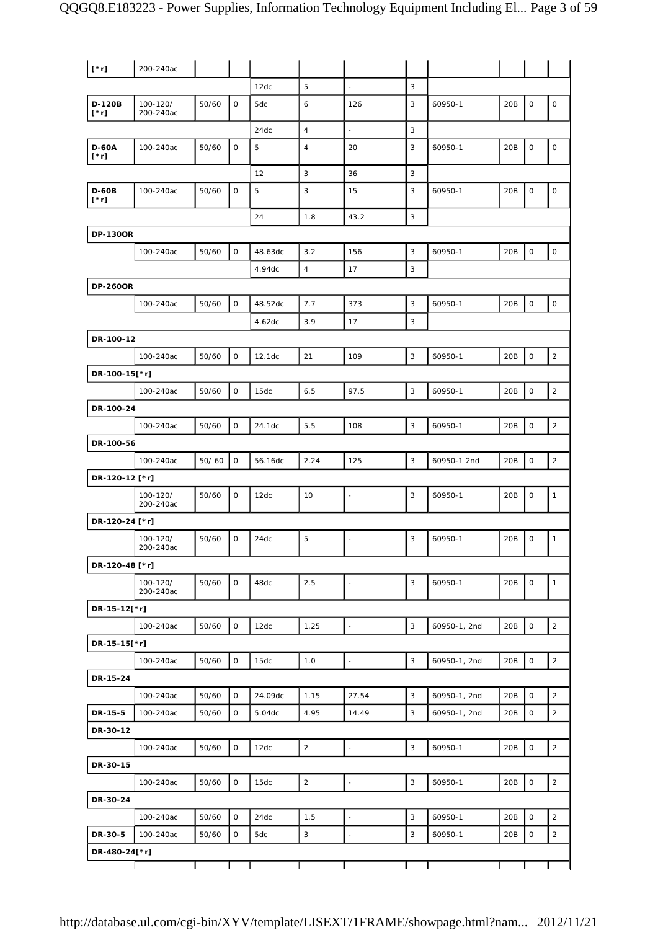| $[\n* r]$                   | 200-240ac             |       |             |         |                |                          |                |              |                 |                     |                     |
|-----------------------------|-----------------------|-------|-------------|---------|----------------|--------------------------|----------------|--------------|-----------------|---------------------|---------------------|
|                             |                       |       |             | 12dc    | 5              | $\blacksquare$           | 3              |              |                 |                     |                     |
| D-120B<br>$[\cdot r]$       | 100-120/<br>200-240ac | 50/60 | 0           | 5dc     | 6              | 126                      | 3              | 60950-1      | 20B             | $\mathbf 0$         | $\mathsf{O}\xspace$ |
|                             |                       |       |             | 24dc    | $\overline{4}$ | $\overline{\phantom{a}}$ | 3              |              |                 |                     |                     |
| <b>D-60A</b><br>$[\cdot r]$ | 100-240ac             | 50/60 | 0           | 5       | $\overline{4}$ | 20                       | 3              | 60950-1      | 20B             | $\mathsf{O}\xspace$ | $\mathsf O$         |
|                             |                       |       |             | 12      | $\sqrt{3}$     | 36                       | 3              |              |                 |                     |                     |
| <b>D-60B</b><br>$[\cdot r]$ | 100-240ac             | 50/60 | 0           | 5       | 3              | 15                       | 3              | 60950-1      | 20B             | $\mathbf 0$         | $\mathsf{O}\xspace$ |
|                             |                       |       |             | 24      | 1.8            | 43.2                     | 3              |              |                 |                     |                     |
| <b>DP-130OR</b>             |                       |       |             |         |                |                          |                |              |                 |                     |                     |
|                             | 100-240ac             | 50/60 | $\mathsf O$ | 48.63dc | 3.2            | 156                      | 3              | 60950-1      | 20B             | $\mathsf O$         | $\mathsf{O}\xspace$ |
|                             |                       |       |             | 4.94dc  | $\overline{4}$ | 17                       | 3              |              |                 |                     |                     |
| <b>DP-260OR</b>             |                       |       |             |         |                |                          |                |              |                 |                     |                     |
|                             | 100-240ac             | 50/60 | $\mathsf O$ | 48.52dc | 7.7            | 373                      | 3              | 60950-1      | 20 <sub>B</sub> | $\mathbf 0$         | $\mathsf O$         |
|                             |                       |       |             | 4.62dc  | 3.9            | 17                       | 3              |              |                 |                     |                     |
| DR-100-12                   |                       |       |             |         |                |                          |                |              |                 |                     |                     |
|                             | 100-240ac             | 50/60 | $\mathsf O$ | 12.1dc  | 21             | 109                      | 3              | 60950-1      | 20B             | $\mathbf 0$         | $\sqrt{2}$          |
| DR-100-15[*r]               |                       |       |             |         |                |                          |                |              |                 |                     |                     |
|                             | 100-240ac             | 50/60 | 0           | 15dc    | 6.5            | 97.5                     | 3              | 60950-1      | 20B             | $\mathsf{O}\xspace$ | $\sqrt{2}$          |
| DR-100-24                   |                       |       |             |         |                |                          |                |              |                 |                     |                     |
|                             | 100-240ac             | 50/60 | 0           | 24.1dc  | 5.5            | 108                      | $\mathsf 3$    | 60950-1      | 20B             | $\mathsf{O}\xspace$ | $\sqrt{2}$          |
| DR-100-56                   |                       |       |             |         |                |                          |                |              |                 |                     |                     |
|                             | 100-240ac             | 50/60 | $\mathsf O$ | 56.16dc | 2.24           | 125                      | 3              | 60950-1 2nd  | 20B             | $\mathsf{O}\xspace$ | $\mathbf 2$         |
| DR-120-12 [*r]              |                       |       |             |         |                |                          |                |              |                 |                     |                     |
|                             | 100-120/<br>200-240ac | 50/60 | 0           | 12dc    | 10             | $\overline{\phantom{a}}$ | 3              | 60950-1      | 20B             | 0                   | 1                   |
| DR-120-24 [*r]              |                       |       |             |         |                |                          |                |              |                 |                     |                     |
|                             | 100-120/<br>200-240ac | 50/60 | 0           | 24dc    | 5              |                          | 3              | 60950-1      | 20B             | $\mathsf O$         | $\mathbf{1}$        |
| DR-120-48 [*r]              |                       |       |             |         |                |                          |                |              |                 |                     |                     |
|                             | 100-120/<br>200-240ac | 50/60 | 0           | 48dc    | 2.5            | $\blacksquare$           | $\mathsf 3$    | 60950-1      | 20B             | $\mathsf O$         | $\mathbf{1}$        |
| DR-15-12[*r]                |                       |       |             |         |                |                          |                |              |                 |                     |                     |
|                             | 100-240ac             | 50/60 | 0           | 12dc    | 1.25           | $\frac{1}{2}$            | $\overline{3}$ | 60950-1, 2nd | 20B             | $\mathsf{O}\xspace$ | $\overline{2}$      |
| DR-15-15[*r]                |                       |       |             |         |                |                          |                |              |                 |                     |                     |
|                             | 100-240ac             | 50/60 | 0           | 15dc    | 1.0            | $\blacksquare$           | 3              | 60950-1, 2nd | 20B             | 0                   | $\overline{2}$      |
| DR-15-24                    |                       |       |             |         |                |                          |                |              |                 |                     |                     |
|                             | 100-240ac             | 50/60 | 0           | 24.09dc | 1.15           | 27.54                    | 3              | 60950-1, 2nd | 20B             | $\mathsf{O}\xspace$ | $\overline{2}$      |
| DR-15-5                     | 100-240ac             | 50/60 | 0           | 5.04dc  | 4.95           | 14.49                    | 3              | 60950-1, 2nd | 20B             | 0                   | $\overline{2}$      |
| DR-30-12                    |                       |       |             |         |                |                          |                |              |                 |                     |                     |
|                             | 100-240ac             | 50/60 | 0           | 12dc    | $\overline{2}$ | $\overline{a}$           | 3              | 60950-1      | 20B             | $\mathsf O$         | $\overline{a}$      |
| DR-30-15                    |                       |       |             |         |                |                          |                |              |                 |                     |                     |
|                             | 100-240ac             | 50/60 | 0           | 15dc    | $\overline{2}$ | $\overline{\phantom{a}}$ | $\mathbf{3}$   | 60950-1      | 20B             | $\mathsf{O}\xspace$ | $\sqrt{2}$          |
| DR-30-24                    |                       |       |             |         |                |                          |                |              |                 |                     |                     |
|                             | 100-240ac             | 50/60 | 0           | 24dc    | 1.5            | $\overline{a}$           | 3              | 60950-1      | 20B             | $\mathsf{O}\xspace$ | $\overline{a}$      |
| DR-30-5                     | 100-240ac             | 50/60 | 0           | 5dc     | 3              | $\frac{1}{2}$            | 3              | 60950-1      | 20B             | $\mathsf{O}\xspace$ | $\overline{2}$      |
| DR-480-24[*r]               |                       |       |             |         |                |                          |                |              |                 |                     |                     |
|                             |                       |       |             |         |                |                          |                |              |                 |                     |                     |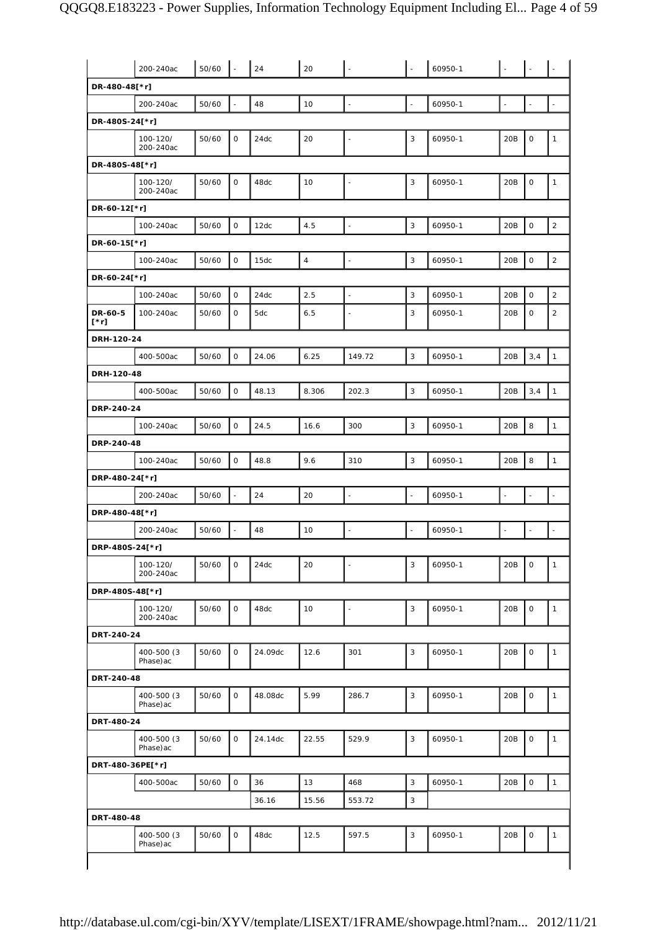|                  | 200-240ac                | 50/60 |                     | 24      | 20             |                          |                | 60950-1 |                |                     |                |
|------------------|--------------------------|-------|---------------------|---------|----------------|--------------------------|----------------|---------|----------------|---------------------|----------------|
| DR-480-48[*r]    |                          |       |                     |         |                |                          |                |         |                |                     |                |
|                  | 200-240ac                | 50/60 |                     | 48      | 10             | ä,                       | $\blacksquare$ | 60950-1 | $\blacksquare$ | ÷.                  |                |
| DR-480S-24[*r]   |                          |       |                     |         |                |                          |                |         |                |                     |                |
|                  | 100-120/<br>200-240ac    | 50/60 | $\mathbf{O}$        | 24dc    | 20             |                          | 3              | 60950-1 | 20B            | $\mathsf O$         | $\mathbf{1}$   |
| DR-480S-48[*r]   |                          |       |                     |         |                |                          |                |         |                |                     |                |
|                  | 100-120/<br>200-240ac    | 50/60 | 0                   | 48dc    | 10             |                          | 3              | 60950-1 | 20B            | 0                   | $\mathbf{1}$   |
| DR-60-12[*r]     |                          |       |                     |         |                |                          |                |         |                |                     |                |
|                  | 100-240ac                | 50/60 | $\mathsf{O}\xspace$ | 12dc    | 4.5            | $\overline{\phantom{a}}$ | 3              | 60950-1 | 20B            | 0                   | $\sqrt{2}$     |
| DR-60-15[*r]     |                          |       |                     |         |                |                          |                |         |                |                     |                |
|                  | 100-240ac                | 50/60 | $\mathsf{O}$        | 15dc    | $\overline{4}$ | $\overline{\phantom{a}}$ | 3              | 60950-1 | 20B            | 0                   | $\sqrt{2}$     |
| DR-60-24[*r]     |                          |       |                     |         |                |                          |                |         |                |                     |                |
|                  | 100-240ac                | 50/60 | 0                   | 24dc    | 2.5            | L,                       | 3              | 60950-1 | 20B            | 0                   | $\overline{2}$ |
| DR-60-5<br>[*r]  | 100-240ac                | 50/60 | 0                   | 5dc     | 6.5            | $\blacksquare$           | 3              | 60950-1 | 20B            | 0                   | 2              |
| DRH-120-24       |                          |       |                     |         |                |                          |                |         |                |                     |                |
|                  | 400-500ac                | 50/60 | 0                   | 24.06   | 6.25           | 149.72                   | 3              | 60950-1 | 20B            | 3,4                 | $\mathbf{1}$   |
| DRH-120-48       |                          |       |                     |         |                |                          |                |         |                |                     |                |
|                  | 400-500ac                | 50/60 | $\mathsf O$         | 48.13   | 8.306          | 202.3                    | 3              | 60950-1 | 20B            | 3,4                 | $\mathbf{1}$   |
| DRP-240-24       |                          |       |                     |         |                |                          |                |         |                |                     |                |
|                  | 100-240ac                | 50/60 | $\mathsf O$         | 24.5    | 16.6           | 300                      | 3              | 60950-1 | 20B            | 8                   | $\mathbf{1}$   |
| DRP-240-48       |                          |       |                     |         |                |                          |                |         |                |                     |                |
|                  | 100-240ac                | 50/60 | 0                   | 48.8    | 9.6            | 310                      | 3              | 60950-1 | 20B            | 8                   | $\mathbf{1}$   |
| DRP-480-24[*r]   |                          |       |                     |         |                |                          |                |         |                |                     |                |
|                  | 200-240ac                | 50/60 |                     | 24      | 20             |                          | $\frac{1}{2}$  | 60950-1 | $\blacksquare$ | $\overline{a}$      |                |
| DRP-480-48[*r]   |                          |       |                     |         |                |                          |                |         |                |                     |                |
|                  | 200-240ac                | 50/60 |                     | 48      | 10             | L,                       | $\frac{1}{2}$  | 60950-1 | $\blacksquare$ | ÷,                  |                |
| DRP-480S-24[*r]  |                          |       |                     |         |                |                          |                |         |                |                     |                |
|                  | 100-120/<br>200-240ac    | 50/60 | 0                   | 24dc    | 20             |                          | 3              | 60950-1 | 20B            | 0                   | $\mathbf{1}$   |
| DRP-480S-48[*r]  |                          |       |                     |         |                |                          |                |         |                |                     |                |
|                  | 100-120/<br>200-240ac    | 50/60 | $\mathsf{O}$        | 48dc    | 10             | ÷,                       | 3              | 60950-1 | 20B            | $\mathbf 0$         | $\mathbf{1}$   |
| DRT-240-24       |                          |       |                     |         |                |                          |                |         |                |                     |                |
|                  | 400-500 (3)<br>Phase) ac | 50/60 | 0                   | 24.09dc | 12.6           | 301                      | 3              | 60950-1 | 20B            | 0                   | $\mathbf{1}$   |
| DRT-240-48       |                          |       |                     |         |                |                          |                |         |                |                     |                |
|                  | 400-500 (3)<br>Phase) ac | 50/60 | 0                   | 48.08dc | 5.99           | 286.7                    | 3              | 60950-1 | 20B            | 0                   | $\mathbf{1}$   |
| DRT-480-24       |                          |       |                     |         |                |                          |                |         |                |                     |                |
|                  | 400-500 (3)<br>Phase)ac  | 50/60 | $\mathsf{O}$        | 24.14dc | 22.55          | 529.9                    | 3              | 60950-1 | 20B            | 0                   | $\mathbf{1}$   |
| DRT-480-36PE[*r] |                          |       |                     |         |                |                          |                |         |                |                     |                |
|                  | 400-500ac                | 50/60 | $\mathsf{O}$        | 36      | 13             | 468                      | 3              | 60950-1 | 20B            | $\mathsf{O}\xspace$ | $\mathbf{1}$   |
|                  |                          |       |                     | 36.16   | 15.56          | 553.72                   | 3              |         |                |                     |                |
| DRT-480-48       |                          |       |                     |         |                |                          |                |         |                |                     |                |
|                  | 400-500 (3)<br>Phase) ac | 50/60 | $\mathsf O$         | 48dc    | 12.5           | 597.5                    | 3              | 60950-1 | 20B            | 0                   | $\mathbf{1}$   |
|                  |                          |       |                     |         |                |                          |                |         |                |                     |                |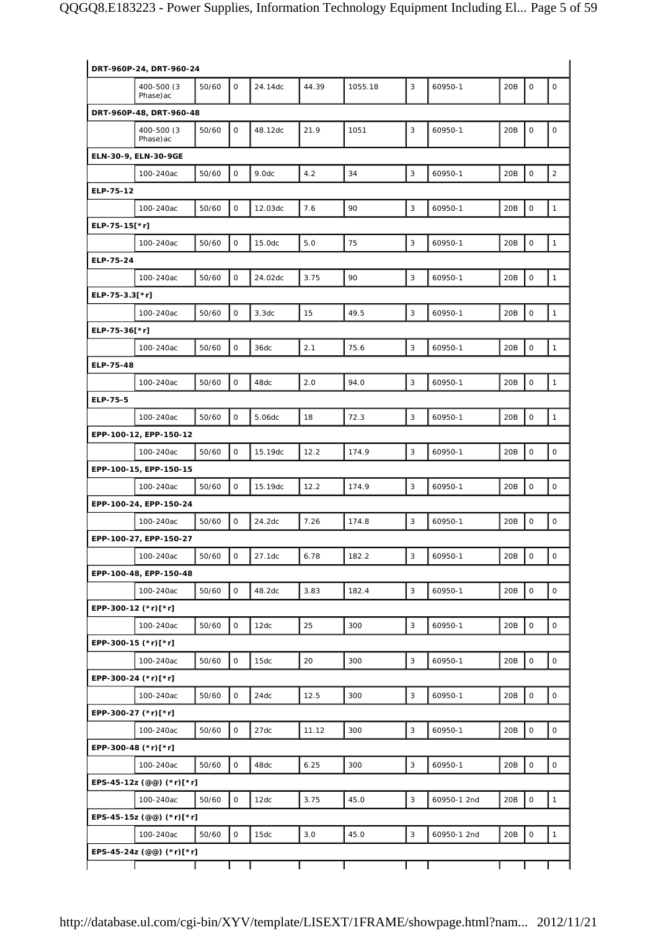|                | DRT-960P-24, DRT-960-24  |       |              |         |       |         |              |             |     |                     |                     |
|----------------|--------------------------|-------|--------------|---------|-------|---------|--------------|-------------|-----|---------------------|---------------------|
|                | 400-500 (3<br>Phase) ac  | 50/60 | $\mathbf 0$  | 24.14dc | 44.39 | 1055.18 | 3            | 60950-1     | 20B | $\mathsf O$         | $\mathsf O$         |
|                | DRT-960P-48, DRT-960-48  |       |              |         |       |         |              |             |     |                     |                     |
|                | 400-500 (3)<br>Phase) ac | 50/60 | $\mathbf{O}$ | 48.12dc | 21.9  | 1051    | 3            | 60950-1     | 20B | $\mathbf 0$         | $\mathsf O$         |
|                | ELN-30-9, ELN-30-9GE     |       |              |         |       |         |              |             |     |                     |                     |
|                | 100-240ac                | 50/60 | $\mathsf O$  | 9.0dc   | 4.2   | 34      | 3            | 60950-1     | 20B | $\mathsf{O}\xspace$ | $\overline{2}$      |
| ELP-75-12      |                          |       |              |         |       |         |              |             |     |                     |                     |
|                | 100-240ac                | 50/60 | $\mathsf O$  | 12.03dc | 7.6   | 90      | $\mathsf 3$  | 60950-1     | 20B | $\mathbf 0$         | $\mathbf{1}$        |
| ELP-75-15[*r]  |                          |       |              |         |       |         |              |             |     |                     |                     |
|                | 100-240ac                | 50/60 | $\mathsf{O}$ | 15.0dc  | 5.0   | 75      | 3            | 60950-1     | 20B | $\mathsf O$         | $\mathbf{1}$        |
| ELP-75-24      |                          |       |              |         |       |         |              |             |     |                     |                     |
|                | 100-240ac                | 50/60 | $\mathsf O$  | 24.02dc | 3.75  | 90      | $\mathsf 3$  | 60950-1     | 20B | $\mathsf{O}\xspace$ | $\mathbf{1}$        |
| ELP-75-3.3[*r] |                          |       |              |         |       |         |              |             |     |                     |                     |
|                | 100-240ac                | 50/60 | $\mathsf O$  | 3.3dc   | 15    | 49.5    | 3            | 60950-1     | 20B | $\mathsf{O}\xspace$ | $\mathbf{1}$        |
| ELP-75-36[*r]  |                          |       |              |         |       |         |              |             |     |                     |                     |
|                | 100-240ac                | 50/60 | 0            | 36dc    | 2.1   | 75.6    | 3            | 60950-1     | 20B | $\mathsf{O}\xspace$ | $\mathbf{1}$        |
| ELP-75-48      |                          |       |              |         |       |         |              |             |     |                     |                     |
|                | 100-240ac                | 50/60 | $\mathsf O$  | 48dc    | 2.0   | 94.0    | $\mathsf 3$  | 60950-1     | 20B | $\mathbf 0$         | $\mathbf{1}$        |
| ELP-75-5       |                          |       |              |         |       |         |              |             |     |                     |                     |
|                | 100-240ac                | 50/60 | $\mathsf O$  | 5.06dc  | 18    | 72.3    | $\mathsf 3$  | 60950-1     | 20B | $\mathsf{O}\xspace$ | $\mathbf{1}$        |
|                | EPP-100-12, EPP-150-12   |       |              |         |       |         |              |             |     |                     |                     |
|                | 100-240ac                | 50/60 | $\mathsf O$  | 15.19dc | 12.2  | 174.9   | 3            | 60950-1     | 20B | $\mathsf{O}\xspace$ | $\mathsf{O}$        |
|                | EPP-100-15, EPP-150-15   |       |              |         |       |         |              |             |     |                     |                     |
|                | 100-240ac                | 50/60 | $\mathsf O$  | 15.19dc | 12.2  | 174.9   | 3            | 60950-1     | 20B | $\mathbf 0$         | $\mathsf{O}\xspace$ |
|                | EPP-100-24, EPP-150-24   |       |              |         |       |         |              |             |     |                     |                     |
|                | 100-240ac                | 50/60 | $\mathbf 0$  | 24.2dc  | 7.26  | 174.8   | 3            | 60950-1     | 20B | $\mathsf O$         | $\mathsf O$         |
|                | EPP-100-27, EPP-150-27   |       |              |         |       |         |              |             |     |                     |                     |
|                | 100-240ac                | 50/60 | $\mathsf O$  | 27.1dc  | 6.78  | 182.2   | $\mathsf 3$  | 60950-1     | 20B | $\mathsf{O}\xspace$ | $\mathsf O$         |
|                | EPP-100-48, EPP-150-48   |       |              |         |       |         |              |             |     |                     |                     |
|                | 100-240ac                | 50/60 | $\mathsf O$  | 48.2dc  | 3.83  | 182.4   | $\mathsf 3$  | 60950-1     | 20B | $\mathsf{O}\xspace$ | $\mathsf{O}$        |
|                | EPP-300-12 (*r)[*r]      |       |              |         |       |         |              |             |     |                     |                     |
|                | 100-240ac                | 50/60 | $\mathsf O$  | 12dc    | 25    | 300     | 3            | 60950-1     | 20B | $\mathsf O$         | $\mathsf O$         |
|                | EPP-300-15 (*r)[*r]      |       |              |         |       |         |              |             |     |                     |                     |
|                | 100-240ac                | 50/60 | $\mathsf{O}$ | 15dc    | 20    | 300     | 3            | 60950-1     | 20B | $\mathsf O$         | $\mathsf O$         |
|                | EPP-300-24 (*r)[*r]      |       |              |         |       |         |              |             |     |                     |                     |
|                | 100-240ac                | 50/60 | $\mathsf O$  | 24dc    | 12.5  | 300     | 3            | 60950-1     | 20B | $\mathsf{O}\xspace$ | $\mathsf O$         |
|                | EPP-300-27 (*r)[*r]      |       |              |         |       |         |              |             |     |                     |                     |
|                | 100-240ac                | 50/60 | $\mathsf O$  | 27dc    | 11.12 | 300     | $\mathbf{3}$ | 60950-1     | 20B | $\mathsf{O}\xspace$ | $\mathsf O$         |
|                | EPP-300-48 (*r)[*r]      |       |              |         |       |         |              |             |     |                     |                     |
|                | 100-240ac                | 50/60 | 0            | 48dc    | 6.25  | 300     | 3            | 60950-1     | 20B | $\mathsf{O}\xspace$ | $\mathsf{O}\xspace$ |
|                | EPS-45-12z (@@) (*r)[*r] |       |              |         |       |         |              |             |     |                     |                     |
|                | 100-240ac                | 50/60 | $\mathsf O$  | 12dc    | 3.75  | 45.0    | 3            | 60950-1 2nd | 20B | $\mathsf O$         | $\mathbf{1}$        |
|                | EPS-45-15z (@@) (*r)[*r] |       |              |         |       |         |              |             |     |                     |                     |
|                | 100-240ac                | 50/60 | $\mathsf O$  | 15dc    | 3.0   | 45.0    | $\mathsf 3$  | 60950-1 2nd | 20B | $\mathsf{O}\xspace$ | $\mathbf{1}$        |
|                | EPS-45-24z (@@) (*r)[*r] |       |              |         |       |         |              |             |     |                     |                     |
|                |                          |       |              |         |       |         |              |             |     |                     |                     |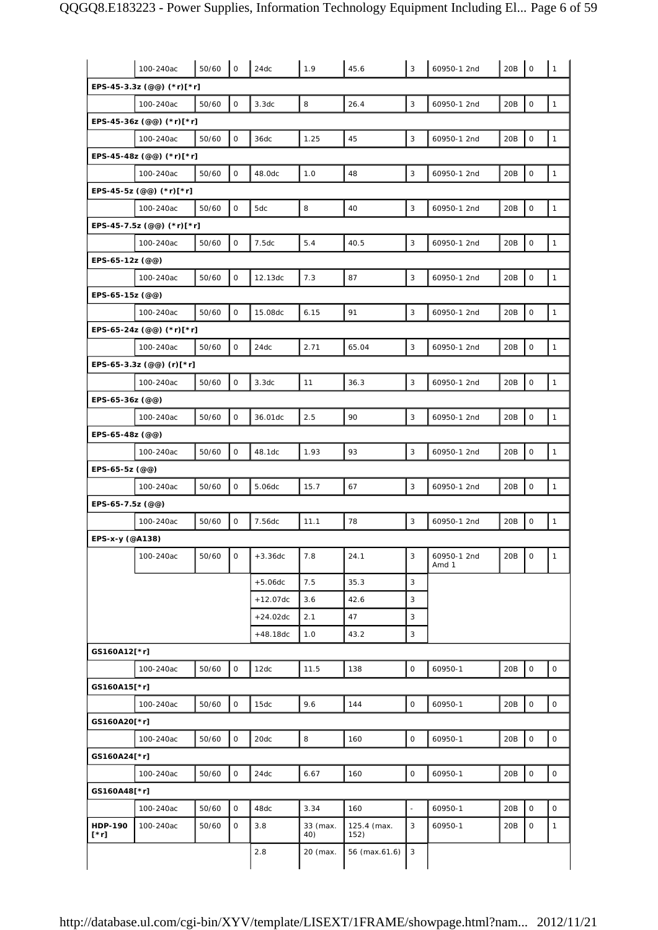|                        | 100-240ac                 | 50/60 | $\mathsf O$  | 24dc       | 1.9             | 45.6                | 3              | 60950-1 2nd          | 20B     | $\mathsf O$         | $\mathbf{1}$ |
|------------------------|---------------------------|-------|--------------|------------|-----------------|---------------------|----------------|----------------------|---------|---------------------|--------------|
|                        | EPS-45-3.3z (@@) (*r)[*r] |       |              |            |                 |                     |                |                      |         |                     |              |
|                        | 100-240ac                 | 50/60 | $\mathsf{O}$ | 3.3dc      | 8               | 26.4                | 3              | 60950-1 2nd          | 20B     | $\mathsf O$         | $\mathbf{1}$ |
|                        | EPS-45-36z (@@) (*r)[*r]  |       |              |            |                 |                     |                |                      |         |                     |              |
|                        | 100-240ac                 | 50/60 | $\mathbf 0$  | 36dc       | 1.25            | 45                  | 3              | 60950-1 2nd          | 20B     | $\mathsf O$         | $\mathbf{1}$ |
|                        | EPS-45-48z (@@) (*r)[*r]  |       |              |            |                 |                     |                |                      |         |                     |              |
|                        | 100-240ac                 | 50/60 | $\mathbf 0$  | 48.0dc     | 1.0             | 48                  | 3              | 60950-1 2nd          | 20B     | $\mathsf O$         | $\mathbf{1}$ |
|                        | EPS-45-5z (@@) (*r)[*r]   |       |              |            |                 |                     |                |                      |         |                     |              |
|                        | 100-240ac                 | 50/60 | $\mathbf 0$  | 5dc        | 8               | 40                  | 3              | 60950-1 2nd          | 20B     | $\mathsf O$         | $\mathbf{1}$ |
|                        | EPS-45-7.5z (@@) (*r)[*r] |       |              |            |                 |                     |                |                      |         |                     |              |
|                        | 100-240ac                 | 50/60 | $\mathbf 0$  | 7.5dc      | 5.4             | 40.5                | 3              | 60950-1 2nd          | 20B     | $\mathsf O$         | $\mathbf{1}$ |
| EPS-65-12z (@@)        |                           |       |              |            |                 |                     |                |                      |         |                     |              |
|                        | 100-240ac                 | 50/60 | $\mathbf 0$  | 12.13dc    | 7.3             | 87                  | 3              | 60950-1 2nd          | 20B     | $\mathsf O$         | $\mathbf{1}$ |
| EPS-65-15z (@@)        |                           |       |              |            |                 |                     |                |                      |         |                     |              |
|                        | 100-240ac                 | 50/60 | $\mathsf{O}$ | 15.08dc    | 6.15            | 91                  | 3              | 60950-1 2nd          | 20B     | $\mathsf O$         | $\mathbf{1}$ |
|                        | EPS-65-24z (@@) (*r)[*r]  |       |              |            |                 |                     |                |                      |         |                     |              |
|                        | 100-240ac                 | 50/60 | $\mathsf O$  | 24dc       | 2.71            | 65.04               | 3              | 60950-1 2nd          | 20B     | $\mathsf{O}\xspace$ | $\mathbf{1}$ |
|                        | EPS-65-3.3z (@@) (r)[*r]  |       |              |            |                 |                     |                |                      |         |                     |              |
|                        | 100-240ac                 | 50/60 | $\mathbf 0$  | 3.3dc      | 11              | 36.3                | 3              | 60950-1 2nd          | 20B     | $\mathsf O$         | $\mathbf{1}$ |
| EPS-65-36z (@@)        |                           |       |              |            |                 |                     |                |                      |         |                     |              |
|                        | 100-240ac                 | 50/60 | $\mathsf{O}$ | 36.01dc    | 2.5             | 90                  | 3              | 60950-1 2nd          | 20B     | $\mathsf O$         | $\mathbf{1}$ |
| EPS-65-48z (@@)        |                           |       |              |            |                 |                     |                |                      |         |                     |              |
|                        | 100-240ac                 | 50/60 | $\mathbf 0$  | 48.1dc     | 1.93            | 93                  | 3              | 60950-1 2nd          | 20B     | $\mathsf O$         | $\mathbf{1}$ |
| EPS-65-5z (@@)         | 100-240ac                 | 50/60 | $\mathsf{O}$ | 5.06dc     | 15.7            | 67                  | 3              | 60950-1 2nd          | 20B     | $\mathsf O$         | $\mathbf{1}$ |
| EPS-65-7.5z (@@)       |                           |       |              |            |                 |                     |                |                      |         |                     |              |
|                        | 100-240ac                 | 50/60 | $\mathbf 0$  | 7.56dc     | 11.1            | 78                  | 3              | 60950-1 2nd          | 20B     | $\mathsf O$         | $\mathbf{1}$ |
| EPS-x-y (@A138)        |                           |       |              |            |                 |                     |                |                      |         |                     |              |
|                        | 100-240ac                 | 50/60 | $\circ$      | $+3.36dc$  | 7.8             | 24.1                | 3              | 60950-1 2nd<br>Amd 1 | 20B   0 |                     | $\mathbf{1}$ |
|                        |                           |       |              | $+5.06dc$  | 7.5             | 35.3                | $\overline{3}$ |                      |         |                     |              |
|                        |                           |       |              | $+12.07dc$ | 3.6             | 42.6                | 3              |                      |         |                     |              |
|                        |                           |       |              | $+24.02dc$ | 2.1             | 47                  | 3              |                      |         |                     |              |
|                        |                           |       |              | $+48.18dc$ | 1.0             | 43.2                | 3              |                      |         |                     |              |
| GS160A12[*r]           |                           |       |              |            |                 |                     |                |                      |         |                     |              |
|                        | 100-240ac                 | 50/60 | $\mathsf{O}$ | 12dc       | 11.5            | 138                 | $\mathsf{O}$   | 60950-1              | 20B     | $\mathsf O$         | $\mathsf O$  |
| GS160A15[*r]           |                           |       |              |            |                 |                     |                |                      |         |                     |              |
|                        | 100-240ac                 | 50/60 | $\mathsf O$  | 15dc       | 9.6             | 144                 | $\mathsf{O}$   | 60950-1              | 20B     | $\mathsf{O}\xspace$ | $\circ$      |
| GS160A20[*r]           |                           |       |              |            |                 |                     |                |                      |         |                     |              |
|                        | 100-240ac                 | 50/60 | $\mathsf O$  | 20dc       | 8               | 160                 | $\mathsf O$    | 60950-1              | 20B     | $\mathsf{O}\xspace$ | $\mathsf O$  |
| GS160A24[*r]           |                           |       |              |            |                 |                     |                |                      |         |                     |              |
|                        | 100-240ac                 | 50/60 | $\mathbf 0$  | 24dc       | 6.67            | 160                 | $\mathsf{O}$   | 60950-1              | 20B     | $\mathsf{o}$        | $\mathbf 0$  |
| GS160A48[*r]           |                           |       |              |            |                 |                     |                |                      |         |                     |              |
|                        | 100-240ac                 | 50/60 | $\mathbf 0$  | 48dc       | 3.34            | 160                 | $\blacksquare$ | 60950-1              | 20B     | $\mathsf{O}$        | $\mathsf{O}$ |
| <b>HDP-190</b><br>[*r] | 100-240ac                 | 50/60 | $\mathsf{O}$ | 3.8        | 33 (max.<br>40) | 125.4 (max.<br>152) | 3              | 60950-1              | 20B     | 0                   | $\mathbf{1}$ |
|                        |                           |       |              | 2.8        | 20 (max.        | 56 (max.61.6)       | 3              |                      |         |                     |              |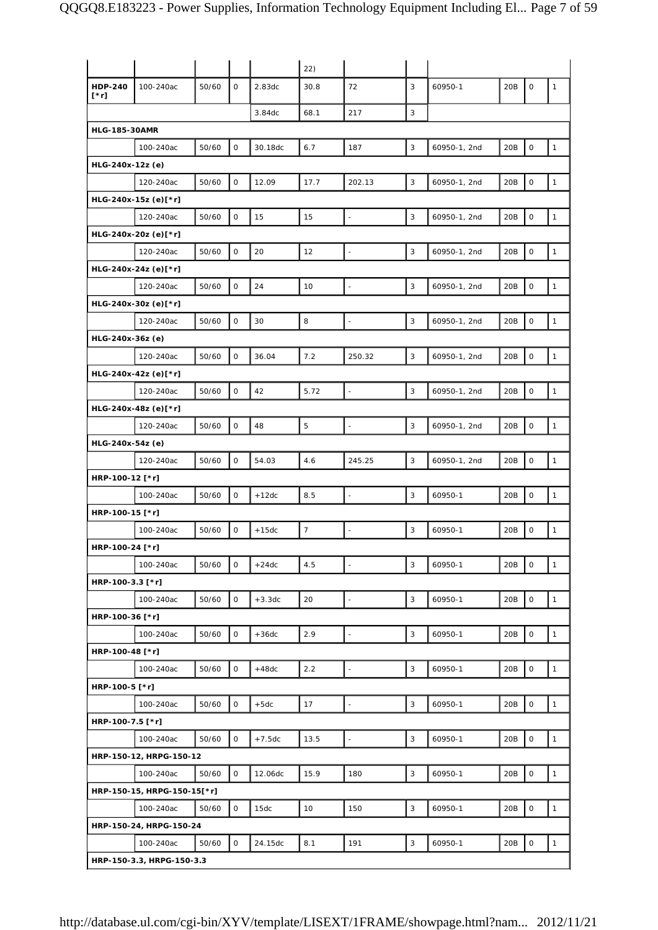|                      |                             |       |              |          | 22)            |                          |   |              |     |                     |              |
|----------------------|-----------------------------|-------|--------------|----------|----------------|--------------------------|---|--------------|-----|---------------------|--------------|
| HDP-240<br>[*r]      | 100-240ac                   | 50/60 | 0            | 2.83dc   | 30.8           | 72                       | 3 | 60950-1      | 20B | 0                   | $\mathbf{1}$ |
|                      |                             |       |              | 3.84dc   | 68.1           | 217                      | 3 |              |     |                     |              |
| <b>HLG-185-30AMR</b> |                             |       |              |          |                |                          |   |              |     |                     |              |
|                      | 100-240ac                   | 50/60 | $\mathsf O$  | 30.18dc  | 6.7            | 187                      | 3 | 60950-1, 2nd | 20B | $\mathsf O$         | $\mathbf{1}$ |
| HLG-240x-12z (e)     |                             |       |              |          |                |                          |   |              |     |                     |              |
|                      | 120-240ac                   | 50/60 | $\mathbf 0$  | 12.09    | 17.7           | 202.13                   | 3 | 60950-1, 2nd | 20B | $\mathsf O$         | $\mathbf{1}$ |
|                      | HLG-240x-15z (e)[*r]        |       |              |          |                |                          |   |              |     |                     |              |
|                      | 120-240ac                   | 50/60 | $\mathsf O$  | 15       | 15             | $\overline{\phantom{a}}$ | 3 | 60950-1, 2nd | 20B | $\mathsf O$         | $\mathbf{1}$ |
|                      | HLG-240x-20z (e)[*r]        |       |              |          |                |                          |   |              |     |                     |              |
|                      | 120-240ac                   | 50/60 | $\mathsf O$  | 20       | 12             | $\ddot{\phantom{1}}$     | 3 | 60950-1, 2nd | 20B | $\mathsf O$         | $\mathbf{1}$ |
|                      | HLG-240x-24z (e)[*r]        |       |              |          |                |                          |   |              |     |                     |              |
|                      | 120-240ac                   | 50/60 | $\mathbf 0$  | 24       | 10             | $\overline{\phantom{a}}$ | 3 | 60950-1, 2nd | 20B | $\mathsf O$         | $\mathbf{1}$ |
|                      | HLG-240x-30z (e)[*r]        |       |              |          |                |                          |   |              |     |                     |              |
|                      | 120-240ac                   | 50/60 | $\mathsf{O}$ | 30       | 8              | $\blacksquare$           | 3 | 60950-1, 2nd | 20B | $\mathsf O$         | $\mathbf{1}$ |
| HLG-240x-36z (e)     |                             |       |              |          |                |                          |   |              |     |                     |              |
|                      | 120-240ac                   | 50/60 | $\mathbf 0$  | 36.04    | 7.2            | 250.32                   | 3 | 60950-1, 2nd | 20B | $\mathsf O$         | $\mathbf{1}$ |
|                      | HLG-240x-42z (e)[*r]        |       |              |          |                |                          |   |              |     |                     |              |
|                      | 120-240ac                   | 50/60 | $\mathsf O$  | 42       | 5.72           | $\overline{\phantom{a}}$ | 3 | 60950-1, 2nd | 20B | $\mathsf O$         | $\mathbf{1}$ |
|                      | HLG-240x-48z (e)[*r]        |       |              |          |                |                          |   |              |     |                     |              |
|                      | 120-240ac                   | 50/60 | $\mathsf O$  | 48       | 5              | $\overline{a}$           | 3 | 60950-1, 2nd | 20B | $\circ$             | $\mathbf{1}$ |
| HLG-240x-54z (e)     |                             |       |              |          |                |                          |   |              |     |                     |              |
|                      | 120-240ac                   | 50/60 | 0            | 54.03    | 4.6            | 245.25                   | 3 | 60950-1, 2nd | 20B | $\mathsf O$         | $\mathbf{1}$ |
| HRP-100-12 [*r]      |                             |       |              |          |                |                          |   |              |     |                     |              |
|                      | 100-240ac                   | 50/60 | $\mathbf 0$  | $+12dc$  | 8.5            | $\overline{\phantom{a}}$ | 3 | 60950-1      | 20B | $\mathsf O$         | $\mathbf{1}$ |
| HRP-100-15 [*r]      |                             |       |              |          |                |                          |   |              |     |                     |              |
|                      | 100-240ac                   | 50/60 | 0            | $+15dc$  | $\overline{7}$ | $\ddot{\phantom{1}}$     | 3 | 60950-1      | 20B | $\mathsf O$         | $\mathbf{1}$ |
| HRP-100-24 [*r]      |                             |       |              |          |                |                          |   |              |     |                     |              |
|                      | 100-240ac                   | 50/60 | $\mathsf O$  | $+24dc$  | 4.5            | L,                       | 3 | 60950-1      | 20B | $\mathsf O$         | $\mathbf{1}$ |
| HRP-100-3.3 [*r]     |                             |       |              |          |                |                          |   |              |     |                     |              |
|                      | 100-240ac                   | 50/60 | $\mathsf O$  | $+3.3dc$ | 20             | $\overline{\phantom{a}}$ | 3 | 60950-1      | 20B | $\mathsf O$         | $\mathbf{1}$ |
| HRP-100-36 [*r]      |                             |       |              |          |                |                          |   |              |     |                     |              |
|                      | 100-240ac                   | 50/60 | 0            | $+36dc$  | 2.9            | $\ddot{\phantom{1}}$     | 3 | 60950-1      | 20B | $\mathsf O$         | $\mathbf{1}$ |
| HRP-100-48 [*r]      |                             |       |              |          |                |                          |   |              |     |                     |              |
|                      | 100-240ac                   | 50/60 | $\mathsf O$  | $+48dc$  | 2.2            | $\ddot{\phantom{1}}$     | 3 | 60950-1      | 20B | $\mathsf O$         | $\mathbf{1}$ |
| HRP-100-5 [*r]       |                             |       |              |          |                |                          |   |              |     |                     |              |
|                      | 100-240ac                   | 50/60 | $\mathbf 0$  | $+5dc$   | 17             | $\overline{\phantom{a}}$ | 3 | 60950-1      | 20B | $\mathsf{O}\xspace$ | $\mathbf{1}$ |
| HRP-100-7.5 [*r]     |                             |       |              |          |                |                          |   |              |     |                     |              |
|                      | 100-240ac                   | 50/60 | 0            | $+7.5dc$ | 13.5           | $\blacksquare$           | 3 | 60950-1      | 20B | $\mathsf{O}\xspace$ | $\mathbf{1}$ |
|                      | HRP-150-12, HRPG-150-12     |       |              |          |                |                          |   |              |     |                     |              |
|                      | 100-240ac                   | 50/60 | $\mathsf O$  | 12.06dc  | 15.9           | 180                      | 3 | 60950-1      | 20B | $\mathsf O$         | $\mathbf{1}$ |
|                      | HRP-150-15, HRPG-150-15[*r] |       |              |          |                |                          |   |              |     |                     |              |
|                      | 100-240ac                   | 50/60 | 0            | 15dc     | 10             | 150                      | 3 | 60950-1      | 20B | $\mathsf O$         | $\mathbf{1}$ |
|                      | HRP-150-24, HRPG-150-24     |       |              |          |                |                          |   |              |     |                     |              |
|                      | 100-240ac                   | 50/60 | $\mathsf O$  | 24.15dc  | 8.1            | 191                      | 3 | 60950-1      | 20B | $\mathsf O$         | $\mathbf{1}$ |
|                      | HRP-150-3.3, HRPG-150-3.3   |       |              |          |                |                          |   |              |     |                     |              |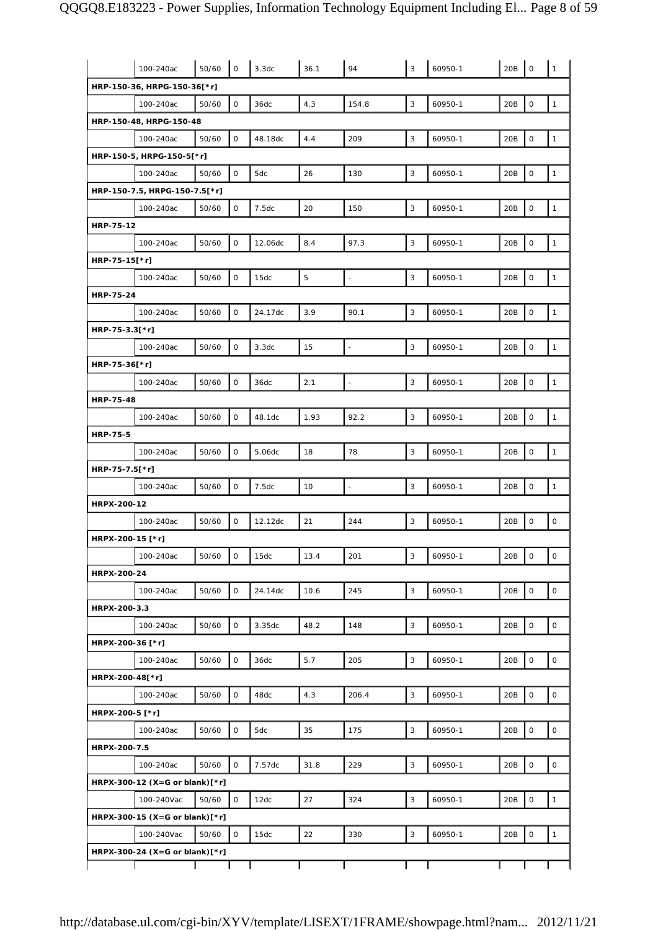|                  | 100-240ac                      | 50/60 | $\mathbf{O}$ | 3.3dc   | 36.1        | 94                       | 3                         | 60950-1 | 20B | $\mathbf 0$         | $\mathbf{1}$        |
|------------------|--------------------------------|-------|--------------|---------|-------------|--------------------------|---------------------------|---------|-----|---------------------|---------------------|
|                  | HRP-150-36, HRPG-150-36[*r]    |       |              |         |             |                          |                           |         |     |                     |                     |
|                  | 100-240ac                      | 50/60 | 0            | 36dc    | 4.3         | 154.8                    | 3                         | 60950-1 | 20B | $\mathsf{O}\xspace$ | $\mathbf{1}$        |
|                  | HRP-150-48, HRPG-150-48        |       |              |         |             |                          |                           |         |     |                     |                     |
|                  | 100-240ac                      | 50/60 | $\mathbf{O}$ | 48.18dc | 4.4         | 209                      | 3                         | 60950-1 | 20B | $\mathbf 0$         | $\mathbf{1}$        |
|                  | HRP-150-5, HRPG-150-5[*r]      |       |              |         |             |                          |                           |         |     |                     |                     |
|                  | 100-240ac                      | 50/60 | 0            | 5dc     | 26          | 130                      | $\ensuremath{\mathsf{3}}$ | 60950-1 | 20B | $\mathsf{O}\xspace$ | $\mathbf 1$         |
|                  | HRP-150-7.5, HRPG-150-7.5[*r]  |       |              |         |             |                          |                           |         |     |                     |                     |
|                  | 100-240ac                      | 50/60 | $\mathsf O$  | 7.5dc   | 20          | 150                      | $\mathsf 3$               | 60950-1 | 20B | $\mathsf{O}\xspace$ | $\mathbf{1}$        |
| HRP-75-12        |                                |       |              |         |             |                          |                           |         |     |                     |                     |
|                  | 100-240ac                      | 50/60 | 0            | 12.06dc | 8.4         | 97.3                     | 3                         | 60950-1 | 20B | $\mathsf{O}\xspace$ | $\mathbf{1}$        |
| HRP-75-15[*r]    |                                |       |              |         |             |                          |                           |         |     |                     |                     |
|                  | 100-240ac                      | 50/60 | $\mathsf O$  | 15dc    | $\mathbf 5$ | L,                       | 3                         | 60950-1 | 20B | $\mathsf{O}\xspace$ | $\mathbf{1}$        |
| <b>HRP-75-24</b> |                                |       |              |         |             |                          |                           |         |     |                     |                     |
|                  | 100-240ac                      | 50/60 | 0            | 24.17dc | 3.9         | 90.1                     | $\mathsf 3$               | 60950-1 | 20B | $\mathsf{O}\xspace$ | $\mathbf{1}$        |
| HRP-75-3.3[*r]   |                                |       |              |         |             |                          |                           |         |     |                     |                     |
|                  | 100-240ac                      | 50/60 | $\mathsf O$  | 3.3dc   | 15          | $\overline{\phantom{a}}$ | 3                         | 60950-1 | 20B | $\mathsf{O}\xspace$ | $\mathbf{1}$        |
| HRP-75-36[*r]    |                                |       |              |         |             |                          |                           |         |     |                     |                     |
|                  | 100-240ac                      | 50/60 | $\mathsf O$  | 36dc    | 2.1         | L.                       | 3                         | 60950-1 | 20B | $\mathsf{O}\xspace$ | $\mathbf{1}$        |
| <b>HRP-75-48</b> |                                |       |              |         |             |                          |                           |         |     |                     |                     |
|                  | 100-240ac                      | 50/60 | $\mathsf O$  | 48.1dc  | 1.93        | 92.2                     | $\mathsf 3$               | 60950-1 | 20B | $\mathbf 0$         | $\mathbf{1}$        |
| <b>HRP-75-5</b>  |                                |       |              |         |             |                          |                           |         |     |                     |                     |
|                  | 100-240ac                      | 50/60 | $\mathsf O$  | 5.06dc  | 18          | 78                       | 3                         | 60950-1 | 20B | $\mathsf{O}\xspace$ | $\mathbf{1}$        |
| HRP-75-7.5[*r]   |                                |       |              |         |             |                          |                           |         |     |                     |                     |
|                  | 100-240ac                      | 50/60 | $\mathsf O$  | 7.5dc   | 10          | $\overline{a}$           | 3                         | 60950-1 | 20B | $\mathsf{O}\xspace$ | $\mathbf{1}$        |
| HRPX-200-12      |                                |       |              |         |             |                          |                           |         |     |                     |                     |
|                  | 100-240ac                      | 50/60 | 0            | 12.12dc | 21          | 244                      | $\mathsf 3$               | 60950-1 | 20B | $\mathsf{O}\xspace$ | $\mathsf{O}\xspace$ |
| HRPX-200-15 [*r] |                                |       |              |         |             |                          |                           |         |     |                     |                     |
|                  | 100-240ac                      | 50/60 | 0            | 15dc    | 13.4        | 201                      | 3                         | 60950-1 | 20B | 0                   | 0                   |
| HRPX-200-24      |                                |       |              |         |             |                          |                           |         |     |                     |                     |
|                  | 100-240ac                      | 50/60 | 0            | 24.14dc | 10.6        | 245                      | $\mathsf 3$               | 60950-1 | 20B | $\mathsf{O}\xspace$ | $\mathsf{O}\xspace$ |
| HRPX-200-3.3     |                                |       |              |         |             |                          |                           |         |     |                     |                     |
|                  | 100-240ac                      | 50/60 | 0            | 3.35dc  | 48.2        | 148                      | 3                         | 60950-1 | 20B | $\mathsf{O}\xspace$ | $\mathsf{O}\xspace$ |
| HRPX-200-36 [*r] |                                |       |              |         |             |                          |                           |         |     |                     |                     |
|                  | 100-240ac                      | 50/60 | 0            | 36dc    | 5.7         | 205                      | 3                         | 60950-1 | 20B | $\mathsf{O}\xspace$ | $\mathsf O$         |
| HRPX-200-48[*r]  |                                |       |              |         |             |                          |                           |         |     |                     |                     |
|                  | 100-240ac                      | 50/60 | $\mathsf O$  | 48dc    | 4.3         | 206.4                    | $\mathsf 3$               | 60950-1 | 20B | $\mathbf 0$         | $\mathsf{O}\xspace$ |
| HRPX-200-5 [*r]  |                                |       |              |         |             |                          |                           |         |     |                     |                     |
|                  | 100-240ac                      | 50/60 | 0            | 5dc     | 35          | 175                      | $\mathsf 3$               | 60950-1 | 20B | $\mathsf{O}\xspace$ | 0                   |
| HRPX-200-7.5     |                                |       |              |         |             |                          |                           |         |     |                     |                     |
|                  | 100-240ac                      | 50/60 | 0            | 7.57dc  | 31.8        | 229                      | $\mathsf 3$               | 60950-1 | 20B | $\mathsf{O}\xspace$ | $\mathsf{O}\xspace$ |
|                  | HRPX-300-12 (X=G or blank)[*r] |       |              |         |             |                          |                           |         |     |                     |                     |
|                  | 100-240Vac                     | 50/60 | 0            | 12dc    | 27          | 324                      | $\mathsf 3$               | 60950-1 | 20B | $\mathbf 0$         | $\mathbf{1}$        |
|                  | HRPX-300-15 (X=G or blank)[*r] |       |              |         |             |                          |                           |         |     |                     |                     |
|                  | 100-240Vac                     | 50/60 | $\mathsf{O}$ | 15dc    | 22          | 330                      | 3                         | 60950-1 | 20B | $\mathsf O$         | $\mathbf{1}$        |
|                  | HRPX-300-24 (X=G or blank)[*r] |       |              |         |             |                          |                           |         |     |                     |                     |
|                  |                                |       |              |         |             |                          |                           |         |     |                     |                     |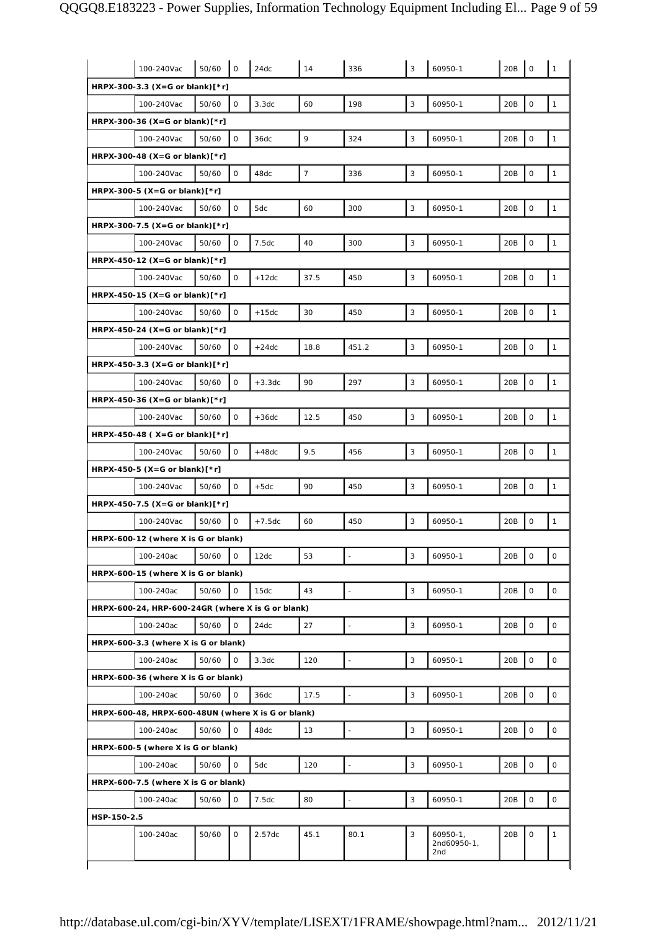|                                                    | 100-240Vac | 50/60 | 0            | 24dc     | 14             | 336   | 3 | 60950-1                            | 20B             | 0                   | 1            |
|----------------------------------------------------|------------|-------|--------------|----------|----------------|-------|---|------------------------------------|-----------------|---------------------|--------------|
| HRPX-300-3.3 (X=G or blank)[*r]                    |            |       |              |          |                |       |   |                                    |                 |                     |              |
|                                                    | 100-240Vac | 50/60 | 0            | 3.3dc    | 60             | 198   | 3 | 60950-1                            | 20B             | 0                   | $\mathbf{1}$ |
| HRPX-300-36 (X=G or blank)[*r]                     |            |       |              |          |                |       |   |                                    |                 |                     |              |
|                                                    | 100-240Vac | 50/60 | $\mathbf 0$  | 36dc     | 9              | 324   | 3 | 60950-1                            | 20B             | $\mathbf 0$         | $\mathbf{1}$ |
| HRPX-300-48 $(X = G \text{ or blank})$ [*r]        |            |       |              |          |                |       |   |                                    |                 |                     |              |
|                                                    | 100-240Vac | 50/60 | 0            | 48dc     | $\overline{7}$ | 336   | 3 | 60950-1                            | 20B             | $\mathsf{O}\xspace$ | $\mathbf{1}$ |
| HRPX-300-5 (X=G or blank)[*r]                      |            |       |              |          |                |       |   |                                    |                 |                     |              |
|                                                    | 100-240Vac | 50/60 | $\mathsf O$  | 5dc      | 60             | 300   | 3 | 60950-1                            | 20B             | $\mathsf{O}\xspace$ | $\mathbf{1}$ |
| HRPX-300-7.5 (X=G or blank)[*r]                    |            |       |              |          |                |       |   |                                    |                 |                     |              |
|                                                    | 100-240Vac | 50/60 | 0            | 7.5dc    | 40             | 300   | 3 | 60950-1                            | 20B             | 0                   | $\mathbf{1}$ |
| HRPX-450-12 (X=G or blank) $[*r]$                  |            |       |              |          |                |       |   |                                    |                 |                     |              |
|                                                    | 100-240Vac | 50/60 | 0            | $+12dc$  | 37.5           | 450   | 3 | 60950-1                            | 20B             | $\mathbf 0$         | $\mathbf{1}$ |
| $HRPX-450-15 (X=G or blank)[*r]$                   |            |       |              |          |                |       |   |                                    |                 |                     |              |
|                                                    | 100-240Vac | 50/60 | 0            | $+15dc$  | 30             | 450   | 3 | 60950-1                            | 20 <sub>B</sub> | $\mathsf{O}\xspace$ | $\mathbf{1}$ |
| HRPX-450-24 (X=G or blank) $[*r]$                  |            |       |              |          |                |       |   |                                    |                 |                     |              |
|                                                    | 100-240Vac | 50/60 | 0            | $+24dc$  | 18.8           | 451.2 | 3 | 60950-1                            | 20B             | $\mathsf{O}\xspace$ | $\mathbf{1}$ |
| HRPX-450-3.3 (X=G or blank)[*r]                    |            |       |              |          |                |       |   |                                    |                 |                     |              |
|                                                    | 100-240Vac | 50/60 | 0            | $+3.3dc$ | 90             | 297   | 3 | 60950-1                            | 20B             | 0                   | $\mathbf{1}$ |
| HRPX-450-36 (X=G or blank) $[*r]$                  |            |       |              |          |                |       |   |                                    |                 |                     |              |
|                                                    | 100-240Vac | 50/60 | $\mathbf 0$  | $+36dc$  | 12.5           | 450   | 3 | 60950-1                            | 20B             | $\mathbf 0$         | $\mathbf{1}$ |
| $HRPX-450-48$ (X=G or blank)[*r]                   |            |       |              |          |                |       |   |                                    |                 |                     |              |
|                                                    | 100-240Vac | 50/60 | 0            | $+48dc$  | 9.5            | 456   | 3 | 60950-1                            | 20B             | $\mathsf{O}\xspace$ | $\mathbf{1}$ |
| HRPX-450-5 (X=G or blank) $[*r]$                   |            |       |              |          |                |       |   |                                    |                 |                     |              |
|                                                    | 100-240Vac | 50/60 | $\mathsf O$  | $+5dc$   | 90             | 450   | 3 | 60950-1                            | 20B             | $\mathsf{O}$        | $\mathbf{1}$ |
| $HRPX-450-7.5 (X=6 or blank)[*r]$                  |            |       |              |          |                |       |   |                                    |                 |                     |              |
|                                                    | 100-240Vac | 50/60 | 0            | $+7.5dc$ | 60             | 450   | 3 | 60950-1                            | 20B             | 0                   | $\mathbf{1}$ |
| HRPX-600-12 (where X is G or blank)                |            |       |              |          |                |       |   |                                    |                 |                     |              |
|                                                    | 100-240ac  | 50/60 | 0            | 12dc     | 53             |       | 3 | 60950-1                            | 20B             | 0                   | 0            |
| HRPX-600-15 (where X is G or blank)                |            |       |              |          |                |       |   |                                    |                 |                     |              |
|                                                    | 100-240ac  | 50/60 | 0            | 15dc     | 43             | L,    | 3 | 60950-1                            | 20B             | $\mathsf{O}\xspace$ | 0            |
| HRPX-600-24, HRP-600-24GR (where X is G or blank)  |            |       |              |          |                |       |   |                                    |                 |                     |              |
|                                                    | 100-240ac  | 50/60 | $\mathbf 0$  | 24dc     | 27             | L,    | 3 | 60950-1                            | 20B             | $\mathsf{O}\xspace$ | 0            |
| HRPX-600-3.3 (where X is G or blank)               |            |       |              |          |                |       |   |                                    |                 |                     |              |
|                                                    | 100-240ac  | 50/60 | 0            | 3.3dc    | 120            |       | 3 | 60950-1                            | 20B             | 0                   | 0            |
| HRPX-600-36 (where X is G or blank)                |            |       |              |          |                |       |   |                                    |                 |                     |              |
|                                                    | 100-240ac  | 50/60 | 0            | 36dc     | 17.5           |       | 3 | 60950-1                            | 20B             | $\mathbf 0$         | 0            |
| HRPX-600-48, HRPX-600-48UN (where X is G or blank) |            |       |              |          |                |       |   |                                    |                 |                     |              |
|                                                    | 100-240ac  | 50/60 | $\mathsf{O}$ | 48dc     | 13             | ä,    | 3 | 60950-1                            | 20B             | $\mathsf{O}\xspace$ | 0            |
| HRPX-600-5 (where X is G or blank)                 |            |       |              |          |                |       |   |                                    |                 |                     |              |
|                                                    | 100-240ac  | 50/60 | 0            | 5dc      | 120            |       | 3 | 60950-1                            | 20B             | $\mathsf O$         | 0            |
| HRPX-600-7.5 (where X is G or blank)               |            |       |              |          |                |       |   |                                    |                 |                     |              |
|                                                    | 100-240ac  | 50/60 | 0            | 7.5dc    | 80             |       | 3 | 60950-1                            | 20B             | 0                   | $\mathsf O$  |
| HSP-150-2.5                                        |            |       |              |          |                |       |   |                                    |                 |                     |              |
|                                                    | 100-240ac  | 50/60 | O            | 2.57dc   | 45.1           | 80.1  | 3 | $60950 - 1,$<br>2nd60950-1,<br>2nd | 20B             | $\mathbf 0$         | $\mathbf{1}$ |
|                                                    |            |       |              |          |                |       |   |                                    |                 |                     |              |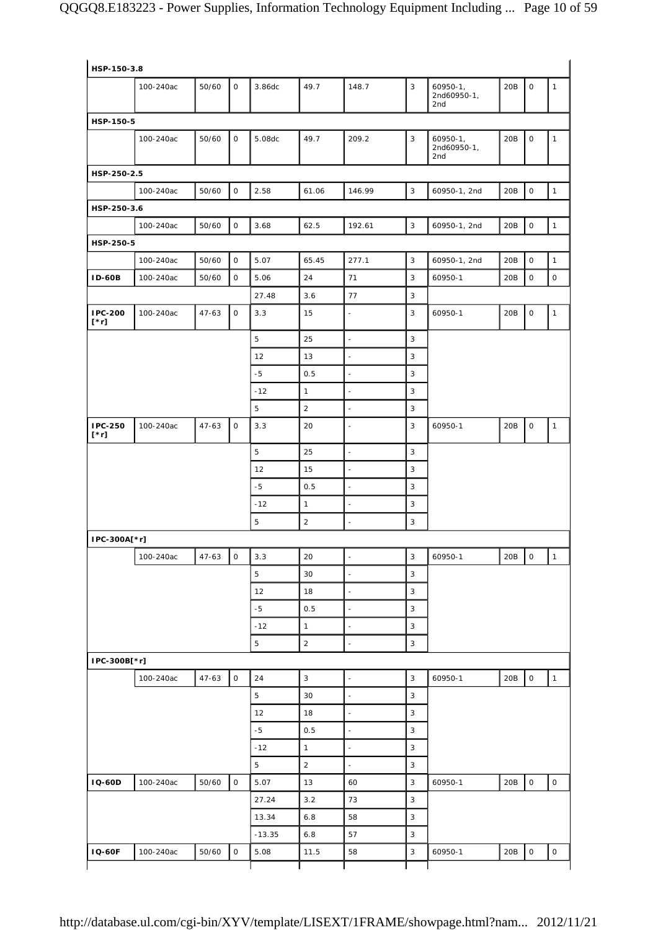| HSP-150-3.8            |           |           |              |          |                |                          |                |                                     |     |                     |              |
|------------------------|-----------|-----------|--------------|----------|----------------|--------------------------|----------------|-------------------------------------|-----|---------------------|--------------|
|                        | 100-240ac | 50/60     | 0            | 3.86dc   | 49.7           | 148.7                    | $\overline{3}$ | $60950 - 1$ ,<br>2nd60950-1,<br>2nd | 20B | 0                   | $\mathbf{1}$ |
| HSP-150-5              |           |           |              |          |                |                          |                |                                     |     |                     |              |
|                        | 100-240ac | 50/60     | 0            | 5.08dc   | 49.7           | 209.2                    | 3              | $60950 - 1,$<br>2nd60950-1,<br>2nd  | 20B | 0                   | $\mathbf{1}$ |
| HSP-250-2.5            |           |           |              |          |                |                          |                |                                     |     |                     |              |
|                        | 100-240ac | 50/60     | $\mathsf O$  | 2.58     | 61.06          | 146.99                   | $\mathbf{3}$   | 60950-1, 2nd                        | 20B | $\circ$             | $\mathbf{1}$ |
| HSP-250-3.6            |           |           |              |          |                |                          |                |                                     |     |                     |              |
|                        | 100-240ac | 50/60     | $\mathsf{O}$ | 3.68     | 62.5           | 192.61                   | $\mathbf{3}$   | 60950-1, 2nd                        | 20B | $\mathsf{O}\xspace$ | $\mathbf{1}$ |
| HSP-250-5              |           |           |              |          |                |                          |                |                                     |     |                     |              |
|                        | 100-240ac | 50/60     | $\mathsf{O}$ | 5.07     | 65.45          | 277.1                    | $\mathbf{3}$   | 60950-1, 2nd                        | 20B | $\circ$             | $\mathbf{1}$ |
| <b>ID-60B</b>          | 100-240ac | 50/60     | 0            | 5.06     | 24             | 71                       | 3              | 60950-1                             | 20B | $\mathsf{O}\xspace$ | $\mathsf{O}$ |
|                        |           |           |              | 27.48    | 3.6            | 77                       | 3              |                                     |     |                     |              |
| IPC-200<br>$[\cdot r]$ | 100-240ac | $47 - 63$ | 0            | 3.3      | 15             | $\overline{\phantom{a}}$ | 3              | 60950-1                             | 20B | 0                   | $\mathbf{1}$ |
|                        |           |           |              | 5        | 25             | $\overline{\phantom{a}}$ | 3              |                                     |     |                     |              |
|                        |           |           |              | 12       | 13             | $\frac{1}{2}$            | 3              |                                     |     |                     |              |
|                        |           |           |              | $-5$     | 0.5            | $\overline{\phantom{a}}$ | 3              |                                     |     |                     |              |
|                        |           |           |              | $-12$    | $\mathbf{1}$   | $\overline{\phantom{a}}$ | 3              |                                     |     |                     |              |
|                        |           |           |              | 5        | $\overline{2}$ | $\blacksquare$           | 3              |                                     |     |                     |              |
| IPC-250<br>$[\cdot r]$ | 100-240ac | $47 - 63$ | 0            | 3.3      | 20             | $\overline{\phantom{a}}$ | 3              | 60950-1                             | 20B | 0                   | $\mathbf{1}$ |
|                        |           |           |              | 5        | 25             | $\blacksquare$           | 3              |                                     |     |                     |              |
|                        |           |           |              | 12       | 15             | $\omega$                 | 3              |                                     |     |                     |              |
|                        |           |           |              | $-5$     | 0.5            | $\overline{\phantom{a}}$ | 3              |                                     |     |                     |              |
|                        |           |           |              | $-12$    | $\mathbf{1}$   |                          | 3              |                                     |     |                     |              |
|                        |           |           |              | 5        | $\overline{a}$ | $\overline{\phantom{a}}$ | 3              |                                     |     |                     |              |
| IPC-300A[*r]           |           |           |              |          |                |                          |                |                                     |     |                     |              |
|                        | 100-240ac | 47-63     | 0            | 3.3      | 20             | $\overline{\phantom{a}}$ | 3              | 60950-1                             | 20B | $\overline{1}$      | $\mathbf{1}$ |
|                        |           |           |              | 5        | 30             | $\blacksquare$           | 3              |                                     |     |                     |              |
|                        |           |           |              | 12       | 18             | $\frac{1}{2}$            | $\mathbf{3}$   |                                     |     |                     |              |
|                        |           |           |              | $-5$     | 0.5            | $\overline{\phantom{a}}$ | 3              |                                     |     |                     |              |
|                        |           |           |              | $-12$    | $\mathbf{1}$   | $\overline{\phantom{a}}$ | $\mathbf{3}$   |                                     |     |                     |              |
|                        |           |           |              | 5        | $\overline{a}$ | $\overline{\phantom{a}}$ | 3              |                                     |     |                     |              |
| IPC-300B[*r]           |           |           |              |          |                |                          |                |                                     |     |                     |              |
|                        | 100-240ac | $47 - 63$ | $\mathsf{O}$ | 24       | 3              | $\overline{\phantom{a}}$ | 3              | 60950-1                             | 20B | 0                   | $\mathbf{1}$ |
|                        |           |           |              | 5        | 30             | $\overline{\phantom{a}}$ | $\mathbf{3}$   |                                     |     |                     |              |
|                        |           |           |              | 12       | 18             | $\blacksquare$           | 3              |                                     |     |                     |              |
|                        |           |           |              | $-5$     | 0.5            | $\frac{1}{2}$            | 3              |                                     |     |                     |              |
|                        |           |           |              | $-12$    | $\mathbf{1}$   | $\blacksquare$           | 3              |                                     |     |                     |              |
|                        |           |           |              | 5        | $\overline{2}$ | $\blacksquare$           | $\mathbf{3}$   |                                     |     |                     |              |
| <b>IQ-60D</b>          | 100-240ac | 50/60     | $\mathsf{O}$ | 5.07     | 13             | 60                       | 3              | 60950-1                             | 20B | $\mathsf{O}$        | $\mathsf{O}$ |
|                        |           |           |              | 27.24    | 3.2            | 73                       | $\mathbf{3}$   |                                     |     |                     |              |
|                        |           |           |              | 13.34    | 6.8            | 58                       | 3              |                                     |     |                     |              |
|                        |           |           |              | $-13.35$ | 6.8            | 57                       | 3              |                                     |     |                     |              |
| <b>IQ-60F</b>          | 100-240ac | 50/60     | 0            | 5.08     | 11.5           | 58                       | $\mathbf{3}$   | 60950-1                             | 20B | $\mathsf{O}$        | 0            |
|                        |           |           |              |          |                |                          |                |                                     |     |                     |              |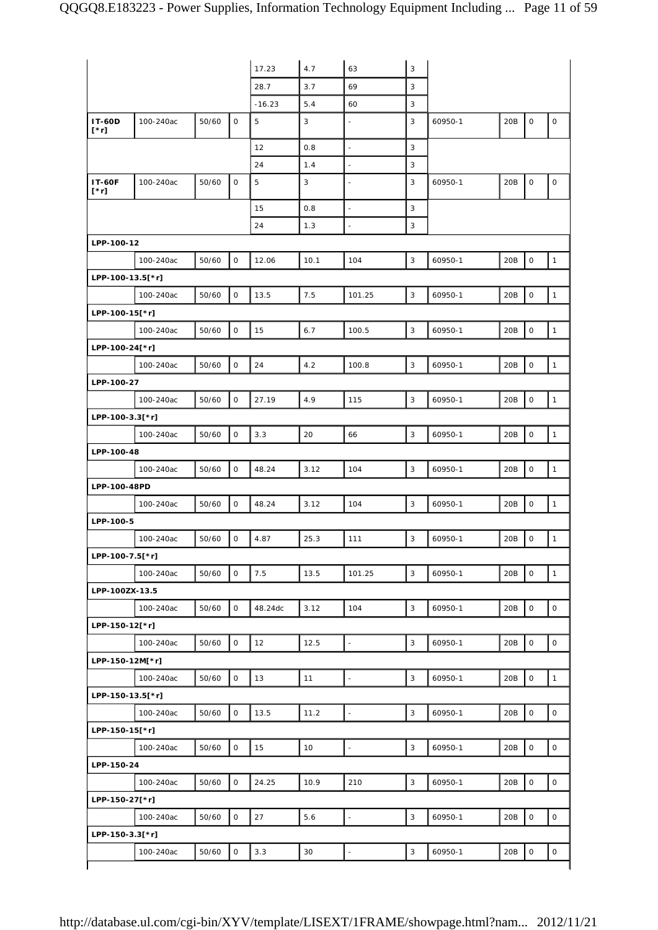|                              |           |       |              | 17.23    | 4.7  | 63                       | 3            |         |     |                     |                     |
|------------------------------|-----------|-------|--------------|----------|------|--------------------------|--------------|---------|-----|---------------------|---------------------|
|                              |           |       |              |          |      |                          |              |         |     |                     |                     |
|                              |           |       |              | 28.7     | 3.7  | 69                       | 3            |         |     |                     |                     |
|                              |           |       |              | $-16.23$ | 5.4  | 60                       | 3            |         |     |                     |                     |
| <b>IT-60D</b><br>$[^*r]$     | 100-240ac | 50/60 | $\mathsf O$  | 5        | 3    | L,                       | 3            | 60950-1 | 20B | $\mathsf O$         | $\mathsf O$         |
|                              |           |       |              | 12       | 0.8  | $\overline{\phantom{a}}$ | 3            |         |     |                     |                     |
|                              |           |       |              | 24       | 1.4  | L,                       | 3            |         |     |                     |                     |
| <b>IT-60F</b><br>$[\cdot r]$ | 100-240ac | 50/60 | $\mathsf O$  | 5        | 3    |                          | 3            | 60950-1 | 20B | $\mathsf O$         | 0                   |
|                              |           |       |              | 15       | 0.8  | L,                       | 3            |         |     |                     |                     |
|                              |           |       |              | 24       | 1.3  | L,                       | 3            |         |     |                     |                     |
| LPP-100-12                   |           |       |              |          |      |                          |              |         |     |                     |                     |
|                              | 100-240ac | 50/60 | $\mathsf{O}$ | 12.06    | 10.1 | 104                      | 3            | 60950-1 | 20B | $\mathsf O$         | $\mathbf{1}$        |
| LPP-100-13.5[*r]             |           |       |              |          |      |                          |              |         |     |                     |                     |
|                              | 100-240ac | 50/60 | $\mathsf O$  | 13.5     | 7.5  | 101.25                   | 3            | 60950-1 | 20B | $\mathsf O$         | $\mathbf{1}$        |
| LPP-100-15[*r]               |           |       |              |          |      |                          |              |         |     |                     |                     |
|                              | 100-240ac | 50/60 | 0            | 15       | 6.7  | 100.5                    | 3            | 60950-1 | 20B | $\mathsf O$         | $\mathbf{1}$        |
| LPP-100-24[*r]               |           |       |              |          |      |                          |              |         |     |                     |                     |
|                              |           |       |              |          |      |                          |              |         |     |                     |                     |
|                              | 100-240ac | 50/60 | $\mathsf O$  | 24       | 4.2  | 100.8                    | 3            | 60950-1 | 20B | $\mathsf O$         | $\mathbf{1}$        |
| LPP-100-27                   |           |       |              |          |      |                          |              |         |     |                     |                     |
|                              | 100-240ac | 50/60 | 0            | 27.19    | 4.9  | 115                      | $\sqrt{3}$   | 60950-1 | 20B | $\mathsf O$         | $\mathbf{1}$        |
| LPP-100-3.3[*r]              |           |       |              |          |      |                          |              |         |     |                     |                     |
|                              | 100-240ac | 50/60 | $\mathsf O$  | 3.3      | 20   | 66                       | 3            | 60950-1 | 20B | $\mathsf O$         | $\mathbf{1}$        |
| LPP-100-48                   |           |       |              |          |      |                          |              |         |     |                     |                     |
|                              | 100-240ac | 50/60 | 0            | 48.24    | 3.12 | 104                      | 3            | 60950-1 | 20B | $\mathsf O$         | $\mathbf{1}$        |
| LPP-100-48PD                 |           |       |              |          |      |                          |              |         |     |                     |                     |
|                              | 100-240ac | 50/60 | 0            | 48.24    | 3.12 | 104                      | 3            | 60950-1 | 20B | $\mathsf O$         | $\mathbf{1}$        |
| LPP-100-5                    |           |       |              |          |      |                          |              |         |     |                     |                     |
|                              | 100-240ac | 50/60 | O            | 4.87     | 25.3 | 111                      | 3            | 60950-1 | 20B | $\mathbf 0$         | $\mathbf{1}$        |
| LPP-100-7.5[*r]              |           |       |              |          |      |                          |              |         |     |                     |                     |
|                              | 100-240ac | 50/60 | $\mathbf{O}$ | 7.5      | 13.5 | 101.25                   | 3            | 60950-1 | 20B | $\mathbf 0$         | $\mathbf{1}$        |
| LPP-100ZX-13.5               |           |       |              |          |      |                          |              |         |     |                     |                     |
|                              | 100-240ac | 50/60 | $\mathsf{O}$ | 48.24dc  | 3.12 | 104                      | 3            | 60950-1 | 20B | $\mathsf O$         | $\circ$             |
| LPP-150-12[*r]               |           |       |              |          |      |                          |              |         |     |                     |                     |
|                              | 100-240ac | 50/60 | $\mathsf O$  | 12       | 12.5 | $\overline{\phantom{a}}$ | 3            | 60950-1 | 20B | $\mathsf{O}\xspace$ | $\mathsf{O}\xspace$ |
|                              |           |       |              |          |      |                          |              |         |     |                     |                     |
| LPP-150-12M[*r]              |           |       |              |          |      |                          |              |         |     |                     |                     |
|                              | 100-240ac | 50/60 | $\mathsf O$  | 13       | 11   | $\overline{\phantom{a}}$ | $\mathsf 3$  | 60950-1 | 20B | $\mathsf O$         | $\mathbf{1}$        |
| LPP-150-13.5[*r]             |           |       |              |          |      |                          |              |         |     |                     |                     |
|                              | 100-240ac | 50/60 | $\mathbf 0$  | 13.5     | 11.2 | $\ddot{\phantom{1}}$     | $\mathbf{3}$ | 60950-1 | 20B | $\mathbf 0$         | $\mathsf{O}\xspace$ |
| LPP-150-15[*r]               |           |       |              |          |      |                          |              |         |     |                     |                     |
|                              | 100-240ac | 50/60 | 0            | 15       | 10   | $\blacksquare$           | 3            | 60950-1 | 20B | $\mathsf{O}\xspace$ | $\circ$             |
| LPP-150-24                   |           |       |              |          |      |                          |              |         |     |                     |                     |
|                              | 100-240ac | 50/60 | $\mathbf{O}$ | 24.25    | 10.9 | 210                      | 3            | 60950-1 | 20B | $\mathsf{O}\xspace$ | $\mathsf O$         |
| LPP-150-27[*r]               |           |       |              |          |      |                          |              |         |     |                     |                     |
|                              | 100-240ac | 50/60 | 0            | 27       | 5.6  | $\blacksquare$           | 3            | 60950-1 | 20B | $\mathsf O$         | 0                   |
| LPP-150-3.3[*r]              |           |       |              |          |      |                          |              |         |     |                     |                     |
|                              | 100-240ac | 50/60 | 0            | 3.3      | 30   | $\blacksquare$           | 3            | 60950-1 | 20B | $\mathsf O$         | 0                   |
|                              |           |       |              |          |      |                          |              |         |     |                     |                     |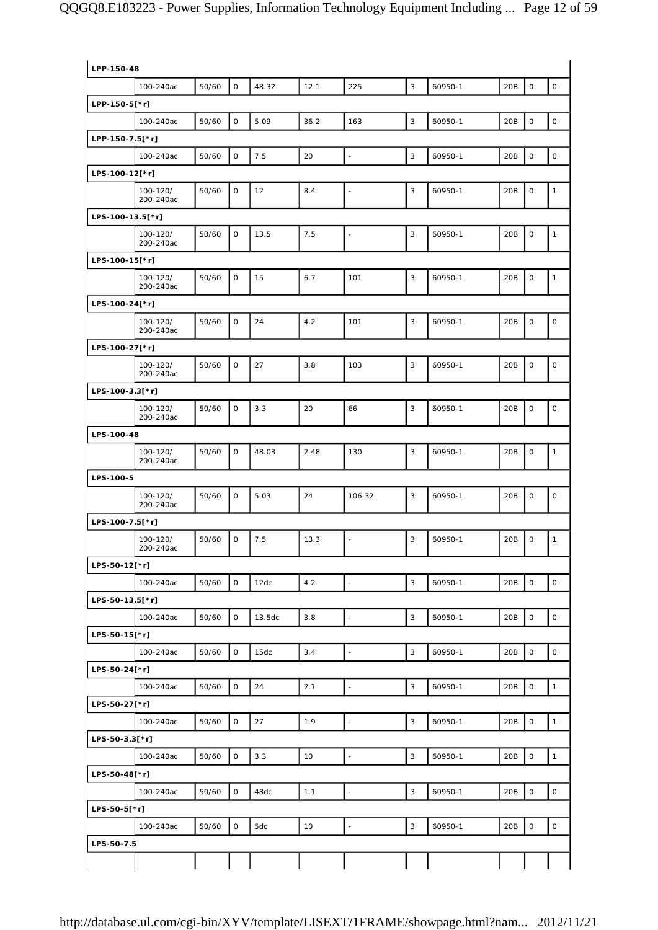| LPP-150-48       |                       |       |              |        |      |                          |              |         |     |                     |                     |
|------------------|-----------------------|-------|--------------|--------|------|--------------------------|--------------|---------|-----|---------------------|---------------------|
|                  | 100-240ac             | 50/60 | $\mathsf{O}$ | 48.32  | 12.1 | 225                      | 3            | 60950-1 | 20B | $\mathsf{O}\xspace$ | $\mathsf O$         |
| LPP-150-5[*r]    |                       |       |              |        |      |                          |              |         |     |                     |                     |
|                  | 100-240ac             | 50/60 | $\mathsf O$  | 5.09   | 36.2 | 163                      | 3            | 60950-1 | 20B | $\mathsf{O}\xspace$ | $\mathsf O$         |
| LPP-150-7.5[*r]  |                       |       |              |        |      |                          |              |         |     |                     |                     |
|                  | 100-240ac             | 50/60 | $\mathbf 0$  | 7.5    | 20   | $\overline{\phantom{a}}$ | 3            | 60950-1 | 20B | $\mathbf 0$         | $\mathsf O$         |
| LPS-100-12[*r]   |                       |       |              |        |      |                          |              |         |     |                     |                     |
|                  | 100-120/<br>200-240ac | 50/60 | $\mathbf{O}$ | 12     | 8.4  |                          | 3            | 60950-1 | 20B | $\mathbf 0$         | $\mathbf{1}$        |
| LPS-100-13.5[*r] |                       |       |              |        |      |                          |              |         |     |                     |                     |
|                  | 100-120/<br>200-240ac | 50/60 | $\mathbf{O}$ | 13.5   | 7.5  | Ē,                       | 3            | 60950-1 | 20B | $\mathbf 0$         | $\mathbf{1}$        |
| LPS-100-15[*r]   |                       |       |              |        |      |                          |              |         |     |                     |                     |
|                  | 100-120/<br>200-240ac | 50/60 | 0            | 15     | 6.7  | 101                      | 3            | 60950-1 | 20B | $\mathsf O$         | $\mathbf{1}$        |
| LPS-100-24[*r]   |                       |       |              |        |      |                          |              |         |     |                     |                     |
|                  | 100-120/<br>200-240ac | 50/60 | $\mathsf{O}$ | 24     | 4.2  | 101                      | 3            | 60950-1 | 20B | $\mathsf O$         | $\mathsf O$         |
| LPS-100-27[*r]   |                       |       |              |        |      |                          |              |         |     |                     |                     |
|                  | 100-120/<br>200-240ac | 50/60 | $\mathbf{O}$ | 27     | 3.8  | 103                      | 3            | 60950-1 | 20B | 0                   | $\mathsf O$         |
| LPS-100-3.3[*r]  |                       |       |              |        |      |                          |              |         |     |                     |                     |
|                  | 100-120/<br>200-240ac | 50/60 | $\mathbf{O}$ | 3.3    | 20   | 66                       | 3            | 60950-1 | 20B | 0                   | $\mathsf O$         |
| LPS-100-48       |                       |       |              |        |      |                          |              |         |     |                     |                     |
|                  | 100-120/<br>200-240ac | 50/60 | 0            | 48.03  | 2.48 | 130                      | 3            | 60950-1 | 20B | $\mathsf O$         | $\mathbf{1}$        |
| LPS-100-5        |                       |       |              |        |      |                          |              |         |     |                     |                     |
|                  | 100-120/<br>200-240ac | 50/60 | $\mathbf 0$  | 5.03   | 24   | 106.32                   | 3            | 60950-1 | 20B | $\mathbf 0$         | $\mathsf O$         |
| LPS-100-7.5[*r]  |                       |       |              |        |      |                          |              |         |     |                     |                     |
|                  | 100-120/<br>200-240ac | 50/60 | $\mathsf O$  | 7.5    | 13.3 |                          | 3            | 60950-1 | 20B | $\mathsf O$         | $\mathbf{1}$        |
| LPS-50-12[*r]    |                       |       |              |        |      |                          |              |         |     |                     |                     |
|                  | 100-240ac             | 50/60 | $\mathsf O$  | 12dc   | 4.2  | $\blacksquare$           | $\mathbf{3}$ | 60950-1 | 20B | $\mathsf{O}\xspace$ | $\mathsf{O}\xspace$ |
| LPS-50-13.5[*r]  |                       |       |              |        |      |                          |              |         |     |                     |                     |
|                  | 100-240ac             | 50/60 | $\mathsf O$  | 13.5dc | 3.8  | $\overline{\phantom{a}}$ | $\mathsf 3$  | 60950-1 | 20B | $\mathsf{O}\xspace$ | $\mathsf O$         |
| LPS-50-15[*r]    |                       |       |              |        |      |                          |              |         |     |                     |                     |
|                  | 100-240ac             | 50/60 | $\mathsf O$  | 15dc   | 3.4  | $\overline{\phantom{a}}$ | $\mathbf{3}$ | 60950-1 | 20B | $\mathsf{O}\xspace$ | $\mathsf{O}\xspace$ |
| LPS-50-24[*r]    |                       |       |              |        |      |                          |              |         |     |                     |                     |
|                  | 100-240ac             | 50/60 | 0            | 24     | 2.1  | $\blacksquare$           | 3            | 60950-1 | 20B | $\mathsf O$         | $\mathbf{1}$        |
| LPS-50-27[*r]    |                       |       |              |        |      |                          |              |         |     |                     |                     |
|                  | 100-240ac             | 50/60 | 0            | 27     | 1.9  | $\overline{a}$           | $\mathsf 3$  | 60950-1 | 20B | $\mathsf{O}\xspace$ | $\mathbf{1}$        |
| LPS-50-3.3[*r]   | 100-240ac             | 50/60 | $\mathsf O$  | 3.3    | 10   | $\Box$                   | $\mathsf 3$  | 60950-1 | 20B | $\mathsf O$         | $\mathbf 1$         |
| LPS-50-48[*r]    |                       |       |              |        |      |                          |              |         |     |                     |                     |
|                  | 100-240ac             | 50/60 | $\mathsf O$  | 48dc   | 1.1  | ÷,                       | $\mathbf{3}$ | 60950-1 | 20B | $\mathsf{O}\xspace$ | $\mathsf{O}\xspace$ |
| LPS-50-5[*r]     |                       |       |              |        |      |                          |              |         |     |                     |                     |
|                  | 100-240ac             | 50/60 | 0            | 5dc    | 10   |                          | 3            | 60950-1 | 20B | $\mathsf{O}\xspace$ | $\mathsf O$         |
|                  |                       |       |              |        |      |                          |              |         |     |                     |                     |
| LPS-50-7.5       |                       |       |              |        |      |                          |              |         |     |                     |                     |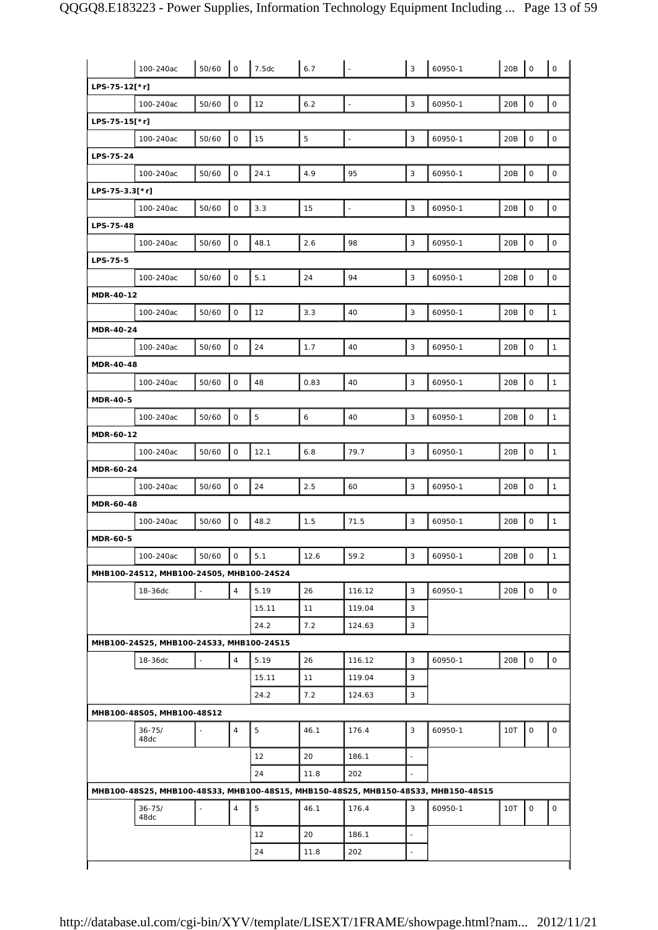|                  | 100-240ac                                | 50/60 | $\mathsf{O}$   | 7.5dc       | 6.7         |                          | 3                        | 60950-1                                                                            | 20B        | $\mathsf O$         | $\mathsf O$         |
|------------------|------------------------------------------|-------|----------------|-------------|-------------|--------------------------|--------------------------|------------------------------------------------------------------------------------|------------|---------------------|---------------------|
| LPS-75-12[*r]    |                                          |       |                |             |             |                          |                          |                                                                                    |            |                     |                     |
|                  | 100-240ac                                | 50/60 | $\mathsf O$    | 12          | 6.2         | $\overline{\phantom{a}}$ | 3                        | 60950-1                                                                            | 20B        | $\mathsf{O}\xspace$ | $\mathsf O$         |
| LPS-75-15[*r]    |                                          |       |                |             |             |                          |                          |                                                                                    |            |                     |                     |
|                  | 100-240ac                                | 50/60 | $\mathbf 0$    | 15          | $\mathbf 5$ | $\overline{\phantom{a}}$ | $\mathsf 3$              | 60950-1                                                                            | 20B        | $\mathsf O$         | $\circ$             |
| LPS-75-24        |                                          |       |                |             |             |                          |                          |                                                                                    |            |                     |                     |
|                  | 100-240ac                                | 50/60 | $\mathsf{O}$   | 24.1        | 4.9         | 95                       | 3                        | 60950-1                                                                            | 20B        | $\mathsf{O}\xspace$ | $\mathsf O$         |
| LPS-75-3.3[*r]   |                                          |       |                |             |             |                          |                          |                                                                                    |            |                     |                     |
|                  | 100-240ac                                | 50/60 | $\mathsf O$    | 3.3         | 15          | $\overline{\phantom{a}}$ | 3                        | 60950-1                                                                            | 20B        | $\mathsf O$         | $\mathsf O$         |
| LPS-75-48        |                                          |       |                |             |             |                          |                          |                                                                                    |            |                     |                     |
|                  | 100-240ac                                | 50/60 | $\mathsf O$    | 48.1        | 2.6         | 98                       | 3                        | 60950-1                                                                            | 20B        | 0                   | 0                   |
| LPS-75-5         |                                          |       |                |             |             |                          |                          |                                                                                    |            |                     |                     |
|                  | 100-240ac                                | 50/60 | $\mathbf 0$    | 5.1         | 24          | 94                       | 3                        | 60950-1                                                                            | 20B        | $\mathsf O$         | 0                   |
| MDR-40-12        |                                          |       |                |             |             |                          |                          |                                                                                    |            |                     |                     |
|                  | 100-240ac                                | 50/60 | $\mathsf O$    | 12          | 3.3         | 40                       | 3                        | 60950-1                                                                            | 20B        | $\mathsf O$         | $\mathbf{1}$        |
| <b>MDR-40-24</b> |                                          |       |                |             |             |                          |                          |                                                                                    |            |                     |                     |
|                  | 100-240ac                                | 50/60 | $\mathbf 0$    | 24          | 1.7         | 40                       | 3                        | 60950-1                                                                            | 20B        | $\mathsf O$         | $\mathbf{1}$        |
| <b>MDR-40-48</b> |                                          |       |                |             |             |                          |                          |                                                                                    |            |                     |                     |
|                  | 100-240ac                                | 50/60 | $\mathsf O$    | 48          | 0.83        | 40                       | 3                        | 60950-1                                                                            | 20B        | $\mathsf O$         | $\mathbf{1}$        |
| <b>MDR-40-5</b>  |                                          |       |                |             |             |                          |                          |                                                                                    |            |                     |                     |
|                  | 100-240ac                                | 50/60 | $\mathbf 0$    | $\mathbf 5$ | $\epsilon$  | 40                       | 3                        | 60950-1                                                                            | 20B        | $\mathsf O$         | $\mathbf{1}$        |
| MDR-60-12        |                                          |       |                |             |             |                          |                          |                                                                                    |            |                     |                     |
|                  | 100-240ac                                | 50/60 | $\mathsf{O}$   | 12.1        | 6.8         | 79.7                     | 3                        | 60950-1                                                                            | 20B        | $\mathsf O$         | $\mathbf{1}$        |
| MDR-60-24        |                                          |       |                |             |             |                          |                          |                                                                                    |            |                     |                     |
|                  | 100-240ac                                | 50/60 | $\mathbf 0$    | 24          | 2.5         | 60                       | 3                        | 60950-1                                                                            | 20B        | $\mathsf O$         | $\mathbf{1}$        |
| MDR-60-48        |                                          |       |                |             |             |                          |                          |                                                                                    |            |                     |                     |
|                  | 100-240ac                                | 50/60 | 0              | 48.2        | 1.5         | 71.5                     | 3                        | 60950-1                                                                            | 20B        | 0                   | $\mathbf{1}$        |
| <b>MDR-60-5</b>  |                                          |       |                |             |             |                          |                          |                                                                                    |            |                     |                     |
|                  | 100-240ac                                | 50/60 | 0              | 5.1         | 12.6        | 59.2                     | 3                        | 60950-1                                                                            | 20B        | $\overline{1}$      | $\mathbf{1}$        |
|                  | MHB100-24S12, MHB100-24S05, MHB100-24S24 |       |                |             |             |                          |                          |                                                                                    |            |                     |                     |
|                  | 18-36dc                                  |       | $\overline{4}$ | 5.19        | 26          | 116.12                   | $\mathbf{3}$             | 60950-1                                                                            | 20B        | $\mathsf O$         | $\mathsf{O}\xspace$ |
|                  |                                          |       |                | 15.11       | 11          | 119.04                   | 3                        |                                                                                    |            |                     |                     |
|                  |                                          |       |                | 24.2        | 7.2         | 124.63                   | 3                        |                                                                                    |            |                     |                     |
|                  | MHB100-24S25, MHB100-24S33, MHB100-24S15 |       |                |             |             |                          |                          |                                                                                    |            |                     |                     |
|                  | 18-36dc                                  |       | $\overline{4}$ | 5.19        | 26          | 116.12                   | 3                        | 60950-1                                                                            | 20B        | $\mathsf O$         | 0                   |
|                  |                                          |       |                | 15.11       | 11          | 119.04                   | 3                        |                                                                                    |            |                     |                     |
|                  |                                          |       |                | 24.2        | 7.2         | 124.63                   | 3                        |                                                                                    |            |                     |                     |
|                  | MHB100-48S05, MHB100-48S12               |       |                |             |             |                          |                          |                                                                                    |            |                     |                     |
|                  | $36 - 75/$<br>48dc                       |       | $\overline{4}$ | 5           | 46.1        | 176.4                    | 3                        | 60950-1                                                                            | 10T        | 0                   | 0                   |
|                  |                                          |       |                | 12          | 20          | 186.1                    | $\frac{1}{2}$            |                                                                                    |            |                     |                     |
|                  |                                          |       |                | 24          | 11.8        | 202                      | $\overline{a}$           |                                                                                    |            |                     |                     |
|                  |                                          |       |                |             |             |                          |                          | MHB100-48S25, MHB100-48S33, MHB100-48S15, MHB150-48S25, MHB150-48S33, MHB150-48S15 |            |                     |                     |
|                  |                                          |       |                |             |             |                          |                          |                                                                                    |            |                     |                     |
|                  | $36 - 75/$<br>48dc                       |       | $\overline{4}$ | 5           | 46.1        | 176.4                    | 3                        | 60950-1                                                                            | <b>10T</b> | $\mathsf O$         | 0                   |
|                  |                                          |       |                | 12          | 20          | 186.1                    | $\overline{\phantom{0}}$ |                                                                                    |            |                     |                     |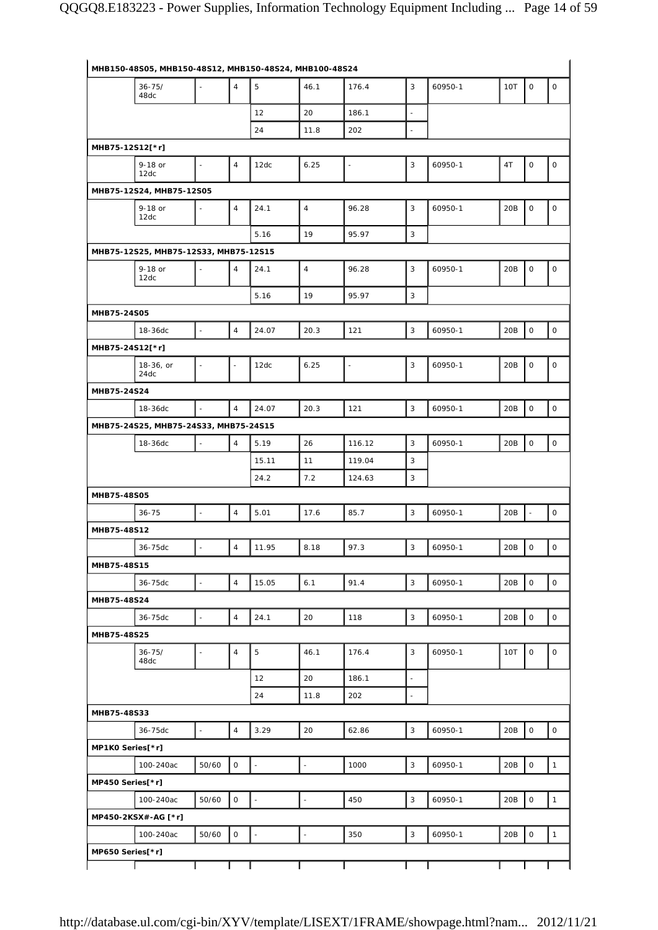|                  | MHB150-48S05, MHB150-48S12, MHB150-48S24, MHB100-48S24 |                          |                          |                     |                          |                          |                           |         |     |                          |                     |
|------------------|--------------------------------------------------------|--------------------------|--------------------------|---------------------|--------------------------|--------------------------|---------------------------|---------|-----|--------------------------|---------------------|
|                  | $36 - 75/$<br>48dc                                     | ÷,                       | $\overline{4}$           | 5                   | 46.1                     | 176.4                    | 3                         | 60950-1 | 10T | $\mathsf O$              | 0                   |
|                  |                                                        |                          |                          | 12                  | 20                       | 186.1                    | $\blacksquare$            |         |     |                          |                     |
|                  |                                                        |                          |                          | 24                  | 11.8                     | 202                      | $\overline{\phantom{a}}$  |         |     |                          |                     |
| MHB75-12S12[*r]  |                                                        |                          |                          |                     |                          |                          |                           |         |     |                          |                     |
|                  | 9-18 or<br>12dc                                        | $\blacksquare$           | $\overline{4}$           | 12dc                | 6.25                     | $\overline{a}$           | 3                         | 60950-1 | 4T  | $\mathsf O$              | $\mathsf O$         |
|                  | MHB75-12S24, MHB75-12S05                               |                          |                          |                     |                          |                          |                           |         |     |                          |                     |
|                  | 9-18 or<br>12dc                                        | $\overline{\phantom{a}}$ | $\sqrt{4}$               | 24.1                | $\overline{4}$           | 96.28                    | 3                         | 60950-1 | 20B | $\mathsf O$              | $\mathsf O$         |
|                  |                                                        |                          |                          | 5.16                | 19                       | 95.97                    | 3                         |         |     |                          |                     |
|                  | MHB75-12S25, MHB75-12S33, MHB75-12S15                  |                          |                          |                     |                          |                          |                           |         |     |                          |                     |
|                  | 9-18 or<br>12dc                                        |                          | $\overline{4}$           | 24.1                | $\overline{4}$           | 96.28                    | 3                         | 60950-1 | 20B | $\mathsf O$              | $\mathsf O$         |
|                  |                                                        |                          |                          | 5.16                | 19                       | 95.97                    | $\ensuremath{\mathsf{3}}$ |         |     |                          |                     |
| MHB75-24S05      |                                                        |                          |                          |                     |                          |                          |                           |         |     |                          |                     |
|                  | 18-36dc                                                | $\overline{a}$           | $\overline{4}$           | 24.07               | 20.3                     | 121                      | $\mathsf 3$               | 60950-1 | 20B | $\mathsf{O}\xspace$      | $\mathsf O$         |
| MHB75-24S12[*r]  |                                                        |                          |                          |                     |                          |                          |                           |         |     |                          |                     |
|                  | 18-36, or<br>24dc                                      | ÷,                       | $\overline{\phantom{a}}$ | 12dc                | 6.25                     | $\overline{\phantom{a}}$ | 3                         | 60950-1 | 20B | 0                        | 0                   |
| MHB75-24S24      |                                                        |                          |                          |                     |                          |                          |                           |         |     |                          |                     |
|                  | 18-36dc                                                |                          | $\overline{4}$           | 24.07               | 20.3                     | 121                      | 3                         | 60950-1 | 20B | $\mathsf O$              | $\mathsf{O}\xspace$ |
|                  | MHB75-24S25, MHB75-24S33, MHB75-24S15                  |                          |                          |                     |                          |                          |                           |         |     |                          |                     |
|                  | 18-36dc                                                |                          | $\overline{4}$           | 5.19                | 26                       | 116.12                   | $\mathbf{3}$              | 60950-1 | 20B | $\mathsf O$              | $\mathsf O$         |
|                  |                                                        |                          |                          | 15.11               | 11                       | 119.04                   | 3                         |         |     |                          |                     |
|                  |                                                        |                          |                          | 24.2                | 7.2                      | 124.63                   | 3                         |         |     |                          |                     |
| MHB75-48S05      |                                                        |                          |                          |                     |                          |                          |                           |         |     |                          |                     |
|                  | $36 - 75$                                              | $\omega$                 | $\overline{4}$           | 5.01                | 17.6                     | 85.7                     | 3                         | 60950-1 | 20B | $\overline{\phantom{a}}$ | $\mathsf O$         |
| MHB75-48S12      |                                                        |                          |                          |                     |                          |                          |                           |         |     |                          |                     |
|                  | 36-75dc                                                |                          | $\overline{4}$           | 11.95               | 8.18                     | 97.3                     | 3                         | 60950-1 | 20B | $\mathsf{O}\xspace$      | $\mathsf{O}\xspace$ |
| MHB75-48S15      |                                                        |                          |                          |                     |                          |                          |                           |         |     |                          |                     |
|                  | 36-75dc                                                | $\Box$                   | $\overline{4}$           | 15.05               | 6.1                      | 91.4                     | 3                         | 60950-1 | 20B | $\mathsf O$              | 0                   |
| MHB75-48S24      |                                                        |                          |                          |                     |                          |                          |                           |         |     |                          |                     |
|                  | 36-75dc                                                |                          | $\overline{4}$           | 24.1                | 20                       | 118                      | 3                         | 60950-1 | 20B | $\mathsf O$              | $\mathsf O$         |
| MHB75-48S25      |                                                        |                          |                          |                     |                          |                          |                           |         |     |                          |                     |
|                  | $36 - 75/$<br>48dc                                     | $\blacksquare$           | $\sqrt{4}$               | 5                   | 46.1                     | 176.4                    | 3                         | 60950-1 | 10T | $\mathsf O$              | 0                   |
|                  |                                                        |                          |                          | 12                  | 20                       | 186.1                    | $\blacksquare$            |         |     |                          |                     |
|                  |                                                        |                          |                          | 24                  | 11.8                     | 202                      | $\blacksquare$            |         |     |                          |                     |
| MHB75-48S33      |                                                        |                          |                          |                     |                          |                          |                           |         |     |                          |                     |
|                  | 36-75dc                                                | $\blacksquare$           | $\overline{4}$           | 3.29                | 20                       | 62.86                    | $\mathsf 3$               | 60950-1 | 20B | $\mathsf O$              | $\mathsf O$         |
| MP1K0 Series[*r] |                                                        |                          |                          |                     |                          |                          |                           |         |     |                          |                     |
|                  | 100-240ac                                              | 50/60                    | 0                        | $\Box$              | $\bar{\phantom{a}}$      | 1000                     | $\mathsf 3$               | 60950-1 | 20B | $\mathsf O$              | $\mathbf{1}$        |
| MP450 Series[*r] |                                                        |                          |                          |                     |                          |                          |                           |         |     |                          |                     |
|                  | 100-240ac                                              | 50/60                    | 0                        | $\bar{\phantom{a}}$ | $\overline{\phantom{a}}$ | 450                      | $\mathsf 3$               | 60950-1 | 20B | $\mathsf{O}\xspace$      | $\mathbf{1}$        |
|                  | MP450-2KSX#-AG [*r]                                    |                          |                          |                     |                          |                          |                           |         |     |                          |                     |
|                  | 100-240ac                                              | 50/60                    | 0                        | $\mathbb{Z}$        | $\blacksquare$           | 350                      | 3                         | 60950-1 | 20B | $\mathsf O$              | $\mathbf{1}$        |
| MP650 Series[*r] |                                                        |                          |                          |                     |                          |                          |                           |         |     |                          |                     |
|                  |                                                        |                          |                          |                     |                          |                          |                           |         |     |                          |                     |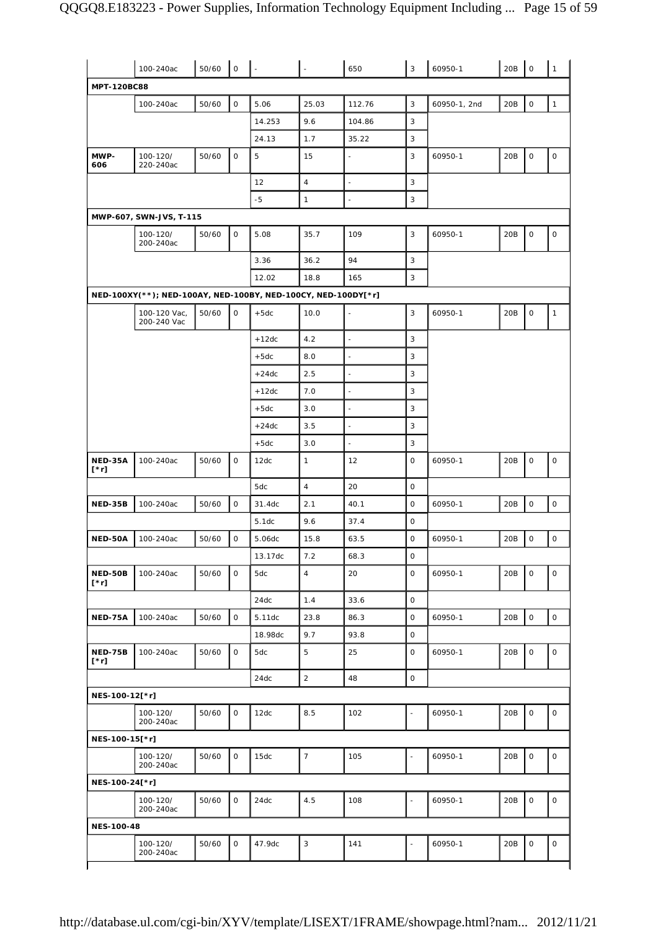|                        | 100-240ac                                                     | 50/60 | $\mathsf{O}$ |         |                | 650                      | 3              | 60950-1      | 20B | $\mathsf O$         | $\mathbf{1}$ |
|------------------------|---------------------------------------------------------------|-------|--------------|---------|----------------|--------------------------|----------------|--------------|-----|---------------------|--------------|
| MPT-120BC88            |                                                               |       |              |         |                |                          |                |              |     |                     |              |
|                        | 100-240ac                                                     | 50/60 | $\mathsf O$  | 5.06    | 25.03          | 112.76                   | 3              | 60950-1, 2nd | 20B | $\mathbf 0$         | $\mathbf{1}$ |
|                        |                                                               |       |              | 14.253  | 9.6            | 104.86                   | 3              |              |     |                     |              |
|                        |                                                               |       |              | 24.13   | 1.7            | 35.22                    | 3              |              |     |                     |              |
| MWP-<br>606            | 100-120/<br>220-240ac                                         | 50/60 | $\mathsf O$  | 5       | 15             | $\overline{a}$           | 3              | 60950-1      | 20B | $\mathsf O$         | $\mathsf O$  |
|                        |                                                               |       |              | 12      | $\overline{4}$ | $\frac{1}{2}$            | 3              |              |     |                     |              |
|                        |                                                               |       |              | $-5$    | $\mathbf{1}$   |                          | 3              |              |     |                     |              |
|                        | MWP-607, SWN-JVS, T-115                                       |       |              |         |                |                          |                |              |     |                     |              |
|                        | 100-120/<br>200-240ac                                         | 50/60 | 0            | 5.08    | 35.7           | 109                      | 3              | 60950-1      | 20B | $\mathsf O$         | $\mathsf O$  |
|                        |                                                               |       |              | 3.36    | 36.2           | 94                       | 3              |              |     |                     |              |
|                        |                                                               |       |              | 12.02   | 18.8           | 165                      | 3              |              |     |                     |              |
|                        | NED-100XY(**); NED-100AY, NED-100BY, NED-100CY, NED-100DY[*r] |       |              |         |                |                          |                |              |     |                     |              |
|                        | 100-120 Vac,<br>200-240 Vac                                   | 50/60 | $\mathsf O$  | $+5dc$  | 10.0           |                          | 3              | 60950-1      | 20B | $\mathsf O$         | $\mathbf{1}$ |
|                        |                                                               |       |              | $+12dc$ | 4.2            | ÷,                       | 3              |              |     |                     |              |
|                        |                                                               |       |              | $+5dc$  | 8.0            | $\overline{a}$           | 3              |              |     |                     |              |
|                        |                                                               |       |              | $+24dc$ | 2.5            | $\overline{\phantom{a}}$ | 3              |              |     |                     |              |
|                        |                                                               |       |              | $+12dc$ | 7.0            | $\overline{\phantom{a}}$ | 3              |              |     |                     |              |
|                        |                                                               |       |              | $+5dc$  | 3.0            | $\overline{a}$           | 3              |              |     |                     |              |
|                        |                                                               |       |              | $+24dc$ | 3.5            | $\overline{a}$           | 3              |              |     |                     |              |
|                        |                                                               |       |              | $+5dc$  | 3.0            | $\overline{\phantom{a}}$ | 3              |              |     |                     |              |
| NED-35A<br>[*r]        | 100-240ac                                                     | 50/60 | 0            | 12dc    | $\mathbf{1}$   | 12                       | 0              | 60950-1      | 20B | $\mathsf{O}\xspace$ | $\mathsf O$  |
|                        |                                                               |       |              | 5dc     | $\overline{4}$ | 20                       | 0              |              |     |                     |              |
| NED-35B                | 100-240ac                                                     | 50/60 | $\mathsf O$  | 31.4dc  | 2.1            | 40.1                     | 0              | 60950-1      | 20B | $\mathsf O$         | 0            |
|                        |                                                               |       |              | 5.1dc   | 9.6            | 37.4                     | 0              |              |     |                     |              |
| <b>NED-50A</b>         | 100-240ac                                                     | 50/60 | $\mathsf O$  | 5.06dc  | 15.8           | 63.5                     | 0              | 60950-1      | 20B | $\mathsf O$         | $\mathsf O$  |
|                        |                                                               |       |              | 13.17dc | 7.2            | 68.3                     | 0              |              |     |                     |              |
| NED-50B<br>$[\cdot r]$ | 100-240ac                                                     | 50/60 | $\mathsf O$  | 5dc     | $\overline{4}$ | 20                       | 0              | 60950-1      | 20B | $\mathsf O$         | $\mathsf O$  |
|                        |                                                               |       |              | 24dc    | 1.4            | 33.6                     | 0              |              |     |                     |              |
| NED-75A                | 100-240ac                                                     | 50/60 | $\mathsf{O}$ | 5.11dc  | 23.8           | 86.3                     | $\mathbf 0$    | 60950-1      | 20B | $\mathsf O$         | $\mathsf{O}$ |
|                        |                                                               |       |              | 18.98dc | 9.7            | 93.8                     | $\mathsf O$    |              |     |                     |              |
| NED-75B<br>$[\cdot r]$ | 100-240ac                                                     | 50/60 | 0            | 5dc     | 5              | 25                       | $\mathsf{O}$   | 60950-1      | 20B | $\mathsf O$         | $\mathsf O$  |
|                        |                                                               |       |              | 24dc    | $\overline{2}$ | 48                       | $\mathbf 0$    |              |     |                     |              |
| NES-100-12[*r]         |                                                               |       |              |         |                |                          |                |              |     |                     |              |
|                        | 100-120/<br>200-240ac                                         | 50/60 | $\mathbf 0$  | 12dc    | 8.5            | 102                      | $\overline{a}$ | 60950-1      | 20B | $\mathbf 0$         | 0            |
| NES-100-15[*r]         |                                                               |       |              |         |                |                          |                |              |     |                     |              |
|                        | 100-120/<br>200-240ac                                         | 50/60 | $\mathsf O$  | 15dc    | $\overline{7}$ | 105                      | ÷,             | 60950-1      | 20B | $\mathsf O$         | 0            |
| NES-100-24[*r]         |                                                               |       |              |         |                |                          |                |              |     |                     |              |
|                        | 100-120/<br>200-240ac                                         | 50/60 | $\mathsf{O}$ | 24dc    | 4.5            | 108                      | ä,             | 60950-1      | 20B | $\mathsf O$         | 0            |
| <b>NES-100-48</b>      |                                                               |       |              |         |                |                          |                |              |     |                     |              |
|                        | 100-120/                                                      | 50/60 | $\mathsf O$  | 47.9dc  | 3              | 141                      | $\frac{1}{2}$  | 60950-1      | 20B | $\mathsf O$         | 0            |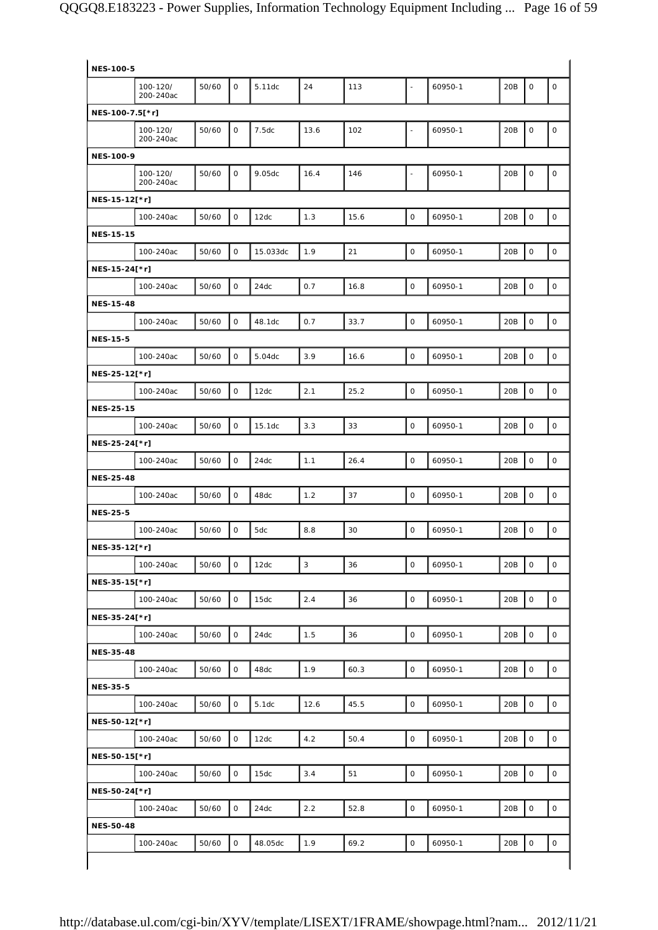| <b>NES-100-5</b> |                       |       |                     |          |             |      |                |         |     |                     |              |
|------------------|-----------------------|-------|---------------------|----------|-------------|------|----------------|---------|-----|---------------------|--------------|
|                  | 100-120/<br>200-240ac | 50/60 | $\mathsf{O}$        | 5.11dc   | 24          | 113  | ÷,             | 60950-1 | 20B | 0                   | $\mathsf O$  |
| NES-100-7.5[*r]  |                       |       |                     |          |             |      |                |         |     |                     |              |
|                  | 100-120/<br>200-240ac | 50/60 | 0                   | 7.5dc    | 13.6        | 102  | L,             | 60950-1 | 20B | 0                   | $\mathsf O$  |
| <b>NES-100-9</b> |                       |       |                     |          |             |      |                |         |     |                     |              |
|                  | 100-120/<br>200-240ac | 50/60 | 0                   | 9.05dc   | 16.4        | 146  | $\blacksquare$ | 60950-1 | 20B | $\mathsf O$         | $\mathsf O$  |
| NES-15-12[*r]    |                       |       |                     |          |             |      |                |         |     |                     |              |
|                  | 100-240ac             | 50/60 | $\mathsf{O}$        | 12dc     | 1.3         | 15.6 | $\mathsf{O}$   | 60950-1 | 20B | $\mathsf O$         | $\mathsf O$  |
| <b>NES-15-15</b> |                       |       |                     |          |             |      |                |         |     |                     |              |
|                  | 100-240ac             | 50/60 | $\mathsf O$         | 15.033dc | 1.9         | 21   | $\mathsf O$    | 60950-1 | 20B | $\mathbf 0$         | $\mathsf O$  |
| NES-15-24[*r]    |                       |       |                     |          |             |      |                |         |     |                     |              |
|                  | 100-240ac             | 50/60 | $\mathsf O$         | 24dc     | 0.7         | 16.8 | $\mathsf O$    | 60950-1 | 20B | 0                   | $\mathsf{O}$ |
| <b>NES-15-48</b> |                       |       |                     |          |             |      |                |         |     |                     |              |
|                  | 100-240ac             | 50/60 | $\mathsf{O}$        | 48.1dc   | 0.7         | 33.7 | $\mathsf O$    | 60950-1 | 20B | 0                   | $\mathsf O$  |
| <b>NES-15-5</b>  |                       |       |                     |          |             |      |                |         |     |                     |              |
|                  | 100-240ac             | 50/60 | $\mathsf{O}$        | 5.04dc   | 3.9         | 16.6 | $\mathsf O$    | 60950-1 | 20B | 0                   | $\mathsf O$  |
| NES-25-12[*r]    |                       |       |                     |          |             |      |                |         |     |                     |              |
|                  | 100-240ac             | 50/60 | $\mathsf O$         | 12dc     | 2.1         | 25.2 | $\mathsf O$    | 60950-1 | 20B | $\mathbf 0$         | $\circ$      |
|                  |                       |       |                     |          |             |      |                |         |     |                     |              |
| <b>NES-25-15</b> |                       |       |                     |          |             |      |                |         |     |                     |              |
|                  | 100-240ac             | 50/60 | $\mathsf{O}\xspace$ | 15.1dc   | 3.3         | 33   | $\mathsf O$    | 60950-1 | 20B | $\mathsf{O}\xspace$ | $\mathsf O$  |
| NES-25-24[*r]    |                       |       |                     |          |             |      |                |         |     |                     |              |
|                  | 100-240ac             | 50/60 | $\mathsf{O}$        | 24dc     | 1.1         | 26.4 | $\mathsf O$    | 60950-1 | 20B | 0                   | $\mathsf O$  |
| <b>NES-25-48</b> |                       |       |                     |          |             |      |                |         |     |                     |              |
|                  | 100-240ac             | 50/60 | $\mathsf{O}$        | 48dc     | 1.2         | 37   | $\mathsf O$    | 60950-1 | 20B | 0                   | $\mathsf O$  |
| <b>NES-25-5</b>  |                       |       |                     |          |             |      |                |         |     |                     |              |
|                  | 100-240ac             | 50/60 | $\mathsf O$         | 5dc      | 8.8         | 30   | $\mathsf O$    | 60950-1 | 20B | 0                   | $\mathsf O$  |
| NES-35-12[*r]    |                       |       |                     |          |             |      |                |         |     |                     |              |
|                  | 100-240ac             | 50/60 | 0                   | 12dc     | $\mathsf 3$ | 36   | $\mathsf O$    | 60950-1 | 20B | 0                   | $\mathsf O$  |
| NES-35-15[*r]    |                       |       |                     |          |             |      |                |         |     |                     |              |
|                  | 100-240ac             | 50/60 | $\mathsf O$         | 15dc     | 2.4         | 36   | $\mathsf O$    | 60950-1 | 20B | $\mathsf{O}\xspace$ | $\mathsf O$  |
| NES-35-24[*r]    |                       |       |                     |          |             |      |                |         |     |                     |              |
|                  | 100-240ac             | 50/60 | 0                   | 24dc     | 1.5         | 36   | $\mathsf O$    | 60950-1 | 20B | $\mathsf{O}\xspace$ | $\mathsf O$  |
| <b>NES-35-48</b> |                       |       |                     |          |             |      |                |         |     |                     |              |
|                  | 100-240ac             | 50/60 | $\mathsf{O}\xspace$ | 48dc     | 1.9         | 60.3 | $\mathsf O$    | 60950-1 | 20B | $\mathsf{O}\xspace$ | $\mathsf O$  |
| <b>NES-35-5</b>  |                       |       |                     |          |             |      |                |         |     |                     |              |
|                  | 100-240ac             | 50/60 | $\mathsf O$         | 5.1dc    | 12.6        | 45.5 | $\mathsf O$    | 60950-1 | 20B | $\mathsf{O}\xspace$ | $\mathsf O$  |
| NES-50-12[*r]    |                       |       |                     |          |             |      |                |         |     |                     |              |
|                  | 100-240ac             | 50/60 | 0                   | 12dc     | 4.2         | 50.4 | $\mathsf O$    | 60950-1 | 20B | $\mathsf{O}\xspace$ | $\mathsf O$  |
| NES-50-15[*r]    |                       |       |                     |          |             |      |                |         |     |                     |              |
|                  | 100-240ac             | 50/60 | 0                   | 15dc     | 3.4         | 51   | $\mathsf O$    | 60950-1 | 20B | 0                   | $\mathsf O$  |
|                  |                       |       |                     |          |             |      |                |         |     |                     |              |
| NES-50-24[*r]    |                       |       |                     |          |             |      |                |         |     |                     |              |
|                  | 100-240ac             | 50/60 | $\mathsf O$         | 24dc     | 2.2         | 52.8 | $\mathsf O$    | 60950-1 | 20B | $\mathsf{O}\xspace$ | 0            |
|                  |                       |       |                     |          |             |      |                |         |     |                     |              |
| <b>NES-50-48</b> | 100-240ac             | 50/60 | $\mathsf O$         | 48.05dc  | 1.9         | 69.2 | $\mathsf O$    | 60950-1 | 20B | $\mathsf{O}\xspace$ | $\mathsf O$  |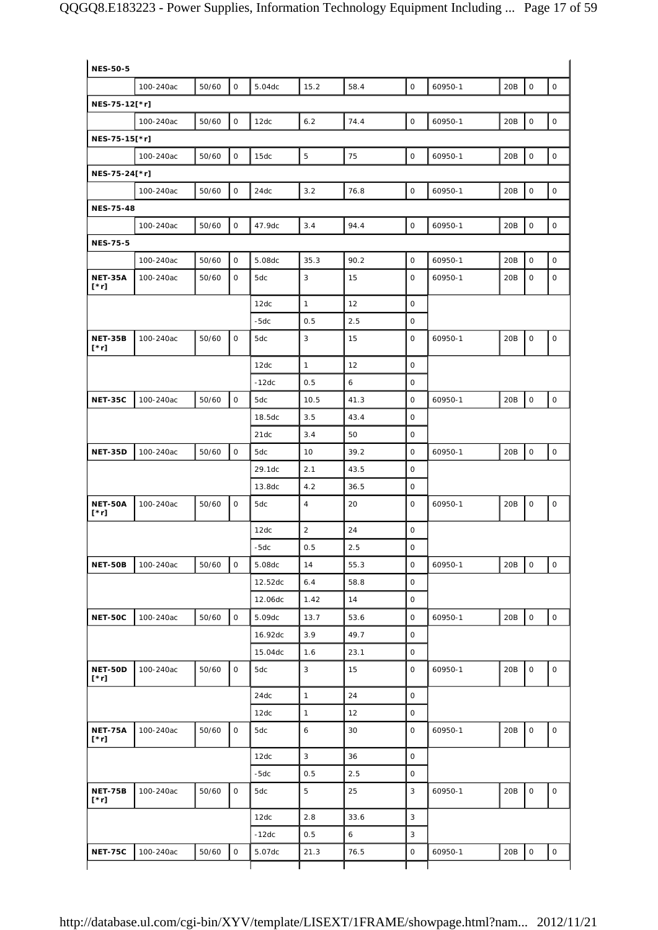| <b>NES-50-5</b>               |           |       |              |         |                |      |                     |         |     |                     |                     |
|-------------------------------|-----------|-------|--------------|---------|----------------|------|---------------------|---------|-----|---------------------|---------------------|
|                               | 100-240ac | 50/60 | 0            | 5.04dc  | 15.2           | 58.4 | $\mathsf{O}$        | 60950-1 | 20B | $\mathsf{O}$        | 0                   |
| NES-75-12[*r]                 |           |       |              |         |                |      |                     |         |     |                     |                     |
|                               | 100-240ac | 50/60 | 0            | 12dc    | 6.2            | 74.4 | $\mathsf{O}$        | 60950-1 | 20B | $\mathsf{O}\xspace$ | $\mathsf{O}$        |
| NES-75-15[*r]                 |           |       |              |         |                |      |                     |         |     |                     |                     |
|                               | 100-240ac | 50/60 | $\mathsf{O}$ | 15dc    | 5              | 75   | 0                   | 60950-1 | 20B | $\mathsf{O}\xspace$ | $\mathsf{O}$        |
| NES-75-24[*r]                 |           |       |              |         |                |      |                     |         |     |                     |                     |
|                               | 100-240ac | 50/60 | $\mathsf{O}$ | 24dc    | 3.2            | 76.8 | $\mathbf{O}$        | 60950-1 | 20B | $\mathsf{O}$        | $\mathsf{O}$        |
| <b>NES-75-48</b>              |           |       |              |         |                |      |                     |         |     |                     |                     |
|                               | 100-240ac | 50/60 | $\mathsf{O}$ | 47.9dc  | 3.4            | 94.4 | 0                   | 60950-1 | 20B | $\mathsf{O}\xspace$ | 0                   |
| <b>NES-75-5</b>               |           |       |              |         |                |      |                     |         |     |                     |                     |
|                               | 100-240ac | 50/60 | $\mathsf{O}$ | 5.08dc  | 35.3           | 90.2 | 0                   | 60950-1 | 20B | $\mathsf{O}$        | 0                   |
| <b>NET-35A</b><br>[*r]        | 100-240ac | 50/60 | $\mathsf{O}$ | 5dc     | 3              | 15   | $\mathsf{O}$        | 60950-1 | 20B | 0                   | 0                   |
|                               |           |       |              | 12dc    | $\mathbf{1}$   | 12   | $\mathsf{O}$        |         |     |                     |                     |
|                               |           |       |              | $-5dc$  | 0.5            | 2.5  | 0                   |         |     |                     |                     |
| <b>NET-35B</b><br>[*r]        | 100-240ac | 50/60 | $\mathsf{O}$ | 5dc     | 3              | 15   | 0                   | 60950-1 | 20B | $\mathsf O$         | $\mathsf O$         |
|                               |           |       |              | 12dc    | $\mathbf{1}$   | 12   | $\mathbf 0$         |         |     |                     |                     |
|                               |           |       |              | $-12dc$ | 0.5            | 6    | 0                   |         |     |                     |                     |
| <b>NET-35C</b>                | 100-240ac | 50/60 | $\mathsf{O}$ | 5dc     | 10.5           | 41.3 | 0                   | 60950-1 | 20B | $\mathsf{O}\xspace$ | $\circ$             |
|                               |           |       |              | 18.5dc  | 3.5            | 43.4 | 0                   |         |     |                     |                     |
|                               |           |       |              | 21dc    | 3.4            | 50   | 0                   |         |     |                     |                     |
| <b>NET-35D</b>                | 100-240ac | 50/60 | $\mathsf O$  | 5dc     | 10             | 39.2 | 0                   | 60950-1 | 20B | $\mathsf{O}\xspace$ | 0                   |
|                               |           |       |              | 29.1dc  | 2.1            | 43.5 | 0                   |         |     |                     |                     |
|                               |           |       |              | 13.8dc  | 4.2            | 36.5 | 0                   |         |     |                     |                     |
| <b>NET-50A</b><br>[*r]        | 100-240ac | 50/60 | $\mathsf{O}$ | 5dc     | $\overline{4}$ | 20   | $\mathsf{O}$        | 60950-1 | 20B | $\mathsf O$         | 0                   |
|                               |           |       |              | 12dc    | $\overline{2}$ | 24   | 0                   |         |     |                     |                     |
|                               |           |       |              | $-5dc$  | 0.5            | 2.5  | $\mathsf O$         |         |     |                     |                     |
| NET-50B                       | 100-240ac | 50/60 | $\mathsf O$  | 5.08dc  | 14             | 55.3 | $\mathsf O$         | 60950-1 | 20B | $\mathsf{O}\xspace$ | $\mathsf{O}\xspace$ |
|                               |           |       |              | 12.52dc | 6.4            | 58.8 | 0                   |         |     |                     |                     |
|                               |           |       |              | 12.06dc | 1.42           | 14   | $\mathsf O$         |         |     |                     |                     |
| <b>NET-50C</b>                | 100-240ac | 50/60 | $\mathsf O$  | 5.09dc  | 13.7           | 53.6 | 0                   | 60950-1 | 20B | $\mathsf{O}\xspace$ | $\mathsf{O}\xspace$ |
|                               |           |       |              | 16.92dc | 3.9            | 49.7 | $\mathsf O$         |         |     |                     |                     |
|                               |           |       |              | 15.04dc | 1.6            | 23.1 | 0                   |         |     |                     |                     |
| NET-50D<br>$[\cdot r]$        | 100-240ac | 50/60 | $\mathsf O$  | 5dc     | 3              | 15   | $\mathsf O$         | 60950-1 | 20B | $\mathsf O$         | 0                   |
|                               |           |       |              | 24dc    | $\mathbf{1}$   | 24   | $\mathsf O$         |         |     |                     |                     |
|                               |           |       |              | 12dc    | $\mathbf{1}$   | 12   | 0                   |         |     |                     |                     |
| <b>NET-75A</b><br>[*r]        | 100-240ac | 50/60 | $\mathsf O$  | 5dc     | 6              | 30   | 0                   | 60950-1 | 20B | $\mathsf{O}\xspace$ | $\mathsf{O}\xspace$ |
|                               |           |       |              | 12dc    | $\mathbf{3}$   | 36   | O                   |         |     |                     |                     |
|                               |           |       |              | $-5dc$  | 0.5            | 2.5  | $\mathsf{O}\xspace$ |         |     |                     |                     |
|                               |           |       | $\mathsf O$  | 5dc     | 5              | 25   | 3                   | 60950-1 | 20B | $\mathsf{O}\xspace$ | 0                   |
| <b>NET-75B</b><br>$[\cdot r]$ | 100-240ac | 50/60 |              |         |                |      |                     |         |     |                     |                     |
|                               |           |       |              | 12dc    | 2.8            | 33.6 | 3                   |         |     |                     |                     |
|                               |           |       |              | $-12dc$ | 0.5            | 6    | 3                   |         |     |                     |                     |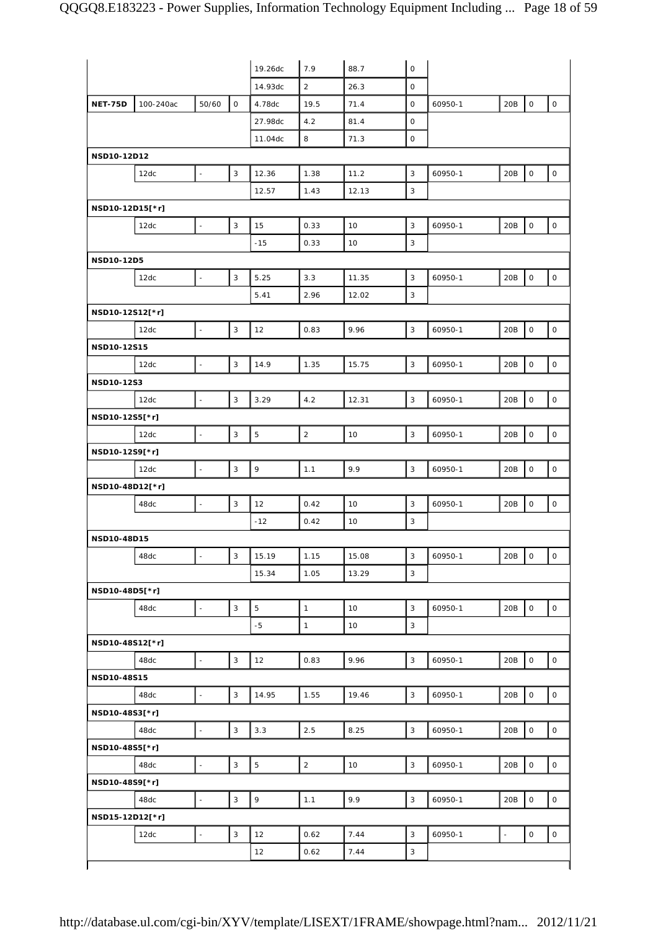|                 |           |                |                           | 19.26dc        | 7.9            | 88.7  | $\mathsf{O}\xspace$       |         |        |                     |                     |
|-----------------|-----------|----------------|---------------------------|----------------|----------------|-------|---------------------------|---------|--------|---------------------|---------------------|
|                 |           |                |                           | 14.93dc        | $\overline{2}$ | 26.3  | $\mathbf{O}$              |         |        |                     |                     |
| NET-75D         | 100-240ac | 50/60          | $\mathsf{O}$              | 4.78dc         | 19.5           | 71.4  | 0                         | 60950-1 | 20B    | $\mathsf O$         | $\mathsf O$         |
|                 |           |                |                           | 27.98dc        | 4.2            | 81.4  | $\mathbf{O}$              |         |        |                     |                     |
|                 |           |                |                           | 11.04dc        | 8              | 71.3  | 0                         |         |        |                     |                     |
| NSD10-12D12     |           |                |                           |                |                |       |                           |         |        |                     |                     |
|                 | 12dc      |                | 3                         | 12.36          | 1.38           | 11.2  | 3                         | 60950-1 | 20B    | 0                   | 0                   |
|                 |           |                |                           | 12.57          | 1.43           | 12.13 | 3                         |         |        |                     |                     |
| NSD10-12D15[*r] |           |                |                           |                |                |       |                           |         |        |                     |                     |
|                 | 12dc      | $\blacksquare$ | 3                         | 15             | 0.33           | 10    | 3                         | 60950-1 | 20B    | $\mathsf O$         | 0                   |
|                 |           |                |                           | $-15$          | 0.33           | 10    | 3                         |         |        |                     |                     |
|                 |           |                |                           |                |                |       |                           |         |        |                     |                     |
| NSD10-12D5      |           |                |                           |                |                |       |                           |         |        |                     |                     |
|                 | 12dc      |                | 3                         | 5.25           | 3.3            | 11.35 | 3                         | 60950-1 | 20B    | $\mathsf O$         | 0                   |
|                 |           |                |                           | 5.41           | 2.96           | 12.02 | 3                         |         |        |                     |                     |
| NSD10-12S12[*r] |           |                |                           |                |                |       |                           |         |        |                     |                     |
|                 | 12dc      |                | 3                         | 12             | 0.83           | 9.96  | 3                         | 60950-1 | 20B    | $\mathsf{O}\xspace$ | $\mathsf O$         |
| NSD10-12S15     |           |                |                           |                |                |       |                           |         |        |                     |                     |
|                 | 12dc      |                | 3                         | 14.9           | 1.35           | 15.75 | 3                         | 60950-1 | 20B    | $\mathsf{O}\xspace$ | $\mathsf O$         |
| NSD10-12S3      |           |                |                           |                |                |       |                           |         |        |                     |                     |
|                 | 12dc      |                | 3                         | 3.29           | 4.2            | 12.31 | 3                         | 60950-1 | 20B    | $\mathsf O$         | 0                   |
| NSD10-12S5[*r]  |           |                |                           |                |                |       |                           |         |        |                     |                     |
|                 | 12dc      | $\omega$       | $\mathsf 3$               | $\overline{5}$ | $\mathbf 2$    | 10    | $\ensuremath{\mathsf{3}}$ | 60950-1 | 20B    | $\mathsf{O}\xspace$ | 0                   |
| NSD10-12S9[*r]  |           |                |                           |                |                |       |                           |         |        |                     |                     |
|                 | 12dc      |                | $\mathbf{3}$              | $\mathbf{9}$   | 1.1            | 9.9   | 3                         | 60950-1 | 20B    | $\mathsf O$         | $\mathsf{O}$        |
| NSD10-48D12[*r] |           |                |                           |                |                |       |                           |         |        |                     |                     |
|                 | 48dc      | $\blacksquare$ | 3                         | 12             | 0.42           | 10    | 3                         | 60950-1 | 20B    | $\mathsf O$         | 0                   |
|                 |           |                |                           | $-12$          | 0.42           | 10    | 3                         |         |        |                     |                     |
| NSD10-48D15     |           |                |                           |                |                |       |                           |         |        |                     |                     |
|                 | 48dc      | $\blacksquare$ | $\mathsf 3$               | 15.19          | 1.15           | 15.08 | 3                         | 60950-1 | 20B    | $\mathsf{O}$        | $\mathsf{O}\xspace$ |
|                 |           |                |                           | 15.34          | 1.05           | 13.29 | 3                         |         |        |                     |                     |
|                 |           |                |                           |                |                |       |                           |         |        |                     |                     |
| NSD10-48D5[*r]  |           |                |                           |                |                |       |                           |         |        |                     |                     |
|                 | 48dc      | $\blacksquare$ | $\sqrt{3}$                | $\overline{5}$ | $\mathbf{1}$   | 10    | 3                         | 60950-1 | 20B    | $\mathsf{o}$        | $\mathsf O$         |
|                 |           |                |                           | $-5$           | $\mathbf{1}$   | 10    | 3                         |         |        |                     |                     |
| NSD10-48S12[*r] |           |                |                           |                |                |       |                           |         |        |                     |                     |
|                 | 48dc      | $\omega$       | $\sqrt{3}$                | 12             | 0.83           | 9.96  | $\mathsf 3$               | 60950-1 | 20B    | $\mathsf{O}\xspace$ | $\mathsf{O}\xspace$ |
| NSD10-48S15     |           |                |                           |                |                |       |                           |         |        |                     |                     |
|                 | 48dc      | $\blacksquare$ | $\mathsf 3$               | 14.95          | 1.55           | 19.46 | 3                         | 60950-1 | 20B    | $\mathsf{O}\xspace$ | $\mathsf O$         |
| NSD10-48S3[*r]  |           |                |                           |                |                |       |                           |         |        |                     |                     |
|                 | 48dc      | $\mathbb{L}$   | $\mathsf 3$               | 3.3            | 2.5            | 8.25  | 3                         | 60950-1 | 20B    | $\mathsf O$         | $\mathsf O$         |
| NSD10-48S5[*r]  |           |                |                           |                |                |       |                           |         |        |                     |                     |
|                 | 48dc      | $\blacksquare$ | $\mathbf{3}$              | $\mathbf 5$    | $\mathbf 2$    | 10    | $\mathsf 3$               | 60950-1 | 20B    | $\mathsf{O}\xspace$ | $\mathsf O$         |
| NSD10-48S9[*r]  |           |                |                           |                |                |       |                           |         |        |                     |                     |
|                 | 48dc      | $\blacksquare$ | $\ensuremath{\mathsf{3}}$ | $\mathsf q$    | 1.1            | 9.9   | 3                         | 60950-1 | 20B    | $\mathsf O$         | $\mathsf O$         |
| NSD15-12D12[*r] |           |                |                           |                |                |       |                           |         |        |                     |                     |
|                 | 12dc      | $\blacksquare$ | $\sqrt{3}$                | 12             | 0.62           | 7.44  | $\mathbf{3}$              | 60950-1 | $\Box$ | $\mathsf{O}\xspace$ | $\mathsf O$         |
|                 |           |                |                           | 12             | 0.62           | 7.44  | 3                         |         |        |                     |                     |
|                 |           |                |                           |                |                |       |                           |         |        |                     |                     |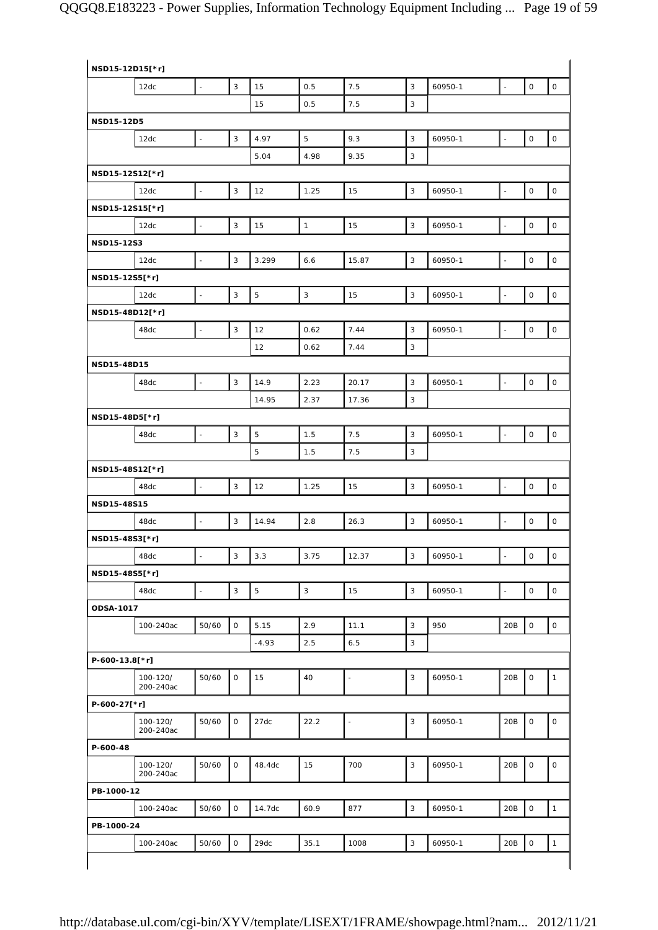| NSD15-12D15[*r] |                       |                          |                           |             |              |                |                           |         |                          |                     |                     |
|-----------------|-----------------------|--------------------------|---------------------------|-------------|--------------|----------------|---------------------------|---------|--------------------------|---------------------|---------------------|
|                 | 12dc                  | $\bar{\phantom{a}}$      | 3                         | 15          | 0.5          | 7.5            | $\overline{3}$            | 60950-1 | $\omega$                 | $\mathsf{O}\xspace$ | $\mathsf{O}$        |
|                 |                       |                          |                           | 15          | 0.5          | 7.5            | 3                         |         |                          |                     |                     |
| NSD15-12D5      |                       |                          |                           |             |              |                |                           |         |                          |                     |                     |
|                 | 12dc                  | $\sim$                   | $\ensuremath{\mathsf{3}}$ | 4.97        | 5            | 9.3            | $\sqrt{3}$                | 60950-1 | $\overline{\phantom{a}}$ | $\mathsf{O}\xspace$ | $\mathsf{O}\xspace$ |
|                 |                       |                          |                           | 5.04        | 4.98         | 9.35           | 3                         |         |                          |                     |                     |
| NSD15-12S12[*r] |                       |                          |                           |             |              |                |                           |         |                          |                     |                     |
|                 | 12dc                  | $\omega$                 | $\ensuremath{\mathsf{3}}$ | 12          | 1.25         | 15             | $\mathbf{3}$              | 60950-1 | $\Box$                   | $\mathsf O$         | $\mathsf{O}$        |
| NSD15-12S15[*r] |                       |                          |                           |             |              |                |                           |         |                          |                     |                     |
|                 | 12dc                  | $\overline{\phantom{a}}$ | 3                         | 15          | $\mathbf{1}$ | 15             | $\mathsf 3$               | 60950-1 | $\Box$                   | $\mathbf 0$         | $\mathsf{O}\xspace$ |
| NSD15-12S3      |                       |                          |                           |             |              |                |                           |         |                          |                     |                     |
|                 | 12dc                  | ÷,                       | 3                         | 3.299       | 6.6          | 15.87          | $\overline{3}$            | 60950-1 | $\mathbb{Z}$             | $\mathbf 0$         | $\mathsf O$         |
| NSD15-12S5[*r]  |                       |                          |                           |             |              |                |                           |         |                          |                     |                     |
|                 | 12dc                  | $\Box$                   | 3                         | 5           | $\mathsf 3$  | 15             | $\sqrt{3}$                | 60950-1 | $\Box$                   | $\mathsf{O}\xspace$ | $\mathsf{O}$        |
| NSD15-48D12[*r] |                       |                          |                           |             |              |                |                           |         |                          |                     |                     |
|                 | 48dc                  | $\Box$                   | 3                         | 12          | 0.62         | 7.44           | $\overline{3}$            | 60950-1 | $\bar{\gamma}$           | $\mathbf 0$         | $\mathsf{O}$        |
|                 |                       |                          |                           | 12          |              |                |                           |         |                          |                     |                     |
|                 |                       |                          |                           |             | 0.62         | 7.44           | 3                         |         |                          |                     |                     |
| NSD15-48D15     |                       |                          |                           |             |              |                |                           |         |                          |                     |                     |
|                 | 48dc                  | $\overline{\phantom{a}}$ | 3                         | 14.9        | 2.23         | 20.17          | 3                         | 60950-1 | $\Box$                   | $\mathbf 0$         | $\mathsf{O}$        |
|                 |                       |                          |                           | 14.95       | 2.37         | 17.36          | 3                         |         |                          |                     |                     |
| NSD15-48D5[*r]  |                       |                          |                           |             |              |                |                           |         |                          |                     |                     |
|                 | 48dc                  | $\overline{\phantom{a}}$ | 3                         | 5           | 1.5          | 7.5            | 3                         | 60950-1 | $\overline{\phantom{a}}$ | 0                   | $\mathsf{O}$        |
|                 |                       |                          |                           | 5           | 1.5          | 7.5            | 3                         |         |                          |                     |                     |
| NSD15-48S12[*r] |                       |                          |                           |             |              |                |                           |         |                          |                     |                     |
|                 | 48dc                  | ÷,                       | 3                         | 12          | 1.25         | 15             | 3                         | 60950-1 | $\Box$                   | 0                   | $\mathsf O$         |
| NSD15-48S15     |                       |                          |                           |             |              |                |                           |         |                          |                     |                     |
|                 | 48dc                  | $\blacksquare$           | 3                         | 14.94       | 2.8          | 26.3           | $\mathsf 3$               | 60950-1 | $\Box$                   | $\mathsf{O}\xspace$ | $\mathsf{O}$        |
| NSD15-48S3[*r]  |                       |                          |                           |             |              |                |                           |         |                          |                     |                     |
|                 | 48dc                  | $\Box$                   | 3                         | 3.3         | 3.75         | 12.37          | $\ensuremath{\mathsf{3}}$ | 60950-1 | $\Box$                   | 0                   | $\mathsf{O}$        |
| NSD15-48S5[*r]  |                       |                          |                           |             |              |                |                           |         |                          |                     |                     |
|                 | 48dc                  | $\Box$                   | 3                         | $\mathbf 5$ | $\mathsf 3$  | 15             | 3                         | 60950-1 | $\Box$                   | $\mathsf{O}\xspace$ | $\mathsf{O}$        |
| ODSA-1017       |                       |                          |                           |             |              |                |                           |         |                          |                     |                     |
|                 | 100-240ac             | 50/60                    | 0                         | 5.15        | 2.9          | 11.1           | 3                         | 950     | 20B                      | $\mathsf{O}\xspace$ | $\mathsf O$         |
|                 |                       |                          |                           | $-4.93$     | 2.5          | 6.5            | 3                         |         |                          |                     |                     |
| P-600-13.8[*r]  |                       |                          |                           |             |              |                |                           |         |                          |                     |                     |
|                 | 100-120/<br>200-240ac | 50/60                    | 0                         | 15          | 40           | L,             | 3                         | 60950-1 | 20B                      | $\mathsf O$         | $\mathbf{1}$        |
| P-600-27[*r]    |                       |                          |                           |             |              |                |                           |         |                          |                     |                     |
|                 | 100-120/<br>200-240ac | 50/60                    | $\mathsf O$               | 27dc        | 22.2         | $\overline{a}$ | 3                         | 60950-1 | 20B                      | $\mathsf{O}\xspace$ | 0                   |
| P-600-48        |                       |                          |                           |             |              |                |                           |         |                          |                     |                     |
|                 | 100-120/<br>200-240ac | 50/60                    | 0                         | 48.4dc      | 15           | 700            | 3                         | 60950-1 | 20B                      | 0                   | 0                   |
| PB-1000-12      |                       |                          |                           |             |              |                |                           |         |                          |                     |                     |
|                 | 100-240ac             | 50/60                    | $\mathsf{O}$              | 14.7dc      | 60.9         | 877            | $\mathsf 3$               | 60950-1 | 20B                      | $\mathsf{O}\xspace$ | $\mathbf{1}$        |
|                 |                       |                          |                           |             |              |                |                           |         |                          |                     |                     |
| PB-1000-24      |                       |                          |                           |             |              |                |                           |         |                          |                     |                     |
|                 | 100-240ac             | 50/60                    | 0                         | 29dc        | 35.1         | 1008           | $\mathbf{3}$              | 60950-1 | 20B                      | $\mathsf O$         | $\mathbf{1}$        |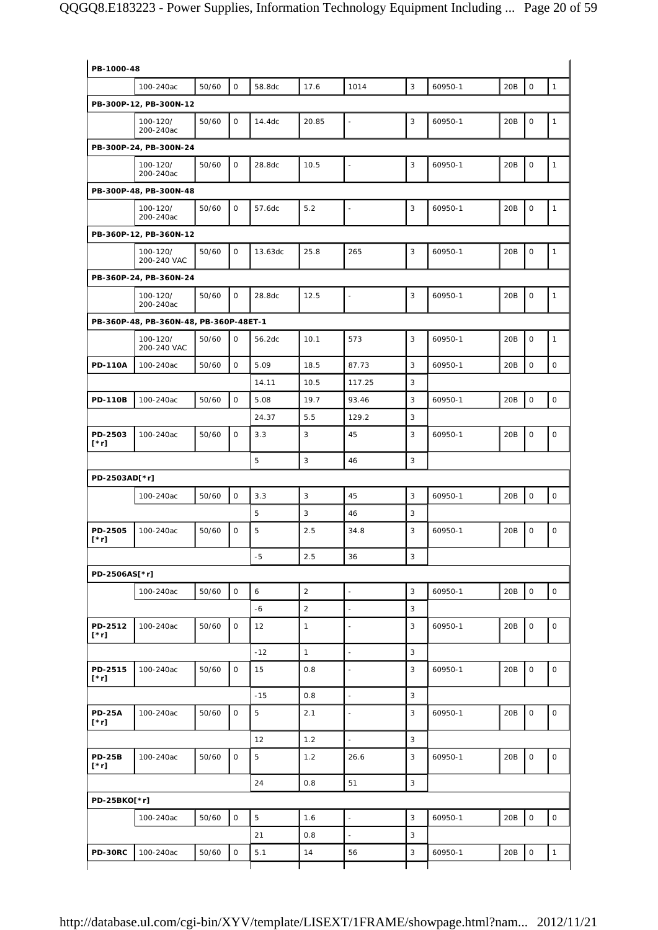| PB-1000-48                   |                                        |       |              |         |                |                          |   |         |     |                     |              |
|------------------------------|----------------------------------------|-------|--------------|---------|----------------|--------------------------|---|---------|-----|---------------------|--------------|
|                              | 100-240ac                              | 50/60 | $\mathsf O$  | 58.8dc  | 17.6           | 1014                     | 3 | 60950-1 | 20B | $\mathsf{O}\xspace$ | $\mathbf{1}$ |
|                              | PB-300P-12, PB-300N-12                 |       |              |         |                |                          |   |         |     |                     |              |
|                              | 100-120/<br>200-240ac                  | 50/60 | 0            | 14.4dc  | 20.85          | $\overline{\phantom{a}}$ | 3 | 60950-1 | 20B | $\mathsf O$         | $\mathbf{1}$ |
|                              | PB-300P-24, PB-300N-24                 |       |              |         |                |                          |   |         |     |                     |              |
|                              | 100-120/<br>200-240ac                  | 50/60 | $\mathsf{O}$ | 28.8dc  | 10.5           | $\blacksquare$           | 3 | 60950-1 | 20B | $\mathsf O$         | $\mathbf{1}$ |
|                              | PB-300P-48, PB-300N-48                 |       |              |         |                |                          |   |         |     |                     |              |
|                              | 100-120/<br>200-240ac                  | 50/60 | $\mathsf{O}$ | 57.6dc  | 5.2            | $\blacksquare$           | 3 | 60950-1 | 20B | $\circ$             | $\mathbf{1}$ |
|                              | PB-360P-12, PB-360N-12                 |       |              |         |                |                          |   |         |     |                     |              |
|                              | 100-120/<br>200-240 VAC                | 50/60 | $\mathsf O$  | 13.63dc | 25.8           | 265                      | 3 | 60950-1 | 20B | $\mathsf O$         | $\mathbf{1}$ |
|                              | PB-360P-24, PB-360N-24                 |       |              |         |                |                          |   |         |     |                     |              |
|                              | 100-120/<br>200-240ac                  | 50/60 | 0            | 28.8dc  | 12.5           | $\overline{\phantom{a}}$ | 3 | 60950-1 | 20B | $\mathsf O$         | $\mathbf{1}$ |
|                              | PB-360P-48, PB-360N-48, PB-360P-48ET-1 |       |              |         |                |                          |   |         |     |                     |              |
|                              | 100-120/<br>200-240 VAC                | 50/60 | $\circ$      | 56.2dc  | 10.1           | 573                      | 3 | 60950-1 | 20B | $\mathsf{O}$        | $\mathbf{1}$ |
| <b>PD-110A</b>               | 100-240ac                              | 50/60 | $\mathsf{O}$ | 5.09    | 18.5           | 87.73                    | 3 | 60950-1 | 20B | $\mathsf O$         | 0            |
|                              |                                        |       |              | 14.11   | 10.5           | 117.25                   | 3 |         |     |                     |              |
| <b>PD-110B</b>               | 100-240ac                              | 50/60 | $\mathsf O$  | 5.08    | 19.7           | 93.46                    | 3 | 60950-1 | 20B | $\mathsf O$         | $\mathsf O$  |
|                              |                                        |       |              | 24.37   | 5.5            | 129.2                    | 3 |         |     |                     |              |
| PD-2503<br>$[\cdot r]$       | 100-240ac                              | 50/60 | $\mathsf{O}$ | 3.3     | 3              | 45                       | 3 | 60950-1 | 20B | $\mathsf O$         | $\mathsf O$  |
|                              |                                        |       |              | 5       | 3              | 46                       | 3 |         |     |                     |              |
| PD-2503AD[*r]                |                                        |       |              |         |                |                          |   |         |     |                     |              |
|                              | 100-240ac                              | 50/60 | $\mathsf{O}$ | 3.3     | $\sqrt{3}$     | 45                       | 3 | 60950-1 | 20B | $\mathbf 0$         | $\mathsf O$  |
|                              |                                        |       |              | 5       | 3              | 46                       | 3 |         |     |                     |              |
| PD-2505<br>[*r]              | 100-240ac                              | 50/60 | 0            | 5       | 2.5            | 34.8                     | 3 | 60950-1 | 20B | $\mathsf O$         | 0            |
|                              |                                        |       |              | -5      | 2.5            | 36                       | 3 |         |     |                     |              |
| PD-2506AS[*r]                |                                        |       |              |         |                |                          |   |         |     |                     |              |
|                              | 100-240ac                              | 50/60 | $\mathsf{O}$ | 6       | $\overline{a}$ | $\overline{a}$           | 3 | 60950-1 | 20B | $\mathsf O$         | $\mathsf{O}$ |
|                              |                                        |       |              | $-6$    | $\overline{2}$ | ä,                       | 3 |         |     |                     |              |
| PD-2512<br>$[\cdot r]$       | 100-240ac                              | 50/60 | 0            | 12      | $\mathbf{1}$   | L,                       | 3 | 60950-1 | 20B | $\mathsf O$         | 0            |
|                              |                                        |       |              | $-12$   | $\mathbf{1}$   | $\blacksquare$           | 3 |         |     |                     |              |
| PD-2515<br>$[\cdot r]$       | 100-240ac                              | 50/60 | 0            | 15      | 0.8            | $\overline{\phantom{a}}$ | 3 | 60950-1 | 20B | 0                   | $\mathsf O$  |
|                              |                                        |       |              | $-15$   | 0.8            | $\frac{1}{2}$            | 3 |         |     |                     |              |
| <b>PD-25A</b><br>$[\cdot r]$ | 100-240ac                              | 50/60 | $\mathsf O$  | 5       | 2.1            | ä,                       | 3 | 60950-1 | 20B | $\mathsf O$         | $\mathsf O$  |
|                              |                                        |       |              | 12      | 1.2            | $\blacksquare$           | 3 |         |     |                     |              |
| <b>PD-25B</b><br>$[\cdot r]$ | 100-240ac                              | 50/60 | $\mathsf O$  | 5       | 1.2            | 26.6                     | 3 | 60950-1 | 20B | $\mathsf O$         | $\mathsf O$  |
|                              |                                        |       |              | 24      | 0.8            | 51                       | 3 |         |     |                     |              |
| PD-25BKO[*r]                 |                                        |       |              |         |                |                          |   |         |     |                     |              |
|                              | 100-240ac                              | 50/60 | $\mathsf O$  | 5       | 1.6            | $\blacksquare$           | 3 | 60950-1 | 20B | $\mathsf O$         | $\mathsf O$  |
|                              |                                        |       |              | 21      | 0.8            | $\blacksquare$           | 3 |         |     |                     |              |
| <b>PD-30RC</b>               | 100-240ac                              | 50/60 | 0            | 5.1     | 14             | 56                       | 3 | 60950-1 | 20B | $\mathsf O$         | $\mathbf{1}$ |
|                              |                                        |       |              |         |                |                          |   |         |     |                     |              |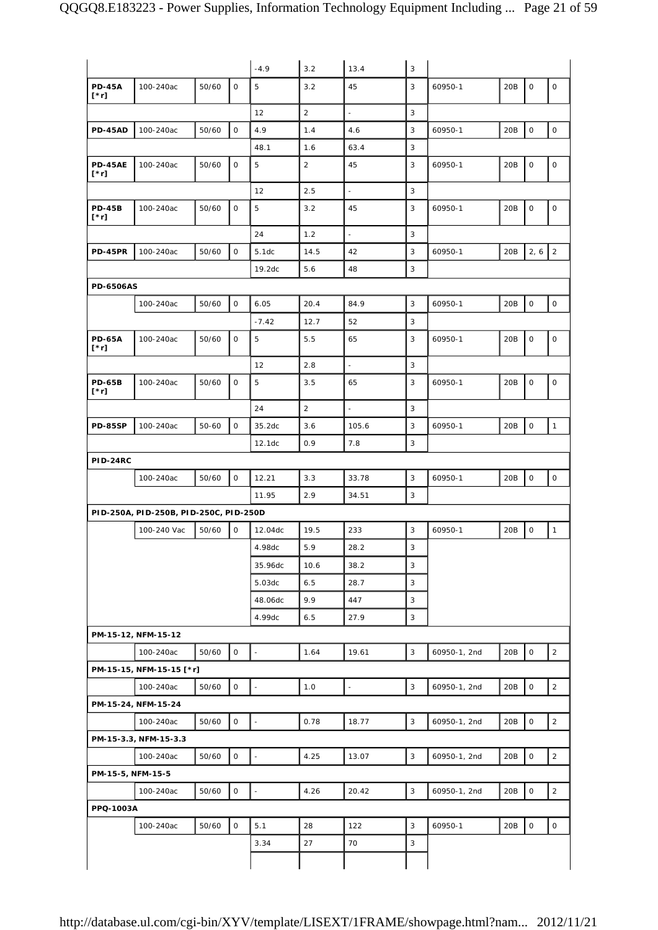|                              |                                        |           |              | $-4.9$                   | 3.2            | 13.4                     | $\mathbf{3}$ | 60950-1      |     |             |                     |
|------------------------------|----------------------------------------|-----------|--------------|--------------------------|----------------|--------------------------|--------------|--------------|-----|-------------|---------------------|
| <b>PD-45A</b><br>$[\cdot r]$ | 100-240ac                              | 50/60     | 0            | 5                        | 3.2            | 45                       | 3            |              | 20B | $\mathsf O$ | 0                   |
|                              |                                        |           |              | 12                       | $\overline{2}$ | $\overline{\phantom{a}}$ | 3            |              |     |             |                     |
| <b>PD-45AD</b>               | 100-240ac                              | 50/60     | $\mathsf O$  | 4.9                      | 1.4            | 4.6                      | 3            | 60950-1      | 20B | $\mathsf O$ | $\mathsf O$         |
|                              |                                        |           |              | 48.1                     | 1.6            | 63.4                     | 3            |              |     |             |                     |
| <b>PD-45AE</b><br>[*r]       | 100-240ac                              | 50/60     | $\mathsf O$  | 5                        | $\overline{2}$ | 45                       | 3            | 60950-1      | 20B | $\mathsf O$ | $\mathsf O$         |
|                              |                                        |           |              | 12                       | 2.5            | $\mathbb{Z}^2$           | 3            |              |     |             |                     |
| <b>PD-45B</b><br>$[\cdot r]$ | 100-240ac                              | 50/60     | 0            | 5                        | 3.2            | 45                       | 3            | 60950-1      | 20B | $\mathsf O$ | $\mathsf O$         |
|                              |                                        |           |              | 24                       | 1.2            | $\overline{\phantom{a}}$ | 3            |              |     |             |                     |
| <b>PD-45PR</b>               | 100-240ac                              | 50/60     | $\mathsf O$  | 5.1dc                    | 14.5           | 42                       | 3            | 60950-1      | 20B | 2, 6        | $\overline{2}$      |
|                              |                                        |           |              | 19.2dc                   | 5.6            | 48                       | 3            |              |     |             |                     |
| <b>PD-6506AS</b>             |                                        |           |              |                          |                |                          |              |              |     |             |                     |
|                              | 100-240ac                              | 50/60     | $\mathsf{O}$ | 6.05                     | 20.4           | 84.9                     | 3            | 60950-1      | 20B | $\mathsf O$ | $\mathsf{O}\xspace$ |
|                              |                                        |           |              | $-7.42$                  | 12.7           | 52                       | 3            |              |     |             |                     |
| <b>PD-65A</b><br>[*r]        | 100-240ac                              | 50/60     | 0            | 5                        | 5.5            | 65                       | 3            | 60950-1      | 20B | 0           | 0                   |
|                              |                                        |           |              | 12                       | 2.8            | $\overline{a}$           | 3            |              |     |             |                     |
| <b>PD-65B</b><br>[*r]        | 100-240ac                              | 50/60     | 0            | 5                        | 3.5            | 65                       | 3            | 60950-1      | 20B | 0           | $\mathsf O$         |
|                              |                                        |           |              | 24                       | $\overline{2}$ | $\frac{1}{2}$            | 3            |              |     |             |                     |
| <b>PD-85SP</b>               | 100-240ac                              | $50 - 60$ | 0            | 35.2dc                   | 3.6            | 105.6                    | 3            | 60950-1      | 20B | 0           | $\mathbf{1}$        |
|                              |                                        |           |              | 12.1dc                   | 0.9            | 7.8                      | 3            |              |     |             |                     |
| <b>PID-24RC</b>              |                                        |           |              |                          |                |                          |              |              |     |             |                     |
|                              | 100-240ac                              | 50/60     | $\mathbf{O}$ | 12.21                    | 3.3            | 33.78                    | 3            | 60950-1      | 20B | $\mathsf O$ | $\mathsf O$         |
|                              |                                        |           |              | 11.95                    | 2.9            | 34.51                    | 3            |              |     |             |                     |
|                              | PID-250A, PID-250B, PID-250C, PID-250D |           |              |                          |                |                          |              |              |     |             |                     |
|                              | 100-240 Vac                            | 50/60     | 0            | 12.04dc                  | 19.5           | 233                      | 3            | 60950-1      | 20B | $\mathsf O$ | $\mathbf{1}$        |
|                              |                                        |           |              | 4.98dc                   | 5.9            | 28.2                     | 3            |              |     |             |                     |
|                              |                                        |           |              | 35.96dc                  | 10.6           | 38.2                     | 3            |              |     |             |                     |
|                              |                                        |           |              | 5.03dc                   | 6.5            | 28.7                     | 3            |              |     |             |                     |
|                              |                                        |           |              | 48.06dc                  | 9.9            | 447                      | 3            |              |     |             |                     |
|                              |                                        |           |              | 4.99dc                   | 6.5            | 27.9                     | 3            |              |     |             |                     |
|                              | PM-15-12, NFM-15-12                    |           |              |                          |                |                          |              |              |     |             |                     |
|                              | 100-240ac                              | 50/60     | 0            | $\overline{\phantom{a}}$ | 1.64           | 19.61                    | 3            | 60950-1, 2nd | 20B | $\mathsf O$ | $\overline{2}$      |
|                              | PM-15-15, NFM-15-15 [*r]               |           |              |                          |                |                          |              |              |     |             |                     |
|                              | 100-240ac                              | 50/60     | 0            | $\omega$                 | 1.0            | ÷,                       | 3            | 60950-1, 2nd | 20B | $\mathsf O$ | $\overline{2}$      |
|                              | PM-15-24, NFM-15-24                    |           |              |                          |                |                          |              |              |     |             |                     |
|                              | 100-240ac                              | 50/60     | 0            | $\overline{\phantom{a}}$ | 0.78           | 18.77                    | 3            | 60950-1, 2nd | 20B | $\mathsf O$ | $\overline{2}$      |
|                              | PM-15-3.3, NFM-15-3.3                  |           |              |                          |                |                          |              |              |     |             |                     |
|                              | 100-240ac                              | 50/60     | 0            | $\bar{\phantom{a}}$      | 4.25           | 13.07                    | 3            | 60950-1, 2nd | 20B | $\mathsf O$ | 2                   |
| PM-15-5, NFM-15-5            |                                        |           |              |                          |                |                          |              |              |     |             |                     |
|                              | 100-240ac                              | 50/60     | 0            | $\bar{\phantom{a}}$      | 4.26           | 20.42                    | 3            | 60950-1, 2nd | 20B | $\mathsf O$ | $\overline{c}$      |
|                              |                                        |           |              |                          |                |                          |              |              |     |             |                     |
| PPQ-1003A                    |                                        |           |              |                          |                |                          |              |              |     |             |                     |
|                              | 100-240ac                              | 50/60     | 0            | 5.1                      | 28             | 122                      | 3            | 60950-1      | 20B | $\mathsf O$ | 0                   |
|                              |                                        |           |              | 3.34                     | 27             | 70                       | 3            |              |     |             |                     |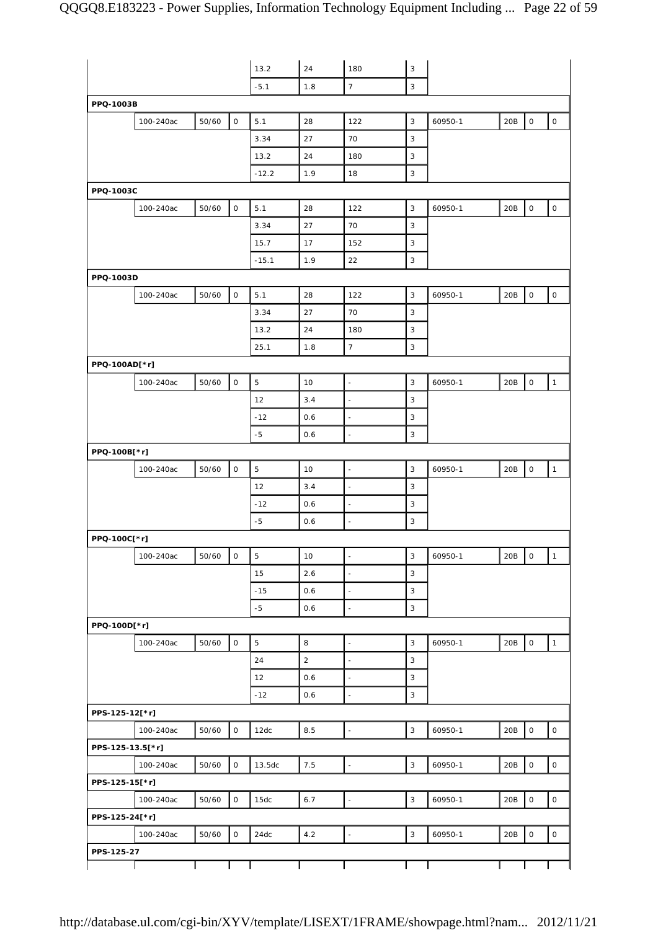|                  |           |       |                     | 13.2           | 24             | 180                      | $\mathsf 3$               |         |     |                          |                     |
|------------------|-----------|-------|---------------------|----------------|----------------|--------------------------|---------------------------|---------|-----|--------------------------|---------------------|
|                  |           |       |                     | $-5.1$         | 1.8            | $\overline{7}$           | 3                         |         |     |                          |                     |
| PPQ-1003B        |           |       |                     |                |                |                          |                           |         |     |                          |                     |
|                  | 100-240ac | 50/60 | $\mathsf O$         | 5.1            | 28             | 122                      | 3                         | 60950-1 | 20B | $\mathsf O$              | $\mathsf{O}\xspace$ |
|                  |           |       |                     | 3.34           | 27             | 70                       | 3                         |         |     |                          |                     |
|                  |           |       |                     | 13.2           | 24             | 180                      | 3                         |         |     |                          |                     |
|                  |           |       |                     | $-12.2$        | 1.9            | 18                       | 3                         |         |     |                          |                     |
| PPQ-1003C        |           |       |                     |                |                |                          |                           |         |     |                          |                     |
|                  | 100-240ac | 50/60 | $\mathsf O$         | 5.1            | 28             | 122                      | 3                         | 60950-1 | 20B | $\mathsf{O}\xspace$      | $\mathsf O$         |
|                  |           |       |                     | 3.34           | 27             | 70                       | 3                         |         |     |                          |                     |
|                  |           |       |                     | 15.7           | 17             | 152                      | 3                         |         |     |                          |                     |
|                  |           |       |                     | $-15.1$        | 1.9            | 22                       | 3                         |         |     |                          |                     |
| PPQ-1003D        |           |       |                     |                |                |                          |                           |         |     |                          |                     |
|                  | 100-240ac | 50/60 | $\mathsf O$         | 5.1            | 28             | 122                      | 3                         | 60950-1 | 20B | $\mathsf{O}\xspace$      | $\mathsf{O}\xspace$ |
|                  |           |       |                     | 3.34           | 27             | 70                       | 3                         |         |     |                          |                     |
|                  |           |       |                     | 13.2           | 24             | 180                      | 3                         |         |     |                          |                     |
|                  |           |       |                     | 25.1           | 1.8            | $7\overline{ }$          | 3                         |         |     |                          |                     |
| PPQ-100AD[*r]    |           |       |                     |                |                |                          |                           |         |     |                          |                     |
|                  | 100-240ac | 50/60 | $\mathsf O$         | $\,$ 5 $\,$    | 10             | $\Box$                   | 3                         | 60950-1 | 20B | $\mathsf O$              | $\mathbf{1}$        |
|                  |           |       |                     | 12             | 3.4            | $\overline{\phantom{a}}$ | 3                         |         |     |                          |                     |
|                  |           |       |                     | $-12$          | 0.6            | $\bar{\phantom{a}}$      | 3                         |         |     |                          |                     |
|                  |           |       |                     | $-5$           | 0.6            | $\Box$                   | 3                         |         |     |                          |                     |
| PPQ-100B[*r]     |           |       |                     |                |                |                          |                           |         |     |                          |                     |
|                  | 100-240ac | 50/60 | $\mathsf{O}$        | $\overline{5}$ | 10             | $\Box$                   | $\mathbf{3}$              | 60950-1 | 20B | $\mathsf O$              | $\mathbf{1}$        |
|                  |           |       |                     | 12             | 3.4            | $\overline{\phantom{a}}$ | 3                         |         |     |                          |                     |
|                  |           |       |                     | $-12$          | 0.6            | $\Box$                   | 3                         |         |     |                          |                     |
|                  |           |       |                     | $-5$           | 0.6            | $\Box$                   | 3                         |         |     |                          |                     |
| PPQ-100C[*r]     |           |       |                     |                |                |                          |                           |         |     |                          |                     |
|                  | 100-240ac | 50/60 | $\mathsf{O}\xspace$ | $\overline{5}$ | 10             | $\overline{\phantom{a}}$ | 3                         | 60950-1 | 20B | $\overline{\phantom{a}}$ | $\mathbf{1}$        |
|                  |           |       |                     | 15             | 2.6            | $\Box$                   | $\overline{3}$            |         |     |                          |                     |
|                  |           |       |                     | $-15$          | 0.6            | $\Box$                   | 3                         |         |     |                          |                     |
|                  |           |       |                     |                |                |                          |                           |         |     |                          |                     |
|                  |           |       |                     | $-5$           | 0.6            | $\Box$                   | 3                         |         |     |                          |                     |
| PPQ-100D[*r]     |           |       |                     |                |                |                          |                           |         |     |                          |                     |
|                  | 100-240ac | 50/60 | $\mathsf{O}$        | $\overline{5}$ | 8              | $\Box$                   | 3                         | 60950-1 | 20B | $\mathsf{O}\xspace$      | $\mathbf{1}$        |
|                  |           |       |                     | 24             | $\overline{2}$ | $\Box$                   | 3                         |         |     |                          |                     |
|                  |           |       |                     | 12             | 0.6            | $\Box$                   | 3                         |         |     |                          |                     |
|                  |           |       |                     | $-12$          | 0.6            | $\overline{\phantom{a}}$ | 3                         |         |     |                          |                     |
| PPS-125-12[*r]   |           |       |                     |                |                |                          |                           |         |     |                          |                     |
|                  | 100-240ac | 50/60 | $\mathsf O$         | 12dc           | 8.5            | $\overline{\phantom{a}}$ | 3                         | 60950-1 | 20B | $\mathsf{O}\xspace$      | $\mathsf O$         |
| PPS-125-13.5[*r] |           |       |                     |                |                |                          |                           |         |     |                          |                     |
|                  | 100-240ac | 50/60 | $\mathsf O$         | 13.5dc         | 7.5            | $\Box$                   | $\mathbf{3}$              | 60950-1 | 20B | $\mathsf O$              | $\mathsf{O}\xspace$ |
| PPS-125-15[*r]   |           |       |                     |                |                |                          |                           |         |     |                          |                     |
|                  | 100-240ac | 50/60 | $\mathsf O$         | 15dc           | 6.7            | $\Box$                   | $\ensuremath{\mathsf{3}}$ | 60950-1 | 20B | $\mathsf{O}\xspace$      | $\mathsf O$         |
| PPS-125-24[*r]   |           |       |                     |                |                |                          |                           |         |     |                          |                     |
|                  | 100-240ac | 50/60 | $\mathsf O$         | 24dc           | 4.2            | $\overline{\phantom{a}}$ | $\mathsf 3$               | 60950-1 | 20B | $\mathsf{O}\xspace$      | $\mathsf{O}\xspace$ |
| PPS-125-27       |           |       |                     |                |                |                          |                           |         |     |                          |                     |
|                  |           |       |                     |                |                |                          |                           |         |     |                          |                     |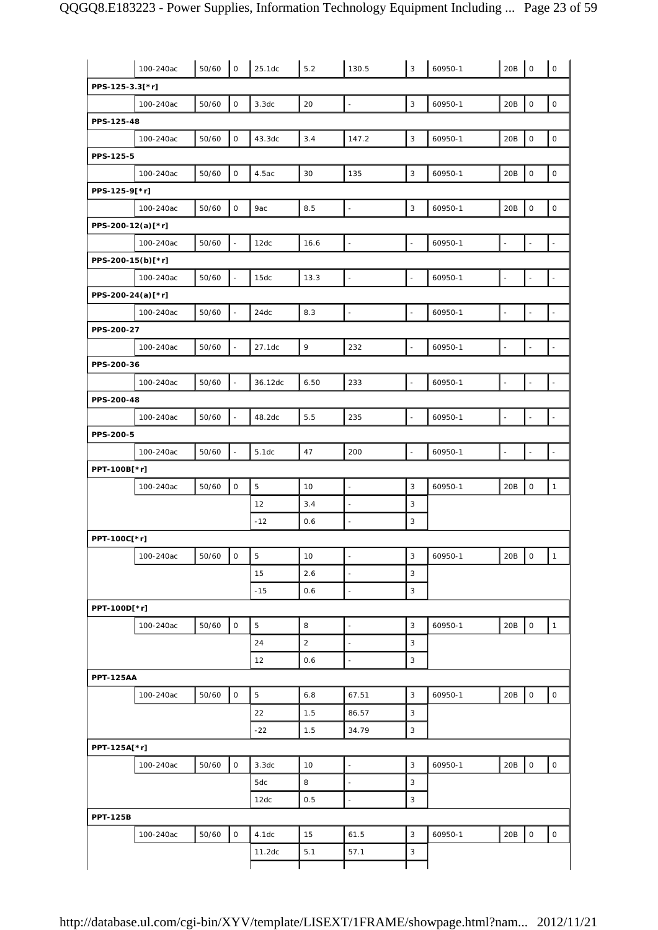|                   | 100-240ac | 50/60 | $\mathsf O$              | 25.1dc      | 5.2        | 130.5                    | 3                        | 60950-1 | 20B                      | $\mathsf{O}\xspace$      | $\mathsf O$         |
|-------------------|-----------|-------|--------------------------|-------------|------------|--------------------------|--------------------------|---------|--------------------------|--------------------------|---------------------|
| PPS-125-3.3[*r]   |           |       |                          |             |            |                          |                          |         |                          |                          |                     |
|                   | 100-240ac | 50/60 | $\mathsf O$              | 3.3dc       | 20         | $\bar{\phantom{a}}$      | 3                        | 60950-1 | 20B                      | $\mathsf O$              | $\mathsf O$         |
| PPS-125-48        |           |       |                          |             |            |                          |                          |         |                          |                          |                     |
|                   | 100-240ac | 50/60 | $\mathsf{O}$             | 43.3dc      | 3.4        | 147.2                    | 3                        | 60950-1 | 20B                      | $\mathsf O$              | $\mathsf{O}$        |
| PPS-125-5         |           |       |                          |             |            |                          |                          |         |                          |                          |                     |
|                   | 100-240ac | 50/60 | $\mathsf{O}\xspace$      | 4.5ac       | 30         | 135                      | 3                        | 60950-1 | 20B                      | $\mathsf O$              | $\mathsf{O}\xspace$ |
| PPS-125-9[*r]     |           |       |                          |             |            |                          |                          |         |                          |                          |                     |
|                   | 100-240ac | 50/60 | $\mathsf{O}$             | 9ac         | 8.5        | $\bar{\phantom{a}}$      | 3                        | 60950-1 | 20B                      | $\mathsf O$              | $\circ$             |
| PPS-200-12(a)[*r] |           |       |                          |             |            |                          |                          |         |                          |                          |                     |
|                   | 100-240ac | 50/60 | $\bar{\phantom{a}}$      | 12dc        | 16.6       | $\blacksquare$           | $\overline{\phantom{a}}$ | 60950-1 | $\Box$                   | L,                       | $\bar{\phantom{a}}$ |
| PPS-200-15(b)[*r] |           |       |                          |             |            |                          |                          |         |                          |                          |                     |
|                   | 100-240ac | 50/60 |                          | 15dc        | 13.3       | $\Box$                   | $\overline{\phantom{a}}$ | 60950-1 | $\overline{\phantom{a}}$ |                          |                     |
| PPS-200-24(a)[*r] |           |       |                          |             |            |                          |                          |         |                          |                          |                     |
|                   | 100-240ac | 50/60 | $\omega$                 | 24dc        | 8.3        | $\Box$                   | $\overline{\phantom{a}}$ | 60950-1 | $\sim$                   | $\overline{\phantom{a}}$ | $\bar{\omega}$      |
| PPS-200-27        |           |       |                          |             |            |                          |                          |         |                          |                          |                     |
|                   | 100-240ac | 50/60 | $\overline{\phantom{a}}$ | 27.1dc      | 9          | 232                      | $\overline{\phantom{a}}$ | 60950-1 | $\Box$                   |                          |                     |
| PPS-200-36        |           |       |                          |             |            |                          |                          |         |                          |                          |                     |
|                   | 100-240ac | 50/60 |                          | 36.12dc     | 6.50       | 233                      | $\overline{a}$           | 60950-1 | $\overline{a}$           |                          |                     |
| PPS-200-48        |           |       |                          |             |            |                          |                          |         |                          |                          |                     |
|                   | 100-240ac | 50/60 | $\overline{\phantom{a}}$ | 48.2dc      | 5.5        | 235                      | $\overline{\phantom{a}}$ | 60950-1 | $\Box$                   | $\sim$                   | $\Box$              |
| PPS-200-5         |           |       |                          |             |            |                          |                          |         |                          |                          |                     |
|                   | 100-240ac | 50/60 | $\blacksquare$           | 5.1dc       | 47         | 200                      | $\overline{\phantom{a}}$ | 60950-1 | $\omega$                 | $\sim$                   | $\bar{\phantom{a}}$ |
| PPT-100B[*r]      |           |       |                          |             |            |                          |                          |         |                          |                          |                     |
|                   | 100-240ac | 50/60 | $\circ$                  | $\mathbf 5$ | 10         | $\overline{\phantom{a}}$ | 3                        | 60950-1 | 20B                      | $\mathsf{O}\xspace$      | $\mathbf{1}$        |
|                   |           |       |                          | 12          | 3.4        | $\overline{\phantom{a}}$ | 3                        |         |                          |                          |                     |
|                   |           |       |                          | $-12$       | 0.6        | $\sim$                   | 3                        |         |                          |                          |                     |
| PPT-100C[*r]      |           |       |                          |             |            |                          |                          |         |                          |                          |                     |
|                   | 100-240ac | 50/60 | 0                        | 5           | 10         | $\overline{\phantom{a}}$ | 3                        | 60950-1 | 20B 0                    |                          | $\overline{1}$      |
|                   |           |       |                          | 15          | 2.6        | $\bar{\phantom{a}}$      | 3                        |         |                          |                          |                     |
|                   |           |       |                          | $-15$       | 0.6        | $\omega$                 | 3                        |         |                          |                          |                     |
| PPT-100D[*r]      |           |       |                          |             |            |                          |                          |         |                          |                          |                     |
|                   | 100-240ac | 50/60 | $\circ$                  | 5           | 8          | $\bar{\phantom{a}}$      | 3<br>3                   | 60950-1 | 20B                      | $\mathsf{O}$             | $\mathbf{1}$        |
|                   |           |       |                          | 24          | $\sqrt{2}$ | $\blacksquare$           |                          |         |                          |                          |                     |
| <b>PPT-125AA</b>  |           |       |                          | 12          | 0.6        | $\sim$                   | 3                        |         |                          |                          |                     |
|                   | 100-240ac | 50/60 | $\mathsf{O}$             | 5           | 6.8        | 67.51                    | 3                        | 60950-1 | 20B                      | $\mathsf O$              | $\circ$             |
|                   |           |       |                          | 22          | 1.5        | 86.57                    | 3                        |         |                          |                          |                     |
|                   |           |       |                          | $-22$       | 1.5        | 34.79                    | 3                        |         |                          |                          |                     |
| PPT-125A[*r]      |           |       |                          |             |            |                          |                          |         |                          |                          |                     |
|                   | 100-240ac | 50/60 | $\mathsf O$              | 3.3dc       | 10         | $\bar{\phantom{a}}$      | 3                        | 60950-1 | 20B                      | $\mathsf{O}\xspace$      | $\circ$             |
|                   |           |       |                          | 5dc         | 8          | $\overline{\phantom{a}}$ | 3                        |         |                          |                          |                     |
|                   |           |       |                          | 12dc        | 0.5        | $\bar{z}$                | 3                        |         |                          |                          |                     |
| <b>PPT-125B</b>   |           |       |                          |             |            |                          |                          |         |                          |                          |                     |
|                   | 100-240ac | 50/60 | 0                        | 4.1dc       | 15         | 61.5                     | $\mathsf 3$              | 60950-1 | 20B                      | 0                        | $\mathsf{O}$        |
|                   |           |       |                          |             |            |                          |                          |         |                          |                          |                     |
|                   |           |       |                          | 11.2dc      | 5.1        | 57.1                     | 3                        |         |                          |                          |                     |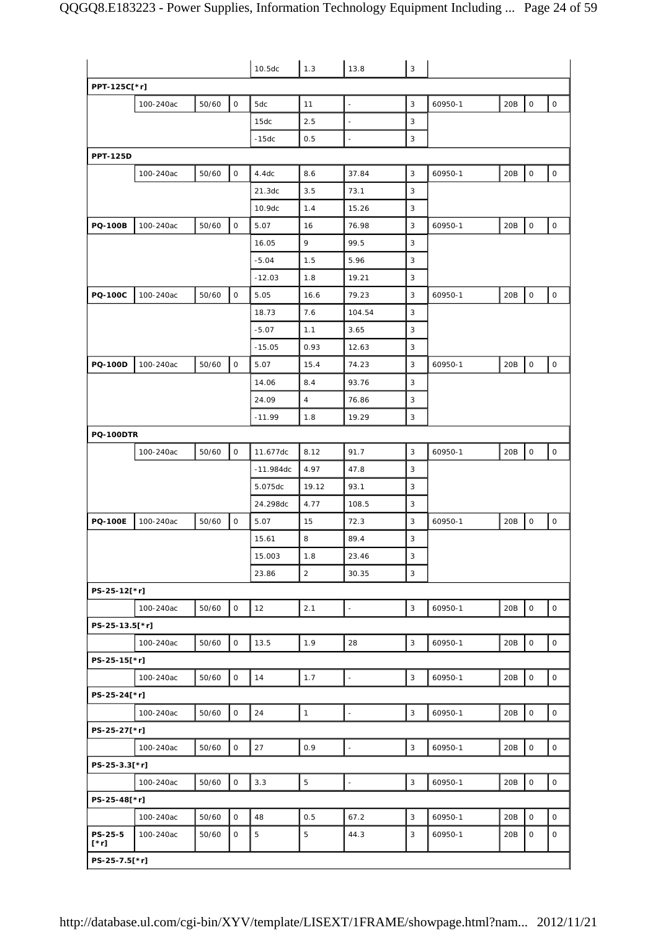|                        |           |       | 10.5dc       | 1.3         | 13.8           | $\mathsf 3$              |              |         |     |              |                     |
|------------------------|-----------|-------|--------------|-------------|----------------|--------------------------|--------------|---------|-----|--------------|---------------------|
| PPT-125C[*r]           |           |       |              |             |                |                          |              |         |     |              |                     |
|                        | 100-240ac | 50/60 | 0            | 5dc         | 11             | $\blacksquare$           | 3            | 60950-1 | 20B | $\mathsf O$  | 0                   |
|                        |           |       |              | 15dc        | 2.5            |                          | 3            |         |     |              |                     |
|                        |           |       |              | $-15dc$     | 0.5            | $\sim$                   | 3            |         |     |              |                     |
| <b>PPT-125D</b>        |           |       |              |             |                |                          |              |         |     |              |                     |
|                        | 100-240ac | 50/60 | 0            | 4.4dc       | 8.6            | 37.84                    | 3            | 60950-1 | 20B | $\mathsf O$  | 0                   |
|                        |           |       |              | 21.3dc      | 3.5            | 73.1                     | 3            |         |     |              |                     |
|                        |           |       |              | 10.9dc      | 1.4            | 15.26                    | 3            |         |     |              |                     |
| <b>PQ-100B</b>         | 100-240ac | 50/60 | 0            | 5.07        | 16             | 76.98                    | 3            | 60950-1 | 20B | 0            | $\mathsf{O}\xspace$ |
|                        |           |       |              | 16.05       | 9              | 99.5                     | 3            |         |     |              |                     |
|                        |           |       |              | $-5.04$     | 1.5            | 5.96                     | 3            |         |     |              |                     |
|                        |           |       |              | $-12.03$    | 1.8            | 19.21                    | 3            |         |     |              |                     |
| <b>PQ-100C</b>         | 100-240ac | 50/60 | $\mathsf O$  | 5.05        | 16.6           | 79.23                    | 3            | 60950-1 | 20B | $\mathsf O$  | $\circ$             |
|                        |           |       |              | 18.73       | 7.6            | 104.54                   | 3            |         |     |              |                     |
|                        |           |       |              | $-5.07$     | 1.1            | 3.65                     | 3            |         |     |              |                     |
|                        |           |       |              | $-15.05$    | 0.93           | 12.63                    | 3            |         |     |              |                     |
| <b>PQ-100D</b>         | 100-240ac | 50/60 | $\mathsf O$  | 5.07        | 15.4           | 74.23                    | 3            | 60950-1 | 20B | $\mathsf O$  | $\mathsf{O}\xspace$ |
|                        |           |       |              | 14.06       | 8.4            | 93.76                    | 3            |         |     |              |                     |
|                        |           |       |              | 24.09       | $\overline{4}$ | 76.86                    | 3            |         |     |              |                     |
|                        |           |       |              | $-11.99$    | 1.8            | 19.29                    | 3            |         |     |              |                     |
| <b>PQ-100DTR</b>       |           |       |              |             |                |                          |              |         |     |              |                     |
|                        | 100-240ac | 50/60 | O            | 11.677dc    | 8.12           | 91.7                     | 3            | 60950-1 | 20B | $\mathsf O$  | $\mathsf O$         |
|                        |           |       |              | $-11.984dc$ | 4.97           | 47.8                     | 3            |         |     |              |                     |
|                        |           |       |              | 5.075dc     | 19.12          | 93.1                     | 3            |         |     |              |                     |
|                        |           |       |              | 24.298dc    | 4.77           | 108.5                    | 3            |         |     |              |                     |
| <b>PQ-100E</b>         | 100-240ac | 50/60 | 0            | 5.07        | 15             | 72.3                     | 3            | 60950-1 | 20B | $\mathsf O$  | 0                   |
|                        |           |       |              | 15.61       | 8              | 89.4                     | 3            |         |     |              |                     |
|                        |           |       |              | 15.003      | 1.8            | 23.46                    | 3            |         |     |              |                     |
|                        |           |       |              | 23.86       | $\overline{a}$ | 30.35                    | $\mathsf 3$  |         |     |              |                     |
| PS-25-12[*r]           |           |       |              |             |                |                          |              |         |     |              |                     |
|                        | 100-240ac | 50/60 | $\circ$      | 12          | 2.1            | $\overline{\phantom{a}}$ | $\mathbf{3}$ | 60950-1 | 20B | $\mathsf O$  | $\circ$             |
| PS-25-13.5[*r]         |           |       |              |             |                |                          |              |         |     |              |                     |
|                        | 100-240ac | 50/60 | 0            | 13.5        | 1.9            | 28                       | 3            | 60950-1 | 20B | $\mathsf O$  | $\mathsf{O}\xspace$ |
| PS-25-15[*r]           |           |       |              |             |                |                          |              |         |     |              |                     |
|                        | 100-240ac | 50/60 | $\mathsf{O}$ | 14          | 1.7            | $\overline{\phantom{a}}$ | 3            | 60950-1 | 20B | $\mathsf{O}$ | $\mathsf{O}$        |
| PS-25-24[*r]           |           |       |              |             |                |                          |              |         |     |              |                     |
|                        | 100-240ac | 50/60 | $\mathsf O$  | 24          | $\mathbf{1}$   | $\Box$                   | $\mathbf{3}$ | 60950-1 | 20B | $\mathsf O$  | $\mathsf{O}\xspace$ |
| PS-25-27[*r]           |           |       |              |             |                |                          |              |         |     |              |                     |
|                        | 100-240ac | 50/60 | $\mathsf O$  | 27          | 0.9            | ÷,                       | 3            | 60950-1 | 20B | $\mathsf O$  | $\mathsf{O}\xspace$ |
| PS-25-3.3[*r]          |           |       |              |             |                |                          |              |         |     |              |                     |
|                        | 100-240ac | 50/60 | $\mathsf O$  | 3.3         | $\overline{5}$ | $\frac{1}{2}$            | 3            | 60950-1 | 20B | $\mathsf O$  | $\mathsf O$         |
| PS-25-48[*r]           |           |       |              |             |                |                          |              |         |     |              |                     |
|                        | 100-240ac | 50/60 | $\mathbf{O}$ | 48          | 0.5            | 67.2                     | 3            | 60950-1 | 20B | $\mathbf 0$  | $\circ$             |
| PS-25-5<br>$[\cdot r]$ | 100-240ac | 50/60 | 0            | 5           | 5              | 44.3                     | 3            | 60950-1 | 20B | 0            | 0                   |
| PS-25-7.5[*r]          |           |       |              |             |                |                          |              |         |     |              |                     |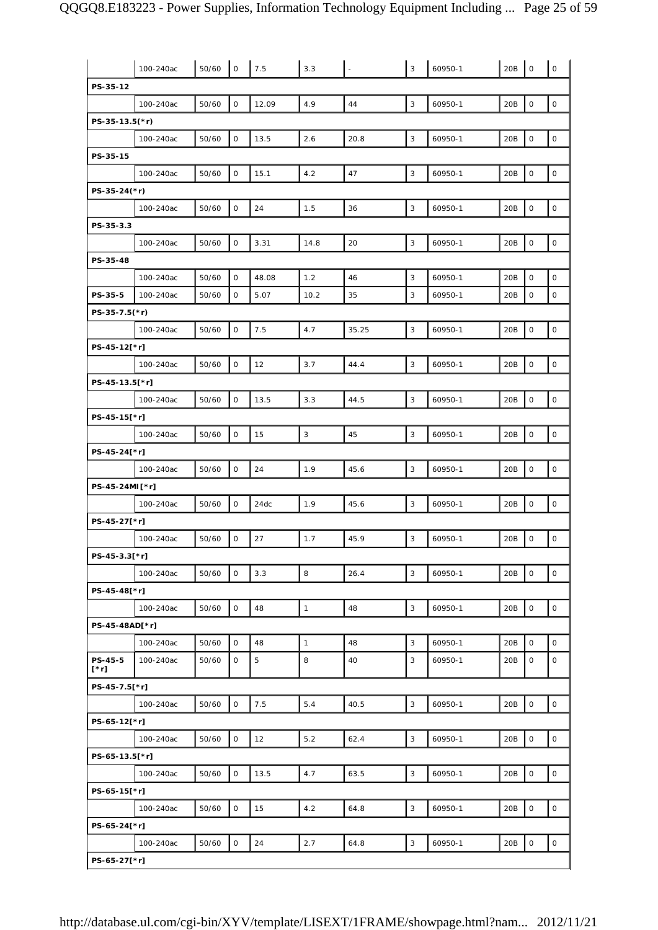|                        | 100-240ac | 50/60 | $\mathsf O$  | 7.5         | 3.3          |       | 3            | 60950-1 | 20B | $\circ$             | $\mathsf{O}\xspace$ |
|------------------------|-----------|-------|--------------|-------------|--------------|-------|--------------|---------|-----|---------------------|---------------------|
| PS-35-12               |           |       |              |             |              |       |              |         |     |                     |                     |
|                        | 100-240ac | 50/60 | 0            | 12.09       | 4.9          | 44    | 3            | 60950-1 | 20B | $\mathbf 0$         | $\mathsf O$         |
| $PS-35-13.5(*)$        |           |       |              |             |              |       |              |         |     |                     |                     |
|                        | 100-240ac | 50/60 | $\mathsf O$  | 13.5        | 2.6          | 20.8  | 3            | 60950-1 | 20B | $\mathsf{O}$        | $\mathsf O$         |
| PS-35-15               |           |       |              |             |              |       |              |         |     |                     |                     |
|                        | 100-240ac | 50/60 | 0            | 15.1        | 4.2          | 47    | 3            | 60950-1 | 20B | $\mathsf{O}\xspace$ | $\mathsf{O}\xspace$ |
| PS-35-24(*r)           |           |       |              |             |              |       |              |         |     |                     |                     |
|                        | 100-240ac | 50/60 | $\mathsf O$  | 24          | 1.5          | 36    | 3            | 60950-1 | 20B | $\mathsf O$         | $\mathsf O$         |
| PS-35-3.3              |           |       |              |             |              |       |              |         |     |                     |                     |
|                        | 100-240ac | 50/60 | $\mathsf O$  | 3.31        | 14.8         | 20    | 3            | 60950-1 | 20B | $\mathbf 0$         | $\mathsf{O}\xspace$ |
| PS-35-48               |           |       |              |             |              |       |              |         |     |                     |                     |
|                        | 100-240ac | 50/60 | 0            | 48.08       | 1.2          | 46    | 3            | 60950-1 | 20B | $\mathsf{O}\xspace$ | $\mathsf O$         |
| PS-35-5                | 100-240ac | 50/60 | 0            | 5.07        | 10.2         | 35    | 3            | 60950-1 | 20B | $\mathsf O$         | $\mathsf O$         |
| PS-35-7.5(*r)          |           |       |              |             |              |       |              |         |     |                     |                     |
|                        | 100-240ac | 50/60 | $\mathsf O$  | 7.5         | 4.7          | 35.25 | 3            | 60950-1 | 20B | $\mathsf O$         | $\mathsf{O}\xspace$ |
| PS-45-12[*r]           |           |       |              |             |              |       |              |         |     |                     |                     |
|                        | 100-240ac | 50/60 | $\mathsf O$  | 12          | 3.7          | 44.4  | 3            | 60950-1 | 20B | $\mathsf{O}$        | $\circ$             |
| PS-45-13.5[*r]         |           |       |              |             |              |       |              |         |     |                     |                     |
|                        | 100-240ac | 50/60 | $\mathsf O$  | 13.5        | 3.3          | 44.5  | 3            | 60950-1 | 20B | $\mathsf O$         | $\mathsf O$         |
| PS-45-15[*r]           |           |       |              |             |              |       |              |         |     |                     |                     |
|                        | 100-240ac | 50/60 | $\mathsf O$  | 15          | 3            | 45    | 3            | 60950-1 | 20B | $\mathsf O$         | $\mathsf O$         |
| PS-45-24[*r]           |           |       |              |             |              |       |              |         |     |                     |                     |
|                        | 100-240ac | 50/60 | $\mathsf O$  | 24          | 1.9          | 45.6  | 3            | 60950-1 | 20B | $\mathsf O$         | $\mathsf O$         |
| PS-45-24MI [*r]        |           |       |              |             |              |       |              |         |     |                     |                     |
|                        | 100-240ac | 50/60 | $\mathsf O$  | 24dc        | 1.9          | 45.6  | 3            | 60950-1 | 20B | $\mathsf O$         | $\mathsf O$         |
| PS-45-27[*r]           |           |       |              |             |              |       |              |         |     |                     |                     |
|                        | 100-240ac | 50/60 | $\mathsf O$  | 27          | 1.7          | 45.9  | 3            | 60950-1 | 20B | $\mathsf O$         | $\mathsf O$         |
| PS-45-3.3[*r]          |           |       |              |             |              |       |              |         |     |                     |                     |
|                        | 100-240ac | 50/60 | $\mathsf O$  | 3.3         | 8            | 26.4  | 3            | 60950-1 | 20B | $\mathbf 0$         | $\circ$             |
| PS-45-48[*r]           |           |       |              |             |              |       |              |         |     |                     |                     |
|                        | 100-240ac | 50/60 | $\mathsf O$  | 48          | $\mathbf{1}$ | 48    | 3            | 60950-1 | 20B | $\mathsf O$         | $\mathsf{O}\xspace$ |
| PS-45-48AD[*r]         |           |       |              |             |              |       |              |         |     |                     |                     |
|                        | 100-240ac | 50/60 | $\mathsf{O}$ | 48          | $\mathbf{1}$ | 48    | 3            | 60950-1 | 20B | $\mathsf O$         | $\circ$             |
| <b>PS-45-5</b><br>[*r] | 100-240ac | 50/60 | 0            | $\mathbf 5$ | 8            | 40    | 3            | 60950-1 | 20B | $\mathsf O$         | $\mathbf 0$         |
| PS-45-7.5[*r]          |           |       |              |             |              |       |              |         |     |                     |                     |
|                        | 100-240ac | 50/60 | $\mathsf O$  | $7.5$       | 5.4          | 40.5  | 3            | 60950-1 | 20B | $\mathsf{O}$        | $\mathsf O$         |
| PS-65-12[*r]           |           |       |              |             |              |       |              |         |     |                     |                     |
|                        | 100-240ac | 50/60 | 0            | 12          | $5.2$        | 62.4  | 3            | 60950-1 | 20B | $\mathsf O$         | 0                   |
| PS-65-13.5[*r]         |           |       |              |             |              |       |              |         |     |                     |                     |
|                        | 100-240ac | 50/60 | 0            | 13.5        | 4.7          | 63.5  | 3            | 60950-1 | 20B | $\mathbf 0$         | 0                   |
| PS-65-15[*r]           |           |       |              |             |              |       |              |         |     |                     |                     |
|                        | 100-240ac | 50/60 | $\mathsf{O}$ | 15          | 4.2          | 64.8  | $\mathbf{3}$ | 60950-1 | 20B | $\mathsf O$         | 0                   |
| PS-65-24[*r]           |           |       |              |             |              |       |              |         |     |                     |                     |
|                        | 100-240ac | 50/60 | 0            | 24          | 2.7          | 64.8  | 3            | 60950-1 | 20B | $\mathsf O$         | 0                   |
| PS-65-27[*r]           |           |       |              |             |              |       |              |         |     |                     |                     |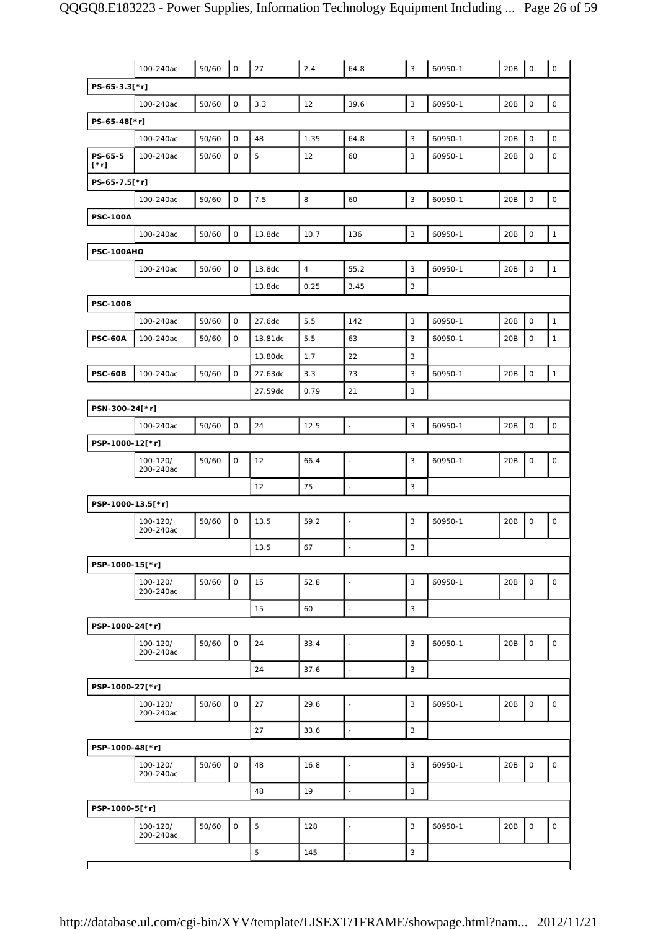|                        | 100-240ac             | 50/60 | $\mathsf O$  | 27      | 2.4            | 64.8                     | $\overline{3}$ | 60950-1 | 20B | $\mathsf{O}$        | $\mathsf O$  |
|------------------------|-----------------------|-------|--------------|---------|----------------|--------------------------|----------------|---------|-----|---------------------|--------------|
| PS-65-3.3[*r]          |                       |       |              |         |                |                          |                |         |     |                     |              |
|                        | 100-240ac             | 50/60 | $\mathsf O$  | 3.3     | 12             | 39.6                     | $\overline{3}$ | 60950-1 | 20B | $\mathbf 0$         | 0            |
| PS-65-48[*r]           |                       |       |              |         |                |                          |                |         |     |                     |              |
|                        | 100-240ac             | 50/60 | $\mathsf O$  | 48      | 1.35           | 64.8                     | 3              | 60950-1 | 20B | $\mathsf O$         | $\mathsf O$  |
| PS-65-5<br>$[\cdot r]$ | 100-240ac             | 50/60 | $\mathbf 0$  | 5       | 12             | 60                       | 3              | 60950-1 | 20B | $\mathsf{O}\xspace$ | $\mathbf 0$  |
| PS-65-7.5[*r]          |                       |       |              |         |                |                          |                |         |     |                     |              |
|                        | 100-240ac             | 50/60 | $\mathsf O$  | 7.5     | 8              | 60                       | 3              | 60950-1 | 20B | $\mathsf O$         | 0            |
| <b>PSC-100A</b>        |                       |       |              |         |                |                          |                |         |     |                     |              |
|                        | 100-240ac             | 50/60 | $\mathsf O$  | 13.8dc  | 10.7           | 136                      | 3              | 60950-1 | 20B | 0                   | $\mathbf{1}$ |
| PSC-100AHO             |                       |       |              |         |                |                          |                |         |     |                     |              |
|                        | 100-240ac             | 50/60 | $\mathbf 0$  | 13.8dc  | $\overline{4}$ | 55.2                     | 3              | 60950-1 | 20B | $\mathsf{O}\xspace$ | $\mathbf{1}$ |
|                        |                       |       |              | 13.8dc  | 0.25           | 3.45                     | 3              |         |     |                     |              |
| <b>PSC-100B</b>        |                       |       |              |         |                |                          |                |         |     |                     |              |
|                        | 100-240ac             | 50/60 | $\mathbf 0$  | 27.6dc  | 5.5            | 142                      | 3              | 60950-1 | 20B | $\mathsf{O}$        | $\mathbf{1}$ |
| <b>PSC-60A</b>         | 100-240ac             | 50/60 | 0            | 13.81dc | 5.5            | 63                       | 3              | 60950-1 | 20B | 0                   | $\mathbf{1}$ |
|                        |                       |       |              | 13.80dc | 1.7            | 22                       | 3              |         |     |                     |              |
| <b>PSC-60B</b>         | 100-240ac             | 50/60 | 0            | 27.63dc | 3.3            | 73                       | 3              | 60950-1 | 20B | 0                   | $\mathbf{1}$ |
|                        |                       |       |              | 27.59dc | 0.79           | 21                       | 3              |         |     |                     |              |
| PSN-300-24[*r]         |                       |       |              |         |                |                          |                |         |     |                     |              |
|                        | 100-240ac             | 50/60 | $\mathbf 0$  | 24      | 12.5           | $\blacksquare$           | 3              | 60950-1 | 20B | $\mathsf O$         | $\mathsf O$  |
| PSP-1000-12[*r]        |                       |       |              |         |                |                          |                |         |     |                     |              |
|                        | 100-120/<br>200-240ac | 50/60 | $\mathsf O$  | 12      | 66.4           | $\overline{a}$           | 3              | 60950-1 | 20B | $\mathsf O$         | $\mathsf O$  |
|                        |                       |       |              | 12      | 75             | ÷,                       | 3              |         |     |                     |              |
| PSP-1000-13.5[*r]      |                       |       |              |         |                |                          |                |         |     |                     |              |
|                        | 100-120/<br>200-240ac | 50/60 | $\mathsf O$  | 13.5    | 59.2           | $\blacksquare$           | 3              | 60950-1 | 20B | $\mathsf O$         | $\mathsf O$  |
|                        |                       |       |              | 13.5    | 67             |                          | 3              |         |     |                     |              |
| PSP-1000-15[*r]        |                       |       |              |         |                |                          |                |         |     |                     |              |
|                        | 100-120/<br>200-240ac | 50/60 | $\mathsf{O}$ | 15      | 52.8           | $\blacksquare$           | 3              | 60950-1 | 20B | $\mathsf O$         | $\mathsf{O}$ |
|                        |                       |       |              | 15      | 60             | $\overline{\phantom{a}}$ | 3              |         |     |                     |              |
| PSP-1000-24[*r]        |                       |       |              |         |                |                          |                |         |     |                     |              |
|                        | 100-120/              |       |              | 24      |                |                          |                |         |     | $\mathsf O$         | 0            |
|                        | 200-240ac             | 50/60 | $\mathsf O$  |         | 33.4           | ÷,                       | 3              | 60950-1 | 20B |                     |              |
|                        |                       |       |              | 24      | 37.6           | $\overline{a}$           | 3              |         |     |                     |              |
| PSP-1000-27[*r]        |                       |       |              |         |                |                          |                |         |     |                     |              |
|                        | 100-120/<br>200-240ac | 50/60 | $\mathsf O$  | 27      | 29.6           | ÷,                       | 3              | 60950-1 | 20B | $\mathsf O$         | $\mathsf O$  |
|                        |                       |       |              | 27      | 33.6           | $\overline{\phantom{a}}$ | 3              |         |     |                     |              |
| PSP-1000-48[*r]        |                       |       |              |         |                |                          |                |         |     |                     |              |
|                        | 100-120/<br>200-240ac | 50/60 | $\mathsf{O}$ | 48      | 16.8           | ÷,                       | 3              | 60950-1 | 20B | $\mathsf{O}$        | $\mathsf O$  |
|                        |                       |       |              | 48      | 19             | $\overline{\phantom{a}}$ | 3              |         |     |                     |              |
| PSP-1000-5[*r]         |                       |       |              |         |                |                          |                |         |     |                     |              |
|                        | 100-120/<br>200-240ac | 50/60 | $\mathsf O$  | 5       | 128            | $\overline{\phantom{a}}$ | 3              | 60950-1 | 20B | $\mathsf O$         | 0            |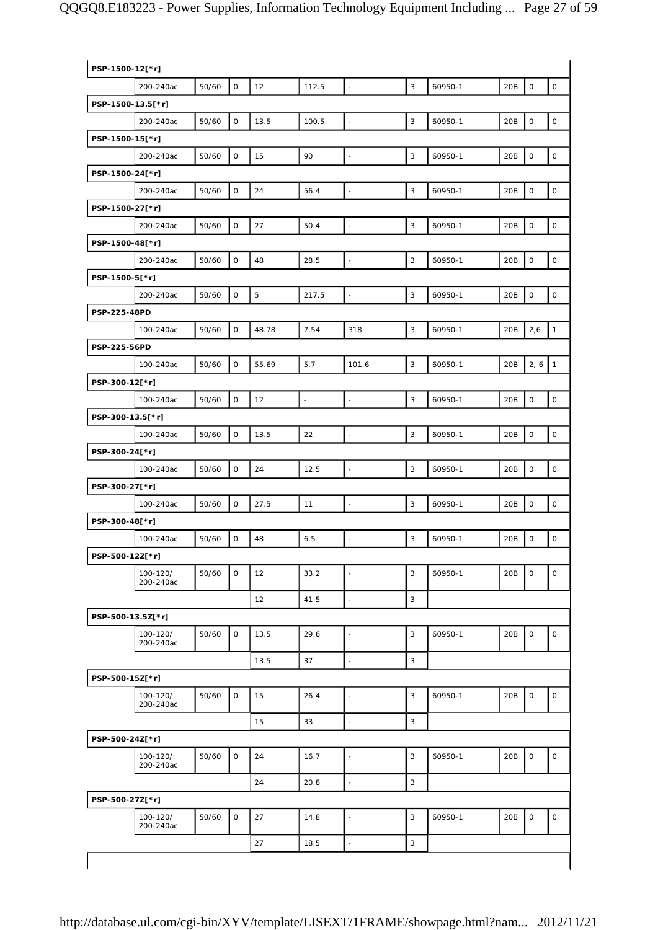| PSP-1500-12[*r]   |                       |       |                     |       |                          |                          |                |         |     |                     |              |
|-------------------|-----------------------|-------|---------------------|-------|--------------------------|--------------------------|----------------|---------|-----|---------------------|--------------|
|                   | 200-240ac             | 50/60 | 0                   | 12    | 112.5                    | $\overline{\phantom{a}}$ | 3              | 60950-1 | 20B | $\mathsf O$         | $\mathsf O$  |
| PSP-1500-13.5[*r] |                       |       |                     |       |                          |                          |                |         |     |                     |              |
|                   | 200-240ac             | 50/60 | 0                   | 13.5  | 100.5                    |                          | 3              | 60950-1 | 20B | $\mathbf 0$         | $\mathsf O$  |
| PSP-1500-15[*r]   |                       |       |                     |       |                          |                          |                |         |     |                     |              |
|                   | 200-240ac             | 50/60 | $\mathsf O$         | 15    | 90                       | $\overline{\phantom{a}}$ | 3              | 60950-1 | 20B | $\mathbf 0$         | $\mathsf O$  |
| PSP-1500-24[*r]   |                       |       |                     |       |                          |                          |                |         |     |                     |              |
|                   | 200-240ac             | 50/60 | $\mathsf O$         | 24    | 56.4                     |                          | 3              | 60950-1 | 20B | $\mathbf 0$         | $\mathsf O$  |
| PSP-1500-27[*r]   |                       |       |                     |       |                          |                          |                |         |     |                     |              |
|                   | 200-240ac             | 50/60 | $\mathsf O$         | 27    | 50.4                     | $\overline{\phantom{a}}$ | 3              | 60950-1 | 20B | $\mathsf{O}\xspace$ | $\mathsf O$  |
| PSP-1500-48[*r]   |                       |       |                     |       |                          |                          |                |         |     |                     |              |
|                   | 200-240ac             | 50/60 | $\mathsf O$         | 48    | 28.5                     | L                        | 3              | 60950-1 | 20B | $\mathsf O$         | $\mathsf O$  |
| PSP-1500-5[*r]    |                       |       |                     |       |                          |                          |                |         |     |                     |              |
|                   | 200-240ac             | 50/60 | $\mathsf O$         | 5     | 217.5                    | $\overline{\phantom{a}}$ | 3              | 60950-1 | 20B | $\mathsf O$         | $\mathsf O$  |
| PSP-225-48PD      |                       |       |                     |       |                          |                          |                |         |     |                     |              |
|                   | 100-240ac             | 50/60 | $\mathsf O$         | 48.78 | 7.54                     | 318                      | 3              | 60950-1 | 20B | 2,6                 | $\mathbf{1}$ |
| PSP-225-56PD      |                       |       |                     |       |                          |                          |                |         |     |                     |              |
|                   | 100-240ac             | 50/60 | $\mathsf O$         | 55.69 | 5.7                      | 101.6                    | 3              | 60950-1 | 20B | 2, 6                | $\mathbf{1}$ |
| PSP-300-12[*r]    |                       |       |                     |       |                          |                          |                |         |     |                     |              |
|                   | 100-240ac             | 50/60 | $\mathsf{O}\xspace$ | 12    | $\overline{\phantom{a}}$ |                          | 3              | 60950-1 | 20B | $\mathsf{O}\xspace$ | $\mathsf O$  |
| PSP-300-13.5[*r]  |                       |       |                     |       |                          |                          |                |         |     |                     |              |
|                   | 100-240ac             | 50/60 | 0                   | 13.5  | 22                       | L.                       | 3              | 60950-1 | 20B | $\mathbf 0$         | $\mathsf O$  |
| PSP-300-24[*r]    |                       |       |                     |       |                          |                          |                |         |     |                     |              |
|                   | 100-240ac             | 50/60 | $\mathsf O$         | 24    | 12.5                     | L.                       | 3              | 60950-1 | 20B | $\mathbf 0$         | $\mathsf O$  |
| PSP-300-27[*r]    |                       |       |                     |       |                          |                          |                |         |     |                     |              |
|                   | 100-240ac             | 50/60 | $\mathsf{O}\xspace$ | 27.5  | 11                       | $\overline{\phantom{a}}$ | 3              | 60950-1 | 20B | $\mathsf{O}\xspace$ | $\mathsf O$  |
| PSP-300-48[*r]    |                       |       |                     |       |                          |                          |                |         |     |                     |              |
|                   | 100-240ac             | 50/60 | $\mathsf O$         | 48    | 6.5                      |                          | 3              | 60950-1 | 20B | $\mathbf 0$         | $\mathsf O$  |
| PSP-500-12Z[*r]   |                       |       |                     |       |                          |                          |                |         |     |                     |              |
|                   | 100-120/<br>200-240ac | 50/60 | $\mathsf{O}$        | 12    | 33.2                     | ÷,                       | 3              | 60950-1 | 20B | $\mathsf O$         | $\mathsf O$  |
|                   |                       |       |                     | 12    | 41.5                     | $\overline{a}$           | $\overline{3}$ |         |     |                     |              |
| PSP-500-13.5Z[*r] |                       |       |                     |       |                          |                          |                |         |     |                     |              |
|                   | 100-120/<br>200-240ac | 50/60 | 0                   | 13.5  | 29.6                     | $\overline{\phantom{a}}$ | 3              | 60950-1 | 20B | $\mathsf O$         | $\mathsf O$  |
|                   |                       |       |                     | 13.5  | 37                       | ÷,                       | $\mathsf 3$    |         |     |                     |              |
| PSP-500-15Z[*r]   |                       |       |                     |       |                          |                          |                |         |     |                     |              |
|                   | 100-120/<br>200-240ac | 50/60 | $\mathbf 0$         | 15    | 26.4                     | $\blacksquare$           | 3              | 60950-1 | 20B | $\mathsf O$         | 0            |
|                   |                       |       |                     | 15    | 33                       | ÷,                       | 3              |         |     |                     |              |
| PSP-500-24Z[*r]   |                       |       |                     |       |                          |                          |                |         |     |                     |              |
|                   | 100-120/<br>200-240ac | 50/60 | 0                   | 24    | 16.7                     | $\overline{\phantom{a}}$ | $\sqrt{3}$     | 60950-1 | 20B | $\mathsf{O}\xspace$ | $\mathsf{O}$ |
|                   |                       |       |                     | 24    | 20.8                     | $\overline{\phantom{a}}$ | $\sqrt{3}$     |         |     |                     |              |
| PSP-500-27Z[*r]   |                       |       |                     |       |                          |                          |                |         |     |                     |              |
|                   | 100-120/<br>200-240ac | 50/60 | 0                   | 27    | 14.8                     | ä,                       | 3              | 60950-1 | 20B | $\mathsf O$         | $\mathsf O$  |
|                   |                       |       |                     | 27    | 18.5                     |                          | 3              |         |     |                     |              |
|                   |                       |       |                     |       |                          |                          |                |         |     |                     |              |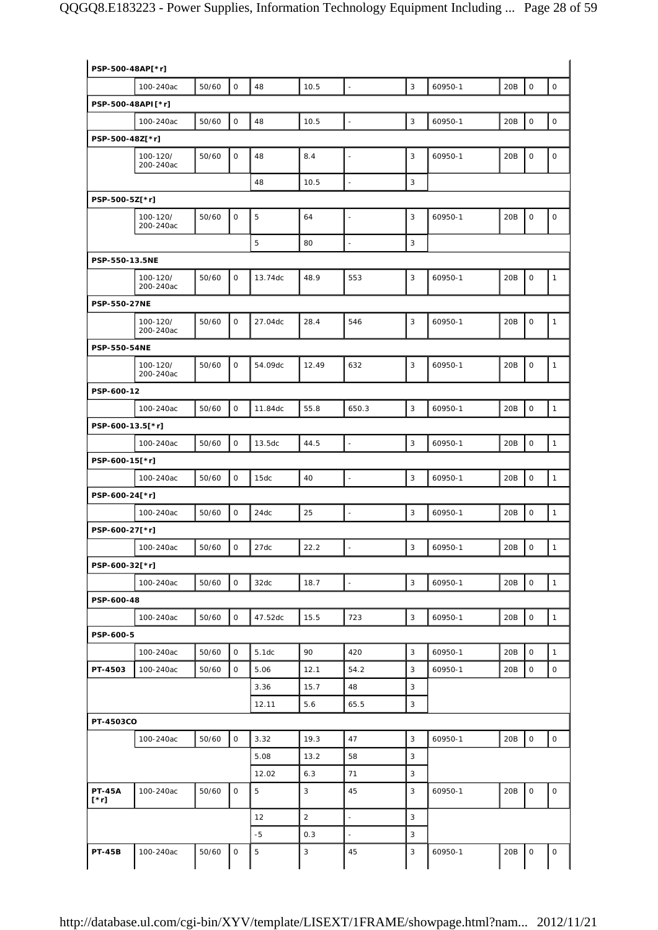| PSP-500-48AP[*r]      |                       |       |              |         |                |                          |   |         |     |                     |              |
|-----------------------|-----------------------|-------|--------------|---------|----------------|--------------------------|---|---------|-----|---------------------|--------------|
|                       | 100-240ac             | 50/60 | $\mathsf O$  | 48      | 10.5           | $\blacksquare$           | 3 | 60950-1 | 20B | $\mathsf O$         | $\mathsf O$  |
| PSP-500-48API[*r]     |                       |       |              |         |                |                          |   |         |     |                     |              |
|                       | 100-240ac             | 50/60 | 0            | 48      | 10.5           | ä,                       | 3 | 60950-1 | 20B | $\mathsf O$         | $\mathsf O$  |
| PSP-500-48Z[*r]       |                       |       |              |         |                |                          |   |         |     |                     |              |
|                       | 100-120/<br>200-240ac | 50/60 | 0            | 48      | 8.4            |                          | 3 | 60950-1 | 20B | $\mathsf O$         | $\mathsf O$  |
|                       |                       |       |              | 48      | 10.5           | $\blacksquare$           | 3 |         |     |                     |              |
| PSP-500-5Z[*r]        |                       |       |              |         |                |                          |   |         |     |                     |              |
|                       | 100-120/<br>200-240ac | 50/60 | $\mathbf 0$  | 5       | 64             | ÷                        | 3 | 60950-1 | 20B | $\mathsf O$         | $\mathsf O$  |
|                       |                       |       |              | 5       | 80             | $\overline{\phantom{a}}$ | 3 |         |     |                     |              |
| PSP-550-13.5NE        |                       |       |              |         |                |                          |   |         |     |                     |              |
|                       | 100-120/<br>200-240ac | 50/60 | $\mathsf{O}$ | 13.74dc | 48.9           | 553                      | 3 | 60950-1 | 20B | $\mathsf O$         | 1            |
| <b>PSP-550-27NE</b>   |                       |       |              |         |                |                          |   |         |     |                     |              |
|                       | 100-120/<br>200-240ac | 50/60 | 0            | 27.04dc | 28.4           | 546                      | 3 | 60950-1 | 20B | $\mathsf O$         | 1            |
| <b>PSP-550-54NE</b>   |                       |       |              |         |                |                          |   |         |     |                     |              |
|                       | 100-120/<br>200-240ac | 50/60 | $\mathsf O$  | 54.09dc | 12.49          | 632                      | 3 | 60950-1 | 20B | $\mathsf O$         | 1            |
| PSP-600-12            |                       |       |              |         |                |                          |   |         |     |                     |              |
|                       | 100-240ac             | 50/60 | $\mathsf O$  | 11.84dc | 55.8           | 650.3                    | 3 | 60950-1 | 20B | $\mathsf O$         | 1            |
| PSP-600-13.5[*r]      |                       |       |              |         |                |                          |   |         |     |                     |              |
|                       | 100-240ac             | 50/60 | $\mathsf O$  | 13.5dc  | 44.5           | $\overline{\phantom{a}}$ | 3 | 60950-1 | 20B | $\mathsf O$         | $\mathbf{1}$ |
| PSP-600-15[*r]        |                       |       |              |         |                |                          |   |         |     |                     |              |
|                       | 100-240ac             | 50/60 | $\mathsf O$  | 15dc    | 40             | ÷.                       | 3 | 60950-1 | 20B | $\mathsf O$         | $\mathbf{1}$ |
| PSP-600-24[*r]        |                       |       |              |         |                |                          |   |         |     |                     |              |
|                       | 100-240ac             | 50/60 | $\mathsf O$  | 24dc    | 25             | $\overline{a}$           | 3 | 60950-1 | 20B | $\mathbf 0$         | $\mathbf{1}$ |
| PSP-600-27[*r]        |                       |       |              |         |                |                          |   |         |     |                     |              |
|                       | 100-240ac             | 50/60 | $\mathsf{O}$ | 27dc    | 22.2           | $\overline{\phantom{a}}$ | 3 | 60950-1 | 20B | $\circ$             | $\mathbf{1}$ |
| PSP-600-32[*r]        |                       |       |              |         |                |                          |   |         |     |                     |              |
|                       | 100-240ac             | 50/60 | 0            | 32dc    | 18.7           | $\frac{1}{2}$            | 3 | 60950-1 | 20B | $\mathsf{O}\xspace$ | $\mathbf{1}$ |
| PSP-600-48            |                       |       |              |         |                |                          |   |         |     |                     |              |
|                       | 100-240ac             | 50/60 | $\mathsf O$  | 47.52dc | 15.5           | 723                      | 3 | 60950-1 | 20B | $\mathsf O$         | $\mathbf{1}$ |
| PSP-600-5             |                       |       |              |         |                |                          |   |         |     |                     |              |
|                       | 100-240ac             | 50/60 | 0            | 5.1dc   | 90             | 420                      | 3 | 60950-1 | 20B | $\mathsf O$         | 1            |
| PT-4503               | 100-240ac             | 50/60 | 0            | 5.06    | 12.1           | 54.2                     | 3 | 60950-1 | 20B | $\mathsf O$         | 0            |
|                       |                       |       |              | 3.36    | 15.7           | 48                       | 3 |         |     |                     |              |
|                       |                       |       |              | 12.11   | 5.6            | 65.5                     | 3 |         |     |                     |              |
| PT-4503CO             |                       |       |              |         |                |                          |   |         |     |                     |              |
|                       | 100-240ac             | 50/60 | 0            | 3.32    | 19.3           | 47                       | 3 | 60950-1 | 20B | $\mathsf O$         | $\mathsf{O}$ |
|                       |                       |       |              | 5.08    | 13.2           | 58                       | 3 |         |     |                     |              |
|                       |                       |       |              | 12.02   | 6.3            | 71                       | 3 |         |     |                     |              |
| <b>PT-45A</b><br>[*r] | 100-240ac             | 50/60 | 0            | 5       | 3              | 45                       | 3 | 60950-1 | 20B | $\mathsf{O}\xspace$ | 0            |
|                       |                       |       |              | 12      | $\overline{2}$ | $\blacksquare$           | 3 |         |     |                     |              |
|                       |                       |       |              | $-5$    | 0.3            | $\overline{\phantom{a}}$ | 3 |         |     |                     |              |
| <b>PT-45B</b>         | 100-240ac             | 50/60 | $\mathsf O$  | 5       | 3              | 45                       | 3 | 60950-1 | 20B | $\mathsf{O}$        | 0            |
|                       |                       |       |              |         |                |                          |   |         |     |                     |              |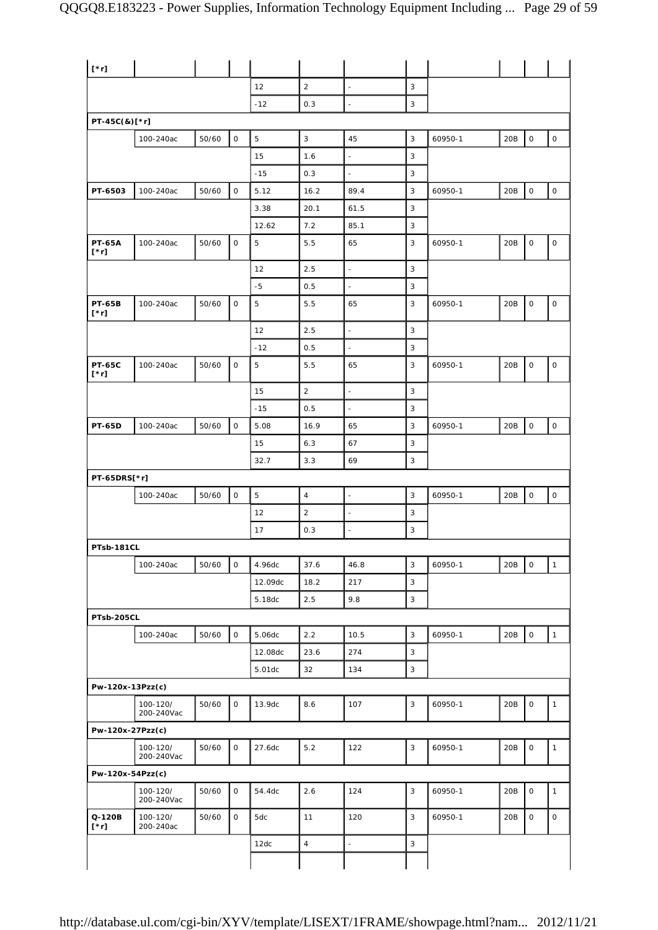| $[\cdot r]$                  |                        |       |             |                   |                |                          |             |         |     |                     |                     |
|------------------------------|------------------------|-------|-------------|-------------------|----------------|--------------------------|-------------|---------|-----|---------------------|---------------------|
|                              |                        |       |             | 12                | $\overline{a}$ | $\overline{a}$           | 3           |         |     |                     |                     |
|                              |                        |       |             | $-12$             | 0.3            | ÷,                       | 3           |         |     |                     |                     |
| PT-45C(&)[*r]                |                        |       |             |                   |                |                          |             |         |     |                     |                     |
|                              | 100-240ac              | 50/60 | $\mathsf O$ | $\mathbf 5$       | 3              | 45                       | 3           | 60950-1 | 20B | $\mathsf{O}\xspace$ | $\mathsf{O}\xspace$ |
|                              |                        |       |             | 15                | 1.6            | $\overline{\phantom{a}}$ | 3           |         |     |                     |                     |
|                              |                        |       |             | $-15$             | 0.3            | $\overline{\phantom{a}}$ | 3           |         |     |                     |                     |
| PT-6503                      | 100-240ac              | 50/60 | $\mathsf O$ | 5.12              | 16.2           | 89.4                     | 3           | 60950-1 | 20B | $\mathsf{O}\xspace$ | $\mathsf{O}\xspace$ |
|                              |                        |       |             | 3.38              | 20.1           | 61.5                     | 3           |         |     |                     |                     |
|                              |                        |       |             | 12.62             | 7.2            | 85.1                     | 3           |         |     |                     |                     |
| <b>PT-65A</b><br>$[\cdot r]$ | 100-240ac              | 50/60 | $\mathsf O$ | 5                 | 5.5            | 65                       | 3           | 60950-1 | 20B | $\mathsf O$         | $\mathsf O$         |
|                              |                        |       |             | 12                | 2.5            | $\bar{z}$                | $\mathsf 3$ |         |     |                     |                     |
|                              |                        |       |             | $-5$              | 0.5            | $\overline{\phantom{a}}$ | 3           |         |     |                     |                     |
| <b>PT-65B</b><br>$[\cdot r]$ | 100-240ac              | 50/60 | $\mathsf O$ | $\mathbf 5$       | 5.5            | 65                       | 3           | 60950-1 | 20B | $\mathsf{O}\xspace$ | $\mathsf O$         |
|                              |                        |       |             | 12                | 2.5            | $\overline{\phantom{a}}$ | 3           |         |     |                     |                     |
|                              |                        |       |             | $-12$             | 0.5            | $\overline{\phantom{a}}$ | 3           |         |     |                     |                     |
| <b>PT-65C</b><br>$[\cdot r]$ | 100-240ac              | 50/60 | $\mathsf O$ | 5                 | 5.5            | 65                       | 3           | 60950-1 | 20B | $\mathsf O$         | $\mathsf O$         |
|                              |                        |       |             | 15                | $\overline{2}$ | $\overline{\phantom{a}}$ | 3           |         |     |                     |                     |
|                              |                        |       |             | $-15$             | 0.5            | ÷,                       | 3           |         |     |                     |                     |
| <b>PT-65D</b>                | 100-240ac              | 50/60 | $\mathsf O$ | 5.08              | 16.9           | 65                       | 3           | 60950-1 | 20B | $\mathsf O$         | $\mathsf O$         |
|                              |                        |       |             | 15                | 6.3            | 67                       | 3           |         |     |                     |                     |
|                              |                        |       |             | 32.7              | 3.3            | 69                       | 3           |         |     |                     |                     |
| PT-65DRS[*r]                 |                        |       |             |                   |                |                          |             |         |     |                     |                     |
|                              | 100-240ac              | 50/60 | $\mathsf O$ | 5                 | $\overline{4}$ | $\overline{\phantom{a}}$ | 3           | 60950-1 | 20B | $\mathsf{O}\xspace$ | $\mathsf O$         |
|                              |                        |       |             | 12                | $\overline{2}$ | $\overline{a}$           | 3           |         |     |                     |                     |
|                              |                        |       |             | 17                | 0.3            | $\overline{\phantom{a}}$ | 3           |         |     |                     |                     |
| PTsb-181CL                   |                        |       |             |                   |                |                          |             |         |     |                     |                     |
|                              | 100-240ac              | 50/60 | $\mathsf O$ | 4.96dc            | 37.6           | 46.8                     | 3           | 60950-1 | 20B | $\mathsf O$         | $\mathbf{1}$        |
|                              |                        |       |             | 12.09dc           | 18.2           | 217                      | 3           |         |     |                     |                     |
|                              |                        |       |             | 5.18dc            | 2.5            | 9.8                      | 3           |         |     |                     |                     |
| PTsb-205CL                   |                        |       |             |                   |                |                          |             |         |     |                     |                     |
|                              | 100-240ac              | 50/60 | $\mathsf O$ | 5.06dc            | 2.2            | 10.5<br>274              | 3<br>3      | 60950-1 | 20B | $\mathsf O$         | $\mathbf{1}$        |
|                              |                        |       |             | 12.08dc<br>5.01dc | 23.6<br>32     | 134                      | $\mathsf 3$ |         |     |                     |                     |
| Pw-120x-13Pzz(c)             |                        |       |             |                   |                |                          |             |         |     |                     |                     |
|                              | 100-120/<br>200-240Vac | 50/60 | $\mathsf O$ | 13.9dc            | 8.6            | 107                      | 3           | 60950-1 | 20B | $\mathsf O$         | $\mathbf{1}$        |
| Pw-120x-27Pzz(c)             |                        |       |             |                   |                |                          |             |         |     |                     |                     |
|                              | 100-120/<br>200-240Vac | 50/60 | $\mathsf O$ | 27.6dc            | 5.2            | 122                      | 3           | 60950-1 | 20B | $\mathsf{O}\xspace$ | $\mathbf{1}$        |
| Pw-120x-54Pzz(c)             |                        |       |             |                   |                |                          |             |         |     |                     |                     |
|                              | 100-120/<br>200-240Vac | 50/60 | 0           | 54.4dc            | 2.6            | 124                      | 3           | 60950-1 | 20B | $\mathsf O$         | $\mathbf{1}$        |
| Q-120B<br>$[\cdot r]$        | 100-120/<br>200-240ac  | 50/60 | 0           | 5dc               | 11             | 120                      | 3           | 60950-1 | 20B | $\mathsf O$         | 0                   |
|                              |                        |       |             | 12dc              | $\sqrt{4}$     | $\Box$                   | 3           |         |     |                     |                     |
|                              |                        |       |             |                   |                |                          |             |         |     |                     |                     |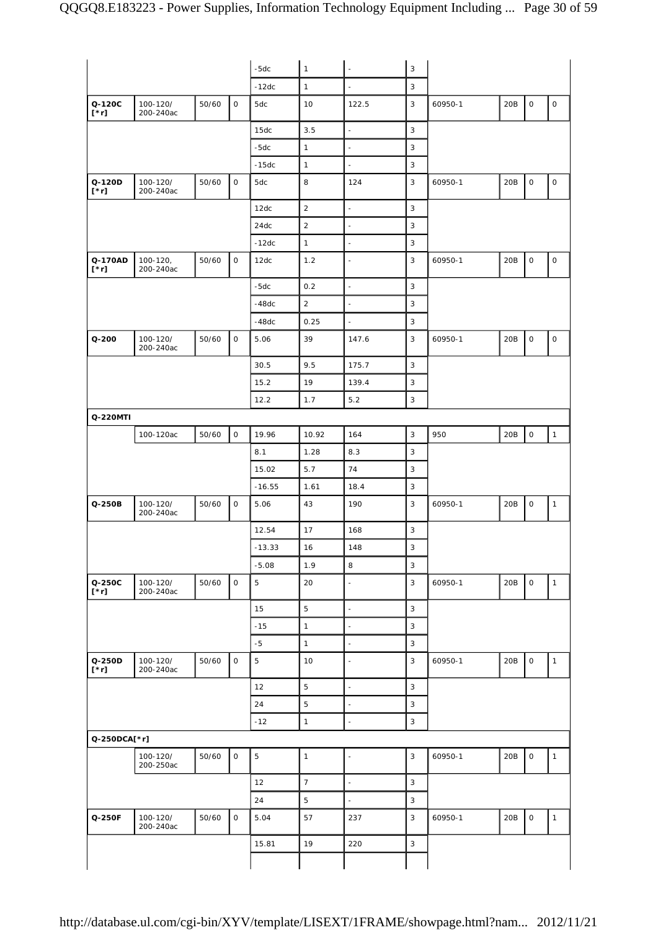|                        |                           |       |              | $-5dc$     | $\mathbf{1}$   | L,                       | 3                         |         |     |                     |                     |
|------------------------|---------------------------|-------|--------------|------------|----------------|--------------------------|---------------------------|---------|-----|---------------------|---------------------|
|                        |                           |       |              | $-12dc$    | $\mathbf{1}$   | $\overline{\phantom{a}}$ | 3                         |         |     |                     |                     |
| Q-120C<br>$[\cdot r]$  | 100-120/<br>200-240ac     | 50/60 | $\mathsf{O}$ | 5dc        | 10             | 122.5                    | 3                         | 60950-1 | 20B | 0                   | $\mathsf{O}$        |
|                        |                           |       |              | 15dc       | 3.5            | $\blacksquare$           | 3                         |         |     |                     |                     |
|                        |                           |       |              | $-5dc$     | $\mathbf{1}$   | ä,                       | 3                         |         |     |                     |                     |
|                        |                           |       |              | $-15dc$    | $\mathbf{1}$   | $\blacksquare$           | 3                         |         |     |                     |                     |
| Q-120D<br>$[\cdot r]$  | 100-120/<br>200-240ac     | 50/60 | $\mathsf O$  | 5dc        | 8              | 124                      | $\mathbf{3}$              | 60950-1 | 20B | $\mathsf O$         | $\mathsf{O}\xspace$ |
|                        |                           |       |              | 12dc       | $\overline{2}$ | $\blacksquare$           | 3                         |         |     |                     |                     |
|                        |                           |       |              | 24dc       | $\overline{c}$ | $\blacksquare$           | 3                         |         |     |                     |                     |
|                        |                           |       |              | $-12dc$    | $\mathbf{1}$   | $\blacksquare$           | $\mathsf 3$               |         |     |                     |                     |
| Q-170AD<br>$[\cdot r]$ | $100 - 120,$<br>200-240ac | 50/60 | $\mathsf O$  | 12dc       | 1.2            | $\overline{\phantom{a}}$ | 3                         | 60950-1 | 20B | 0                   | 0                   |
|                        |                           |       |              | $-5dc$     | 0.2            | $\overline{\phantom{a}}$ | 3                         |         |     |                     |                     |
|                        |                           |       |              | $-48dc$    | $\overline{2}$ | $\blacksquare$           | 3                         |         |     |                     |                     |
|                        |                           |       |              | $-48dc$    | 0.25           | $\blacksquare$           | $\mathsf 3$               |         |     |                     |                     |
| $Q - 200$              | 100-120/<br>200-240ac     | 50/60 | $\mathsf O$  | 5.06       | 39             | 147.6                    | 3                         | 60950-1 | 20B | 0                   | $\mathsf O$         |
|                        |                           |       |              | 30.5       | 9.5            | 175.7                    | 3                         |         |     |                     |                     |
|                        |                           |       |              | 15.2       | 19             | 139.4                    | $\mathsf 3$               |         |     |                     |                     |
|                        |                           |       |              | 12.2       | 1.7            | 5.2                      | 3                         |         |     |                     |                     |
| Q-220MTI               |                           |       |              |            |                |                          |                           |         |     |                     |                     |
|                        | 100-120ac                 | 50/60 | $\mathsf O$  | 19.96      | 10.92          | 164                      | 3                         | 950     | 20B | $\mathsf{O}\xspace$ | $\mathbf{1}$        |
|                        |                           |       |              | 8.1        | 1.28           | 8.3                      | 3                         |         |     |                     |                     |
|                        |                           |       |              | 15.02      | 5.7            | 74                       | 3                         |         |     |                     |                     |
|                        |                           |       |              | $-16.55$   | 1.61           | 18.4                     | 3                         |         |     |                     |                     |
| Q-250B                 | 100-120/<br>200-240ac     | 50/60 | $\mathsf O$  | 5.06       | 43             | 190                      | 3                         | 60950-1 | 20B | 0                   | $\mathbf{1}$        |
|                        |                           |       |              | 12.54      | 17             | 168                      | 3                         |         |     |                     |                     |
|                        |                           |       |              | $-13.33$   | 16             | 148                      | $\ensuremath{\mathsf{3}}$ |         |     |                     |                     |
|                        |                           |       |              | $-5.08$    | 1.9            | 8                        | 3                         |         |     |                     |                     |
| Q-250C<br>$[\cdot r]$  | 100-120/<br>200-240ac     | 50/60 | $\mathsf O$  | $\sqrt{5}$ | 20             | ÷,                       | 3                         | 60950-1 | 20B | $\mathsf{O}$        | $\mathbf{1}$        |
|                        |                           |       |              | 15         | 5              | $\blacksquare$           | $\mathsf 3$               |         |     |                     |                     |
|                        |                           |       |              | $-15$      | $\mathbf{1}$   | ä,                       | 3                         |         |     |                     |                     |
|                        |                           |       |              | $-5$       | $\mathbf{1}$   | $\blacksquare$           | 3                         |         |     |                     |                     |
| Q-250D<br>$[\cdot r]$  | 100-120/<br>200-240ac     | 50/60 | $\mathsf O$  | $\sqrt{5}$ | 10             | ä,                       | 3                         | 60950-1 | 20B | $\mathsf O$         | $\mathbf{1}$        |
|                        |                           |       |              | 12         | 5              | $\blacksquare$           | $\mathsf 3$               |         |     |                     |                     |
|                        |                           |       |              | 24         | 5              | $\overline{\phantom{a}}$ | 3                         |         |     |                     |                     |
|                        |                           |       |              | $-12$      | $\mathbf{1}$   | L,                       | 3                         |         |     |                     |                     |
| Q-250DCA[*r]           |                           |       |              |            |                |                          |                           |         |     |                     |                     |
|                        | 100-120/<br>200-250ac     | 50/60 | $\mathsf O$  | 5          | $\mathbf{1}$   | $\overline{a}$           | 3                         | 60950-1 | 20B | $\mathsf O$         | $\mathbf{1}$        |
|                        |                           |       |              | 12         | $\overline{7}$ | $\blacksquare$           | 3                         |         |     |                     |                     |
|                        |                           |       |              | 24         | 5              | $\overline{\phantom{a}}$ | 3                         |         |     |                     |                     |
| Q-250F                 | 100-120/<br>200-240ac     | 50/60 | $\mathsf O$  | 5.04       | 57             | 237                      | 3                         | 60950-1 | 20B | $\mathsf O$         | $\mathbf{1}$        |
|                        |                           |       |              | 15.81      | 19             | 220                      | 3                         |         |     |                     |                     |
|                        |                           |       |              |            |                |                          |                           |         |     |                     |                     |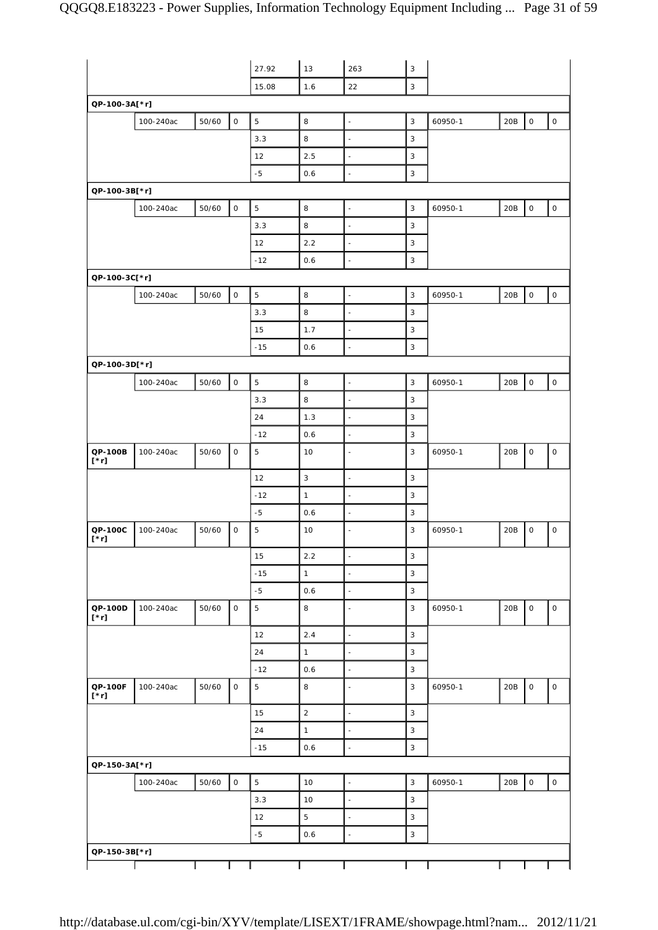|                                |           |       |                     | 27.92       | 13             | 263                      | 3                         |         |     |                     |                     |
|--------------------------------|-----------|-------|---------------------|-------------|----------------|--------------------------|---------------------------|---------|-----|---------------------|---------------------|
|                                |           |       |                     |             |                | 22                       | 3                         |         |     |                     |                     |
|                                |           |       |                     | 15.08       | 1.6            |                          |                           |         |     |                     |                     |
| QP-100-3A[*r]                  |           |       |                     |             |                |                          |                           |         |     |                     |                     |
|                                | 100-240ac | 50/60 | $\mathsf O$         | 5           | 8              | $\blacksquare$           | 3                         | 60950-1 | 20B | $\mathsf{O}\xspace$ | $\mathsf{O}\xspace$ |
|                                |           |       |                     | 3.3         | 8              | ÷,                       | 3                         |         |     |                     |                     |
|                                |           |       |                     | 12          | 2.5            | $\blacksquare$           | 3                         |         |     |                     |                     |
|                                |           |       |                     | $-5$        | 0.6            | $\overline{\phantom{a}}$ | 3                         |         |     |                     |                     |
| QP-100-3B[*r]                  |           |       |                     |             |                |                          |                           |         |     |                     |                     |
|                                | 100-240ac | 50/60 | $\mathsf O$         | $\mathbf 5$ | 8              | $\overline{\phantom{a}}$ | $\mathsf 3$               | 60950-1 | 20B | $\mathsf{O}\xspace$ | $\mathsf{O}$        |
|                                |           |       |                     | 3.3         | 8              | $\blacksquare$           | 3                         |         |     |                     |                     |
|                                |           |       |                     | 12          | 2.2            | $\blacksquare$           | $\ensuremath{\mathsf{3}}$ |         |     |                     |                     |
|                                |           |       |                     | $-12$       | 0.6            | $\blacksquare$           | 3                         |         |     |                     |                     |
| QP-100-3C[*r]                  |           |       |                     |             |                |                          |                           |         |     |                     |                     |
|                                | 100-240ac | 50/60 | $\circ$             | 5           | 8              | $\overline{\phantom{a}}$ | $\mathbf{3}$              | 60950-1 | 20B | $\mathsf{O}\xspace$ | $\mathsf{O}\xspace$ |
|                                |           |       |                     | 3.3         | 8              | $\overline{\phantom{a}}$ | 3                         |         |     |                     |                     |
|                                |           |       |                     | 15          | 1.7            | $\blacksquare$           | 3                         |         |     |                     |                     |
|                                |           |       |                     | $-15$       | 0.6            | ÷,                       | 3                         |         |     |                     |                     |
| QP-100-3D[*r]                  |           |       |                     |             |                |                          |                           |         |     |                     |                     |
|                                | 100-240ac | 50/60 | $\mathsf{O}\xspace$ | 5           | 8              | $\blacksquare$           | $\mathsf 3$               | 60950-1 | 20B | $\mathsf{O}\xspace$ | $\mathsf O$         |
|                                |           |       |                     | 3.3         | 8              | $\overline{\phantom{a}}$ | 3                         |         |     |                     |                     |
|                                |           |       |                     | 24          | 1.3            | $\bar{z}$                | 3                         |         |     |                     |                     |
|                                |           |       |                     | $-12$       | 0.6            | $\ddot{\phantom{1}}$     | $\mathsf 3$               |         |     |                     |                     |
| QP-100B<br>$[\cdot r]$         | 100-240ac | 50/60 | $\mathsf O$         | $\mathbf 5$ | 10             | ÷,                       | $\mathbf{3}$              | 60950-1 | 20B | $\mathsf{O}\xspace$ | 0                   |
|                                |           |       |                     | 12          | 3              | $\Box$                   | 3                         |         |     |                     |                     |
|                                |           |       |                     | $-12$       | $\mathbf{1}$   | ÷,                       | $\ensuremath{\mathsf{3}}$ |         |     |                     |                     |
|                                |           |       |                     | $-5$        | 0.6            | $\blacksquare$           | 3                         |         |     |                     |                     |
| QP-100C<br>$[\cdot r]$         | 100-240ac | 50/60 | $\mathsf O$         | 5           | 10             | $\frac{1}{2}$            | 3                         | 60950-1 | 20B | 0                   | 0                   |
|                                |           |       |                     | 15          | 2.2            | $\overline{\phantom{a}}$ | 3                         |         |     |                     |                     |
|                                |           |       |                     | $-15$       | $\mathbf{1}$   | $\frac{1}{2}$            | $\overline{3}$            |         |     |                     |                     |
|                                |           |       |                     | $-5$        | 0.6            | $\overline{\phantom{a}}$ | $\ensuremath{\mathsf{3}}$ |         |     |                     |                     |
| QP-100D<br>$\mathfrak{l}^*$ r] | 100-240ac | 50/60 | $\mathsf O$         | 5           | 8              | $\blacksquare$           | 3                         | 60950-1 | 20B | $\mathsf O$         | $\mathsf{O}$        |
|                                |           |       |                     | 12          | 2.4            | $\Box$                   | $\mathbf{3}$              |         |     |                     |                     |
|                                |           |       |                     | 24          | $\mathbf{1}$   | $\blacksquare$           | 3                         |         |     |                     |                     |
|                                |           |       |                     | $-12$       | 0.6            | $\overline{\phantom{a}}$ | 3                         |         |     |                     |                     |
| QP-100F<br>$[\cdot \text{r}]$  | 100-240ac | 50/60 | $\mathsf O$         | 5           | 8              | $\blacksquare$           | $\mathbf{3}$              | 60950-1 | 20B | $\mathsf{O}\xspace$ | $\mathsf{O}$        |
|                                |           |       |                     | 15          | $\overline{2}$ | $\Box$                   | $\mathsf 3$               |         |     |                     |                     |
|                                |           |       |                     | 24          | $\mathbf{1}$   | $\overline{\phantom{a}}$ | 3                         |         |     |                     |                     |
|                                |           |       |                     | $-15$       | 0.6            | $\overline{\phantom{a}}$ | $\mathbf{3}$              |         |     |                     |                     |
| QP-150-3A[*r]                  |           |       |                     |             |                |                          |                           |         |     |                     |                     |
|                                | 100-240ac | 50/60 | $\mathsf{O}\xspace$ | 5           | 10             | $\Box$                   | $\overline{3}$            | 60950-1 | 20B | $\mathsf{O}\xspace$ | $\mathsf{O}$        |
|                                |           |       |                     | 3.3         | 10             | $\overline{\phantom{a}}$ | $\mathsf 3$               |         |     |                     |                     |
|                                |           |       |                     | 12          | 5              | $\blacksquare$           | 3                         |         |     |                     |                     |
|                                |           |       |                     | $-5$        | 0.6            | ÷,                       | 3                         |         |     |                     |                     |
| QP-150-3B[*r]                  |           |       |                     |             |                |                          |                           |         |     |                     |                     |
|                                |           |       |                     |             |                |                          |                           |         |     |                     |                     |
|                                |           |       |                     |             |                |                          |                           |         |     |                     |                     |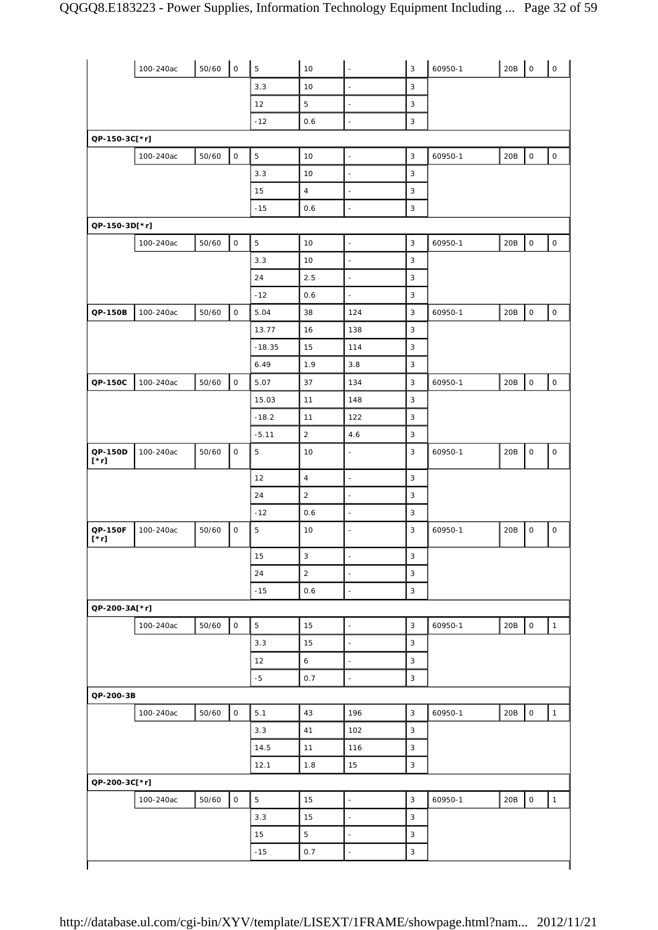|                        | 100-240ac | 50/60 | $\mathsf O$         | $\overline{5}$ | 10             | ÷,                       | 3                         | 60950-1 | 20B | l o                 | $\mathsf{O}$        |
|------------------------|-----------|-------|---------------------|----------------|----------------|--------------------------|---------------------------|---------|-----|---------------------|---------------------|
|                        |           |       |                     | 3.3            | 10             | $\blacksquare$           | $\mathsf 3$               |         |     |                     |                     |
|                        |           |       |                     | 12             | 5              | $\blacksquare$           | $\mathbf{3}$              |         |     |                     |                     |
|                        |           |       |                     | $-12$          | 0.6            | $\blacksquare$           | 3                         |         |     |                     |                     |
| QP-150-3C[*r]          |           |       |                     |                |                |                          |                           |         |     |                     |                     |
|                        | 100-240ac | 50/60 | $\mathsf{O}\xspace$ | $\mathbf 5$    | 10             | $\blacksquare$           | $\mathsf 3$               | 60950-1 | 20B | $\mathsf{O}\xspace$ | $\mathsf{O}\xspace$ |
|                        |           |       |                     | 3.3            | 10             | $\ddot{\phantom{1}}$     | 3                         |         |     |                     |                     |
|                        |           |       |                     | 15             | $\overline{4}$ | $\blacksquare$           | 3                         |         |     |                     |                     |
|                        |           |       |                     | $-15$          | 0.6            | $\blacksquare$           | 3                         |         |     |                     |                     |
| QP-150-3D[*r]          |           |       |                     |                |                |                          |                           |         |     |                     |                     |
|                        | 100-240ac | 50/60 | 0                   | 5              | 10             | $\blacksquare$           | 3                         | 60950-1 | 20B | $\mathsf{O}\xspace$ | $\mathsf{O}\xspace$ |
|                        |           |       |                     | 3.3            | 10             | $\blacksquare$           | 3                         |         |     |                     |                     |
|                        |           |       |                     | 24             | 2.5            | $\blacksquare$           | $\mathsf 3$               |         |     |                     |                     |
|                        |           |       |                     | $-12$          | 0.6            | $\blacksquare$           | $\ensuremath{\mathsf{3}}$ |         |     |                     |                     |
| QP-150B                | 100-240ac | 50/60 | $\mathsf O$         | 5.04           | 38             | 124                      | 3                         | 60950-1 | 20B | $\mathsf O$         | $\mathsf{O}\xspace$ |
|                        |           |       |                     | 13.77          | 16             | 138                      | 3                         |         |     |                     |                     |
|                        |           |       |                     | $-18.35$       | 15             | 114                      | 3                         |         |     |                     |                     |
|                        |           |       |                     | 6.49           | 1.9            | 3.8                      | $\ensuremath{\mathsf{3}}$ |         |     |                     |                     |
| QP-150C                | 100-240ac | 50/60 | $\mathsf O$         | 5.07           | 37             | 134                      | 3                         | 60950-1 | 20B | $\mathsf{O}\xspace$ | $\mathsf{O}\xspace$ |
|                        |           |       |                     | 15.03          | 11             | 148                      | 3                         |         |     |                     |                     |
|                        |           |       |                     | $-18.2$        | 11             | 122                      | $\mathsf 3$               |         |     |                     |                     |
|                        |           |       |                     | $-5.11$        | $\mathbf 2$    | 4.6                      | 3                         |         |     |                     |                     |
| QP-150D<br>$[\cdot r]$ | 100-240ac | 50/60 | $\mathsf O$         | 5              | 10             | $\blacksquare$           | 3                         | 60950-1 | 20B | $\mathsf O$         | $\mathsf{O}\xspace$ |
|                        |           |       |                     | 12             | $\overline{4}$ | $\Box$                   | $\ensuremath{\mathsf{3}}$ |         |     |                     |                     |
|                        |           |       |                     | 24             | $\overline{2}$ | $\overline{\phantom{a}}$ | 3                         |         |     |                     |                     |
|                        |           |       |                     | $-12$          | 0.6            | $\blacksquare$           | 3                         |         |     |                     |                     |
| QP-150F<br>$[\cdot r]$ | 100-240ac | 50/60 | $\mathsf O$         | $\sqrt{5}$     | 10             | $\overline{a}$           | $\mathbf{3}$              | 60950-1 | 20B | $\mathsf{O}\xspace$ | $\mathsf O$         |
|                        |           |       |                     | 15             | 3              | $\overline{\phantom{a}}$ | 3                         |         |     |                     |                     |
|                        |           |       |                     | 24             | $\overline{2}$ | $\overline{\phantom{a}}$ | $\mathsf 3$               |         |     |                     |                     |
|                        |           |       |                     | $-15$          | 0.6            | $\overline{\phantom{a}}$ | $\mathbf{3}$              |         |     |                     |                     |
| QP-200-3A[*r]          |           |       |                     |                |                |                          |                           |         |     |                     |                     |
|                        | 100-240ac | 50/60 | $\mathsf{O}$        | 5              | 15             | $\blacksquare$           | $\overline{3}$            | 60950-1 | 20B | $\mathsf{O}\xspace$ | $\mathbf{1}$        |
|                        |           |       |                     | 3.3            | 15             | $\overline{\phantom{a}}$ | $\mathsf 3$               |         |     |                     |                     |
|                        |           |       |                     | 12             | $\epsilon$     | $\frac{1}{2}$            | $\mathsf 3$               |         |     |                     |                     |
|                        |           |       |                     | $-5$           | 0.7            | ä,                       | 3                         |         |     |                     |                     |
| QP-200-3B              |           |       |                     |                |                |                          |                           |         |     |                     |                     |
|                        | 100-240ac | 50/60 | $\mathsf{O}$        | 5.1            | 43             | 196                      | $\mathsf 3$               | 60950-1 | 20B | $\mathsf{O}\xspace$ | $\mathbf{1}$        |
|                        |           |       |                     | 3.3            | 41             | 102                      | $\mathsf 3$               |         |     |                     |                     |
|                        |           |       |                     | 14.5           | 11             | 116                      | 3                         |         |     |                     |                     |
|                        |           |       |                     | 12.1           | 1.8            | 15                       | 3                         |         |     |                     |                     |
| QP-200-3C[*r]          |           |       |                     |                |                |                          |                           |         |     |                     |                     |
|                        | 100-240ac | 50/60 | $\mathsf{O}$        | 5              | 15             | $\blacksquare$           | 3                         | 60950-1 | 20B | $\mathsf O$         | $\mathbf{1}$        |
|                        |           |       |                     | 3.3            | 15             | ÷,                       | 3                         |         |     |                     |                     |
|                        |           |       |                     | 15             | 5              | $\blacksquare$           | 3                         |         |     |                     |                     |
|                        |           |       |                     |                |                |                          |                           |         |     |                     |                     |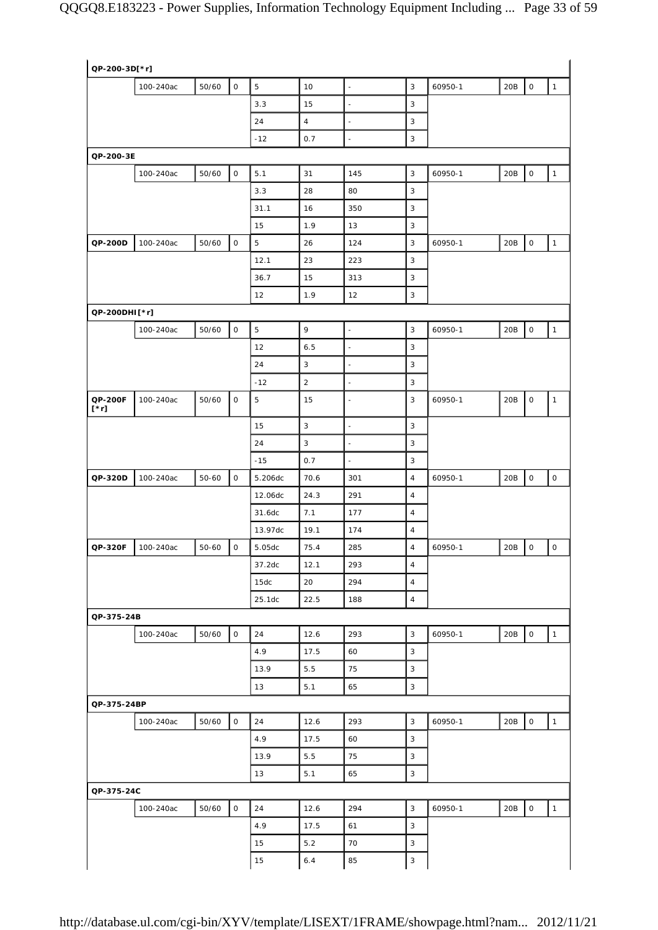| QP-200-3D[*r]          |           |       |                     |             |                |                          |                         |         |                                            |
|------------------------|-----------|-------|---------------------|-------------|----------------|--------------------------|-------------------------|---------|--------------------------------------------|
|                        | 100-240ac | 50/60 | $\mathsf{O}\xspace$ | $\sqrt{5}$  | 10             | $\frac{1}{2}$            | 3                       | 60950-1 | 20B<br>$\mathsf O$<br>$\mathbf{1}$         |
|                        |           |       |                     | 3.3         | 15             | $\overline{\phantom{a}}$ | 3                       |         |                                            |
|                        |           |       |                     | 24          | $\overline{4}$ | $\blacksquare$           | 3                       |         |                                            |
|                        |           |       |                     | $-12$       | 0.7            | $\frac{1}{2}$            | 3                       |         |                                            |
| QP-200-3E              |           |       |                     |             |                |                          |                         |         |                                            |
|                        | 100-240ac | 50/60 | $\mathsf{O}$        | 5.1         | 31             | 145                      | 3                       | 60950-1 | $\mathsf{O}\xspace$<br>$\mathbf{1}$<br>20B |
|                        |           |       |                     | 3.3         | 28             | 80                       | 3                       |         |                                            |
|                        |           |       |                     | 31.1        | 16             | 350                      | 3                       |         |                                            |
|                        |           |       |                     | 15          | 1.9            | 13                       | 3                       |         |                                            |
| QP-200D                | 100-240ac | 50/60 | $\mathsf O$         | $\mathbf 5$ | 26             | 124                      | 3                       | 60950-1 | $\mathsf O$<br>$\mathbf{1}$<br>20B         |
|                        |           |       |                     | 12.1        | 23             | 223                      | 3                       |         |                                            |
|                        |           |       |                     | 36.7        | 15             | 313                      | 3                       |         |                                            |
|                        |           |       |                     | 12          | 1.9            | 12                       | 3                       |         |                                            |
| QP-200DHI[*r]          |           |       |                     |             |                |                          |                         |         |                                            |
|                        | 100-240ac | 50/60 | $\mathsf O$         | $\mathbf 5$ | 9              | $\overline{\phantom{a}}$ | 3                       | 60950-1 | $\mathsf{O}\xspace$<br>$\mathbf{1}$<br>20B |
|                        |           |       |                     | 12          | 6.5            | $\blacksquare$           | 3                       |         |                                            |
|                        |           |       |                     | 24          | 3              | $\blacksquare$           | 3                       |         |                                            |
|                        |           |       |                     | $-12$       | $\sqrt{2}$     | $\blacksquare$           | 3                       |         |                                            |
| QP-200F<br>$[\cdot r]$ | 100-240ac | 50/60 | $\mathsf O$         | 5           | 15             | $\blacksquare$           | 3                       | 60950-1 | 20B<br>$\mathsf O$<br>$\mathbf{1}$         |
|                        |           |       |                     | 15          | $\sqrt{3}$     | $\overline{\phantom{a}}$ | 3                       |         |                                            |
|                        |           |       |                     | 24          | $\mathbf{3}$   | $\blacksquare$           | 3                       |         |                                            |
|                        |           |       |                     | $-15$       | 0.7            | $\blacksquare$           | 3                       |         |                                            |
| QP-320D                | 100-240ac | 50-60 | $\mathsf O$         | 5.206dc     | 70.6           | 301                      | $\overline{\mathbf{4}}$ | 60950-1 | $\mathsf O$<br>$\mathsf O$<br>20B          |
|                        |           |       |                     | 12.06dc     | 24.3           | 291                      | $\overline{4}$          |         |                                            |
|                        |           |       |                     | 31.6dc      | 7.1            | 177                      | $\overline{\mathbf{4}}$ |         |                                            |
|                        |           |       |                     | 13.97dc     | 19.1           | 174                      | $\sqrt{4}$              |         |                                            |
| QP-320F                | 100-240ac | 50-60 | $\mathsf O$         | 5.05dc      | 75.4           | 285                      | $\overline{4}$          | 60950-1 | $\mathsf{O}$<br>$\mathsf{O}$<br>20B        |
|                        |           |       |                     | 37.2dc      | 12.1           | 293                      | $\overline{\mathbf{4}}$ |         |                                            |
|                        |           |       |                     | 15dc        | 20             | 294                      | $\sqrt{4}$              |         |                                            |
|                        |           |       |                     | 25.1dc      | 22.5           | 188                      | $\overline{4}$          |         |                                            |
| QP-375-24B             |           |       |                     |             |                |                          |                         |         |                                            |
|                        | 100-240ac | 50/60 | $\mathsf O$         | 24          | 12.6           | 293                      | 3                       | 60950-1 | $\mathsf{O}\xspace$<br>$\mathbf{1}$<br>20B |
|                        |           |       |                     | 4.9         | 17.5           | 60                       | 3                       |         |                                            |
|                        |           |       |                     | 13.9        | 5.5            | 75                       | 3                       |         |                                            |
|                        |           |       |                     | 13          | 5.1            | 65                       | $\mathsf 3$             |         |                                            |
| QP-375-24BP            |           |       |                     |             |                |                          |                         |         |                                            |
|                        | 100-240ac | 50/60 | $\mathsf{O}\xspace$ | 24          | 12.6           | 293                      | 3                       | 60950-1 | $\mathsf O$<br>20B<br>$\mathbf{1}$         |
|                        |           |       |                     | 4.9         | 17.5           | 60                       | 3                       |         |                                            |
|                        |           |       |                     | 13.9        | 5.5            | 75                       | 3                       |         |                                            |
|                        |           |       |                     | 13          | 5.1            | 65                       | 3                       |         |                                            |
| QP-375-24C             |           |       |                     |             |                |                          |                         |         |                                            |
|                        | 100-240ac | 50/60 | $\mathsf{O}$        | 24          | 12.6           | 294                      | $\overline{3}$          | 60950-1 | $\mathsf{O}\xspace$<br>20B<br>$\mathbf{1}$ |
|                        |           |       |                     | 4.9         | 17.5           | 61                       | 3                       |         |                                            |
|                        |           |       |                     | 15          | $5.2$          | 70                       | 3                       |         |                                            |
|                        |           |       |                     | 15          | 6.4            | 85                       | 3                       |         |                                            |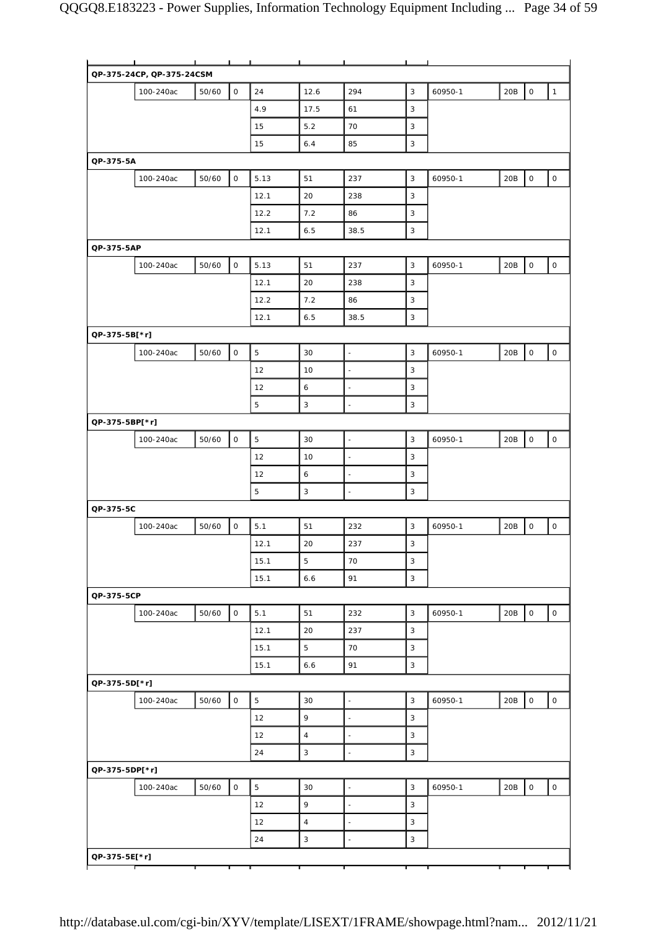|                | п.                        | $\mathbf{I}$ | $\blacksquare$      |             |                |                          |             |         |     |              |                     |
|----------------|---------------------------|--------------|---------------------|-------------|----------------|--------------------------|-------------|---------|-----|--------------|---------------------|
|                | QP-375-24CP, QP-375-24CSM |              |                     |             |                |                          |             |         |     |              |                     |
|                | 100-240ac                 | 50/60        | $\mathsf O$         | 24          | 12.6           | 294                      | $\mathsf 3$ | 60950-1 | 20B | $\mathsf O$  | $\mathbf{1}$        |
|                |                           |              |                     | 4.9         | 17.5           | 61                       | 3           |         |     |              |                     |
|                |                           |              |                     | 15          | 5.2            | 70                       | 3           |         |     |              |                     |
|                |                           |              |                     | 15          | 6.4            | 85                       | 3           |         |     |              |                     |
| QP-375-5A      |                           |              |                     |             |                |                          |             |         |     |              |                     |
|                | 100-240ac                 | 50/60        | $\mathsf{O}\xspace$ | 5.13        | 51             | 237                      | 3           | 60950-1 | 20B | $\mathsf O$  | $\mathsf{O}$        |
|                |                           |              |                     | 12.1        | 20             | 238                      | 3           |         |     |              |                     |
|                |                           |              |                     | 12.2        | 7.2            | 86                       | 3           |         |     |              |                     |
|                |                           |              |                     | 12.1        | 6.5            | 38.5                     | 3           |         |     |              |                     |
| QP-375-5AP     |                           |              |                     |             |                |                          |             |         |     |              |                     |
|                | 100-240ac                 | 50/60        | $\mathsf O$         | 5.13        | 51             | 237                      | 3           | 60950-1 | 20B | $\circ$      | $\circ$             |
|                |                           |              |                     | 12.1        | 20             | 238                      | 3           |         |     |              |                     |
|                |                           |              |                     | 12.2        | 7.2            | 86                       | 3           |         |     |              |                     |
|                |                           |              |                     | 12.1        | 6.5            | 38.5                     | 3           |         |     |              |                     |
|                |                           |              |                     |             |                |                          |             |         |     |              |                     |
| QP-375-5B[*r]  |                           |              |                     |             |                |                          |             |         |     |              |                     |
|                | 100-240ac                 | 50/60        | $\mathsf O$         | 5           | 30             | $\overline{\phantom{a}}$ | 3           | 60950-1 | 20B | $\mathsf O$  | $\circ$             |
|                |                           |              |                     | 12          | 10             | $\bar{z}$                | $\mathsf 3$ |         |     |              |                     |
|                |                           |              |                     | 12          | $\epsilon$     | $\blacksquare$           | 3           |         |     |              |                     |
|                |                           |              |                     | 5           | 3              | L.                       | 3           |         |     |              |                     |
| QP-375-5BP[*r] |                           |              |                     |             |                |                          |             |         |     |              |                     |
|                | 100-240ac                 | 50/60        | $\mathsf O$         | $\mathbf 5$ | 30             | $\blacksquare$           | 3           | 60950-1 | 20B | $\mathsf{O}$ | 0                   |
|                |                           |              |                     | 12          | 10             | $\blacksquare$           | 3           |         |     |              |                     |
|                |                           |              |                     | 12          | 6              | ÷,                       | 3           |         |     |              |                     |
|                |                           |              |                     | 5           | 3              | $\blacksquare$           | 3           |         |     |              |                     |
| QP-375-5C      |                           |              |                     |             |                |                          |             |         |     |              |                     |
|                | 100-240ac                 | 50/60        | $\mathsf O$         | 5.1         | 51             | 232                      | 3           | 60950-1 | 20B | 0            | 0                   |
|                |                           |              |                     | 12.1        | 20             | 237                      | 3           |         |     |              |                     |
|                |                           |              |                     | 15.1        | $\mathbf 5$    | 70                       | 3           |         |     |              |                     |
|                |                           |              |                     | 15.1        | 6.6            | 91                       | 3           |         |     |              |                     |
| QP-375-5CP     |                           |              |                     |             |                |                          |             |         |     |              |                     |
|                | 100-240ac                 | 50/60        | $\mathsf O$         | 5.1         | 51             | 232                      | 3           | 60950-1 | 20B | $\mathsf O$  | 0                   |
|                |                           |              |                     | 12.1        | 20             | 237                      | 3           |         |     |              |                     |
|                |                           |              |                     | 15.1        | 5              | 70                       | 3           |         |     |              |                     |
|                |                           |              |                     | 15.1        | 6.6            | 91                       | 3           |         |     |              |                     |
| QP-375-5D[*r]  |                           |              |                     |             |                |                          |             |         |     |              |                     |
|                | 100-240ac                 | 50/60        | $\mathsf{O}\xspace$ | 5           | 30             | $\overline{\phantom{a}}$ | 3           | 60950-1 | 20B | $\mathsf O$  | $\mathsf{O}\xspace$ |
|                |                           |              |                     | 12          | 9              | ÷,                       | 3           |         |     |              |                     |
|                |                           |              |                     |             | $\overline{4}$ |                          |             |         |     |              |                     |
|                |                           |              |                     | 12          |                | $\blacksquare$           | 3           |         |     |              |                     |
|                |                           |              |                     | 24          | 3              | ä,                       | 3           |         |     |              |                     |
| QP-375-5DP[*r] |                           |              |                     |             |                |                          |             |         |     |              |                     |
|                | 100-240ac                 | 50/60        | $\mathsf O$         | 5           | 30             | $\bar{z}$                | $\mathsf 3$ | 60950-1 | 20B | $\mathsf{O}$ | $\mathsf{O}$        |
|                |                           |              |                     | 12          | 9              | $\blacksquare$           | 3           |         |     |              |                     |
|                |                           |              |                     |             |                |                          |             |         |     |              |                     |
|                |                           |              |                     | 12          | $\overline{4}$ | $\ddot{\phantom{1}}$     | 3           |         |     |              |                     |
|                |                           |              |                     | 24          | 3              | ä,                       | 3           |         |     |              |                     |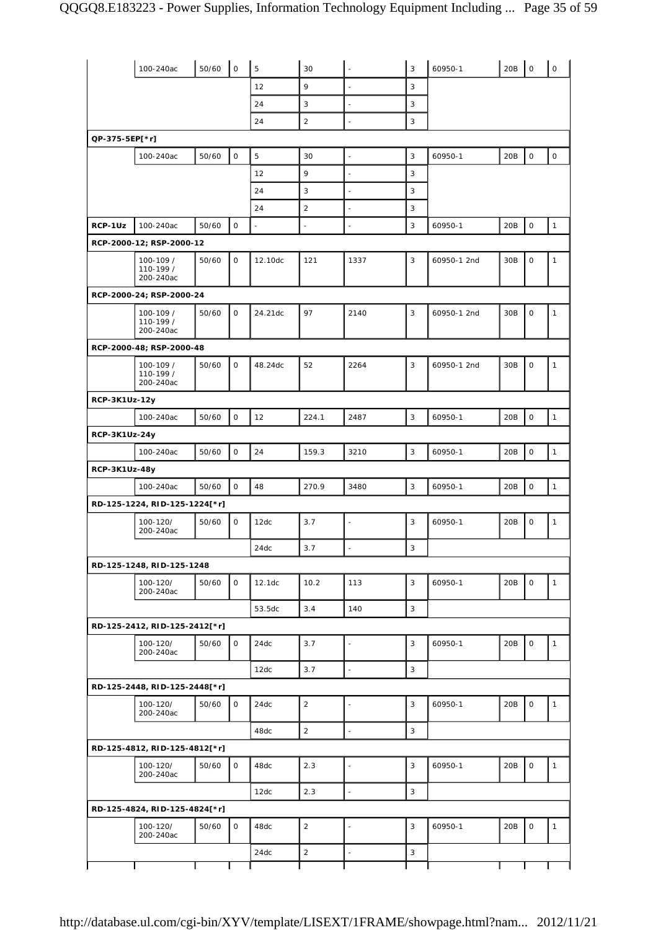|                      | 100-240ac                           | 50/60 | $\overline{1}$ 0 | 5        | 30             | $\blacksquare$           | 3            | 60950-1     | 20B | $\mathsf O$         | $\mathsf O$  |
|----------------------|-------------------------------------|-------|------------------|----------|----------------|--------------------------|--------------|-------------|-----|---------------------|--------------|
|                      |                                     |       |                  | 12       | 9              | $\overline{\phantom{a}}$ | 3            |             |     |                     |              |
|                      |                                     |       |                  | 24       | 3              | $\overline{\phantom{a}}$ | 3            |             |     |                     |              |
|                      |                                     |       |                  | 24       | 2              | $\blacksquare$           | 3            |             |     |                     |              |
| QP-375-5EP[*r]       |                                     |       |                  |          |                |                          |              |             |     |                     |              |
|                      | 100-240ac                           | 50/60 | $\mathsf{O}$     | 5        | 30             | $\overline{\phantom{a}}$ | 3            | 60950-1     | 20B | $\mathsf{O}\xspace$ | $\mathsf O$  |
|                      |                                     |       |                  | 12       | 9              | ÷,                       | 3            |             |     |                     |              |
|                      |                                     |       |                  | 24       | 3              | $\blacksquare$           | 3            |             |     |                     |              |
|                      |                                     |       |                  | 24       | $\overline{c}$ | $\bar{z}$                | 3            |             |     |                     |              |
| RCP-1Uz              | 100-240ac                           | 50/60 | $\mathsf O$      | $\omega$ | $\blacksquare$ | $\ddot{\phantom{a}}$     | 3            | 60950-1     | 20B | $\mathsf O$         | $\mathbf{1}$ |
|                      | RCP-2000-12; RSP-2000-12            |       |                  |          |                |                          |              |             |     |                     |              |
|                      | 100-109 /<br>110-199 /<br>200-240ac | 50/60 | $\mathsf O$      | 12.10dc  | 121            | 1337                     | 3            | 60950-1 2nd | 30B | $\mathsf O$         | $\mathbf{1}$ |
|                      | RCP-2000-24; RSP-2000-24            |       |                  |          |                |                          |              |             |     |                     |              |
|                      | 100-109 /<br>110-199 /<br>200-240ac | 50/60 | $\mathsf{O}$     | 24.21dc  | 97             | 2140                     | 3            | 60950-1 2nd | 30B | $\mathsf O$         | $\mathbf{1}$ |
|                      | RCP-2000-48; RSP-2000-48            |       |                  |          |                |                          |              |             |     |                     |              |
|                      | 100-109 /<br>110-199 /<br>200-240ac | 50/60 | $\mathsf{O}$     | 48.24dc  | 52             | 2264                     | 3            | 60950-1 2nd | 30B | $\mathsf O$         | $\mathbf{1}$ |
| <b>RCP-3K1Uz-12y</b> |                                     |       |                  |          |                |                          |              |             |     |                     |              |
|                      | 100-240ac                           | 50/60 | $\mathsf O$      | 12       | 224.1          | 2487                     | 3            | 60950-1     | 20B | 0                   | $\mathbf{1}$ |
| RCP-3K1Uz-24y        |                                     |       |                  |          |                |                          |              |             |     |                     |              |
|                      | 100-240ac                           | 50/60 | $\mathsf{O}$     | 24       | 159.3          | 3210                     | 3            | 60950-1     | 20B | $\mathsf{O}\xspace$ | $\mathbf{1}$ |
| RCP-3K1Uz-48y        |                                     |       |                  |          |                |                          |              |             |     |                     |              |
|                      | 100-240ac                           | 50/60 | $\mathbf 0$      | 48       | 270.9          | 3480                     | 3            | 60950-1     | 20B | $\mathsf O$         | $\mathbf{1}$ |
|                      | RD-125-1224, RID-125-1224[*r]       |       |                  |          |                |                          |              |             |     |                     |              |
|                      | 100-120/<br>200-240ac               | 50/60 | $\mathbf 0$      | 12dc     | 3.7            | $\blacksquare$           | 3            | 60950-1     | 20B | $\mathsf O$         | $\mathbf{1}$ |
|                      |                                     |       |                  | 24dc     | 3.7            | L.                       | $\mathbf{3}$ |             |     |                     |              |
|                      | RD-125-1248, RID-125-1248           |       |                  |          |                |                          |              |             |     |                     |              |
|                      | 100-120/<br>200-240ac               | 50/60 | $\mathsf{O}$     | 12.1dc   | 10.2           | 113                      | 3            | 60950-1     | 20B | $\mathsf{O}$        | $\mathbf{1}$ |
|                      |                                     |       |                  | 53.5dc   | 3.4            | 140                      | 3            |             |     |                     |              |
|                      | RD-125-2412, RID-125-2412[*r]       |       |                  |          |                |                          |              |             |     |                     |              |
|                      | 100-120/<br>200-240ac               | 50/60 | $\mathsf{O}$     | 24dc     | 3.7            | $\blacksquare$           | 3            | 60950-1     | 20B | $\mathsf O$         | $\mathbf{1}$ |
|                      |                                     |       |                  | 12dc     | 3.7            | $\mathbb{Z}$             | $\mathsf 3$  |             |     |                     |              |
|                      | RD-125-2448, RID-125-2448[*r]       |       |                  |          |                |                          |              |             |     |                     |              |
|                      | 100-120/<br>200-240ac               | 50/60 | $\mathsf{O}$     | 24dc     | $\overline{2}$ | $\blacksquare$           | 3            | 60950-1     | 20B | 0                   | $\mathbf{1}$ |
|                      |                                     |       |                  | 48dc     | $\overline{2}$ | $\overline{\phantom{a}}$ | 3            |             |     |                     |              |
|                      | RD-125-4812, RID-125-4812[*r]       |       |                  |          |                |                          |              |             |     |                     |              |
|                      | 100-120/<br>200-240ac               | 50/60 | $\mathsf{O}$     | 48dc     | 2.3            | $\overline{\phantom{a}}$ | 3            | 60950-1     | 20B | 0                   | $\mathbf{1}$ |
|                      |                                     |       |                  | 12dc     | 2.3            | $\overline{\phantom{a}}$ | 3            |             |     |                     |              |
|                      | RD-125-4824, RID-125-4824[*r]       |       |                  |          |                |                          |              |             |     |                     |              |
|                      | 100-120/<br>200-240ac               | 50/60 | $\mathsf{O}$     | 48dc     | $\overline{2}$ | ÷,                       | 3            | 60950-1     | 20B | $\mathsf{O}$        | $\mathbf{1}$ |
|                      |                                     |       |                  | 24dc     | $\overline{2}$ | $\Box$                   | 3            |             |     |                     |              |
|                      |                                     |       |                  |          |                |                          |              |             |     |                     |              |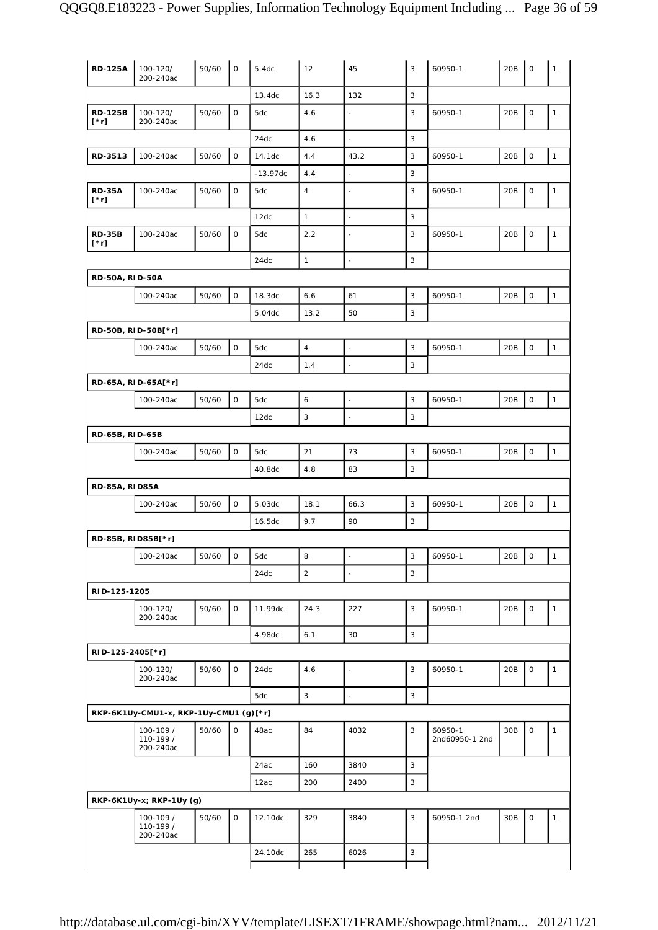| <b>RD-125A</b>               | 100-120/<br>200-240ac                  | 50/60 | $\mathsf O$         | 5.4dc      | 12             | 45                       | 3 | 60950-1                   | 20B | $\mathsf O$         | $\mathbf{1}$ |
|------------------------------|----------------------------------------|-------|---------------------|------------|----------------|--------------------------|---|---------------------------|-----|---------------------|--------------|
|                              |                                        |       |                     | 13.4dc     | 16.3           | 132                      | 3 |                           |     |                     |              |
| <b>RD-125B</b><br>[*r]       | 100-120/<br>200-240ac                  | 50/60 | $\mathsf O$         | 5dc        | 4.6            | $\Box$                   | 3 | 60950-1                   | 20B | $\mathsf O$         | $\mathbf{1}$ |
|                              |                                        |       |                     | 24dc       | 4.6            | $\Box$                   | 3 |                           |     |                     |              |
| RD-3513                      | 100-240ac                              | 50/60 | $\mathsf{O}$        | 14.1dc     | 4.4            | 43.2                     | 3 | 60950-1                   | 20B | $\mathsf O$         | $\mathbf{1}$ |
|                              |                                        |       |                     | $-13.97dc$ | 4.4            |                          | 3 |                           |     |                     |              |
| <b>RD-35A</b><br>$[\cdot r]$ | 100-240ac                              | 50/60 | $\mathsf O$         | 5dc        | $\overline{4}$ | ÷,                       | 3 | 60950-1                   | 20B | $\mathsf O$         | $\mathbf{1}$ |
|                              |                                        |       |                     | 12dc       | $\mathbf{1}$   | $\overline{\phantom{a}}$ | 3 |                           |     |                     |              |
| <b>RD-35B</b><br>$[\cdot r]$ | 100-240ac                              | 50/60 | $\mathsf O$         | 5dc        | 2.2            |                          | 3 | 60950-1                   | 20B | $\mathsf O$         | $\mathbf{1}$ |
|                              |                                        |       |                     | 24dc       | $\mathbf{1}$   | $\overline{a}$           | 3 |                           |     |                     |              |
| <b>RD-50A, RID-50A</b>       |                                        |       |                     |            |                |                          |   |                           |     |                     |              |
|                              | 100-240ac                              | 50/60 | $\mathsf O$         | 18.3dc     | 6.6            | 61                       | 3 | 60950-1                   | 20B | $\mathsf O$         | $\mathbf{1}$ |
|                              |                                        |       |                     | 5.04dc     | 13.2           | 50                       | 3 |                           |     |                     |              |
|                              |                                        |       |                     |            |                |                          |   |                           |     |                     |              |
|                              | RD-50B, RID-50B[*r]                    |       |                     |            |                |                          |   |                           |     |                     |              |
|                              | 100-240ac                              | 50/60 | $\mathsf O$         | 5dc        | $\overline{4}$ | $\blacksquare$           | 3 | 60950-1                   | 20B | $\mathsf O$         | $\mathbf{1}$ |
|                              |                                        |       |                     | 24dc       | 1.4            | $\Box$                   | 3 |                           |     |                     |              |
|                              | RD-65A, RID-65A[*r]                    |       |                     |            |                |                          |   |                           |     |                     |              |
|                              | 100-240ac                              | 50/60 | $\mathsf{O}$        | 5dc        | 6              | $\blacksquare$           | 3 | 60950-1                   | 20B | $\mathsf{O}\xspace$ | $\mathbf{1}$ |
|                              |                                        |       |                     | 12dc       | 3              | $\blacksquare$           | 3 |                           |     |                     |              |
| RD-65B, RID-65B              |                                        |       |                     |            |                |                          |   |                           |     |                     |              |
|                              | 100-240ac                              | 50/60 | $\mathsf{O}$        | 5dc        | 21             | 73                       | 3 | 60950-1                   | 20B | $\mathsf O$         | $\mathbf{1}$ |
|                              |                                        |       |                     | 40.8dc     | 4.8            | 83                       | 3 |                           |     |                     |              |
| <b>RD-85A, RID85A</b>        |                                        |       |                     |            |                |                          |   |                           |     |                     |              |
|                              | 100-240ac                              | 50/60 | $\mathsf{O}\xspace$ | 5.03dc     | 18.1           | 66.3                     | 3 | 60950-1                   | 20B | $\mathsf{O}\xspace$ | $\mathbf{1}$ |
|                              |                                        |       |                     | 16.5dc     | 9.7            | 90                       | 3 |                           |     |                     |              |
|                              | RD-85B, RID85B[*r]                     |       |                     |            |                |                          |   |                           |     |                     |              |
|                              |                                        |       |                     |            |                |                          |   |                           |     |                     |              |
|                              | 100-240ac                              | 50/60 | $\mathsf O$         | 5dc        | 8              | $\overline{\phantom{a}}$ | 3 | 60950-1                   | 20B | $\mathsf O$         | $\mathbf{1}$ |
|                              |                                        |       |                     | 24dc       | $\overline{2}$ | $\overline{a}$           | 3 |                           |     |                     |              |
| RID-125-1205                 |                                        |       |                     |            |                |                          |   |                           |     |                     |              |
|                              | 100-120/<br>200-240ac                  | 50/60 | $\mathsf{O}$        | 11.99dc    | 24.3           | 227                      | 3 | 60950-1                   | 20B | $\mathbf 0$         | $\mathbf{1}$ |
|                              |                                        |       |                     | 4.98dc     | 6.1            | 30                       | 3 |                           |     |                     |              |
| RID-125-2405[*r]             |                                        |       |                     |            |                |                          |   |                           |     |                     |              |
|                              | 100-120/<br>200-240ac                  | 50/60 | $\mathsf{O}$        | 24dc       | 4.6            | $\blacksquare$           | 3 | 60950-1                   | 20B | $\mathsf O$         | $\mathbf{1}$ |
|                              |                                        |       |                     | 5dc        | 3              | ä,                       | 3 |                           |     |                     |              |
|                              | RKP-6K1Uy-CMU1-x, RKP-1Uy-CMU1 (g)[*r] |       |                     |            |                |                          |   |                           |     |                     |              |
|                              | 100-109 /<br>110-199 /<br>200-240ac    | 50/60 | $\mathsf{O}$        | 48ac       | 84             | 4032                     | 3 | 60950-1<br>2nd60950-1 2nd | 30B | $\mathsf{O}\xspace$ | $\mathbf{1}$ |
|                              |                                        |       |                     | 24ac       | 160            | 3840                     | 3 |                           |     |                     |              |
|                              |                                        |       |                     | 12ac       | 200            | 2400                     | 3 |                           |     |                     |              |
|                              | RKP-6K1Uy-x; RKP-1Uy (g)               |       |                     |            |                |                          |   |                           |     |                     |              |
|                              | 100-109 /<br>110-199 /<br>200-240ac    | 50/60 | $\mathsf O$         | 12.10dc    | 329            | 3840                     | 3 | 60950-1 2nd               | 30B | $\mathsf O$         | $\mathbf{1}$ |
|                              |                                        |       |                     | 24.10dc    | 265            | 6026                     | 3 |                           |     |                     |              |
|                              |                                        |       |                     |            |                |                          |   |                           |     |                     |              |
|                              |                                        |       |                     |            |                |                          |   |                           |     |                     |              |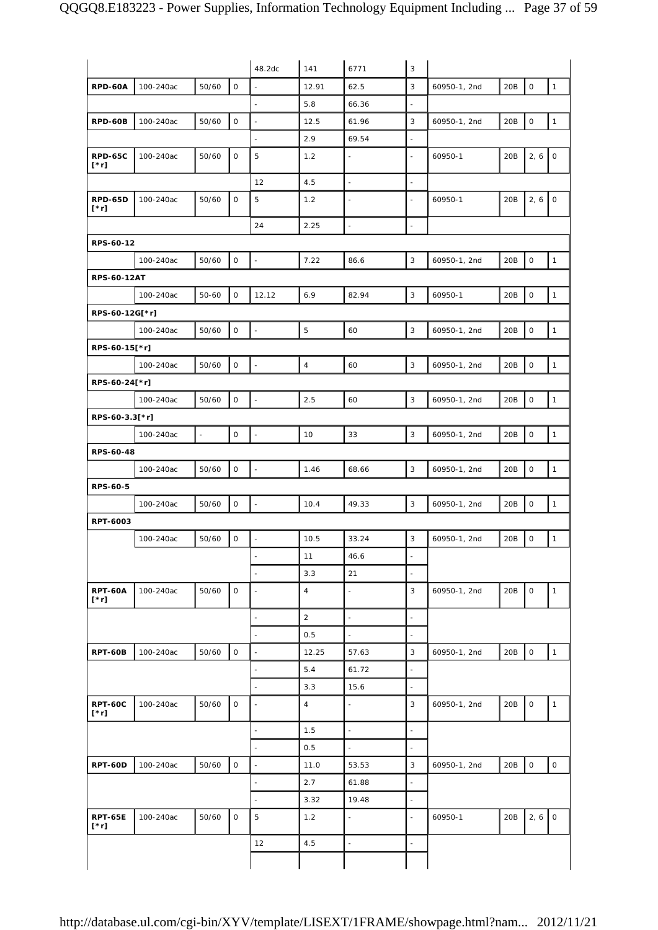|                               |           |        |              | 48.2dc                   | 141            | 6771                     | 3                        |              |     |                     |                     |
|-------------------------------|-----------|--------|--------------|--------------------------|----------------|--------------------------|--------------------------|--------------|-----|---------------------|---------------------|
| <b>RPD-60A</b>                | 100-240ac | 50/60  | $\mathsf{O}$ | ÷,                       | 12.91          | 62.5                     | 3                        | 60950-1, 2nd | 20B | $\mathsf O$         | $\mathbf{1}$        |
|                               |           |        |              |                          | 5.8            | 66.36                    | ÷,                       |              |     |                     |                     |
| RPD-60B                       | 100-240ac | 50/60  | 0            | $\blacksquare$           | 12.5           | 61.96                    | 3                        | 60950-1, 2nd | 20B | $\mathsf{O}\xspace$ | $\mathbf{1}$        |
|                               |           |        |              | $\overline{\phantom{a}}$ | 2.9            | 69.54                    | $\blacksquare$           |              |     |                     |                     |
| <b>RPD-65C</b><br>$[\cdot r]$ | 100-240ac | 50/60  | 0            | 5                        | 1.2            | $\omega$                 | $\blacksquare$           | 60950-1      | 20B | 2, 6                | $\mathsf O$         |
|                               |           |        |              | 12                       | 4.5            | $\overline{\phantom{a}}$ | ä,                       |              |     |                     |                     |
| RPD-65D<br>[*r]               | 100-240ac | 50/60  | $\mathsf O$  | 5                        | 1.2            | $\overline{\phantom{a}}$ | $\blacksquare$           | 60950-1      | 20B | 2, 6                | $\mathsf{O}\xspace$ |
|                               |           |        |              | 24                       | 2.25           | $\blacksquare$           | $\blacksquare$           |              |     |                     |                     |
| RPS-60-12                     |           |        |              |                          |                |                          |                          |              |     |                     |                     |
|                               | 100-240ac | 50/60  | $\mathsf O$  | $\Box$                   | 7.22           | 86.6                     | 3                        | 60950-1, 2nd | 20B | $\mathsf{O}\xspace$ | $\mathbf{1}$        |
| <b>RPS-60-12AT</b>            |           |        |              |                          |                |                          |                          |              |     |                     |                     |
|                               | 100-240ac | 50-60  | 0            | 12.12                    | 6.9            | 82.94                    | $\mathsf 3$              | 60950-1      | 20B | $\mathsf O$         | $\mathbf{1}$        |
| RPS-60-12G[*r]                |           |        |              |                          |                |                          |                          |              |     |                     |                     |
|                               | 100-240ac | 50/60  | $\mathsf O$  | $\overline{\phantom{a}}$ | 5              | 60                       | 3                        | 60950-1, 2nd | 20B | $\mathsf{O}\xspace$ | $\mathbf{1}$        |
| RPS-60-15[*r]                 |           |        |              |                          |                |                          |                          |              |     |                     |                     |
|                               | 100-240ac | 50/60  | $\mathsf O$  | ä,                       | $\overline{4}$ | 60                       | 3                        | 60950-1, 2nd | 20B | $\mathsf O$         | $\mathbf{1}$        |
| RPS-60-24[*r]                 |           |        |              |                          |                |                          |                          |              |     |                     |                     |
|                               |           |        |              |                          |                |                          |                          |              |     |                     |                     |
|                               | 100-240ac | 50/60  | $\mathsf O$  | $\overline{\phantom{a}}$ | 2.5            | 60                       | 3                        | 60950-1, 2nd | 20B | $\mathsf{O}\xspace$ | $\mathbf{1}$        |
| RPS-60-3.3[*r]                |           |        |              |                          |                |                          |                          |              |     |                     |                     |
|                               | 100-240ac | $\Box$ | $\mathsf O$  | $\omega$                 | 10             | 33                       | 3                        | 60950-1, 2nd | 20B | $\mathsf O$         | $\mathbf{1}$        |
| RPS-60-48                     |           |        |              |                          |                |                          |                          |              |     |                     |                     |
|                               | 100-240ac | 50/60  | $\mathsf O$  | $\bar{\phantom{a}}$      | 1.46           | 68.66                    | 3                        | 60950-1, 2nd | 20B | $\mathsf O$         | $\mathbf{1}$        |
| <b>RPS-60-5</b>               |           |        |              |                          |                |                          |                          |              |     |                     |                     |
|                               | 100-240ac | 50/60  | 0            | $\omega$                 | 10.4           | 49.33                    | 3                        | 60950-1, 2nd | 20B | $\mathsf{O}\xspace$ | $\mathbf{1}$        |
| RPT-6003                      |           |        |              |                          |                |                          |                          |              |     |                     |                     |
|                               | 100-240ac | 50/60  | $\mathsf O$  | $\blacksquare$           | 10.5           | 33.24                    | 3                        | 60950-1, 2nd | 20B | $\mathsf O$         | $\mathbf{1}$        |
|                               |           |        |              | $\overline{\phantom{a}}$ | 11             | 46.6                     | $\blacksquare$           |              |     |                     |                     |
|                               |           |        |              | $\omega$                 | 3.3            | 21                       | $\blacksquare$           |              |     |                     |                     |
| <b>RPT-60A</b><br>$[\cdot r]$ | 100-240ac | 50/60  | $\mathbf 0$  | $\blacksquare$           | $\overline{4}$ |                          | 3                        | 60950-1, 2nd | 20B | $\mathsf{O}$        | $\mathbf{1}$        |
|                               |           |        |              | $\blacksquare$           | $\overline{2}$ | $\overline{\phantom{a}}$ | $\overline{\phantom{a}}$ |              |     |                     |                     |
|                               |           |        |              | $\omega$                 | 0.5            | $\blacksquare$           | $\frac{1}{2}$            |              |     |                     |                     |
| RPT-60B                       | 100-240ac | 50/60  | $\mathsf O$  | $\Box$                   | 12.25          | 57.63                    | 3                        | 60950-1, 2nd | 20B | $\mathsf{O}\xspace$ | $\mathbf{1}$        |
|                               |           |        |              | $\overline{\phantom{a}}$ | 5.4            | 61.72                    | $\overline{\phantom{a}}$ |              |     |                     |                     |
|                               |           |        |              | $\Box$                   | 3.3            | 15.6                     | $\Box$                   |              |     |                     |                     |
| <b>RPT-60C</b><br>$[\cdot r]$ | 100-240ac | 50/60  | 0            | $\Box$                   | $\overline{4}$ | $\sim$                   | 3                        | 60950-1, 2nd | 20B | $\mathsf{O}$        | $\mathbf{1}$        |
|                               |           |        |              | $\blacksquare$           | 1.5            | $\overline{\phantom{a}}$ | $\frac{1}{2}$            |              |     |                     |                     |
|                               |           |        |              | $\overline{\phantom{a}}$ | 0.5            | $\blacksquare$           | $\blacksquare$           |              |     |                     |                     |
| RPT-60D                       | 100-240ac | 50/60  | $\mathsf{O}$ | $\Box$                   | 11.0           | 53.53                    | 3                        | 60950-1, 2nd | 20B | $\mathsf{O}\xspace$ | $\circ$             |
|                               |           |        |              | $\overline{\phantom{a}}$ | 2.7            | 61.88                    | $\frac{1}{2}$            |              |     |                     |                     |
|                               |           |        |              | $\overline{\phantom{a}}$ | 3.32           | 19.48                    | $\blacksquare$           |              |     |                     |                     |
|                               |           | 50/60  | 0            | 5                        | 1.2            | $\overline{\phantom{a}}$ | $\blacksquare$           | 60950-1      | 20B | 2, 6                | $\mathsf{O}\xspace$ |
| <b>RPT-65E</b><br>$[\cdot r]$ | 100-240ac |        |              |                          |                |                          |                          |              |     |                     |                     |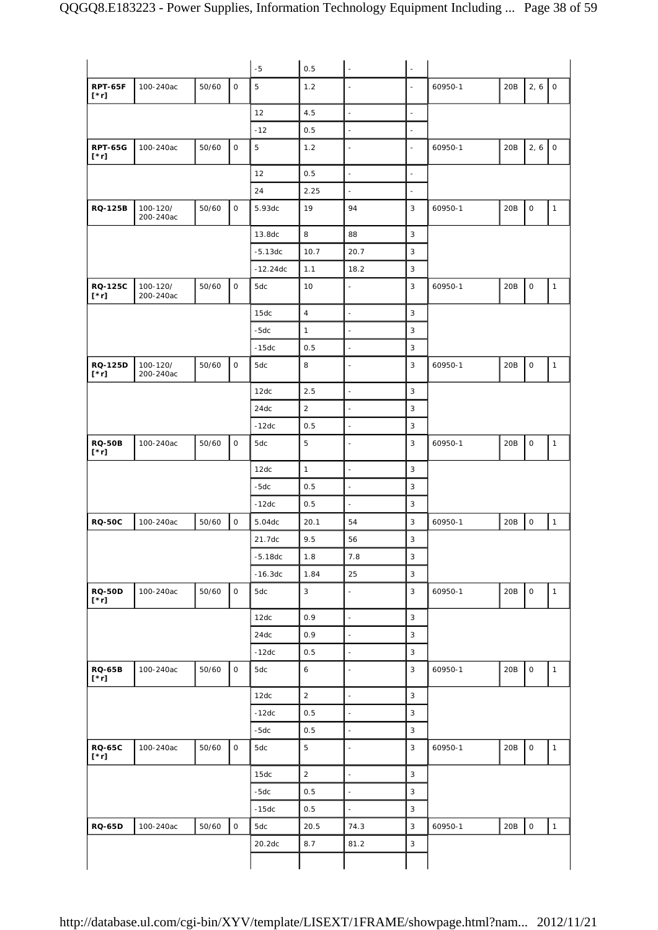|                                             |                       |       |              | $-5$       | 0.5              | ä,                       | $\blacksquare$           |         |     |                     |                     |
|---------------------------------------------|-----------------------|-------|--------------|------------|------------------|--------------------------|--------------------------|---------|-----|---------------------|---------------------|
| <b>RPT-65F</b><br>$[\cdot r]$               | 100-240ac             | 50/60 | $\mathsf{O}$ | 5          | 1.2              | ÷,                       | $\overline{a}$           | 60950-1 | 20B | 2, 6                | $\mathsf{O}\xspace$ |
|                                             |                       |       |              | 12         | 4.5              | $\overline{\phantom{a}}$ | $\overline{\phantom{a}}$ |         |     |                     |                     |
|                                             |                       |       |              | $-12$      | 0.5              | $\blacksquare$           | $\overline{\phantom{a}}$ |         |     |                     |                     |
| <b>RPT-65G</b><br>$[\cdot r]$               | 100-240ac             | 50/60 | 0            | 5          | 1.2              | $\blacksquare$           | $\overline{\phantom{a}}$ | 60950-1 | 20B | 2, 6                | $\mathsf O$         |
|                                             |                       |       |              | 12         | 0.5              | $\blacksquare$           | $\blacksquare$           |         |     |                     |                     |
|                                             |                       |       |              | 24         | 2.25             | ä,                       | $\overline{\phantom{a}}$ |         |     |                     |                     |
| <b>RQ-125B</b>                              | 100-120/<br>200-240ac | 50/60 | $\mathsf O$  | 5.93dc     | 19               | 94                       | 3                        | 60950-1 | 20B | $\mathsf O$         | $\mathbf{1}$        |
|                                             |                       |       |              | 13.8dc     | 8                | 88                       | 3                        |         |     |                     |                     |
|                                             |                       |       |              | $-5.13dc$  | 10.7             | 20.7                     | 3                        |         |     |                     |                     |
|                                             |                       |       |              | $-12.24dc$ | 1.1              | 18.2                     | 3                        |         |     |                     |                     |
| <b>RQ-125C</b><br>$[\cdot r]$               | 100-120/<br>200-240ac | 50/60 | O            | 5dc        | 10               | ä,                       | 3                        | 60950-1 | 20B | $\mathsf{O}\xspace$ | 1                   |
|                                             |                       |       |              | 15dc       | $\sqrt{4}$       | $\blacksquare$           | 3                        |         |     |                     |                     |
|                                             |                       |       |              | $-5dc$     | $\mathbf{1}$     | $\blacksquare$           | 3                        |         |     |                     |                     |
|                                             |                       |       |              | $-15dc$    | 0.5              | $\blacksquare$           | 3                        |         |     |                     |                     |
| <b>RQ-125D</b><br>$[\cdot r]$               | 100-120/<br>200-240ac | 50/60 | $\mathsf{O}$ | 5dc        | 8                | $\blacksquare$           | 3                        | 60950-1 | 20B | $\mathsf O$         | $\mathbf{1}$        |
|                                             |                       |       |              | 12dc       | 2.5              | $\overline{\phantom{a}}$ | 3                        |         |     |                     |                     |
|                                             |                       |       |              | 24dc       | $\overline{2}$   | $\blacksquare$           | 3                        |         |     |                     |                     |
|                                             |                       |       |              | $-12dc$    | 0.5              | $\overline{\phantom{a}}$ | 3                        |         |     |                     |                     |
| <b>RQ-50B</b><br>$[\cdot r]$                | 100-240ac             | 50/60 | $\mathsf{O}$ | 5dc        | 5                | ÷,                       | 3                        | 60950-1 | 20B | $\mathsf O$         | $\mathbf{1}$        |
|                                             |                       |       |              | 12dc       | $\mathbf{1}$     | $\overline{\phantom{a}}$ | 3                        |         |     |                     |                     |
|                                             |                       |       |              | $-5dc$     | 0.5              | $\blacksquare$           | 3                        |         |     |                     |                     |
|                                             |                       |       |              | $-12dc$    | 0.5              | $\blacksquare$           | 3                        |         |     |                     |                     |
| <b>RQ-50C</b>                               | 100-240ac             | 50/60 | $\mathsf O$  | 5.04dc     | 20.1             | 54                       | 3                        | 60950-1 | 20B | $\mathsf{O}\xspace$ | $\mathbf{1}$        |
|                                             |                       |       |              | 21.7dc     | 9.5              | 56                       | 3                        |         |     |                     |                     |
|                                             |                       |       |              | $-5.18dc$  | 1.8              | 7.8                      | 3                        |         |     |                     |                     |
|                                             |                       |       |              | $-16.3dc$  | 1.84             | 25                       | 3                        |         |     |                     |                     |
| <b>RQ-50D</b><br>$[\cdot r]$                | 100-240ac             | 50/60 | 0            | 5dc        | $\mathsf 3$      | $\blacksquare$           | 3                        | 60950-1 | 20B | $\mathsf O$         | $\mathbf{1}$        |
|                                             |                       |       |              | 12dc       | 0.9              | $\overline{\phantom{a}}$ | 3                        |         |     |                     |                     |
|                                             |                       |       |              | 24dc       | 0.9              | $\frac{1}{2}$            | 3                        |         |     |                     |                     |
|                                             |                       |       |              | $-12dc$    | 0.5              | $\blacksquare$           | 3                        |         |     |                     |                     |
|                                             |                       |       |              |            |                  |                          |                          |         |     |                     |                     |
|                                             | 100-240ac             | 50/60 | $\mathsf O$  | 5dc        | $\boldsymbol{6}$ | $\blacksquare$           | 3                        | 60950-1 | 20B | $\mathsf O$         | $\mathbf{1}$        |
|                                             |                       |       |              | 12dc       | $\sqrt{2}$       | $\overline{\phantom{a}}$ | 3                        |         |     |                     |                     |
|                                             |                       |       |              | $-12dc$    | 0.5              | $\blacksquare$           | 3                        |         |     |                     |                     |
|                                             |                       |       |              | $-5dc$     | 0.5              | $\blacksquare$           | 3                        |         |     |                     |                     |
|                                             | 100-240ac             | 50/60 | $\mathsf O$  | 5dc        | $\mathbf 5$      | $\overline{\phantom{a}}$ | 3                        | 60950-1 | 20B | $\mathsf{O}\xspace$ | $\mathbf{1}$        |
|                                             |                       |       |              | 15dc       | $\overline{a}$   | $\blacksquare$           | 3                        |         |     |                     |                     |
|                                             |                       |       |              | $-5dc$     | 0.5              | $\blacksquare$           | 3                        |         |     |                     |                     |
| <b>RQ-65B</b><br>$[\cdot r]$<br>$[\cdot r]$ |                       |       |              | $-15dc$    | 0.5              | $\frac{1}{2}$            | 3                        |         |     |                     |                     |
| <b>RQ-65C</b><br><b>RQ-65D</b>              | 100-240ac             | 50/60 | $\mathsf O$  | 5dc        | 20.5             | 74.3                     | 3                        | 60950-1 | 20B | $\mathsf O$         | $\mathbf{1}$        |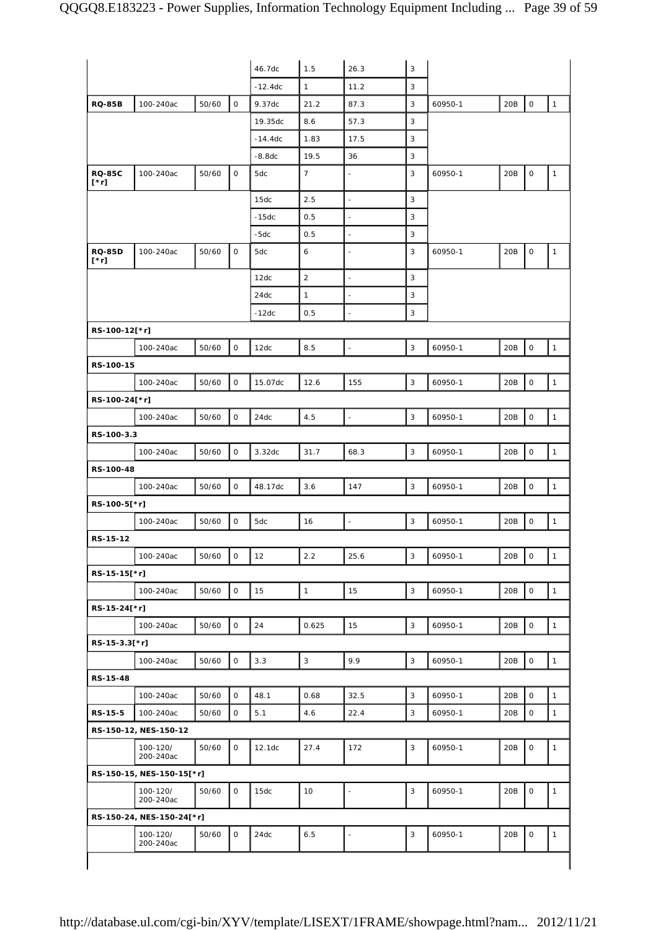|                              |                           |       |              | 46.7dc    | 1.5             | 26.3                     | 3           |         |     |                     |                |
|------------------------------|---------------------------|-------|--------------|-----------|-----------------|--------------------------|-------------|---------|-----|---------------------|----------------|
|                              |                           |       |              | $-12.4dc$ | $\mathbf{1}$    | 11.2                     | 3           |         |     |                     |                |
| <b>RQ-85B</b>                | 100-240ac                 | 50/60 | $\mathsf O$  | 9.37dc    | 21.2            | 87.3                     | 3           | 60950-1 | 20B | $\mathsf O$         | $\mathbf{1}$   |
|                              |                           |       |              | 19.35dc   | 8.6             | 57.3                     | 3           |         |     |                     |                |
|                              |                           |       |              | $-14.4dc$ | 1.83            | 17.5                     | 3           |         |     |                     |                |
|                              |                           |       |              | $-8.8dc$  | 19.5            | 36                       | 3           |         |     |                     |                |
| <b>RQ-85C</b><br>$[\cdot r]$ | 100-240ac                 | 50/60 | 0            | 5dc       | $7\overline{ }$ | L,                       | 3           | 60950-1 | 20B | $\mathsf O$         | $\mathbf{1}$   |
|                              |                           |       |              | 15dc      | 2.5             | $\overline{\phantom{a}}$ | 3           |         |     |                     |                |
|                              |                           |       |              | $-15dc$   | 0.5             | L,                       | 3           |         |     |                     |                |
|                              |                           |       |              | $-5dc$    | 0.5             | $\blacksquare$           | 3           |         |     |                     |                |
| <b>RQ-85D</b><br>$[^*r]$     | 100-240ac                 | 50/60 | $\mathsf{O}$ | 5dc       | 6               |                          | 3           | 60950-1 | 20B | $\mathsf O$         | $\mathbf{1}$   |
|                              |                           |       |              | 12dc      | $\overline{2}$  | $\blacksquare$           | 3           |         |     |                     |                |
|                              |                           |       |              | 24dc      | $\mathbf{1}$    | ä,                       | 3           |         |     |                     |                |
|                              |                           |       |              | $-12dc$   | 0.5             | L,                       | 3           |         |     |                     |                |
| RS-100-12[*r]                |                           |       |              |           |                 |                          |             |         |     |                     |                |
|                              | 100-240ac                 | 50/60 | $\mathbf 0$  | 12dc      | 8.5             | $\overline{\phantom{a}}$ | 3           | 60950-1 | 20B | $\mathsf O$         | $\mathbf{1}$   |
| RS-100-15                    |                           |       |              |           |                 |                          |             |         |     |                     |                |
|                              | 100-240ac                 | 50/60 | 0            | 15.07dc   | 12.6            | 155                      | 3           | 60950-1 | 20B | $\mathsf O$         | $\mathbf{1}$   |
| RS-100-24[*r]                |                           |       |              |           |                 |                          |             |         |     |                     |                |
|                              | 100-240ac                 | 50/60 | $\mathsf{O}$ | 24dc      | 4.5             | $\overline{a}$           | 3           | 60950-1 | 20B | $\mathbf 0$         | $\mathbf{1}$   |
| RS-100-3.3                   |                           |       |              |           |                 |                          |             |         |     |                     |                |
|                              | 100-240ac                 | 50/60 | $\mathbf 0$  | 3.32dc    | 31.7            | 68.3                     | 3           | 60950-1 | 20B | $\mathsf O$         | $\mathbf{1}$   |
| RS-100-48                    |                           |       |              |           |                 |                          |             |         |     |                     |                |
|                              | 100-240ac                 | 50/60 | $\mathbf{O}$ | 48.17dc   | 3.6             | 147                      | 3           | 60950-1 | 20B | $\mathbf 0$         | $\mathbf{1}$   |
| RS-100-5[*r]                 |                           |       |              |           |                 |                          |             |         |     |                     |                |
|                              | 100-240ac                 | 50/60 | 0            | 5dc       | 16              | $\frac{1}{2}$            | 3           | 60950-1 | 20B | $\mathsf O$         | $\mathbf{1}$   |
| RS-15-12                     |                           |       |              |           |                 |                          |             |         |     |                     |                |
|                              |                           |       |              |           |                 |                          | $\sqrt{3}$  |         |     |                     | $\overline{1}$ |
|                              | 100-240ac                 | 50/60 | $\mathsf O$  | 12        | 2.2             | 25.6                     |             | 60950-1 | 20B | $\mathsf O$         |                |
| RS-15-15[*r]                 |                           |       |              |           |                 |                          |             |         |     |                     |                |
|                              | 100-240ac                 | 50/60 | 0            | 15        | $\mathbf{1}$    | 15                       | $\sqrt{3}$  | 60950-1 | 20B | $\mathsf{O}\xspace$ | $\mathbf{1}$   |
| RS-15-24[*r]                 |                           |       |              |           |                 |                          |             |         |     |                     |                |
|                              | 100-240ac                 | 50/60 | 0            | 24        | 0.625           | 15                       | $\sqrt{3}$  | 60950-1 | 20B | $\mathbf 0$         | $\mathbf{1}$   |
| RS-15-3.3[*r]                |                           |       |              |           |                 |                          |             |         |     |                     |                |
|                              | 100-240ac                 | 50/60 | $\mathsf{O}$ | 3.3       | $\overline{3}$  | 9.9                      | $\mathsf 3$ | 60950-1 | 20B | $\mathsf O$         | $\mathbf{1}$   |
| RS-15-48                     |                           |       |              |           |                 |                          |             |         |     |                     |                |
|                              | 100-240ac                 | 50/60 | 0            | 48.1      | 0.68            | 32.5                     | 3           | 60950-1 | 20B | $\mathsf{O}\xspace$ | $\mathbf{1}$   |
| RS-15-5                      | 100-240ac                 | 50/60 | 0            | 5.1       | 4.6             | 22.4                     | 3           | 60950-1 | 20B | $\mathsf{O}\xspace$ | $\mathbf{1}$   |
|                              | RS-150-12, NES-150-12     |       |              |           |                 |                          |             |         |     |                     |                |
|                              | 100-120/<br>200-240ac     | 50/60 | 0            | 12.1dc    | 27.4            | 172                      | 3           | 60950-1 | 20B | $\mathsf O$         | $\mathbf{1}$   |
|                              | RS-150-15, NES-150-15[*r] |       |              |           |                 |                          |             |         |     |                     |                |
|                              | 100-120/<br>200-240ac     | 50/60 | 0            | 15dc      | 10              | L,                       | 3           | 60950-1 | 20B | $\mathsf O$         | $\mathbf{1}$   |
|                              |                           |       |              |           |                 |                          |             |         |     |                     |                |
| RS-150-24, NES-150-24[*r]    |                           |       |              |           |                 |                          |             |         |     |                     |                |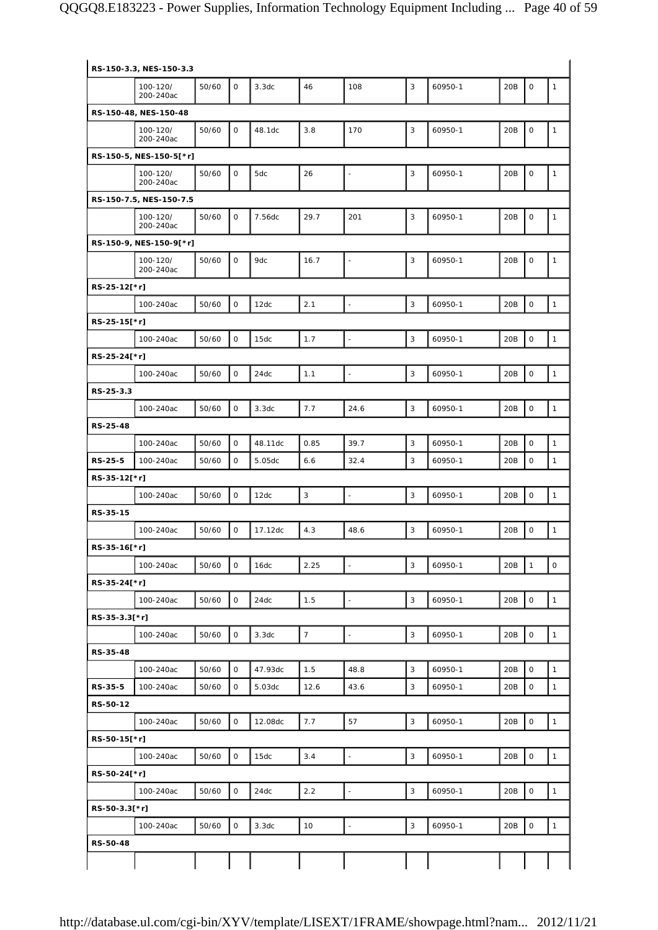|               | RS-150-3.3, NES-150-3.3 |       |              |         |                |                          |             |         |                 |                     |                     |
|---------------|-------------------------|-------|--------------|---------|----------------|--------------------------|-------------|---------|-----------------|---------------------|---------------------|
|               | 100-120/<br>200-240ac   | 50/60 | $\mathbf 0$  | 3.3dc   | 46             | 108                      | 3           | 60950-1 | 20B             | $\mathsf O$         | $\mathbf{1}$        |
|               | RS-150-48, NES-150-48   |       |              |         |                |                          |             |         |                 |                     |                     |
|               | 100-120/<br>200-240ac   | 50/60 | 0            | 48.1dc  | 3.8            | 170                      | 3           | 60950-1 | 20B             | $\mathsf O$         | 1                   |
|               | RS-150-5, NES-150-5[*r] |       |              |         |                |                          |             |         |                 |                     |                     |
|               | 100-120/<br>200-240ac   | 50/60 | $\mathsf{O}$ | 5dc     | 26             | $\overline{\phantom{a}}$ | 3           | 60950-1 | 20B             | $\mathsf O$         | $\mathbf{1}$        |
|               | RS-150-7.5, NES-150-7.5 |       |              |         |                |                          |             |         |                 |                     |                     |
|               | 100-120/<br>200-240ac   | 50/60 | $\mathsf{O}$ | 7.56dc  | 29.7           | 201                      | 3           | 60950-1 | 20B             | $\mathsf O$         | 1                   |
|               | RS-150-9, NES-150-9[*r] |       |              |         |                |                          |             |         |                 |                     |                     |
|               | 100-120/<br>200-240ac   | 50/60 | $\mathbf 0$  | 9dc     | 16.7           | Ĭ.                       | 3           | 60950-1 | 20B             | $\mathsf O$         | 1                   |
| RS-25-12[*r]  |                         |       |              |         |                |                          |             |         |                 |                     |                     |
|               | 100-240ac               | 50/60 | $\mathsf O$  | 12dc    | 2.1            | L.                       | 3           | 60950-1 | 20B             | $\mathsf O$         | $\mathbf{1}$        |
| RS-25-15[*r]  |                         |       |              |         |                |                          |             |         |                 |                     |                     |
|               | 100-240ac               | 50/60 | $\mathsf{O}$ | 15dc    | 1.7            | $\overline{\phantom{a}}$ | 3           | 60950-1 | 20B             | $\mathsf O$         | $\mathbf{1}$        |
| RS-25-24[*r]  |                         |       |              |         |                |                          |             |         |                 |                     |                     |
|               | 100-240ac               | 50/60 | $\mathbf 0$  | 24dc    | 1.1            |                          | 3           | 60950-1 | 20B             | $\mathsf O$         | $\mathbf{1}$        |
| RS-25-3.3     |                         |       |              |         |                |                          |             |         |                 |                     |                     |
|               | 100-240ac               | 50/60 | $\mathsf O$  | 3.3dc   | 7.7            | 24.6                     | 3           | 60950-1 | 20B             | $\mathsf O$         | 1                   |
| RS-25-48      | 100-240ac               | 50/60 | $\mathbf 0$  | 48.11dc | 0.85           | 39.7                     | 3           | 60950-1 | 20B             | $\mathsf O$         | $\mathbf{1}$        |
| RS-25-5       | 100-240ac               | 50/60 | 0            | 5.05dc  | 6.6            | 32.4                     | 3           | 60950-1 | 20 <sub>B</sub> | 0                   | 1                   |
| RS-35-12[*r]  |                         |       |              |         |                |                          |             |         |                 |                     |                     |
|               | 100-240ac               | 50/60 | $\mathsf O$  | 12dc    | $\sqrt{3}$     | ÷,                       | 3           | 60950-1 | 20B             | $\mathsf O$         | 1                   |
| RS-35-15      |                         |       |              |         |                |                          |             |         |                 |                     |                     |
|               | 100-240ac               | 50/60 | 0            | 17.12dc | 4.3            | 48.6                     | 3           | 60950-1 | 20B             | $\mathsf{O}\xspace$ | $\mathbf{1}$        |
| RS-35-16[*r]  |                         |       |              |         |                |                          |             |         |                 |                     |                     |
|               | 100-240ac               | 50/60 | $\mathsf O$  | 16dc    | 2.25           |                          | 3           | 60950-1 | 20B             | $\mathbf{1}$        | $\mathsf{O}\xspace$ |
| RS-35-24[*r]  |                         |       |              |         |                |                          |             |         |                 |                     |                     |
|               | 100-240ac               | 50/60 | $\mathsf O$  | 24dc    | 1.5            | $\overline{\phantom{a}}$ | $\mathsf 3$ | 60950-1 | 20B             | $\mathsf{O}\xspace$ | $\mathbf{1}$        |
| RS-35-3.3[*r] |                         |       |              |         |                |                          |             |         |                 |                     |                     |
|               | 100-240ac               | 50/60 | $\mathsf O$  | 3.3dc   | $\overline{7}$ | $\overline{a}$           | 3           | 60950-1 | 20B             | $\mathsf{O}\xspace$ | $\mathbf{1}$        |
| RS-35-48      |                         |       |              |         |                |                          |             |         |                 |                     |                     |
|               | 100-240ac               | 50/60 | $\mathsf O$  | 47.93dc | 1.5            | 48.8                     | $\sqrt{3}$  | 60950-1 | 20B             | $\mathsf{O}\xspace$ | $\mathbf{1}$        |
| RS-35-5       | 100-240ac               | 50/60 | 0            | 5.03dc  | 12.6           | 43.6                     | 3           | 60950-1 | 20B             | $\mathsf{O}\xspace$ | $\mathbf{1}$        |
| RS-50-12      | 100-240ac               | 50/60 | $\mathsf O$  | 12.08dc | 7.7            | 57                       | $\sqrt{3}$  | 60950-1 | 20B             | $\mathsf{O}\xspace$ | $\mathbf{1}$        |
| RS-50-15[*r]  |                         |       |              |         |                |                          |             |         |                 |                     |                     |
|               | 100-240ac               | 50/60 | $\mathsf O$  | 15dc    | 3.4            | $\overline{\phantom{a}}$ | $\mathsf 3$ | 60950-1 | 20B             | $\mathsf O$         | $\mathbf{1}$        |
| RS-50-24[*r]  |                         |       |              |         |                |                          |             |         |                 |                     |                     |
|               | 100-240ac               | 50/60 | $\mathsf O$  | 24dc    | 2.2            | Ĭ.                       | 3           | 60950-1 | 20B             | $\mathsf{O}\xspace$ | $\mathbf{1}$        |
| RS-50-3.3[*r] |                         |       |              |         |                |                          |             |         |                 |                     |                     |
|               | 100-240ac               | 50/60 | $\mathsf O$  | 3.3dc   | 10             | ÷,                       | 3           | 60950-1 | 20B             | $\mathsf O$         | $\mathbf{1}$        |
| RS-50-48      |                         |       |              |         |                |                          |             |         |                 |                     |                     |
|               |                         |       |              |         |                |                          |             |         |                 |                     |                     |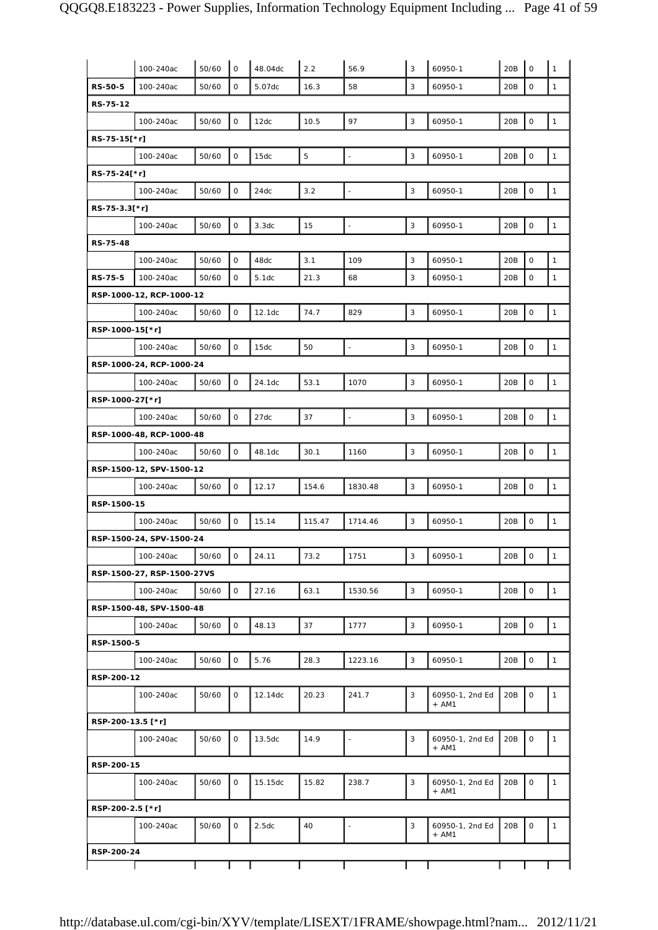|                   | 100-240ac                             | 50/60 | $\mathsf{O}$ | 48.04dc | 2.2         | 56.9                     | 3           | 60950-1                    | 20B | $\mathbf 0$         | 1            |
|-------------------|---------------------------------------|-------|--------------|---------|-------------|--------------------------|-------------|----------------------------|-----|---------------------|--------------|
| <b>RS-50-5</b>    | 100-240ac                             | 50/60 | 0            | 5.07dc  | 16.3        | 58                       | 3           | 60950-1                    | 20B | $\mathsf O$         | $\mathbf{1}$ |
| RS-75-12          |                                       |       |              |         |             |                          |             |                            |     |                     |              |
|                   | 100-240ac                             | 50/60 | 0            | 12dc    | 10.5        | 97                       | 3           | 60950-1                    | 20B | $\mathsf{O}\xspace$ | $\mathbf{1}$ |
| RS-75-15[*r]      |                                       |       |              |         |             |                          |             |                            |     |                     |              |
|                   | 100-240ac                             | 50/60 | $\mathsf O$  | 15dc    | $\mathbf 5$ | ÷,                       | $\sqrt{3}$  | 60950-1                    | 20B | $\mathbf 0$         | $\mathbf{1}$ |
| RS-75-24[*r]      |                                       |       |              |         |             |                          |             |                            |     |                     |              |
|                   | 100-240ac                             | 50/60 | $\mathsf O$  | 24dc    | 3.2         | $\overline{\phantom{a}}$ | $\mathsf 3$ | 60950-1                    | 20B | $\mathsf O$         | $\mathbf{1}$ |
| RS-75-3.3[*r]     |                                       |       |              |         |             |                          |             |                            |     |                     |              |
|                   | 100-240ac                             | 50/60 | $\mathsf O$  | 3.3dc   | 15          | Ĭ.                       | 3           | 60950-1                    | 20B | $\mathsf{O}\xspace$ | $\mathbf{1}$ |
| RS-75-48          |                                       |       |              |         |             |                          |             |                            |     |                     |              |
|                   | 100-240ac                             | 50/60 | 0            | 48dc    | 3.1         | 109                      | 3           | 60950-1                    | 20B | $\mathbf 0$         | $\mathbf{1}$ |
| RS-75-5           | 100-240ac                             | 50/60 | 0            | 5.1dc   | 21.3        | 68                       | 3           | 60950-1                    | 20B | $\mathsf{O}\xspace$ | $\mathbf{1}$ |
|                   | RSP-1000-12, RCP-1000-12              |       |              |         |             |                          |             |                            |     |                     |              |
|                   | 100-240ac                             | 50/60 | $\mathsf O$  | 12.1dc  | 74.7        | 829                      | 3           | 60950-1                    | 20B | $\mathbf 0$         | $\mathbf{1}$ |
| RSP-1000-15[*r]   |                                       |       |              |         |             |                          |             |                            |     |                     |              |
|                   | 100-240ac                             | 50/60 | $\mathsf O$  | 15dc    | 50          | $\overline{\phantom{a}}$ | 3           | 60950-1                    | 20B | $\mathsf O$         | $\mathbf{1}$ |
|                   | RSP-1000-24, RCP-1000-24              |       |              |         |             |                          |             |                            |     |                     |              |
|                   | 100-240ac                             | 50/60 | $\mathsf O$  | 24.1dc  | 53.1        | 1070                     | 3           | 60950-1                    | 20B | $\mathsf O$         | $\mathbf{1}$ |
| RSP-1000-27[*r]   |                                       |       |              |         |             |                          |             |                            |     |                     |              |
|                   | 100-240ac                             | 50/60 | $\mathsf O$  | 27dc    | 37          | $\overline{a}$           | 3           | 60950-1                    | 20B | $\mathsf{O}\xspace$ | $\mathbf{1}$ |
|                   | RSP-1000-48, RCP-1000-48<br>100-240ac | 50/60 | $\mathsf{O}$ | 48.1dc  | 30.1        | 1160                     | 3           | 60950-1                    | 20B | $\mathsf O$         | $\mathbf{1}$ |
|                   | RSP-1500-12, SPV-1500-12              |       |              |         |             |                          |             |                            |     |                     |              |
|                   | 100-240ac                             | 50/60 | $\mathsf O$  | 12.17   | 154.6       | 1830.48                  | 3           | 60950-1                    | 20B | $\mathsf O$         | $\mathbf{1}$ |
| RSP-1500-15       |                                       |       |              |         |             |                          |             |                            |     |                     |              |
|                   | 100-240ac                             | 50/60 | $\mathsf O$  | 15.14   | 115.47      | 1714.46                  | 3           | 60950-1                    | 20B | $\mathsf O$         | $\mathbf{1}$ |
|                   | RSP-1500-24, SPV-1500-24              |       |              |         |             |                          |             |                            |     |                     |              |
|                   | 100-240ac                             | 50/60 | 0            | 24.11   | 73.2        | 1751                     | 3           | 60950-1                    | 20B | $\mathsf O$         | 1            |
|                   | RSP-1500-27, RSP-1500-27VS            |       |              |         |             |                          |             |                            |     |                     |              |
|                   | 100-240ac                             | 50/60 | $\mathsf{O}$ | 27.16   | 63.1        | 1530.56                  | 3           | 60950-1                    | 20B | $\mathsf O$         | $\mathbf{1}$ |
|                   | RSP-1500-48, SPV-1500-48              |       |              |         |             |                          |             |                            |     |                     |              |
|                   | 100-240ac                             | 50/60 | $\mathsf{O}$ | 48.13   | 37          | 1777                     | 3           | 60950-1                    | 20B | $\mathsf O$         | $\mathbf{1}$ |
| RSP-1500-5        |                                       |       |              |         |             |                          |             |                            |     |                     |              |
|                   | 100-240ac                             | 50/60 | $\mathsf{O}$ | 5.76    | 28.3        | 1223.16                  | 3           | 60950-1                    | 20B | $\mathsf O$         | $\mathbf{1}$ |
| RSP-200-12        |                                       |       |              |         |             |                          |             |                            |     |                     |              |
|                   | 100-240ac                             | 50/60 | 0            | 12.14dc | 20.23       | 241.7                    | 3           | 60950-1, 2nd Ed<br>+ AM1   | 20B | $\mathsf O$         | $\mathbf{1}$ |
| RSP-200-13.5 [*r] |                                       |       |              |         |             |                          |             |                            |     |                     |              |
|                   | 100-240ac                             | 50/60 | $\mathsf{O}$ | 13.5dc  | 14.9        | $\overline{\phantom{m}}$ | 3           | 60950-1, 2nd Ed<br>$+ AM1$ | 20B | $\mathsf O$         | $\mathbf{1}$ |
| RSP-200-15        |                                       |       |              |         |             |                          |             |                            |     |                     |              |
|                   | 100-240ac                             | 50/60 | $\mathsf{O}$ | 15.15dc | 15.82       | 238.7                    | 3           | 60950-1, 2nd Ed<br>$+ AM1$ | 20B | $\mathsf O$         | $\mathbf{1}$ |
| RSP-200-2.5 [*r]  |                                       |       |              |         |             |                          |             |                            |     |                     |              |
|                   | 100-240ac                             | 50/60 | $\mathsf{O}$ | 2.5dc   | 40          | $\blacksquare$           | 3           | 60950-1, 2nd Ed<br>$+ AM1$ | 20B | $\mathsf O$         | $\mathbf{1}$ |
| RSP-200-24        |                                       |       |              |         |             |                          |             |                            |     |                     |              |
|                   |                                       |       |              |         |             |                          |             |                            |     |                     |              |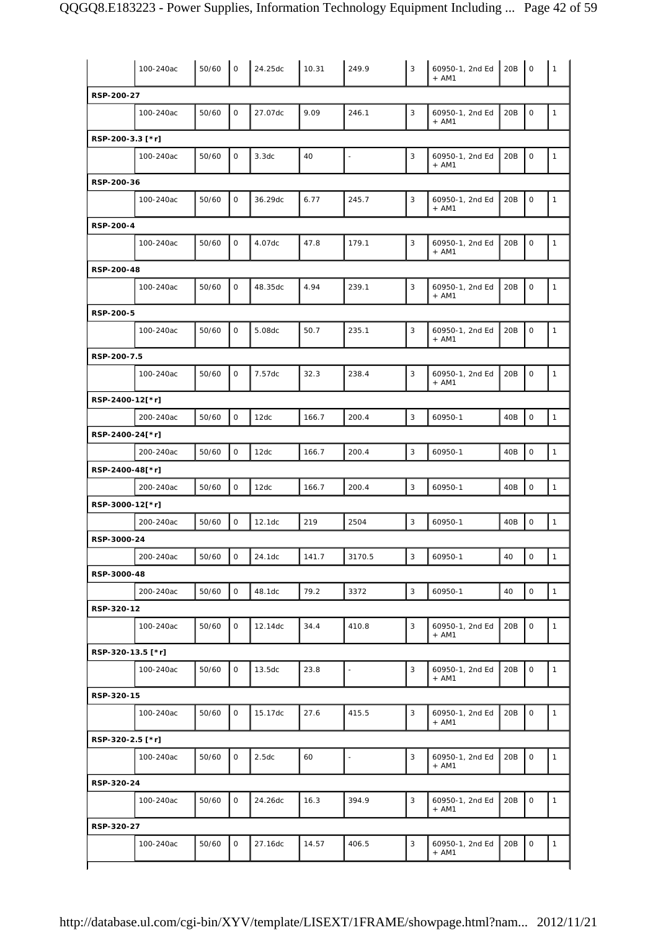|                   | 100-240ac | 50/60 | $\mathsf{O}$ | 24.25dc | 10.31 | 249.9                    | 3 | 60950-1, 2nd Ed<br>$+ AM1$ | 20B | $\circ$             | $\mathbf{1}$ |
|-------------------|-----------|-------|--------------|---------|-------|--------------------------|---|----------------------------|-----|---------------------|--------------|
| RSP-200-27        |           |       |              |         |       |                          |   |                            |     |                     |              |
|                   | 100-240ac | 50/60 | $\mathsf O$  | 27.07dc | 9.09  | 246.1                    | 3 | 60950-1, 2nd Ed<br>$+ AM1$ | 20B | $\mathsf O$         | $\mathbf{1}$ |
| RSP-200-3.3 [*r]  |           |       |              |         |       |                          |   |                            |     |                     |              |
|                   | 100-240ac | 50/60 | $\mathbf{O}$ | 3.3dc   | 40    | $\blacksquare$           | 3 | 60950-1, 2nd Ed<br>$+$ AM1 | 20B | $\mathsf O$         | $\mathbf{1}$ |
| RSP-200-36        |           |       |              |         |       |                          |   |                            |     |                     |              |
|                   | 100-240ac | 50/60 | $\mathbf 0$  | 36.29dc | 6.77  | 245.7                    | 3 | 60950-1, 2nd Ed<br>$+ AM1$ | 20B | $\mathsf O$         | $\mathbf{1}$ |
| RSP-200-4         |           |       |              |         |       |                          |   |                            |     |                     |              |
|                   | 100-240ac | 50/60 | $\mathsf{O}$ | 4.07dc  | 47.8  | 179.1                    | 3 | 60950-1, 2nd Ed<br>$+ AM1$ | 20B | $\mathsf O$         | $\mathbf{1}$ |
| RSP-200-48        |           |       |              |         |       |                          |   |                            |     |                     |              |
|                   | 100-240ac | 50/60 | 0            | 48.35dc | 4.94  | 239.1                    | 3 | 60950-1, 2nd Ed<br>$+$ AM1 | 20B | $\mathsf O$         | $\mathbf{1}$ |
| RSP-200-5         |           |       |              |         |       |                          |   |                            |     |                     |              |
|                   | 100-240ac | 50/60 | $\mathsf O$  | 5.08dc  | 50.7  | 235.1                    | 3 | 60950-1, 2nd Ed<br>$+ AM1$ | 20B | $\mathsf O$         | $\mathbf{1}$ |
| RSP-200-7.5       |           |       |              |         |       |                          |   |                            |     |                     |              |
|                   | 100-240ac | 50/60 | $\mathbf 0$  | 7.57dc  | 32.3  | 238.4                    | 3 | 60950-1, 2nd Ed<br>$+ AM1$ | 20B | $\mathsf O$         | $\mathbf{1}$ |
| RSP-2400-12[*r]   |           |       |              |         |       |                          |   |                            |     |                     |              |
|                   | 200-240ac | 50/60 | $\mathsf{O}$ | 12dc    | 166.7 | 200.4                    | 3 | 60950-1                    | 40B | $\mathsf{O}\xspace$ | $\mathbf{1}$ |
| RSP-2400-24[*r]   |           |       |              |         |       |                          |   |                            |     |                     |              |
|                   |           |       | $\mathsf O$  | 12dc    | 166.7 | 200.4                    | 3 | 60950-1                    | 40B | 0                   | $\mathbf{1}$ |
|                   | 200-240ac | 50/60 |              |         |       |                          |   |                            |     |                     |              |
| RSP-2400-48[*r]   |           |       |              |         |       |                          |   |                            |     |                     |              |
|                   | 200-240ac | 50/60 | $\mathbf 0$  | 12dc    | 166.7 | 200.4                    | 3 | 60950-1                    | 40B | $\mathsf O$         | $\mathbf{1}$ |
| RSP-3000-12[*r]   |           |       |              |         |       |                          |   |                            |     |                     |              |
|                   | 200-240ac | 50/60 | $\mathsf O$  | 12.1dc  | 219   | 2504                     | 3 | 60950-1                    | 40B | 0                   | $\mathbf{1}$ |
| RSP-3000-24       |           |       |              |         |       |                          |   |                            |     |                     |              |
|                   | 200-240ac | 50/60 | $\mathsf O$  | 24.1dc  | 141.7 | 3170.5                   | 3 | 60950-1                    | 40  | $\mathsf O$         | $\mathbf{1}$ |
| RSP-3000-48       |           |       |              |         |       |                          |   |                            |     |                     |              |
|                   | 200-240ac | 50/60 | $\mathsf O$  | 48.1dc  | 79.2  | 3372                     | 3 | 60950-1                    | 40  | $\mathsf O$         | $\mathbf{1}$ |
| RSP-320-12        |           |       |              |         |       |                          |   |                            |     |                     |              |
|                   | 100-240ac | 50/60 | $\mathsf{O}$ | 12.14dc | 34.4  | 410.8                    | 3 | 60950-1, 2nd Ed<br>$+$ AM1 | 20B | 0                   | $\mathbf{1}$ |
| RSP-320-13.5 [*r] |           |       |              |         |       |                          |   |                            |     |                     |              |
|                   | 100-240ac | 50/60 | 0            | 13.5dc  | 23.8  | $\overline{\phantom{m}}$ | 3 | 60950-1, 2nd Ed<br>$+$ AM1 | 20B | $\mathsf O$         | $\mathbf{1}$ |
| RSP-320-15        |           |       |              |         |       |                          |   |                            |     |                     |              |
|                   | 100-240ac | 50/60 | $\mathsf O$  | 15.17dc | 27.6  | 415.5                    | 3 | 60950-1, 2nd Ed<br>$+ AM1$ | 20B | $\mathsf O$         | $\mathbf{1}$ |
| RSP-320-2.5 [*r]  |           |       |              |         |       |                          |   |                            |     |                     |              |
|                   | 100-240ac | 50/60 | $\mathbf 0$  | 2.5dc   | 60    | Ĭ.                       | 3 | 60950-1, 2nd Ed<br>$+ AM1$ | 20B | $\mathsf{O}\xspace$ | $\mathbf{1}$ |
| RSP-320-24        |           |       |              |         |       |                          |   |                            |     |                     |              |
|                   | 100-240ac | 50/60 | $\mathsf O$  | 24.26dc | 16.3  | 394.9                    | 3 | 60950-1, 2nd Ed<br>$+$ AM1 | 20B | 0                   | $\mathbf{1}$ |
| RSP-320-27        |           |       |              |         |       |                          |   |                            |     |                     |              |
|                   | 100-240ac | 50/60 | $\mathsf O$  | 27.16dc | 14.57 | 406.5                    | 3 | 60950-1, 2nd Ed<br>$+ AM1$ | 20B | $\mathsf O$         | $\mathbf{1}$ |
|                   |           |       |              |         |       |                          |   |                            |     |                     |              |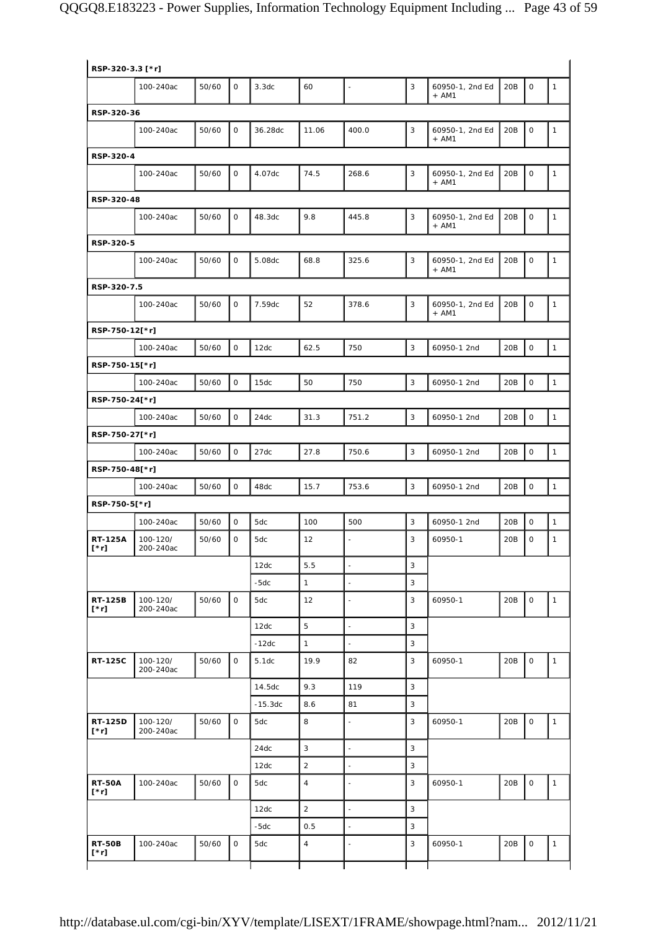| RSP-320-3.3 [*r]              |                       |       |                     |           |                |                          |                |                            |     |                     |              |
|-------------------------------|-----------------------|-------|---------------------|-----------|----------------|--------------------------|----------------|----------------------------|-----|---------------------|--------------|
|                               | 100-240ac             | 50/60 | 0                   | 3.3dc     | 60             | $\overline{\phantom{a}}$ | 3              | 60950-1, 2nd Ed<br>$+ AM1$ | 20B | 0                   | $\mathbf{1}$ |
| RSP-320-36                    |                       |       |                     |           |                |                          |                |                            |     |                     |              |
|                               | 100-240ac             | 50/60 | 0                   | 36.28dc   | 11.06          | 400.0                    | 3              | 60950-1, 2nd Ed<br>$+ AM1$ | 20B | 0                   | $\mathbf{1}$ |
| RSP-320-4                     |                       |       |                     |           |                |                          |                |                            |     |                     |              |
|                               | 100-240ac             | 50/60 | $\mathsf O$         | 4.07dc    | 74.5           | 268.6                    | 3              | 60950-1, 2nd Ed            | 20B | $\mathsf O$         | $\mathbf{1}$ |
|                               |                       |       |                     |           |                |                          |                | $+ AM1$                    |     |                     |              |
| RSP-320-48                    |                       |       |                     |           |                |                          |                |                            |     |                     |              |
|                               | 100-240ac             | 50/60 | $\mathbf{O}$        | 48.3dc    | 9.8            | 445.8                    | 3              | 60950-1, 2nd Ed<br>$+$ AM1 | 20B | $\mathsf O$         | $\mathbf{1}$ |
| RSP-320-5                     |                       |       |                     |           |                |                          |                |                            |     |                     |              |
|                               | 100-240ac             | 50/60 | $\mathbf 0$         | 5.08dc    | 68.8           | 325.6                    | 3              | 60950-1, 2nd Ed<br>$+ AM1$ | 20B | $\mathsf O$         | $\mathbf{1}$ |
| RSP-320-7.5                   |                       |       |                     |           |                |                          |                |                            |     |                     |              |
|                               | 100-240ac             | 50/60 | $\mathsf O$         | 7.59dc    | 52             | 378.6                    | 3              | 60950-1, 2nd Ed<br>$+ AM1$ | 20B | $\mathsf O$         | $\mathbf{1}$ |
| RSP-750-12[*r]                |                       |       |                     |           |                |                          |                |                            |     |                     |              |
|                               | 100-240ac             | 50/60 | $\mathsf{O}$        | 12dc      | 62.5           | 750                      | 3              | 60950-1 2nd                | 20B | $\mathsf O$         | $\mathbf{1}$ |
| RSP-750-15[*r]                |                       |       |                     |           |                |                          |                |                            |     |                     |              |
|                               | 100-240ac             | 50/60 | $\mathsf{O}\xspace$ | 15dc      | 50             | 750                      | 3              | 60950-1 2nd                | 20B | $\mathsf O$         | $\mathbf{1}$ |
| RSP-750-24[*r]                |                       |       |                     |           |                |                          |                |                            |     |                     |              |
|                               | 100-240ac             | 50/60 | $\mathsf O$         | 24dc      | 31.3           | 751.2                    | $\overline{3}$ | 60950-1 2nd                | 20B | $\mathsf{O}\xspace$ | $\mathbf{1}$ |
| RSP-750-27[*r]                |                       |       |                     |           |                |                          |                |                            |     |                     |              |
|                               | 100-240ac             | 50/60 | $\mathsf O$         | 27dc      | 27.8           | 750.6                    | 3              | 60950-1 2nd                | 20B | $\mathsf{O}\xspace$ | $\mathbf{1}$ |
| RSP-750-48[*r]                |                       |       |                     |           |                |                          |                |                            |     |                     |              |
|                               | 100-240ac             | 50/60 | $\mathsf{O}$        | 48dc      | 15.7           | 753.6                    | 3              | 60950-1 2nd                | 20B | $\mathsf O$         | $\mathbf{1}$ |
| RSP-750-5[*r]                 |                       |       |                     |           |                |                          |                |                            |     |                     |              |
|                               | 100-240ac             | 50/60 | $\mathsf O$         | 5dc       | 100            | 500                      | 3              | 60950-1 2nd                | 20B | $\mathsf O$         | $\mathbf{1}$ |
| <b>RT-125A</b><br>$[\cdot r]$ | 100-120/<br>200-240ac | 50/60 | $\mathsf O$         | 5dc       | 12             | $\overline{\phantom{a}}$ | 3              | 60950-1                    | 20B | 0                   | 1            |
|                               |                       |       |                     | 12dc      | 5.5            | ÷,                       | 3              |                            |     |                     |              |
|                               |                       |       |                     | $-5dc$    | $\mathbf{1}$   | $\overline{\phantom{a}}$ | 3              |                            |     |                     |              |
| <b>RT-125B</b><br>$[\cdot r]$ | 100-120/<br>200-240ac | 50/60 | $\mathsf O$         | 5dc       | 12             | $\sim$                   | 3              | 60950-1                    | 20B | $\mathsf{O}$        | $\mathbf{1}$ |
|                               |                       |       |                     | 12dc      | 5              | $\overline{\phantom{a}}$ | 3              |                            |     |                     |              |
|                               |                       |       |                     | $-12dc$   | $\mathbf{1}$   | $\blacksquare$           | 3              |                            |     |                     |              |
| <b>RT-125C</b>                | 100-120/<br>200-240ac | 50/60 | $\mathbf{O}$        | 5.1dc     | 19.9           | 82                       | 3              | 60950-1                    | 20B | $\mathsf{O}$        | $\mathbf{1}$ |
|                               |                       |       |                     | 14.5dc    | 9.3            | 119                      | 3              |                            |     |                     |              |
|                               |                       |       |                     | $-15.3dc$ | 8.6            | 81                       | 3              |                            |     |                     |              |
| RT-125D<br>$[\cdot r]$        | 100-120/<br>200-240ac | 50/60 | $\mathsf O$         | 5dc       | 8              | $\overline{\phantom{a}}$ | 3              | 60950-1                    | 20B | $\mathsf O$         | $\mathbf{1}$ |
|                               |                       |       |                     | 24dc      | 3              | $\overline{\phantom{a}}$ | 3              |                            |     |                     |              |
|                               |                       |       |                     | 12dc      | $\sqrt{2}$     | $\overline{\phantom{a}}$ | 3              |                            |     |                     |              |
| <b>RT-50A</b><br>$[\cdot r]$  | 100-240ac             | 50/60 | 0                   | 5dc       | $\overline{4}$ | $\overline{\phantom{a}}$ | 3              | 60950-1                    | 20B | $\mathsf O$         | $\mathbf{1}$ |
|                               |                       |       |                     | 12dc      | $\overline{2}$ | $\overline{\phantom{a}}$ | 3              |                            |     |                     |              |
|                               |                       |       |                     | $-5dc$    | 0.5            | $\overline{a}$           | 3              |                            |     |                     |              |
|                               |                       |       |                     |           |                |                          |                |                            |     |                     |              |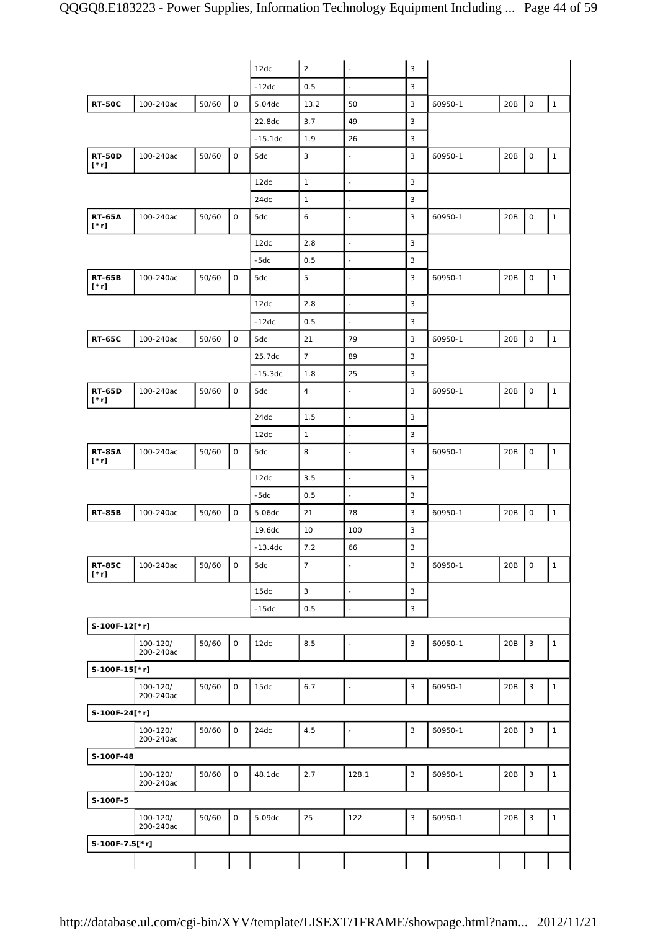|                              |                       |       |             | 12dc      | $\overline{2}$ | $\ddot{\phantom{a}}$     | $\mathbf{3}$              |         |     |                           |              |
|------------------------------|-----------------------|-------|-------------|-----------|----------------|--------------------------|---------------------------|---------|-----|---------------------------|--------------|
|                              |                       |       |             | $-12dc$   | 0.5            | $\ddot{\phantom{a}}$     | 3                         |         |     |                           |              |
| <b>RT-50C</b>                | 100-240ac             | 50/60 | $\mathsf O$ | 5.04dc    | 13.2           | 50                       | $\mathsf 3$               | 60950-1 | 20B | $\mathsf O$               | $\mathbf{1}$ |
|                              |                       |       |             | 22.8dc    | 3.7            | 49                       | 3                         |         |     |                           |              |
|                              |                       |       |             | $-15.1dc$ | 1.9            | 26                       | 3                         |         |     |                           |              |
| <b>RT-50D</b><br>$[\cdot r]$ | 100-240ac             | 50/60 | 0           | 5dc       | 3              | $\blacksquare$           | 3                         | 60950-1 | 20B | 0                         | $\mathbf{1}$ |
|                              |                       |       |             | 12dc      | $\mathbf{1}$   | $\overline{\phantom{a}}$ | 3                         |         |     |                           |              |
|                              |                       |       |             | 24dc      | $\mathbf{1}$   | $\blacksquare$           | 3                         |         |     |                           |              |
| <b>RT-65A</b><br>$[\cdot r]$ | 100-240ac             | 50/60 | $\mathsf O$ | 5dc       | 6              | $\sim$                   | 3                         | 60950-1 | 20B | 0                         | $\mathbf{1}$ |
|                              |                       |       |             | 12dc      | 2.8            | $\overline{\phantom{a}}$ | $\mathbf{3}$              |         |     |                           |              |
|                              |                       |       |             | $-5dc$    | 0.5            | $\overline{\phantom{a}}$ | 3                         |         |     |                           |              |
| <b>RT-65B</b><br>$[\cdot r]$ | 100-240ac             | 50/60 | $\mathsf O$ | 5dc       | 5              | $\overline{\phantom{a}}$ | 3                         | 60950-1 | 20B | $\mathsf O$               | $\mathbf{1}$ |
|                              |                       |       |             | 12dc      | 2.8            | $\mathbb{Z}$             | 3                         |         |     |                           |              |
|                              |                       |       |             | $-12dc$   | 0.5            | $\overline{\phantom{a}}$ | 3                         |         |     |                           |              |
| <b>RT-65C</b>                | 100-240ac             | 50/60 | $\mathsf O$ | 5dc       | 21             | 79                       | 3                         | 60950-1 | 20B | $\mathsf O$               | $\mathbf{1}$ |
|                              |                       |       |             | 25.7dc    | $\overline{7}$ | 89                       | 3                         |         |     |                           |              |
|                              |                       |       |             | $-15.3dc$ | 1.8            | 25                       | 3                         |         |     |                           |              |
| <b>RT-65D</b>                | 100-240ac             | 50/60 | 0           | 5dc       | $\overline{4}$ | ÷,                       | 3                         | 60950-1 | 20B | $\mathsf O$               | $\mathbf{1}$ |
| $[\cdot r]$                  |                       |       |             |           |                |                          |                           |         |     |                           |              |
|                              |                       |       |             | 24dc      | 1.5            | $\overline{\phantom{a}}$ | 3                         |         |     |                           |              |
|                              |                       |       |             | 12dc      | $\mathbf{1}$   | $\overline{\phantom{a}}$ | 3                         |         |     |                           |              |
| <b>RT-85A</b><br>[*r]        | 100-240ac             | 50/60 | $\mathsf O$ | 5dc       | 8              | $\overline{\phantom{a}}$ | 3                         | 60950-1 | 20B | $\mathsf O$               | $\mathbf{1}$ |
|                              |                       |       |             | 12dc      | 3.5            | $\ddot{\phantom{1}}$     | 3                         |         |     |                           |              |
|                              |                       |       |             | $-5dc$    | 0.5            | $\Box$                   | 3                         |         |     |                           |              |
| <b>RT-85B</b>                | 100-240ac             | 50/60 | $\mathsf O$ | 5.06dc    | 21             | 78                       | 3                         | 60950-1 | 20B | $\mathsf O$               | $\mathbf{1}$ |
|                              |                       |       |             | 19.6dc    | 10             | 100                      | 3                         |         |     |                           |              |
|                              |                       |       |             | $-13.4dc$ | $7.2$          | 66                       | $\mathbf{3}$              |         |     |                           |              |
| <b>RT-85C</b><br>$[\cdot r]$ | 100-240ac             | 50/60 | 0           | 5dc       | $\overline{7}$ | $\overline{\phantom{a}}$ | 3                         | 60950-1 | 20B | 0                         | $\mathbf{1}$ |
|                              |                       |       |             | 15dc      | $\mathbf{3}$   | $\overline{\phantom{a}}$ | $\mathbf{3}$              |         |     |                           |              |
|                              |                       |       |             | $-15dc$   | 0.5            | $\overline{\phantom{a}}$ | $\ensuremath{\mathsf{3}}$ |         |     |                           |              |
| S-100F-12[*r]                |                       |       |             |           |                |                          |                           |         |     |                           |              |
|                              | 100-120/<br>200-240ac | 50/60 | $\mathsf O$ | 12dc      | $8.5\,$        | $\blacksquare$           | $\mathsf 3$               | 60950-1 | 20B | 3                         | $\mathbf{1}$ |
| S-100F-15[*r]                |                       |       |             |           |                |                          |                           |         |     |                           |              |
|                              | 100-120/<br>200-240ac | 50/60 | $\mathsf O$ | 15dc      | 6.7            | $\blacksquare$           | $\ensuremath{\mathsf{3}}$ | 60950-1 | 20B | $\mathbf{3}$              | $\mathbf{1}$ |
| S-100F-24[*r]                |                       |       |             |           |                |                          |                           |         |     |                           |              |
|                              | 100-120/<br>200-240ac | 50/60 | $\mathsf O$ | 24dc      | 4.5            | $\overline{\phantom{a}}$ | $\mathsf 3$               | 60950-1 | 20B | $\ensuremath{\mathsf{3}}$ | $\mathbf{1}$ |
| S-100F-48                    |                       |       |             |           |                |                          |                           |         |     |                           |              |
|                              | 100-120/<br>200-240ac | 50/60 | $\mathsf O$ | 48.1dc    | 2.7            | 128.1                    | $\ensuremath{\mathsf{3}}$ | 60950-1 | 20B | $\mathbf{3}$              | $\mathbf{1}$ |
| S-100F-5                     |                       |       |             |           |                |                          |                           |         |     |                           |              |
|                              | 100-120/<br>200-240ac | 50/60 | $\mathsf O$ | 5.09dc    | 25             | 122                      | $\mathsf 3$               | 60950-1 | 20B | $\sqrt{3}$                | $\mathbf{1}$ |
| S-100F-7.5[*r]               |                       |       |             |           |                |                          |                           |         |     |                           |              |
|                              |                       |       |             |           |                |                          |                           |         |     |                           |              |
|                              |                       |       |             |           |                |                          |                           |         |     |                           |              |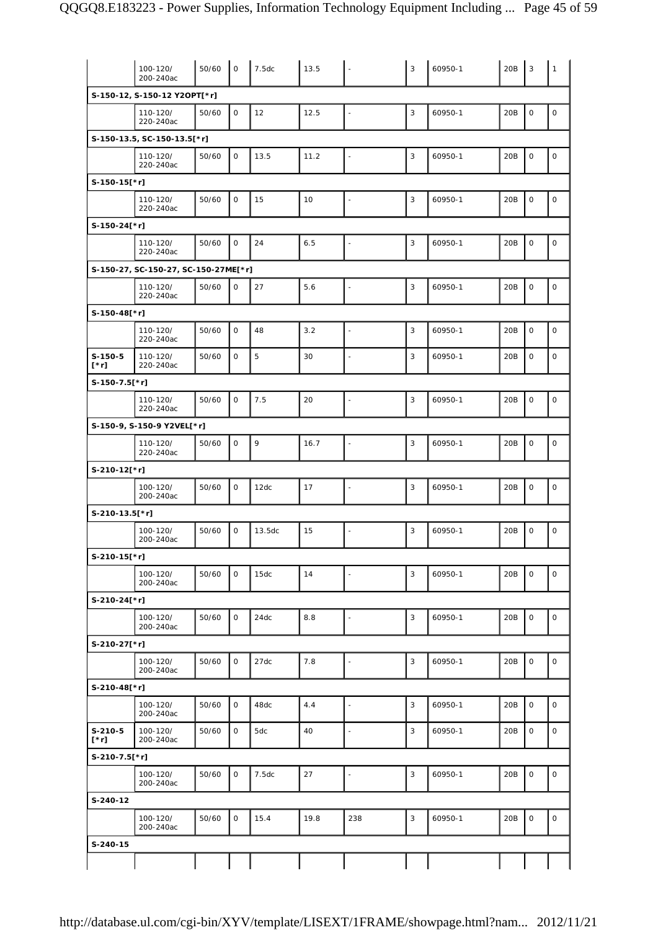|                          | 100-120/<br>200-240ac                | 50/60 | $\mathbf 0$  | 7.5dc  | 13.5 |                          | 3              | 60950-1 | 20B | 3            | $\mathbf{1}$ |
|--------------------------|--------------------------------------|-------|--------------|--------|------|--------------------------|----------------|---------|-----|--------------|--------------|
|                          | S-150-12, S-150-12 Y2OPT[*r]         |       |              |        |      |                          |                |         |     |              |              |
|                          | 110-120/<br>220-240ac                | 50/60 | $\mathsf{O}$ | 12     | 12.5 | $\overline{a}$           | $\mathsf 3$    | 60950-1 | 20B | $\mathsf O$  | $\mathsf O$  |
|                          | S-150-13.5, SC-150-13.5[*r]          |       |              |        |      |                          |                |         |     |              |              |
|                          | 110-120/<br>220-240ac                | 50/60 | $\mathsf{O}$ | 13.5   | 11.2 | $\blacksquare$           | $\overline{3}$ | 60950-1 | 20B | $\mathsf O$  | $\mathsf O$  |
| $S-150-15$ [*r]          |                                      |       |              |        |      |                          |                |         |     |              |              |
|                          | 110-120/<br>220-240ac                | 50/60 | $\mathsf{O}$ | 15     | 10   | $\overline{a}$           | 3              | 60950-1 | 20B | $\mathsf O$  | $\mathsf O$  |
| S-150-24[*r]             |                                      |       |              |        |      |                          |                |         |     |              |              |
|                          | 110-120/<br>220-240ac                | 50/60 | $\mathsf{O}$ | 24     | 6.5  | $\blacksquare$           | $\sqrt{3}$     | 60950-1 | 20B | $\mathsf O$  | $\mathsf O$  |
|                          | S-150-27, SC-150-27, SC-150-27ME[*r] |       |              |        |      |                          |                |         |     |              |              |
|                          | 110-120/<br>220-240ac                | 50/60 | $\mathsf{O}$ | 27     | 5.6  | $\overline{\phantom{a}}$ | 3              | 60950-1 | 20B | $\mathsf O$  | $\mathsf O$  |
| S-150-48[*r]             |                                      |       |              |        |      |                          |                |         |     |              |              |
|                          | 110-120/<br>220-240ac                | 50/60 | $\mathsf{O}$ | 48     | 3.2  |                          | 3              | 60950-1 | 20B | $\mathsf{O}$ | $\mathbf 0$  |
| $S-150-5$<br>$[\cdot r]$ | 110-120/<br>220-240ac                | 50/60 | $\mathsf{O}$ | 5      | 30   | $\overline{\phantom{a}}$ | 3              | 60950-1 | 20B | 0            | $\mathsf O$  |
| S-150-7.5[*r]            |                                      |       |              |        |      |                          |                |         |     |              |              |
|                          | 110-120/<br>220-240ac                | 50/60 | $\mathbf 0$  | 7.5    | 20   | $\overline{a}$           | 3              | 60950-1 | 20B | $\mathbf 0$  | $\mathsf O$  |
|                          | S-150-9, S-150-9 Y2VEL[*r]           |       |              |        |      |                          |                |         |     |              |              |
|                          | 110-120/<br>220-240ac                | 50/60 | $\mathsf{O}$ | 9      | 16.7 | ÷,                       | 3              | 60950-1 | 20B | $\mathsf O$  | $\mathsf O$  |
| S-210-12[*r]             |                                      |       |              |        |      |                          |                |         |     |              |              |
|                          | 100-120/<br>200-240ac                | 50/60 | $\mathbf 0$  | 12dc   | 17   | $\overline{\phantom{a}}$ | 3              | 60950-1 | 20B | $\mathsf O$  | $\mathsf O$  |
| S-210-13.5[*r]           |                                      |       |              |        |      |                          |                |         |     |              |              |
|                          | 100-120/<br>200-240ac                | 50/60 | $\mathbf 0$  | 13.5dc | 15   | $\overline{a}$           | 3              | 60950-1 | 20B | $\mathsf O$  | $\mathsf O$  |
| S-210-15[*r]             |                                      |       |              |        |      |                          |                |         |     |              |              |
|                          | 100-120/<br>200-240ac                | 50/60 | $\mathsf{O}$ | 15dc   | 14   | $\blacksquare$           | $\sqrt{3}$     | 60950-1 | 20B | $\mathsf O$  | $\mathsf O$  |
| S-210-24[*r]             |                                      |       |              |        |      |                          |                |         |     |              |              |
|                          | 100-120/<br>200-240ac                | 50/60 | 0            | 24dc   | 8.8  | $\overline{\phantom{a}}$ | 3              | 60950-1 | 20B | 0            | $\mathsf O$  |
| S-210-27[*r]             |                                      |       |              |        |      |                          |                |         |     |              |              |
|                          | 100-120/<br>200-240ac                | 50/60 | $\mathsf{O}$ | 27dc   | 7.8  | $\blacksquare$           | $\mathbf{3}$   | 60950-1 | 20B | 0            | $\mathsf O$  |
| S-210-48[*r]             |                                      |       |              |        |      |                          |                |         |     |              |              |
|                          | 100-120/<br>200-240ac                | 50/60 | $\mathsf O$  | 48dc   | 4.4  | ÷,                       | 3              | 60950-1 | 20B | $\mathsf O$  | $\mathsf O$  |
| $S-210-5$<br>$[\cdot r]$ | 100-120/<br>200-240ac                | 50/60 | 0            | 5dc    | 40   | $\blacksquare$           | 3              | 60950-1 | 20B | $\mathsf O$  | $\mathsf O$  |
| S-210-7.5[*r]            |                                      |       |              |        |      |                          |                |         |     |              |              |
|                          | 100-120/<br>200-240ac                | 50/60 | 0            | 7.5dc  | 27   | $\overline{a}$           | 3              | 60950-1 | 20B | $\mathsf O$  | $\mathsf O$  |
| S-240-12                 |                                      |       |              |        |      |                          |                |         |     |              |              |
|                          | 100-120/<br>200-240ac                | 50/60 | $\mathsf O$  | 15.4   | 19.8 | 238                      | $\mathsf 3$    | 60950-1 | 20B | 0            | $\mathsf O$  |
| S-240-15                 |                                      |       |              |        |      |                          |                |         |     |              |              |
|                          |                                      |       |              |        |      |                          |                |         |     |              |              |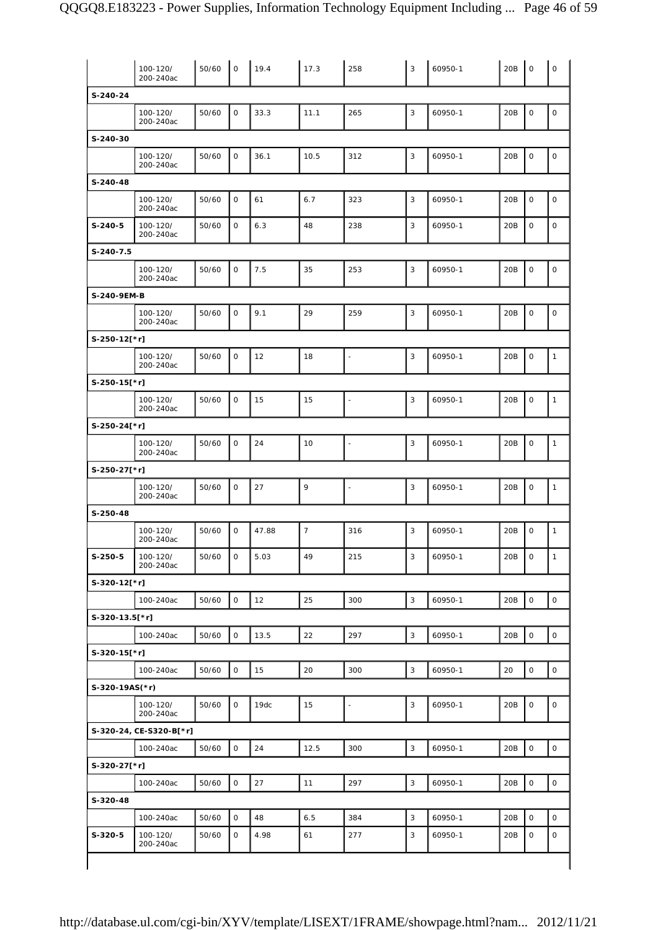|                | 100-120/<br>200-240ac   | 50/60 | $\mathsf{O}$ | 19.4  | 17.3           | 258                      | 3              | 60950-1 | 20B | $\mathbf 0$         | $\mathbf 0$  |
|----------------|-------------------------|-------|--------------|-------|----------------|--------------------------|----------------|---------|-----|---------------------|--------------|
| S-240-24       |                         |       |              |       |                |                          |                |         |     |                     |              |
|                | 100-120/<br>200-240ac   | 50/60 | $\mathbf 0$  | 33.3  | 11.1           | 265                      | 3              | 60950-1 | 20B | $\mathsf{O}\xspace$ | $\mathsf O$  |
| S-240-30       |                         |       |              |       |                |                          |                |         |     |                     |              |
|                | 100-120/<br>200-240ac   | 50/60 | $\mathbf 0$  | 36.1  | 10.5           | 312                      | 3              | 60950-1 | 20B | $\mathsf{O}$        | $\mathsf{O}$ |
| S-240-48       |                         |       |              |       |                |                          |                |         |     |                     |              |
|                | 100-120/<br>200-240ac   | 50/60 | 0            | 61    | 6.7            | 323                      | 3              | 60950-1 | 20B | 0                   | $\mathsf O$  |
| $S-240-5$      | 100-120/<br>200-240ac   | 50/60 | $\mathsf{O}$ | 6.3   | 48             | 238                      | 3              | 60950-1 | 20B | $\mathsf O$         | $\mathbf 0$  |
| S-240-7.5      |                         |       |              |       |                |                          |                |         |     |                     |              |
|                | 100-120/<br>200-240ac   | 50/60 | $\mathbf 0$  | 7.5   | 35             | 253                      | 3              | 60950-1 | 20B | 0                   | $\mathsf O$  |
| S-240-9EM-B    |                         |       |              |       |                |                          |                |         |     |                     |              |
|                | 100-120/<br>200-240ac   | 50/60 | $\mathbf 0$  | 9.1   | 29             | 259                      | 3              | 60950-1 | 20B | $\mathsf O$         | $\mathsf O$  |
| S-250-12[*r]   |                         |       |              |       |                |                          |                |         |     |                     |              |
|                | 100-120/<br>200-240ac   | 50/60 | $\mathsf O$  | 12    | 18             | $\blacksquare$           | 3              | 60950-1 | 20B | $\mathsf{O}\xspace$ | $\mathbf{1}$ |
| S-250-15[*r]   |                         |       |              |       |                |                          |                |         |     |                     |              |
|                | 100-120/<br>200-240ac   | 50/60 | $\mathsf{O}$ | 15    | 15             | $\overline{\phantom{a}}$ | 3              | 60950-1 | 20B | 0                   | $\mathbf{1}$ |
| S-250-24[*r]   |                         |       |              |       |                |                          |                |         |     |                     |              |
|                | 100-120/<br>200-240ac   | 50/60 | $\mathsf O$  | 24    | 10             | $\overline{a}$           | 3              | 60950-1 | 20B | $\mathsf O$         | $\mathbf{1}$ |
| S-250-27[*r]   |                         |       |              |       |                |                          |                |         |     |                     |              |
|                | 100-120/<br>200-240ac   | 50/60 | $\mathbf 0$  | 27    | 9              |                          | 3              | 60950-1 | 20B | $\mathsf O$         | $\mathbf{1}$ |
| S-250-48       |                         |       |              |       |                |                          |                |         |     |                     |              |
|                | 100-120/<br>200-240ac   | 50/60 | $\mathbf 0$  | 47.88 | $\overline{7}$ | 316                      | 3              | 60950-1 | 20B | $\mathsf O$         | $\mathbf{1}$ |
| $S-250-5$      | 100-120/<br>200-240ac   | 50/60 | 0            | 5.03  | 49             | 215                      | 3              | 60950-1 | 20B | $\mathsf O$         | $\mathbf{1}$ |
| S-320-12[*r]   |                         |       |              |       |                |                          |                |         |     |                     |              |
|                | 100-240ac               | 50/60 | $\mathbf 0$  | 12    | 25             | 300                      | 3              | 60950-1 | 20B | $\circ$             | $\mathsf{O}$ |
| S-320-13.5[*r] |                         |       |              |       |                |                          |                |         |     |                     |              |
|                | 100-240ac               | 50/60 | $\mathsf{O}$ | 13.5  | 22             | 297                      | $\mathbf{3}$   | 60950-1 | 20B | $\mathsf O$         | $\mathsf O$  |
| S-320-15[*r]   |                         |       |              |       |                |                          |                |         |     |                     |              |
|                | 100-240ac               | 50/60 | $\mathsf O$  | 15    | 20             | 300                      | 3              | 60950-1 | 20  | $\mathsf{O}\xspace$ | $\mathsf{O}$ |
| S-320-19AS(*r) |                         |       |              |       |                |                          |                |         |     |                     |              |
|                | 100-120/<br>200-240ac   | 50/60 | $\mathsf O$  | 19dc  | 15             | $\frac{1}{2}$            | 3              | 60950-1 | 20B | $\mathsf O$         | $\mathsf O$  |
|                | S-320-24, CE-S320-B[*r] |       |              |       |                |                          |                |         |     |                     |              |
|                | 100-240ac               | 50/60 | $\mathsf O$  | 24    | 12.5           | 300                      | $\overline{3}$ | 60950-1 | 20B | $\mathsf O$         | $\mathsf O$  |
| S-320-27[*r]   |                         |       |              |       |                |                          |                |         |     |                     |              |
|                | 100-240ac               | 50/60 | $\mathsf O$  | 27    | 11             | 297                      | $\overline{3}$ | 60950-1 | 20B | $\mathsf{O}\xspace$ | $\mathsf{O}$ |
| S-320-48       |                         |       |              |       |                |                          |                |         |     |                     |              |
|                | 100-240ac               | 50/60 | $\mathsf O$  | 48    | 6.5            | 384                      | 3              | 60950-1 | 20B | $\mathbf 0$         | $\mathsf{O}$ |
| S-320-5        | 100-120/                | 50/60 | 0            | 4.98  | 61             | 277                      | 3              | 60950-1 | 20B | $\mathsf O$         | 0            |
|                | 200-240ac               |       |              |       |                |                          |                |         |     |                     |              |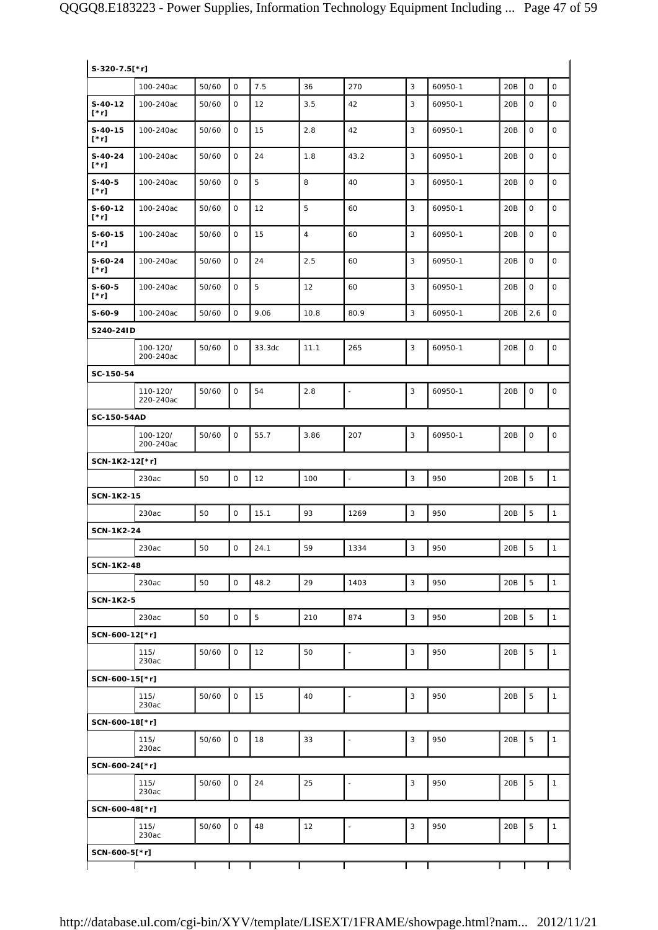| S-320-7.5[*r]            |                       |       |              |        |                |                          |                |         |                 |                |                     |
|--------------------------|-----------------------|-------|--------------|--------|----------------|--------------------------|----------------|---------|-----------------|----------------|---------------------|
|                          | 100-240ac             | 50/60 | $\mathsf{O}$ | 7.5    | 36             | 270                      | $\overline{3}$ | 60950-1 | 20B             | $\mathbf 0$    | $\mathsf{O}\xspace$ |
| $S-40-12$<br>$[^*r]$     | 100-240ac             | 50/60 | $\mathsf{O}$ | 12     | 3.5            | 42                       | 3              | 60950-1 | 20B             | $\mathbf 0$    | $\mathsf O$         |
| $S-40-15$<br>$[\n* r]$   | 100-240ac             | 50/60 | 0            | 15     | 2.8            | 42                       | 3              | 60950-1 | 20B             | 0              | $\mathbf 0$         |
| $S-40-24$<br>$[\cdot r]$ | 100-240ac             | 50/60 | $\mathbf 0$  | 24     | 1.8            | 43.2                     | 3              | 60950-1 | 20 <sub>B</sub> | 0              | $\mathbf 0$         |
| $S-40-5$<br>$[\cdot r]$  | 100-240ac             | 50/60 | $\mathbf 0$  | 5      | 8              | 40                       | 3              | 60950-1 | 20 <sub>B</sub> | $\mathbf 0$    | 0                   |
| $S-60-12$<br>$[\cdot r]$ | 100-240ac             | 50/60 | 0            | 12     | 5              | 60                       | 3              | 60950-1 | 20B             | $\mathbf 0$    | $\mathsf O$         |
| $S-60-15$<br>$[\cdot r]$ | 100-240ac             | 50/60 | 0            | 15     | $\overline{4}$ | 60                       | 3              | 60950-1 | 20B             | 0              | 0                   |
| $S-60-24$<br>$[^*r]$     | 100-240ac             | 50/60 | 0            | 24     | 2.5            | 60                       | 3              | 60950-1 | 20B             | $\mathbf 0$    | 0                   |
| $S-60-5$<br>$[^*r]$      | 100-240ac             | 50/60 | 0            | 5      | 12             | 60                       | 3              | 60950-1 | 20B             | 0              | 0                   |
| $S-60-9$                 | 100-240ac             | 50/60 | $\mathbf 0$  | 9.06   | 10.8           | 80.9                     | 3              | 60950-1 | 20B             | 2,6            | 0                   |
| S240-24ID                |                       |       |              |        |                |                          |                |         |                 |                |                     |
|                          | 100-120/<br>200-240ac | 50/60 | $\mathsf{O}$ | 33.3dc | 11.1           | 265                      | 3              | 60950-1 | 20B             | $\mathbf 0$    | $\mathsf O$         |
| SC-150-54                |                       |       |              |        |                |                          |                |         |                 |                |                     |
|                          | 110-120/<br>220-240ac | 50/60 | $\mathsf O$  | 54     | 2.8            | $\overline{\phantom{a}}$ | 3              | 60950-1 | 20B             | $\mathsf O$    | $\mathsf O$         |
| SC-150-54AD              |                       |       |              |        |                |                          |                |         |                 |                |                     |
|                          | 100-120/<br>200-240ac | 50/60 | 0            | 55.7   | 3.86           | 207                      | 3              | 60950-1 | 20B             | $\mathsf O$    | 0                   |
| SCN-1K2-12[*r]           |                       |       |              |        |                |                          |                |         |                 |                |                     |
|                          | 230ac                 | 50    | $\mathsf O$  | 12     | 100            | $\overline{\phantom{a}}$ | 3              | 950     | 20B             | 5              | $\mathbf{1}$        |
| <b>SCN-1K2-15</b>        |                       |       |              |        |                |                          |                |         |                 |                |                     |
|                          | 230ac                 | 50    | $\mathsf O$  | 15.1   | 93             | 1269                     | 3              | 950     | 20B             | 5              | $\mathbf{1}$        |
| <b>SCN-1K2-24</b>        |                       |       |              |        |                |                          |                |         |                 |                |                     |
|                          | 230ac                 | 50    | $\mathsf O$  | 24.1   | 59             | 1334                     | 3              | 950     | 20B             | 5              | $\mathbf{1}$        |
| <b>SCN-1K2-48</b>        |                       | 50    | $\mathsf O$  | 48.2   | 29             | 1403                     | $\sqrt{3}$     | 950     | 20B             | $\mathbf 5$    | $\mathbf{1}$        |
| <b>SCN-1K2-5</b>         | 230ac                 |       |              |        |                |                          |                |         |                 |                |                     |
|                          | 230ac                 | 50    | $\mathsf O$  | 5      | 210            | 874                      | $\mathbf{3}$   | 950     | 20B             | 5              | $\mathbf{1}$        |
| SCN-600-12[*r]           |                       |       |              |        |                |                          |                |         |                 |                |                     |
|                          | 115/<br>230ac         | 50/60 | 0            | 12     | 50             | $\overline{\phantom{a}}$ | 3              | 950     | 20B             | 5              | 1                   |
| SCN-600-15[*r]           |                       |       |              |        |                |                          |                |         |                 |                |                     |
|                          | 115/<br>230ac         | 50/60 | 0            | 15     | 40             | $\overline{a}$           | $\mathsf 3$    | 950     | 20B             | 5              | 1                   |
| SCN-600-18[*r]           |                       |       |              |        |                |                          |                |         |                 |                |                     |
|                          | 115/<br>230ac         | 50/60 | 0            | 18     | 33             | $\overline{\phantom{a}}$ | $\mathbf{3}$   | 950     | 20B             | 5              | $\mathbf{1}$        |
| SCN-600-24[*r]           |                       |       |              |        |                |                          |                |         |                 |                |                     |
|                          | 115/<br>230ac         | 50/60 | 0            | 24     | 25             | $\overline{a}$           | $\mathsf 3$    | 950     | 20B             | 5              | $\mathbf{1}$        |
| SCN-600-48[*r]           |                       |       |              |        |                |                          |                |         |                 |                |                     |
|                          | 115/<br>230ac         | 50/60 | 0            | 48     | 12             | $\overline{\phantom{a}}$ | $\mathsf 3$    | 950     | 20B             | $\overline{5}$ | $\mathbf{1}$        |
| SCN-600-5[*r]            |                       |       |              |        |                |                          |                |         |                 |                |                     |
|                          |                       |       |              |        |                |                          |                |         |                 |                |                     |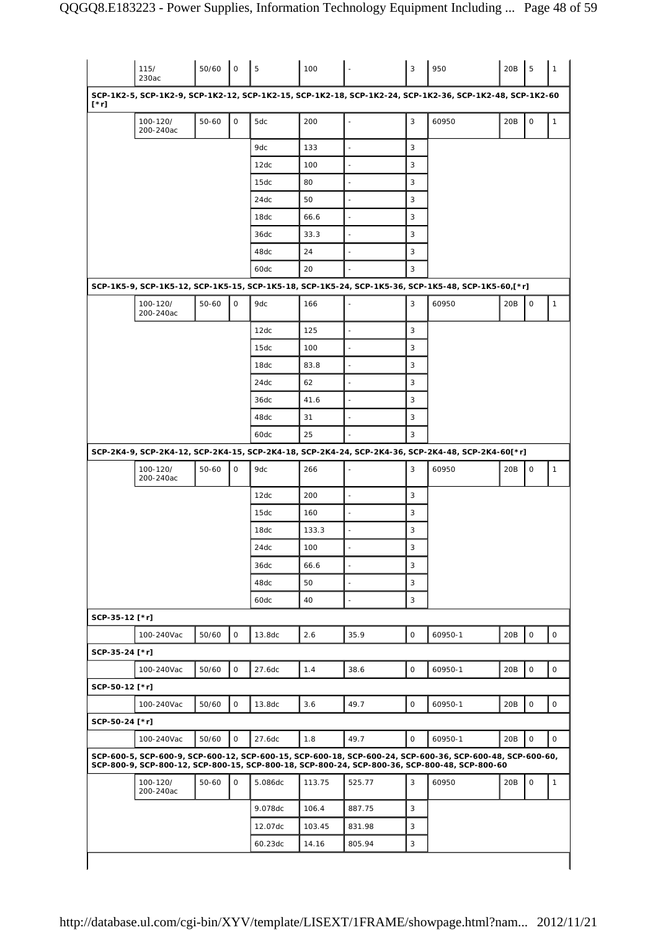|                                                                      | 115/<br>230ac         | 50/60     | $\circ$      | 5       | 100    |                          | 3           | 950                                                                                                                                                                                                        | 20B | 5           | 1                                                      |
|----------------------------------------------------------------------|-----------------------|-----------|--------------|---------|--------|--------------------------|-------------|------------------------------------------------------------------------------------------------------------------------------------------------------------------------------------------------------------|-----|-------------|--------------------------------------------------------|
| [*r]                                                                 |                       |           |              |         |        |                          |             | SCP-1K2-5, SCP-1K2-9, SCP-1K2-12, SCP-1K2-15, SCP-1K2-18, SCP-1K2-24, SCP-1K2-36, SCP-1K2-48, SCP-1K2-60                                                                                                   |     |             |                                                        |
|                                                                      | 100-120/<br>200-240ac | $50 - 60$ | $\mathsf{O}$ | 5dc     | 200    |                          | 3           | 60950                                                                                                                                                                                                      | 20B | $\mathsf O$ | 1                                                      |
|                                                                      |                       |           |              | 9dc     | 133    |                          | 3           |                                                                                                                                                                                                            |     |             |                                                        |
|                                                                      |                       |           |              | 12dc    | 100    | ٠                        | 3           |                                                                                                                                                                                                            |     |             |                                                        |
|                                                                      |                       |           |              | 15dc    | 80     |                          | 3           |                                                                                                                                                                                                            |     |             |                                                        |
|                                                                      |                       |           |              | 24dc    | 50     |                          | 3           |                                                                                                                                                                                                            |     |             |                                                        |
|                                                                      |                       |           |              | 18dc    | 66.6   |                          | 3           |                                                                                                                                                                                                            |     |             |                                                        |
|                                                                      |                       |           |              | 36dc    | 33.3   |                          | 3           |                                                                                                                                                                                                            |     |             |                                                        |
|                                                                      |                       |           |              | 48dc    | 24     |                          | 3           |                                                                                                                                                                                                            |     |             |                                                        |
|                                                                      |                       |           |              | 60dc    | 20     |                          | 3           |                                                                                                                                                                                                            |     |             |                                                        |
|                                                                      |                       |           |              |         |        |                          |             | SCP-1K5-9, SCP-1K5-12, SCP-1K5-15, SCP-1K5-18, SCP-1K5-24, SCP-1K5-36, SCP-1K5-48, SCP-1K5-60,[*r]                                                                                                         |     |             |                                                        |
|                                                                      | 100-120/<br>200-240ac | $50 - 60$ | $\mathbf 0$  | 9dc     | 166    |                          | 3           | 60950                                                                                                                                                                                                      | 20B | 0           | $\mathbf{1}$                                           |
|                                                                      |                       |           |              | 12dc    | 125    | $\overline{\phantom{a}}$ | 3           |                                                                                                                                                                                                            |     |             |                                                        |
|                                                                      |                       |           |              | 15dc    | 100    | $\sim$                   | 3           |                                                                                                                                                                                                            |     |             |                                                        |
|                                                                      |                       |           |              | 18dc    | 83.8   | ÷,                       | 3           |                                                                                                                                                                                                            |     |             |                                                        |
|                                                                      |                       |           |              | 24dc    | 62     | ٠                        | 3           |                                                                                                                                                                                                            |     |             |                                                        |
|                                                                      |                       |           |              | 36dc    | 41.6   | $\blacksquare$           | 3           |                                                                                                                                                                                                            |     |             |                                                        |
|                                                                      |                       |           |              | 48dc    | 31     | ÷,                       | 3           |                                                                                                                                                                                                            |     |             |                                                        |
|                                                                      |                       |           |              | 60dc    | 25     |                          | 3           |                                                                                                                                                                                                            |     |             |                                                        |
|                                                                      |                       |           |              |         |        |                          |             | SCP-2K4-9, SCP-2K4-12, SCP-2K4-15, SCP-2K4-18, SCP-2K4-24, SCP-2K4-36, SCP-2K4-48, SCP-2K4-60[*r]                                                                                                          |     |             |                                                        |
|                                                                      | 100-120/<br>200-240ac | $50 - 60$ | 0            | 9dc     | 266    |                          | 3           | 60950                                                                                                                                                                                                      | 20B | $\mathsf O$ | $\mathbf{1}$                                           |
|                                                                      |                       |           |              | 12dc    | 200    | $\blacksquare$           | 3           |                                                                                                                                                                                                            |     |             |                                                        |
|                                                                      |                       |           |              | 15dc    | 160    |                          | 3           |                                                                                                                                                                                                            |     |             |                                                        |
|                                                                      |                       |           |              | 18dc    | 133.3  | $\overline{\phantom{a}}$ | 3           |                                                                                                                                                                                                            |     |             |                                                        |
|                                                                      |                       |           |              | 24dc    | 100    |                          | 3           |                                                                                                                                                                                                            |     |             |                                                        |
|                                                                      |                       |           |              |         |        | $\overline{\phantom{a}}$ | 3           |                                                                                                                                                                                                            |     |             |                                                        |
|                                                                      |                       |           |              | 36dc    | 66.6   |                          |             |                                                                                                                                                                                                            |     |             |                                                        |
|                                                                      |                       |           |              | 48dc    | 50     | $\blacksquare$           | 3           |                                                                                                                                                                                                            |     |             |                                                        |
|                                                                      |                       |           |              | 60dc    | 40     | $\blacksquare$           | 3           |                                                                                                                                                                                                            |     |             |                                                        |
|                                                                      |                       |           |              |         |        |                          |             |                                                                                                                                                                                                            |     |             |                                                        |
|                                                                      | 100-240Vac            | 50/60     | $\mathbf 0$  | 13.8dc  | 2.6    | 35.9                     | 0           | 60950-1                                                                                                                                                                                                    | 20B | $\mathsf O$ |                                                        |
|                                                                      |                       |           |              |         |        |                          |             |                                                                                                                                                                                                            |     |             |                                                        |
|                                                                      | 100-240Vac            | 50/60     | $\mathbf 0$  | 27.6dc  | 1.4    | 38.6                     | 0           | 60950-1                                                                                                                                                                                                    | 20B | $\mathsf O$ |                                                        |
|                                                                      |                       |           |              |         |        |                          |             |                                                                                                                                                                                                            |     |             |                                                        |
|                                                                      | 100-240Vac            | 50/60     | $\mathsf O$  | 13.8dc  | 3.6    | 49.7                     | $\mathsf O$ | 60950-1                                                                                                                                                                                                    | 20B | $\mathsf O$ |                                                        |
|                                                                      |                       |           |              |         |        |                          |             |                                                                                                                                                                                                            |     |             |                                                        |
|                                                                      | 100-240Vac            | 50/60     | $\mathsf O$  | 27.6dc  | 1.8    | 49.7                     | 0           | 60950-1                                                                                                                                                                                                    | 20B | $\mathsf O$ |                                                        |
|                                                                      |                       |           |              |         |        |                          |             | SCP-600-5, SCP-600-9, SCP-600-12, SCP-600-15, SCP-600-18, SCP-600-24, SCP-600-36, SCP-600-48, SCP-600-60,<br>SCP-800-9, SCP-800-12, SCP-800-15, SCP-800-18, SCP-800-24, SCP-800-36, SCP-800-48, SCP-800-60 |     |             |                                                        |
|                                                                      | 100-120/<br>200-240ac | 50-60     | $\mathsf{O}$ | 5.086dc | 113.75 | 525.77                   | 3           | 60950                                                                                                                                                                                                      | 20B | $\mathsf O$ |                                                        |
|                                                                      |                       |           |              | 9.078dc | 106.4  | 887.75                   | 3           |                                                                                                                                                                                                            |     |             |                                                        |
| SCP-35-12 [*r]<br>SCP-35-24 [*r]<br>SCP-50-12 [*r]<br>SCP-50-24 [*r] |                       |           |              | 12.07dc | 103.45 | 831.98                   | 3           |                                                                                                                                                                                                            |     |             | $\mathsf{O}$<br>0<br>$\mathsf{O}$<br>0<br>$\mathbf{1}$ |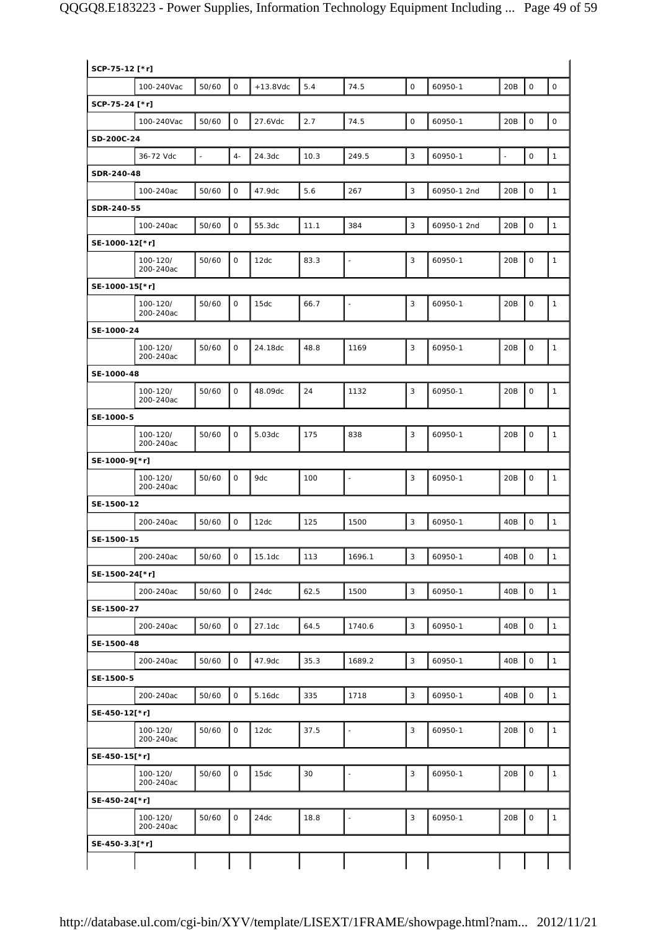| SCP-75-12 [*r] |                       |       |              |             |      |                          |              |             |     |                     |                     |
|----------------|-----------------------|-------|--------------|-------------|------|--------------------------|--------------|-------------|-----|---------------------|---------------------|
|                | 100-240Vac            | 50/60 | $\mathbf 0$  | $+13.8$ Vdc | 5.4  | 74.5                     | $\mathsf O$  | 60950-1     | 20B | $\mathsf{O}\xspace$ | $\mathsf{O}\xspace$ |
| SCP-75-24 [*r] |                       |       |              |             |      |                          |              |             |     |                     |                     |
|                | 100-240Vac            | 50/60 | $\mathbf{O}$ | 27.6Vdc     | 2.7  | 74.5                     | $\mathsf O$  | 60950-1     | 20B | $\mathbf 0$         | $\mathsf{O}\xspace$ |
| SD-200C-24     |                       |       |              |             |      |                          |              |             |     |                     |                     |
|                | 36-72 Vdc             | L,    | $4-$         | 24.3dc      | 10.3 | 249.5                    | $\mathsf 3$  | 60950-1     | Ξ   | $\mathsf{O}\xspace$ | $\mathbf{1}$        |
| SDR-240-48     |                       |       |              |             |      |                          |              |             |     |                     |                     |
|                | 100-240ac             | 50/60 | $\mathsf{O}$ | 47.9dc      | 5.6  | 267                      | 3            | 60950-1 2nd | 20B | $\mathbf 0$         | $\mathbf{1}$        |
| SDR-240-55     |                       |       |              |             |      |                          |              |             |     |                     |                     |
|                | 100-240ac             | 50/60 | 0            | 55.3dc      | 11.1 | 384                      | $\mathsf 3$  | 60950-1 2nd | 20B | $\mathsf{O}\xspace$ | $\mathbf{1}$        |
| SE-1000-12[*r] |                       |       |              |             |      |                          |              |             |     |                     |                     |
|                | 100-120/<br>200-240ac | 50/60 | $\mathbf{O}$ | 12dc        | 83.3 | $\overline{\phantom{a}}$ | 3            | 60950-1     | 20B | $\mathbf 0$         | 1                   |
| SE-1000-15[*r] |                       |       |              |             |      |                          |              |             |     |                     |                     |
|                | 100-120/<br>200-240ac | 50/60 | $\mathsf{O}$ | 15dc        | 66.7 | $\blacksquare$           | 3            | 60950-1     | 20B | $\mathsf O$         | $\mathbf{1}$        |
| SE-1000-24     |                       |       |              |             |      |                          |              |             |     |                     |                     |
|                | 100-120/<br>200-240ac | 50/60 | $\mathbf 0$  | 24.18dc     | 48.8 | 1169                     | 3            | 60950-1     | 20B | $\mathbf 0$         | $\mathbf{1}$        |
| SE-1000-48     |                       |       |              |             |      |                          |              |             |     |                     |                     |
|                | 100-120/<br>200-240ac | 50/60 | $\mathbf{O}$ | 48.09dc     | 24   | 1132                     | 3            | 60950-1     | 20B | $\mathbf 0$         | $\mathbf{1}$        |
| SE-1000-5      |                       |       |              |             |      |                          |              |             |     |                     |                     |
|                | 100-120/<br>200-240ac | 50/60 | $\mathsf{O}$ | 5.03dc      | 175  | 838                      | 3            | 60950-1     | 20B | $\mathbf 0$         | $\mathbf{1}$        |
| SE-1000-9[*r]  |                       |       |              |             |      |                          |              |             |     |                     |                     |
|                | 100-120/<br>200-240ac | 50/60 | 0            | 9dc         | 100  | $\blacksquare$           | 3            | 60950-1     | 20B | $\mathsf O$         | $\mathbf{1}$        |
| SE-1500-12     |                       |       |              |             |      |                          |              |             |     |                     |                     |
|                | 200-240ac             | 50/60 | $\mathsf{O}$ | 12dc        | 125  | 1500                     | 3            | 60950-1     | 40B | $\mathbf 0$         | $\mathbf{1}$        |
| SE-1500-15     |                       |       |              |             |      |                          |              |             |     |                     |                     |
|                | 200-240ac             | 50/60 | $\mathsf O$  | 15.1dc      | 113  | 1696.1                   | 3            | 60950-1     | 40B | $\mathsf O$         | $\mathbf{1}$        |
| SE-1500-24[*r] |                       |       |              |             |      |                          |              |             |     |                     |                     |
|                | 200-240ac             | 50/60 | $\mathsf{O}$ | 24dc        | 62.5 | 1500                     | $\mathbf{3}$ | 60950-1     | 40B | $\mathsf O$         | $\mathbf{1}$        |
| SE-1500-27     |                       |       |              |             |      |                          |              |             |     |                     |                     |
|                | 200-240ac             | 50/60 | 0            | 27.1dc      | 64.5 | 1740.6                   | 3            | 60950-1     | 40B | $\mathsf{O}\xspace$ | $\mathbf{1}$        |
| SE-1500-48     |                       |       |              |             |      |                          |              |             |     |                     |                     |
|                | 200-240ac             | 50/60 | 0            | 47.9dc      | 35.3 | 1689.2                   | 3            | 60950-1     | 40B | $\mathsf O$         | $\mathbf{1}$        |
| SE-1500-5      |                       |       |              |             |      |                          |              |             |     |                     |                     |
|                | 200-240ac             | 50/60 | 0            | 5.16dc      | 335  | 1718                     | 3            | 60950-1     | 40B | $\mathsf{O}\xspace$ | $\mathbf{1}$        |
| SE-450-12[*r]  |                       |       |              |             |      |                          |              |             |     |                     |                     |
|                | 100-120/<br>200-240ac | 50/60 | 0            | 12dc        | 37.5 | ÷                        | 3            | 60950-1     | 20B | $\mathsf{O}\xspace$ | $\mathbf{1}$        |
| SE-450-15[*r]  |                       |       |              |             |      |                          |              |             |     |                     |                     |
|                | 100-120/<br>200-240ac | 50/60 | 0            | 15dc        | 30   | $\overline{a}$           | 3            | 60950-1     | 20B | $\mathsf{O}\xspace$ | $\mathbf{1}$        |
| SE-450-24[*r]  |                       |       |              |             |      |                          |              |             |     |                     |                     |
|                | 100-120/<br>200-240ac | 50/60 | 0            | 24dc        | 18.8 | $\overline{\phantom{a}}$ | 3            | 60950-1     | 20B | $\mathsf{O}\xspace$ | $\mathbf{1}$        |
| SE-450-3.3[*r] |                       |       |              |             |      |                          |              |             |     |                     |                     |
|                |                       |       |              |             |      |                          |              |             |     |                     |                     |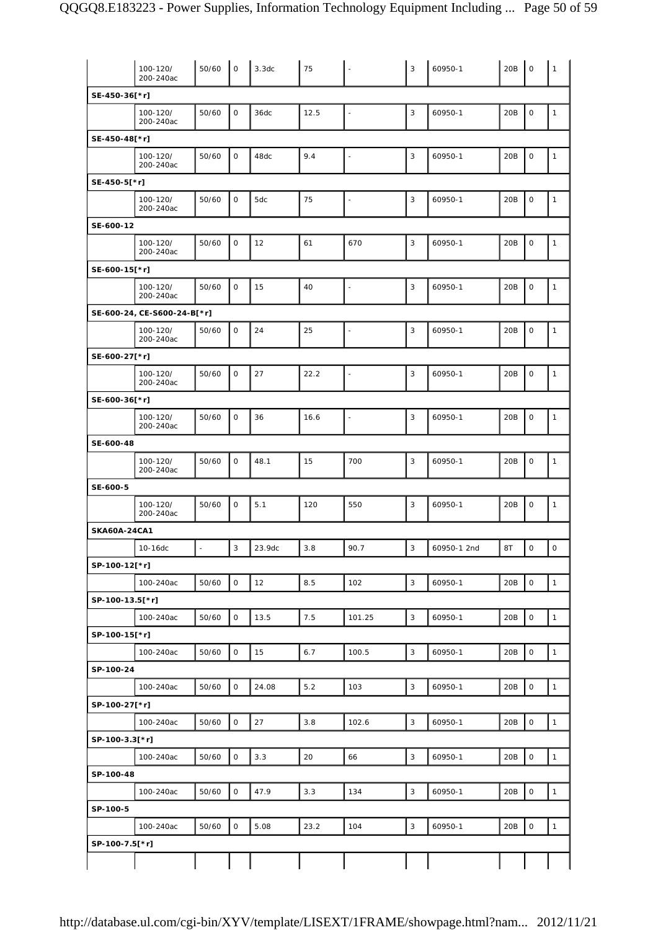|                     | 100-120/<br>200-240ac       | 50/60 | $\circ$             | 3.3dc  | 75   | $\overline{\phantom{a}}$ | $\mathbf{3}$ | 60950-1     | 20B | $\mathbf 0$         | $\mathbf{1}$ |
|---------------------|-----------------------------|-------|---------------------|--------|------|--------------------------|--------------|-------------|-----|---------------------|--------------|
| SE-450-36[*r]       |                             |       |                     |        |      |                          |              |             |     |                     |              |
|                     | 100-120/<br>200-240ac       | 50/60 | $\mathsf O$         | 36dc   | 12.5 | $\overline{\phantom{a}}$ | 3            | 60950-1     | 20B | $\mathbf 0$         | $\mathbf{1}$ |
| SE-450-48[*r]       |                             |       |                     |        |      |                          |              |             |     |                     |              |
|                     | 100-120/<br>200-240ac       | 50/60 | $\mathbf 0$         | 48dc   | 9.4  | $\ddot{\phantom{1}}$     | 3            | 60950-1     | 20B | $\mathbf 0$         | $\mathbf{1}$ |
| SE-450-5[*r]        |                             |       |                     |        |      |                          |              |             |     |                     |              |
|                     | 100-120/<br>200-240ac       | 50/60 | $\mathbf 0$         | 5dc    | 75   | $\overline{\phantom{a}}$ | 3            | 60950-1     | 20B | $\mathsf O$         | $\mathbf{1}$ |
| SE-600-12           |                             |       |                     |        |      |                          |              |             |     |                     |              |
|                     | 100-120/<br>200-240ac       | 50/60 | $\mathbf 0$         | 12     | 61   | 670                      | 3            | 60950-1     | 20B | $\mathbf 0$         | 1            |
| SE-600-15[*r]       |                             |       |                     |        |      |                          |              |             |     |                     |              |
|                     | 100-120/<br>200-240ac       | 50/60 | $\mathbf 0$         | 15     | 40   | $\overline{\phantom{a}}$ | 3            | 60950-1     | 20B | $\mathsf O$         | $\mathbf{1}$ |
|                     | SE-600-24, CE-S600-24-B[*r] |       |                     |        |      |                          |              |             |     |                     |              |
|                     | 100-120/<br>200-240ac       | 50/60 | $\mathbf 0$         | 24     | 25   | $\overline{\phantom{a}}$ | 3            | 60950-1     | 20B | $\mathsf{O}\xspace$ | $\mathbf{1}$ |
| SE-600-27[*r]       |                             |       |                     |        |      |                          |              |             |     |                     |              |
|                     | 100-120/<br>200-240ac       | 50/60 | $\mathbf 0$         | 27     | 22.2 | $\ddot{\phantom{1}}$     | 3            | 60950-1     | 20B | $\mathbf 0$         | $\mathbf{1}$ |
| SE-600-36[*r]       |                             |       |                     |        |      |                          |              |             |     |                     |              |
|                     | 100-120/<br>200-240ac       | 50/60 | $\mathbf 0$         | 36     | 16.6 | $\overline{\phantom{a}}$ | 3            | 60950-1     | 20B | $\mathsf{O}\xspace$ | $\mathbf{1}$ |
| SE-600-48           |                             |       |                     |        |      |                          |              |             |     |                     |              |
|                     | 100-120/<br>200-240ac       | 50/60 | $\mathbf 0$         | 48.1   | 15   | 700                      | 3            | 60950-1     | 20B | $\mathbf 0$         | $\mathbf{1}$ |
| SE-600-5            |                             |       |                     |        |      |                          |              |             |     |                     |              |
|                     | 100-120/<br>200-240ac       | 50/60 | $\mathbf 0$         | 5.1    | 120  | 550                      | 3            | 60950-1     | 20B | $\mathsf{O}\xspace$ | $\mathbf{1}$ |
| <b>SKA60A-24CA1</b> |                             |       |                     |        |      |                          |              |             |     |                     |              |
|                     | 10-16dc                     |       | $\mathbf{3}$        | 23.9dc | 3.8  | 90.7                     | $\mathbf{3}$ | 60950-1 2nd | 8T  | $\mathsf{O}\xspace$ | $\mathsf O$  |
| SP-100-12[*r]       |                             |       |                     |        |      |                          |              |             |     |                     |              |
|                     | 100-240ac                   | 50/60 | $\mathsf O$         | 12     | 8.5  | 102                      | 3            | 60950-1     | 20B | $\mathsf{O}\xspace$ | $\mathbf{1}$ |
| SP-100-13.5[*r]     |                             |       |                     |        |      |                          |              |             |     |                     |              |
|                     | 100-240ac                   | 50/60 | $\mathsf O$         | 13.5   | 7.5  | 101.25                   | 3            | 60950-1     | 20B | $\mathsf O$         | $\mathbf{1}$ |
| SP-100-15[*r]       |                             |       |                     |        |      |                          |              |             |     |                     |              |
|                     | 100-240ac                   | 50/60 | $\mathbf 0$         | 15     | 6.7  | 100.5                    | $\mathsf 3$  | 60950-1     | 20B | $\mathbf 0$         | $\mathbf{1}$ |
| SP-100-24           |                             |       |                     |        |      |                          |              |             |     |                     |              |
|                     | 100-240ac                   | 50/60 | $\mathsf O$         | 24.08  | 5.2  | 103                      | $\mathsf 3$  | 60950-1     | 20B | $\mathsf{O}\xspace$ | $\mathbf{1}$ |
| SP-100-27[*r]       |                             |       |                     |        |      |                          |              |             |     |                     |              |
|                     | 100-240ac                   | 50/60 | $\mathsf{O}\xspace$ | 27     | 3.8  | 102.6                    | 3            | 60950-1     | 20B | $\mathsf{O}\xspace$ | $\mathbf{1}$ |
| SP-100-3.3[*r]      |                             |       |                     |        |      |                          |              |             |     |                     |              |
|                     | 100-240ac                   | 50/60 | $\mathbf 0$         | 3.3    | 20   | 66                       | 3            | 60950-1     | 20B | $\mathbf 0$         | $\mathbf{1}$ |
| SP-100-48           |                             |       |                     |        |      |                          |              |             |     |                     |              |
|                     | 100-240ac                   | 50/60 | $\mathsf O$         | 47.9   | 3.3  | 134                      | $\mathbf{3}$ | 60950-1     | 20B | $\mathsf{O}\xspace$ | $\mathbf{1}$ |
| SP-100-5            |                             |       |                     |        |      |                          |              |             |     |                     |              |
|                     | 100-240ac                   | 50/60 | $\mathsf{O}\xspace$ | 5.08   | 23.2 | 104                      | $\mathsf 3$  | 60950-1     | 20B | 0                   | $\mathbf{1}$ |
| SP-100-7.5[*r]      |                             |       |                     |        |      |                          |              |             |     |                     |              |
|                     |                             |       |                     |        |      |                          |              |             |     |                     |              |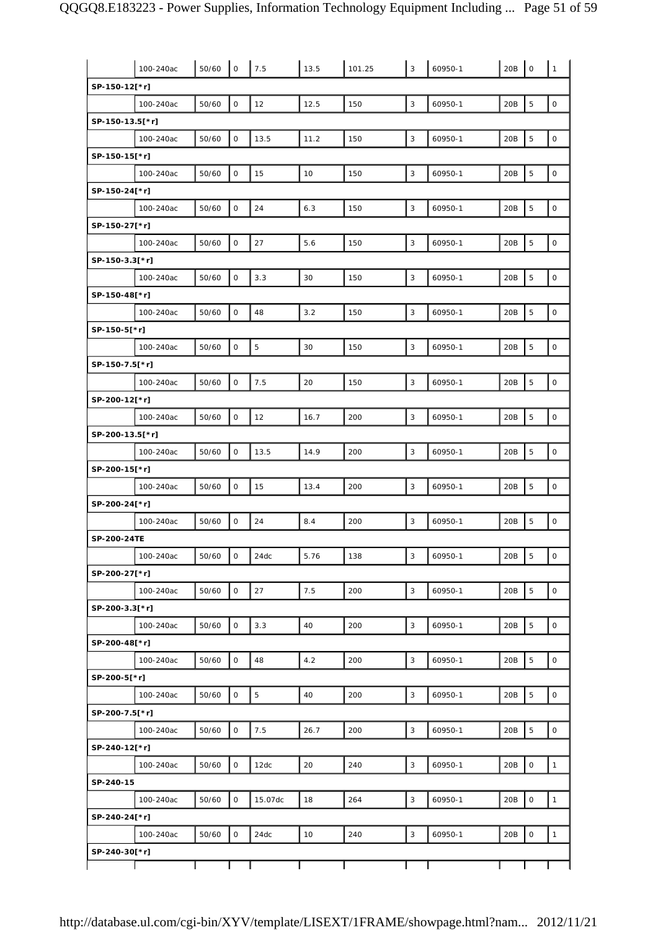|                 | 100-240ac | 50/60 | $\mathsf O$         | 7.5     | 13.5 | 101.25 | $\mathbf{3}$              | 60950-1 | 20B | $\mathbf 0$         | $\mathbf{1}$        |
|-----------------|-----------|-------|---------------------|---------|------|--------|---------------------------|---------|-----|---------------------|---------------------|
| SP-150-12[*r]   |           |       |                     |         |      |        |                           |         |     |                     |                     |
|                 | 100-240ac | 50/60 | $\mathsf{O}\xspace$ | 12      | 12.5 | 150    | 3                         | 60950-1 | 20B | 5                   | $\mathsf{O}\xspace$ |
| SP-150-13.5[*r] |           |       |                     |         |      |        |                           |         |     |                     |                     |
|                 | 100-240ac | 50/60 | 0                   | 13.5    | 11.2 | 150    | $\ensuremath{\mathsf{3}}$ | 60950-1 | 20B | $\mathbf 5$         | $\mathsf{O}\xspace$ |
| SP-150-15[*r]   |           |       |                     |         |      |        |                           |         |     |                     |                     |
|                 | 100-240ac | 50/60 | $\mathsf O$         | 15      | 10   | 150    | $\mathsf 3$               | 60950-1 | 20B | 5                   | $\mathsf{O}\xspace$ |
| SP-150-24[*r]   |           |       |                     |         |      |        |                           |         |     |                     |                     |
|                 | 100-240ac | 50/60 | $\mathsf O$         | 24      | 6.3  | 150    | 3                         | 60950-1 | 20B | 5                   | $\mathsf{O}\xspace$ |
| SP-150-27[*r]   |           |       |                     |         |      |        |                           |         |     |                     |                     |
|                 | 100-240ac | 50/60 | $\mathsf O$         | 27      | 5.6  | 150    | $\mathsf 3$               | 60950-1 | 20B | $\overline{5}$      | $\mathsf{O}\xspace$ |
| SP-150-3.3[*r]  |           |       |                     |         |      |        |                           |         |     |                     |                     |
|                 | 100-240ac | 50/60 | $\mathsf{O}\xspace$ | 3.3     | 30   | 150    | $\mathsf 3$               | 60950-1 | 20B | $\mathbf 5$         | $\mathsf{O}\xspace$ |
| SP-150-48[*r]   |           |       |                     |         |      |        |                           |         |     |                     |                     |
|                 | 100-240ac | 50/60 | $\mathsf O$         | 48      | 3.2  | 150    | $\mathsf 3$               | 60950-1 | 20B | $\mathbf 5$         | $\mathsf{O}\xspace$ |
| SP-150-5[*r]    |           |       |                     |         |      |        |                           |         |     |                     |                     |
|                 | 100-240ac | 50/60 | $\mathsf{O}\xspace$ | 5       | 30   | 150    | 3                         | 60950-1 | 20B | 5                   | $\mathsf{O}\xspace$ |
| SP-150-7.5[*r]  |           |       |                     |         |      |        |                           |         |     |                     |                     |
|                 | 100-240ac | 50/60 | $\mathsf O$         | 7.5     | 20   | 150    | 3                         | 60950-1 | 20B | 5                   | $\mathsf{O}\xspace$ |
| SP-200-12[*r]   |           |       |                     |         |      |        |                           |         |     |                     |                     |
|                 | 100-240ac | 50/60 | $\mathsf O$         | 12      | 16.7 | 200    | $\mathsf 3$               | 60950-1 | 20B | $\overline{5}$      | $\mathsf{O}\xspace$ |
| SP-200-13.5[*r] |           |       |                     |         |      |        |                           |         |     |                     |                     |
|                 | 100-240ac | 50/60 | $\mathsf O$         | 13.5    | 14.9 | 200    | $\overline{3}$            | 60950-1 | 20B | $\overline{5}$      | $\mathsf{O}\xspace$ |
| SP-200-15[*r]   |           |       |                     |         |      |        |                           |         |     |                     |                     |
|                 | 100-240ac | 50/60 | 0                   | 15      | 13.4 | 200    | 3                         | 60950-1 | 20B | 5                   | $\mathsf{O}\xspace$ |
| SP-200-24[*r]   |           |       |                     |         |      |        |                           |         |     |                     |                     |
|                 | 100-240ac | 50/60 | $\mathsf O$         | 24      | 8.4  | 200    | $\mathsf 3$               | 60950-1 | 20B | $\overline{5}$      | $\mathsf{O}\xspace$ |
| SP-200-24TE     |           |       |                     |         |      |        |                           |         |     |                     |                     |
|                 |           |       |                     |         |      |        |                           |         |     |                     |                     |
|                 | 100-240ac | 50/60 | $\mathsf{O}\xspace$ | 24dc    | 5.76 | 138    | $\mathsf 3$               | 60950-1 | 20B | 5                   | $\mathsf{O}\xspace$ |
| SP-200-27[*r]   |           |       |                     |         |      |        |                           |         |     |                     |                     |
|                 | 100-240ac | 50/60 | 0                   | 27      | 7.5  | 200    | 3                         | 60950-1 | 20B | $\overline{5}$      | $\mathsf{O}\xspace$ |
| SP-200-3.3[*r]  |           |       |                     |         |      |        |                           |         |     |                     |                     |
|                 | 100-240ac | 50/60 | 0                   | 3.3     | 40   | 200    | $\mathsf 3$               | 60950-1 | 20B | 5                   | $\mathsf O$         |
| SP-200-48[*r]   |           |       |                     |         |      |        |                           |         |     |                     |                     |
|                 | 100-240ac | 50/60 | 0                   | 48      | 4.2  | 200    | $\mathsf 3$               | 60950-1 | 20B | 5                   | $\mathsf{O}\xspace$ |
| SP-200-5[*r]    |           |       |                     |         |      |        |                           |         |     |                     |                     |
|                 | 100-240ac | 50/60 | 0                   | 5       | 40   | 200    | $\mathsf 3$               | 60950-1 | 20B | $\overline{5}$      | $\mathsf{O}\xspace$ |
| SP-200-7.5[*r]  |           |       |                     |         |      |        |                           |         |     |                     |                     |
|                 | 100-240ac | 50/60 | $\mathsf O$         | 7.5     | 26.7 | 200    | 3                         | 60950-1 | 20B | 5                   | $\mathsf{O}\xspace$ |
| SP-240-12[*r]   |           |       |                     |         |      |        |                           |         |     |                     |                     |
|                 | 100-240ac | 50/60 | 0                   | 12dc    | 20   | 240    | $\mathsf 3$               | 60950-1 | 20B | $\mathsf{O}\xspace$ | $\mathbf{1}$        |
| SP-240-15       |           |       |                     |         |      |        |                           |         |     |                     |                     |
|                 | 100-240ac | 50/60 | $\mathsf O$         | 15.07dc | 18   | 264    | $\mathsf 3$               | 60950-1 | 20B | $\mathsf{O}\xspace$ | $\mathbf{1}$        |
| SP-240-24[*r]   |           |       |                     |         |      |        |                           |         |     |                     |                     |
|                 | 100-240ac | 50/60 | 0                   | 24dc    | 10   | 240    | $\mathbf{3}$              | 60950-1 | 20B | $\mathsf{O}\xspace$ | $\mathbf{1}$        |
| SP-240-30[*r]   |           |       |                     |         |      |        |                           |         |     |                     |                     |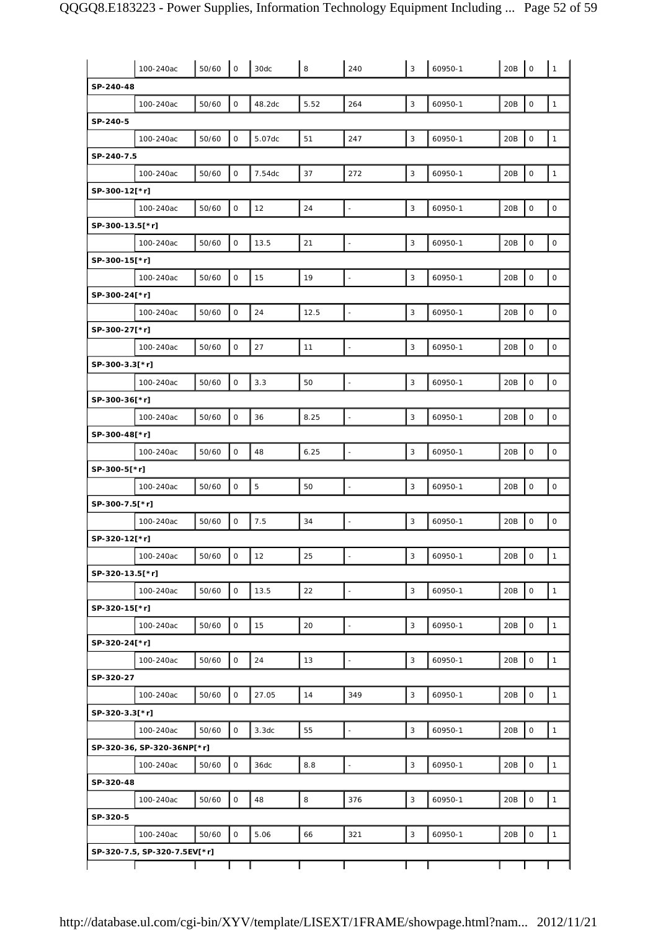|                 | 100-240ac                    | 50/60 | $\mathbf 0$ | 30dc   | 8    | 240                      | 3            | 60950-1 | 20B | $\mathbf 0$         | $\mathbf{1}$        |
|-----------------|------------------------------|-------|-------------|--------|------|--------------------------|--------------|---------|-----|---------------------|---------------------|
| SP-240-48       |                              |       |             |        |      |                          |              |         |     |                     |                     |
|                 | 100-240ac                    | 50/60 | 0           | 48.2dc | 5.52 | 264                      | 3            | 60950-1 | 20B | $\mathbf 0$         | $\mathbf{1}$        |
| SP-240-5        |                              |       |             |        |      |                          |              |         |     |                     |                     |
|                 | 100-240ac                    | 50/60 | $\mathsf O$ | 5.07dc | 51   | 247                      | 3            | 60950-1 | 20B | $\mathbf 0$         | $\mathbf{1}$        |
| SP-240-7.5      |                              |       |             |        |      |                          |              |         |     |                     |                     |
|                 | 100-240ac                    | 50/60 | 0           | 7.54dc | 37   | 272                      | $\mathsf 3$  | 60950-1 | 20B | $\mathsf{O}$        | $\mathbf{1}$        |
| SP-300-12[*r]   |                              |       |             |        |      |                          |              |         |     |                     |                     |
|                 | 100-240ac                    | 50/60 | $\mathsf O$ | 12     | 24   | $\overline{\phantom{a}}$ | 3            | 60950-1 | 20B | $\mathbf 0$         | $\mathsf{O}\xspace$ |
| SP-300-13.5[*r] |                              |       |             |        |      |                          |              |         |     |                     |                     |
|                 | 100-240ac                    | 50/60 | $\mathsf O$ | 13.5   | 21   | $\blacksquare$           | 3            | 60950-1 | 20B | $\mathsf O$         | $\mathsf{O}\xspace$ |
| SP-300-15[*r]   |                              |       |             |        |      |                          |              |         |     |                     |                     |
|                 | 100-240ac                    | 50/60 | $\mathsf O$ | 15     | 19   | $\blacksquare$           | 3            | 60950-1 | 20B | $\mathbf 0$         | $\mathsf{O}\xspace$ |
| SP-300-24[*r]   |                              |       |             |        |      |                          |              |         |     |                     |                     |
|                 | 100-240ac                    | 50/60 | 0           | 24     | 12.5 | $\overline{\phantom{a}}$ | $\mathsf 3$  | 60950-1 | 20B | $\mathsf O$         | $\mathsf{O}\xspace$ |
| SP-300-27[*r]   |                              |       |             |        |      |                          |              |         |     |                     |                     |
|                 | 100-240ac                    | 50/60 | $\mathsf O$ | 27     | 11   |                          | 3            | 60950-1 | 20B | $\mathbf 0$         | $\mathsf{O}\xspace$ |
| SP-300-3.3[*r]  |                              |       |             |        |      |                          |              |         |     |                     |                     |
|                 | 100-240ac                    | 50/60 | $\mathsf O$ | 3.3    | 50   |                          | 3            | 60950-1 | 20B | $\mathbf 0$         | $\mathsf{O}\xspace$ |
| SP-300-36[*r]   |                              |       |             |        |      |                          |              |         |     |                     |                     |
|                 | 100-240ac                    | 50/60 | 0           | 36     | 8.25 | $\Box$                   | $\mathbf{3}$ | 60950-1 | 20B | $\mathsf O$         | $\mathsf O$         |
| SP-300-48[*r]   |                              |       |             |        |      |                          |              |         |     |                     |                     |
|                 | 100-240ac                    | 50/60 | 0           | 48     | 6.25 | $\overline{\phantom{a}}$ | 3            | 60950-1 | 20B | $\mathsf O$         | $\mathsf{O}\xspace$ |
| SP-300-5[*r]    |                              |       |             |        |      |                          |              |         |     |                     |                     |
|                 | 100-240ac                    | 50/60 | $\mathsf O$ | 5      | 50   |                          | 3            | 60950-1 | 20B | $\mathbf 0$         | $\mathsf{O}\xspace$ |
| SP-300-7.5[*r]  |                              |       |             |        |      |                          |              |         |     |                     |                     |
|                 | 100-240ac                    | 50/60 | 0           | 7.5    | 34   | ä,                       | 3            | 60950-1 | 20B | $\mathsf O$         | $\mathsf{O}\xspace$ |
| SP-320-12[*r]   |                              |       |             |        |      |                          |              |         |     |                     |                     |
|                 |                              |       |             |        |      |                          |              |         |     |                     |                     |
|                 | 100-240ac                    | 50/60 | $\mathsf O$ | 12     | 25   | ÷,                       | 3            | 60950-1 | 20B | $\circ$             | $\mathbf{1}$        |
| SP-320-13.5[*r] |                              |       |             |        |      |                          |              |         |     |                     |                     |
|                 | 100-240ac                    | 50/60 | 0           | 13.5   | 22   | ä,                       | 3            | 60950-1 | 20B | $\mathsf O$         | $\mathbf{1}$        |
| SP-320-15[*r]   |                              |       |             |        |      |                          |              |         |     |                     |                     |
|                 | 100-240ac                    | 50/60 | 0           | 15     | 20   | $\overline{\phantom{a}}$ | 3            | 60950-1 | 20B | $\mathbf 0$         | $\mathbf{1}$        |
| SP-320-24[*r]   |                              |       |             |        |      |                          |              |         |     |                     |                     |
|                 | 100-240ac                    | 50/60 | 0           | 24     | 13   | $\blacksquare$           | 3            | 60950-1 | 20B | $\mathsf O$         | $\mathbf{1}$        |
| SP-320-27       |                              |       |             |        |      |                          |              |         |     |                     |                     |
|                 | 100-240ac                    | 50/60 | 0           | 27.05  | 14   | 349                      | 3            | 60950-1 | 20B | $\mathsf O$         | $\mathbf{1}$        |
| SP-320-3.3[*r]  |                              |       |             |        |      |                          |              |         |     |                     |                     |
|                 | 100-240ac                    | 50/60 | 0           | 3.3dc  | 55   | $\overline{\phantom{a}}$ | $\mathbf{3}$ | 60950-1 | 20B | $\mathsf{O}\xspace$ | $\mathbf{1}$        |
|                 | SP-320-36, SP-320-36NP[*r]   |       |             |        |      |                          |              |         |     |                     |                     |
|                 | 100-240ac                    | 50/60 | 0           | 36dc   | 8.8  | $\blacksquare$           | 3            | 60950-1 | 20B | $\mathsf O$         | $\mathbf{1}$        |
| SP-320-48       |                              |       |             |        |      |                          |              |         |     |                     |                     |
|                 | 100-240ac                    | 50/60 | 0           | 48     | 8    | 376                      | 3            | 60950-1 | 20B | $\mathsf O$         | $\mathbf{1}$        |
| SP-320-5        |                              |       |             |        |      |                          |              |         |     |                     |                     |
|                 | 100-240ac                    | 50/60 | 0           | 5.06   | 66   | 321                      | 3            | 60950-1 | 20B | $\mathsf O$         | $\mathbf{1}$        |
|                 | SP-320-7.5, SP-320-7.5EV[*r] |       |             |        |      |                          |              |         |     |                     |                     |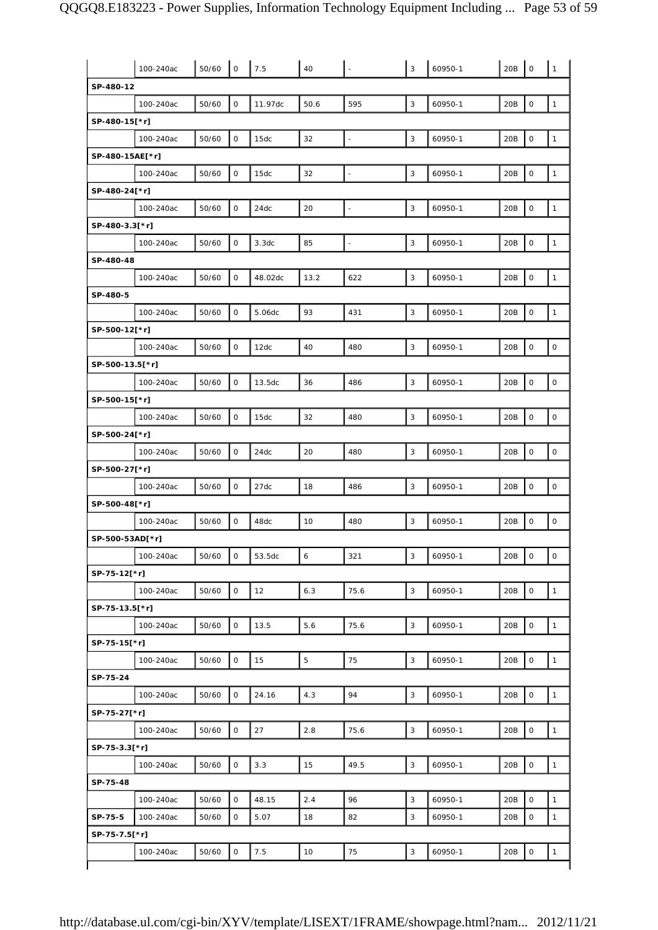|                 | 100-240ac | 50/60 | $\mathsf O$ | 7.5     | 40   |                | 3           | 60950-1 | 20B | $\mathsf O$         | $\mathbf{1}$ |
|-----------------|-----------|-------|-------------|---------|------|----------------|-------------|---------|-----|---------------------|--------------|
| SP-480-12       |           |       |             |         |      |                |             |         |     |                     |              |
|                 | 100-240ac | 50/60 | $\mathsf O$ | 11.97dc | 50.6 | 595            | $\mathsf 3$ | 60950-1 | 20B | $\mathbf 0$         | $\mathbf{1}$ |
| SP-480-15[*r]   |           |       |             |         |      |                |             |         |     |                     |              |
|                 | 100-240ac | 50/60 | 0           | 15dc    | 32   | $\blacksquare$ | 3           | 60950-1 | 20B | $\mathsf{O}\xspace$ | $\mathbf{1}$ |
| SP-480-15AE[*r] |           |       |             |         |      |                |             |         |     |                     |              |
|                 | 100-240ac | 50/60 | 0           | 15dc    | 32   | L,             | 3           | 60950-1 | 20B | 0                   | $\mathbf{1}$ |
| SP-480-24[*r]   |           |       |             |         |      |                |             |         |     |                     |              |
|                 | 100-240ac | 50/60 | 0           | 24dc    | 20   | $\frac{1}{2}$  | 3           | 60950-1 | 20B | 0                   | $\mathbf{1}$ |
| SP-480-3.3[*r]  |           |       |             |         |      |                |             |         |     |                     |              |
|                 | 100-240ac | 50/60 | 0           | 3.3dc   | 85   | $\blacksquare$ | $\mathsf 3$ | 60950-1 | 20B | $\mathsf O$         | $\mathbf{1}$ |
| SP-480-48       |           |       |             |         |      |                |             |         |     |                     |              |
|                 | 100-240ac | 50/60 | 0           | 48.02dc | 13.2 | 622            | 3           | 60950-1 | 20B | 0                   | $\mathbf{1}$ |
| SP-480-5        |           |       |             |         |      |                |             |         |     |                     |              |
|                 | 100-240ac | 50/60 | $\mathsf O$ | 5.06dc  | 93   | 431            | 3           | 60950-1 | 20B | 0                   | $\mathbf{1}$ |
| SP-500-12[*r]   |           |       |             |         |      |                |             |         |     |                     |              |
|                 | 100-240ac | 50/60 | 0           | 12dc    | 40   | 480            | 3           | 60950-1 | 20B | 0                   | $\mathsf O$  |
| SP-500-13.5[*r] |           |       |             |         |      |                |             |         |     |                     |              |
|                 | 100-240ac | 50/60 | $\mathsf O$ | 13.5dc  | 36   | 486            | $\mathsf 3$ | 60950-1 | 20B | $\mathbf 0$         | 0            |
| SP-500-15[*r]   |           |       |             |         |      |                |             |         |     |                     |              |
|                 | 100-240ac | 50/60 | 0           | 15dc    | 32   | 480            | 3           | 60950-1 | 20B | $\mathsf{O}\xspace$ | $\mathsf O$  |
| SP-500-24[*r]   |           |       |             |         |      |                |             |         |     |                     |              |
|                 | 100-240ac | 50/60 | $\mathsf O$ | 24dc    | 20   | 480            | 3           | 60950-1 | 20B | $\mathsf{O}\xspace$ | $\mathsf O$  |
| SP-500-27[*r]   |           |       |             |         |      |                |             |         |     |                     |              |
|                 | 100-240ac | 50/60 | 0           | 27dc    | 18   | 486            | 3           | 60950-1 | 20B | 0                   | $\mathsf O$  |
| SP-500-48[*r]   |           |       |             |         |      |                |             |         |     |                     |              |
|                 | 100-240ac | 50/60 | $\mathsf O$ | 48dc    | 10   | 480            | 3           | 60950-1 | 20B | $\mathsf O$         | 0            |
| SP-500-53AD[*r] |           |       |             |         |      |                |             |         |     |                     |              |
|                 | 100-240ac | 50/60 | $\mathsf O$ | 53.5dc  | 6    | 321            | 3           | 60950-1 | 20B | $\mathsf O$         | $\mathsf{O}$ |
| SP-75-12[*r]    |           |       |             |         |      |                |             |         |     |                     |              |
|                 | 100-240ac | 50/60 | 0           | 12      | 6.3  | 75.6           | 3           | 60950-1 | 20B | $\mathsf O$         | $\mathbf{1}$ |
| SP-75-13.5[*r]  |           |       |             |         |      |                |             |         |     |                     |              |
|                 | 100-240ac | 50/60 | 0           | 13.5    | 5.6  | 75.6           | 3           | 60950-1 | 20B | 0                   | $\mathbf{1}$ |
| SP-75-15[*r]    |           |       |             |         |      |                |             |         |     |                     |              |
|                 | 100-240ac | 50/60 | $\mathsf O$ | 15      | 5    | 75             | $\mathsf 3$ | 60950-1 | 20B | $\mathsf O$         | $\mathbf{1}$ |
| SP-75-24        |           |       |             |         |      |                |             |         |     |                     |              |
|                 | 100-240ac | 50/60 | O           | 24.16   | 4.3  | 94             | 3           | 60950-1 | 20B | $\mathsf{O}\xspace$ | $\mathbf{1}$ |
| SP-75-27[*r]    |           |       |             |         |      |                |             |         |     |                     |              |
|                 | 100-240ac | 50/60 | $\mathsf O$ | 27      | 2.8  | 75.6           | $\mathsf 3$ | 60950-1 | 20B | $\mathsf O$         | $\mathbf{1}$ |
| SP-75-3.3[*r]   |           |       |             |         |      |                |             |         |     |                     |              |
|                 | 100-240ac | 50/60 | 0           | 3.3     | 15   | 49.5           | 3           | 60950-1 | 20B | 0                   | $\mathbf{1}$ |
| SP-75-48        |           |       |             |         |      |                |             |         |     |                     |              |
|                 | 100-240ac | 50/60 | 0           | 48.15   | 2.4  | 96             | $\sqrt{3}$  | 60950-1 | 20B | $\mathsf{O}\xspace$ | $\mathbf{1}$ |
| SP-75-5         | 100-240ac | 50/60 | 0           | 5.07    | 18   | 82             | 3           | 60950-1 | 20B | 0                   | $\mathbf{1}$ |
| SP-75-7.5[*r]   |           |       |             |         |      |                |             |         |     |                     |              |
|                 | 100-240ac | 50/60 | $\mathsf O$ | 7.5     | 10   | 75             | 3           | 60950-1 | 20B | $\mathsf O$         | $\mathbf{1}$ |
|                 |           |       |             |         |      |                |             |         |     |                     |              |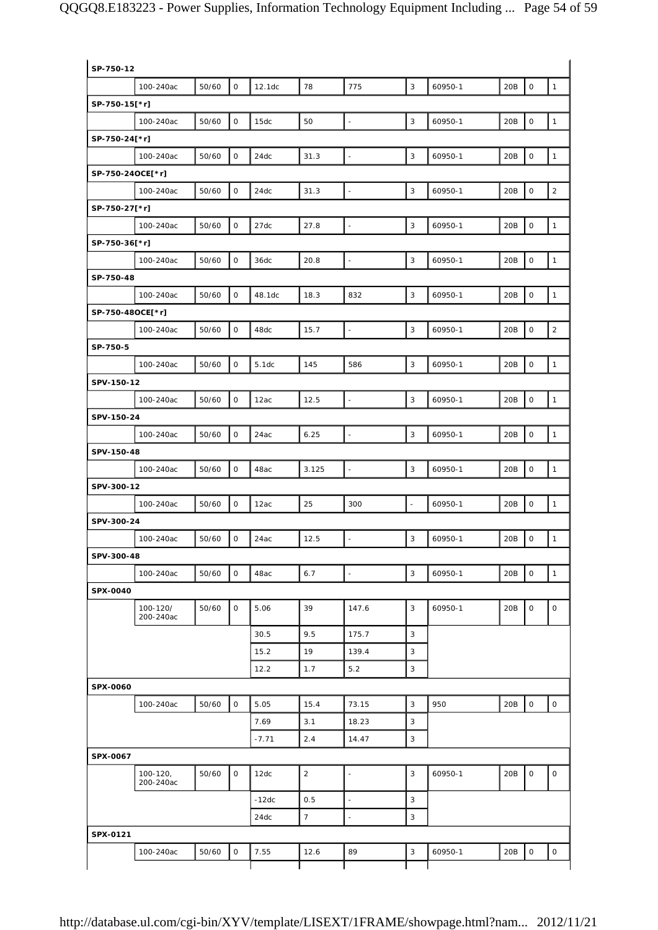| SP-750-12        |                           |       |              |         |                |                          |                          |         |                            |                     |
|------------------|---------------------------|-------|--------------|---------|----------------|--------------------------|--------------------------|---------|----------------------------|---------------------|
|                  | 100-240ac                 | 50/60 | $\mathsf{O}$ | 12.1dc  | 78             | 775                      | 3                        | 60950-1 | 20B<br>$\mathsf O$         | $\mathbf{1}$        |
| SP-750-15[*r]    |                           |       |              |         |                |                          |                          |         |                            |                     |
|                  | 100-240ac                 | 50/60 | $\mathsf{O}$ | 15dc    | 50             | $\overline{\phantom{a}}$ | $\mathsf 3$              | 60950-1 | $\mathsf O$<br>20B         | $\mathbf{1}$        |
| SP-750-24[*r]    |                           |       |              |         |                |                          |                          |         |                            |                     |
|                  | 100-240ac                 | 50/60 | $\mathsf{O}$ | 24dc    | 31.3           | $\overline{\phantom{a}}$ | 3                        | 60950-1 | 20B<br>$\mathsf O$         | $\mathbf{1}$        |
| SP-750-24OCE[*r] |                           |       |              |         |                |                          |                          |         |                            |                     |
|                  | 100-240ac                 | 50/60 | $\mathsf{O}$ | 24dc    | 31.3           | $\overline{\phantom{a}}$ | $\mathsf 3$              | 60950-1 | 20B<br>$\mathsf O$         | $\sqrt{2}$          |
| SP-750-27[*r]    |                           |       |              |         |                |                          |                          |         |                            |                     |
|                  | 100-240ac                 | 50/60 | 0            | 27dc    | 27.8           | $\blacksquare$           | 3                        | 60950-1 | 20B<br>$\mathsf O$         | $\mathbf{1}$        |
| SP-750-36[*r]    |                           |       |              |         |                |                          |                          |         |                            |                     |
|                  | 100-240ac                 | 50/60 | 0            | 36dc    | 20.8           | $\overline{\phantom{a}}$ | 3                        | 60950-1 | $\mathsf{O}\xspace$<br>20B | $\mathbf{1}$        |
| SP-750-48        |                           |       |              |         |                |                          |                          |         |                            |                     |
|                  | 100-240ac                 | 50/60 | $\mathsf{O}$ | 48.1dc  | 18.3           | 832                      | 3                        | 60950-1 | 20B<br>$\mathsf{O}\xspace$ | $\mathbf{1}$        |
| SP-750-48OCE[*r] |                           |       |              |         |                |                          |                          |         |                            |                     |
|                  | 100-240ac                 | 50/60 | $\mathsf{O}$ | 48dc    | 15.7           | $\overline{\phantom{a}}$ | 3                        | 60950-1 | 20B<br>$\mathsf O$         | $\overline{2}$      |
| SP-750-5         |                           |       |              |         |                |                          |                          |         |                            |                     |
|                  | 100-240ac                 | 50/60 | 0            | 5.1dc   | 145            | 586                      | 3                        | 60950-1 | $\mathsf O$<br>20B         | $\mathbf{1}$        |
| SPV-150-12       |                           |       |              |         |                |                          |                          |         |                            |                     |
|                  | 100-240ac                 | 50/60 | $\mathsf{O}$ | 12ac    | 12.5           | $\overline{\phantom{a}}$ | $\mathbf{3}$             | 60950-1 | $\mathsf{O}\xspace$<br>20B | $\mathbf{1}$        |
|                  |                           |       |              |         |                |                          |                          |         |                            |                     |
| SPV-150-24       |                           |       |              |         |                | $\overline{a}$           | 3                        |         | $\mathsf O$                | $\mathbf{1}$        |
|                  | 100-240ac                 | 50/60 | $\mathsf{O}$ | 24ac    | 6.25           |                          |                          | 60950-1 | 20B                        |                     |
| SPV-150-48       |                           |       |              |         |                |                          |                          |         |                            |                     |
|                  | 100-240ac                 | 50/60 | $\mathsf{O}$ | 48ac    | 3.125          | $\overline{\phantom{a}}$ | 3                        | 60950-1 | $\mathsf O$<br>20B         | $\mathbf{1}$        |
| SPV-300-12       |                           |       |              |         |                |                          |                          |         |                            |                     |
|                  | 100-240ac                 | 50/60 | 0            | 12ac    | 25             | 300                      | $\overline{\phantom{a}}$ | 60950-1 | 20B<br>$\mathsf O$         | $\mathbf{1}$        |
| SPV-300-24       |                           |       |              |         |                |                          |                          |         |                            |                     |
|                  | 100-240ac                 | 50/60 | 0            | 24ac    | 12.5           | $\frac{1}{2}$            | 3                        | 60950-1 | $\mathsf O$<br>20B         | $\mathbf{1}$        |
| SPV-300-48       |                           |       |              |         |                |                          |                          |         |                            |                     |
|                  | 100-240ac                 | 50/60 | $\mathsf{O}$ | 48ac    | 6.7            | $\overline{\phantom{a}}$ | 3                        | 60950-1 | 20B<br>$\mathsf{O}\xspace$ | $\mathbf{1}$        |
| SPX-0040         |                           |       |              |         |                |                          |                          |         |                            |                     |
|                  | 100-120/<br>200-240ac     | 50/60 | 0            | 5.06    | 39             | 147.6                    | 3                        | 60950-1 | 20B<br>$\mathsf O$         | 0                   |
|                  |                           |       |              | 30.5    | 9.5            | 175.7                    | $\mathsf 3$              |         |                            |                     |
|                  |                           |       |              | 15.2    | 19             | 139.4                    | 3                        |         |                            |                     |
|                  |                           |       |              | 12.2    | 1.7            | 5.2                      | 3                        |         |                            |                     |
| SPX-0060         |                           |       |              |         |                |                          |                          |         |                            |                     |
|                  | 100-240ac                 | 50/60 | $\mathsf{O}$ | 5.05    | 15.4           | 73.15                    | $\mathsf 3$              | 950     | $\mathsf O$<br>20B         | $\mathsf{O}\xspace$ |
|                  |                           |       |              | 7.69    | 3.1            | 18.23                    | 3                        |         |                            |                     |
|                  |                           |       |              | $-7.71$ | 2.4            | 14.47                    | 3                        |         |                            |                     |
| SPX-0067         |                           |       |              |         |                |                          |                          |         |                            |                     |
|                  | $100 - 120,$<br>200-240ac | 50/60 | $\mathsf{O}$ | 12dc    | $\overline{2}$ | $\overline{\phantom{a}}$ | 3                        | 60950-1 | $\mathsf O$<br>20B         | 0                   |
|                  |                           |       |              | $-12dc$ | 0.5            | $\overline{\phantom{a}}$ | $\mathbf{3}$             |         |                            |                     |
|                  |                           |       |              | 24dc    | 7 <sup>7</sup> | $\blacksquare$           | $\mathsf 3$              |         |                            |                     |
| SPX-0121         |                           |       |              |         |                |                          |                          |         |                            |                     |
|                  |                           | 50/60 | $\mathsf{O}$ | 7.55    | 12.6           | 89                       | 3                        | 60950-1 | 20B<br>$\mathsf{O}\xspace$ | 0                   |
|                  | 100-240ac                 |       |              |         |                |                          |                          |         |                            |                     |
|                  |                           |       |              |         |                |                          |                          |         |                            |                     |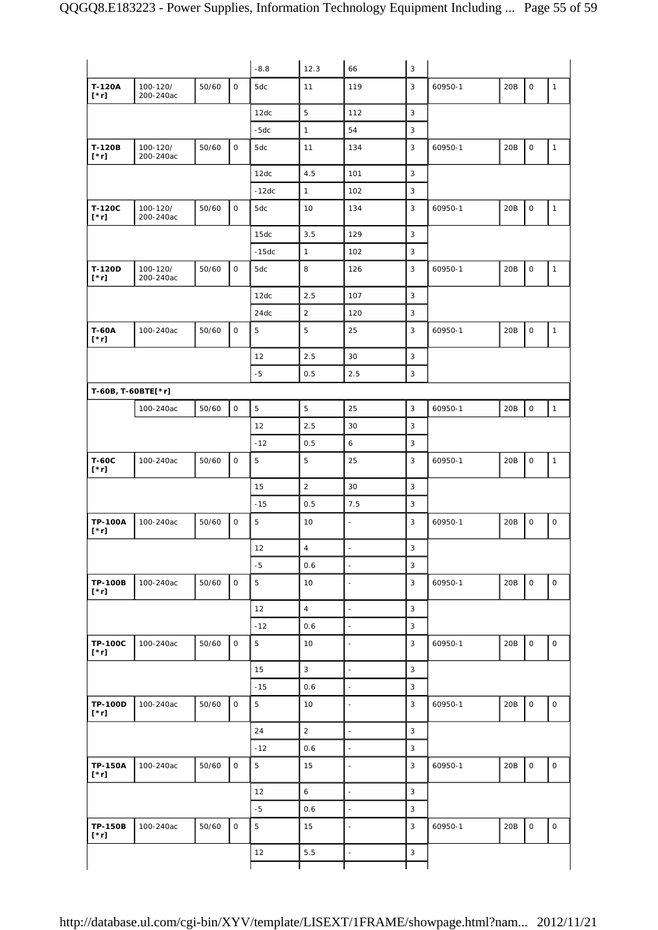|                               |                       |       |              | $-8.8$     | 12.3           | 66                       | $\sqrt{3}$     |         |     |                     |              |
|-------------------------------|-----------------------|-------|--------------|------------|----------------|--------------------------|----------------|---------|-----|---------------------|--------------|
| T-120A<br>$[\cdot r]$         | 100-120/<br>200-240ac | 50/60 | 0            | 5dc        | 11             | 119                      | 3              | 60950-1 | 20B | $\mathsf{O}\xspace$ | $\mathbf{1}$ |
|                               |                       |       |              | 12dc       | 5              | 112                      | 3              |         |     |                     |              |
|                               |                       |       |              | $-5dc$     | $\mathbf{1}$   | 54                       | 3              |         |     |                     |              |
| T-120B<br>$[\cdot r]$         | 100-120/<br>200-240ac | 50/60 | $\mathsf O$  | 5dc        | 11             | 134                      | 3              | 60950-1 | 20B | $\mathsf{O}\xspace$ | $\mathbf{1}$ |
|                               |                       |       |              | 12dc       | 4.5            | 101                      | 3              |         |     |                     |              |
|                               |                       |       |              | $-12dc$    | $\mathbf{1}$   | 102                      | 3              |         |     |                     |              |
| T-120C<br>$[\cdot r]$         | 100-120/<br>200-240ac | 50/60 | 0            | 5dc        | 10             | 134                      | 3              | 60950-1 | 20B | $\mathsf O$         | $\mathbf{1}$ |
|                               |                       |       |              | 15dc       | 3.5            | 129                      | $\mathbf{3}$   |         |     |                     |              |
|                               |                       |       |              | $-15dc$    | $\mathbf{1}$   | 102                      | 3              |         |     |                     |              |
| T-120D<br>$[\cdot r]$         | 100-120/<br>200-240ac | 50/60 | $\mathsf{O}$ | 5dc        | 8              | 126                      | 3              | 60950-1 | 20B | $\mathsf O$         | $\mathbf{1}$ |
|                               |                       |       |              | 12dc       | 2.5            | 107                      | 3              |         |     |                     |              |
|                               |                       |       |              | 24dc       | $\overline{2}$ | 120                      | 3              |         |     |                     |              |
| <b>T-60A</b><br>$[\cdot r]$   | 100-240ac             | 50/60 | 0            | 5          | 5              | 25                       | 3              | 60950-1 | 20B | $\mathsf{O}\xspace$ | $\mathbf{1}$ |
|                               |                       |       |              | 12         | 2.5            | 30                       | 3              |         |     |                     |              |
|                               |                       |       |              | $-5$       | 0.5            | 2.5                      | $\mathsf 3$    |         |     |                     |              |
| T-60B, T-60BTE[*r]            |                       |       |              |            |                |                          |                |         |     |                     |              |
|                               | 100-240ac             | 50/60 | $\mathsf{O}$ | $\sqrt{5}$ | 5              | 25                       | 3              | 60950-1 | 20B | $\mathsf O$         | $\mathbf{1}$ |
|                               |                       |       |              | 12         | 2.5            | 30                       | $\mathbf{3}$   |         |     |                     |              |
|                               |                       |       |              | $-12$      | 0.5            | 6                        | 3              |         |     |                     |              |
| <b>T-60C</b><br>$[\n* r]$     | 100-240ac             | 50/60 | $\mathsf{O}$ | 5          | 5              | 25                       | 3              | 60950-1 | 20B | $\mathsf{O}\xspace$ | $\mathbf{1}$ |
|                               |                       |       |              | 15         | $\overline{2}$ | 30                       | 3              |         |     |                     |              |
|                               |                       |       |              | $-15$      | 0.5            | 7.5                      | $\mathsf 3$    |         |     |                     |              |
| <b>TP-100A</b><br>$[\n* r]$   | 100-240ac             | 50/60 | $\mathsf{O}$ | 5          | 10             | $\blacksquare$           | 3              | 60950-1 | 20B | $\mathsf O$         | $\mathsf O$  |
|                               |                       |       |              | 12         | $\overline{4}$ | $\sim$                   | 3              |         |     |                     |              |
|                               |                       |       |              | $-5$       | 0.6            | $\blacksquare$           | 3              |         |     |                     |              |
| <b>TP-100B</b><br>$[^*r]$     | 100-240ac             | 50/60 | $\mathsf O$  | 5          | 10             | $\overline{\phantom{a}}$ | 3              | 60950-1 | 20B | $\mathsf{O}\xspace$ | $\mathsf O$  |
|                               |                       |       |              | 12         | $\overline{4}$ | $\blacksquare$           | $\mathsf 3$    |         |     |                     |              |
|                               |                       |       |              | $-12$      | 0.6            | $\blacksquare$           | $\mathsf 3$    |         |     |                     |              |
|                               |                       |       |              |            |                |                          |                | 60950-1 |     | $\mathsf O$         | 0            |
| <b>TP-100C</b><br>$[\cdot r]$ | 100-240ac             | 50/60 | $\mathsf O$  | 5          | 10             | ä,                       | 3              |         | 20B |                     |              |
|                               |                       |       |              | 15         | 3              | $\overline{\phantom{a}}$ | $\mathsf 3$    |         |     |                     |              |
|                               |                       |       |              | $-15$      | 0.6            | $\blacksquare$           | $\mathsf 3$    |         |     |                     |              |
| <b>TP-100D</b><br>$[\n* r]$   | 100-240ac             | 50/60 | $\mathsf{O}$ | 5          | 10             | $\overline{a}$           | $\mathsf 3$    | 60950-1 | 20B | $\mathsf{O}\xspace$ | $\mathsf O$  |
|                               |                       |       |              | 24         | $\overline{2}$ | $\overline{\phantom{a}}$ | 3              |         |     |                     |              |
|                               |                       |       |              | $-12$      | 0.6            | $\overline{\phantom{a}}$ | $\mathsf 3$    |         |     |                     |              |
| <b>TP-150A</b><br>$[^*r]$     | 100-240ac             | 50/60 | $\mathsf{O}$ | 5          | 15             | $\blacksquare$           | $\overline{3}$ | 60950-1 | 20B | $\mathsf{O}\xspace$ | $\mathsf O$  |
|                               |                       |       |              | 12         | $\epsilon$     | $\blacksquare$           | $\mathsf 3$    |         |     |                     |              |
|                               |                       |       |              | $-5$       | 0.6            | $\blacksquare$           | $\mathsf 3$    |         |     |                     |              |
| <b>TP-150B</b><br>$[\cdot r]$ | 100-240ac             | 50/60 | 0            | 5          | 15             | $\blacksquare$           | 3              | 60950-1 | 20B | $\mathsf O$         | $\mathsf O$  |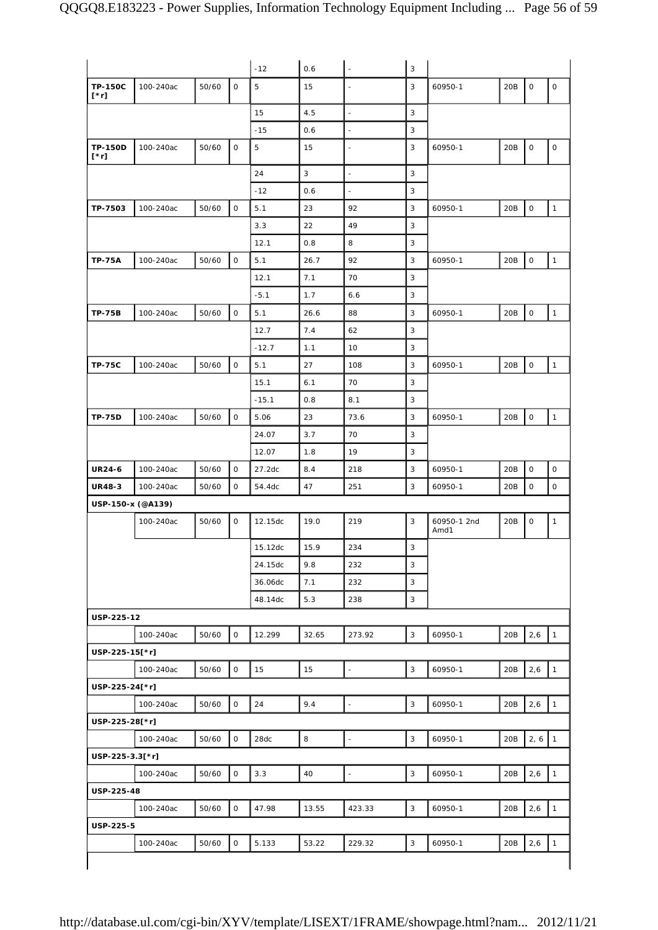|                               |           |       |                     | $-12$       | 0.6   | ÷,                       | 3            |                     |     |             |                     |
|-------------------------------|-----------|-------|---------------------|-------------|-------|--------------------------|--------------|---------------------|-----|-------------|---------------------|
| <b>TP-150C</b><br>$[\cdot r]$ | 100-240ac | 50/60 | 0                   | $\mathbf 5$ | 15    |                          | 3            | 60950-1             | 20B | $\mathsf O$ | 0                   |
|                               |           |       |                     | 15          | 4.5   |                          | 3            |                     |     |             |                     |
|                               |           |       |                     | $-15$       | 0.6   | $\blacksquare$           | 3            |                     |     |             |                     |
| <b>TP-150D</b><br>$[\cdot r]$ | 100-240ac | 50/60 | 0                   | 5           | 15    |                          | 3            | 60950-1             | 20B | $\mathsf O$ | $\mathsf{O}\xspace$ |
|                               |           |       |                     | 24          | 3     | $\blacksquare$           | 3            |                     |     |             |                     |
|                               |           |       |                     | $-12$       | 0.6   | $\overline{\phantom{a}}$ | 3            |                     |     |             |                     |
| TP-7503                       | 100-240ac | 50/60 | 0                   | 5.1         | 23    | 92                       | 3            | 60950-1             | 20B | $\mathsf O$ | $\mathbf{1}$        |
|                               |           |       |                     | 3.3         | 22    | 49                       | 3            |                     |     |             |                     |
|                               |           |       |                     | 12.1        | 0.8   | 8                        | 3            |                     |     |             |                     |
| <b>TP-75A</b>                 | 100-240ac | 50/60 | 0                   | 5.1         | 26.7  | 92                       | 3            | 60950-1             | 20B | 0           | $\mathbf{1}$        |
|                               |           |       |                     | 12.1        | 7.1   | 70                       | 3            |                     |     |             |                     |
|                               |           |       |                     | $-5.1$      | 1.7   | 6.6                      | 3            |                     |     |             |                     |
| <b>TP-75B</b>                 | 100-240ac | 50/60 | $\mathsf O$         | 5.1         | 26.6  | 88                       | 3            | 60950-1             | 20B | $\mathsf O$ | $\mathbf{1}$        |
|                               |           |       |                     | 12.7        | 7.4   | 62                       | 3            |                     |     |             |                     |
|                               |           |       |                     | $-12.7$     | 1.1   | 10                       | 3            |                     |     |             |                     |
| <b>TP-75C</b>                 | 100-240ac | 50/60 | $\mathsf O$         | 5.1         | 27    | 108                      | 3            | 60950-1             | 20B | $\mathsf O$ | $\mathbf{1}$        |
|                               |           |       |                     | 15.1        | 6.1   | 70                       | 3            |                     |     |             |                     |
|                               |           |       |                     | $-15.1$     | 0.8   | 8.1                      | 3            |                     |     |             |                     |
| <b>TP-75D</b>                 | 100-240ac | 50/60 | $\mathsf{O}$        | 5.06        | 23    | 73.6                     | 3            | 60950-1             | 20B | $\mathsf O$ | $\mathbf{1}$        |
|                               |           |       |                     | 24.07       | 3.7   | 70                       | 3            |                     |     |             |                     |
|                               |           |       |                     | 12.07       | 1.8   | 19                       | 3            |                     |     |             |                     |
| <b>UR24-6</b>                 | 100-240ac | 50/60 | 0                   | 27.2dc      | 8.4   | 218                      | 3            | 60950-1             | 20B | $\mathsf O$ | $\mathsf{O}\xspace$ |
| <b>UR48-3</b>                 | 100-240ac | 50/60 | 0                   | 54.4dc      | 47    | 251                      | 3            | 60950-1             | 20B | 0           | $\circ$             |
| USP-150-x (@A139)             |           |       |                     |             |       |                          |              |                     |     |             |                     |
|                               | 100-240ac | 50/60 | 0                   | 12.15dc     | 19.0  | 219                      | 3            | 60950-1 2nd<br>Amd1 | 20B | $\mathsf O$ | $\mathbf{1}$        |
|                               |           |       |                     | 15.12dc     | 15.9  | 234                      | 3            |                     |     |             |                     |
|                               |           |       |                     | 24.15dc     | 9.8   | 232                      | 3            |                     |     |             |                     |
|                               |           |       |                     | 36.06dc     | 7.1   | 232                      | 3            |                     |     |             |                     |
|                               |           |       |                     | 48.14dc     | 5.3   | 238                      | 3            |                     |     |             |                     |
| USP-225-12                    |           |       |                     |             |       |                          |              |                     |     |             |                     |
|                               | 100-240ac | 50/60 | $\mathsf O$         | 12.299      | 32.65 | 273.92                   | 3            | 60950-1             | 20B | 2,6         | $\mathbf{1}$        |
| USP-225-15[*r]                |           |       |                     |             |       |                          |              |                     |     |             |                     |
|                               | 100-240ac | 50/60 | 0                   | 15          | 15    |                          | 3            | 60950-1             | 20B | 2,6         | $\mathbf{1}$        |
| USP-225-24[*r]                |           |       |                     |             |       |                          |              |                     |     |             |                     |
|                               | 100-240ac | 50/60 | $\mathsf O$         | 24          | 9.4   | L,                       | 3            | 60950-1             | 20B | 2,6         | $\mathbf{1}$        |
| USP-225-28[*r]                |           |       |                     |             |       |                          |              |                     |     |             |                     |
|                               | 100-240ac | 50/60 | $\mathsf O$         | 28dc        | 8     |                          | 3            | 60950-1             | 20B | 2, 6        | $\mathbf{1}$        |
| USP-225-3.3[*r]               |           |       |                     |             |       |                          |              |                     |     |             |                     |
|                               | 100-240ac | 50/60 | $\mathsf{O}\xspace$ | 3.3         | 40    | $\frac{1}{2}$            | 3            | 60950-1             | 20B | 2,6         | $\mathbf{1}$        |
| USP-225-48                    |           |       |                     |             |       |                          |              |                     |     |             |                     |
|                               | 100-240ac | 50/60 | $\mathsf O$         | 47.98       | 13.55 | 423.33                   | $\mathbf{3}$ | 60950-1             | 20B | 2,6         | $\mathbf{1}$        |
| USP-225-5                     |           |       |                     |             |       |                          |              |                     |     |             |                     |
|                               | 100-240ac | 50/60 | 0                   | 5.133       | 53.22 | 229.32                   | 3            | 60950-1             | 20B | 2,6         | $\mathbf{1}$        |
|                               |           |       |                     |             |       |                          |              |                     |     |             |                     |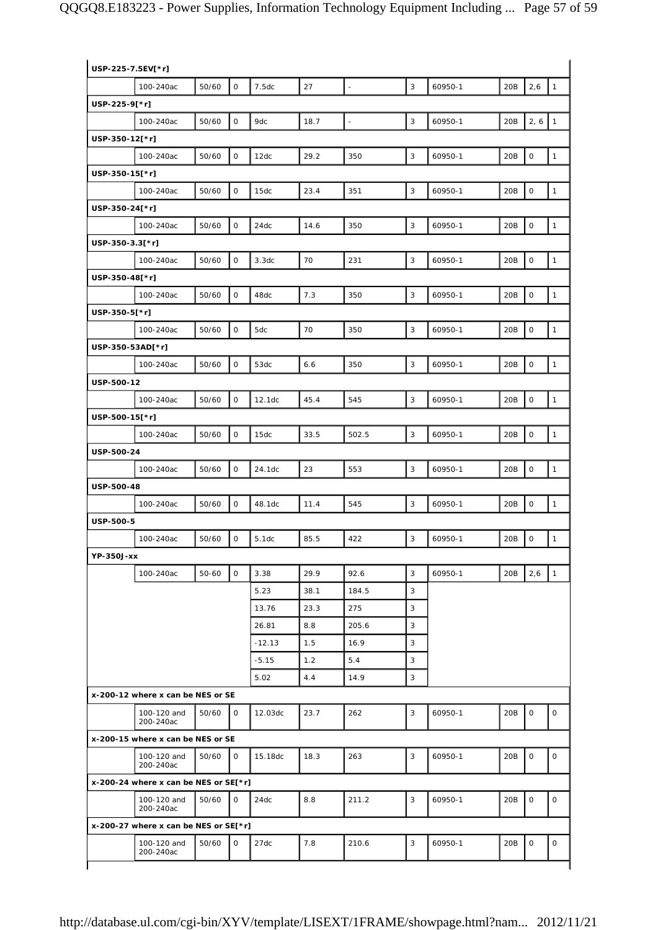| USP-225-7.5EV[*r] |                                         |       |              |          |      |               |                |         |     |                     |              |
|-------------------|-----------------------------------------|-------|--------------|----------|------|---------------|----------------|---------|-----|---------------------|--------------|
|                   | 100-240ac                               | 50/60 | $\mathbf 0$  | 7.5dc    | 27   | $\frac{1}{2}$ | $\overline{3}$ | 60950-1 | 20B | 2,6                 | $\mathbf{1}$ |
| USP-225-9[*r]     |                                         |       |              |          |      |               |                |         |     |                     |              |
|                   | 100-240ac                               | 50/60 | $\mathsf O$  | 9dc      | 18.7 |               | 3              | 60950-1 | 20B | 2, 6                | $\mathbf{1}$ |
| USP-350-12[*r]    |                                         |       |              |          |      |               |                |         |     |                     |              |
|                   | 100-240ac                               | 50/60 | $\mathbf 0$  | 12dc     | 29.2 | 350           | 3              | 60950-1 | 20B | $\mathsf{O}$        | $\mathbf{1}$ |
| USP-350-15[*r]    |                                         |       |              |          |      |               |                |         |     |                     |              |
|                   | 100-240ac                               | 50/60 | $\mathbf 0$  | 15dc     | 23.4 | 351           | 3              | 60950-1 | 20B | $\mathsf{O}\xspace$ | $\mathbf{1}$ |
| USP-350-24[*r]    |                                         |       |              |          |      |               |                |         |     |                     |              |
|                   | 100-240ac                               | 50/60 | $\mathsf O$  | 24dc     | 14.6 | 350           | 3              | 60950-1 | 20B | $\mathsf{O}\xspace$ | $\mathbf{1}$ |
| USP-350-3.3[*r]   |                                         |       |              |          |      |               |                |         |     |                     |              |
|                   | 100-240ac                               | 50/60 | $\mathsf O$  | 3.3dc    | 70   | 231           | 3              | 60950-1 | 20B | $\mathsf O$         | $\mathbf{1}$ |
| USP-350-48[*r]    |                                         |       |              |          |      |               |                |         |     |                     |              |
|                   | 100-240ac                               | 50/60 | $\mathbf 0$  | 48dc     | 7.3  | 350           | 3              | 60950-1 | 20B | $\mathsf{O}\xspace$ | $\mathbf{1}$ |
| USP-350-5[*r]     |                                         |       |              |          |      |               |                |         |     |                     |              |
|                   | 100-240ac                               | 50/60 | $\mathbf 0$  | 5dc      | 70   | 350           | 3              | 60950-1 | 20B | $\mathsf{O}$        | $\mathbf{1}$ |
| USP-350-53AD[*r]  |                                         |       |              |          |      |               |                |         |     |                     |              |
|                   | 100-240ac                               | 50/60 | $\mathsf O$  | 53dc     | 6.6  | 350           | 3              | 60950-1 | 20B | $\mathsf O$         | $\mathbf{1}$ |
| USP-500-12        |                                         |       |              |          |      |               |                |         |     |                     |              |
|                   | 100-240ac                               | 50/60 | $\mathsf O$  | 12.1dc   | 45.4 | 545           | 3              | 60950-1 | 20B | $\mathsf{O}\xspace$ | $\mathbf{1}$ |
| USP-500-15[*r]    |                                         |       |              |          |      |               |                |         |     |                     |              |
|                   | 100-240ac                               | 50/60 | $\mathbf 0$  | 15dc     | 33.5 | 502.5         | 3              | 60950-1 | 20B | $\mathsf{O}\xspace$ | $\mathbf{1}$ |
| USP-500-24        |                                         |       |              |          |      |               |                |         |     |                     |              |
|                   | 100-240ac                               | 50/60 | $\mathbf 0$  | 24.1dc   | 23   | 553           | 3              | 60950-1 | 20B | $\mathsf{O}\xspace$ | $\mathbf{1}$ |
| USP-500-48        |                                         |       |              |          |      |               |                |         |     |                     |              |
|                   | 100-240ac                               | 50/60 | $\mathsf O$  | 48.1dc   | 11.4 | 545           | 3              | 60950-1 | 20B | $\mathsf O$         | $\mathbf{1}$ |
| USP-500-5         |                                         |       |              |          |      |               |                |         |     |                     |              |
|                   | 100-240ac                               | 50/60 | $\mathsf O$  | 5.1dc    | 85.5 | 422           | 3              | 60950-1 | 20B | $\mathsf{O}\xspace$ | $\mathbf{1}$ |
| YP-350J-xx        |                                         |       |              |          |      |               |                |         |     |                     |              |
|                   | 100-240ac                               | 50-60 | $\mathbf 0$  | 3.38     | 29.9 | 92.6          | 3              | 60950-1 | 20B | 2,6                 | $\mathbf{1}$ |
|                   |                                         |       |              | 5.23     | 38.1 | 184.5         | 3              |         |     |                     |              |
|                   |                                         |       |              | 13.76    | 23.3 | 275           | 3              |         |     |                     |              |
|                   |                                         |       |              | 26.81    | 8.8  | 205.6         | 3              |         |     |                     |              |
|                   |                                         |       |              | $-12.13$ | 1.5  | 16.9          | 3              |         |     |                     |              |
|                   |                                         |       |              | $-5.15$  | 1.2  | 5.4           | 3              |         |     |                     |              |
|                   |                                         |       |              | 5.02     | 4.4  | 14.9          | 3              |         |     |                     |              |
|                   | x-200-12 where x can be NES or SE       |       |              |          |      |               |                |         |     |                     |              |
|                   | 100-120 and<br>200-240ac                | 50/60 | 0            | 12.03dc  | 23.7 | 262           | 3              | 60950-1 | 20B | 0                   | 0            |
|                   | x-200-15 where x can be NES or SE       |       |              |          |      |               |                |         |     |                     |              |
|                   | 100-120 and<br>200-240ac                | 50/60 | $\mathsf{O}$ | 15.18dc  | 18.3 | 263           | 3              | 60950-1 | 20B | $\mathsf O$         | $\mathsf{O}$ |
|                   | x-200-24 where x can be NES or $SE[*r]$ |       |              |          |      |               |                |         |     |                     |              |
|                   | 100-120 and<br>200-240ac                | 50/60 | 0            | 24dc     | 8.8  | 211.2         | 3              | 60950-1 | 20B | 0                   | 0            |
|                   | x-200-27 where x can be NES or SE[*r]   |       |              |          |      |               |                |         |     |                     |              |
|                   | 100-120 and<br>200-240ac                | 50/60 | 0            | 27dc     | 7.8  | 210.6         | 3              | 60950-1 | 20B | $\mathsf O$         | 0            |
|                   |                                         |       |              |          |      |               |                |         |     |                     |              |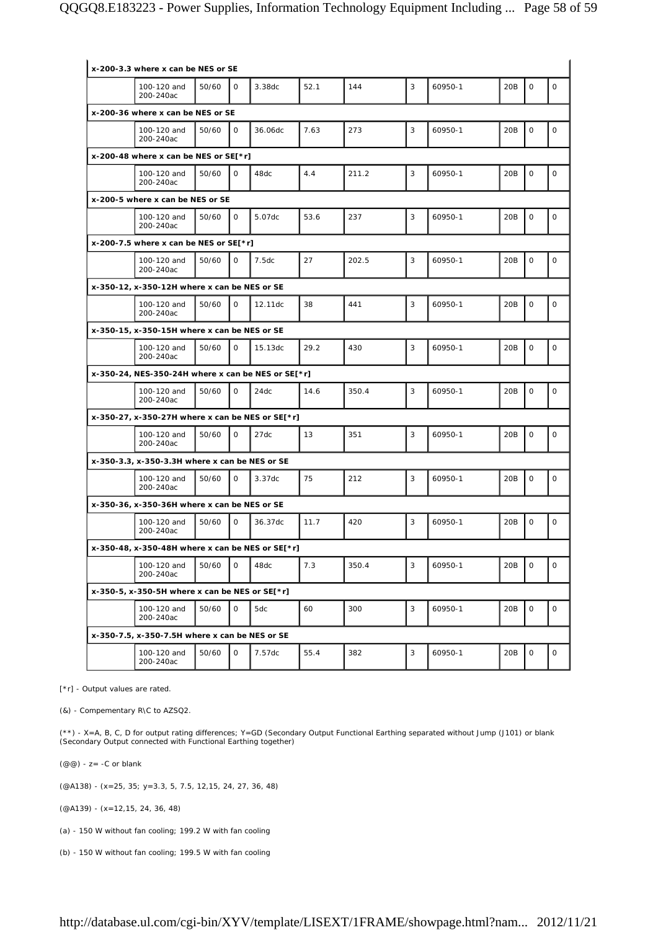| x-200-3.3 where x can be NES or SE                     |       |              |         |         |       |   |         |                 |              |              |
|--------------------------------------------------------|-------|--------------|---------|---------|-------|---|---------|-----------------|--------------|--------------|
| 100-120 and<br>200-240ac                               | 50/60 | $\Omega$     | 3.38dc  | 52.1    | 144   | 3 | 60950-1 | 20B             | $\Omega$     | $\mathbf 0$  |
| x-200-36 where x can be NES or SE                      |       |              |         |         |       |   |         |                 |              |              |
| 100-120 and<br>200-240ac                               | 50/60 | $\mathsf{O}$ | 36.06dc | 7.63    | 273   | 3 | 60950-1 | 20B             | $\mathbf 0$  | $\mathbf 0$  |
| x-200-48 where x can be NES or $SE[*r]$                |       |              |         |         |       |   |         |                 |              |              |
| 100-120 and<br>200-240ac                               | 50/60 | $\Omega$     | 48dc    | $4.4\,$ | 211.2 | 3 | 60950-1 | 20B             | $\mathbf 0$  | $\mathbf 0$  |
| x-200-5 where x can be NES or SE                       |       |              |         |         |       |   |         |                 |              |              |
| 100-120 and<br>200-240ac                               | 50/60 | $\mathsf{O}$ | 5.07dc  | 53.6    | 237   | 3 | 60950-1 | 20 <sub>B</sub> | 0            | $\mathbf 0$  |
| x-200-7.5 where x can be NES or $SE[*r]$               |       |              |         |         |       |   |         |                 |              |              |
| 100-120 and<br>200-240ac                               | 50/60 | $\mathsf{O}$ | 7.5dc   | 27      | 202.5 | 3 | 60950-1 | 20B             | $\circ$      | $\mathbf 0$  |
| x-350-12, x-350-12H where x can be NES or SE           |       |              |         |         |       |   |         |                 |              |              |
| 100-120 and<br>200-240ac                               | 50/60 | $\mathsf{O}$ | 12.11dc | 38      | 441   | 3 | 60950-1 | 20B             | $\mathsf{O}$ | $\mathsf{O}$ |
| x-350-15, x-350-15H where x can be NES or SE           |       |              |         |         |       |   |         |                 |              |              |
| 100-120 and<br>200-240ac                               | 50/60 | $\mathsf{O}$ | 15.13dc | 29.2    | 430   | 3 | 60950-1 | 20B             | 0            | $\mathbf 0$  |
| x-350-24, NES-350-24H where x can be NES or SE[ $*$ r] |       |              |         |         |       |   |         |                 |              |              |
| 100-120 and<br>200-240ac                               | 50/60 | $\Omega$     | 24dc    | 14.6    | 350.4 | 3 | 60950-1 | 20B             | $\Omega$     | $\mathbf 0$  |
| x-350-27, x-350-27H where x can be NES or SE[*r]       |       |              |         |         |       |   |         |                 |              |              |
| 100-120 and<br>200-240ac                               | 50/60 | $\mathsf{O}$ | 27dc    | 13      | 351   | 3 | 60950-1 | 20B             | $\mathbf 0$  | $\mathsf O$  |
| x-350-3.3, x-350-3.3H where x can be NES or SE         |       |              |         |         |       |   |         |                 |              |              |
| 100-120 and<br>200-240ac                               | 50/60 | $\Omega$     | 3.37dc  | 75      | 212   | 3 | 60950-1 | 20B             | 0            | $\mathbf 0$  |
| x-350-36, x-350-36H where x can be NES or SE           |       |              |         |         |       |   |         |                 |              |              |
| 100-120 and<br>200-240ac                               | 50/60 | $\mathsf{O}$ | 36.37dc | 11.7    | 420   | 3 | 60950-1 | 20 <sub>B</sub> | $\mathbf 0$  | 0            |
| x-350-48, x-350-48H where x can be NES or SE[*r]       |       |              |         |         |       |   |         |                 |              |              |
| 100-120 and<br>200-240ac                               | 50/60 | 0            | 48dc    | 7.3     | 350.4 | 3 | 60950-1 | 20B             | 0            | $\mathsf O$  |
| x-350-5, x-350-5H where x can be NES or $SE[*r]$       |       |              |         |         |       |   |         |                 |              |              |
| 100-120 and<br>200-240ac                               | 50/60 | 0            | 5dc     | 60      | 300   | 3 | 60950-1 | 20B             | $\mathsf{O}$ | $\mathsf O$  |
| x-350-7.5, x-350-7.5H where x can be NES or SE         |       |              |         |         |       |   |         |                 |              |              |
| 100-120 and<br>200-240ac                               | 50/60 | 0            | 7.57dc  | 55.4    | 382   | 3 | 60950-1 | 20B             | 0            | $\mathsf O$  |

[\*r] - Output values are rated.

(&) - Compementary R\C to AZSQ2.

(\*\*) - X=A, B, C, D for output rating differences; Y=GD (Secondary Output Functional Earthing separated without Jump (J101) or blank (Secondary Output connected with Functional Earthing together)

 $(\text{\textcircled{a}}\text{\textcircled{a}})$  - z = -C or blank

(@A138) - (x=25, 35; y=3.3, 5, 7.5, 12,15, 24, 27, 36, 48)

(@A139) - (x=12,15, 24, 36, 48)

(a) - 150 W without fan cooling; 199.2 W with fan cooling

(b) - 150 W without fan cooling; 199.5 W with fan cooling